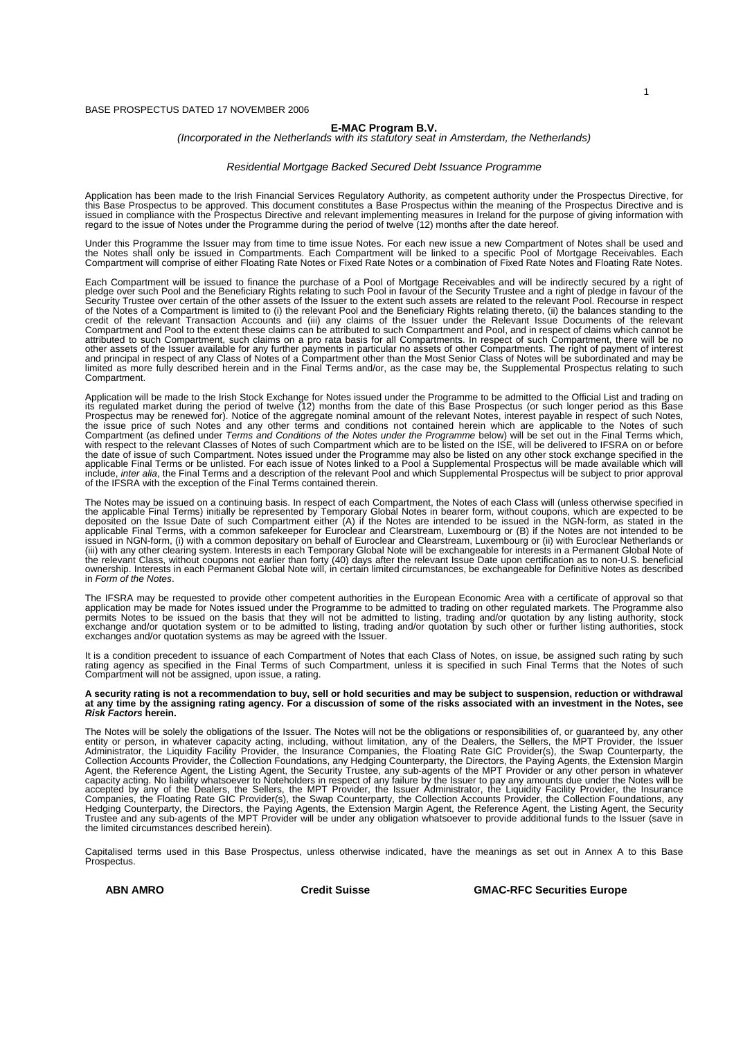#### BASE PROSPECTUS DATED 17 NOVEMBER 2006

# **E-MAC Program B.V.** *(Incorporated in the Netherlands with its statutory seat in Amsterdam, the Netherlands)*

#### *Residential Mortgage Backed Secured Debt Issuance Programme*

Application has been made to the Irish Financial Services Regulatory Authority, as competent authority under the Prospectus Directive, for<br>this Base Prospectus to be approved. This document constitutes a Base Prospectus wi

Under this Programme the Issuer may from time to time issue Notes. For each new issue a new Compartment of Notes shall be used and<br>the Notes shall only be issued in Compartments. Each Compartment will be linked to a specif

Each Compartment will be issued to finance the purchase of a Pool of Mortgage Receivables and will be indirectly secured by a right of<br>pledge over such Pool and the Beneficiary Rights relating to such Pool in favour of the of the Notes of a Compartment is limited to (i) the relevant Pool and the Beneficiary Rights relating thereto, (ii) the balances standing to the credit of the relevant Transaction Accounts and (iii) any claims of the Issuer under the Relevant Issue Documents of the relevant<br>Compartment and Pool to the extent these claims can be attributed to such Compartment and Po attributed to such Compartment, such claims on a pro rata basis for all Compartments. In respect of such Compartment, there will be no<br>other assets of the Issuer available for any further payments in particular no assets o limited as more fully described herein and in the Final Terms and/or, as the case may be, the Supplemental Prospectus relating to such Compartment.

Application will be made to the Irish Stock Exchange for Notes issued under the Programme to be admitted to the Official List and trading on<br>its regulated market during the period of twelve (12) months from the date of thi the issue price of such Notes and any other terms and conditions not contained herein which are applicable to the Notes of such Compartment (as defined under *Terms and Conditions of the Notes under the Programme* below) will be set out in the Final Terms which,<br>with respect to the relevant Classes of Notes of such Compartment which are to be liste include, *inter alia*, the Final Terms and a description of the relevant Pool and which Supplemental Prospectus will be subject to prior approval<br>of the IFSRA with the exception of the Final Terms contained therein.

The Notes may be issued on a continuing basis. In respect of each Compartment, the Notes of each Class will (unless otherwise specified in<br>the applicable Final Terms) initially be represented by Temporary Global Notes in b the relevant Class, without coupons not earlier than forty (40) days after the relevant Issue Date upon certification as to non-U.S. beneficial<br>ownership. Interests in each Permanent Global Note will, in certain limited ci

The IFSRA may be requested to provide other competent authorities in the European Economic Area with a certificate of approval so that<br>peplication may be made for Notes issued under the Programme to be admitted to trading exchanges and/or quotation systems as may be agreed with the Issuer.

It is a condition precedent to issuance of each Compartment of Notes that each Class of Notes, on issue, be assigned such rating by such<br>rating agency as specified in the Final Terms of such Compartment, unless it is speci

# A security rating is not a recommendation to buy, sell or hold securities and may be subject to suspension, reduction or withdrawal<br>at any time by the assigning rating agency. For a discussion of some of the risks associat

The Notes will be solely the obligations of the Issuer. The Notes will not be the obligations or responsibilities of, or guaranteed by, any other entity or person, in whatever capacity acting, including, without limitation

Capitalised terms used in this Base Prospectus, unless otherwise indicated, have the meanings as set out in Annex A to this Base Prospectus.

 **ABN AMRO Credit Suisse GMAC-RFC Securities Europe**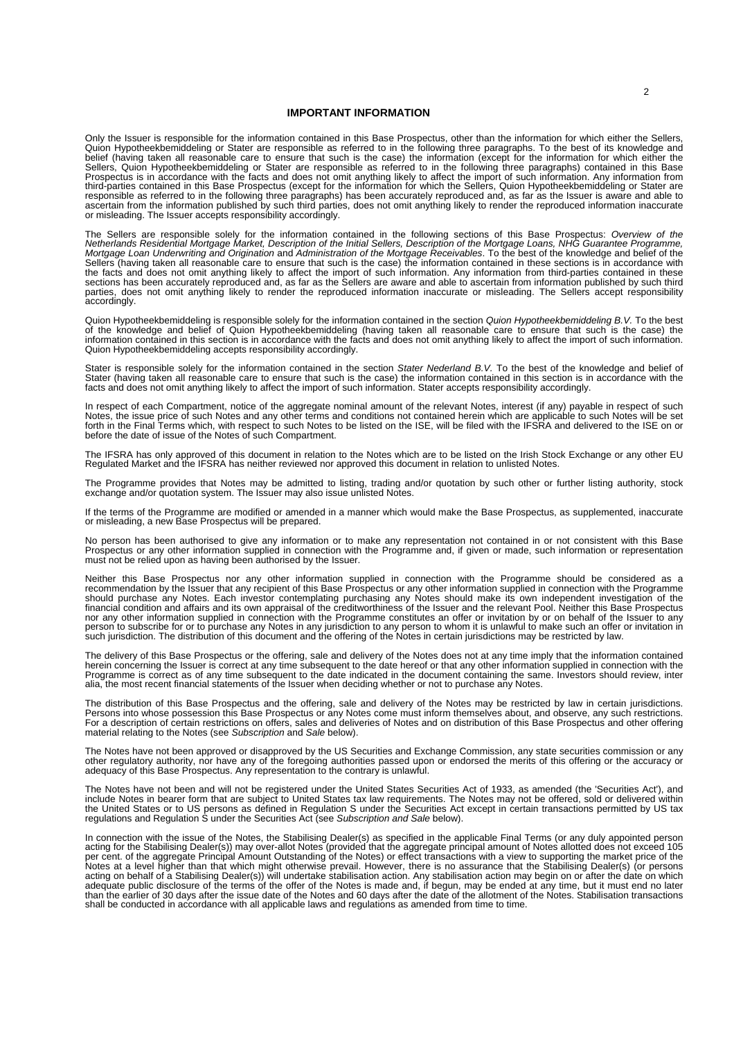#### **IMPORTANT INFORMATION**

Only the Issuer is responsible for the information contained in this Base Prospectus, other than the information for which either the Sellers, Quion Hypotheekbemiddeling or Stater are responsible as referred to in the following three paragraphs. To the best of its knowledge and<br>belief (having taken all reasonable care to ensure that such is the case) the informat responsible as referred to in the following three paragraphs) has been accurately reproduced and, as far as the Issuer is aware and able to<br>ascertain from the information published by such third parties, does not omit anyt

The Sellers are responsible solely for the information contained in the following sections of this Base Prospectus: Overview of the<br>Metherlands Residential Mortgage Market, Description of the Initial Sellers, Description o the facts and does not omit anything likely to affect the import of such information. Any information from third-parties contained in these<br>sections has been accurately reproduced and, as far as the Sellers are aware and a

Quion Hypotheekbemiddeling is responsible solely for the information contained in the section Quion Hypotheekbemiddeling B.V. To the best<br>of the knowledge and belief of Quion Hypotheekbemiddeling (having taken all reasonab Quion Hypotheekbemiddeling accepts responsibility accordingly.

Stater is responsible solely for the information contained in the section Stater Nederland B.V. To the best of the knowledge and belief of<br>Stater (having taken all reasonable care to ensure that such is the case) the infor facts and does not omit anything likely to affect the import of such information. Stater accepts responsibility accordingly.

In respect of each Compartment, notice of the aggregate nominal amount of the relevant Notes, interest (if any) payable in respect of such<br>Notes, the issue price of such Notes and any other terms and conditions not contain before the date of issue of the Notes of such Compartment.

The IFSRA has only approved of this document in relation to the Notes which are to be listed on the Irish Stock Exchange or any other EU<br>Regulated Market and the IFSRA has neither reviewed nor approved this document in rel

The Programme provides that Notes may be admitted to listing, trading and/or quotation by such other or further listing authority, stock exchange and/or quotation system. The Issuer may also issue unlisted Notes.

If the terms of the Programme are modified or amended in a manner which would make the Base Prospectus, as supplemented, inaccurate or misleading, a new Base Prospectus will be prepared.

No person has been authorised to give any information or to make any representation not contained in or not consistent with this Base<br>Prospectus or any other information supplied in connection with the Programme and, if gi must not be relied upon as having been authorised by the Issuer.

Neither this Base Prospectus nor any other information supplied in connection with the Programme should be considered as a recommendation by the Issuer that any recipient of this Base Prospectus or any other information supplied in connection with the Programme<br>should purchase any Notes. Each investor contemplating purchasing any Notes should should purchase any Notes. Each investor contemplating purchasing any Notes should make its own independent investigation of the<br>financial condition and affairs and its own appraisal of the creditworthiness of the Issuer a such jurisdiction. The distribution of this document and the offering of the Notes in certain jurisdictions may be restricted by law.

The delivery of this Base Prospectus or the offering, sale and delivery of the Notes does not at any time imply that the information contained<br>herein concerning the Issuer is correct at any time subsequent to the date here Programme is correct as of any time subsequent to the date indicated in the document containing the same. Investors should review, inter alia, the most recent financial statements of the Issuer when deciding whether or not to purchase any Notes.

The distribution of this Base Prospectus and the offering, sale and delivery of the Notes may be restricted by law in certain jurisdictions.<br>Persons into whose possession this Base Prospectus or any Notes come must inform For a description of certain restrictions on offers, sales and deliveries of Notes and on distribution of this Base Prospectus and other offering material relating to the Notes (see *Subscription* and *Sale* below).

The Notes have not been approved or disapproved by the US Securities and Exchange Commission, any state securities commission or any<br>other regulatory authority, nor have any of the foregoing authorities passed upon or endo

The Notes have not been and will not be registered under the United States Securities Act of 1933, as amended (the 'Securities Act'), and include Notes in bearer form that are subject to United States tax law requirements. The Notes may not be offered, sold or delivered within<br>the United States or to US persons as defined in Regulation S under the Securities

In connection with the issue of the Notes, the Stabilising Dealer(s) as specified in the applicable Final Terms (or any duly appointed person<br>acting for the Stabilising Dealer(s)) may over-allot Notes (provided that the ag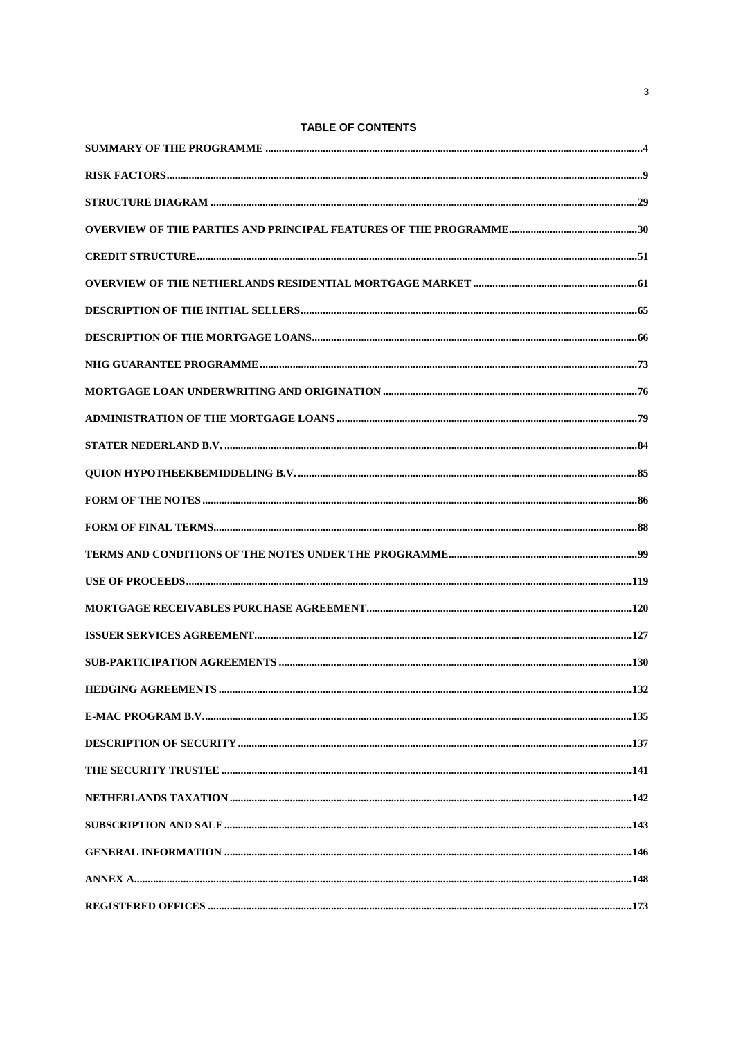TABLE OF CONTENTS

 $\overline{3}$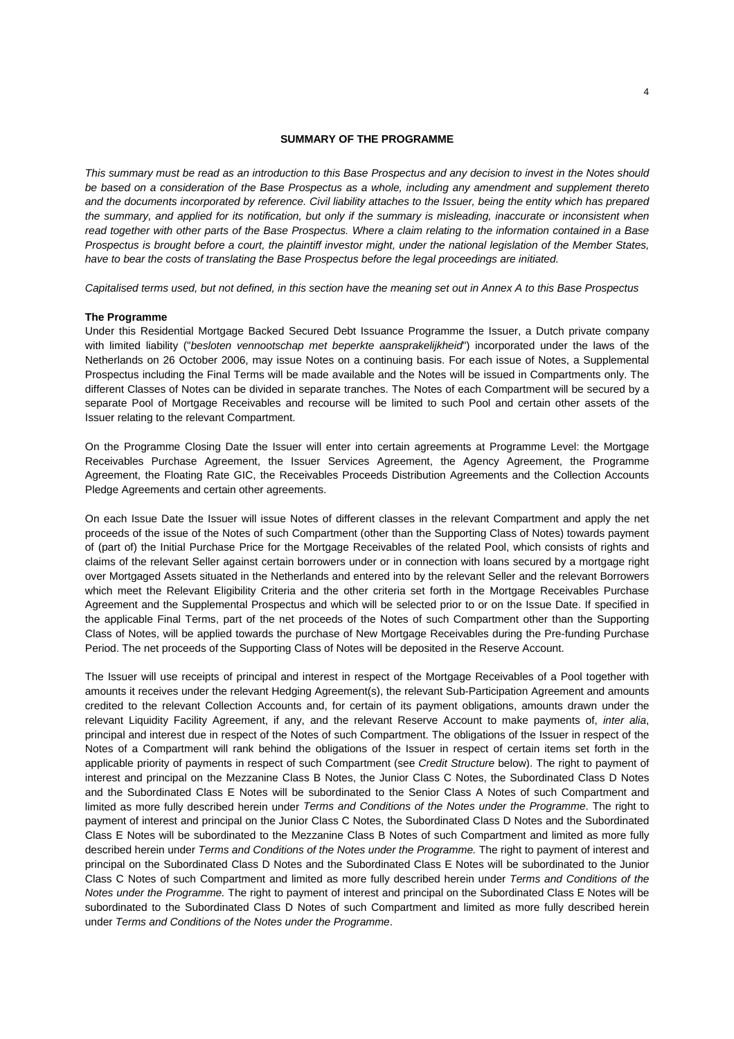#### **SUMMARY OF THE PROGRAMME**

*This summary must be read as an introduction to this Base Prospectus and any decision to invest in the Notes should be based on a consideration of the Base Prospectus as a whole, including any amendment and supplement thereto and the documents incorporated by reference. Civil liability attaches to the Issuer, being the entity which has prepared the summary, and applied for its notification, but only if the summary is misleading, inaccurate or inconsistent when read together with other parts of the Base Prospectus. Where a claim relating to the information contained in a Base Prospectus is brought before a court, the plaintiff investor might, under the national legislation of the Member States, have to bear the costs of translating the Base Prospectus before the legal proceedings are initiated.* 

*Capitalised terms used, but not defined, in this section have the meaning set out in Annex A to this Base Prospectus* 

#### **The Programme**

Under this Residential Mortgage Backed Secured Debt Issuance Programme the Issuer, a Dutch private company with limited liability ("*besloten vennootschap met beperkte aansprakelijkheid*") incorporated under the laws of the Netherlands on 26 October 2006, may issue Notes on a continuing basis. For each issue of Notes, a Supplemental Prospectus including the Final Terms will be made available and the Notes will be issued in Compartments only. The different Classes of Notes can be divided in separate tranches. The Notes of each Compartment will be secured by a separate Pool of Mortgage Receivables and recourse will be limited to such Pool and certain other assets of the Issuer relating to the relevant Compartment.

On the Programme Closing Date the Issuer will enter into certain agreements at Programme Level: the Mortgage Receivables Purchase Agreement, the Issuer Services Agreement, the Agency Agreement, the Programme Agreement, the Floating Rate GIC, the Receivables Proceeds Distribution Agreements and the Collection Accounts Pledge Agreements and certain other agreements.

On each Issue Date the Issuer will issue Notes of different classes in the relevant Compartment and apply the net proceeds of the issue of the Notes of such Compartment (other than the Supporting Class of Notes) towards payment of (part of) the Initial Purchase Price for the Mortgage Receivables of the related Pool, which consists of rights and claims of the relevant Seller against certain borrowers under or in connection with loans secured by a mortgage right over Mortgaged Assets situated in the Netherlands and entered into by the relevant Seller and the relevant Borrowers which meet the Relevant Eligibility Criteria and the other criteria set forth in the Mortgage Receivables Purchase Agreement and the Supplemental Prospectus and which will be selected prior to or on the Issue Date. If specified in the applicable Final Terms, part of the net proceeds of the Notes of such Compartment other than the Supporting Class of Notes, will be applied towards the purchase of New Mortgage Receivables during the Pre-funding Purchase Period. The net proceeds of the Supporting Class of Notes will be deposited in the Reserve Account.

The Issuer will use receipts of principal and interest in respect of the Mortgage Receivables of a Pool together with amounts it receives under the relevant Hedging Agreement(s), the relevant Sub-Participation Agreement and amounts credited to the relevant Collection Accounts and, for certain of its payment obligations, amounts drawn under the relevant Liquidity Facility Agreement, if any, and the relevant Reserve Account to make payments of, *inter alia*, principal and interest due in respect of the Notes of such Compartment. The obligations of the Issuer in respect of the Notes of a Compartment will rank behind the obligations of the Issuer in respect of certain items set forth in the applicable priority of payments in respect of such Compartment (see *Credit Structure* below). The right to payment of interest and principal on the Mezzanine Class B Notes, the Junior Class C Notes, the Subordinated Class D Notes and the Subordinated Class E Notes will be subordinated to the Senior Class A Notes of such Compartment and limited as more fully described herein under *Terms and Conditions of the Notes under the Programme*. The right to payment of interest and principal on the Junior Class C Notes, the Subordinated Class D Notes and the Subordinated Class E Notes will be subordinated to the Mezzanine Class B Notes of such Compartment and limited as more fully described herein under *Terms and Conditions of the Notes under the Programme.* The right to payment of interest and principal on the Subordinated Class D Notes and the Subordinated Class E Notes will be subordinated to the Junior Class C Notes of such Compartment and limited as more fully described herein under *Terms and Conditions of the Notes under the Programme.* The right to payment of interest and principal on the Subordinated Class E Notes will be subordinated to the Subordinated Class D Notes of such Compartment and limited as more fully described herein under *Terms and Conditions of the Notes under the Programme*.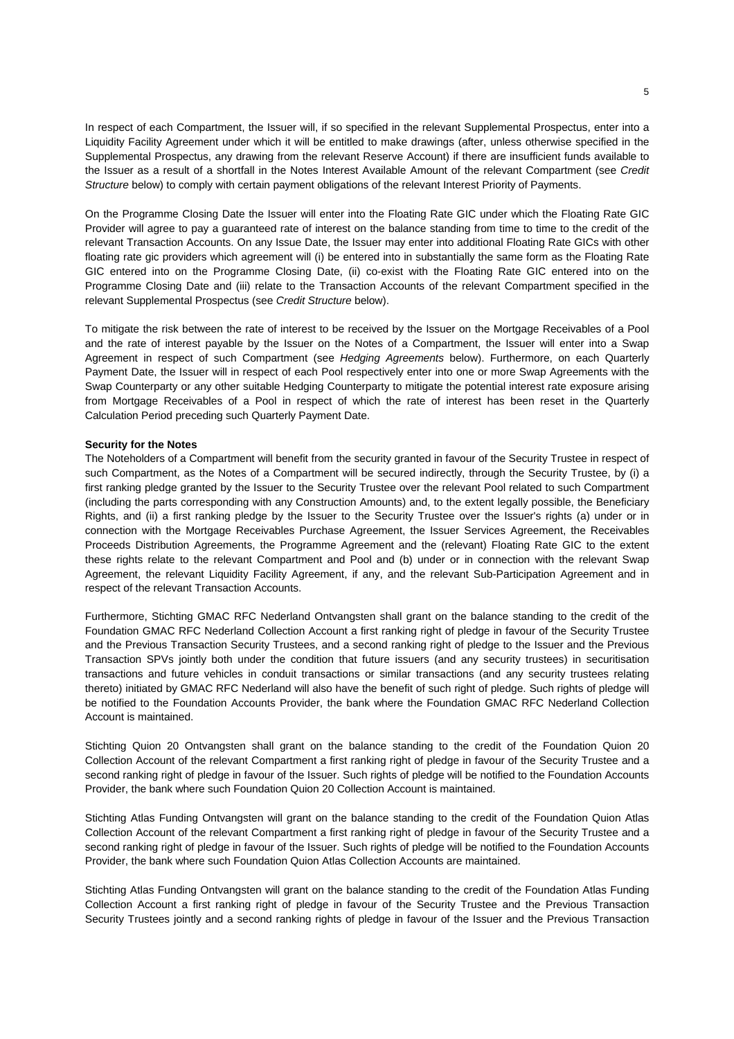In respect of each Compartment, the Issuer will, if so specified in the relevant Supplemental Prospectus, enter into a Liquidity Facility Agreement under which it will be entitled to make drawings (after, unless otherwise specified in the Supplemental Prospectus, any drawing from the relevant Reserve Account) if there are insufficient funds available to the Issuer as a result of a shortfall in the Notes Interest Available Amount of the relevant Compartment (see *Credit Structure* below) to comply with certain payment obligations of the relevant Interest Priority of Payments.

On the Programme Closing Date the Issuer will enter into the Floating Rate GIC under which the Floating Rate GIC Provider will agree to pay a guaranteed rate of interest on the balance standing from time to time to the credit of the relevant Transaction Accounts. On any Issue Date, the Issuer may enter into additional Floating Rate GICs with other floating rate gic providers which agreement will (i) be entered into in substantially the same form as the Floating Rate GIC entered into on the Programme Closing Date, (ii) co-exist with the Floating Rate GIC entered into on the Programme Closing Date and (iii) relate to the Transaction Accounts of the relevant Compartment specified in the relevant Supplemental Prospectus (see *Credit Structure* below).

To mitigate the risk between the rate of interest to be received by the Issuer on the Mortgage Receivables of a Pool and the rate of interest payable by the Issuer on the Notes of a Compartment, the Issuer will enter into a Swap Agreement in respect of such Compartment (see *Hedging Agreements* below). Furthermore, on each Quarterly Payment Date, the Issuer will in respect of each Pool respectively enter into one or more Swap Agreements with the Swap Counterparty or any other suitable Hedging Counterparty to mitigate the potential interest rate exposure arising from Mortgage Receivables of a Pool in respect of which the rate of interest has been reset in the Quarterly Calculation Period preceding such Quarterly Payment Date.

### **Security for the Notes**

The Noteholders of a Compartment will benefit from the security granted in favour of the Security Trustee in respect of such Compartment, as the Notes of a Compartment will be secured indirectly, through the Security Trustee, by (i) a first ranking pledge granted by the Issuer to the Security Trustee over the relevant Pool related to such Compartment (including the parts corresponding with any Construction Amounts) and, to the extent legally possible, the Beneficiary Rights, and (ii) a first ranking pledge by the Issuer to the Security Trustee over the Issuer's rights (a) under or in connection with the Mortgage Receivables Purchase Agreement, the Issuer Services Agreement, the Receivables Proceeds Distribution Agreements, the Programme Agreement and the (relevant) Floating Rate GIC to the extent these rights relate to the relevant Compartment and Pool and (b) under or in connection with the relevant Swap Agreement, the relevant Liquidity Facility Agreement, if any, and the relevant Sub-Participation Agreement and in respect of the relevant Transaction Accounts.

Furthermore, Stichting GMAC RFC Nederland Ontvangsten shall grant on the balance standing to the credit of the Foundation GMAC RFC Nederland Collection Account a first ranking right of pledge in favour of the Security Trustee and the Previous Transaction Security Trustees, and a second ranking right of pledge to the Issuer and the Previous Transaction SPVs jointly both under the condition that future issuers (and any security trustees) in securitisation transactions and future vehicles in conduit transactions or similar transactions (and any security trustees relating thereto) initiated by GMAC RFC Nederland will also have the benefit of such right of pledge. Such rights of pledge will be notified to the Foundation Accounts Provider, the bank where the Foundation GMAC RFC Nederland Collection Account is maintained.

Stichting Quion 20 Ontvangsten shall grant on the balance standing to the credit of the Foundation Quion 20 Collection Account of the relevant Compartment a first ranking right of pledge in favour of the Security Trustee and a second ranking right of pledge in favour of the Issuer. Such rights of pledge will be notified to the Foundation Accounts Provider, the bank where such Foundation Quion 20 Collection Account is maintained.

Stichting Atlas Funding Ontvangsten will grant on the balance standing to the credit of the Foundation Quion Atlas Collection Account of the relevant Compartment a first ranking right of pledge in favour of the Security Trustee and a second ranking right of pledge in favour of the Issuer. Such rights of pledge will be notified to the Foundation Accounts Provider, the bank where such Foundation Quion Atlas Collection Accounts are maintained.

Stichting Atlas Funding Ontvangsten will grant on the balance standing to the credit of the Foundation Atlas Funding Collection Account a first ranking right of pledge in favour of the Security Trustee and the Previous Transaction Security Trustees jointly and a second ranking rights of pledge in favour of the Issuer and the Previous Transaction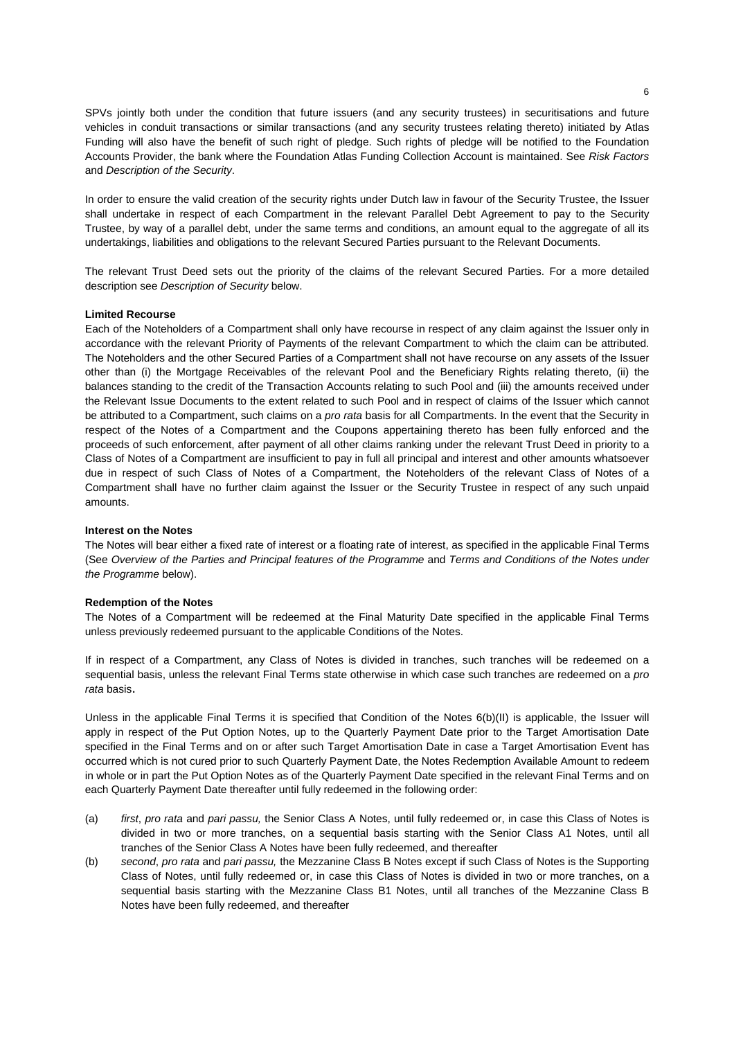SPVs jointly both under the condition that future issuers (and any security trustees) in securitisations and future vehicles in conduit transactions or similar transactions (and any security trustees relating thereto) initiated by Atlas Funding will also have the benefit of such right of pledge. Such rights of pledge will be notified to the Foundation Accounts Provider, the bank where the Foundation Atlas Funding Collection Account is maintained. See *Risk Factors* and *Description of the Security*.

In order to ensure the valid creation of the security rights under Dutch law in favour of the Security Trustee, the Issuer shall undertake in respect of each Compartment in the relevant Parallel Debt Agreement to pay to the Security Trustee, by way of a parallel debt, under the same terms and conditions, an amount equal to the aggregate of all its undertakings, liabilities and obligations to the relevant Secured Parties pursuant to the Relevant Documents.

The relevant Trust Deed sets out the priority of the claims of the relevant Secured Parties. For a more detailed description see *Description of Security* below.

#### **Limited Recourse**

Each of the Noteholders of a Compartment shall only have recourse in respect of any claim against the Issuer only in accordance with the relevant Priority of Payments of the relevant Compartment to which the claim can be attributed. The Noteholders and the other Secured Parties of a Compartment shall not have recourse on any assets of the Issuer other than (i) the Mortgage Receivables of the relevant Pool and the Beneficiary Rights relating thereto, (ii) the balances standing to the credit of the Transaction Accounts relating to such Pool and (iii) the amounts received under the Relevant Issue Documents to the extent related to such Pool and in respect of claims of the Issuer which cannot be attributed to a Compartment, such claims on a *pro rata* basis for all Compartments. In the event that the Security in respect of the Notes of a Compartment and the Coupons appertaining thereto has been fully enforced and the proceeds of such enforcement, after payment of all other claims ranking under the relevant Trust Deed in priority to a Class of Notes of a Compartment are insufficient to pay in full all principal and interest and other amounts whatsoever due in respect of such Class of Notes of a Compartment, the Noteholders of the relevant Class of Notes of a Compartment shall have no further claim against the Issuer or the Security Trustee in respect of any such unpaid amounts.

### **Interest on the Notes**

The Notes will bear either a fixed rate of interest or a floating rate of interest, as specified in the applicable Final Terms (See Overview of the Parties and Principal features of the Programme and *Terms and Conditions of the Notes under the Programme* below).

#### **Redemption of the Notes**

The Notes of a Compartment will be redeemed at the Final Maturity Date specified in the applicable Final Terms unless previously redeemed pursuant to the applicable Conditions of the Notes.

If in respect of a Compartment, any Class of Notes is divided in tranches, such tranches will be redeemed on a sequential basis, unless the relevant Final Terms state otherwise in which case such tranches are redeemed on a *pro rata* basis.

Unless in the applicable Final Terms it is specified that Condition of the Notes 6(b)(II) is applicable, the Issuer will apply in respect of the Put Option Notes, up to the Quarterly Payment Date prior to the Target Amortisation Date specified in the Final Terms and on or after such Target Amortisation Date in case a Target Amortisation Event has occurred which is not cured prior to such Quarterly Payment Date, the Notes Redemption Available Amount to redeem in whole or in part the Put Option Notes as of the Quarterly Payment Date specified in the relevant Final Terms and on each Quarterly Payment Date thereafter until fully redeemed in the following order:

- (a) *first*, *pro rata* and *pari passu,* the Senior Class A Notes, until fully redeemed or, in case this Class of Notes is divided in two or more tranches, on a sequential basis starting with the Senior Class A1 Notes, until all tranches of the Senior Class A Notes have been fully redeemed, and thereafter
- (b) *second*, *pro rata* and *pari passu,* the Mezzanine Class B Notes except if such Class of Notes is the Supporting Class of Notes, until fully redeemed or, in case this Class of Notes is divided in two or more tranches, on a sequential basis starting with the Mezzanine Class B1 Notes, until all tranches of the Mezzanine Class B Notes have been fully redeemed, and thereafter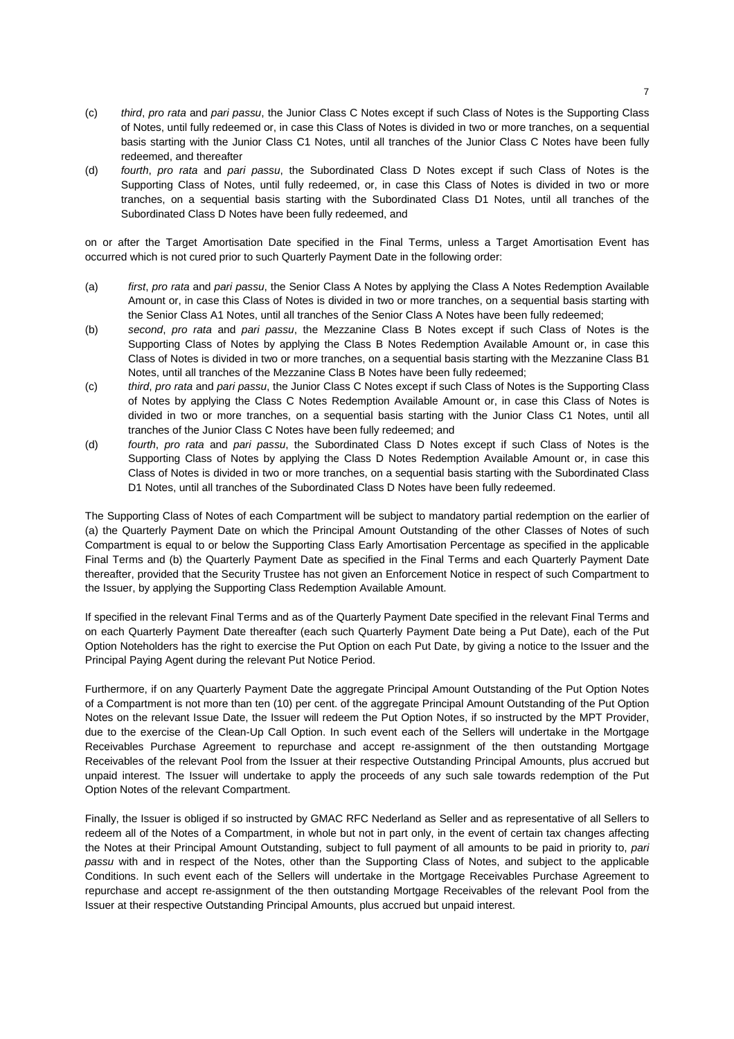- (c) *third*, *pro rata* and *pari passu*, the Junior Class C Notes except if such Class of Notes is the Supporting Class of Notes, until fully redeemed or, in case this Class of Notes is divided in two or more tranches, on a sequential basis starting with the Junior Class C1 Notes, until all tranches of the Junior Class C Notes have been fully redeemed, and thereafter
- (d) *fourth*, *pro rata* and *pari passu*, the Subordinated Class D Notes except if such Class of Notes is the Supporting Class of Notes, until fully redeemed, or, in case this Class of Notes is divided in two or more tranches, on a sequential basis starting with the Subordinated Class D1 Notes, until all tranches of the Subordinated Class D Notes have been fully redeemed, and

on or after the Target Amortisation Date specified in the Final Terms, unless a Target Amortisation Event has occurred which is not cured prior to such Quarterly Payment Date in the following order:

- (a) *first*, *pro rata* and *pari passu*, the Senior Class A Notes by applying the Class A Notes Redemption Available Amount or, in case this Class of Notes is divided in two or more tranches, on a sequential basis starting with the Senior Class A1 Notes, until all tranches of the Senior Class A Notes have been fully redeemed;
- (b) *second*, *pro rata* and *pari passu*, the Mezzanine Class B Notes except if such Class of Notes is the Supporting Class of Notes by applying the Class B Notes Redemption Available Amount or, in case this Class of Notes is divided in two or more tranches, on a sequential basis starting with the Mezzanine Class B1 Notes, until all tranches of the Mezzanine Class B Notes have been fully redeemed;
- (c) *third*, *pro rata* and *pari passu*, the Junior Class C Notes except if such Class of Notes is the Supporting Class of Notes by applying the Class C Notes Redemption Available Amount or, in case this Class of Notes is divided in two or more tranches, on a sequential basis starting with the Junior Class C1 Notes, until all tranches of the Junior Class C Notes have been fully redeemed; and
- (d) *fourth*, *pro rata* and *pari passu*, the Subordinated Class D Notes except if such Class of Notes is the Supporting Class of Notes by applying the Class D Notes Redemption Available Amount or, in case this Class of Notes is divided in two or more tranches, on a sequential basis starting with the Subordinated Class D1 Notes, until all tranches of the Subordinated Class D Notes have been fully redeemed.

The Supporting Class of Notes of each Compartment will be subject to mandatory partial redemption on the earlier of (a) the Quarterly Payment Date on which the Principal Amount Outstanding of the other Classes of Notes of such Compartment is equal to or below the Supporting Class Early Amortisation Percentage as specified in the applicable Final Terms and (b) the Quarterly Payment Date as specified in the Final Terms and each Quarterly Payment Date thereafter, provided that the Security Trustee has not given an Enforcement Notice in respect of such Compartment to the Issuer, by applying the Supporting Class Redemption Available Amount.

If specified in the relevant Final Terms and as of the Quarterly Payment Date specified in the relevant Final Terms and on each Quarterly Payment Date thereafter (each such Quarterly Payment Date being a Put Date), each of the Put Option Noteholders has the right to exercise the Put Option on each Put Date, by giving a notice to the Issuer and the Principal Paying Agent during the relevant Put Notice Period.

Furthermore, if on any Quarterly Payment Date the aggregate Principal Amount Outstanding of the Put Option Notes of a Compartment is not more than ten (10) per cent. of the aggregate Principal Amount Outstanding of the Put Option Notes on the relevant Issue Date, the Issuer will redeem the Put Option Notes, if so instructed by the MPT Provider, due to the exercise of the Clean-Up Call Option. In such event each of the Sellers will undertake in the Mortgage Receivables Purchase Agreement to repurchase and accept re-assignment of the then outstanding Mortgage Receivables of the relevant Pool from the Issuer at their respective Outstanding Principal Amounts, plus accrued but unpaid interest. The Issuer will undertake to apply the proceeds of any such sale towards redemption of the Put Option Notes of the relevant Compartment.

Finally, the Issuer is obliged if so instructed by GMAC RFC Nederland as Seller and as representative of all Sellers to redeem all of the Notes of a Compartment, in whole but not in part only, in the event of certain tax changes affecting the Notes at their Principal Amount Outstanding, subject to full payment of all amounts to be paid in priority to, *pari passu* with and in respect of the Notes, other than the Supporting Class of Notes, and subject to the applicable Conditions. In such event each of the Sellers will undertake in the Mortgage Receivables Purchase Agreement to repurchase and accept re-assignment of the then outstanding Mortgage Receivables of the relevant Pool from the Issuer at their respective Outstanding Principal Amounts, plus accrued but unpaid interest.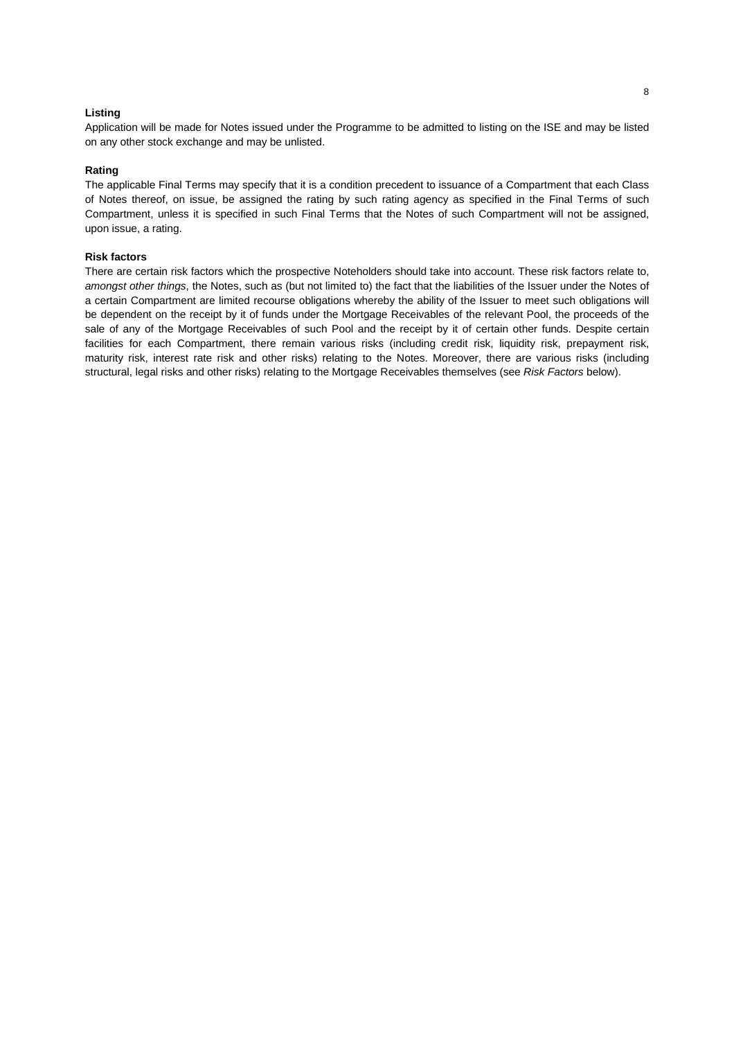# **Listing**

Application will be made for Notes issued under the Programme to be admitted to listing on the ISE and may be listed on any other stock exchange and may be unlisted.

# **Rating**

The applicable Final Terms may specify that it is a condition precedent to issuance of a Compartment that each Class of Notes thereof, on issue, be assigned the rating by such rating agency as specified in the Final Terms of such Compartment, unless it is specified in such Final Terms that the Notes of such Compartment will not be assigned, upon issue, a rating.

# **Risk factors**

There are certain risk factors which the prospective Noteholders should take into account. These risk factors relate to, *amongst other things*, the Notes, such as (but not limited to) the fact that the liabilities of the Issuer under the Notes of a certain Compartment are limited recourse obligations whereby the ability of the Issuer to meet such obligations will be dependent on the receipt by it of funds under the Mortgage Receivables of the relevant Pool, the proceeds of the sale of any of the Mortgage Receivables of such Pool and the receipt by it of certain other funds. Despite certain facilities for each Compartment, there remain various risks (including credit risk, liquidity risk, prepayment risk, maturity risk, interest rate risk and other risks) relating to the Notes. Moreover, there are various risks (including structural, legal risks and other risks) relating to the Mortgage Receivables themselves (see *Risk Factors* below).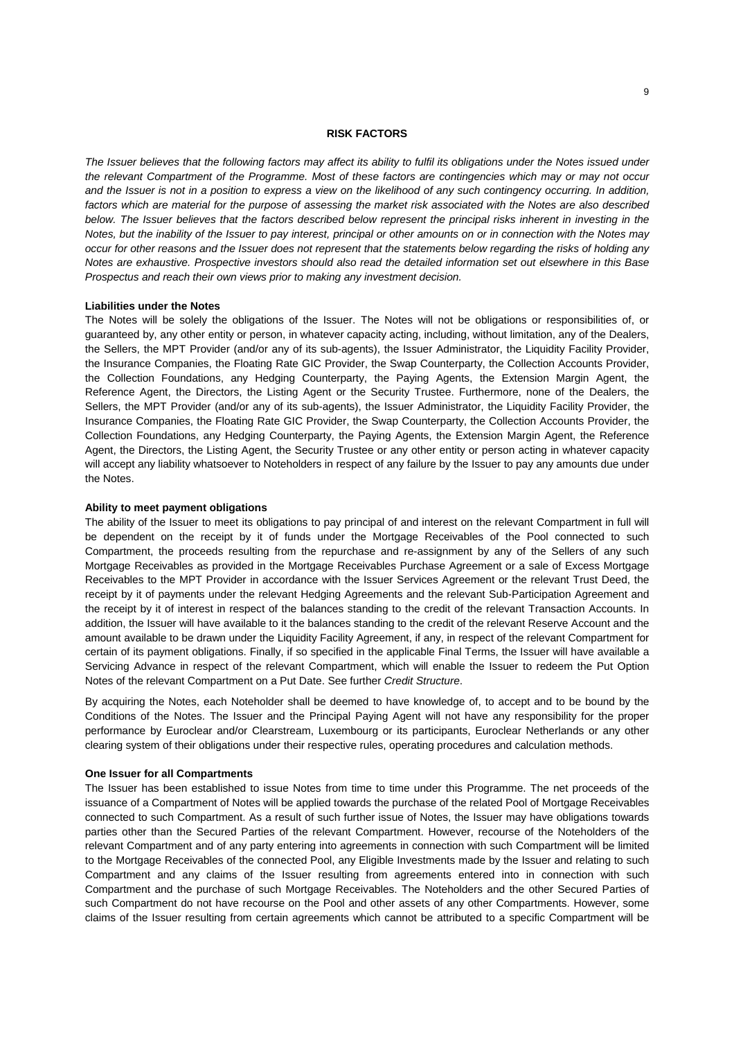#### **RISK FACTORS**

*The Issuer believes that the following factors may affect its ability to fulfil its obligations under the Notes issued under the relevant Compartment of the Programme. Most of these factors are contingencies which may or may not occur and the Issuer is not in a position to express a view on the likelihood of any such contingency occurring. In addition,*  factors which are material for the purpose of assessing the market risk associated with the Notes are also described below. The Issuer believes that the factors described below represent the principal risks inherent in investing in the *Notes, but the inability of the Issuer to pay interest, principal or other amounts on or in connection with the Notes may occur for other reasons and the Issuer does not represent that the statements below regarding the risks of holding any Notes are exhaustive. Prospective investors should also read the detailed information set out elsewhere in this Base Prospectus and reach their own views prior to making any investment decision.* 

# **Liabilities under the Notes**

The Notes will be solely the obligations of the Issuer. The Notes will not be obligations or responsibilities of, or guaranteed by, any other entity or person, in whatever capacity acting, including, without limitation, any of the Dealers, the Sellers, the MPT Provider (and/or any of its sub-agents), the Issuer Administrator, the Liquidity Facility Provider, the Insurance Companies, the Floating Rate GIC Provider, the Swap Counterparty, the Collection Accounts Provider, the Collection Foundations, any Hedging Counterparty, the Paying Agents, the Extension Margin Agent, the Reference Agent, the Directors, the Listing Agent or the Security Trustee. Furthermore, none of the Dealers, the Sellers, the MPT Provider (and/or any of its sub-agents), the Issuer Administrator, the Liquidity Facility Provider, the Insurance Companies, the Floating Rate GIC Provider, the Swap Counterparty, the Collection Accounts Provider, the Collection Foundations, any Hedging Counterparty, the Paying Agents, the Extension Margin Agent, the Reference Agent, the Directors, the Listing Agent, the Security Trustee or any other entity or person acting in whatever capacity will accept any liability whatsoever to Noteholders in respect of any failure by the Issuer to pay any amounts due under the Notes.

#### **Ability to meet payment obligations**

The ability of the Issuer to meet its obligations to pay principal of and interest on the relevant Compartment in full will be dependent on the receipt by it of funds under the Mortgage Receivables of the Pool connected to such Compartment, the proceeds resulting from the repurchase and re-assignment by any of the Sellers of any such Mortgage Receivables as provided in the Mortgage Receivables Purchase Agreement or a sale of Excess Mortgage Receivables to the MPT Provider in accordance with the Issuer Services Agreement or the relevant Trust Deed, the receipt by it of payments under the relevant Hedging Agreements and the relevant Sub-Participation Agreement and the receipt by it of interest in respect of the balances standing to the credit of the relevant Transaction Accounts. In addition, the Issuer will have available to it the balances standing to the credit of the relevant Reserve Account and the amount available to be drawn under the Liquidity Facility Agreement, if any, in respect of the relevant Compartment for certain of its payment obligations. Finally, if so specified in the applicable Final Terms, the Issuer will have available a Servicing Advance in respect of the relevant Compartment, which will enable the Issuer to redeem the Put Option Notes of the relevant Compartment on a Put Date. See further *Credit Structure*.

By acquiring the Notes, each Noteholder shall be deemed to have knowledge of, to accept and to be bound by the Conditions of the Notes. The Issuer and the Principal Paying Agent will not have any responsibility for the proper performance by Euroclear and/or Clearstream, Luxembourg or its participants, Euroclear Netherlands or any other clearing system of their obligations under their respective rules, operating procedures and calculation methods.

#### **One Issuer for all Compartments**

The Issuer has been established to issue Notes from time to time under this Programme. The net proceeds of the issuance of a Compartment of Notes will be applied towards the purchase of the related Pool of Mortgage Receivables connected to such Compartment. As a result of such further issue of Notes, the Issuer may have obligations towards parties other than the Secured Parties of the relevant Compartment. However, recourse of the Noteholders of the relevant Compartment and of any party entering into agreements in connection with such Compartment will be limited to the Mortgage Receivables of the connected Pool, any Eligible Investments made by the Issuer and relating to such Compartment and any claims of the Issuer resulting from agreements entered into in connection with such Compartment and the purchase of such Mortgage Receivables. The Noteholders and the other Secured Parties of such Compartment do not have recourse on the Pool and other assets of any other Compartments. However, some claims of the Issuer resulting from certain agreements which cannot be attributed to a specific Compartment will be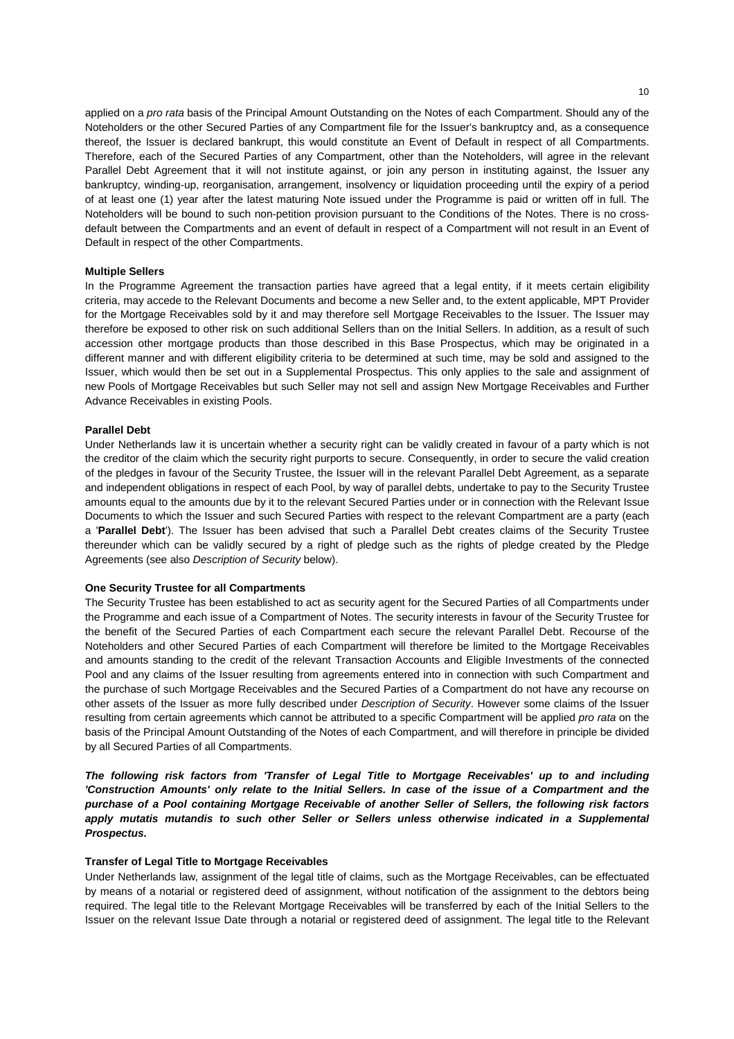applied on a *pro rata* basis of the Principal Amount Outstanding on the Notes of each Compartment. Should any of the Noteholders or the other Secured Parties of any Compartment file for the Issuer's bankruptcy and, as a consequence thereof, the Issuer is declared bankrupt, this would constitute an Event of Default in respect of all Compartments. Therefore, each of the Secured Parties of any Compartment, other than the Noteholders, will agree in the relevant Parallel Debt Agreement that it will not institute against, or join any person in instituting against, the Issuer any bankruptcy, winding-up, reorganisation, arrangement, insolvency or liquidation proceeding until the expiry of a period of at least one (1) year after the latest maturing Note issued under the Programme is paid or written off in full. The Noteholders will be bound to such non-petition provision pursuant to the Conditions of the Notes. There is no crossdefault between the Compartments and an event of default in respect of a Compartment will not result in an Event of Default in respect of the other Compartments.

### **Multiple Sellers**

In the Programme Agreement the transaction parties have agreed that a legal entity, if it meets certain eligibility criteria, may accede to the Relevant Documents and become a new Seller and, to the extent applicable, MPT Provider for the Mortgage Receivables sold by it and may therefore sell Mortgage Receivables to the Issuer. The Issuer may therefore be exposed to other risk on such additional Sellers than on the Initial Sellers. In addition, as a result of such accession other mortgage products than those described in this Base Prospectus, which may be originated in a different manner and with different eligibility criteria to be determined at such time, may be sold and assigned to the Issuer, which would then be set out in a Supplemental Prospectus. This only applies to the sale and assignment of new Pools of Mortgage Receivables but such Seller may not sell and assign New Mortgage Receivables and Further Advance Receivables in existing Pools.

#### **Parallel Debt**

Under Netherlands law it is uncertain whether a security right can be validly created in favour of a party which is not the creditor of the claim which the security right purports to secure. Consequently, in order to secure the valid creation of the pledges in favour of the Security Trustee, the Issuer will in the relevant Parallel Debt Agreement, as a separate and independent obligations in respect of each Pool, by way of parallel debts, undertake to pay to the Security Trustee amounts equal to the amounts due by it to the relevant Secured Parties under or in connection with the Relevant Issue Documents to which the Issuer and such Secured Parties with respect to the relevant Compartment are a party (each a '**Parallel Debt**'). The Issuer has been advised that such a Parallel Debt creates claims of the Security Trustee thereunder which can be validly secured by a right of pledge such as the rights of pledge created by the Pledge Agreements (see also *Description of Security* below).

# **One Security Trustee for all Compartments**

The Security Trustee has been established to act as security agent for the Secured Parties of all Compartments under the Programme and each issue of a Compartment of Notes. The security interests in favour of the Security Trustee for the benefit of the Secured Parties of each Compartment each secure the relevant Parallel Debt. Recourse of the Noteholders and other Secured Parties of each Compartment will therefore be limited to the Mortgage Receivables and amounts standing to the credit of the relevant Transaction Accounts and Eligible Investments of the connected Pool and any claims of the Issuer resulting from agreements entered into in connection with such Compartment and the purchase of such Mortgage Receivables and the Secured Parties of a Compartment do not have any recourse on other assets of the Issuer as more fully described under *Description of Security*. However some claims of the Issuer resulting from certain agreements which cannot be attributed to a specific Compartment will be applied *pro rata* on the basis of the Principal Amount Outstanding of the Notes of each Compartment, and will therefore in principle be divided by all Secured Parties of all Compartments.

*The following risk factors from 'Transfer of Legal Title to Mortgage Receivables' up to and including 'Construction Amounts' only relate to the Initial Sellers. In case of the issue of a Compartment and the purchase of a Pool containing Mortgage Receivable of another Seller of Sellers, the following risk factors*  apply mutatis mutandis to such other Seller or Sellers unless otherwise indicated in a Supplemental *Prospectus.* 

#### **Transfer of Legal Title to Mortgage Receivables**

Under Netherlands law, assignment of the legal title of claims, such as the Mortgage Receivables, can be effectuated by means of a notarial or registered deed of assignment, without notification of the assignment to the debtors being required. The legal title to the Relevant Mortgage Receivables will be transferred by each of the Initial Sellers to the Issuer on the relevant Issue Date through a notarial or registered deed of assignment. The legal title to the Relevant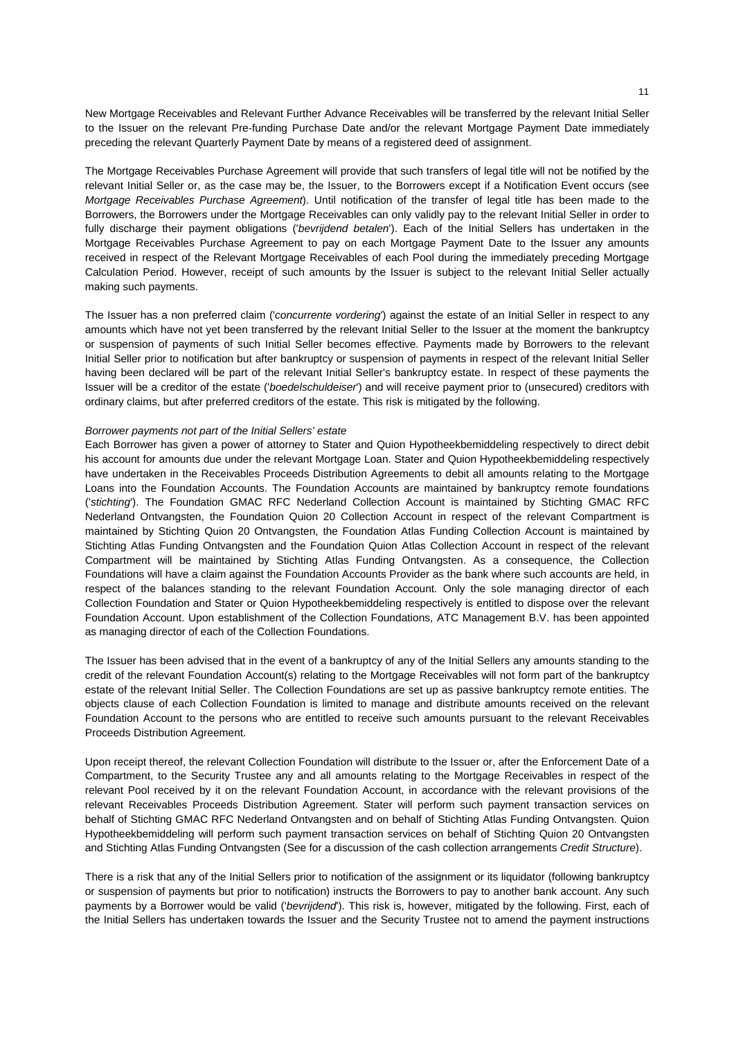New Mortgage Receivables and Relevant Further Advance Receivables will be transferred by the relevant Initial Seller to the Issuer on the relevant Pre-funding Purchase Date and/or the relevant Mortgage Payment Date immediately preceding the relevant Quarterly Payment Date by means of a registered deed of assignment.

The Mortgage Receivables Purchase Agreement will provide that such transfers of legal title will not be notified by the relevant Initial Seller or, as the case may be, the Issuer, to the Borrowers except if a Notification Event occurs (see *Mortgage Receivables Purchase Agreement*). Until notification of the transfer of legal title has been made to the Borrowers, the Borrowers under the Mortgage Receivables can only validly pay to the relevant Initial Seller in order to fully discharge their payment obligations ('*bevrijdend betalen*'). Each of the Initial Sellers has undertaken in the Mortgage Receivables Purchase Agreement to pay on each Mortgage Payment Date to the Issuer any amounts received in respect of the Relevant Mortgage Receivables of each Pool during the immediately preceding Mortgage Calculation Period. However, receipt of such amounts by the Issuer is subject to the relevant Initial Seller actually making such payments.

The Issuer has a non preferred claim ('*concurrente vordering*') against the estate of an Initial Seller in respect to any amounts which have not yet been transferred by the relevant Initial Seller to the Issuer at the moment the bankruptcy or suspension of payments of such Initial Seller becomes effective. Payments made by Borrowers to the relevant Initial Seller prior to notification but after bankruptcy or suspension of payments in respect of the relevant Initial Seller having been declared will be part of the relevant Initial Seller's bankruptcy estate. In respect of these payments the Issuer will be a creditor of the estate ('*boedelschuldeiser*') and will receive payment prior to (unsecured) creditors with ordinary claims, but after preferred creditors of the estate. This risk is mitigated by the following.

#### *Borrower payments not part of the Initial Sellers' estate*

Each Borrower has given a power of attorney to Stater and Quion Hypotheekbemiddeling respectively to direct debit his account for amounts due under the relevant Mortgage Loan. Stater and Quion Hypotheekbemiddeling respectively have undertaken in the Receivables Proceeds Distribution Agreements to debit all amounts relating to the Mortgage Loans into the Foundation Accounts. The Foundation Accounts are maintained by bankruptcy remote foundations ('*stichting*'). The Foundation GMAC RFC Nederland Collection Account is maintained by Stichting GMAC RFC Nederland Ontvangsten, the Foundation Quion 20 Collection Account in respect of the relevant Compartment is maintained by Stichting Quion 20 Ontvangsten, the Foundation Atlas Funding Collection Account is maintained by Stichting Atlas Funding Ontvangsten and the Foundation Quion Atlas Collection Account in respect of the relevant Compartment will be maintained by Stichting Atlas Funding Ontvangsten. As a consequence, the Collection Foundations will have a claim against the Foundation Accounts Provider as the bank where such accounts are held, in respect of the balances standing to the relevant Foundation Account. Only the sole managing director of each Collection Foundation and Stater or Quion Hypotheekbemiddeling respectively is entitled to dispose over the relevant Foundation Account. Upon establishment of the Collection Foundations, ATC Management B.V. has been appointed as managing director of each of the Collection Foundations.

The Issuer has been advised that in the event of a bankruptcy of any of the Initial Sellers any amounts standing to the credit of the relevant Foundation Account(s) relating to the Mortgage Receivables will not form part of the bankruptcy estate of the relevant Initial Seller. The Collection Foundations are set up as passive bankruptcy remote entities. The objects clause of each Collection Foundation is limited to manage and distribute amounts received on the relevant Foundation Account to the persons who are entitled to receive such amounts pursuant to the relevant Receivables Proceeds Distribution Agreement.

Upon receipt thereof, the relevant Collection Foundation will distribute to the Issuer or, after the Enforcement Date of a Compartment, to the Security Trustee any and all amounts relating to the Mortgage Receivables in respect of the relevant Pool received by it on the relevant Foundation Account, in accordance with the relevant provisions of the relevant Receivables Proceeds Distribution Agreement. Stater will perform such payment transaction services on behalf of Stichting GMAC RFC Nederland Ontvangsten and on behalf of Stichting Atlas Funding Ontvangsten. Quion Hypotheekbemiddeling will perform such payment transaction services on behalf of Stichting Quion 20 Ontvangsten and Stichting Atlas Funding Ontvangsten (See for a discussion of the cash collection arrangements *Credit Structure*).

There is a risk that any of the Initial Sellers prior to notification of the assignment or its liquidator (following bankruptcy or suspension of payments but prior to notification) instructs the Borrowers to pay to another bank account. Any such payments by a Borrower would be valid ('*bevrijdend*'). This risk is, however, mitigated by the following. First, each of the Initial Sellers has undertaken towards the Issuer and the Security Trustee not to amend the payment instructions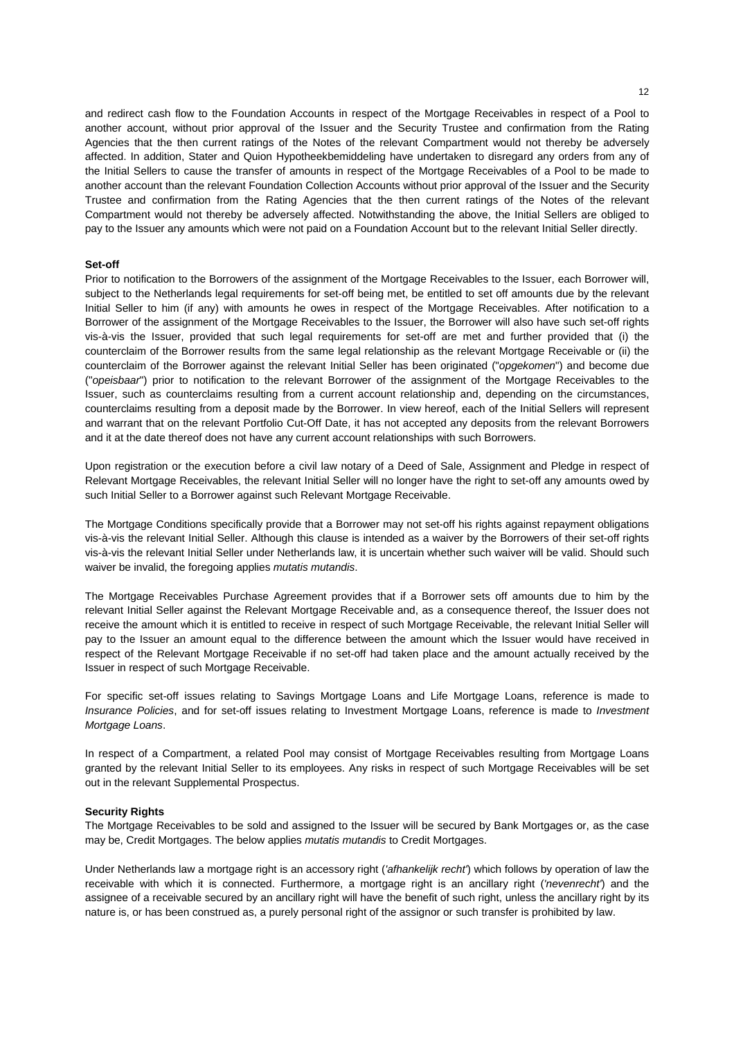and redirect cash flow to the Foundation Accounts in respect of the Mortgage Receivables in respect of a Pool to another account, without prior approval of the Issuer and the Security Trustee and confirmation from the Rating Agencies that the then current ratings of the Notes of the relevant Compartment would not thereby be adversely affected. In addition, Stater and Quion Hypotheekbemiddeling have undertaken to disregard any orders from any of the Initial Sellers to cause the transfer of amounts in respect of the Mortgage Receivables of a Pool to be made to another account than the relevant Foundation Collection Accounts without prior approval of the Issuer and the Security Trustee and confirmation from the Rating Agencies that the then current ratings of the Notes of the relevant Compartment would not thereby be adversely affected. Notwithstanding the above, the Initial Sellers are obliged to pay to the Issuer any amounts which were not paid on a Foundation Account but to the relevant Initial Seller directly.

# **Set-off**

Prior to notification to the Borrowers of the assignment of the Mortgage Receivables to the Issuer, each Borrower will, subject to the Netherlands legal requirements for set-off being met, be entitled to set off amounts due by the relevant Initial Seller to him (if any) with amounts he owes in respect of the Mortgage Receivables. After notification to a Borrower of the assignment of the Mortgage Receivables to the Issuer, the Borrower will also have such set-off rights vis-à-vis the Issuer, provided that such legal requirements for set-off are met and further provided that (i) the counterclaim of the Borrower results from the same legal relationship as the relevant Mortgage Receivable or (ii) the counterclaim of the Borrower against the relevant Initial Seller has been originated ("*opgekomen*") and become due ("*opeisbaar*") prior to notification to the relevant Borrower of the assignment of the Mortgage Receivables to the Issuer, such as counterclaims resulting from a current account relationship and, depending on the circumstances, counterclaims resulting from a deposit made by the Borrower. In view hereof, each of the Initial Sellers will represent and warrant that on the relevant Portfolio Cut-Off Date, it has not accepted any deposits from the relevant Borrowers and it at the date thereof does not have any current account relationships with such Borrowers.

Upon registration or the execution before a civil law notary of a Deed of Sale, Assignment and Pledge in respect of Relevant Mortgage Receivables, the relevant Initial Seller will no longer have the right to set-off any amounts owed by such Initial Seller to a Borrower against such Relevant Mortgage Receivable.

The Mortgage Conditions specifically provide that a Borrower may not set-off his rights against repayment obligations vis-à-vis the relevant Initial Seller. Although this clause is intended as a waiver by the Borrowers of their set-off rights vis-à-vis the relevant Initial Seller under Netherlands law, it is uncertain whether such waiver will be valid. Should such waiver be invalid, the foregoing applies *mutatis mutandis*.

The Mortgage Receivables Purchase Agreement provides that if a Borrower sets off amounts due to him by the relevant Initial Seller against the Relevant Mortgage Receivable and, as a consequence thereof, the Issuer does not receive the amount which it is entitled to receive in respect of such Mortgage Receivable, the relevant Initial Seller will pay to the Issuer an amount equal to the difference between the amount which the Issuer would have received in respect of the Relevant Mortgage Receivable if no set-off had taken place and the amount actually received by the Issuer in respect of such Mortgage Receivable.

For specific set-off issues relating to Savings Mortgage Loans and Life Mortgage Loans, reference is made to *Insurance Policies*, and for set-off issues relating to Investment Mortgage Loans, reference is made to *Investment Mortgage Loans*.

In respect of a Compartment, a related Pool may consist of Mortgage Receivables resulting from Mortgage Loans granted by the relevant Initial Seller to its employees. Any risks in respect of such Mortgage Receivables will be set out in the relevant Supplemental Prospectus.

#### **Security Rights**

The Mortgage Receivables to be sold and assigned to the Issuer will be secured by Bank Mortgages or, as the case may be, Credit Mortgages. The below applies *mutatis mutandis* to Credit Mortgages.

Under Netherlands law a mortgage right is an accessory right (*'afhankelijk recht'*) which follows by operation of law the receivable with which it is connected. Furthermore, a mortgage right is an ancillary right (*'nevenrecht'*) and the assignee of a receivable secured by an ancillary right will have the benefit of such right, unless the ancillary right by its nature is, or has been construed as, a purely personal right of the assignor or such transfer is prohibited by law.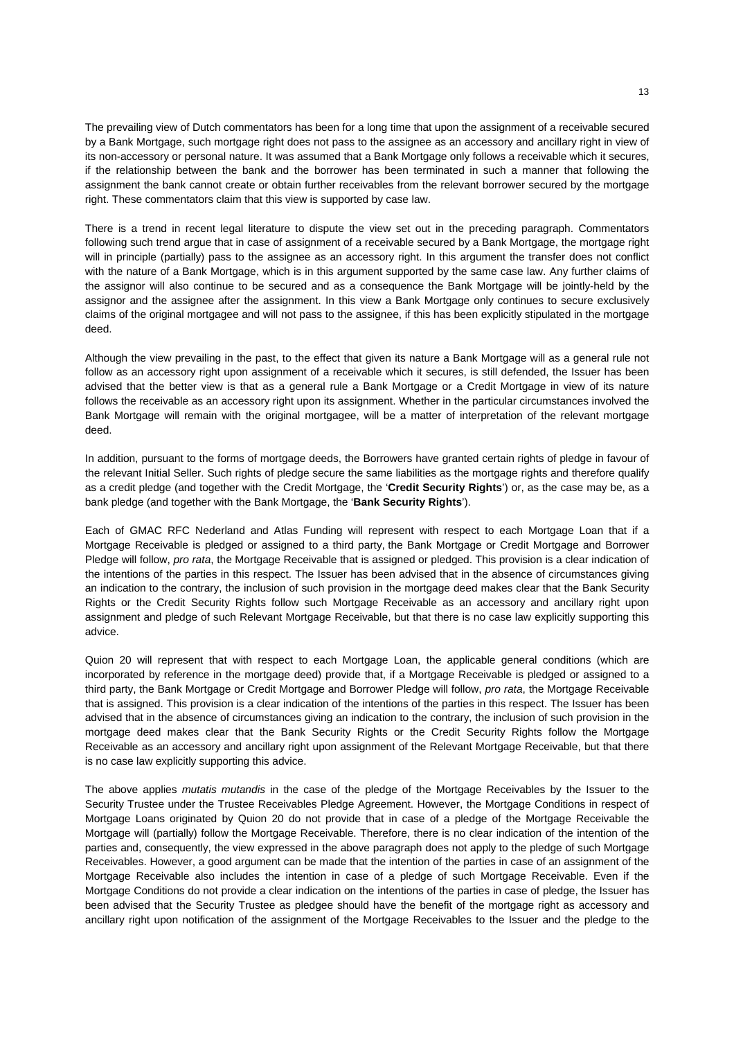The prevailing view of Dutch commentators has been for a long time that upon the assignment of a receivable secured by a Bank Mortgage, such mortgage right does not pass to the assignee as an accessory and ancillary right in view of its non-accessory or personal nature. It was assumed that a Bank Mortgage only follows a receivable which it secures, if the relationship between the bank and the borrower has been terminated in such a manner that following the assignment the bank cannot create or obtain further receivables from the relevant borrower secured by the mortgage right. These commentators claim that this view is supported by case law.

There is a trend in recent legal literature to dispute the view set out in the preceding paragraph. Commentators following such trend argue that in case of assignment of a receivable secured by a Bank Mortgage, the mortgage right will in principle (partially) pass to the assignee as an accessory right. In this argument the transfer does not conflict with the nature of a Bank Mortgage, which is in this argument supported by the same case law. Any further claims of the assignor will also continue to be secured and as a consequence the Bank Mortgage will be jointly-held by the assignor and the assignee after the assignment. In this view a Bank Mortgage only continues to secure exclusively claims of the original mortgagee and will not pass to the assignee, if this has been explicitly stipulated in the mortgage deed.

Although the view prevailing in the past, to the effect that given its nature a Bank Mortgage will as a general rule not follow as an accessory right upon assignment of a receivable which it secures, is still defended, the Issuer has been advised that the better view is that as a general rule a Bank Mortgage or a Credit Mortgage in view of its nature follows the receivable as an accessory right upon its assignment. Whether in the particular circumstances involved the Bank Mortgage will remain with the original mortgagee, will be a matter of interpretation of the relevant mortgage deed.

In addition, pursuant to the forms of mortgage deeds, the Borrowers have granted certain rights of pledge in favour of the relevant Initial Seller. Such rights of pledge secure the same liabilities as the mortgage rights and therefore qualify as a credit pledge (and together with the Credit Mortgage, the '**Credit Security Rights**') or, as the case may be, as a bank pledge (and together with the Bank Mortgage, the '**Bank Security Rights**').

Each of GMAC RFC Nederland and Atlas Funding will represent with respect to each Mortgage Loan that if a Mortgage Receivable is pledged or assigned to a third party, the Bank Mortgage or Credit Mortgage and Borrower Pledge will follow, *pro rata*, the Mortgage Receivable that is assigned or pledged. This provision is a clear indication of the intentions of the parties in this respect. The Issuer has been advised that in the absence of circumstances giving an indication to the contrary, the inclusion of such provision in the mortgage deed makes clear that the Bank Security Rights or the Credit Security Rights follow such Mortgage Receivable as an accessory and ancillary right upon assignment and pledge of such Relevant Mortgage Receivable, but that there is no case law explicitly supporting this advice.

Quion 20 will represent that with respect to each Mortgage Loan, the applicable general conditions (which are incorporated by reference in the mortgage deed) provide that, if a Mortgage Receivable is pledged or assigned to a third party, the Bank Mortgage or Credit Mortgage and Borrower Pledge will follow, *pro rata*, the Mortgage Receivable that is assigned. This provision is a clear indication of the intentions of the parties in this respect. The Issuer has been advised that in the absence of circumstances giving an indication to the contrary, the inclusion of such provision in the mortgage deed makes clear that the Bank Security Rights or the Credit Security Rights follow the Mortgage Receivable as an accessory and ancillary right upon assignment of the Relevant Mortgage Receivable, but that there is no case law explicitly supporting this advice.

The above applies *mutatis mutandis* in the case of the pledge of the Mortgage Receivables by the Issuer to the Security Trustee under the Trustee Receivables Pledge Agreement. However, the Mortgage Conditions in respect of Mortgage Loans originated by Quion 20 do not provide that in case of a pledge of the Mortgage Receivable the Mortgage will (partially) follow the Mortgage Receivable. Therefore, there is no clear indication of the intention of the parties and, consequently, the view expressed in the above paragraph does not apply to the pledge of such Mortgage Receivables. However, a good argument can be made that the intention of the parties in case of an assignment of the Mortgage Receivable also includes the intention in case of a pledge of such Mortgage Receivable. Even if the Mortgage Conditions do not provide a clear indication on the intentions of the parties in case of pledge, the Issuer has been advised that the Security Trustee as pledgee should have the benefit of the mortgage right as accessory and ancillary right upon notification of the assignment of the Mortgage Receivables to the Issuer and the pledge to the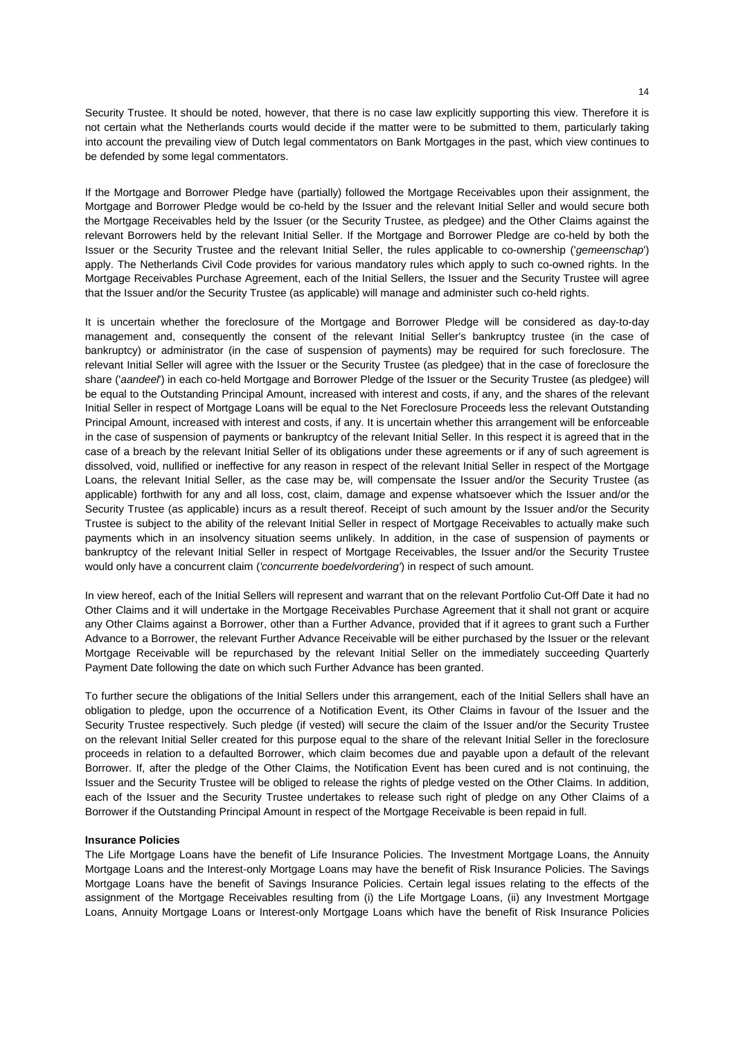Security Trustee. It should be noted, however, that there is no case law explicitly supporting this view. Therefore it is not certain what the Netherlands courts would decide if the matter were to be submitted to them, particularly taking into account the prevailing view of Dutch legal commentators on Bank Mortgages in the past, which view continues to be defended by some legal commentators.

If the Mortgage and Borrower Pledge have (partially) followed the Mortgage Receivables upon their assignment, the Mortgage and Borrower Pledge would be co-held by the Issuer and the relevant Initial Seller and would secure both the Mortgage Receivables held by the Issuer (or the Security Trustee, as pledgee) and the Other Claims against the relevant Borrowers held by the relevant Initial Seller. If the Mortgage and Borrower Pledge are co-held by both the Issuer or the Security Trustee and the relevant Initial Seller, the rules applicable to co-ownership ('*gemeenschap*') apply. The Netherlands Civil Code provides for various mandatory rules which apply to such co-owned rights. In the Mortgage Receivables Purchase Agreement, each of the Initial Sellers, the Issuer and the Security Trustee will agree that the Issuer and/or the Security Trustee (as applicable) will manage and administer such co-held rights.

It is uncertain whether the foreclosure of the Mortgage and Borrower Pledge will be considered as day-to-day management and, consequently the consent of the relevant Initial Seller's bankruptcy trustee (in the case of bankruptcy) or administrator (in the case of suspension of payments) may be required for such foreclosure. The relevant Initial Seller will agree with the Issuer or the Security Trustee (as pledgee) that in the case of foreclosure the share ('*aandeel*') in each co-held Mortgage and Borrower Pledge of the Issuer or the Security Trustee (as pledgee) will be equal to the Outstanding Principal Amount, increased with interest and costs, if any, and the shares of the relevant Initial Seller in respect of Mortgage Loans will be equal to the Net Foreclosure Proceeds less the relevant Outstanding Principal Amount, increased with interest and costs, if any. It is uncertain whether this arrangement will be enforceable in the case of suspension of payments or bankruptcy of the relevant Initial Seller. In this respect it is agreed that in the case of a breach by the relevant Initial Seller of its obligations under these agreements or if any of such agreement is dissolved, void, nullified or ineffective for any reason in respect of the relevant Initial Seller in respect of the Mortgage Loans, the relevant Initial Seller, as the case may be, will compensate the Issuer and/or the Security Trustee (as applicable) forthwith for any and all loss, cost, claim, damage and expense whatsoever which the Issuer and/or the Security Trustee (as applicable) incurs as a result thereof. Receipt of such amount by the Issuer and/or the Security Trustee is subject to the ability of the relevant Initial Seller in respect of Mortgage Receivables to actually make such payments which in an insolvency situation seems unlikely. In addition, in the case of suspension of payments or bankruptcy of the relevant Initial Seller in respect of Mortgage Receivables, the Issuer and/or the Security Trustee would only have a concurrent claim (*'concurrente boedelvordering'*) in respect of such amount.

In view hereof, each of the Initial Sellers will represent and warrant that on the relevant Portfolio Cut-Off Date it had no Other Claims and it will undertake in the Mortgage Receivables Purchase Agreement that it shall not grant or acquire any Other Claims against a Borrower, other than a Further Advance, provided that if it agrees to grant such a Further Advance to a Borrower, the relevant Further Advance Receivable will be either purchased by the Issuer or the relevant Mortgage Receivable will be repurchased by the relevant Initial Seller on the immediately succeeding Quarterly Payment Date following the date on which such Further Advance has been granted.

To further secure the obligations of the Initial Sellers under this arrangement, each of the Initial Sellers shall have an obligation to pledge, upon the occurrence of a Notification Event, its Other Claims in favour of the Issuer and the Security Trustee respectively. Such pledge (if vested) will secure the claim of the Issuer and/or the Security Trustee on the relevant Initial Seller created for this purpose equal to the share of the relevant Initial Seller in the foreclosure proceeds in relation to a defaulted Borrower, which claim becomes due and payable upon a default of the relevant Borrower. If, after the pledge of the Other Claims, the Notification Event has been cured and is not continuing, the Issuer and the Security Trustee will be obliged to release the rights of pledge vested on the Other Claims. In addition, each of the Issuer and the Security Trustee undertakes to release such right of pledge on any Other Claims of a Borrower if the Outstanding Principal Amount in respect of the Mortgage Receivable is been repaid in full.

#### **Insurance Policies**

The Life Mortgage Loans have the benefit of Life Insurance Policies. The Investment Mortgage Loans, the Annuity Mortgage Loans and the Interest-only Mortgage Loans may have the benefit of Risk Insurance Policies. The Savings Mortgage Loans have the benefit of Savings Insurance Policies. Certain legal issues relating to the effects of the assignment of the Mortgage Receivables resulting from (i) the Life Mortgage Loans, (ii) any Investment Mortgage Loans, Annuity Mortgage Loans or Interest-only Mortgage Loans which have the benefit of Risk Insurance Policies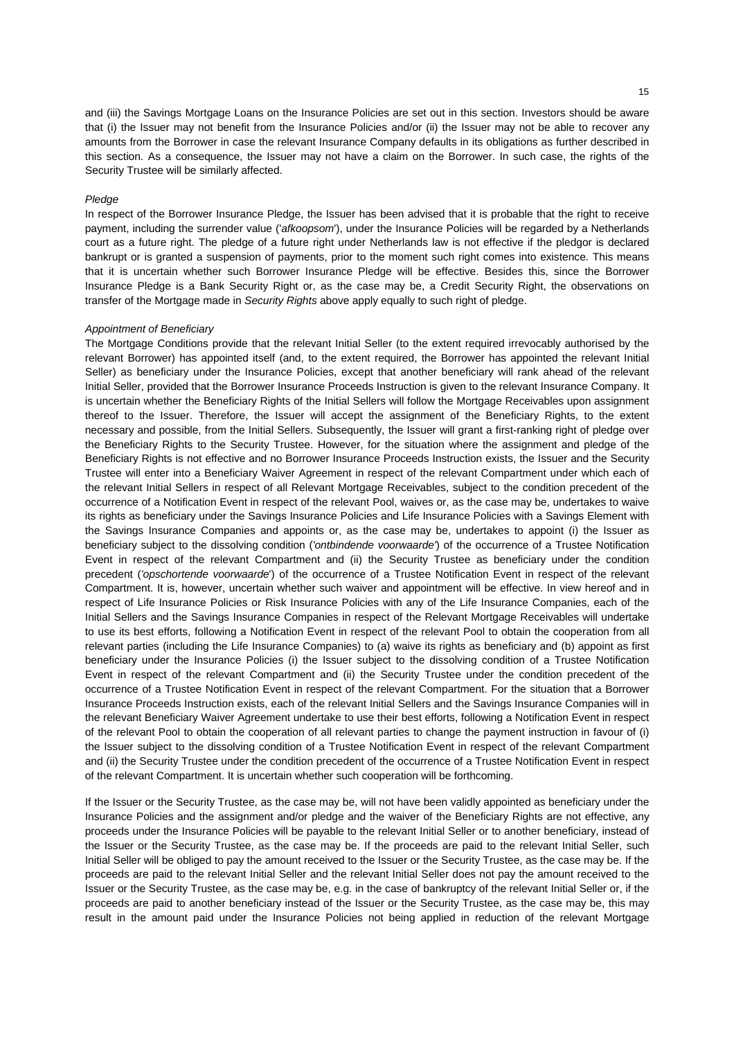and (iii) the Savings Mortgage Loans on the Insurance Policies are set out in this section. Investors should be aware that (i) the Issuer may not benefit from the Insurance Policies and/or (ii) the Issuer may not be able to recover any amounts from the Borrower in case the relevant Insurance Company defaults in its obligations as further described in this section. As a consequence, the Issuer may not have a claim on the Borrower. In such case, the rights of the Security Trustee will be similarly affected.

#### *Pledge*

In respect of the Borrower Insurance Pledge, the Issuer has been advised that it is probable that the right to receive payment, including the surrender value ('*afkoopsom*'), under the Insurance Policies will be regarded by a Netherlands court as a future right. The pledge of a future right under Netherlands law is not effective if the pledgor is declared bankrupt or is granted a suspension of payments, prior to the moment such right comes into existence. This means that it is uncertain whether such Borrower Insurance Pledge will be effective. Besides this, since the Borrower Insurance Pledge is a Bank Security Right or, as the case may be, a Credit Security Right, the observations on transfer of the Mortgage made in *Security Rights* above apply equally to such right of pledge.

#### *Appointment of Beneficiary*

The Mortgage Conditions provide that the relevant Initial Seller (to the extent required irrevocably authorised by the relevant Borrower) has appointed itself (and, to the extent required, the Borrower has appointed the relevant Initial Seller) as beneficiary under the Insurance Policies, except that another beneficiary will rank ahead of the relevant Initial Seller, provided that the Borrower Insurance Proceeds Instruction is given to the relevant Insurance Company. It is uncertain whether the Beneficiary Rights of the Initial Sellers will follow the Mortgage Receivables upon assignment thereof to the Issuer. Therefore, the Issuer will accept the assignment of the Beneficiary Rights, to the extent necessary and possible, from the Initial Sellers. Subsequently, the Issuer will grant a first-ranking right of pledge over the Beneficiary Rights to the Security Trustee. However, for the situation where the assignment and pledge of the Beneficiary Rights is not effective and no Borrower Insurance Proceeds Instruction exists, the Issuer and the Security Trustee will enter into a Beneficiary Waiver Agreement in respect of the relevant Compartment under which each of the relevant Initial Sellers in respect of all Relevant Mortgage Receivables, subject to the condition precedent of the occurrence of a Notification Event in respect of the relevant Pool, waives or, as the case may be, undertakes to waive its rights as beneficiary under the Savings Insurance Policies and Life Insurance Policies with a Savings Element with the Savings Insurance Companies and appoints or, as the case may be, undertakes to appoint (i) the Issuer as beneficiary subject to the dissolving condition (*'ontbindende voorwaarde'*) of the occurrence of a Trustee Notification Event in respect of the relevant Compartment and (ii) the Security Trustee as beneficiary under the condition precedent (*'opschortende voorwaarde*') of the occurrence of a Trustee Notification Event in respect of the relevant Compartment. It is, however, uncertain whether such waiver and appointment will be effective. In view hereof and in respect of Life Insurance Policies or Risk Insurance Policies with any of the Life Insurance Companies, each of the Initial Sellers and the Savings Insurance Companies in respect of the Relevant Mortgage Receivables will undertake to use its best efforts, following a Notification Event in respect of the relevant Pool to obtain the cooperation from all relevant parties (including the Life Insurance Companies) to (a) waive its rights as beneficiary and (b) appoint as first beneficiary under the Insurance Policies (i) the Issuer subject to the dissolving condition of a Trustee Notification Event in respect of the relevant Compartment and (ii) the Security Trustee under the condition precedent of the occurrence of a Trustee Notification Event in respect of the relevant Compartment. For the situation that a Borrower Insurance Proceeds Instruction exists, each of the relevant Initial Sellers and the Savings Insurance Companies will in the relevant Beneficiary Waiver Agreement undertake to use their best efforts, following a Notification Event in respect of the relevant Pool to obtain the cooperation of all relevant parties to change the payment instruction in favour of (i) the Issuer subject to the dissolving condition of a Trustee Notification Event in respect of the relevant Compartment and (ii) the Security Trustee under the condition precedent of the occurrence of a Trustee Notification Event in respect of the relevant Compartment. It is uncertain whether such cooperation will be forthcoming.

If the Issuer or the Security Trustee, as the case may be, will not have been validly appointed as beneficiary under the Insurance Policies and the assignment and/or pledge and the waiver of the Beneficiary Rights are not effective, any proceeds under the Insurance Policies will be payable to the relevant Initial Seller or to another beneficiary, instead of the Issuer or the Security Trustee, as the case may be. If the proceeds are paid to the relevant Initial Seller, such Initial Seller will be obliged to pay the amount received to the Issuer or the Security Trustee, as the case may be. If the proceeds are paid to the relevant Initial Seller and the relevant Initial Seller does not pay the amount received to the Issuer or the Security Trustee, as the case may be, e.g. in the case of bankruptcy of the relevant Initial Seller or, if the proceeds are paid to another beneficiary instead of the Issuer or the Security Trustee, as the case may be, this may result in the amount paid under the Insurance Policies not being applied in reduction of the relevant Mortgage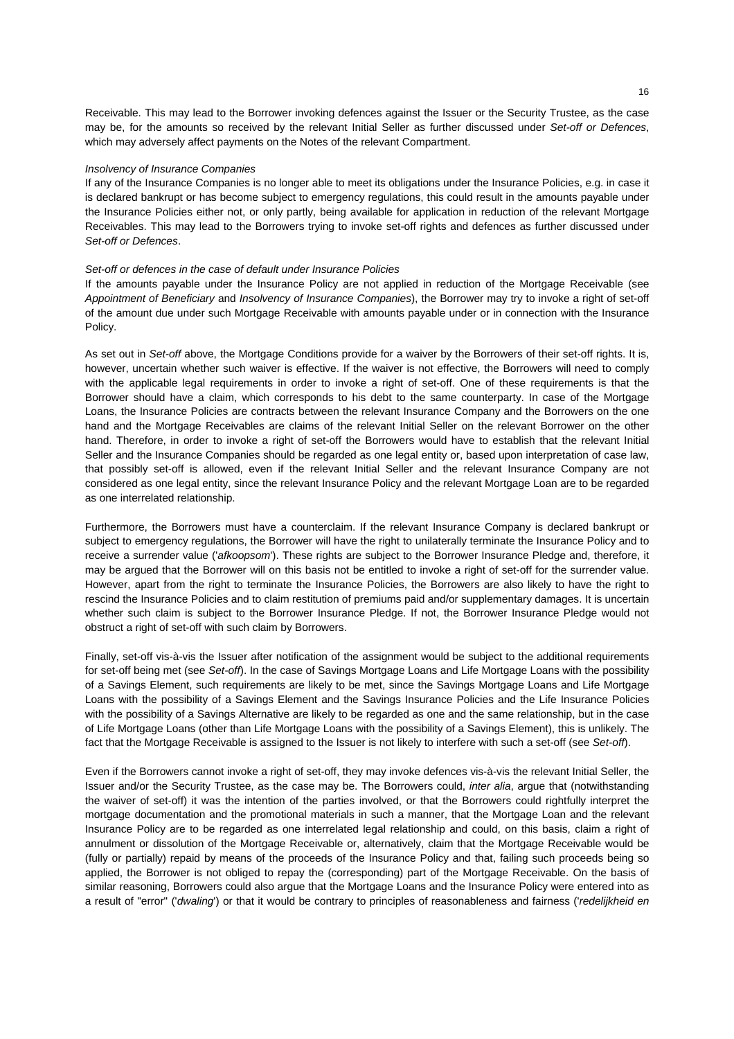Receivable. This may lead to the Borrower invoking defences against the Issuer or the Security Trustee, as the case may be, for the amounts so received by the relevant Initial Seller as further discussed under *Set-off or Defences*, which may adversely affect payments on the Notes of the relevant Compartment.

#### *Insolvency of Insurance Companies*

If any of the Insurance Companies is no longer able to meet its obligations under the Insurance Policies, e.g. in case it is declared bankrupt or has become subject to emergency regulations, this could result in the amounts payable under the Insurance Policies either not, or only partly, being available for application in reduction of the relevant Mortgage Receivables. This may lead to the Borrowers trying to invoke set-off rights and defences as further discussed under *Set-off or Defences*.

#### *Set-off or defences in the case of default under Insurance Policies*

If the amounts payable under the Insurance Policy are not applied in reduction of the Mortgage Receivable (see *Appointment of Beneficiary* and *Insolvency of Insurance Companies*), the Borrower may try to invoke a right of set-off of the amount due under such Mortgage Receivable with amounts payable under or in connection with the Insurance Policy.

As set out in *Set-off* above, the Mortgage Conditions provide for a waiver by the Borrowers of their set-off rights. It is, however, uncertain whether such waiver is effective. If the waiver is not effective, the Borrowers will need to comply with the applicable legal requirements in order to invoke a right of set-off. One of these requirements is that the Borrower should have a claim, which corresponds to his debt to the same counterparty. In case of the Mortgage Loans, the Insurance Policies are contracts between the relevant Insurance Company and the Borrowers on the one hand and the Mortgage Receivables are claims of the relevant Initial Seller on the relevant Borrower on the other hand. Therefore, in order to invoke a right of set-off the Borrowers would have to establish that the relevant Initial Seller and the Insurance Companies should be regarded as one legal entity or, based upon interpretation of case law, that possibly set-off is allowed, even if the relevant Initial Seller and the relevant Insurance Company are not considered as one legal entity, since the relevant Insurance Policy and the relevant Mortgage Loan are to be regarded as one interrelated relationship.

Furthermore, the Borrowers must have a counterclaim. If the relevant Insurance Company is declared bankrupt or subject to emergency regulations, the Borrower will have the right to unilaterally terminate the Insurance Policy and to receive a surrender value ('*afkoopsom*'). These rights are subject to the Borrower Insurance Pledge and, therefore, it may be argued that the Borrower will on this basis not be entitled to invoke a right of set-off for the surrender value. However, apart from the right to terminate the Insurance Policies, the Borrowers are also likely to have the right to rescind the Insurance Policies and to claim restitution of premiums paid and/or supplementary damages. It is uncertain whether such claim is subject to the Borrower Insurance Pledge. If not, the Borrower Insurance Pledge would not obstruct a right of set-off with such claim by Borrowers.

Finally, set-off vis-à-vis the Issuer after notification of the assignment would be subject to the additional requirements for set-off being met (see *Set-off*). In the case of Savings Mortgage Loans and Life Mortgage Loans with the possibility of a Savings Element, such requirements are likely to be met, since the Savings Mortgage Loans and Life Mortgage Loans with the possibility of a Savings Element and the Savings Insurance Policies and the Life Insurance Policies with the possibility of a Savings Alternative are likely to be regarded as one and the same relationship, but in the case of Life Mortgage Loans (other than Life Mortgage Loans with the possibility of a Savings Element), this is unlikely. The fact that the Mortgage Receivable is assigned to the Issuer is not likely to interfere with such a set-off (see *Set-off*).

Even if the Borrowers cannot invoke a right of set-off, they may invoke defences vis-à-vis the relevant Initial Seller, the Issuer and/or the Security Trustee, as the case may be. The Borrowers could, *inter alia*, argue that (notwithstanding the waiver of set-off) it was the intention of the parties involved, or that the Borrowers could rightfully interpret the mortgage documentation and the promotional materials in such a manner, that the Mortgage Loan and the relevant Insurance Policy are to be regarded as one interrelated legal relationship and could, on this basis, claim a right of annulment or dissolution of the Mortgage Receivable or, alternatively, claim that the Mortgage Receivable would be (fully or partially) repaid by means of the proceeds of the Insurance Policy and that, failing such proceeds being so applied, the Borrower is not obliged to repay the (corresponding) part of the Mortgage Receivable. On the basis of similar reasoning, Borrowers could also argue that the Mortgage Loans and the Insurance Policy were entered into as a result of "error" ('*dwaling*') or that it would be contrary to principles of reasonableness and fairness ('*redelijkheid en*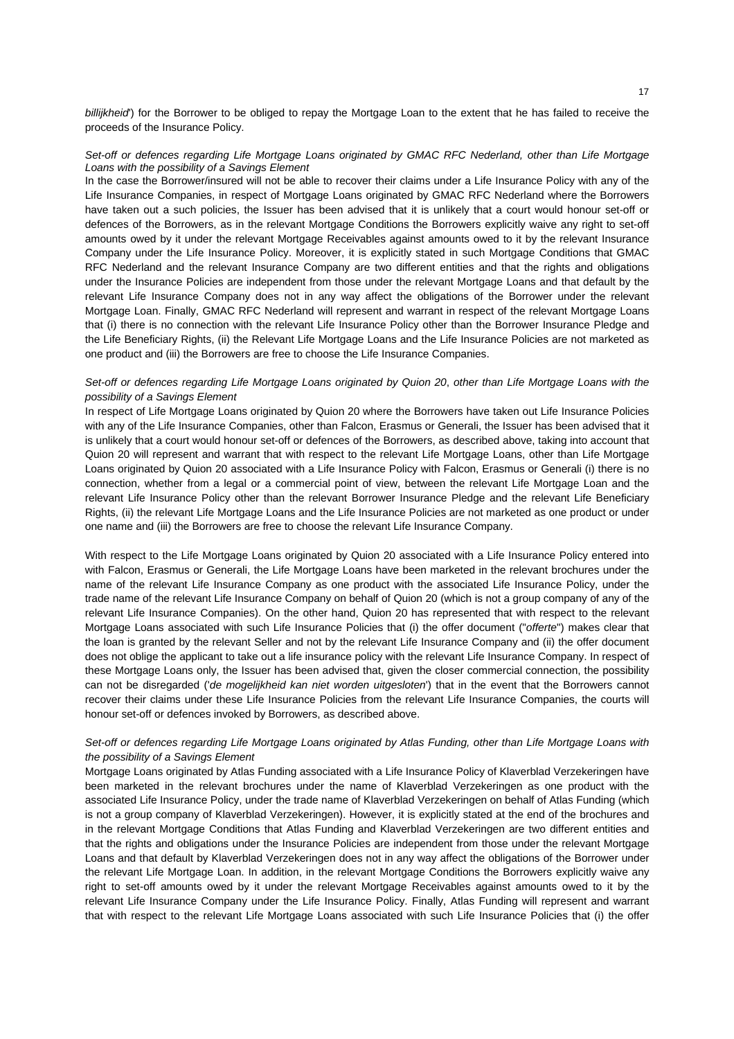*billijkheid*') for the Borrower to be obliged to repay the Mortgage Loan to the extent that he has failed to receive the proceeds of the Insurance Policy.

# *Set-off or defences regarding Life Mortgage Loans originated by GMAC RFC Nederland, other than Life Mortgage Loans with the possibility of a Savings Element*

In the case the Borrower/insured will not be able to recover their claims under a Life Insurance Policy with any of the Life Insurance Companies, in respect of Mortgage Loans originated by GMAC RFC Nederland where the Borrowers have taken out a such policies, the Issuer has been advised that it is unlikely that a court would honour set-off or defences of the Borrowers, as in the relevant Mortgage Conditions the Borrowers explicitly waive any right to set-off amounts owed by it under the relevant Mortgage Receivables against amounts owed to it by the relevant Insurance Company under the Life Insurance Policy. Moreover, it is explicitly stated in such Mortgage Conditions that GMAC RFC Nederland and the relevant Insurance Company are two different entities and that the rights and obligations under the Insurance Policies are independent from those under the relevant Mortgage Loans and that default by the relevant Life Insurance Company does not in any way affect the obligations of the Borrower under the relevant Mortgage Loan. Finally, GMAC RFC Nederland will represent and warrant in respect of the relevant Mortgage Loans that (i) there is no connection with the relevant Life Insurance Policy other than the Borrower Insurance Pledge and the Life Beneficiary Rights, (ii) the Relevant Life Mortgage Loans and the Life Insurance Policies are not marketed as one product and (iii) the Borrowers are free to choose the Life Insurance Companies.

# *Set-off or defences regarding Life Mortgage Loans originated by Quion 20*, *other than Life Mortgage Loans with the possibility of a Savings Element*

In respect of Life Mortgage Loans originated by Quion 20 where the Borrowers have taken out Life Insurance Policies with any of the Life Insurance Companies, other than Falcon, Erasmus or Generali, the Issuer has been advised that it is unlikely that a court would honour set-off or defences of the Borrowers, as described above, taking into account that Quion 20 will represent and warrant that with respect to the relevant Life Mortgage Loans, other than Life Mortgage Loans originated by Quion 20 associated with a Life Insurance Policy with Falcon, Erasmus or Generali (i) there is no connection, whether from a legal or a commercial point of view, between the relevant Life Mortgage Loan and the relevant Life Insurance Policy other than the relevant Borrower Insurance Pledge and the relevant Life Beneficiary Rights, (ii) the relevant Life Mortgage Loans and the Life Insurance Policies are not marketed as one product or under one name and (iii) the Borrowers are free to choose the relevant Life Insurance Company.

With respect to the Life Mortgage Loans originated by Quion 20 associated with a Life Insurance Policy entered into with Falcon, Erasmus or Generali, the Life Mortgage Loans have been marketed in the relevant brochures under the name of the relevant Life Insurance Company as one product with the associated Life Insurance Policy, under the trade name of the relevant Life Insurance Company on behalf of Quion 20 (which is not a group company of any of the relevant Life Insurance Companies). On the other hand, Quion 20 has represented that with respect to the relevant Mortgage Loans associated with such Life Insurance Policies that (i) the offer document ("*offerte*") makes clear that the loan is granted by the relevant Seller and not by the relevant Life Insurance Company and (ii) the offer document does not oblige the applicant to take out a life insurance policy with the relevant Life Insurance Company. In respect of these Mortgage Loans only, the Issuer has been advised that, given the closer commercial connection, the possibility can not be disregarded ('*de mogelijkheid kan niet worden uitgesloten*') that in the event that the Borrowers cannot recover their claims under these Life Insurance Policies from the relevant Life Insurance Companies, the courts will honour set-off or defences invoked by Borrowers, as described above.

# *Set-off or defences regarding Life Mortgage Loans originated by Atlas Funding, other than Life Mortgage Loans with the possibility of a Savings Element*

Mortgage Loans originated by Atlas Funding associated with a Life Insurance Policy of Klaverblad Verzekeringen have been marketed in the relevant brochures under the name of Klaverblad Verzekeringen as one product with the associated Life Insurance Policy, under the trade name of Klaverblad Verzekeringen on behalf of Atlas Funding (which is not a group company of Klaverblad Verzekeringen). However, it is explicitly stated at the end of the brochures and in the relevant Mortgage Conditions that Atlas Funding and Klaverblad Verzekeringen are two different entities and that the rights and obligations under the Insurance Policies are independent from those under the relevant Mortgage Loans and that default by Klaverblad Verzekeringen does not in any way affect the obligations of the Borrower under the relevant Life Mortgage Loan. In addition, in the relevant Mortgage Conditions the Borrowers explicitly waive any right to set-off amounts owed by it under the relevant Mortgage Receivables against amounts owed to it by the relevant Life Insurance Company under the Life Insurance Policy. Finally, Atlas Funding will represent and warrant that with respect to the relevant Life Mortgage Loans associated with such Life Insurance Policies that (i) the offer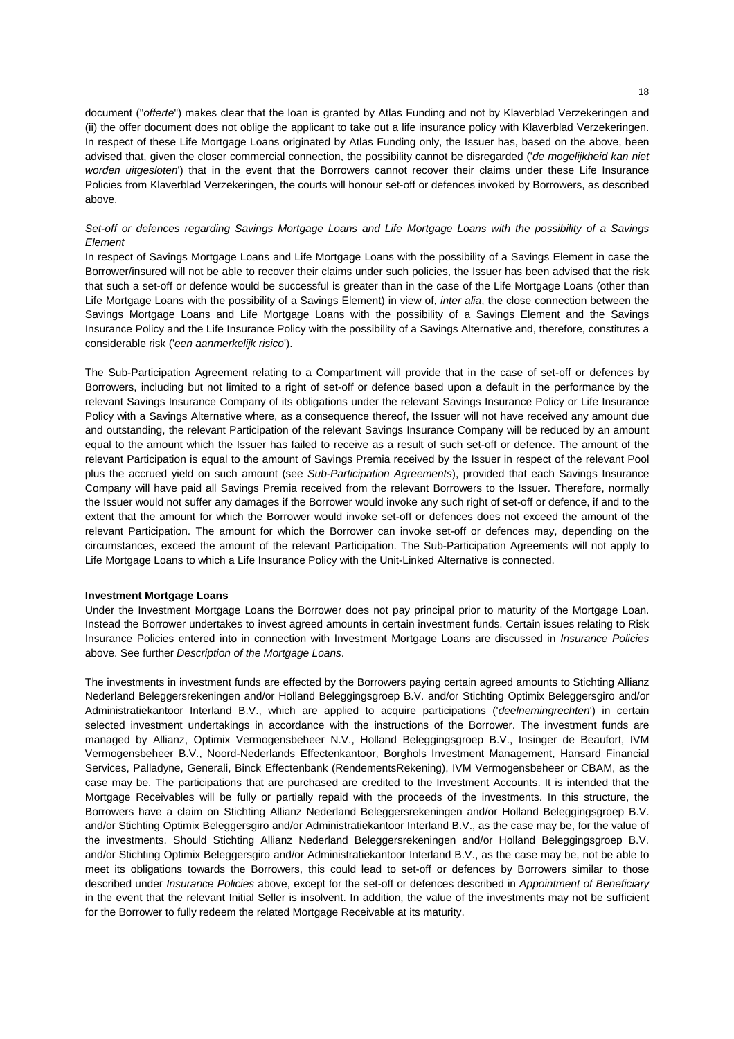document ("*offerte*") makes clear that the loan is granted by Atlas Funding and not by Klaverblad Verzekeringen and (ii) the offer document does not oblige the applicant to take out a life insurance policy with Klaverblad Verzekeringen. In respect of these Life Mortgage Loans originated by Atlas Funding only, the Issuer has, based on the above, been advised that, given the closer commercial connection, the possibility cannot be disregarded ('*de mogelijkheid kan niet worden uitgesloten*') that in the event that the Borrowers cannot recover their claims under these Life Insurance Policies from Klaverblad Verzekeringen, the courts will honour set-off or defences invoked by Borrowers, as described above.

# *Set-off or defences regarding Savings Mortgage Loans and Life Mortgage Loans with the possibility of a Savings Element*

In respect of Savings Mortgage Loans and Life Mortgage Loans with the possibility of a Savings Element in case the Borrower/insured will not be able to recover their claims under such policies, the Issuer has been advised that the risk that such a set-off or defence would be successful is greater than in the case of the Life Mortgage Loans (other than Life Mortgage Loans with the possibility of a Savings Element) in view of, *inter alia*, the close connection between the Savings Mortgage Loans and Life Mortgage Loans with the possibility of a Savings Element and the Savings Insurance Policy and the Life Insurance Policy with the possibility of a Savings Alternative and, therefore, constitutes a considerable risk ('*een aanmerkelijk risico*').

The Sub-Participation Agreement relating to a Compartment will provide that in the case of set-off or defences by Borrowers, including but not limited to a right of set-off or defence based upon a default in the performance by the relevant Savings Insurance Company of its obligations under the relevant Savings Insurance Policy or Life Insurance Policy with a Savings Alternative where, as a consequence thereof, the Issuer will not have received any amount due and outstanding, the relevant Participation of the relevant Savings Insurance Company will be reduced by an amount equal to the amount which the Issuer has failed to receive as a result of such set-off or defence. The amount of the relevant Participation is equal to the amount of Savings Premia received by the Issuer in respect of the relevant Pool plus the accrued yield on such amount (see *Sub-Participation Agreements*), provided that each Savings Insurance Company will have paid all Savings Premia received from the relevant Borrowers to the Issuer. Therefore, normally the Issuer would not suffer any damages if the Borrower would invoke any such right of set-off or defence, if and to the extent that the amount for which the Borrower would invoke set-off or defences does not exceed the amount of the relevant Participation. The amount for which the Borrower can invoke set-off or defences may, depending on the circumstances, exceed the amount of the relevant Participation. The Sub-Participation Agreements will not apply to Life Mortgage Loans to which a Life Insurance Policy with the Unit-Linked Alternative is connected.

# **Investment Mortgage Loans**

Under the Investment Mortgage Loans the Borrower does not pay principal prior to maturity of the Mortgage Loan. Instead the Borrower undertakes to invest agreed amounts in certain investment funds. Certain issues relating to Risk Insurance Policies entered into in connection with Investment Mortgage Loans are discussed in *Insurance Policies* above. See further *Description of the Mortgage Loans*.

The investments in investment funds are effected by the Borrowers paying certain agreed amounts to Stichting Allianz Nederland Beleggersrekeningen and/or Holland Beleggingsgroep B.V. and/or Stichting Optimix Beleggersgiro and/or Administratiekantoor Interland B.V., which are applied to acquire participations ('*deelnemingrechten*') in certain selected investment undertakings in accordance with the instructions of the Borrower. The investment funds are managed by Allianz, Optimix Vermogensbeheer N.V., Holland Beleggingsgroep B.V., Insinger de Beaufort, IVM Vermogensbeheer B.V., Noord-Nederlands Effectenkantoor, Borghols Investment Management, Hansard Financial Services, Palladyne, Generali, Binck Effectenbank (RendementsRekening), IVM Vermogensbeheer or CBAM, as the case may be. The participations that are purchased are credited to the Investment Accounts. It is intended that the Mortgage Receivables will be fully or partially repaid with the proceeds of the investments. In this structure, the Borrowers have a claim on Stichting Allianz Nederland Beleggersrekeningen and/or Holland Beleggingsgroep B.V. and/or Stichting Optimix Beleggersgiro and/or Administratiekantoor Interland B.V., as the case may be, for the value of the investments. Should Stichting Allianz Nederland Beleggersrekeningen and/or Holland Beleggingsgroep B.V. and/or Stichting Optimix Beleggersgiro and/or Administratiekantoor Interland B.V., as the case may be, not be able to meet its obligations towards the Borrowers, this could lead to set-off or defences by Borrowers similar to those described under *Insurance Policies* above, except for the set-off or defences described in *Appointment of Beneficiary* in the event that the relevant Initial Seller is insolvent. In addition, the value of the investments may not be sufficient for the Borrower to fully redeem the related Mortgage Receivable at its maturity.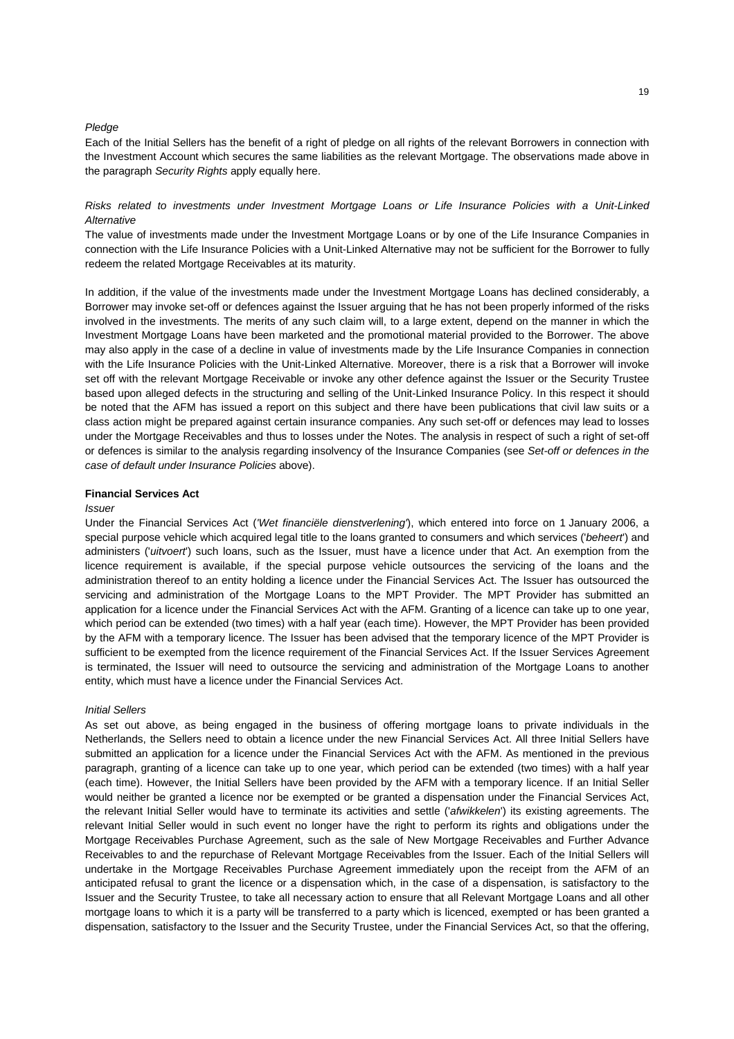#### *Pledge*

Each of the Initial Sellers has the benefit of a right of pledge on all rights of the relevant Borrowers in connection with the Investment Account which secures the same liabilities as the relevant Mortgage. The observations made above in the paragraph *Security Rights* apply equally here.

# *Risks related to investments under Investment Mortgage Loans or Life Insurance Policies with a Unit-Linked Alternative*

The value of investments made under the Investment Mortgage Loans or by one of the Life Insurance Companies in connection with the Life Insurance Policies with a Unit-Linked Alternative may not be sufficient for the Borrower to fully redeem the related Mortgage Receivables at its maturity.

In addition, if the value of the investments made under the Investment Mortgage Loans has declined considerably, a Borrower may invoke set-off or defences against the Issuer arguing that he has not been properly informed of the risks involved in the investments. The merits of any such claim will, to a large extent, depend on the manner in which the Investment Mortgage Loans have been marketed and the promotional material provided to the Borrower. The above may also apply in the case of a decline in value of investments made by the Life Insurance Companies in connection with the Life Insurance Policies with the Unit-Linked Alternative. Moreover, there is a risk that a Borrower will invoke set off with the relevant Mortgage Receivable or invoke any other defence against the Issuer or the Security Trustee based upon alleged defects in the structuring and selling of the Unit-Linked Insurance Policy. In this respect it should be noted that the AFM has issued a report on this subject and there have been publications that civil law suits or a class action might be prepared against certain insurance companies. Any such set-off or defences may lead to losses under the Mortgage Receivables and thus to losses under the Notes. The analysis in respect of such a right of set-off or defences is similar to the analysis regarding insolvency of the Insurance Companies (see *Set-off or defences in the case of default under Insurance Policies* above).

# **Financial Services Act**

#### *Issuer*

Under the Financial Services Act (*'Wet financiële dienstverlening'*), which entered into force on 1 January 2006, a special purpose vehicle which acquired legal title to the loans granted to consumers and which services ('*beheert*') and administers ('*uitvoert*') such loans, such as the Issuer, must have a licence under that Act. An exemption from the licence requirement is available, if the special purpose vehicle outsources the servicing of the loans and the administration thereof to an entity holding a licence under the Financial Services Act. The Issuer has outsourced the servicing and administration of the Mortgage Loans to the MPT Provider. The MPT Provider has submitted an application for a licence under the Financial Services Act with the AFM. Granting of a licence can take up to one year, which period can be extended (two times) with a half year (each time). However, the MPT Provider has been provided by the AFM with a temporary licence. The Issuer has been advised that the temporary licence of the MPT Provider is sufficient to be exempted from the licence requirement of the Financial Services Act. If the Issuer Services Agreement is terminated, the Issuer will need to outsource the servicing and administration of the Mortgage Loans to another entity, which must have a licence under the Financial Services Act.

#### *Initial Sellers*

As set out above, as being engaged in the business of offering mortgage loans to private individuals in the Netherlands, the Sellers need to obtain a licence under the new Financial Services Act. All three Initial Sellers have submitted an application for a licence under the Financial Services Act with the AFM. As mentioned in the previous paragraph, granting of a licence can take up to one year, which period can be extended (two times) with a half year (each time). However, the Initial Sellers have been provided by the AFM with a temporary licence. If an Initial Seller would neither be granted a licence nor be exempted or be granted a dispensation under the Financial Services Act, the relevant Initial Seller would have to terminate its activities and settle ('*afwikkelen*') its existing agreements. The relevant Initial Seller would in such event no longer have the right to perform its rights and obligations under the Mortgage Receivables Purchase Agreement, such as the sale of New Mortgage Receivables and Further Advance Receivables to and the repurchase of Relevant Mortgage Receivables from the Issuer. Each of the Initial Sellers will undertake in the Mortgage Receivables Purchase Agreement immediately upon the receipt from the AFM of an anticipated refusal to grant the licence or a dispensation which, in the case of a dispensation, is satisfactory to the Issuer and the Security Trustee, to take all necessary action to ensure that all Relevant Mortgage Loans and all other mortgage loans to which it is a party will be transferred to a party which is licenced, exempted or has been granted a dispensation, satisfactory to the Issuer and the Security Trustee, under the Financial Services Act, so that the offering,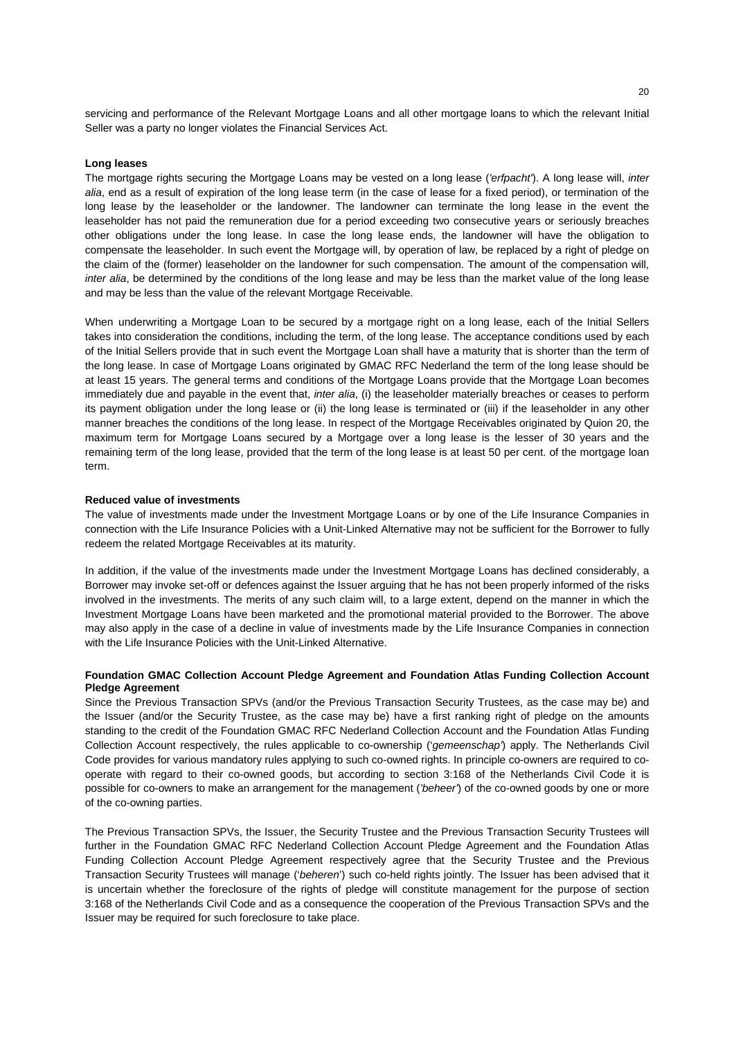servicing and performance of the Relevant Mortgage Loans and all other mortgage loans to which the relevant Initial Seller was a party no longer violates the Financial Services Act.

#### **Long leases**

The mortgage rights securing the Mortgage Loans may be vested on a long lease (*'erfpacht'*). A long lease will, *inter alia*, end as a result of expiration of the long lease term (in the case of lease for a fixed period), or termination of the long lease by the leaseholder or the landowner. The landowner can terminate the long lease in the event the leaseholder has not paid the remuneration due for a period exceeding two consecutive years or seriously breaches other obligations under the long lease. In case the long lease ends, the landowner will have the obligation to compensate the leaseholder. In such event the Mortgage will, by operation of law, be replaced by a right of pledge on the claim of the (former) leaseholder on the landowner for such compensation. The amount of the compensation will, *inter alia*, be determined by the conditions of the long lease and may be less than the market value of the long lease and may be less than the value of the relevant Mortgage Receivable.

When underwriting a Mortgage Loan to be secured by a mortgage right on a long lease, each of the Initial Sellers takes into consideration the conditions, including the term, of the long lease. The acceptance conditions used by each of the Initial Sellers provide that in such event the Mortgage Loan shall have a maturity that is shorter than the term of the long lease. In case of Mortgage Loans originated by GMAC RFC Nederland the term of the long lease should be at least 15 years. The general terms and conditions of the Mortgage Loans provide that the Mortgage Loan becomes immediately due and payable in the event that, *inter alia*, (i) the leaseholder materially breaches or ceases to perform its payment obligation under the long lease or (ii) the long lease is terminated or (iii) if the leaseholder in any other manner breaches the conditions of the long lease. In respect of the Mortgage Receivables originated by Quion 20, the maximum term for Mortgage Loans secured by a Mortgage over a long lease is the lesser of 30 years and the remaining term of the long lease, provided that the term of the long lease is at least 50 per cent. of the mortgage loan term.

#### **Reduced value of investments**

The value of investments made under the Investment Mortgage Loans or by one of the Life Insurance Companies in connection with the Life Insurance Policies with a Unit-Linked Alternative may not be sufficient for the Borrower to fully redeem the related Mortgage Receivables at its maturity.

In addition, if the value of the investments made under the Investment Mortgage Loans has declined considerably, a Borrower may invoke set-off or defences against the Issuer arguing that he has not been properly informed of the risks involved in the investments. The merits of any such claim will, to a large extent, depend on the manner in which the Investment Mortgage Loans have been marketed and the promotional material provided to the Borrower. The above may also apply in the case of a decline in value of investments made by the Life Insurance Companies in connection with the Life Insurance Policies with the Unit-Linked Alternative.

# **Foundation GMAC Collection Account Pledge Agreement and Foundation Atlas Funding Collection Account Pledge Agreement**

Since the Previous Transaction SPVs (and/or the Previous Transaction Security Trustees, as the case may be) and the Issuer (and/or the Security Trustee, as the case may be) have a first ranking right of pledge on the amounts standing to the credit of the Foundation GMAC RFC Nederland Collection Account and the Foundation Atlas Funding Collection Account respectively, the rules applicable to co-ownership ('*gemeenschap'*) apply. The Netherlands Civil Code provides for various mandatory rules applying to such co-owned rights. In principle co-owners are required to cooperate with regard to their co-owned goods, but according to section 3:168 of the Netherlands Civil Code it is possible for co-owners to make an arrangement for the management (*'beheer'*) of the co-owned goods by one or more of the co-owning parties.

The Previous Transaction SPVs, the Issuer, the Security Trustee and the Previous Transaction Security Trustees will further in the Foundation GMAC RFC Nederland Collection Account Pledge Agreement and the Foundation Atlas Funding Collection Account Pledge Agreement respectively agree that the Security Trustee and the Previous Transaction Security Trustees will manage ('*beheren*') such co-held rights jointly. The Issuer has been advised that it is uncertain whether the foreclosure of the rights of pledge will constitute management for the purpose of section 3:168 of the Netherlands Civil Code and as a consequence the cooperation of the Previous Transaction SPVs and the Issuer may be required for such foreclosure to take place.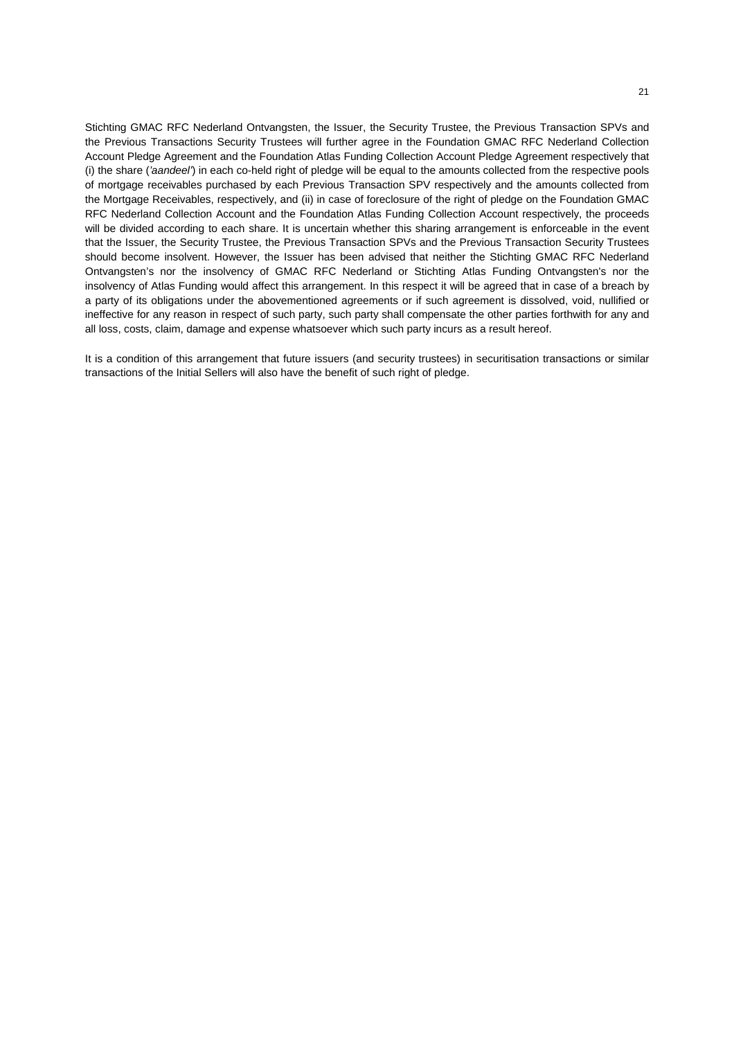Stichting GMAC RFC Nederland Ontvangsten, the Issuer, the Security Trustee, the Previous Transaction SPVs and the Previous Transactions Security Trustees will further agree in the Foundation GMAC RFC Nederland Collection Account Pledge Agreement and the Foundation Atlas Funding Collection Account Pledge Agreement respectively that (i) the share (*'aandeel'*) in each co-held right of pledge will be equal to the amounts collected from the respective pools of mortgage receivables purchased by each Previous Transaction SPV respectively and the amounts collected from the Mortgage Receivables, respectively, and (ii) in case of foreclosure of the right of pledge on the Foundation GMAC RFC Nederland Collection Account and the Foundation Atlas Funding Collection Account respectively, the proceeds will be divided according to each share. It is uncertain whether this sharing arrangement is enforceable in the event that the Issuer, the Security Trustee, the Previous Transaction SPVs and the Previous Transaction Security Trustees should become insolvent. However, the Issuer has been advised that neither the Stichting GMAC RFC Nederland Ontvangsten's nor the insolvency of GMAC RFC Nederland or Stichting Atlas Funding Ontvangsten's nor the insolvency of Atlas Funding would affect this arrangement. In this respect it will be agreed that in case of a breach by a party of its obligations under the abovementioned agreements or if such agreement is dissolved, void, nullified or ineffective for any reason in respect of such party, such party shall compensate the other parties forthwith for any and all loss, costs, claim, damage and expense whatsoever which such party incurs as a result hereof.

It is a condition of this arrangement that future issuers (and security trustees) in securitisation transactions or similar transactions of the Initial Sellers will also have the benefit of such right of pledge.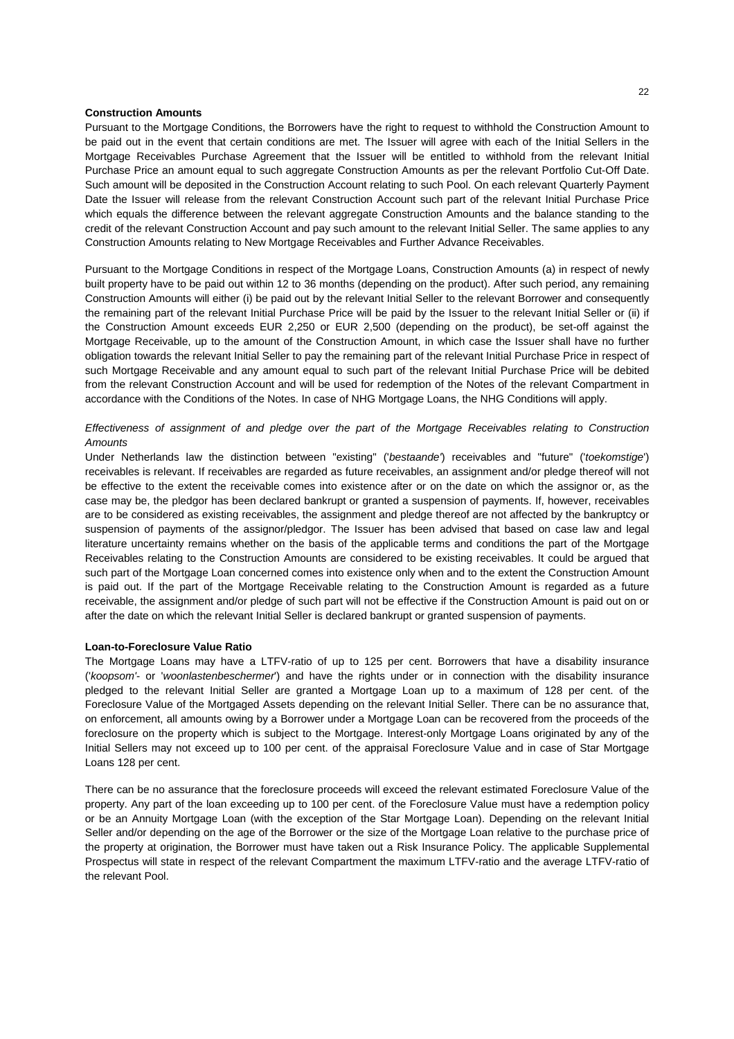# **Construction Amounts**

Pursuant to the Mortgage Conditions, the Borrowers have the right to request to withhold the Construction Amount to be paid out in the event that certain conditions are met. The Issuer will agree with each of the Initial Sellers in the Mortgage Receivables Purchase Agreement that the Issuer will be entitled to withhold from the relevant Initial Purchase Price an amount equal to such aggregate Construction Amounts as per the relevant Portfolio Cut-Off Date. Such amount will be deposited in the Construction Account relating to such Pool. On each relevant Quarterly Payment Date the Issuer will release from the relevant Construction Account such part of the relevant Initial Purchase Price which equals the difference between the relevant aggregate Construction Amounts and the balance standing to the credit of the relevant Construction Account and pay such amount to the relevant Initial Seller. The same applies to any Construction Amounts relating to New Mortgage Receivables and Further Advance Receivables.

Pursuant to the Mortgage Conditions in respect of the Mortgage Loans, Construction Amounts (a) in respect of newly built property have to be paid out within 12 to 36 months (depending on the product). After such period, any remaining Construction Amounts will either (i) be paid out by the relevant Initial Seller to the relevant Borrower and consequently the remaining part of the relevant Initial Purchase Price will be paid by the Issuer to the relevant Initial Seller or (ii) if the Construction Amount exceeds EUR 2,250 or EUR 2,500 (depending on the product), be set-off against the Mortgage Receivable, up to the amount of the Construction Amount, in which case the Issuer shall have no further obligation towards the relevant Initial Seller to pay the remaining part of the relevant Initial Purchase Price in respect of such Mortgage Receivable and any amount equal to such part of the relevant Initial Purchase Price will be debited from the relevant Construction Account and will be used for redemption of the Notes of the relevant Compartment in accordance with the Conditions of the Notes. In case of NHG Mortgage Loans, the NHG Conditions will apply.

# *Effectiveness of assignment of and pledge over the part of the Mortgage Receivables relating to Construction Amounts*

Under Netherlands law the distinction between "existing" ('*bestaande'*) receivables and "future" ('*toekomstige*') receivables is relevant. If receivables are regarded as future receivables, an assignment and/or pledge thereof will not be effective to the extent the receivable comes into existence after or on the date on which the assignor or, as the case may be, the pledgor has been declared bankrupt or granted a suspension of payments. If, however, receivables are to be considered as existing receivables, the assignment and pledge thereof are not affected by the bankruptcy or suspension of payments of the assignor/pledgor. The Issuer has been advised that based on case law and legal literature uncertainty remains whether on the basis of the applicable terms and conditions the part of the Mortgage Receivables relating to the Construction Amounts are considered to be existing receivables. It could be argued that such part of the Mortgage Loan concerned comes into existence only when and to the extent the Construction Amount is paid out. If the part of the Mortgage Receivable relating to the Construction Amount is regarded as a future receivable, the assignment and/or pledge of such part will not be effective if the Construction Amount is paid out on or after the date on which the relevant Initial Seller is declared bankrupt or granted suspension of payments.

#### **Loan-to-Foreclosure Value Ratio**

The Mortgage Loans may have a LTFV-ratio of up to 125 per cent. Borrowers that have a disability insurance ('*koopsom'*- or '*woonlastenbeschermer*') and have the rights under or in connection with the disability insurance pledged to the relevant Initial Seller are granted a Mortgage Loan up to a maximum of 128 per cent. of the Foreclosure Value of the Mortgaged Assets depending on the relevant Initial Seller. There can be no assurance that, on enforcement, all amounts owing by a Borrower under a Mortgage Loan can be recovered from the proceeds of the foreclosure on the property which is subject to the Mortgage. Interest-only Mortgage Loans originated by any of the Initial Sellers may not exceed up to 100 per cent. of the appraisal Foreclosure Value and in case of Star Mortgage Loans 128 per cent.

There can be no assurance that the foreclosure proceeds will exceed the relevant estimated Foreclosure Value of the property. Any part of the loan exceeding up to 100 per cent. of the Foreclosure Value must have a redemption policy or be an Annuity Mortgage Loan (with the exception of the Star Mortgage Loan). Depending on the relevant Initial Seller and/or depending on the age of the Borrower or the size of the Mortgage Loan relative to the purchase price of the property at origination, the Borrower must have taken out a Risk Insurance Policy. The applicable Supplemental Prospectus will state in respect of the relevant Compartment the maximum LTFV-ratio and the average LTFV-ratio of the relevant Pool.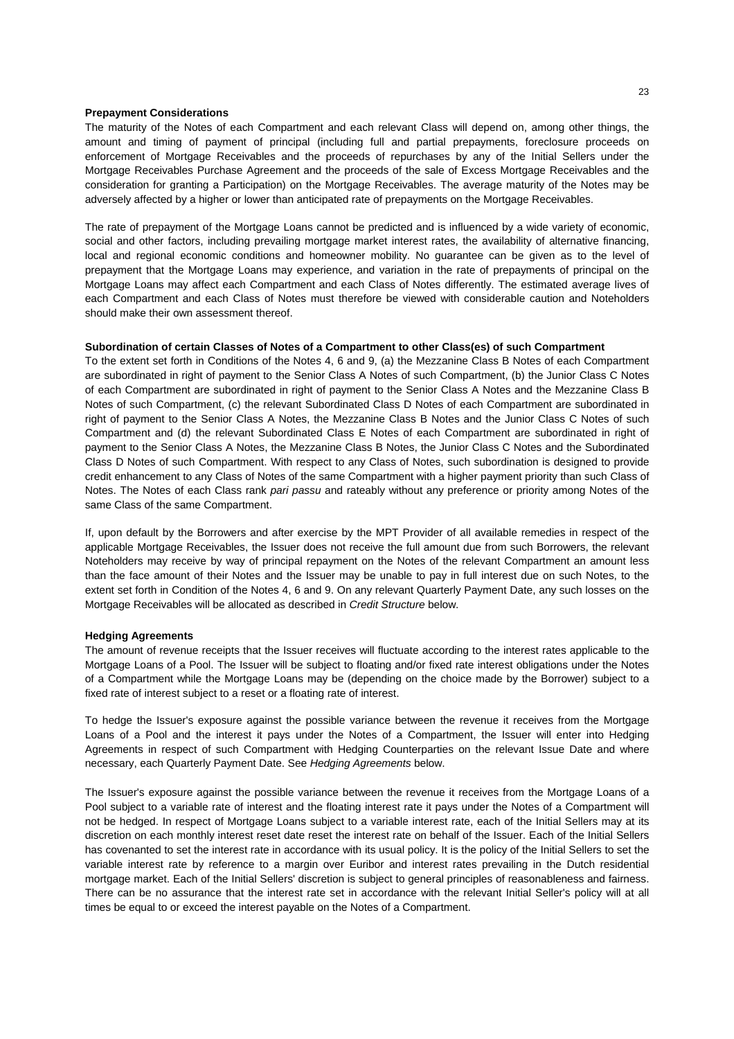### **Prepayment Considerations**

The maturity of the Notes of each Compartment and each relevant Class will depend on, among other things, the amount and timing of payment of principal (including full and partial prepayments, foreclosure proceeds on enforcement of Mortgage Receivables and the proceeds of repurchases by any of the Initial Sellers under the Mortgage Receivables Purchase Agreement and the proceeds of the sale of Excess Mortgage Receivables and the consideration for granting a Participation) on the Mortgage Receivables. The average maturity of the Notes may be adversely affected by a higher or lower than anticipated rate of prepayments on the Mortgage Receivables.

The rate of prepayment of the Mortgage Loans cannot be predicted and is influenced by a wide variety of economic, social and other factors, including prevailing mortgage market interest rates, the availability of alternative financing, local and regional economic conditions and homeowner mobility. No guarantee can be given as to the level of prepayment that the Mortgage Loans may experience, and variation in the rate of prepayments of principal on the Mortgage Loans may affect each Compartment and each Class of Notes differently. The estimated average lives of each Compartment and each Class of Notes must therefore be viewed with considerable caution and Noteholders should make their own assessment thereof.

# **Subordination of certain Classes of Notes of a Compartment to other Class(es) of such Compartment**

To the extent set forth in Conditions of the Notes 4, 6 and 9, (a) the Mezzanine Class B Notes of each Compartment are subordinated in right of payment to the Senior Class A Notes of such Compartment, (b) the Junior Class C Notes of each Compartment are subordinated in right of payment to the Senior Class A Notes and the Mezzanine Class B Notes of such Compartment, (c) the relevant Subordinated Class D Notes of each Compartment are subordinated in right of payment to the Senior Class A Notes, the Mezzanine Class B Notes and the Junior Class C Notes of such Compartment and (d) the relevant Subordinated Class E Notes of each Compartment are subordinated in right of payment to the Senior Class A Notes, the Mezzanine Class B Notes, the Junior Class C Notes and the Subordinated Class D Notes of such Compartment. With respect to any Class of Notes, such subordination is designed to provide credit enhancement to any Class of Notes of the same Compartment with a higher payment priority than such Class of Notes. The Notes of each Class rank *pari passu* and rateably without any preference or priority among Notes of the same Class of the same Compartment.

If, upon default by the Borrowers and after exercise by the MPT Provider of all available remedies in respect of the applicable Mortgage Receivables, the Issuer does not receive the full amount due from such Borrowers, the relevant Noteholders may receive by way of principal repayment on the Notes of the relevant Compartment an amount less than the face amount of their Notes and the Issuer may be unable to pay in full interest due on such Notes, to the extent set forth in Condition of the Notes 4, 6 and 9. On any relevant Quarterly Payment Date, any such losses on the Mortgage Receivables will be allocated as described in *Credit Structure* below.

#### **Hedging Agreements**

The amount of revenue receipts that the Issuer receives will fluctuate according to the interest rates applicable to the Mortgage Loans of a Pool. The Issuer will be subject to floating and/or fixed rate interest obligations under the Notes of a Compartment while the Mortgage Loans may be (depending on the choice made by the Borrower) subject to a fixed rate of interest subject to a reset or a floating rate of interest.

To hedge the Issuer's exposure against the possible variance between the revenue it receives from the Mortgage Loans of a Pool and the interest it pays under the Notes of a Compartment, the Issuer will enter into Hedging Agreements in respect of such Compartment with Hedging Counterparties on the relevant Issue Date and where necessary, each Quarterly Payment Date. See *Hedging Agreements* below.

The Issuer's exposure against the possible variance between the revenue it receives from the Mortgage Loans of a Pool subject to a variable rate of interest and the floating interest rate it pays under the Notes of a Compartment will not be hedged. In respect of Mortgage Loans subject to a variable interest rate, each of the Initial Sellers may at its discretion on each monthly interest reset date reset the interest rate on behalf of the Issuer. Each of the Initial Sellers has covenanted to set the interest rate in accordance with its usual policy. It is the policy of the Initial Sellers to set the variable interest rate by reference to a margin over Euribor and interest rates prevailing in the Dutch residential mortgage market. Each of the Initial Sellers' discretion is subject to general principles of reasonableness and fairness. There can be no assurance that the interest rate set in accordance with the relevant Initial Seller's policy will at all times be equal to or exceed the interest payable on the Notes of a Compartment.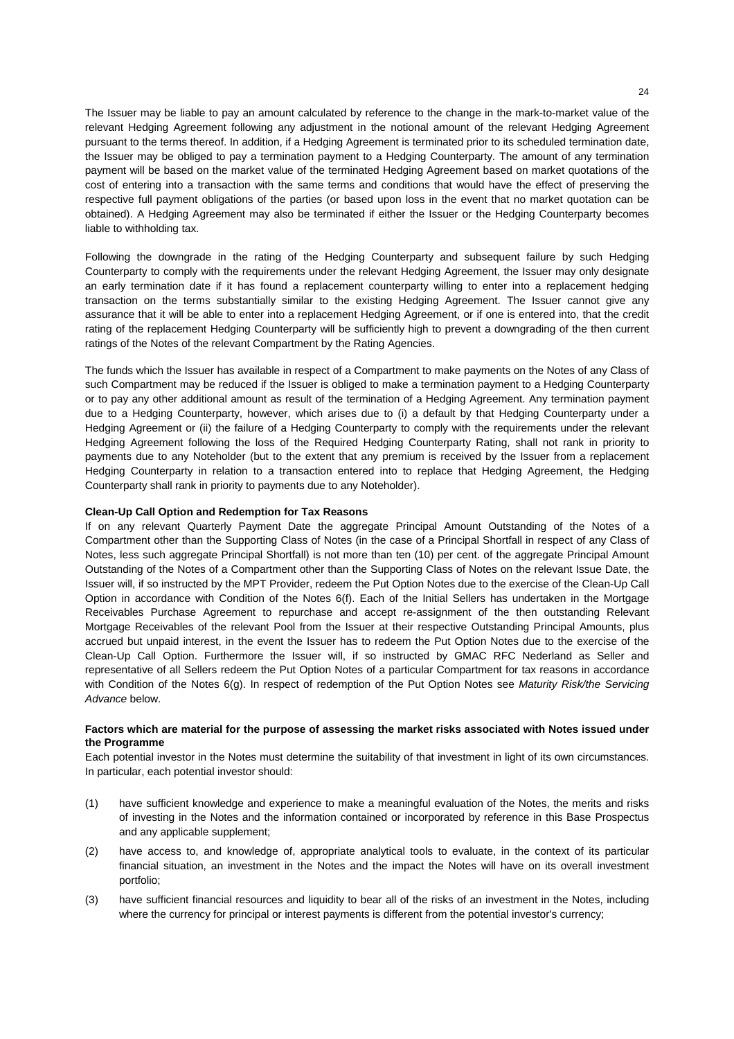The Issuer may be liable to pay an amount calculated by reference to the change in the mark-to-market value of the relevant Hedging Agreement following any adjustment in the notional amount of the relevant Hedging Agreement pursuant to the terms thereof. In addition, if a Hedging Agreement is terminated prior to its scheduled termination date, the Issuer may be obliged to pay a termination payment to a Hedging Counterparty. The amount of any termination payment will be based on the market value of the terminated Hedging Agreement based on market quotations of the cost of entering into a transaction with the same terms and conditions that would have the effect of preserving the respective full payment obligations of the parties (or based upon loss in the event that no market quotation can be obtained). A Hedging Agreement may also be terminated if either the Issuer or the Hedging Counterparty becomes liable to withholding tax.

Following the downgrade in the rating of the Hedging Counterparty and subsequent failure by such Hedging Counterparty to comply with the requirements under the relevant Hedging Agreement, the Issuer may only designate an early termination date if it has found a replacement counterparty willing to enter into a replacement hedging transaction on the terms substantially similar to the existing Hedging Agreement. The Issuer cannot give any assurance that it will be able to enter into a replacement Hedging Agreement, or if one is entered into, that the credit rating of the replacement Hedging Counterparty will be sufficiently high to prevent a downgrading of the then current ratings of the Notes of the relevant Compartment by the Rating Agencies.

The funds which the Issuer has available in respect of a Compartment to make payments on the Notes of any Class of such Compartment may be reduced if the Issuer is obliged to make a termination payment to a Hedging Counterparty or to pay any other additional amount as result of the termination of a Hedging Agreement. Any termination payment due to a Hedging Counterparty, however, which arises due to (i) a default by that Hedging Counterparty under a Hedging Agreement or (ii) the failure of a Hedging Counterparty to comply with the requirements under the relevant Hedging Agreement following the loss of the Required Hedging Counterparty Rating, shall not rank in priority to payments due to any Noteholder (but to the extent that any premium is received by the Issuer from a replacement Hedging Counterparty in relation to a transaction entered into to replace that Hedging Agreement, the Hedging Counterparty shall rank in priority to payments due to any Noteholder).

# **Clean-Up Call Option and Redemption for Tax Reasons**

If on any relevant Quarterly Payment Date the aggregate Principal Amount Outstanding of the Notes of a Compartment other than the Supporting Class of Notes (in the case of a Principal Shortfall in respect of any Class of Notes, less such aggregate Principal Shortfall) is not more than ten (10) per cent. of the aggregate Principal Amount Outstanding of the Notes of a Compartment other than the Supporting Class of Notes on the relevant Issue Date, the Issuer will, if so instructed by the MPT Provider, redeem the Put Option Notes due to the exercise of the Clean-Up Call Option in accordance with Condition of the Notes 6(f). Each of the Initial Sellers has undertaken in the Mortgage Receivables Purchase Agreement to repurchase and accept re-assignment of the then outstanding Relevant Mortgage Receivables of the relevant Pool from the Issuer at their respective Outstanding Principal Amounts, plus accrued but unpaid interest, in the event the Issuer has to redeem the Put Option Notes due to the exercise of the Clean-Up Call Option. Furthermore the Issuer will, if so instructed by GMAC RFC Nederland as Seller and representative of all Sellers redeem the Put Option Notes of a particular Compartment for tax reasons in accordance with Condition of the Notes 6(g). In respect of redemption of the Put Option Notes see *Maturity Risk/the Servicing Advance* below.

### **Factors which are material for the purpose of assessing the market risks associated with Notes issued under the Programme**

Each potential investor in the Notes must determine the suitability of that investment in light of its own circumstances. In particular, each potential investor should:

- (1) have sufficient knowledge and experience to make a meaningful evaluation of the Notes, the merits and risks of investing in the Notes and the information contained or incorporated by reference in this Base Prospectus and any applicable supplement;
- (2) have access to, and knowledge of, appropriate analytical tools to evaluate, in the context of its particular financial situation, an investment in the Notes and the impact the Notes will have on its overall investment portfolio;
- (3) have sufficient financial resources and liquidity to bear all of the risks of an investment in the Notes, including where the currency for principal or interest payments is different from the potential investor's currency;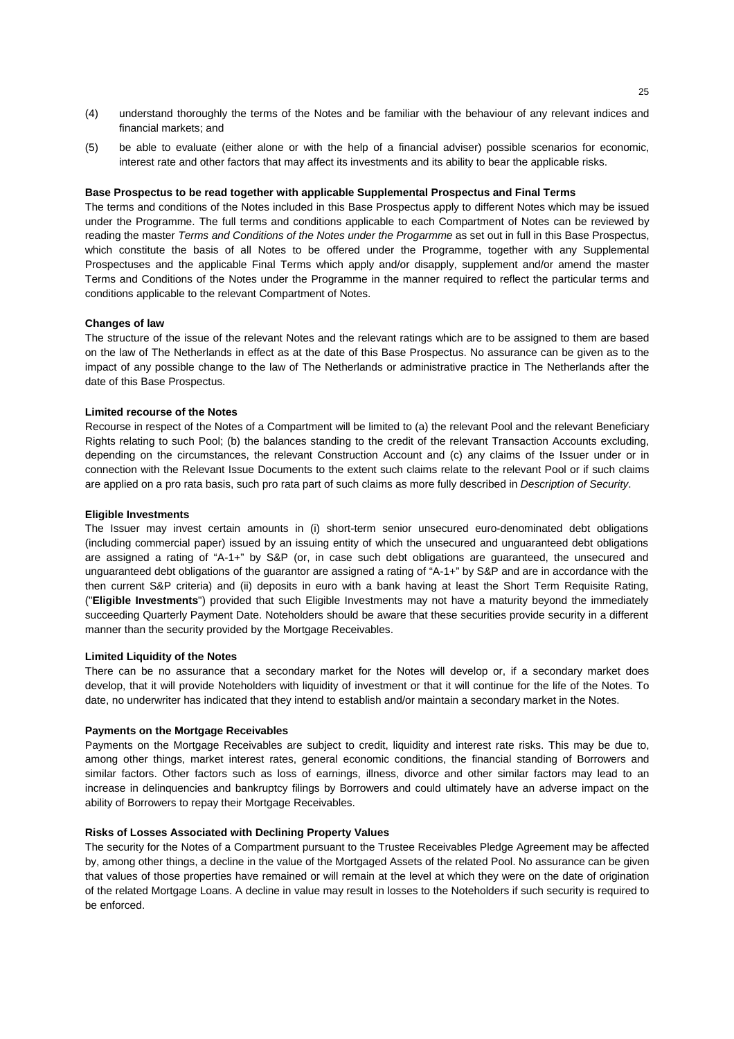- (4) understand thoroughly the terms of the Notes and be familiar with the behaviour of any relevant indices and financial markets; and
- (5) be able to evaluate (either alone or with the help of a financial adviser) possible scenarios for economic, interest rate and other factors that may affect its investments and its ability to bear the applicable risks.

#### **Base Prospectus to be read together with applicable Supplemental Prospectus and Final Terms**

The terms and conditions of the Notes included in this Base Prospectus apply to different Notes which may be issued under the Programme. The full terms and conditions applicable to each Compartment of Notes can be reviewed by reading the master *Terms and Conditions of the Notes under the Progarmme* as set out in full in this Base Prospectus, which constitute the basis of all Notes to be offered under the Programme, together with any Supplemental Prospectuses and the applicable Final Terms which apply and/or disapply, supplement and/or amend the master Terms and Conditions of the Notes under the Programme in the manner required to reflect the particular terms and conditions applicable to the relevant Compartment of Notes.

# **Changes of law**

The structure of the issue of the relevant Notes and the relevant ratings which are to be assigned to them are based on the law of The Netherlands in effect as at the date of this Base Prospectus. No assurance can be given as to the impact of any possible change to the law of The Netherlands or administrative practice in The Netherlands after the date of this Base Prospectus.

### **Limited recourse of the Notes**

Recourse in respect of the Notes of a Compartment will be limited to (a) the relevant Pool and the relevant Beneficiary Rights relating to such Pool; (b) the balances standing to the credit of the relevant Transaction Accounts excluding, depending on the circumstances, the relevant Construction Account and (c) any claims of the Issuer under or in connection with the Relevant Issue Documents to the extent such claims relate to the relevant Pool or if such claims are applied on a pro rata basis, such pro rata part of such claims as more fully described in *Description of Security*.

#### **Eligible Investments**

The Issuer may invest certain amounts in (i) short-term senior unsecured euro-denominated debt obligations (including commercial paper) issued by an issuing entity of which the unsecured and unguaranteed debt obligations are assigned a rating of "A-1+" by S&P (or, in case such debt obligations are guaranteed, the unsecured and unguaranteed debt obligations of the guarantor are assigned a rating of "A-1+" by S&P and are in accordance with the then current S&P criteria) and (ii) deposits in euro with a bank having at least the Short Term Requisite Rating, ("**Eligible Investments**") provided that such Eligible Investments may not have a maturity beyond the immediately succeeding Quarterly Payment Date. Noteholders should be aware that these securities provide security in a different manner than the security provided by the Mortgage Receivables.

#### **Limited Liquidity of the Notes**

There can be no assurance that a secondary market for the Notes will develop or, if a secondary market does develop, that it will provide Noteholders with liquidity of investment or that it will continue for the life of the Notes. To date, no underwriter has indicated that they intend to establish and/or maintain a secondary market in the Notes.

#### **Payments on the Mortgage Receivables**

Payments on the Mortgage Receivables are subject to credit, liquidity and interest rate risks. This may be due to, among other things, market interest rates, general economic conditions, the financial standing of Borrowers and similar factors. Other factors such as loss of earnings, illness, divorce and other similar factors may lead to an increase in delinquencies and bankruptcy filings by Borrowers and could ultimately have an adverse impact on the ability of Borrowers to repay their Mortgage Receivables.

# **Risks of Losses Associated with Declining Property Values**

The security for the Notes of a Compartment pursuant to the Trustee Receivables Pledge Agreement may be affected by, among other things, a decline in the value of the Mortgaged Assets of the related Pool. No assurance can be given that values of those properties have remained or will remain at the level at which they were on the date of origination of the related Mortgage Loans. A decline in value may result in losses to the Noteholders if such security is required to be enforced.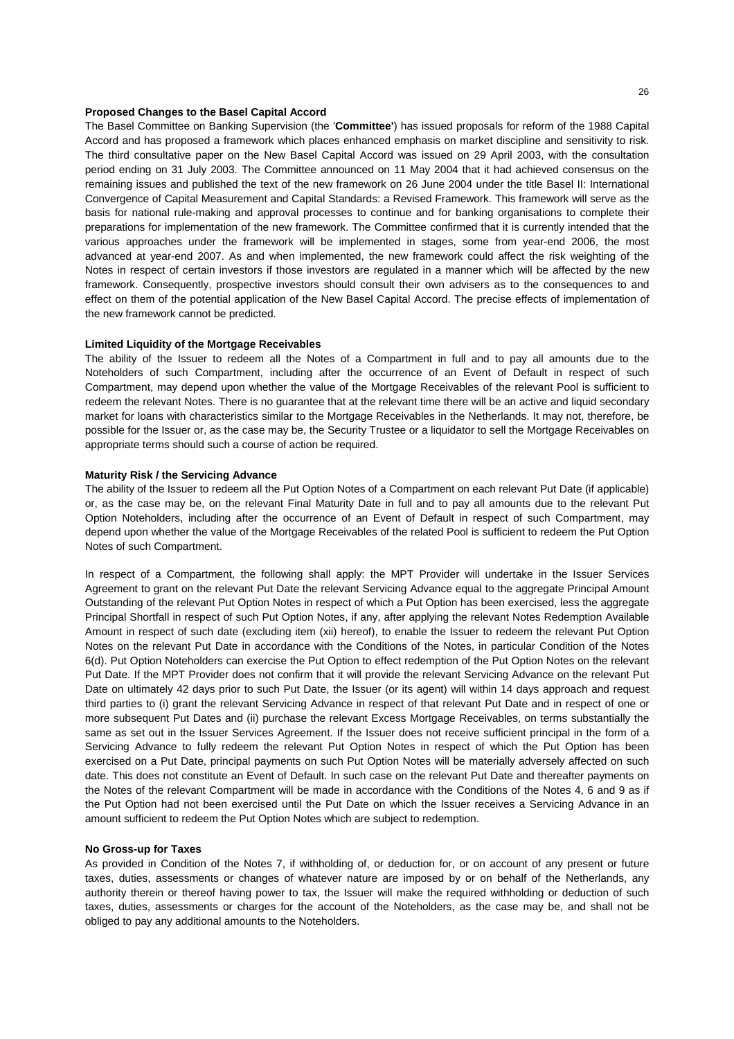# **Proposed Changes to the Basel Capital Accord**

The Basel Committee on Banking Supervision (the '**Committee'**) has issued proposals for reform of the 1988 Capital Accord and has proposed a framework which places enhanced emphasis on market discipline and sensitivity to risk. The third consultative paper on the New Basel Capital Accord was issued on 29 April 2003, with the consultation period ending on 31 July 2003. The Committee announced on 11 May 2004 that it had achieved consensus on the remaining issues and published the text of the new framework on 26 June 2004 under the title Basel II: International Convergence of Capital Measurement and Capital Standards: a Revised Framework. This framework will serve as the basis for national rule-making and approval processes to continue and for banking organisations to complete their preparations for implementation of the new framework. The Committee confirmed that it is currently intended that the various approaches under the framework will be implemented in stages, some from year-end 2006, the most advanced at year-end 2007. As and when implemented, the new framework could affect the risk weighting of the Notes in respect of certain investors if those investors are regulated in a manner which will be affected by the new framework. Consequently, prospective investors should consult their own advisers as to the consequences to and effect on them of the potential application of the New Basel Capital Accord. The precise effects of implementation of the new framework cannot be predicted.

# **Limited Liquidity of the Mortgage Receivables**

The ability of the Issuer to redeem all the Notes of a Compartment in full and to pay all amounts due to the Noteholders of such Compartment, including after the occurrence of an Event of Default in respect of such Compartment, may depend upon whether the value of the Mortgage Receivables of the relevant Pool is sufficient to redeem the relevant Notes. There is no guarantee that at the relevant time there will be an active and liquid secondary market for loans with characteristics similar to the Mortgage Receivables in the Netherlands. It may not, therefore, be possible for the Issuer or, as the case may be, the Security Trustee or a liquidator to sell the Mortgage Receivables on appropriate terms should such a course of action be required.

#### **Maturity Risk / the Servicing Advance**

The ability of the Issuer to redeem all the Put Option Notes of a Compartment on each relevant Put Date (if applicable) or, as the case may be, on the relevant Final Maturity Date in full and to pay all amounts due to the relevant Put Option Noteholders, including after the occurrence of an Event of Default in respect of such Compartment, may depend upon whether the value of the Mortgage Receivables of the related Pool is sufficient to redeem the Put Option Notes of such Compartment.

In respect of a Compartment, the following shall apply: the MPT Provider will undertake in the Issuer Services Agreement to grant on the relevant Put Date the relevant Servicing Advance equal to the aggregate Principal Amount Outstanding of the relevant Put Option Notes in respect of which a Put Option has been exercised, less the aggregate Principal Shortfall in respect of such Put Option Notes, if any, after applying the relevant Notes Redemption Available Amount in respect of such date (excluding item (xii) hereof), to enable the Issuer to redeem the relevant Put Option Notes on the relevant Put Date in accordance with the Conditions of the Notes, in particular Condition of the Notes 6(d). Put Option Noteholders can exercise the Put Option to effect redemption of the Put Option Notes on the relevant Put Date. If the MPT Provider does not confirm that it will provide the relevant Servicing Advance on the relevant Put Date on ultimately 42 days prior to such Put Date, the Issuer (or its agent) will within 14 days approach and request third parties to (i) grant the relevant Servicing Advance in respect of that relevant Put Date and in respect of one or more subsequent Put Dates and (ii) purchase the relevant Excess Mortgage Receivables, on terms substantially the same as set out in the Issuer Services Agreement. If the Issuer does not receive sufficient principal in the form of a Servicing Advance to fully redeem the relevant Put Option Notes in respect of which the Put Option has been exercised on a Put Date, principal payments on such Put Option Notes will be materially adversely affected on such date. This does not constitute an Event of Default. In such case on the relevant Put Date and thereafter payments on the Notes of the relevant Compartment will be made in accordance with the Conditions of the Notes 4, 6 and 9 as if the Put Option had not been exercised until the Put Date on which the Issuer receives a Servicing Advance in an amount sufficient to redeem the Put Option Notes which are subject to redemption.

#### **No Gross-up for Taxes**

As provided in Condition of the Notes 7, if withholding of, or deduction for, or on account of any present or future taxes, duties, assessments or changes of whatever nature are imposed by or on behalf of the Netherlands, any authority therein or thereof having power to tax, the Issuer will make the required withholding or deduction of such taxes, duties, assessments or charges for the account of the Noteholders, as the case may be, and shall not be obliged to pay any additional amounts to the Noteholders.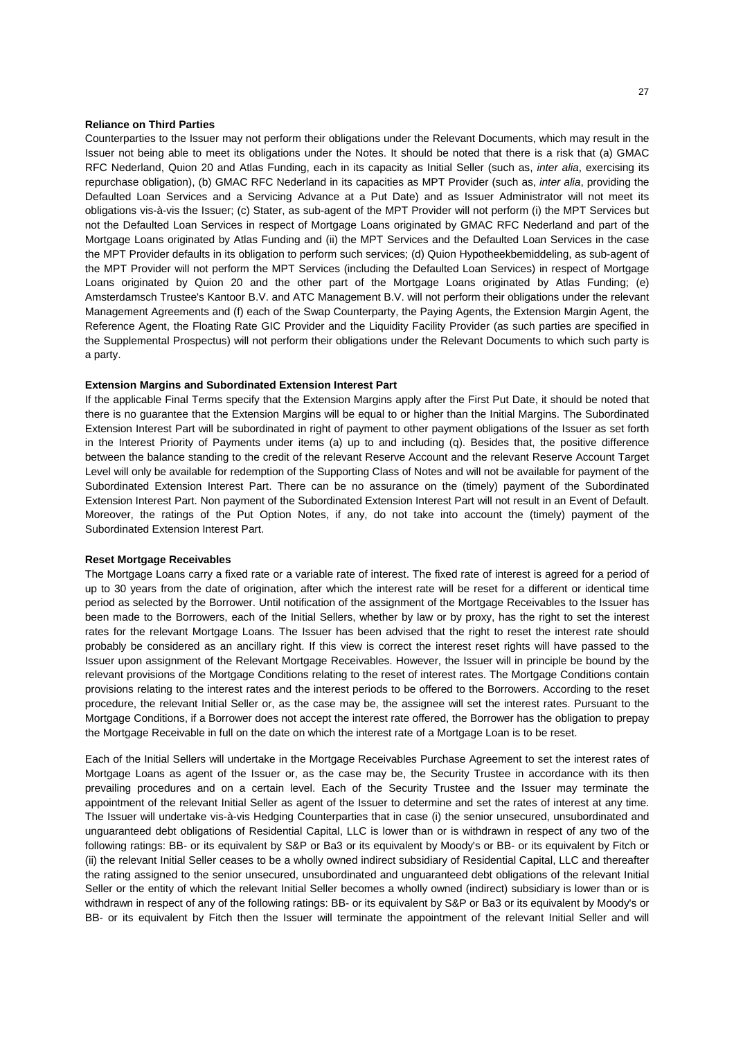#### **Reliance on Third Parties**

Counterparties to the Issuer may not perform their obligations under the Relevant Documents, which may result in the Issuer not being able to meet its obligations under the Notes. It should be noted that there is a risk that (a) GMAC RFC Nederland, Quion 20 and Atlas Funding, each in its capacity as Initial Seller (such as, *inter alia*, exercising its repurchase obligation), (b) GMAC RFC Nederland in its capacities as MPT Provider (such as, *inter alia*, providing the Defaulted Loan Services and a Servicing Advance at a Put Date) and as Issuer Administrator will not meet its obligations vis-à-vis the Issuer; (c) Stater, as sub-agent of the MPT Provider will not perform (i) the MPT Services but not the Defaulted Loan Services in respect of Mortgage Loans originated by GMAC RFC Nederland and part of the Mortgage Loans originated by Atlas Funding and (ii) the MPT Services and the Defaulted Loan Services in the case the MPT Provider defaults in its obligation to perform such services; (d) Quion Hypotheekbemiddeling, as sub-agent of the MPT Provider will not perform the MPT Services (including the Defaulted Loan Services) in respect of Mortgage Loans originated by Quion 20 and the other part of the Mortgage Loans originated by Atlas Funding; (e) Amsterdamsch Trustee's Kantoor B.V. and ATC Management B.V. will not perform their obligations under the relevant Management Agreements and (f) each of the Swap Counterparty, the Paying Agents, the Extension Margin Agent, the Reference Agent, the Floating Rate GIC Provider and the Liquidity Facility Provider (as such parties are specified in the Supplemental Prospectus) will not perform their obligations under the Relevant Documents to which such party is a party.

# **Extension Margins and Subordinated Extension Interest Part**

If the applicable Final Terms specify that the Extension Margins apply after the First Put Date, it should be noted that there is no guarantee that the Extension Margins will be equal to or higher than the Initial Margins. The Subordinated Extension Interest Part will be subordinated in right of payment to other payment obligations of the Issuer as set forth in the Interest Priority of Payments under items (a) up to and including (q). Besides that, the positive difference between the balance standing to the credit of the relevant Reserve Account and the relevant Reserve Account Target Level will only be available for redemption of the Supporting Class of Notes and will not be available for payment of the Subordinated Extension Interest Part. There can be no assurance on the (timely) payment of the Subordinated Extension Interest Part. Non payment of the Subordinated Extension Interest Part will not result in an Event of Default. Moreover, the ratings of the Put Option Notes, if any, do not take into account the (timely) payment of the Subordinated Extension Interest Part.

#### **Reset Mortgage Receivables**

The Mortgage Loans carry a fixed rate or a variable rate of interest. The fixed rate of interest is agreed for a period of up to 30 years from the date of origination, after which the interest rate will be reset for a different or identical time period as selected by the Borrower. Until notification of the assignment of the Mortgage Receivables to the Issuer has been made to the Borrowers, each of the Initial Sellers, whether by law or by proxy, has the right to set the interest rates for the relevant Mortgage Loans. The Issuer has been advised that the right to reset the interest rate should probably be considered as an ancillary right. If this view is correct the interest reset rights will have passed to the Issuer upon assignment of the Relevant Mortgage Receivables. However, the Issuer will in principle be bound by the relevant provisions of the Mortgage Conditions relating to the reset of interest rates. The Mortgage Conditions contain provisions relating to the interest rates and the interest periods to be offered to the Borrowers. According to the reset procedure, the relevant Initial Seller or, as the case may be, the assignee will set the interest rates. Pursuant to the Mortgage Conditions, if a Borrower does not accept the interest rate offered, the Borrower has the obligation to prepay the Mortgage Receivable in full on the date on which the interest rate of a Mortgage Loan is to be reset.

Each of the Initial Sellers will undertake in the Mortgage Receivables Purchase Agreement to set the interest rates of Mortgage Loans as agent of the Issuer or, as the case may be, the Security Trustee in accordance with its then prevailing procedures and on a certain level. Each of the Security Trustee and the Issuer may terminate the appointment of the relevant Initial Seller as agent of the Issuer to determine and set the rates of interest at any time. The Issuer will undertake vis-à-vis Hedging Counterparties that in case (i) the senior unsecured, unsubordinated and unguaranteed debt obligations of Residential Capital, LLC is lower than or is withdrawn in respect of any two of the following ratings: BB- or its equivalent by S&P or Ba3 or its equivalent by Moody's or BB- or its equivalent by Fitch or (ii) the relevant Initial Seller ceases to be a wholly owned indirect subsidiary of Residential Capital, LLC and thereafter the rating assigned to the senior unsecured, unsubordinated and unguaranteed debt obligations of the relevant Initial Seller or the entity of which the relevant Initial Seller becomes a wholly owned (indirect) subsidiary is lower than or is withdrawn in respect of any of the following ratings: BB- or its equivalent by S&P or Ba3 or its equivalent by Moody's or BB- or its equivalent by Fitch then the Issuer will terminate the appointment of the relevant Initial Seller and will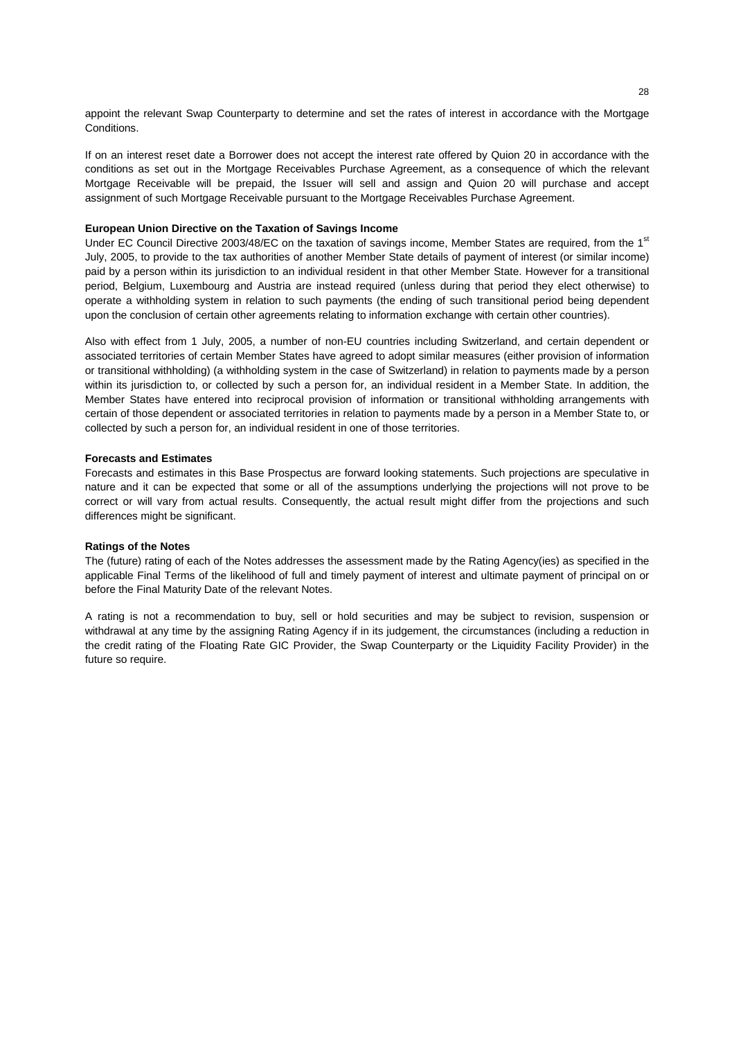appoint the relevant Swap Counterparty to determine and set the rates of interest in accordance with the Mortgage Conditions.

If on an interest reset date a Borrower does not accept the interest rate offered by Quion 20 in accordance with the conditions as set out in the Mortgage Receivables Purchase Agreement, as a consequence of which the relevant Mortgage Receivable will be prepaid, the Issuer will sell and assign and Quion 20 will purchase and accept assignment of such Mortgage Receivable pursuant to the Mortgage Receivables Purchase Agreement.

## **European Union Directive on the Taxation of Savings Income**

Under EC Council Directive 2003/48/EC on the taxation of savings income, Member States are required, from the 1<sup>st</sup> July, 2005, to provide to the tax authorities of another Member State details of payment of interest (or similar income) paid by a person within its jurisdiction to an individual resident in that other Member State. However for a transitional period, Belgium, Luxembourg and Austria are instead required (unless during that period they elect otherwise) to operate a withholding system in relation to such payments (the ending of such transitional period being dependent upon the conclusion of certain other agreements relating to information exchange with certain other countries).

Also with effect from 1 July, 2005, a number of non-EU countries including Switzerland, and certain dependent or associated territories of certain Member States have agreed to adopt similar measures (either provision of information or transitional withholding) (a withholding system in the case of Switzerland) in relation to payments made by a person within its jurisdiction to, or collected by such a person for, an individual resident in a Member State. In addition, the Member States have entered into reciprocal provision of information or transitional withholding arrangements with certain of those dependent or associated territories in relation to payments made by a person in a Member State to, or collected by such a person for, an individual resident in one of those territories.

#### **Forecasts and Estimates**

Forecasts and estimates in this Base Prospectus are forward looking statements. Such projections are speculative in nature and it can be expected that some or all of the assumptions underlying the projections will not prove to be correct or will vary from actual results. Consequently, the actual result might differ from the projections and such differences might be significant.

#### **Ratings of the Notes**

The (future) rating of each of the Notes addresses the assessment made by the Rating Agency(ies) as specified in the applicable Final Terms of the likelihood of full and timely payment of interest and ultimate payment of principal on or before the Final Maturity Date of the relevant Notes.

A rating is not a recommendation to buy, sell or hold securities and may be subject to revision, suspension or withdrawal at any time by the assigning Rating Agency if in its judgement, the circumstances (including a reduction in the credit rating of the Floating Rate GIC Provider, the Swap Counterparty or the Liquidity Facility Provider) in the future so require.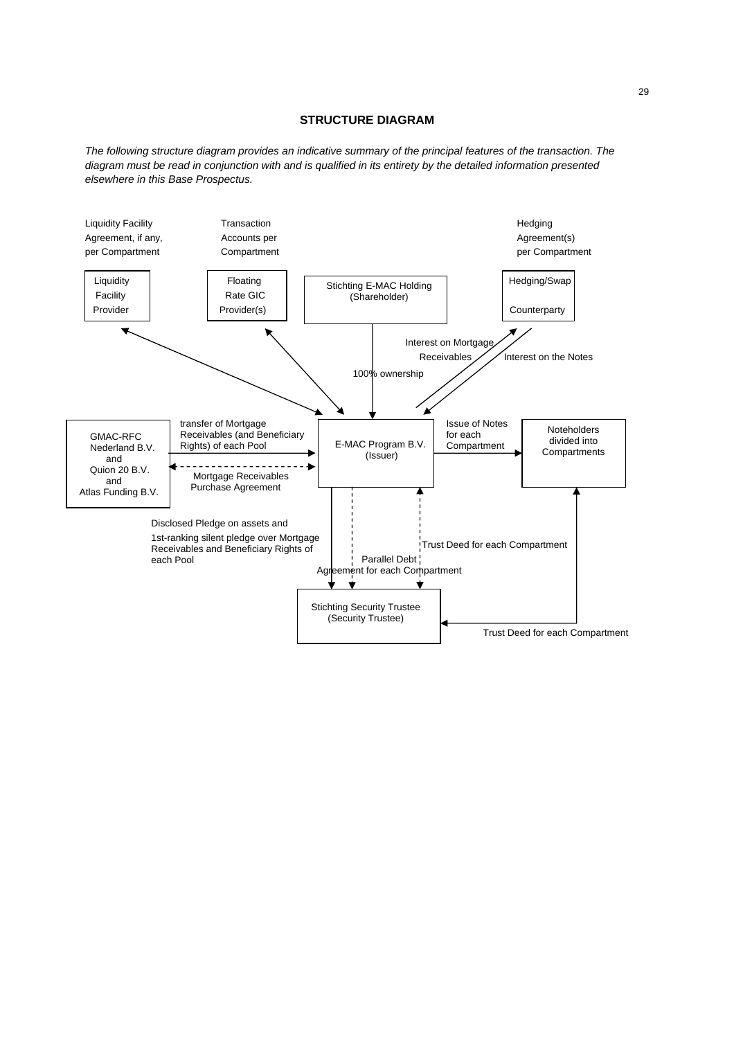# **STRUCTURE DIAGRAM**

*The following structure diagram provides an indicative summary of the principal features of the transaction. The diagram must be read in conjunction with and is qualified in its entirety by the detailed information presented elsewhere in this Base Prospectus.* 

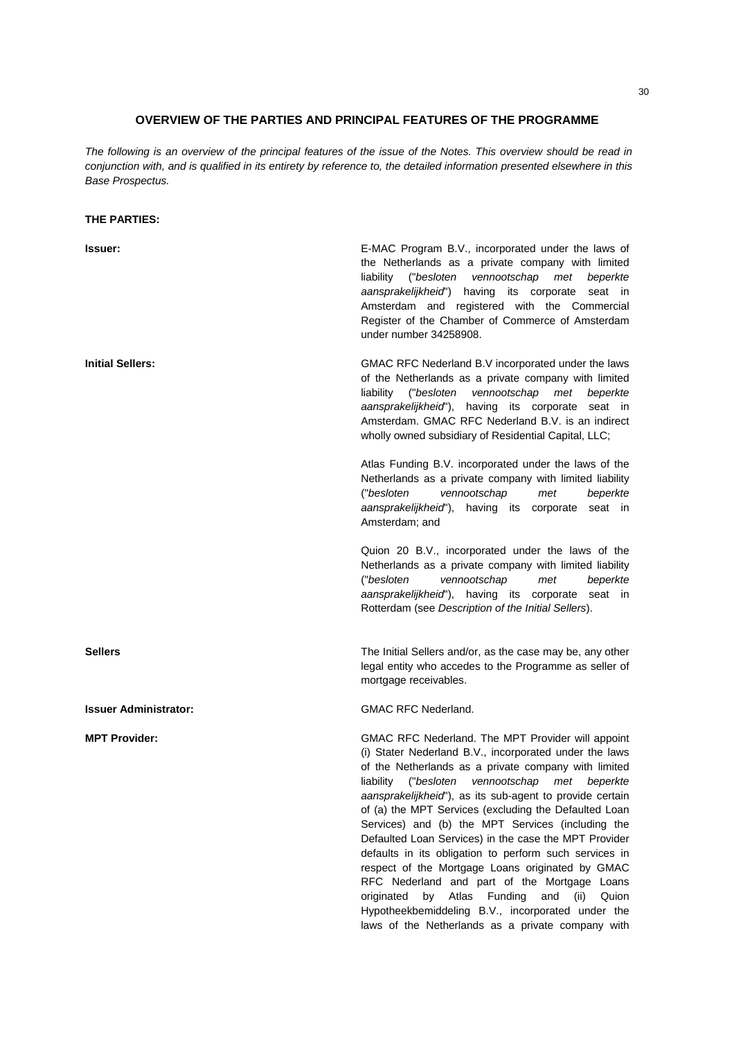# **OVERVIEW OF THE PARTIES AND PRINCIPAL FEATURES OF THE PROGRAMME**

*The following is an overview of the principal features of the issue of the Notes. This overview should be read in conjunction with, and is qualified in its entirety by reference to, the detailed information presented elsewhere in this Base Prospectus.* 

# **THE PARTIES:**

| <b>Issuer:</b>               | E-MAC Program B.V., incorporated under the laws of<br>the Netherlands as a private company with limited<br>("besloten<br>vennootschap<br>met<br>beperkte<br>liability<br>aansprakelijkheid")<br>having<br>its corporate<br>seat in<br>Amsterdam and registered with the Commercial<br>Register of the Chamber of Commerce of Amsterdam<br>under number 34258908.                                                                                                                                                                                                                                                                                                                                                                                                                                             |
|------------------------------|--------------------------------------------------------------------------------------------------------------------------------------------------------------------------------------------------------------------------------------------------------------------------------------------------------------------------------------------------------------------------------------------------------------------------------------------------------------------------------------------------------------------------------------------------------------------------------------------------------------------------------------------------------------------------------------------------------------------------------------------------------------------------------------------------------------|
| <b>Initial Sellers:</b>      | GMAC RFC Nederland B.V incorporated under the laws<br>of the Netherlands as a private company with limited<br>liability ("besloten<br>vennootschap<br>beperkte<br>met<br>aansprakelijkheid"), having its corporate<br>seat in<br>Amsterdam. GMAC RFC Nederland B.V. is an indirect<br>wholly owned subsidiary of Residential Capital, LLC;                                                                                                                                                                                                                                                                                                                                                                                                                                                                   |
|                              | Atlas Funding B.V. incorporated under the laws of the<br>Netherlands as a private company with limited liability<br>("besloten<br>vennootschap<br>beperkte<br>met<br>aansprakelijkheid"),<br>having its corporate seat in<br>Amsterdam; and                                                                                                                                                                                                                                                                                                                                                                                                                                                                                                                                                                  |
|                              | Quion 20 B.V., incorporated under the laws of the<br>Netherlands as a private company with limited liability<br>("besloten<br>vennootschap<br>met<br>beperkte<br>aansprakelijkheid"), having its<br>corporate<br>seat in<br>Rotterdam (see Description of the Initial Sellers).                                                                                                                                                                                                                                                                                                                                                                                                                                                                                                                              |
| <b>Sellers</b>               | The Initial Sellers and/or, as the case may be, any other<br>legal entity who accedes to the Programme as seller of<br>mortgage receivables.                                                                                                                                                                                                                                                                                                                                                                                                                                                                                                                                                                                                                                                                 |
| <b>Issuer Administrator:</b> | <b>GMAC RFC Nederland.</b>                                                                                                                                                                                                                                                                                                                                                                                                                                                                                                                                                                                                                                                                                                                                                                                   |
| <b>MPT Provider:</b>         | GMAC RFC Nederland. The MPT Provider will appoint<br>(i) Stater Nederland B.V., incorporated under the laws<br>of the Netherlands as a private company with limited<br>("besloten<br>vennootschap<br>liability<br>beperkte<br>met<br>aansprakelijkheid"), as its sub-agent to provide certain<br>of (a) the MPT Services (excluding the Defaulted Loan<br>Services) and (b) the MPT Services (including the<br>Defaulted Loan Services) in the case the MPT Provider<br>defaults in its obligation to perform such services in<br>respect of the Mortgage Loans originated by GMAC<br>RFC Nederland and part of the Mortgage Loans<br>Atlas<br>Funding<br>originated<br>by<br>and<br>(ii)<br>Quion<br>Hypotheekbemiddeling B.V., incorporated under the<br>laws of the Netherlands as a private company with |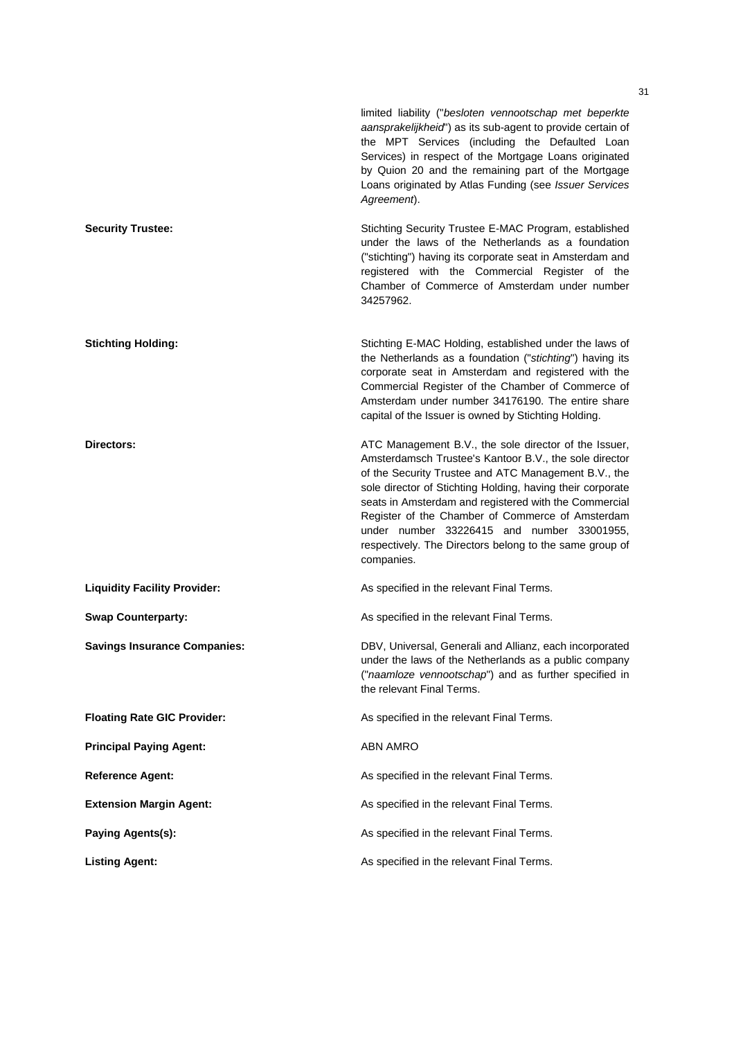|                                     | limited liability ("besloten vennootschap met beperkte<br>aansprakelijkheid") as its sub-agent to provide certain of<br>the MPT Services (including the Defaulted Loan<br>Services) in respect of the Mortgage Loans originated<br>by Quion 20 and the remaining part of the Mortgage<br>Loans originated by Atlas Funding (see Issuer Services<br>Agreement).                                                                                                            |
|-------------------------------------|---------------------------------------------------------------------------------------------------------------------------------------------------------------------------------------------------------------------------------------------------------------------------------------------------------------------------------------------------------------------------------------------------------------------------------------------------------------------------|
| <b>Security Trustee:</b>            | Stichting Security Trustee E-MAC Program, established<br>under the laws of the Netherlands as a foundation<br>("stichting") having its corporate seat in Amsterdam and<br>registered with the Commercial Register of the<br>Chamber of Commerce of Amsterdam under number<br>34257962.                                                                                                                                                                                    |
| <b>Stichting Holding:</b>           | Stichting E-MAC Holding, established under the laws of<br>the Netherlands as a foundation ("stichting") having its<br>corporate seat in Amsterdam and registered with the<br>Commercial Register of the Chamber of Commerce of<br>Amsterdam under number 34176190. The entire share<br>capital of the Issuer is owned by Stichting Holding.                                                                                                                               |
| Directors:                          | ATC Management B.V., the sole director of the Issuer,<br>Amsterdamsch Trustee's Kantoor B.V., the sole director<br>of the Security Trustee and ATC Management B.V., the<br>sole director of Stichting Holding, having their corporate<br>seats in Amsterdam and registered with the Commercial<br>Register of the Chamber of Commerce of Amsterdam<br>under number 33226415 and number 33001955,<br>respectively. The Directors belong to the same group of<br>companies. |
| <b>Liquidity Facility Provider:</b> | As specified in the relevant Final Terms.                                                                                                                                                                                                                                                                                                                                                                                                                                 |
| <b>Swap Counterparty:</b>           | As specified in the relevant Final Terms.                                                                                                                                                                                                                                                                                                                                                                                                                                 |
| <b>Savings Insurance Companies:</b> | DBV, Universal, Generali and Allianz, each incorporated<br>under the laws of the Netherlands as a public company<br>("naamloze vennootschap") and as further specified in<br>the relevant Final Terms.                                                                                                                                                                                                                                                                    |
| <b>Floating Rate GIC Provider:</b>  | As specified in the relevant Final Terms.                                                                                                                                                                                                                                                                                                                                                                                                                                 |
| <b>Principal Paying Agent:</b>      | <b>ABN AMRO</b>                                                                                                                                                                                                                                                                                                                                                                                                                                                           |
| <b>Reference Agent:</b>             | As specified in the relevant Final Terms.                                                                                                                                                                                                                                                                                                                                                                                                                                 |
| <b>Extension Margin Agent:</b>      | As specified in the relevant Final Terms.                                                                                                                                                                                                                                                                                                                                                                                                                                 |
| Paying Agents(s):                   | As specified in the relevant Final Terms.                                                                                                                                                                                                                                                                                                                                                                                                                                 |
| <b>Listing Agent:</b>               | As specified in the relevant Final Terms.                                                                                                                                                                                                                                                                                                                                                                                                                                 |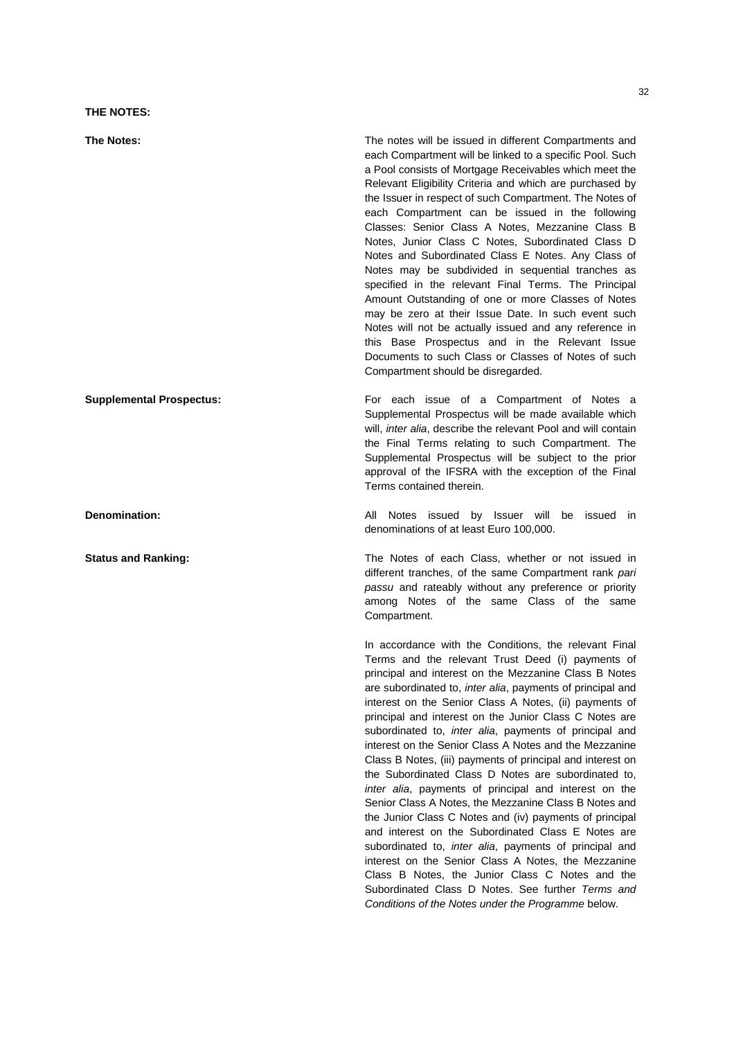**THE NOTES:** 

**The Notes:** The notes will be issued in different Compartments and each Compartment will be linked to a specific Pool. Such a Pool consists of Mortgage Receivables which meet the Relevant Eligibility Criteria and which are purchased by the Issuer in respect of such Compartment. The Notes of each Compartment can be issued in the following Classes: Senior Class A Notes, Mezzanine Class B Notes, Junior Class C Notes, Subordinated Class D Notes and Subordinated Class E Notes. Any Class of Notes may be subdivided in sequential tranches as specified in the relevant Final Terms. The Principal Amount Outstanding of one or more Classes of Notes may be zero at their Issue Date. In such event such Notes will not be actually issued and any reference in this Base Prospectus and in the Relevant Issue Documents to such Class or Classes of Notes of such Compartment should be disregarded.

**Supplemental Prospectus: For each issue of a Compartment of Notes a** Supplemental Prospectus will be made available which will, *inter alia*, describe the relevant Pool and will contain the Final Terms relating to such Compartment. The Supplemental Prospectus will be subject to the prior approval of the IFSRA with the exception of the Final Terms contained therein.

**Denomination: Conserverse in the set of the set of the set of the set of the issued in the set of the issued in the issued in the issued in the issued in the issued in the issued in the issued in the issued in the issue** denominations of at least Euro 100,000.

**Status and Ranking: The Notes of each Class, whether or not issued in** different tranches, of the same Compartment rank *pari passu* and rateably without any preference or priority among Notes of the same Class of the same Compartment.

> In accordance with the Conditions, the relevant Final Terms and the relevant Trust Deed (i) payments of principal and interest on the Mezzanine Class B Notes are subordinated to, *inter alia*, payments of principal and interest on the Senior Class A Notes, (ii) payments of principal and interest on the Junior Class C Notes are subordinated to, *inter alia*, payments of principal and interest on the Senior Class A Notes and the Mezzanine Class B Notes, (iii) payments of principal and interest on the Subordinated Class D Notes are subordinated to, *inter alia*, payments of principal and interest on the Senior Class A Notes, the Mezzanine Class B Notes and the Junior Class C Notes and (iv) payments of principal and interest on the Subordinated Class E Notes are subordinated to, *inter alia*, payments of principal and interest on the Senior Class A Notes, the Mezzanine Class B Notes, the Junior Class C Notes and the Subordinated Class D Notes. See further *Terms and Conditions of the Notes under the Programme* below.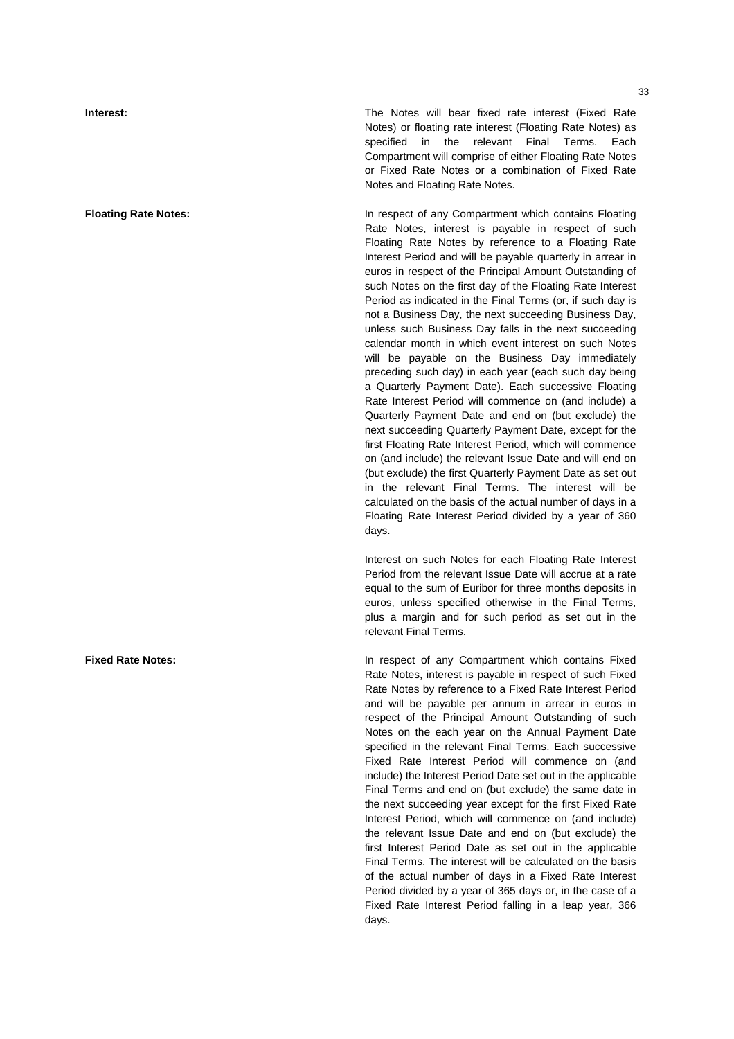**Interest:** The Notes will bear fixed rate interest (Fixed Rate Notes) or floating rate interest (Floating Rate Notes) as specified in the relevant Final Terms. Each Compartment will comprise of either Floating Rate Notes or Fixed Rate Notes or a combination of Fixed Rate Notes and Floating Rate Notes.

**Floating Rate Notes:** In respect of any Compartment which contains Floating Rate Notes, interest is payable in respect of such Floating Rate Notes by reference to a Floating Rate Interest Period and will be payable quarterly in arrear in euros in respect of the Principal Amount Outstanding of such Notes on the first day of the Floating Rate Interest Period as indicated in the Final Terms (or, if such day is not a Business Day, the next succeeding Business Day, unless such Business Day falls in the next succeeding calendar month in which event interest on such Notes will be payable on the Business Day immediately preceding such day) in each year (each such day being a Quarterly Payment Date). Each successive Floating Rate Interest Period will commence on (and include) a Quarterly Payment Date and end on (but exclude) the next succeeding Quarterly Payment Date, except for the first Floating Rate Interest Period, which will commence on (and include) the relevant Issue Date and will end on (but exclude) the first Quarterly Payment Date as set out in the relevant Final Terms. The interest will be calculated on the basis of the actual number of days in a Floating Rate Interest Period divided by a year of 360 days.

> Interest on such Notes for each Floating Rate Interest Period from the relevant Issue Date will accrue at a rate equal to the sum of Euribor for three months deposits in euros, unless specified otherwise in the Final Terms, plus a margin and for such period as set out in the relevant Final Terms.

**Fixed Rate Notes: In respect of any Compartment which contains Fixed** Rate Notes, interest is payable in respect of such Fixed Rate Notes by reference to a Fixed Rate Interest Period and will be payable per annum in arrear in euros in respect of the Principal Amount Outstanding of such Notes on the each year on the Annual Payment Date specified in the relevant Final Terms. Each successive Fixed Rate Interest Period will commence on (and include) the Interest Period Date set out in the applicable Final Terms and end on (but exclude) the same date in the next succeeding year except for the first Fixed Rate Interest Period, which will commence on (and include) the relevant Issue Date and end on (but exclude) the first Interest Period Date as set out in the applicable Final Terms. The interest will be calculated on the basis of the actual number of days in a Fixed Rate Interest Period divided by a year of 365 days or, in the case of a Fixed Rate Interest Period falling in a leap year, 366 days.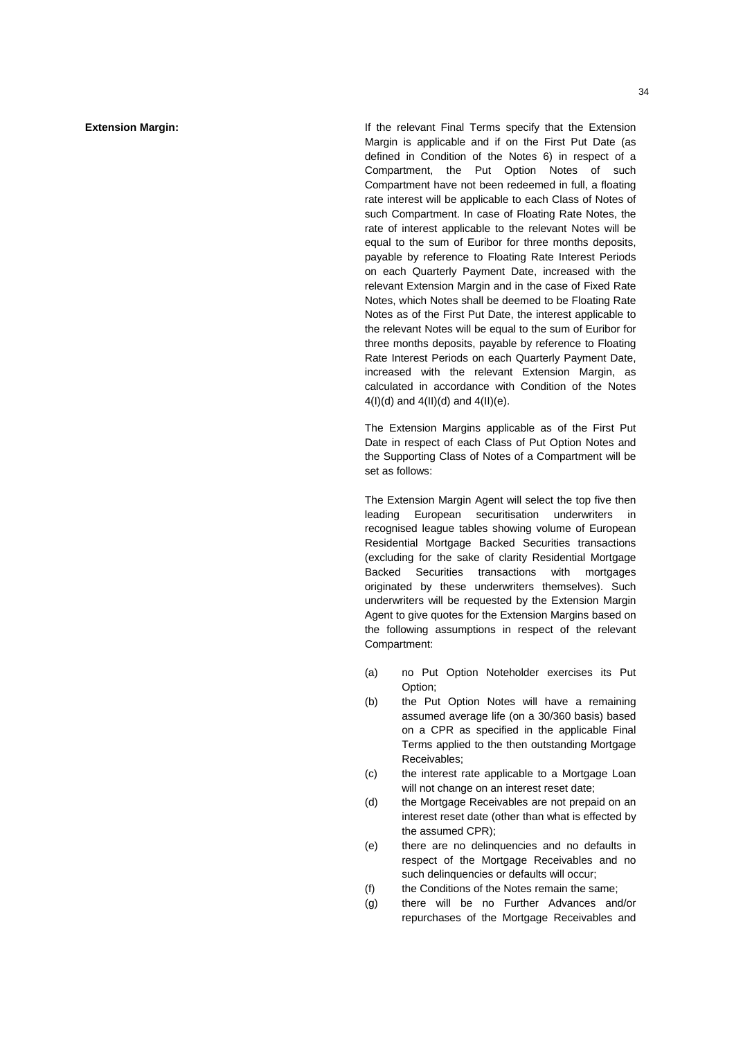**Extension Margin: If the relevant Final Terms specify that the Extension** Margin is applicable and if on the First Put Date (as defined in Condition of the Notes 6) in respect of a Compartment, the Put Option Notes of such Compartment have not been redeemed in full, a floating rate interest will be applicable to each Class of Notes of such Compartment. In case of Floating Rate Notes, the rate of interest applicable to the relevant Notes will be equal to the sum of Euribor for three months deposits, payable by reference to Floating Rate Interest Periods on each Quarterly Payment Date, increased with the relevant Extension Margin and in the case of Fixed Rate Notes, which Notes shall be deemed to be Floating Rate Notes as of the First Put Date, the interest applicable to the relevant Notes will be equal to the sum of Euribor for three months deposits, payable by reference to Floating Rate Interest Periods on each Quarterly Payment Date, increased with the relevant Extension Margin, as calculated in accordance with Condition of the Notes  $4(I)(d)$  and  $4(II)(d)$  and  $4(II)(e)$ .

> The Extension Margins applicable as of the First Put Date in respect of each Class of Put Option Notes and the Supporting Class of Notes of a Compartment will be set as follows:

> The Extension Margin Agent will select the top five then leading European securitisation underwriters in recognised league tables showing volume of European Residential Mortgage Backed Securities transactions (excluding for the sake of clarity Residential Mortgage Backed Securities transactions with mortgages originated by these underwriters themselves). Such underwriters will be requested by the Extension Margin Agent to give quotes for the Extension Margins based on the following assumptions in respect of the relevant Compartment:

- (a) no Put Option Noteholder exercises its Put Option;
- (b) the Put Option Notes will have a remaining assumed average life (on a 30/360 basis) based on a CPR as specified in the applicable Final Terms applied to the then outstanding Mortgage Receivables;
- (c) the interest rate applicable to a Mortgage Loan will not change on an interest reset date;
- (d) the Mortgage Receivables are not prepaid on an interest reset date (other than what is effected by the assumed CPR);
- (e) there are no delinquencies and no defaults in respect of the Mortgage Receivables and no such delinquencies or defaults will occur:
- (f) the Conditions of the Notes remain the same;
- (g) there will be no Further Advances and/or repurchases of the Mortgage Receivables and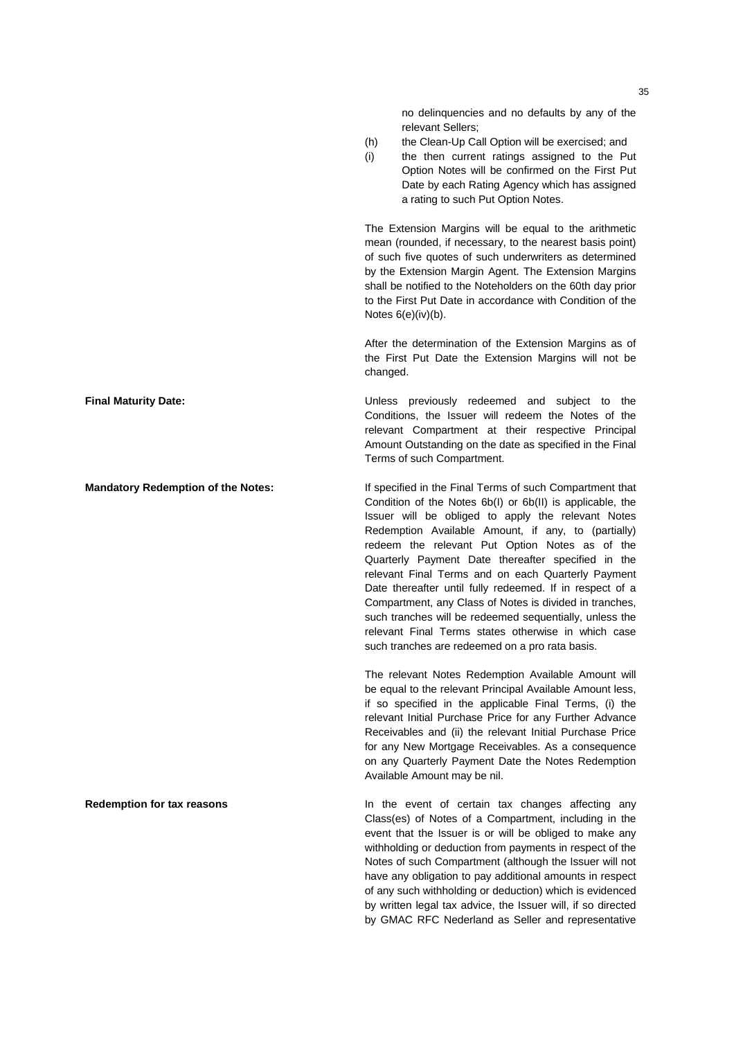no delinquencies and no defaults by any of the relevant Sellers;

- (h) the Clean-Up Call Option will be exercised; and
- (i) the then current ratings assigned to the Put Option Notes will be confirmed on the First Put Date by each Rating Agency which has assigned a rating to such Put Option Notes.

The Extension Margins will be equal to the arithmetic mean (rounded, if necessary, to the nearest basis point) of such five quotes of such underwriters as determined by the Extension Margin Agent. The Extension Margins shall be notified to the Noteholders on the 60th day prior to the First Put Date in accordance with Condition of the Notes 6(e)(iv)(b).

After the determination of the Extension Margins as of the First Put Date the Extension Margins will not be changed.

**Final Maturity Date:** Unless previously redeemed and subject to the Conditions, the Issuer will redeem the Notes of the relevant Compartment at their respective Principal Amount Outstanding on the date as specified in the Final Terms of such Compartment.

**Mandatory Redemption of the Notes:** If specified in the Final Terms of such Compartment that Condition of the Notes 6b(I) or 6b(II) is applicable, the Issuer will be obliged to apply the relevant Notes Redemption Available Amount, if any, to (partially) redeem the relevant Put Option Notes as of the Quarterly Payment Date thereafter specified in the relevant Final Terms and on each Quarterly Payment Date thereafter until fully redeemed. If in respect of a Compartment, any Class of Notes is divided in tranches, such tranches will be redeemed sequentially, unless the relevant Final Terms states otherwise in which case such tranches are redeemed on a pro rata basis.

> The relevant Notes Redemption Available Amount will be equal to the relevant Principal Available Amount less, if so specified in the applicable Final Terms, (i) the relevant Initial Purchase Price for any Further Advance Receivables and (ii) the relevant Initial Purchase Price for any New Mortgage Receivables. As a consequence on any Quarterly Payment Date the Notes Redemption Available Amount may be nil.

**Redemption for tax reasons In the event of certain tax changes affecting any** Class(es) of Notes of a Compartment, including in the event that the Issuer is or will be obliged to make any withholding or deduction from payments in respect of the Notes of such Compartment (although the Issuer will not have any obligation to pay additional amounts in respect of any such withholding or deduction) which is evidenced by written legal tax advice, the Issuer will, if so directed by GMAC RFC Nederland as Seller and representative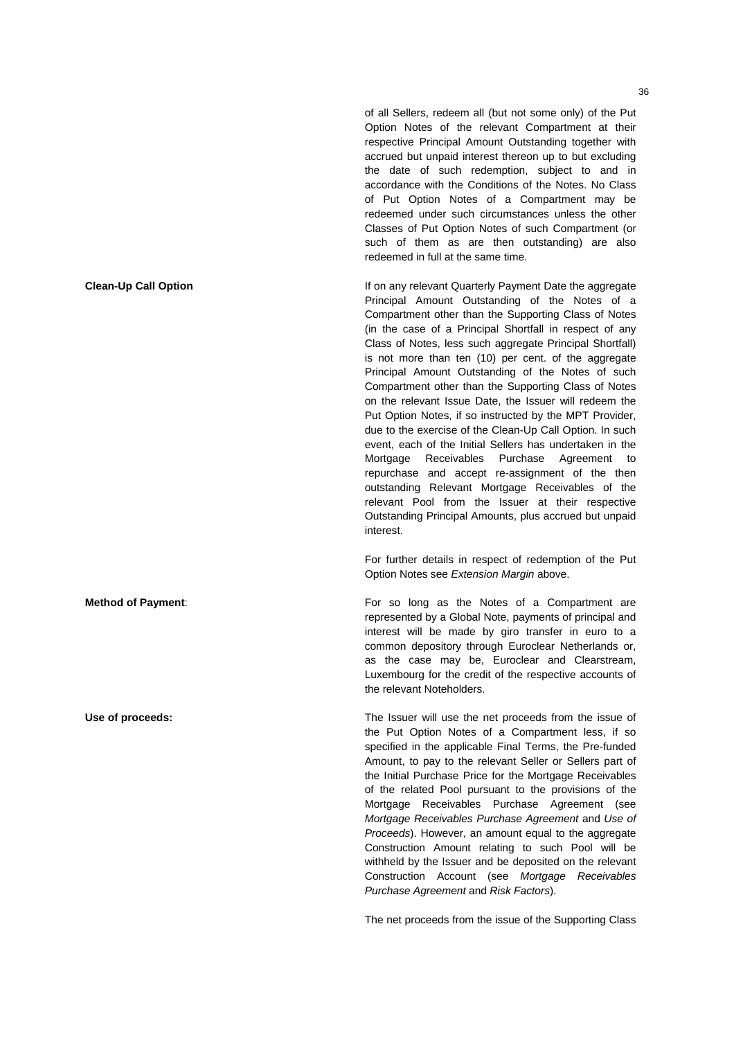of all Sellers, redeem all (but not some only) of the Put Option Notes of the relevant Compartment at their respective Principal Amount Outstanding together with accrued but unpaid interest thereon up to but excluding the date of such redemption, subject to and in accordance with the Conditions of the Notes. No Class of Put Option Notes of a Compartment may be redeemed under such circumstances unless the other Classes of Put Option Notes of such Compartment (or such of them as are then outstanding) are also redeemed in full at the same time.

**Clean-Up Call Option** If on any relevant Quarterly Payment Date the aggregate Principal Amount Outstanding of the Notes of a Compartment other than the Supporting Class of Notes (in the case of a Principal Shortfall in respect of any Class of Notes, less such aggregate Principal Shortfall) is not more than ten (10) per cent. of the aggregate Principal Amount Outstanding of the Notes of such Compartment other than the Supporting Class of Notes on the relevant Issue Date, the Issuer will redeem the Put Option Notes, if so instructed by the MPT Provider, due to the exercise of the Clean-Up Call Option. In such event, each of the Initial Sellers has undertaken in the Mortgage Receivables Purchase Agreement to repurchase and accept re-assignment of the then outstanding Relevant Mortgage Receivables of the relevant Pool from the Issuer at their respective Outstanding Principal Amounts, plus accrued but unpaid interest.

> For further details in respect of redemption of the Put Option Notes see *Extension Margin* above.

**Method of Payment:** For so long as the Notes of a Compartment are represented by a Global Note, payments of principal and interest will be made by giro transfer in euro to a common depository through Euroclear Netherlands or, as the case may be, Euroclear and Clearstream, Luxembourg for the credit of the respective accounts of the relevant Noteholders.

**Use of proceeds:** The Issuer will use the net proceeds from the issue of the Put Option Notes of a Compartment less, if so specified in the applicable Final Terms, the Pre-funded Amount, to pay to the relevant Seller or Sellers part of the Initial Purchase Price for the Mortgage Receivables of the related Pool pursuant to the provisions of the Mortgage Receivables Purchase Agreement (see *Mortgage Receivables Purchase Agreement* and *Use of Proceeds*). However, an amount equal to the aggregate Construction Amount relating to such Pool will be withheld by the Issuer and be deposited on the relevant Construction Account (see *Mortgage Receivables Purchase Agreement* and *Risk Factors*).

The net proceeds from the issue of the Supporting Class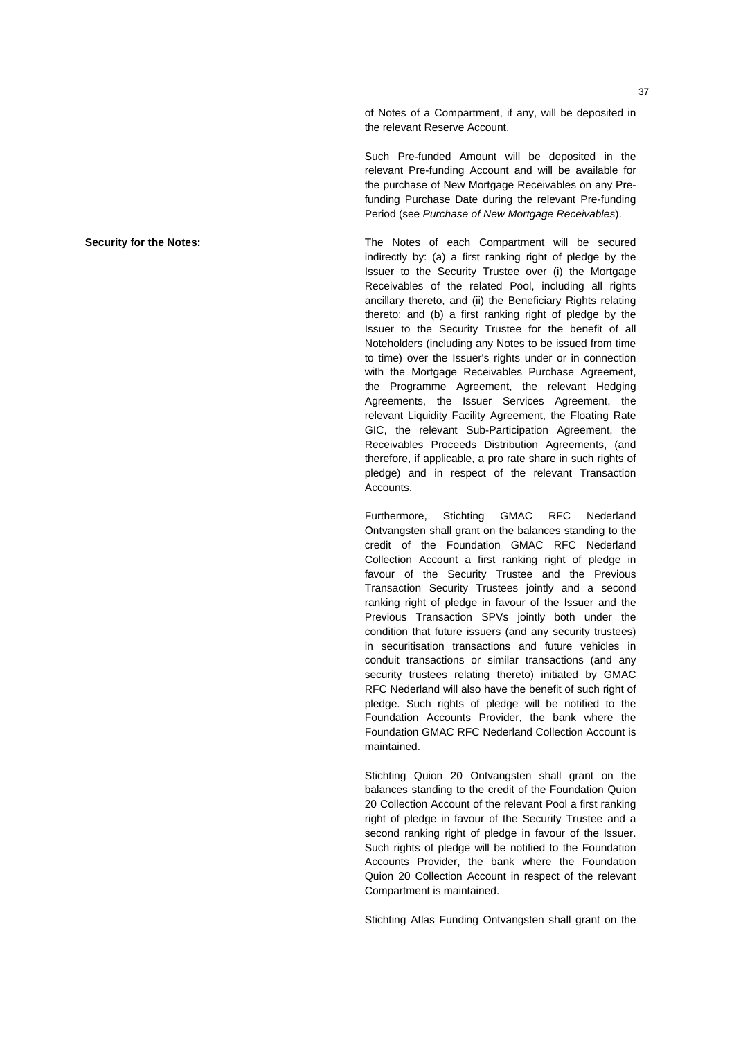of Notes of a Compartment, if any, will be deposited in the relevant Reserve Account.

Such Pre-funded Amount will be deposited in the relevant Pre-funding Account and will be available for the purchase of New Mortgage Receivables on any Prefunding Purchase Date during the relevant Pre-funding Period (see *Purchase of New Mortgage Receivables*).

**Security for the Notes:** The Notes of each Compartment will be secured indirectly by: (a) a first ranking right of pledge by the Issuer to the Security Trustee over (i) the Mortgage Receivables of the related Pool, including all rights ancillary thereto, and (ii) the Beneficiary Rights relating thereto; and (b) a first ranking right of pledge by the Issuer to the Security Trustee for the benefit of all Noteholders (including any Notes to be issued from time to time) over the Issuer's rights under or in connection with the Mortgage Receivables Purchase Agreement, the Programme Agreement, the relevant Hedging Agreements, the Issuer Services Agreement, the relevant Liquidity Facility Agreement, the Floating Rate GIC, the relevant Sub-Participation Agreement, the Receivables Proceeds Distribution Agreements, (and therefore, if applicable, a pro rate share in such rights of pledge) and in respect of the relevant Transaction Accounts.

> Furthermore, Stichting GMAC RFC Nederland Ontvangsten shall grant on the balances standing to the credit of the Foundation GMAC RFC Nederland Collection Account a first ranking right of pledge in favour of the Security Trustee and the Previous Transaction Security Trustees jointly and a second ranking right of pledge in favour of the Issuer and the Previous Transaction SPVs jointly both under the condition that future issuers (and any security trustees) in securitisation transactions and future vehicles in conduit transactions or similar transactions (and any security trustees relating thereto) initiated by GMAC RFC Nederland will also have the benefit of such right of pledge. Such rights of pledge will be notified to the Foundation Accounts Provider, the bank where the Foundation GMAC RFC Nederland Collection Account is maintained.

> Stichting Quion 20 Ontvangsten shall grant on the balances standing to the credit of the Foundation Quion 20 Collection Account of the relevant Pool a first ranking right of pledge in favour of the Security Trustee and a second ranking right of pledge in favour of the Issuer. Such rights of pledge will be notified to the Foundation Accounts Provider, the bank where the Foundation Quion 20 Collection Account in respect of the relevant Compartment is maintained.

> Stichting Atlas Funding Ontvangsten shall grant on the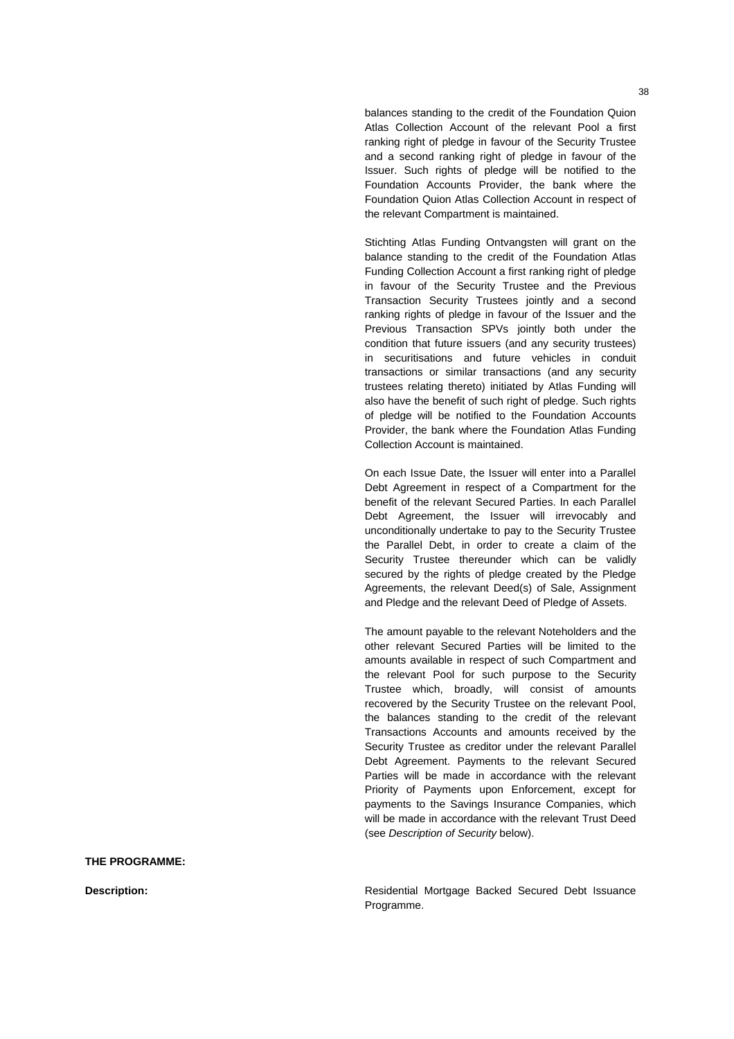balances standing to the credit of the Foundation Quion Atlas Collection Account of the relevant Pool a first ranking right of pledge in favour of the Security Trustee and a second ranking right of pledge in favour of the Issuer. Such rights of pledge will be notified to the Foundation Accounts Provider, the bank where the Foundation Quion Atlas Collection Account in respect of the relevant Compartment is maintained.

Stichting Atlas Funding Ontvangsten will grant on the balance standing to the credit of the Foundation Atlas Funding Collection Account a first ranking right of pledge in favour of the Security Trustee and the Previous Transaction Security Trustees jointly and a second ranking rights of pledge in favour of the Issuer and the Previous Transaction SPVs jointly both under the condition that future issuers (and any security trustees) in securitisations and future vehicles in conduit transactions or similar transactions (and any security trustees relating thereto) initiated by Atlas Funding will also have the benefit of such right of pledge. Such rights of pledge will be notified to the Foundation Accounts Provider, the bank where the Foundation Atlas Funding Collection Account is maintained.

On each Issue Date, the Issuer will enter into a Parallel Debt Agreement in respect of a Compartment for the benefit of the relevant Secured Parties. In each Parallel Debt Agreement, the Issuer will irrevocably and unconditionally undertake to pay to the Security Trustee the Parallel Debt, in order to create a claim of the Security Trustee thereunder which can be validly secured by the rights of pledge created by the Pledge Agreements, the relevant Deed(s) of Sale, Assignment and Pledge and the relevant Deed of Pledge of Assets.

The amount payable to the relevant Noteholders and the other relevant Secured Parties will be limited to the amounts available in respect of such Compartment and the relevant Pool for such purpose to the Security Trustee which, broadly, will consist of amounts recovered by the Security Trustee on the relevant Pool, the balances standing to the credit of the relevant Transactions Accounts and amounts received by the Security Trustee as creditor under the relevant Parallel Debt Agreement. Payments to the relevant Secured Parties will be made in accordance with the relevant Priority of Payments upon Enforcement, except for payments to the Savings Insurance Companies, which will be made in accordance with the relevant Trust Deed (see *Description of Security* below).

**THE PROGRAMME:** 

**Description: Residential Mortgage Backed Secured Debt Issuance Description: Residential Mortgage Backed Secured Debt Issuance** Programme.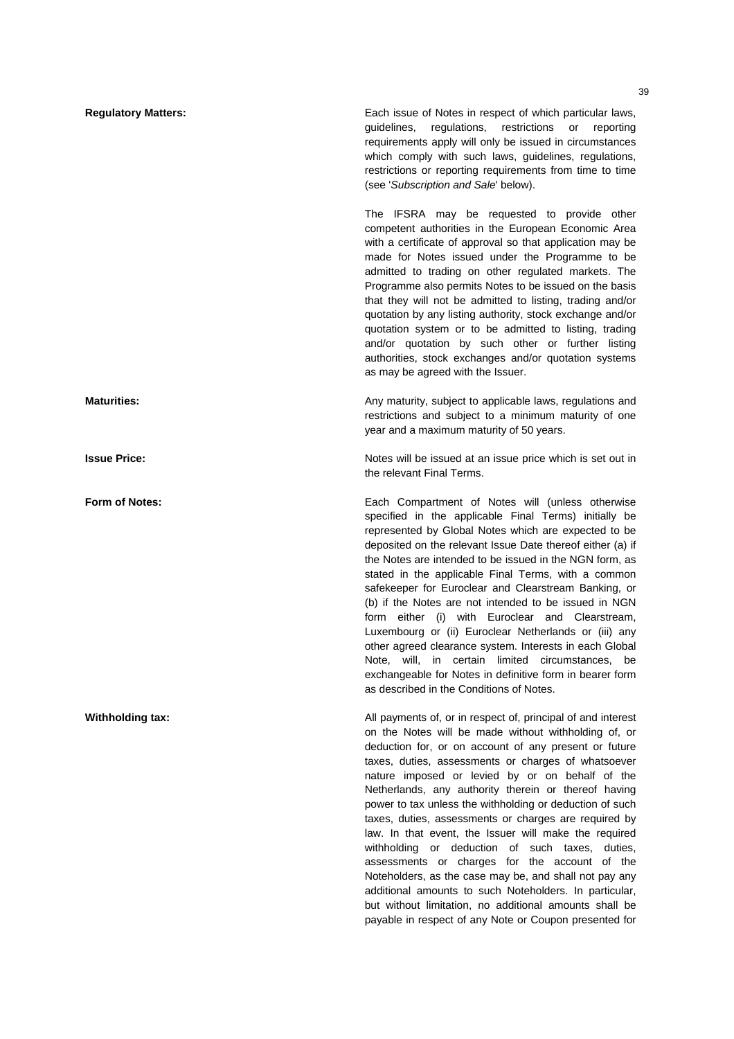**Regulatory Matters:** Each issue of Notes in respect of which particular laws, guidelines, regulations, restrictions or reporting requirements apply will only be issued in circumstances which comply with such laws, guidelines, regulations, restrictions or reporting requirements from time to time (see '*Subscription and Sale*' below). The IFSRA may be requested to provide other competent authorities in the European Economic Area with a certificate of approval so that application may be made for Notes issued under the Programme to be admitted to trading on other regulated markets. The Programme also permits Notes to be issued on the basis that they will not be admitted to listing, trading and/or quotation by any listing authority, stock exchange and/or quotation system or to be admitted to listing, trading and/or quotation by such other or further listing authorities, stock exchanges and/or quotation systems as may be agreed with the Issuer. **Maturities: Any maturity, subject to applicable laws, regulations and Maturities: Any maturity, subject to applicable laws, regulations and** restrictions and subject to a minimum maturity of one year and a maximum maturity of 50 years. **Issue Price: Notes will be issued at an issue price which is set out in** Notes will be issued at an issue price which is set out in the relevant Final Terms. **Form of Notes:** Each Compartment of Notes will (unless otherwise specified in the applicable Final Terms) initially be represented by Global Notes which are expected to be deposited on the relevant Issue Date thereof either (a) if the Notes are intended to be issued in the NGN form, as stated in the applicable Final Terms, with a common safekeeper for Euroclear and Clearstream Banking, or (b) if the Notes are not intended to be issued in NGN form either (i) with Euroclear and Clearstream, Luxembourg or (ii) Euroclear Netherlands or (iii) any other agreed clearance system. Interests in each Global Note, will, in certain limited circumstances, be exchangeable for Notes in definitive form in bearer form as described in the Conditions of Notes. **Withholding tax: All payments of, or in respect of, principal of and interest** on the Notes will be made without withholding of, or deduction for, or on account of any present or future taxes, duties, assessments or charges of whatsoever nature imposed or levied by or on behalf of the Netherlands, any authority therein or thereof having power to tax unless the withholding or deduction of such taxes, duties, assessments or charges are required by law. In that event, the Issuer will make the required withholding or deduction of such taxes, duties, assessments or charges for the account of the Noteholders, as the case may be, and shall not pay any additional amounts to such Noteholders. In particular, but without limitation, no additional amounts shall be payable in respect of any Note or Coupon presented for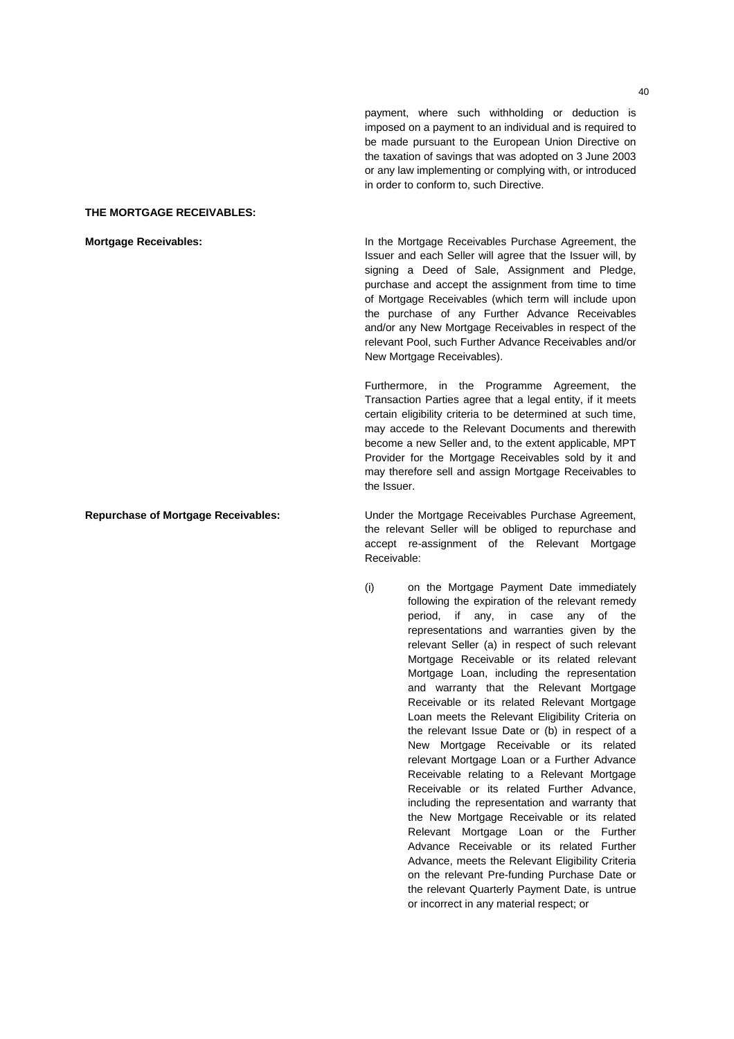payment, where such withholding or deduction is imposed on a payment to an individual and is required to be made pursuant to the European Union Directive on the taxation of savings that was adopted on 3 June 2003 or any law implementing or complying with, or introduced in order to conform to, such Directive.

## **THE MORTGAGE RECEIVABLES:**

**Mortgage Receivables:** In the Mortgage Receivables Purchase Agreement, the Issuer and each Seller will agree that the Issuer will, by signing a Deed of Sale, Assignment and Pledge, purchase and accept the assignment from time to time of Mortgage Receivables (which term will include upon the purchase of any Further Advance Receivables and/or any New Mortgage Receivables in respect of the relevant Pool, such Further Advance Receivables and/or New Mortgage Receivables).

> Furthermore, in the Programme Agreement, the Transaction Parties agree that a legal entity, if it meets certain eligibility criteria to be determined at such time, may accede to the Relevant Documents and therewith become a new Seller and, to the extent applicable, MPT Provider for the Mortgage Receivables sold by it and may therefore sell and assign Mortgage Receivables to the Issuer.

**Repurchase of Mortgage Receivables:** Under the Mortgage Receivables Purchase Agreement, the relevant Seller will be obliged to repurchase and accept re-assignment of the Relevant Mortgage Receivable:

> (i) on the Mortgage Payment Date immediately following the expiration of the relevant remedy period, if any, in case any of the representations and warranties given by the relevant Seller (a) in respect of such relevant Mortgage Receivable or its related relevant Mortgage Loan, including the representation and warranty that the Relevant Mortgage Receivable or its related Relevant Mortgage Loan meets the Relevant Eligibility Criteria on the relevant Issue Date or (b) in respect of a New Mortgage Receivable or its related relevant Mortgage Loan or a Further Advance Receivable relating to a Relevant Mortgage Receivable or its related Further Advance, including the representation and warranty that the New Mortgage Receivable or its related Relevant Mortgage Loan or the Further Advance Receivable or its related Further Advance, meets the Relevant Eligibility Criteria on the relevant Pre-funding Purchase Date or the relevant Quarterly Payment Date, is untrue or incorrect in any material respect; or

 $40$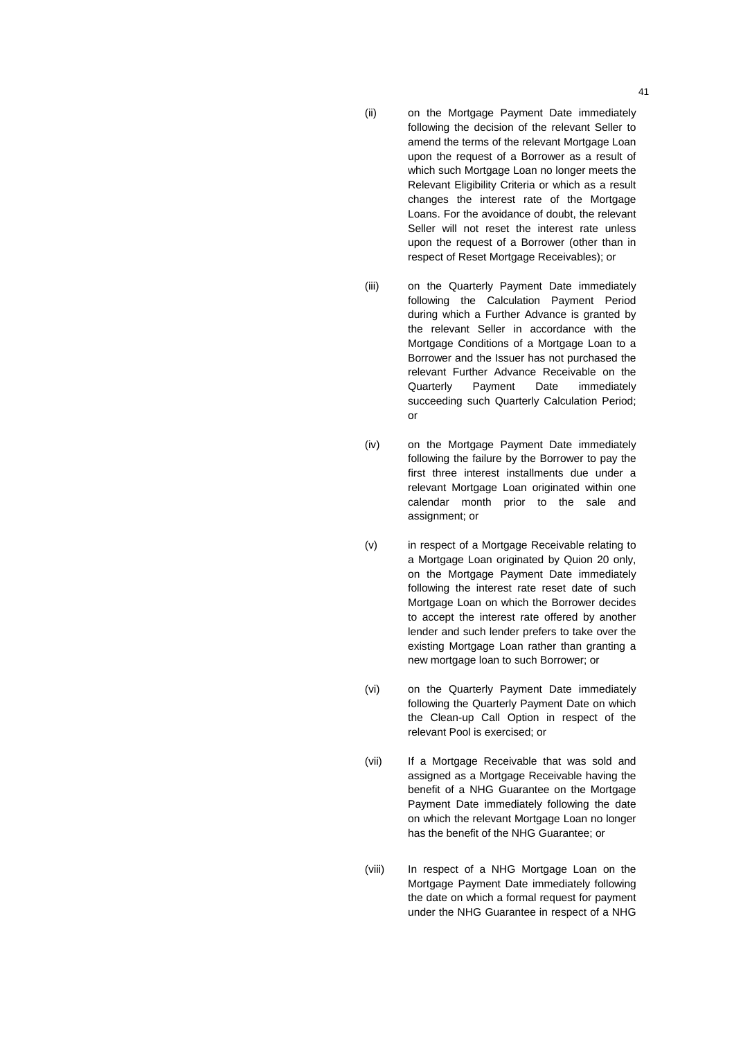- (ii) on the Mortgage Payment Date immediately following the decision of the relevant Seller to amend the terms of the relevant Mortgage Loan upon the request of a Borrower as a result of which such Mortgage Loan no longer meets the Relevant Eligibility Criteria or which as a result changes the interest rate of the Mortgage Loans. For the avoidance of doubt, the relevant Seller will not reset the interest rate unless upon the request of a Borrower (other than in respect of Reset Mortgage Receivables); or
- (iii) on the Quarterly Payment Date immediately following the Calculation Payment Period during which a Further Advance is granted by the relevant Seller in accordance with the Mortgage Conditions of a Mortgage Loan to a Borrower and the Issuer has not purchased the relevant Further Advance Receivable on the Quarterly Payment Date immediately succeeding such Quarterly Calculation Period; or
- (iv) on the Mortgage Payment Date immediately following the failure by the Borrower to pay the first three interest installments due under a relevant Mortgage Loan originated within one calendar month prior to the sale and assignment; or
- (v) in respect of a Mortgage Receivable relating to a Mortgage Loan originated by Quion 20 only, on the Mortgage Payment Date immediately following the interest rate reset date of such Mortgage Loan on which the Borrower decides to accept the interest rate offered by another lender and such lender prefers to take over the existing Mortgage Loan rather than granting a new mortgage loan to such Borrower; or
- (vi) on the Quarterly Payment Date immediately following the Quarterly Payment Date on which the Clean-up Call Option in respect of the relevant Pool is exercised; or
- (vii) If a Mortgage Receivable that was sold and assigned as a Mortgage Receivable having the benefit of a NHG Guarantee on the Mortgage Payment Date immediately following the date on which the relevant Mortgage Loan no longer has the benefit of the NHG Guarantee; or
- (viii) In respect of a NHG Mortgage Loan on the Mortgage Payment Date immediately following the date on which a formal request for payment under the NHG Guarantee in respect of a NHG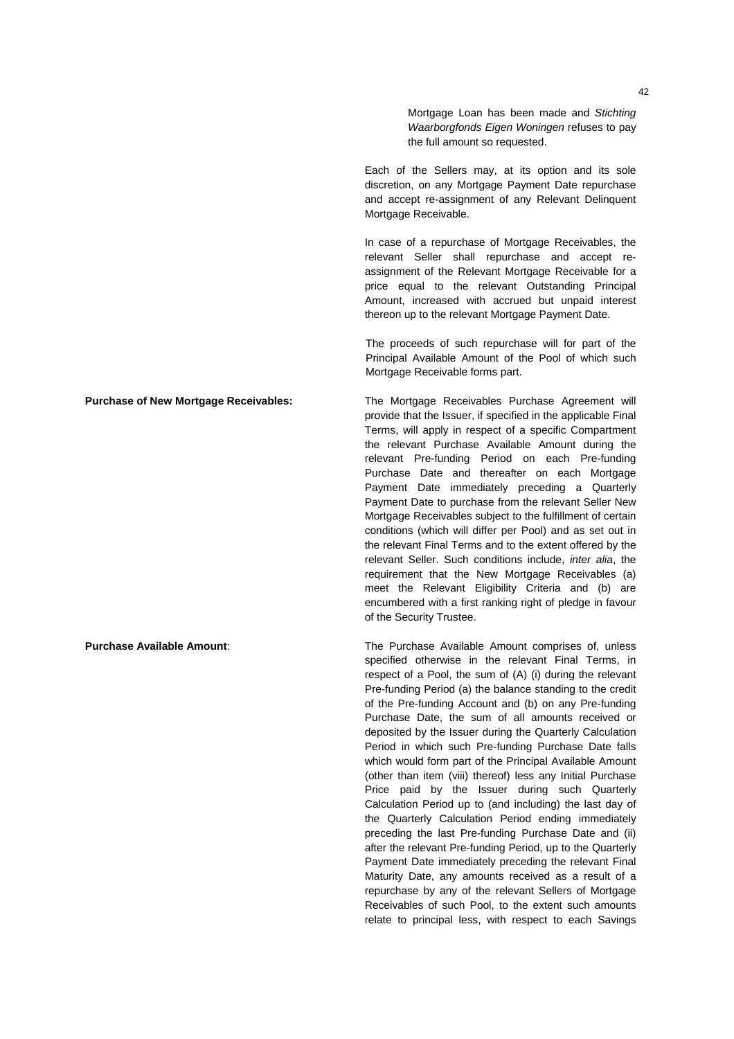Mortgage Loan has been made and *Stichting Waarborgfonds Eigen Woningen* refuses to pay the full amount so requested.

Each of the Sellers may, at its option and its sole discretion, on any Mortgage Payment Date repurchase and accept re-assignment of any Relevant Delinquent Mortgage Receivable.

In case of a repurchase of Mortgage Receivables, the relevant Seller shall repurchase and accept reassignment of the Relevant Mortgage Receivable for a price equal to the relevant Outstanding Principal Amount, increased with accrued but unpaid interest thereon up to the relevant Mortgage Payment Date.

The proceeds of such repurchase will for part of the Principal Available Amount of the Pool of which such Mortgage Receivable forms part.

**Purchase of New Mortgage Receivables:** The Mortgage Receivables Purchase Agreement will provide that the Issuer, if specified in the applicable Final Terms, will apply in respect of a specific Compartment the relevant Purchase Available Amount during the relevant Pre-funding Period on each Pre-funding Purchase Date and thereafter on each Mortgage Payment Date immediately preceding a Quarterly Payment Date to purchase from the relevant Seller New Mortgage Receivables subject to the fulfillment of certain conditions (which will differ per Pool) and as set out in the relevant Final Terms and to the extent offered by the relevant Seller. Such conditions include, *inter alia*, the requirement that the New Mortgage Receivables (a) meet the Relevant Eligibility Criteria and (b) are encumbered with a first ranking right of pledge in favour of the Security Trustee.

**Purchase Available Amount**: The Purchase Available Amount comprises of, unless specified otherwise in the relevant Final Terms, in respect of a Pool, the sum of (A) (i) during the relevant Pre-funding Period (a) the balance standing to the credit of the Pre-funding Account and (b) on any Pre-funding Purchase Date, the sum of all amounts received or deposited by the Issuer during the Quarterly Calculation Period in which such Pre-funding Purchase Date falls which would form part of the Principal Available Amount (other than item (viii) thereof) less any Initial Purchase Price paid by the Issuer during such Quarterly Calculation Period up to (and including) the last day of the Quarterly Calculation Period ending immediately preceding the last Pre-funding Purchase Date and (ii) after the relevant Pre-funding Period, up to the Quarterly Payment Date immediately preceding the relevant Final Maturity Date, any amounts received as a result of a repurchase by any of the relevant Sellers of Mortgage Receivables of such Pool, to the extent such amounts relate to principal less, with respect to each Savings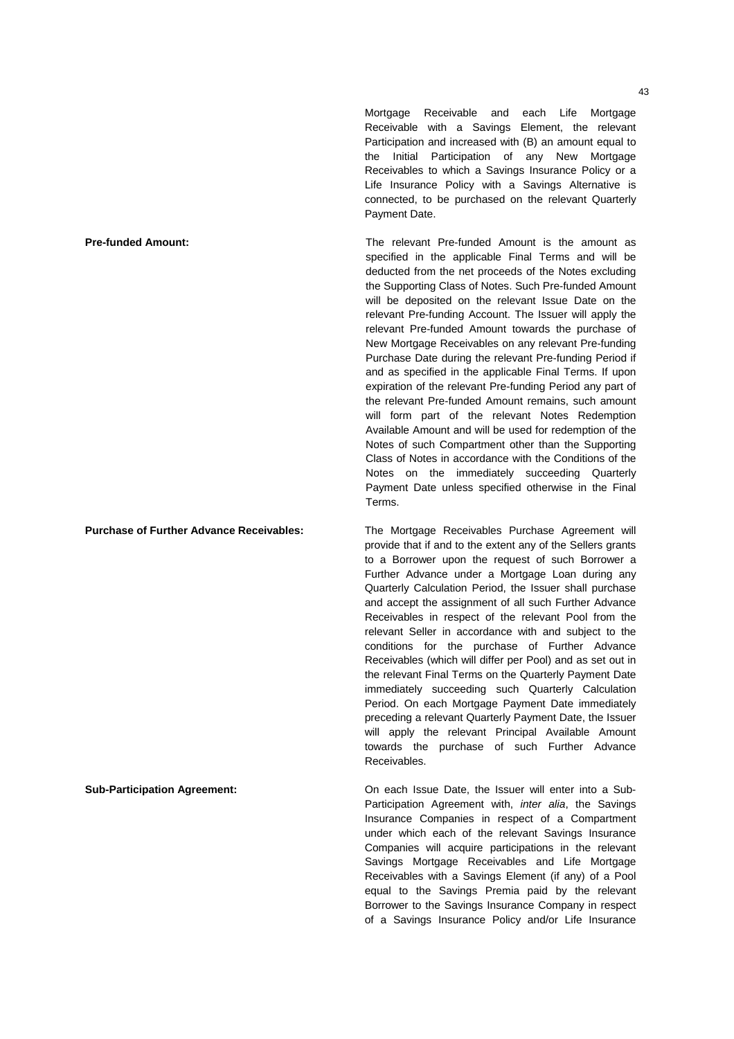Mortgage Receivable and each Life Mortgage Receivable with a Savings Element, the relevant Participation and increased with (B) an amount equal to the Initial Participation of any New Mortgage Receivables to which a Savings Insurance Policy or a Life Insurance Policy with a Savings Alternative is connected, to be purchased on the relevant Quarterly Payment Date.

**Pre-funded Amount: The relevant Pre-funded Amount is the amount as** specified in the applicable Final Terms and will be deducted from the net proceeds of the Notes excluding the Supporting Class of Notes. Such Pre-funded Amount will be deposited on the relevant Issue Date on the relevant Pre-funding Account. The Issuer will apply the relevant Pre-funded Amount towards the purchase of New Mortgage Receivables on any relevant Pre-funding Purchase Date during the relevant Pre-funding Period if and as specified in the applicable Final Terms. If upon expiration of the relevant Pre-funding Period any part of the relevant Pre-funded Amount remains, such amount will form part of the relevant Notes Redemption Available Amount and will be used for redemption of the Notes of such Compartment other than the Supporting Class of Notes in accordance with the Conditions of the Notes on the immediately succeeding Quarterly Payment Date unless specified otherwise in the Final Terms.

**Purchase of Further Advance Receivables:** The Mortgage Receivables Purchase Agreement will provide that if and to the extent any of the Sellers grants to a Borrower upon the request of such Borrower a Further Advance under a Mortgage Loan during any Quarterly Calculation Period, the Issuer shall purchase and accept the assignment of all such Further Advance Receivables in respect of the relevant Pool from the relevant Seller in accordance with and subject to the conditions for the purchase of Further Advance Receivables (which will differ per Pool) and as set out in the relevant Final Terms on the Quarterly Payment Date immediately succeeding such Quarterly Calculation Period. On each Mortgage Payment Date immediately preceding a relevant Quarterly Payment Date, the Issuer will apply the relevant Principal Available Amount towards the purchase of such Further Advance Receivables.

**Sub-Participation Agreement:** On each Issue Date, the Issuer will enter into a Sub-Participation Agreement with, *inter alia*, the Savings Insurance Companies in respect of a Compartment under which each of the relevant Savings Insurance Companies will acquire participations in the relevant Savings Mortgage Receivables and Life Mortgage Receivables with a Savings Element (if any) of a Pool equal to the Savings Premia paid by the relevant Borrower to the Savings Insurance Company in respect of a Savings Insurance Policy and/or Life Insurance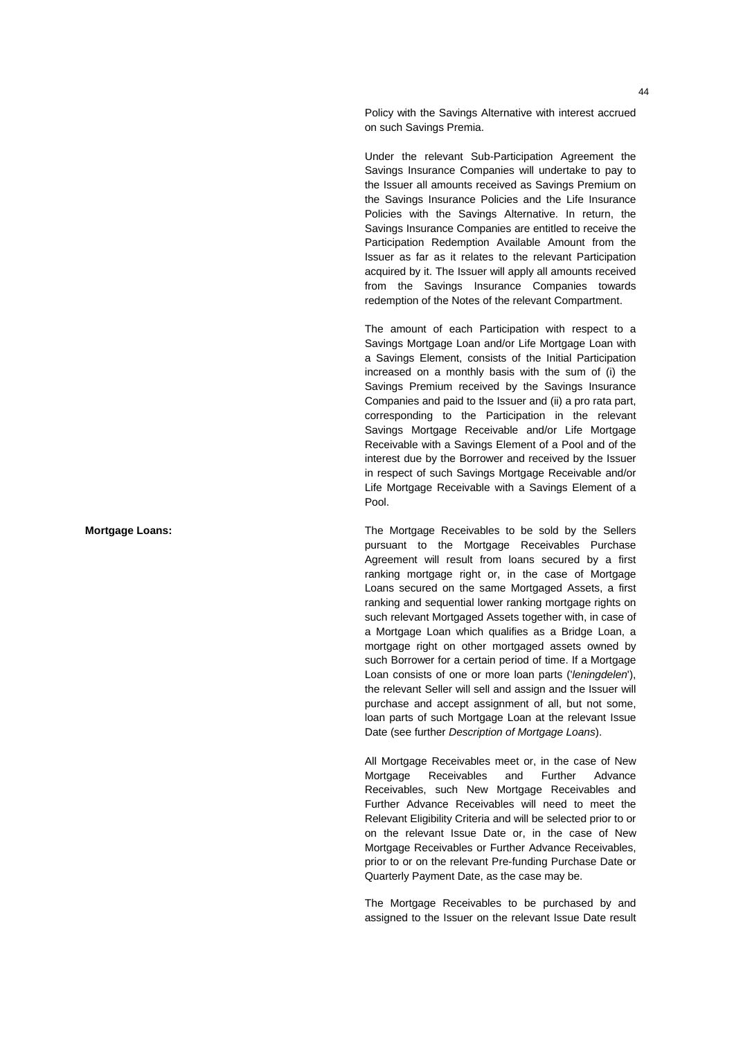Policy with the Savings Alternative with interest accrued on such Savings Premia.

Under the relevant Sub-Participation Agreement the Savings Insurance Companies will undertake to pay to the Issuer all amounts received as Savings Premium on the Savings Insurance Policies and the Life Insurance Policies with the Savings Alternative. In return, the Savings Insurance Companies are entitled to receive the Participation Redemption Available Amount from the Issuer as far as it relates to the relevant Participation acquired by it. The Issuer will apply all amounts received from the Savings Insurance Companies towards redemption of the Notes of the relevant Compartment.

The amount of each Participation with respect to a Savings Mortgage Loan and/or Life Mortgage Loan with a Savings Element, consists of the Initial Participation increased on a monthly basis with the sum of (i) the Savings Premium received by the Savings Insurance Companies and paid to the Issuer and (ii) a pro rata part, corresponding to the Participation in the relevant Savings Mortgage Receivable and/or Life Mortgage Receivable with a Savings Element of a Pool and of the interest due by the Borrower and received by the Issuer in respect of such Savings Mortgage Receivable and/or Life Mortgage Receivable with a Savings Element of a Pool.

**Mortgage Loans:** The Mortgage Receivables to be sold by the Sellers pursuant to the Mortgage Receivables Purchase Agreement will result from loans secured by a first ranking mortgage right or, in the case of Mortgage Loans secured on the same Mortgaged Assets, a first ranking and sequential lower ranking mortgage rights on such relevant Mortgaged Assets together with, in case of a Mortgage Loan which qualifies as a Bridge Loan, a mortgage right on other mortgaged assets owned by such Borrower for a certain period of time. If a Mortgage Loan consists of one or more loan parts ('*leningdelen*'), the relevant Seller will sell and assign and the Issuer will purchase and accept assignment of all, but not some, loan parts of such Mortgage Loan at the relevant Issue Date (see further *Description of Mortgage Loans*).

> All Mortgage Receivables meet or, in the case of New Mortgage Receivables and Further Advance Receivables, such New Mortgage Receivables and Further Advance Receivables will need to meet the Relevant Eligibility Criteria and will be selected prior to or on the relevant Issue Date or, in the case of New Mortgage Receivables or Further Advance Receivables, prior to or on the relevant Pre-funding Purchase Date or Quarterly Payment Date, as the case may be.

> The Mortgage Receivables to be purchased by and assigned to the Issuer on the relevant Issue Date result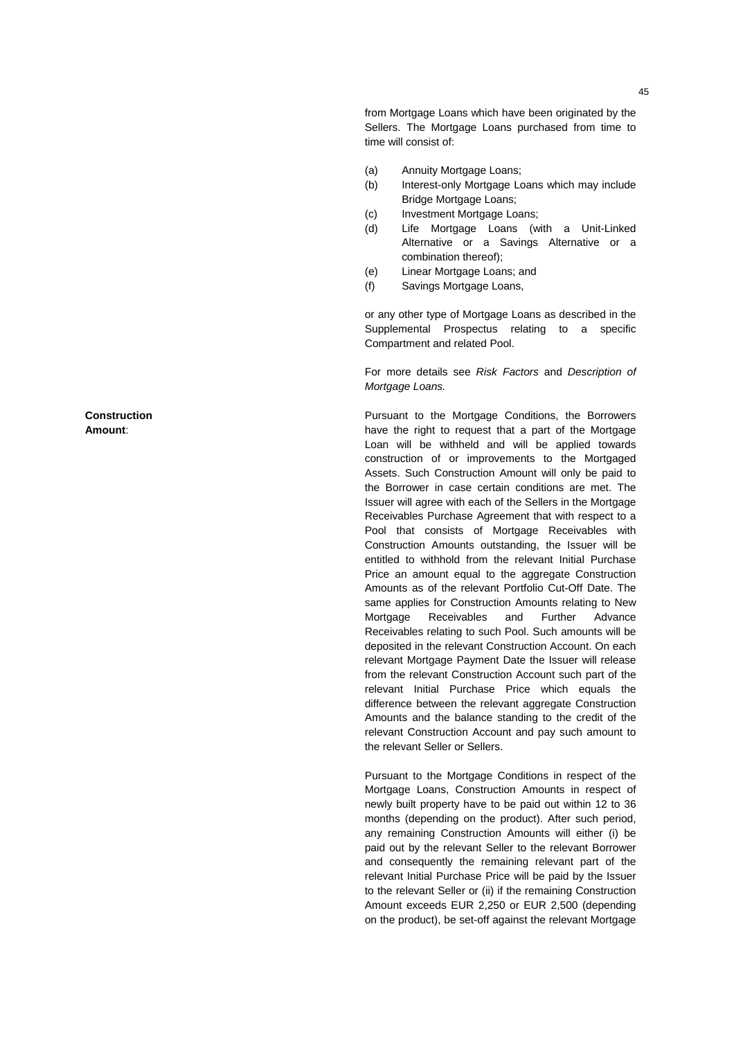from Mortgage Loans which have been originated by the Sellers. The Mortgage Loans purchased from time to time will consist of:

- (a) Annuity Mortgage Loans;
- (b) Interest-only Mortgage Loans which may include Bridge Mortgage Loans;
- (c) Investment Mortgage Loans;
- (d) Life Mortgage Loans (with a Unit-Linked Alternative or a Savings Alternative or a combination thereof);
- (e) Linear Mortgage Loans; and
- (f) Savings Mortgage Loans,

or any other type of Mortgage Loans as described in the Supplemental Prospectus relating to a specific Compartment and related Pool.

For more details see *Risk Factors* and *Description of Mortgage Loans.*

Pursuant to the Mortgage Conditions, the Borrowers have the right to request that a part of the Mortgage Loan will be withheld and will be applied towards construction of or improvements to the Mortgaged Assets. Such Construction Amount will only be paid to the Borrower in case certain conditions are met. The Issuer will agree with each of the Sellers in the Mortgage Receivables Purchase Agreement that with respect to a Pool that consists of Mortgage Receivables with Construction Amounts outstanding, the Issuer will be entitled to withhold from the relevant Initial Purchase Price an amount equal to the aggregate Construction Amounts as of the relevant Portfolio Cut-Off Date. The same applies for Construction Amounts relating to New Mortgage Receivables and Further Advance Receivables relating to such Pool. Such amounts will be deposited in the relevant Construction Account. On each relevant Mortgage Payment Date the Issuer will release from the relevant Construction Account such part of the relevant Initial Purchase Price which equals the difference between the relevant aggregate Construction Amounts and the balance standing to the credit of the relevant Construction Account and pay such amount to the relevant Seller or Sellers.

Pursuant to the Mortgage Conditions in respect of the Mortgage Loans, Construction Amounts in respect of newly built property have to be paid out within 12 to 36 months (depending on the product). After such period, any remaining Construction Amounts will either (i) be paid out by the relevant Seller to the relevant Borrower and consequently the remaining relevant part of the relevant Initial Purchase Price will be paid by the Issuer to the relevant Seller or (ii) if the remaining Construction Amount exceeds EUR 2,250 or EUR 2,500 (depending on the product), be set-off against the relevant Mortgage

**Construction Amount** :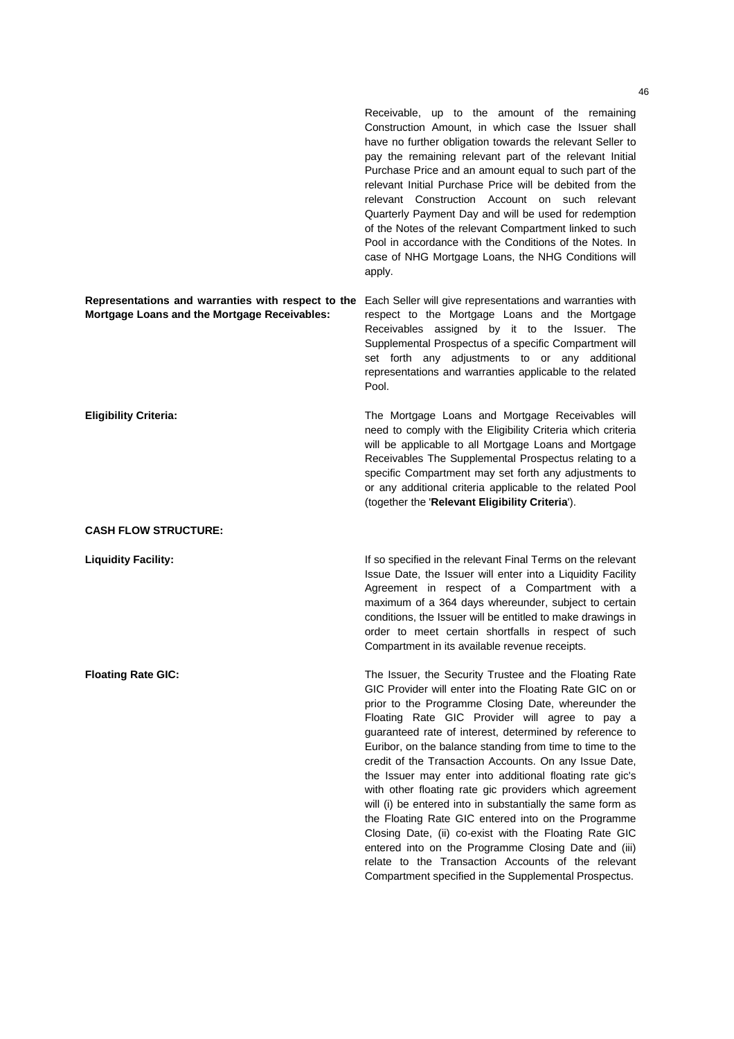Receivable, up to the amount of the remaining Construction Amount, in which case the Issuer shall have no further obligation towards the relevant Seller to pay the remaining relevant part of the relevant Initial Purchase Price and an amount equal to such part of the relevant Initial Purchase Price will be debited from the relevant Construction Account on such relevant Quarterly Payment Day and will be used for redemption of the Notes of the relevant Compartment linked to such Pool in accordance with the Conditions of the Notes. In case of NHG Mortgage Loans, the NHG Conditions will apply.

**Representations and warranties with respect to the**  Each Seller will give representations and warranties with **Mortgage Loans and the Mortgage Receivables:**  respect to the Mortgage Loans and the Mortgage Receivables assigned by it to the Issuer. The Supplemental Prospectus of a specific Compartment will set forth any adjustments to or any additional representations and warranties applicable to the related Pool.

**Eligibility Criteria:** The Mortgage Loans and Mortgage Receivables will need to comply with the Eligibility Criteria which criteria will be applicable to all Mortgage Loans and Mortgage Receivables The Supplemental Prospectus relating to a specific Compartment may set forth any adjustments to or any additional criteria applicable to the related Pool (together the '**Relevant Eligibility Criteria**').

**CASH FLOW STRUCTURE:** 

**Liquidity Facility:** If so specified in the relevant Final Terms on the relevant Issue Date, the Issuer will enter into a Liquidity Facility Agreement in respect of a Compartment with a maximum of a 364 days whereunder, subject to certain conditions, the Issuer will be entitled to make drawings in order to meet certain shortfalls in respect of such Compartment in its available revenue receipts.

**Floating Rate GIC:** The Issuer, the Security Trustee and the Floating Rate GIC Provider will enter into the Floating Rate GIC on or prior to the Programme Closing Date, whereunder the Floating Rate GIC Provider will agree to pay a guaranteed rate of interest, determined by reference to Euribor, on the balance standing from time to time to the credit of the Transaction Accounts. On any Issue Date, the Issuer may enter into additional floating rate gic's with other floating rate gic providers which agreement will (i) be entered into in substantially the same form as the Floating Rate GIC entered into on the Programme Closing Date, (ii) co-exist with the Floating Rate GIC entered into on the Programme Closing Date and (iii) relate to the Transaction Accounts of the relevant Compartment specified in the Supplemental Prospectus.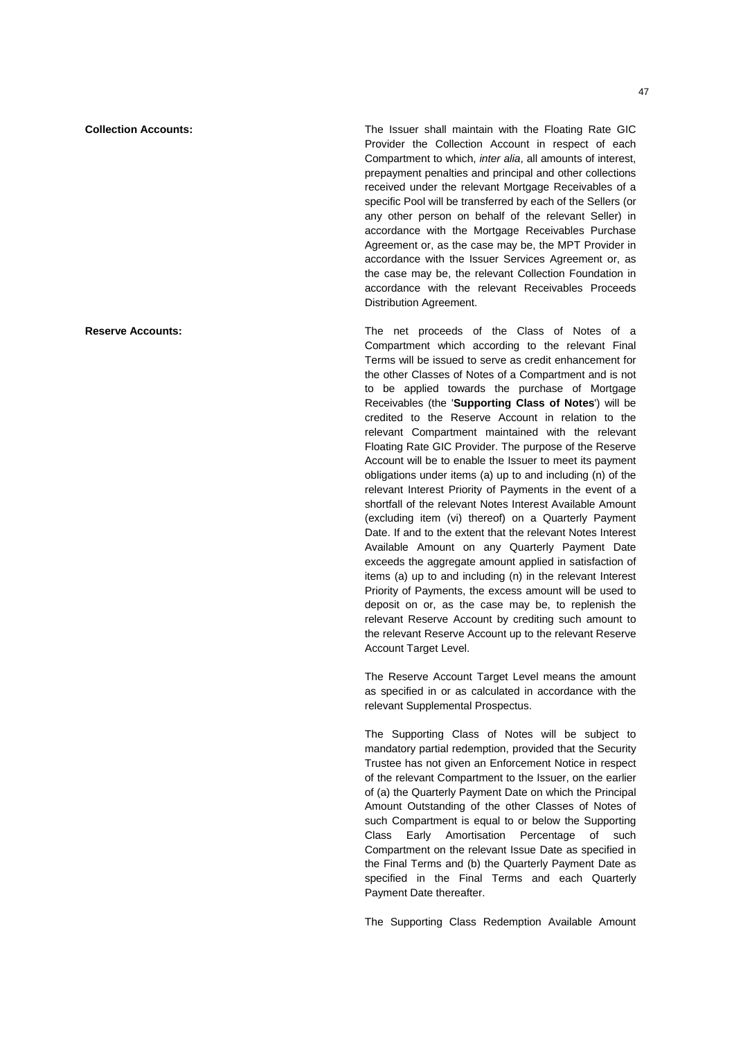**Collection Accounts:** The Issuer shall maintain with the Floating Rate GIC Provider the Collection Account in respect of each Compartment to which, *inter alia*, all amounts of interest, prepayment penalties and principal and other collections received under the relevant Mortgage Receivables of a specific Pool will be transferred by each of the Sellers (or any other person on behalf of the relevant Seller) in accordance with the Mortgage Receivables Purchase Agreement or, as the case may be, the MPT Provider in accordance with the Issuer Services Agreement or, as the case may be, the relevant Collection Foundation in accordance with the relevant Receivables Proceeds Distribution Agreement.

**Reserve Accounts: The net proceeds of the Class of Notes of a** Compartment which according to the relevant Final Terms will be issued to serve as credit enhancement for the other Classes of Notes of a Compartment and is not to be applied towards the purchase of Mortgage Receivables (the '**Supporting Class of Notes**') will be credited to the Reserve Account in relation to the relevant Compartment maintained with the relevant Floating Rate GIC Provider. The purpose of the Reserve Account will be to enable the Issuer to meet its payment obligations under items (a) up to and including (n) of the relevant Interest Priority of Payments in the event of a shortfall of the relevant Notes Interest Available Amount (excluding item (vi) thereof) on a Quarterly Payment Date. If and to the extent that the relevant Notes Interest Available Amount on any Quarterly Payment Date exceeds the aggregate amount applied in satisfaction of items (a) up to and including (n) in the relevant Interest Priority of Payments, the excess amount will be used to deposit on or, as the case may be, to replenish the relevant Reserve Account by crediting such amount to the relevant Reserve Account up to the relevant Reserve Account Target Level.

> The Reserve Account Target Level means the amount as specified in or as calculated in accordance with the relevant Supplemental Prospectus.

> The Supporting Class of Notes will be subject to mandatory partial redemption, provided that the Security Trustee has not given an Enforcement Notice in respect of the relevant Compartment to the Issuer, on the earlier of (a) the Quarterly Payment Date on which the Principal Amount Outstanding of the other Classes of Notes of such Compartment is equal to or below the Supporting Class Early Amortisation Percentage of such Compartment on the relevant Issue Date as specified in the Final Terms and (b) the Quarterly Payment Date as specified in the Final Terms and each Quarterly Payment Date thereafter.

> The Supporting Class Redemption Available Amount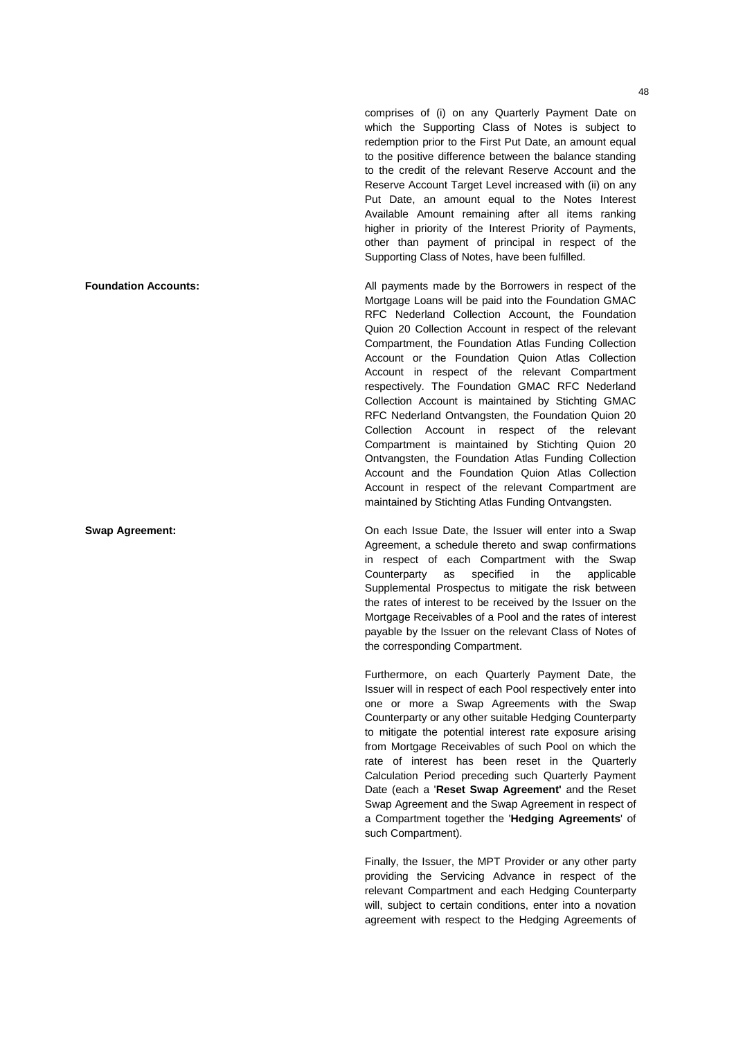comprises of (i) on any Quarterly Payment Date on which the Supporting Class of Notes is subject to redemption prior to the First Put Date, an amount equal to the positive difference between the balance standing to the credit of the relevant Reserve Account and the Reserve Account Target Level increased with (ii) on any Put Date, an amount equal to the Notes Interest Available Amount remaining after all items ranking higher in priority of the Interest Priority of Payments, other than payment of principal in respect of the Supporting Class of Notes, have been fulfilled.

**Foundation Accounts: All payments made by the Borrowers in respect of the** Mortgage Loans will be paid into the Foundation GMAC RFC Nederland Collection Account, the Foundation Quion 20 Collection Account in respect of the relevant Compartment, the Foundation Atlas Funding Collection Account or the Foundation Quion Atlas Collection Account in respect of the relevant Compartment respectively. The Foundation GMAC RFC Nederland Collection Account is maintained by Stichting GMAC RFC Nederland Ontvangsten, the Foundation Quion 20 Collection Account in respect of the relevant Compartment is maintained by Stichting Quion 20 Ontvangsten, the Foundation Atlas Funding Collection Account and the Foundation Quion Atlas Collection Account in respect of the relevant Compartment are maintained by Stichting Atlas Funding Ontvangsten.

**Swap Agreement: Swap Agreement: Swap Agreement: On each Issue Date, the Issuer will enter into a Swap** Agreement, a schedule thereto and swap confirmations in respect of each Compartment with the Swap Counterparty as specified in the applicable Supplemental Prospectus to mitigate the risk between the rates of interest to be received by the Issuer on the Mortgage Receivables of a Pool and the rates of interest payable by the Issuer on the relevant Class of Notes of the corresponding Compartment.

> Furthermore, on each Quarterly Payment Date, the Issuer will in respect of each Pool respectively enter into one or more a Swap Agreements with the Swap Counterparty or any other suitable Hedging Counterparty to mitigate the potential interest rate exposure arising from Mortgage Receivables of such Pool on which the rate of interest has been reset in the Quarterly Calculation Period preceding such Quarterly Payment Date (each a '**Reset Swap Agreement'** and the Reset Swap Agreement and the Swap Agreement in respect of a Compartment together the '**Hedging Agreements**' of such Compartment).

> Finally, the Issuer, the MPT Provider or any other party providing the Servicing Advance in respect of the relevant Compartment and each Hedging Counterparty will, subject to certain conditions, enter into a novation agreement with respect to the Hedging Agreements of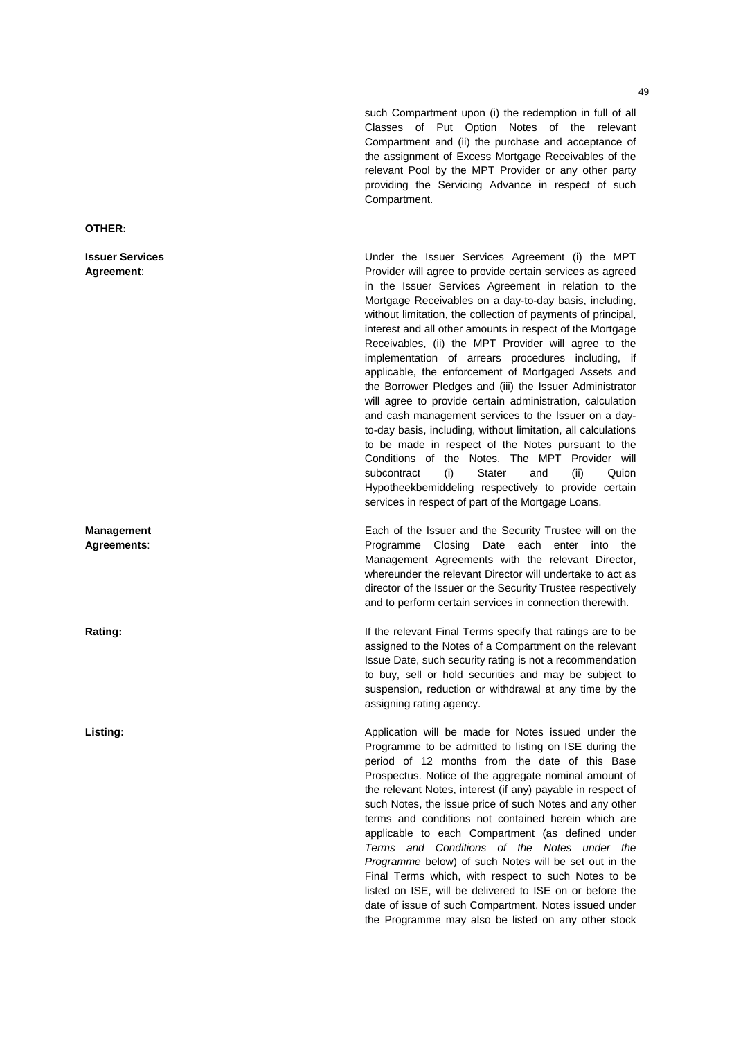such Compartment upon (i) the redemption in full of all Classes of Put Option Notes of the relevant Compartment and (ii) the purchase and acceptance of the assignment of Excess Mortgage Receivables of the relevant Pool by the MPT Provider or any other party providing the Servicing Advance in respect of such Compartment.

Under the Issuer Services Agreement (i) the MPT Provider will agree to provide certain services as agreed in the Issuer Services Agreement in relation to the Mortgage Receivables on a day-to-day basis, including, without limitation, the collection of payments of principal, interest and all other amounts in respect of the Mortgage Receivables, (ii) the MPT Provider will agree to the implementation of arrears procedures including, if applicable, the enforcement of Mortgaged Assets and the Borrower Pledges and (iii) the Issuer Administrator will agree to provide certain administration, calculation and cash management services to the Issuer on a dayto-day basis, including, without limitation, all calculations to be made in respect of the Notes pursuant to the Conditions of the Notes. The MPT Provider will subcontract (i) Stater and (ii) Quion Hypotheekbemiddeling respectively to provide certain services in respect of part of the Mortgage Loans.

Each of the Issuer and the Security Trustee will on the Programme Closing Date each enter into the Management Agreements with the relevant Director, whereunder the relevant Director will undertake to act as director of the Issuer or the Security Trustee respectively and to perform certain services in connection therewith.

**Rating:** If the relevant Final Terms specify that ratings are to be assigned to the Notes of a Compartment on the relevant Issue Date, such security rating is not a recommendation to buy, sell or hold securities and may be subject to suspension, reduction or withdrawal at any time by the assigning rating agency.

Listing: **Application will be made for Notes issued under the** heater the made for Notes issued under the Programme to be admitted to listing on ISE during the period of 12 months from the date of this Base Prospectus. Notice of the aggregate nominal amount of the relevant Notes, interest (if any) payable in respect of such Notes, the issue price of such Notes and any other terms and conditions not contained herein which are applicable to each Compartment (as defined under *Terms and Conditions of the Notes under the Programme* below) of such Notes will be set out in the Final Terms which, with respect to such Notes to be listed on ISE, will be delivered to ISE on or before the date of issue of such Compartment. Notes issued under the Programme may also be listed on any other stock

**OTHER:** 

**Issuer Services Agreement**:

**Management Agreements**: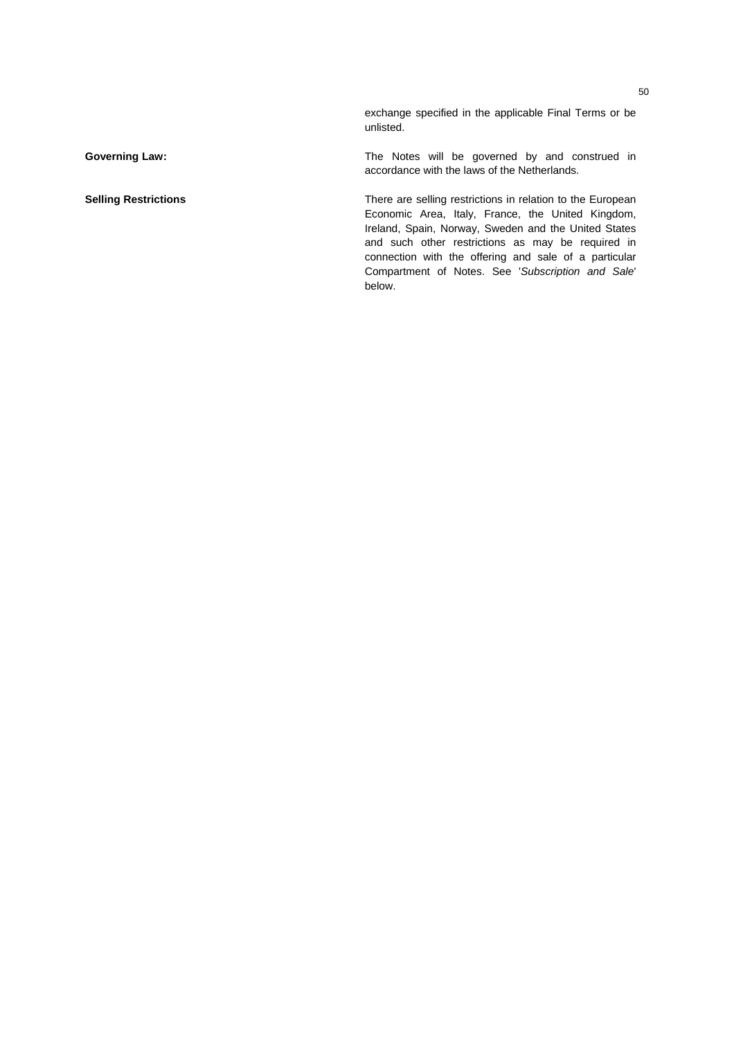exchange specified in the applicable Final Terms or be unlisted.

**Governing Law: Coverning Law: The Notes will be governed by and construed in** accordance with the laws of the Netherlands.

**Selling Restrictions There are selling restrictions in relation to the European** Economic Area, Italy, France, the United Kingdom, Ireland, Spain, Norway, Sweden and the United States and such other restrictions as may be required in connection with the offering and sale of a particular Compartment of Notes. See '*Subscription and Sale*' below.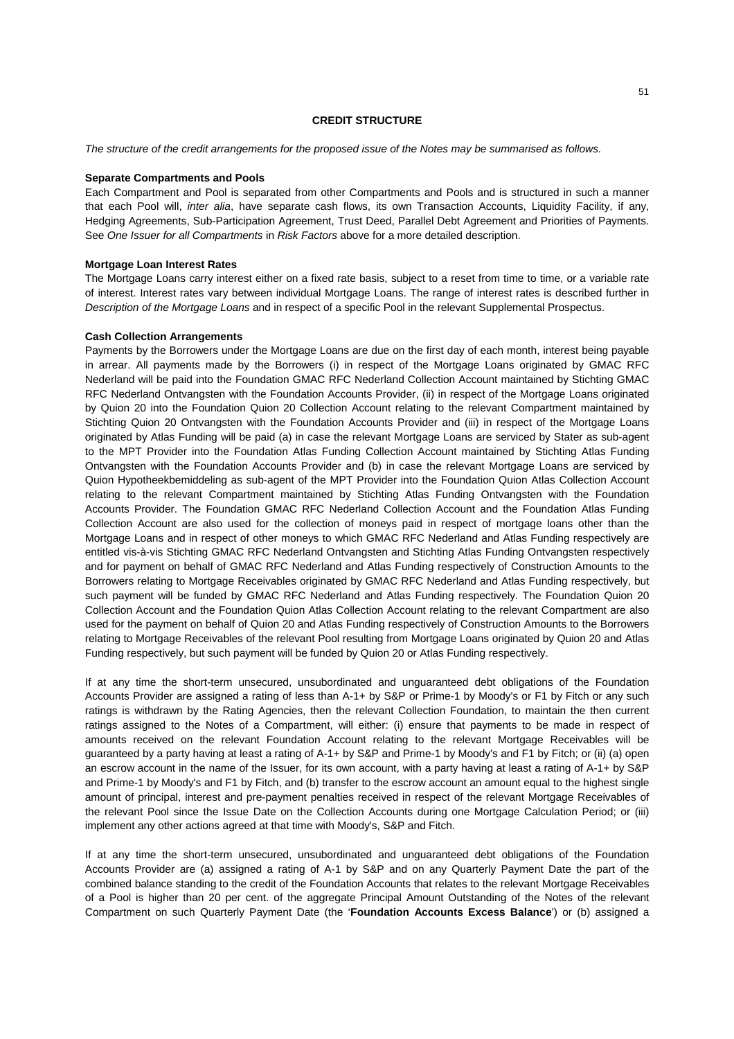## **CREDIT STRUCTURE**

*The structure of the credit arrangements for the proposed issue of the Notes may be summarised as follows.* 

#### **Separate Compartments and Pools**

Each Compartment and Pool is separated from other Compartments and Pools and is structured in such a manner that each Pool will, *inter alia*, have separate cash flows, its own Transaction Accounts, Liquidity Facility, if any, Hedging Agreements, Sub-Participation Agreement, Trust Deed, Parallel Debt Agreement and Priorities of Payments. See *One Issuer for all Compartments* in *Risk Factors* above for a more detailed description.

#### **Mortgage Loan Interest Rates**

The Mortgage Loans carry interest either on a fixed rate basis, subject to a reset from time to time, or a variable rate of interest. Interest rates vary between individual Mortgage Loans. The range of interest rates is described further in *Description of the Mortgage Loans* and in respect of a specific Pool in the relevant Supplemental Prospectus.

## **Cash Collection Arrangements**

Payments by the Borrowers under the Mortgage Loans are due on the first day of each month, interest being payable in arrear. All payments made by the Borrowers (i) in respect of the Mortgage Loans originated by GMAC RFC Nederland will be paid into the Foundation GMAC RFC Nederland Collection Account maintained by Stichting GMAC RFC Nederland Ontvangsten with the Foundation Accounts Provider, (ii) in respect of the Mortgage Loans originated by Quion 20 into the Foundation Quion 20 Collection Account relating to the relevant Compartment maintained by Stichting Quion 20 Ontvangsten with the Foundation Accounts Provider and (iii) in respect of the Mortgage Loans originated by Atlas Funding will be paid (a) in case the relevant Mortgage Loans are serviced by Stater as sub-agent to the MPT Provider into the Foundation Atlas Funding Collection Account maintained by Stichting Atlas Funding Ontvangsten with the Foundation Accounts Provider and (b) in case the relevant Mortgage Loans are serviced by Quion Hypotheekbemiddeling as sub-agent of the MPT Provider into the Foundation Quion Atlas Collection Account relating to the relevant Compartment maintained by Stichting Atlas Funding Ontvangsten with the Foundation Accounts Provider. The Foundation GMAC RFC Nederland Collection Account and the Foundation Atlas Funding Collection Account are also used for the collection of moneys paid in respect of mortgage loans other than the Mortgage Loans and in respect of other moneys to which GMAC RFC Nederland and Atlas Funding respectively are entitled vis-à-vis Stichting GMAC RFC Nederland Ontvangsten and Stichting Atlas Funding Ontvangsten respectively and for payment on behalf of GMAC RFC Nederland and Atlas Funding respectively of Construction Amounts to the Borrowers relating to Mortgage Receivables originated by GMAC RFC Nederland and Atlas Funding respectively, but such payment will be funded by GMAC RFC Nederland and Atlas Funding respectively. The Foundation Quion 20 Collection Account and the Foundation Quion Atlas Collection Account relating to the relevant Compartment are also used for the payment on behalf of Quion 20 and Atlas Funding respectively of Construction Amounts to the Borrowers relating to Mortgage Receivables of the relevant Pool resulting from Mortgage Loans originated by Quion 20 and Atlas Funding respectively, but such payment will be funded by Quion 20 or Atlas Funding respectively.

If at any time the short-term unsecured, unsubordinated and unguaranteed debt obligations of the Foundation Accounts Provider are assigned a rating of less than A-1+ by S&P or Prime-1 by Moody's or F1 by Fitch or any such ratings is withdrawn by the Rating Agencies, then the relevant Collection Foundation, to maintain the then current ratings assigned to the Notes of a Compartment, will either: (i) ensure that payments to be made in respect of amounts received on the relevant Foundation Account relating to the relevant Mortgage Receivables will be guaranteed by a party having at least a rating of A-1+ by S&P and Prime-1 by Moody's and F1 by Fitch; or (ii) (a) open an escrow account in the name of the Issuer, for its own account, with a party having at least a rating of A-1+ by S&P and Prime-1 by Moody's and F1 by Fitch, and (b) transfer to the escrow account an amount equal to the highest single amount of principal, interest and pre-payment penalties received in respect of the relevant Mortgage Receivables of the relevant Pool since the Issue Date on the Collection Accounts during one Mortgage Calculation Period; or (iii) implement any other actions agreed at that time with Moody's, S&P and Fitch.

If at any time the short-term unsecured, unsubordinated and unguaranteed debt obligations of the Foundation Accounts Provider are (a) assigned a rating of A-1 by S&P and on any Quarterly Payment Date the part of the combined balance standing to the credit of the Foundation Accounts that relates to the relevant Mortgage Receivables of a Pool is higher than 20 per cent. of the aggregate Principal Amount Outstanding of the Notes of the relevant Compartment on such Quarterly Payment Date (the '**Foundation Accounts Excess Balance**') or (b) assigned a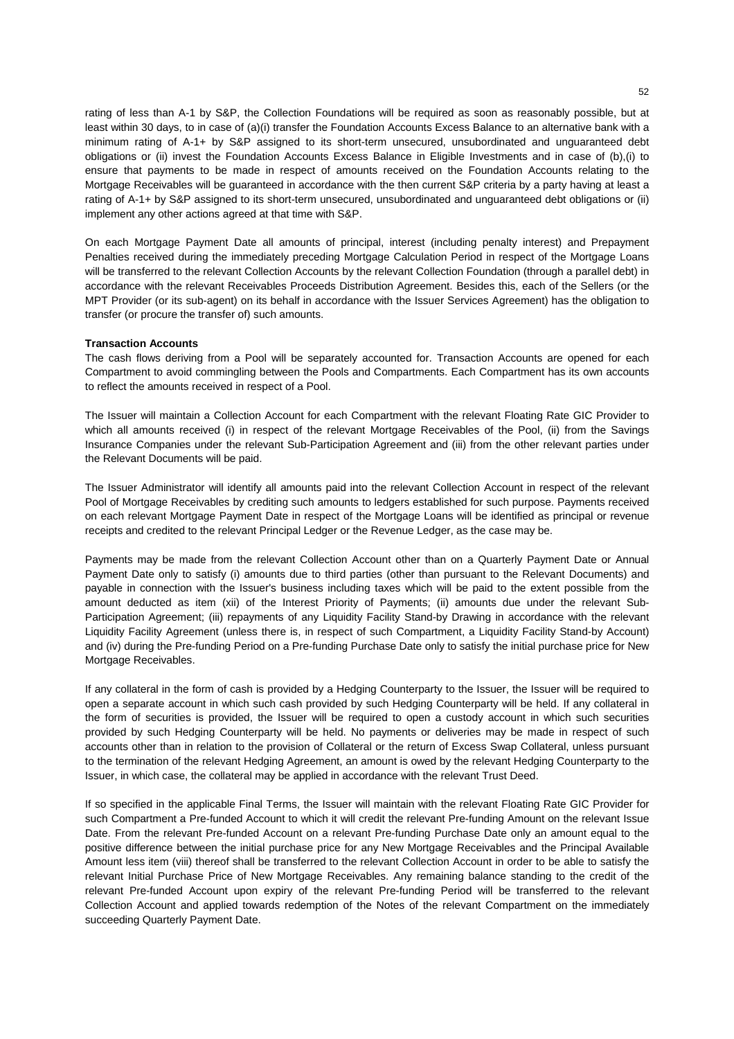rating of less than A-1 by S&P, the Collection Foundations will be required as soon as reasonably possible, but at least within 30 days, to in case of (a)(i) transfer the Foundation Accounts Excess Balance to an alternative bank with a minimum rating of A-1+ by S&P assigned to its short-term unsecured, unsubordinated and unguaranteed debt obligations or (ii) invest the Foundation Accounts Excess Balance in Eligible Investments and in case of (b),(i) to ensure that payments to be made in respect of amounts received on the Foundation Accounts relating to the Mortgage Receivables will be guaranteed in accordance with the then current S&P criteria by a party having at least a rating of A-1+ by S&P assigned to its short-term unsecured, unsubordinated and unguaranteed debt obligations or (ii) implement any other actions agreed at that time with S&P.

On each Mortgage Payment Date all amounts of principal, interest (including penalty interest) and Prepayment Penalties received during the immediately preceding Mortgage Calculation Period in respect of the Mortgage Loans will be transferred to the relevant Collection Accounts by the relevant Collection Foundation (through a parallel debt) in accordance with the relevant Receivables Proceeds Distribution Agreement. Besides this, each of the Sellers (or the MPT Provider (or its sub-agent) on its behalf in accordance with the Issuer Services Agreement) has the obligation to transfer (or procure the transfer of) such amounts.

## **Transaction Accounts**

The cash flows deriving from a Pool will be separately accounted for. Transaction Accounts are opened for each Compartment to avoid commingling between the Pools and Compartments. Each Compartment has its own accounts to reflect the amounts received in respect of a Pool.

The Issuer will maintain a Collection Account for each Compartment with the relevant Floating Rate GIC Provider to which all amounts received (i) in respect of the relevant Mortgage Receivables of the Pool, (ii) from the Savings Insurance Companies under the relevant Sub-Participation Agreement and (iii) from the other relevant parties under the Relevant Documents will be paid.

The Issuer Administrator will identify all amounts paid into the relevant Collection Account in respect of the relevant Pool of Mortgage Receivables by crediting such amounts to ledgers established for such purpose. Payments received on each relevant Mortgage Payment Date in respect of the Mortgage Loans will be identified as principal or revenue receipts and credited to the relevant Principal Ledger or the Revenue Ledger, as the case may be.

Payments may be made from the relevant Collection Account other than on a Quarterly Payment Date or Annual Payment Date only to satisfy (i) amounts due to third parties (other than pursuant to the Relevant Documents) and payable in connection with the Issuer's business including taxes which will be paid to the extent possible from the amount deducted as item (xii) of the Interest Priority of Payments; (ii) amounts due under the relevant Sub-Participation Agreement; (iii) repayments of any Liquidity Facility Stand-by Drawing in accordance with the relevant Liquidity Facility Agreement (unless there is, in respect of such Compartment, a Liquidity Facility Stand-by Account) and (iv) during the Pre-funding Period on a Pre-funding Purchase Date only to satisfy the initial purchase price for New Mortgage Receivables.

If any collateral in the form of cash is provided by a Hedging Counterparty to the Issuer, the Issuer will be required to open a separate account in which such cash provided by such Hedging Counterparty will be held. If any collateral in the form of securities is provided, the Issuer will be required to open a custody account in which such securities provided by such Hedging Counterparty will be held. No payments or deliveries may be made in respect of such accounts other than in relation to the provision of Collateral or the return of Excess Swap Collateral, unless pursuant to the termination of the relevant Hedging Agreement, an amount is owed by the relevant Hedging Counterparty to the Issuer, in which case, the collateral may be applied in accordance with the relevant Trust Deed.

If so specified in the applicable Final Terms, the Issuer will maintain with the relevant Floating Rate GIC Provider for such Compartment a Pre-funded Account to which it will credit the relevant Pre-funding Amount on the relevant Issue Date. From the relevant Pre-funded Account on a relevant Pre-funding Purchase Date only an amount equal to the positive difference between the initial purchase price for any New Mortgage Receivables and the Principal Available Amount less item (viii) thereof shall be transferred to the relevant Collection Account in order to be able to satisfy the relevant Initial Purchase Price of New Mortgage Receivables. Any remaining balance standing to the credit of the relevant Pre-funded Account upon expiry of the relevant Pre-funding Period will be transferred to the relevant Collection Account and applied towards redemption of the Notes of the relevant Compartment on the immediately succeeding Quarterly Payment Date.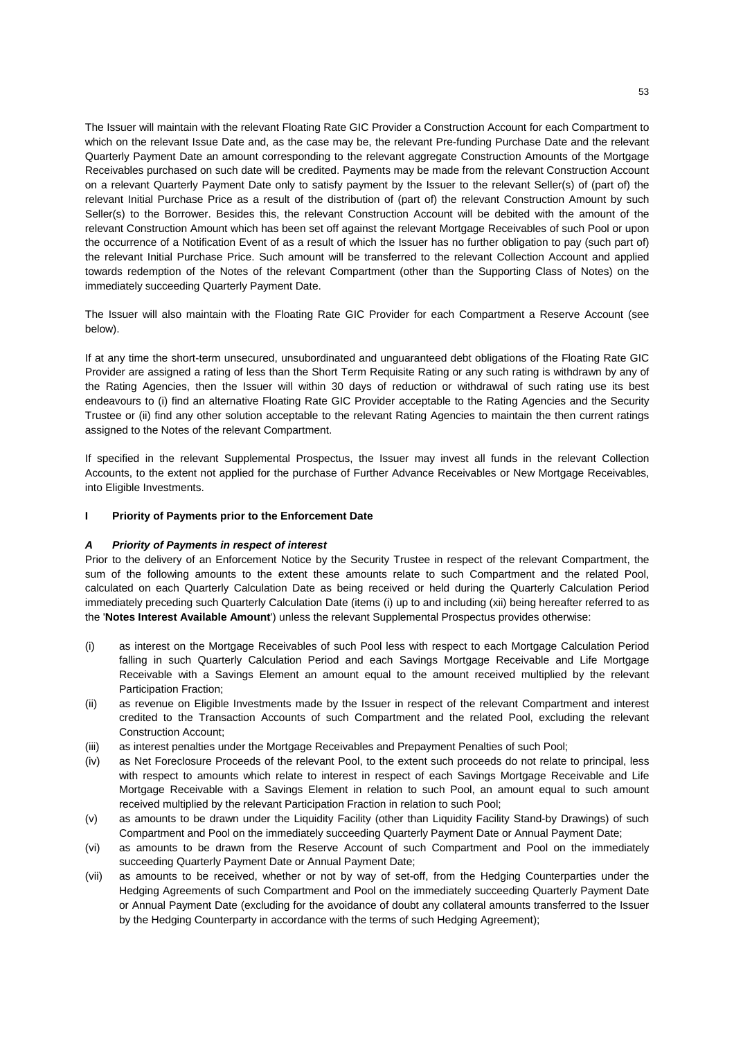The Issuer will maintain with the relevant Floating Rate GIC Provider a Construction Account for each Compartment to which on the relevant Issue Date and, as the case may be, the relevant Pre-funding Purchase Date and the relevant Quarterly Payment Date an amount corresponding to the relevant aggregate Construction Amounts of the Mortgage Receivables purchased on such date will be credited. Payments may be made from the relevant Construction Account on a relevant Quarterly Payment Date only to satisfy payment by the Issuer to the relevant Seller(s) of (part of) the relevant Initial Purchase Price as a result of the distribution of (part of) the relevant Construction Amount by such Seller(s) to the Borrower. Besides this, the relevant Construction Account will be debited with the amount of the relevant Construction Amount which has been set off against the relevant Mortgage Receivables of such Pool or upon the occurrence of a Notification Event of as a result of which the Issuer has no further obligation to pay (such part of) the relevant Initial Purchase Price. Such amount will be transferred to the relevant Collection Account and applied towards redemption of the Notes of the relevant Compartment (other than the Supporting Class of Notes) on the immediately succeeding Quarterly Payment Date.

The Issuer will also maintain with the Floating Rate GIC Provider for each Compartment a Reserve Account (see below).

If at any time the short-term unsecured, unsubordinated and unguaranteed debt obligations of the Floating Rate GIC Provider are assigned a rating of less than the Short Term Requisite Rating or any such rating is withdrawn by any of the Rating Agencies, then the Issuer will within 30 days of reduction or withdrawal of such rating use its best endeavours to (i) find an alternative Floating Rate GIC Provider acceptable to the Rating Agencies and the Security Trustee or (ii) find any other solution acceptable to the relevant Rating Agencies to maintain the then current ratings assigned to the Notes of the relevant Compartment.

If specified in the relevant Supplemental Prospectus, the Issuer may invest all funds in the relevant Collection Accounts, to the extent not applied for the purchase of Further Advance Receivables or New Mortgage Receivables, into Eligible Investments.

## **I Priority of Payments prior to the Enforcement Date**

#### *A Priority of Payments in respect of interest*

Prior to the delivery of an Enforcement Notice by the Security Trustee in respect of the relevant Compartment, the sum of the following amounts to the extent these amounts relate to such Compartment and the related Pool, calculated on each Quarterly Calculation Date as being received or held during the Quarterly Calculation Period immediately preceding such Quarterly Calculation Date (items (i) up to and including (xii) being hereafter referred to as the '**Notes Interest Available Amount**') unless the relevant Supplemental Prospectus provides otherwise:

- (i) as interest on the Mortgage Receivables of such Pool less with respect to each Mortgage Calculation Period falling in such Quarterly Calculation Period and each Savings Mortgage Receivable and Life Mortgage Receivable with a Savings Element an amount equal to the amount received multiplied by the relevant Participation Fraction;
- (ii) as revenue on Eligible Investments made by the Issuer in respect of the relevant Compartment and interest credited to the Transaction Accounts of such Compartment and the related Pool, excluding the relevant Construction Account;
- (iii) as interest penalties under the Mortgage Receivables and Prepayment Penalties of such Pool;
- (iv) as Net Foreclosure Proceeds of the relevant Pool, to the extent such proceeds do not relate to principal, less with respect to amounts which relate to interest in respect of each Savings Mortgage Receivable and Life Mortgage Receivable with a Savings Element in relation to such Pool, an amount equal to such amount received multiplied by the relevant Participation Fraction in relation to such Pool;
- (v) as amounts to be drawn under the Liquidity Facility (other than Liquidity Facility Stand-by Drawings) of such Compartment and Pool on the immediately succeeding Quarterly Payment Date or Annual Payment Date;
- (vi) as amounts to be drawn from the Reserve Account of such Compartment and Pool on the immediately succeeding Quarterly Payment Date or Annual Payment Date;
- (vii) as amounts to be received, whether or not by way of set-off, from the Hedging Counterparties under the Hedging Agreements of such Compartment and Pool on the immediately succeeding Quarterly Payment Date or Annual Payment Date (excluding for the avoidance of doubt any collateral amounts transferred to the Issuer by the Hedging Counterparty in accordance with the terms of such Hedging Agreement);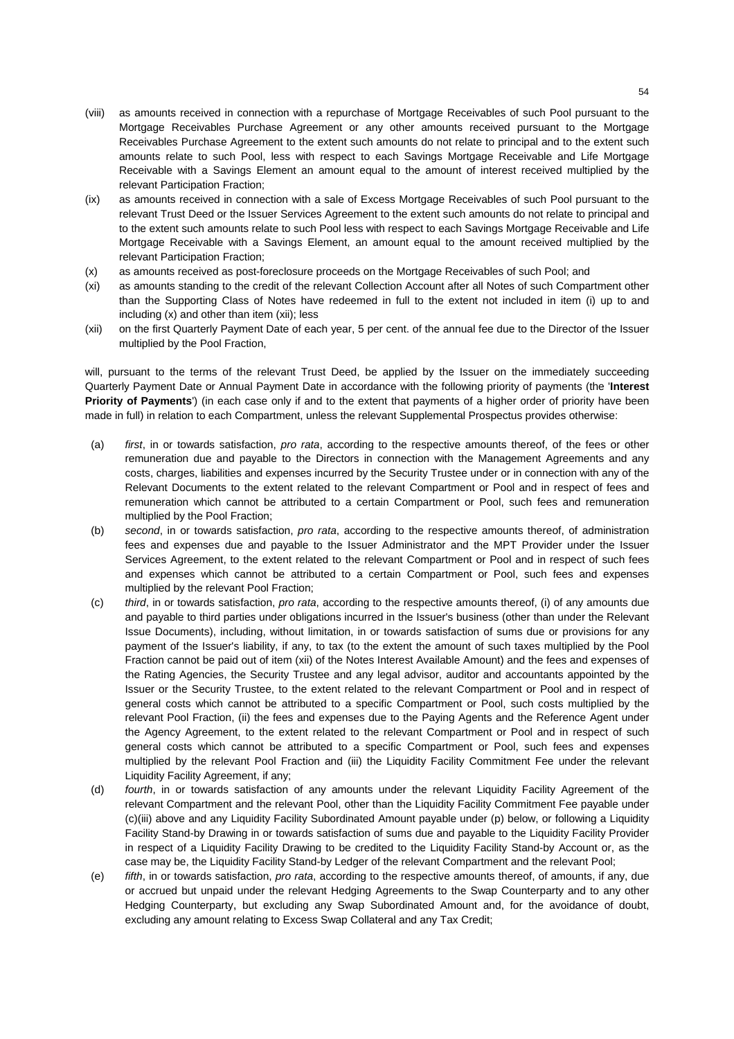- (viii) as amounts received in connection with a repurchase of Mortgage Receivables of such Pool pursuant to the Mortgage Receivables Purchase Agreement or any other amounts received pursuant to the Mortgage Receivables Purchase Agreement to the extent such amounts do not relate to principal and to the extent such amounts relate to such Pool, less with respect to each Savings Mortgage Receivable and Life Mortgage Receivable with a Savings Element an amount equal to the amount of interest received multiplied by the relevant Participation Fraction;
- (ix) as amounts received in connection with a sale of Excess Mortgage Receivables of such Pool pursuant to the relevant Trust Deed or the Issuer Services Agreement to the extent such amounts do not relate to principal and to the extent such amounts relate to such Pool less with respect to each Savings Mortgage Receivable and Life Mortgage Receivable with a Savings Element, an amount equal to the amount received multiplied by the relevant Participation Fraction;
- (x) as amounts received as post-foreclosure proceeds on the Mortgage Receivables of such Pool; and
- (xi) as amounts standing to the credit of the relevant Collection Account after all Notes of such Compartment other than the Supporting Class of Notes have redeemed in full to the extent not included in item (i) up to and including (x) and other than item (xii); less
- (xii) on the first Quarterly Payment Date of each year, 5 per cent. of the annual fee due to the Director of the Issuer multiplied by the Pool Fraction,

will, pursuant to the terms of the relevant Trust Deed, be applied by the Issuer on the immediately succeeding Quarterly Payment Date or Annual Payment Date in accordance with the following priority of payments (the '**Interest Priority of Payments**') (in each case only if and to the extent that payments of a higher order of priority have been made in full) in relation to each Compartment, unless the relevant Supplemental Prospectus provides otherwise:

- (a) *first*, in or towards satisfaction, *pro rata*, according to the respective amounts thereof, of the fees or other remuneration due and payable to the Directors in connection with the Management Agreements and any costs, charges, liabilities and expenses incurred by the Security Trustee under or in connection with any of the Relevant Documents to the extent related to the relevant Compartment or Pool and in respect of fees and remuneration which cannot be attributed to a certain Compartment or Pool, such fees and remuneration multiplied by the Pool Fraction;
- (b) *second*, in or towards satisfaction, *pro rata*, according to the respective amounts thereof, of administration fees and expenses due and payable to the Issuer Administrator and the MPT Provider under the Issuer Services Agreement, to the extent related to the relevant Compartment or Pool and in respect of such fees and expenses which cannot be attributed to a certain Compartment or Pool, such fees and expenses multiplied by the relevant Pool Fraction;
- (c) *third*, in or towards satisfaction, *pro rata*, according to the respective amounts thereof, (i) of any amounts due and payable to third parties under obligations incurred in the Issuer's business (other than under the Relevant Issue Documents), including, without limitation, in or towards satisfaction of sums due or provisions for any payment of the Issuer's liability, if any, to tax (to the extent the amount of such taxes multiplied by the Pool Fraction cannot be paid out of item (xii) of the Notes Interest Available Amount) and the fees and expenses of the Rating Agencies, the Security Trustee and any legal advisor, auditor and accountants appointed by the Issuer or the Security Trustee, to the extent related to the relevant Compartment or Pool and in respect of general costs which cannot be attributed to a specific Compartment or Pool, such costs multiplied by the relevant Pool Fraction, (ii) the fees and expenses due to the Paying Agents and the Reference Agent under the Agency Agreement, to the extent related to the relevant Compartment or Pool and in respect of such general costs which cannot be attributed to a specific Compartment or Pool, such fees and expenses multiplied by the relevant Pool Fraction and (iii) the Liquidity Facility Commitment Fee under the relevant Liquidity Facility Agreement, if any;
- (d) *fourth*, in or towards satisfaction of any amounts under the relevant Liquidity Facility Agreement of the relevant Compartment and the relevant Pool, other than the Liquidity Facility Commitment Fee payable under (c)(iii) above and any Liquidity Facility Subordinated Amount payable under (p) below, or following a Liquidity Facility Stand-by Drawing in or towards satisfaction of sums due and payable to the Liquidity Facility Provider in respect of a Liquidity Facility Drawing to be credited to the Liquidity Facility Stand-by Account or, as the case may be, the Liquidity Facility Stand-by Ledger of the relevant Compartment and the relevant Pool;
- (e) *fifth*, in or towards satisfaction, *pro rata*, according to the respective amounts thereof, of amounts, if any, due or accrued but unpaid under the relevant Hedging Agreements to the Swap Counterparty and to any other Hedging Counterparty, but excluding any Swap Subordinated Amount and, for the avoidance of doubt, excluding any amount relating to Excess Swap Collateral and any Tax Credit;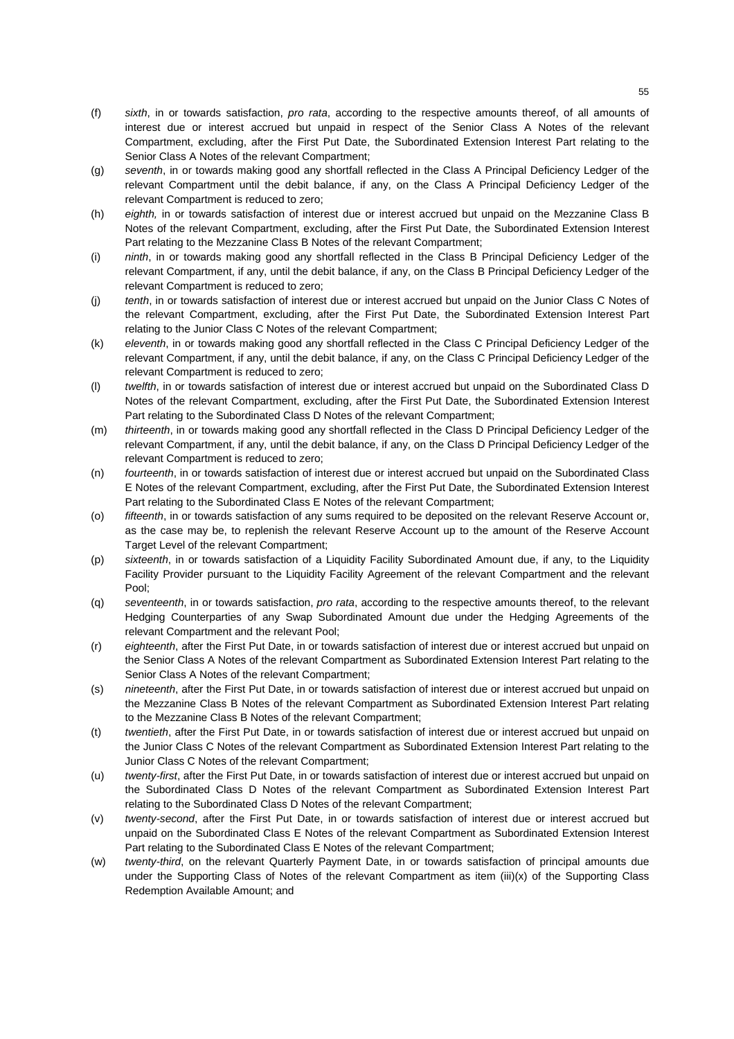- (f) *sixth*, in or towards satisfaction, *pro rata*, according to the respective amounts thereof, of all amounts of interest due or interest accrued but unpaid in respect of the Senior Class A Notes of the relevant Compartment, excluding, after the First Put Date, the Subordinated Extension Interest Part relating to the Senior Class A Notes of the relevant Compartment;
- (g) *seventh*, in or towards making good any shortfall reflected in the Class A Principal Deficiency Ledger of the relevant Compartment until the debit balance, if any, on the Class A Principal Deficiency Ledger of the relevant Compartment is reduced to zero;
- (h) *eighth,* in or towards satisfaction of interest due or interest accrued but unpaid on the Mezzanine Class B Notes of the relevant Compartment, excluding, after the First Put Date, the Subordinated Extension Interest Part relating to the Mezzanine Class B Notes of the relevant Compartment;
- (i) *ninth*, in or towards making good any shortfall reflected in the Class B Principal Deficiency Ledger of the relevant Compartment, if any, until the debit balance, if any, on the Class B Principal Deficiency Ledger of the relevant Compartment is reduced to zero;
- (j) *tenth*, in or towards satisfaction of interest due or interest accrued but unpaid on the Junior Class C Notes of the relevant Compartment, excluding, after the First Put Date, the Subordinated Extension Interest Part relating to the Junior Class C Notes of the relevant Compartment;
- (k) *eleventh*, in or towards making good any shortfall reflected in the Class C Principal Deficiency Ledger of the relevant Compartment, if any, until the debit balance, if any, on the Class C Principal Deficiency Ledger of the relevant Compartment is reduced to zero;
- (l) *twelfth*, in or towards satisfaction of interest due or interest accrued but unpaid on the Subordinated Class D Notes of the relevant Compartment, excluding, after the First Put Date, the Subordinated Extension Interest Part relating to the Subordinated Class D Notes of the relevant Compartment;
- (m) *thirteenth*, in or towards making good any shortfall reflected in the Class D Principal Deficiency Ledger of the relevant Compartment, if any, until the debit balance, if any, on the Class D Principal Deficiency Ledger of the relevant Compartment is reduced to zero;
- (n) *fourteenth*, in or towards satisfaction of interest due or interest accrued but unpaid on the Subordinated Class E Notes of the relevant Compartment, excluding, after the First Put Date, the Subordinated Extension Interest Part relating to the Subordinated Class E Notes of the relevant Compartment;
- (o) *fifteenth*, in or towards satisfaction of any sums required to be deposited on the relevant Reserve Account or, as the case may be, to replenish the relevant Reserve Account up to the amount of the Reserve Account Target Level of the relevant Compartment;
- (p) *sixteenth*, in or towards satisfaction of a Liquidity Facility Subordinated Amount due, if any, to the Liquidity Facility Provider pursuant to the Liquidity Facility Agreement of the relevant Compartment and the relevant Pool;
- (q) *seventeenth*, in or towards satisfaction, *pro rata*, according to the respective amounts thereof, to the relevant Hedging Counterparties of any Swap Subordinated Amount due under the Hedging Agreements of the relevant Compartment and the relevant Pool;
- (r) *eighteenth*, after the First Put Date, in or towards satisfaction of interest due or interest accrued but unpaid on the Senior Class A Notes of the relevant Compartment as Subordinated Extension Interest Part relating to the Senior Class A Notes of the relevant Compartment;
- (s) *nineteenth*, after the First Put Date, in or towards satisfaction of interest due or interest accrued but unpaid on the Mezzanine Class B Notes of the relevant Compartment as Subordinated Extension Interest Part relating to the Mezzanine Class B Notes of the relevant Compartment;
- (t) *twentieth*, after the First Put Date, in or towards satisfaction of interest due or interest accrued but unpaid on the Junior Class C Notes of the relevant Compartment as Subordinated Extension Interest Part relating to the Junior Class C Notes of the relevant Compartment;
- (u) *twenty-first*, after the First Put Date, in or towards satisfaction of interest due or interest accrued but unpaid on the Subordinated Class D Notes of the relevant Compartment as Subordinated Extension Interest Part relating to the Subordinated Class D Notes of the relevant Compartment;
- (v) *twenty-second*, after the First Put Date, in or towards satisfaction of interest due or interest accrued but unpaid on the Subordinated Class E Notes of the relevant Compartment as Subordinated Extension Interest Part relating to the Subordinated Class E Notes of the relevant Compartment;
- (w) *twenty-third*, on the relevant Quarterly Payment Date, in or towards satisfaction of principal amounts due under the Supporting Class of Notes of the relevant Compartment as item (iii)(x) of the Supporting Class Redemption Available Amount; and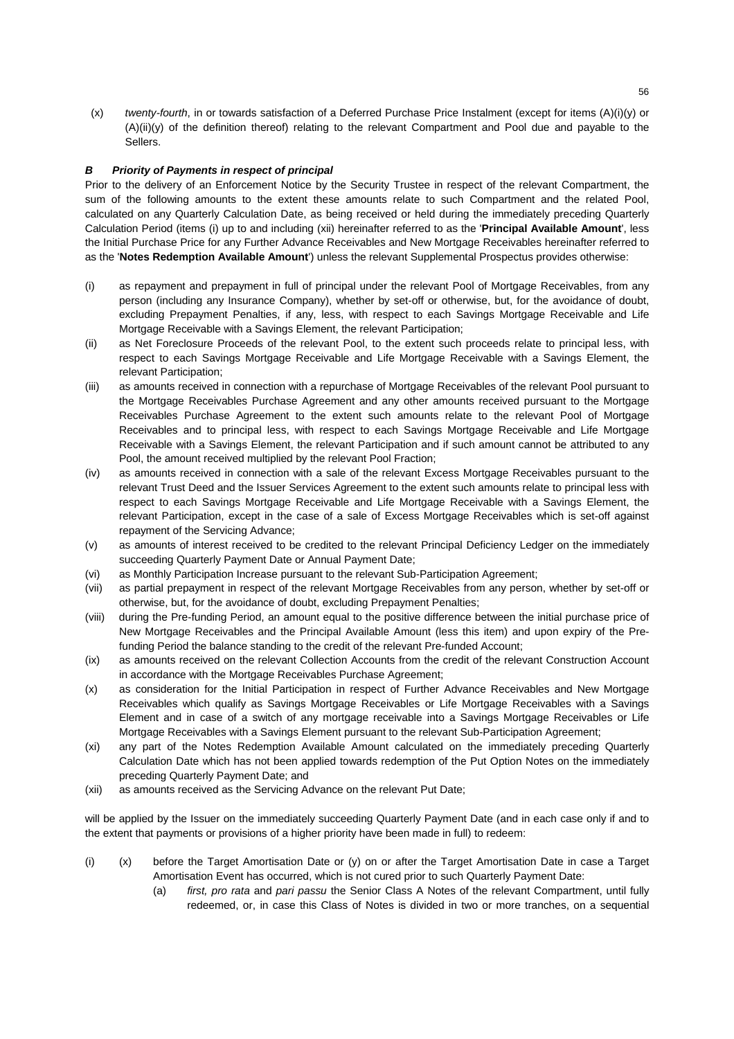(x) *twenty-fourth*, in or towards satisfaction of a Deferred Purchase Price Instalment (except for items (A)(i)(y) or (A)(ii)(y) of the definition thereof) relating to the relevant Compartment and Pool due and payable to the Sellers.

# *B Priority of Payments in respect of principal*

Prior to the delivery of an Enforcement Notice by the Security Trustee in respect of the relevant Compartment, the sum of the following amounts to the extent these amounts relate to such Compartment and the related Pool, calculated on any Quarterly Calculation Date, as being received or held during the immediately preceding Quarterly Calculation Period (items (i) up to and including (xii) hereinafter referred to as the '**Principal Available Amount**', less the Initial Purchase Price for any Further Advance Receivables and New Mortgage Receivables hereinafter referred to as the '**Notes Redemption Available Amount**') unless the relevant Supplemental Prospectus provides otherwise:

- (i) as repayment and prepayment in full of principal under the relevant Pool of Mortgage Receivables, from any person (including any Insurance Company), whether by set-off or otherwise, but, for the avoidance of doubt, excluding Prepayment Penalties, if any, less, with respect to each Savings Mortgage Receivable and Life Mortgage Receivable with a Savings Element, the relevant Participation;
- (ii) as Net Foreclosure Proceeds of the relevant Pool, to the extent such proceeds relate to principal less, with respect to each Savings Mortgage Receivable and Life Mortgage Receivable with a Savings Element, the relevant Participation;
- (iii) as amounts received in connection with a repurchase of Mortgage Receivables of the relevant Pool pursuant to the Mortgage Receivables Purchase Agreement and any other amounts received pursuant to the Mortgage Receivables Purchase Agreement to the extent such amounts relate to the relevant Pool of Mortgage Receivables and to principal less, with respect to each Savings Mortgage Receivable and Life Mortgage Receivable with a Savings Element, the relevant Participation and if such amount cannot be attributed to any Pool, the amount received multiplied by the relevant Pool Fraction;
- (iv) as amounts received in connection with a sale of the relevant Excess Mortgage Receivables pursuant to the relevant Trust Deed and the Issuer Services Agreement to the extent such amounts relate to principal less with respect to each Savings Mortgage Receivable and Life Mortgage Receivable with a Savings Element, the relevant Participation, except in the case of a sale of Excess Mortgage Receivables which is set-off against repayment of the Servicing Advance;
- (v) as amounts of interest received to be credited to the relevant Principal Deficiency Ledger on the immediately succeeding Quarterly Payment Date or Annual Payment Date;
- (vi) as Monthly Participation Increase pursuant to the relevant Sub-Participation Agreement;
- (vii) as partial prepayment in respect of the relevant Mortgage Receivables from any person, whether by set-off or otherwise, but, for the avoidance of doubt, excluding Prepayment Penalties;
- (viii) during the Pre-funding Period, an amount equal to the positive difference between the initial purchase price of New Mortgage Receivables and the Principal Available Amount (less this item) and upon expiry of the Prefunding Period the balance standing to the credit of the relevant Pre-funded Account;
- (ix) as amounts received on the relevant Collection Accounts from the credit of the relevant Construction Account in accordance with the Mortgage Receivables Purchase Agreement;
- (x) as consideration for the Initial Participation in respect of Further Advance Receivables and New Mortgage Receivables which qualify as Savings Mortgage Receivables or Life Mortgage Receivables with a Savings Element and in case of a switch of any mortgage receivable into a Savings Mortgage Receivables or Life Mortgage Receivables with a Savings Element pursuant to the relevant Sub-Participation Agreement;
- (xi) any part of the Notes Redemption Available Amount calculated on the immediately preceding Quarterly Calculation Date which has not been applied towards redemption of the Put Option Notes on the immediately preceding Quarterly Payment Date; and
- (xii) as amounts received as the Servicing Advance on the relevant Put Date;

will be applied by the Issuer on the immediately succeeding Quarterly Payment Date (and in each case only if and to the extent that payments or provisions of a higher priority have been made in full) to redeem:

- (i) (x) before the Target Amortisation Date or (y) on or after the Target Amortisation Date in case a Target Amortisation Event has occurred, which is not cured prior to such Quarterly Payment Date:
	- (a) *first, pro rata* and *pari passu* the Senior Class A Notes of the relevant Compartment, until fully redeemed, or, in case this Class of Notes is divided in two or more tranches, on a sequential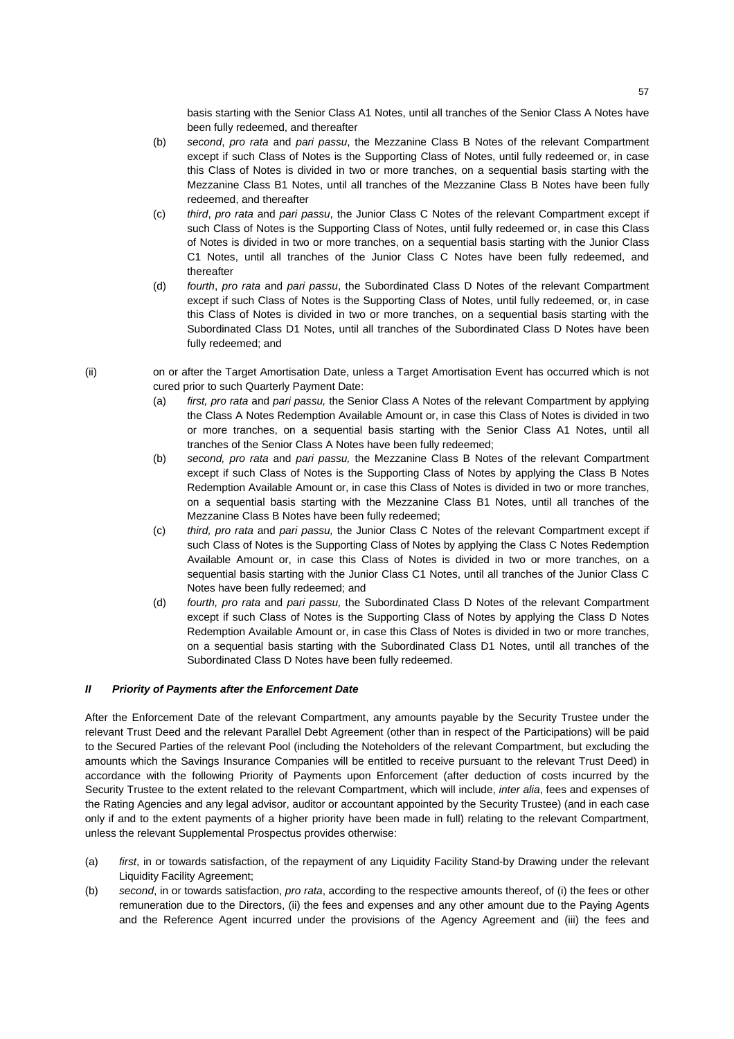basis starting with the Senior Class A1 Notes, until all tranches of the Senior Class A Notes have been fully redeemed, and thereafter

- (b) *second*, *pro rata* and *pari passu*, the Mezzanine Class B Notes of the relevant Compartment except if such Class of Notes is the Supporting Class of Notes, until fully redeemed or, in case this Class of Notes is divided in two or more tranches, on a sequential basis starting with the Mezzanine Class B1 Notes, until all tranches of the Mezzanine Class B Notes have been fully redeemed, and thereafter
- (c) *third*, *pro rata* and *pari passu*, the Junior Class C Notes of the relevant Compartment except if such Class of Notes is the Supporting Class of Notes, until fully redeemed or, in case this Class of Notes is divided in two or more tranches, on a sequential basis starting with the Junior Class C1 Notes, until all tranches of the Junior Class C Notes have been fully redeemed, and thereafter
- (d) *fourth*, *pro rata* and *pari passu*, the Subordinated Class D Notes of the relevant Compartment except if such Class of Notes is the Supporting Class of Notes, until fully redeemed, or, in case this Class of Notes is divided in two or more tranches, on a sequential basis starting with the Subordinated Class D1 Notes, until all tranches of the Subordinated Class D Notes have been fully redeemed; and
- (ii) on or after the Target Amortisation Date, unless a Target Amortisation Event has occurred which is not cured prior to such Quarterly Payment Date:
	- (a) *first, pro rata* and *pari passu,* the Senior Class A Notes of the relevant Compartment by applying the Class A Notes Redemption Available Amount or, in case this Class of Notes is divided in two or more tranches, on a sequential basis starting with the Senior Class A1 Notes, until all tranches of the Senior Class A Notes have been fully redeemed;
	- (b) *second, pro rata* and *pari passu,* the Mezzanine Class B Notes of the relevant Compartment except if such Class of Notes is the Supporting Class of Notes by applying the Class B Notes Redemption Available Amount or, in case this Class of Notes is divided in two or more tranches, on a sequential basis starting with the Mezzanine Class B1 Notes, until all tranches of the Mezzanine Class B Notes have been fully redeemed;
	- (c) *third, pro rata* and *pari passu,* the Junior Class C Notes of the relevant Compartment except if such Class of Notes is the Supporting Class of Notes by applying the Class C Notes Redemption Available Amount or, in case this Class of Notes is divided in two or more tranches, on a sequential basis starting with the Junior Class C1 Notes, until all tranches of the Junior Class C Notes have been fully redeemed; and
	- (d) *fourth, pro rata* and *pari passu,* the Subordinated Class D Notes of the relevant Compartment except if such Class of Notes is the Supporting Class of Notes by applying the Class D Notes Redemption Available Amount or, in case this Class of Notes is divided in two or more tranches, on a sequential basis starting with the Subordinated Class D1 Notes, until all tranches of the Subordinated Class D Notes have been fully redeemed.

## *II Priority of Payments after the Enforcement Date*

After the Enforcement Date of the relevant Compartment, any amounts payable by the Security Trustee under the relevant Trust Deed and the relevant Parallel Debt Agreement (other than in respect of the Participations) will be paid to the Secured Parties of the relevant Pool (including the Noteholders of the relevant Compartment, but excluding the amounts which the Savings Insurance Companies will be entitled to receive pursuant to the relevant Trust Deed) in accordance with the following Priority of Payments upon Enforcement (after deduction of costs incurred by the Security Trustee to the extent related to the relevant Compartment, which will include, *inter alia*, fees and expenses of the Rating Agencies and any legal advisor, auditor or accountant appointed by the Security Trustee) (and in each case only if and to the extent payments of a higher priority have been made in full) relating to the relevant Compartment, unless the relevant Supplemental Prospectus provides otherwise:

- (a) *first*, in or towards satisfaction, of the repayment of any Liquidity Facility Stand-by Drawing under the relevant Liquidity Facility Agreement;
- (b) *second*, in or towards satisfaction, *pro rata*, according to the respective amounts thereof, of (i) the fees or other remuneration due to the Directors, (ii) the fees and expenses and any other amount due to the Paying Agents and the Reference Agent incurred under the provisions of the Agency Agreement and (iii) the fees and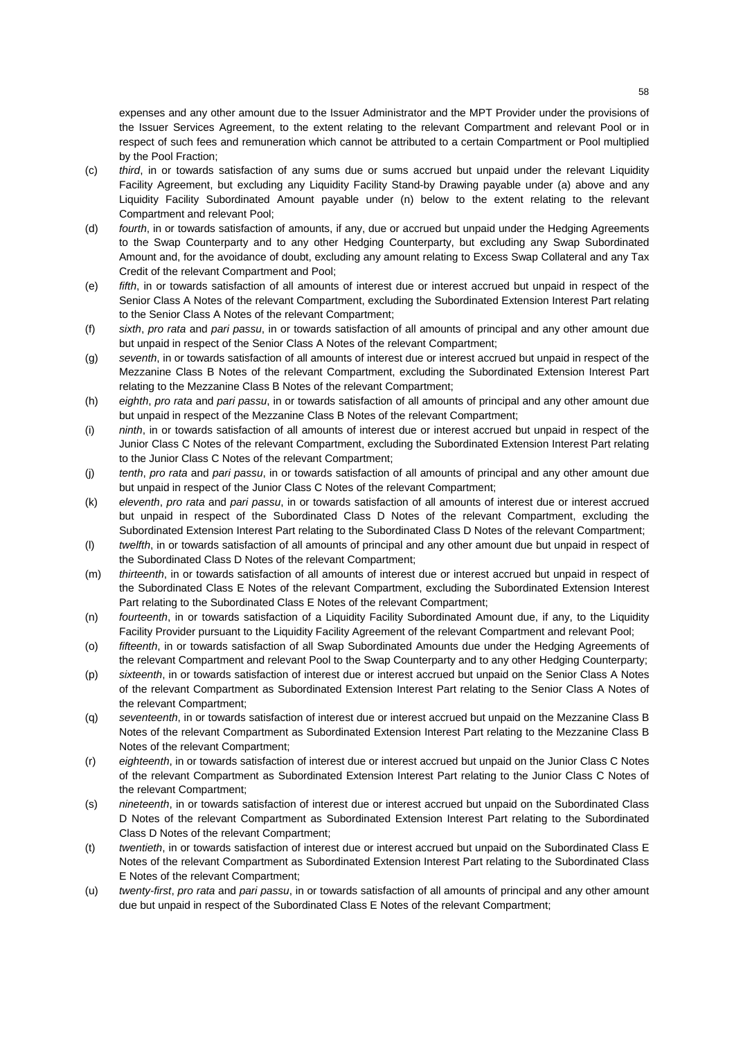expenses and any other amount due to the Issuer Administrator and the MPT Provider under the provisions of the Issuer Services Agreement, to the extent relating to the relevant Compartment and relevant Pool or in respect of such fees and remuneration which cannot be attributed to a certain Compartment or Pool multiplied by the Pool Fraction;

- (c) *third*, in or towards satisfaction of any sums due or sums accrued but unpaid under the relevant Liquidity Facility Agreement, but excluding any Liquidity Facility Stand-by Drawing payable under (a) above and any Liquidity Facility Subordinated Amount payable under (n) below to the extent relating to the relevant Compartment and relevant Pool;
- (d) *fourth*, in or towards satisfaction of amounts, if any, due or accrued but unpaid under the Hedging Agreements to the Swap Counterparty and to any other Hedging Counterparty, but excluding any Swap Subordinated Amount and, for the avoidance of doubt, excluding any amount relating to Excess Swap Collateral and any Tax Credit of the relevant Compartment and Pool;
- (e) *fifth*, in or towards satisfaction of all amounts of interest due or interest accrued but unpaid in respect of the Senior Class A Notes of the relevant Compartment, excluding the Subordinated Extension Interest Part relating to the Senior Class A Notes of the relevant Compartment;
- (f) *sixth*, *pro rata* and *pari passu*, in or towards satisfaction of all amounts of principal and any other amount due but unpaid in respect of the Senior Class A Notes of the relevant Compartment;
- (g) *seventh*, in or towards satisfaction of all amounts of interest due or interest accrued but unpaid in respect of the Mezzanine Class B Notes of the relevant Compartment, excluding the Subordinated Extension Interest Part relating to the Mezzanine Class B Notes of the relevant Compartment;
- (h) *eighth*, *pro rata* and *pari passu*, in or towards satisfaction of all amounts of principal and any other amount due but unpaid in respect of the Mezzanine Class B Notes of the relevant Compartment;
- (i) *ninth*, in or towards satisfaction of all amounts of interest due or interest accrued but unpaid in respect of the Junior Class C Notes of the relevant Compartment, excluding the Subordinated Extension Interest Part relating to the Junior Class C Notes of the relevant Compartment;
- (j) *tenth*, *pro rata* and *pari passu*, in or towards satisfaction of all amounts of principal and any other amount due but unpaid in respect of the Junior Class C Notes of the relevant Compartment;
- (k) *eleventh*, *pro rata* and *pari passu*, in or towards satisfaction of all amounts of interest due or interest accrued but unpaid in respect of the Subordinated Class D Notes of the relevant Compartment, excluding the Subordinated Extension Interest Part relating to the Subordinated Class D Notes of the relevant Compartment;
- (l) *twelfth*, in or towards satisfaction of all amounts of principal and any other amount due but unpaid in respect of the Subordinated Class D Notes of the relevant Compartment;
- (m) *thirteenth*, in or towards satisfaction of all amounts of interest due or interest accrued but unpaid in respect of the Subordinated Class E Notes of the relevant Compartment, excluding the Subordinated Extension Interest Part relating to the Subordinated Class E Notes of the relevant Compartment;
- (n) *fourteenth*, in or towards satisfaction of a Liquidity Facility Subordinated Amount due, if any, to the Liquidity Facility Provider pursuant to the Liquidity Facility Agreement of the relevant Compartment and relevant Pool;
- (o) *fifteenth*, in or towards satisfaction of all Swap Subordinated Amounts due under the Hedging Agreements of the relevant Compartment and relevant Pool to the Swap Counterparty and to any other Hedging Counterparty;
- (p) *sixteenth*, in or towards satisfaction of interest due or interest accrued but unpaid on the Senior Class A Notes of the relevant Compartment as Subordinated Extension Interest Part relating to the Senior Class A Notes of the relevant Compartment;
- (q) *seventeenth*, in or towards satisfaction of interest due or interest accrued but unpaid on the Mezzanine Class B Notes of the relevant Compartment as Subordinated Extension Interest Part relating to the Mezzanine Class B Notes of the relevant Compartment;
- (r) *eighteenth*, in or towards satisfaction of interest due or interest accrued but unpaid on the Junior Class C Notes of the relevant Compartment as Subordinated Extension Interest Part relating to the Junior Class C Notes of the relevant Compartment;
- (s) *nineteenth*, in or towards satisfaction of interest due or interest accrued but unpaid on the Subordinated Class D Notes of the relevant Compartment as Subordinated Extension Interest Part relating to the Subordinated Class D Notes of the relevant Compartment;
- (t) *twentieth*, in or towards satisfaction of interest due or interest accrued but unpaid on the Subordinated Class E Notes of the relevant Compartment as Subordinated Extension Interest Part relating to the Subordinated Class E Notes of the relevant Compartment;
- (u) *twenty-first*, *pro rata* and *pari passu*, in or towards satisfaction of all amounts of principal and any other amount due but unpaid in respect of the Subordinated Class E Notes of the relevant Compartment;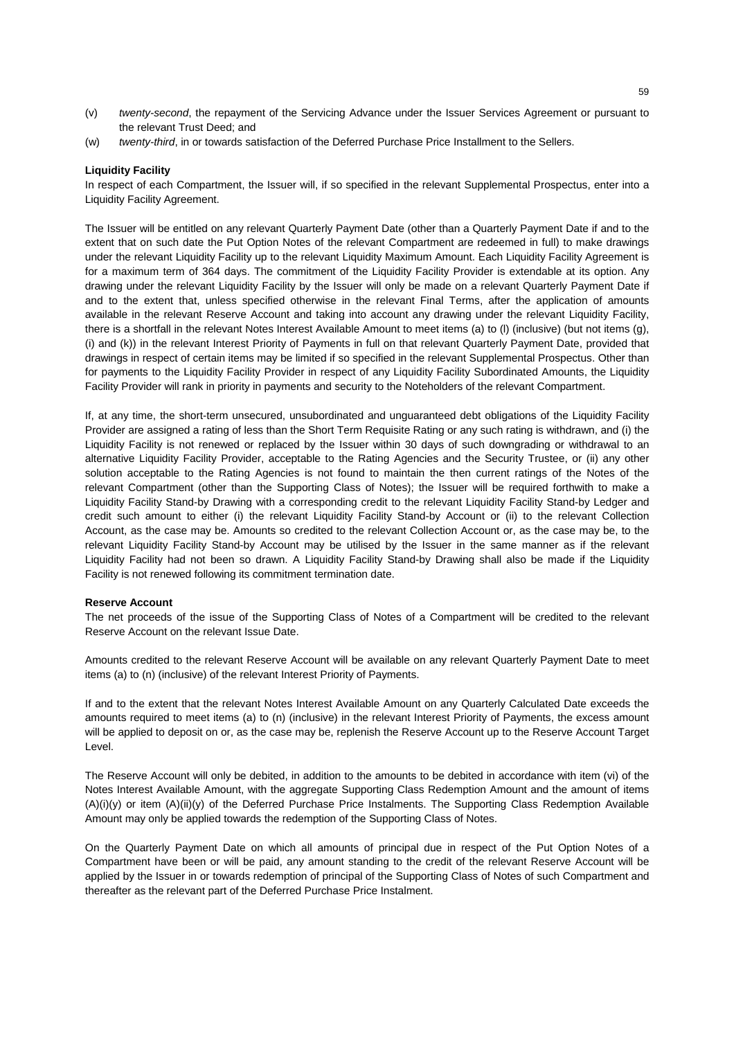- (v) *twenty-second*, the repayment of the Servicing Advance under the Issuer Services Agreement or pursuant to the relevant Trust Deed; and
- (w) *twenty-third*, in or towards satisfaction of the Deferred Purchase Price Installment to the Sellers.

## **Liquidity Facility**

In respect of each Compartment, the Issuer will, if so specified in the relevant Supplemental Prospectus, enter into a Liquidity Facility Agreement.

The Issuer will be entitled on any relevant Quarterly Payment Date (other than a Quarterly Payment Date if and to the extent that on such date the Put Option Notes of the relevant Compartment are redeemed in full) to make drawings under the relevant Liquidity Facility up to the relevant Liquidity Maximum Amount. Each Liquidity Facility Agreement is for a maximum term of 364 days. The commitment of the Liquidity Facility Provider is extendable at its option. Any drawing under the relevant Liquidity Facility by the Issuer will only be made on a relevant Quarterly Payment Date if and to the extent that, unless specified otherwise in the relevant Final Terms, after the application of amounts available in the relevant Reserve Account and taking into account any drawing under the relevant Liquidity Facility, there is a shortfall in the relevant Notes Interest Available Amount to meet items (a) to (l) (inclusive) (but not items (g), (i) and (k)) in the relevant Interest Priority of Payments in full on that relevant Quarterly Payment Date, provided that drawings in respect of certain items may be limited if so specified in the relevant Supplemental Prospectus. Other than for payments to the Liquidity Facility Provider in respect of any Liquidity Facility Subordinated Amounts, the Liquidity Facility Provider will rank in priority in payments and security to the Noteholders of the relevant Compartment.

If, at any time, the short-term unsecured, unsubordinated and unguaranteed debt obligations of the Liquidity Facility Provider are assigned a rating of less than the Short Term Requisite Rating or any such rating is withdrawn, and (i) the Liquidity Facility is not renewed or replaced by the Issuer within 30 days of such downgrading or withdrawal to an alternative Liquidity Facility Provider, acceptable to the Rating Agencies and the Security Trustee, or (ii) any other solution acceptable to the Rating Agencies is not found to maintain the then current ratings of the Notes of the relevant Compartment (other than the Supporting Class of Notes); the Issuer will be required forthwith to make a Liquidity Facility Stand-by Drawing with a corresponding credit to the relevant Liquidity Facility Stand-by Ledger and credit such amount to either (i) the relevant Liquidity Facility Stand-by Account or (ii) to the relevant Collection Account, as the case may be. Amounts so credited to the relevant Collection Account or, as the case may be, to the relevant Liquidity Facility Stand-by Account may be utilised by the Issuer in the same manner as if the relevant Liquidity Facility had not been so drawn. A Liquidity Facility Stand-by Drawing shall also be made if the Liquidity Facility is not renewed following its commitment termination date.

## **Reserve Account**

The net proceeds of the issue of the Supporting Class of Notes of a Compartment will be credited to the relevant Reserve Account on the relevant Issue Date.

Amounts credited to the relevant Reserve Account will be available on any relevant Quarterly Payment Date to meet items (a) to (n) (inclusive) of the relevant Interest Priority of Payments.

If and to the extent that the relevant Notes Interest Available Amount on any Quarterly Calculated Date exceeds the amounts required to meet items (a) to (n) (inclusive) in the relevant Interest Priority of Payments, the excess amount will be applied to deposit on or, as the case may be, replenish the Reserve Account up to the Reserve Account Target Level.

The Reserve Account will only be debited, in addition to the amounts to be debited in accordance with item (vi) of the Notes Interest Available Amount, with the aggregate Supporting Class Redemption Amount and the amount of items (A)(i)(y) or item (A)(ii)(y) of the Deferred Purchase Price Instalments. The Supporting Class Redemption Available Amount may only be applied towards the redemption of the Supporting Class of Notes.

On the Quarterly Payment Date on which all amounts of principal due in respect of the Put Option Notes of a Compartment have been or will be paid, any amount standing to the credit of the relevant Reserve Account will be applied by the Issuer in or towards redemption of principal of the Supporting Class of Notes of such Compartment and thereafter as the relevant part of the Deferred Purchase Price Instalment.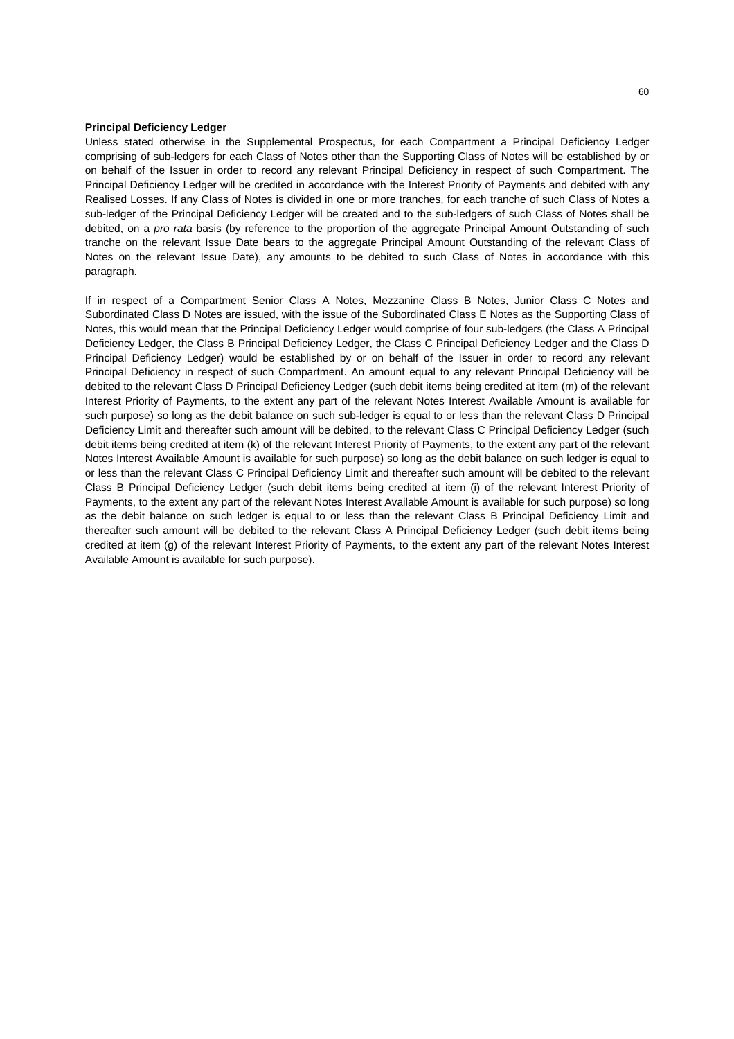## **Principal Deficiency Ledger**

Unless stated otherwise in the Supplemental Prospectus, for each Compartment a Principal Deficiency Ledger comprising of sub-ledgers for each Class of Notes other than the Supporting Class of Notes will be established by or on behalf of the Issuer in order to record any relevant Principal Deficiency in respect of such Compartment. The Principal Deficiency Ledger will be credited in accordance with the Interest Priority of Payments and debited with any Realised Losses. If any Class of Notes is divided in one or more tranches, for each tranche of such Class of Notes a sub-ledger of the Principal Deficiency Ledger will be created and to the sub-ledgers of such Class of Notes shall be debited, on a *pro rata* basis (by reference to the proportion of the aggregate Principal Amount Outstanding of such tranche on the relevant Issue Date bears to the aggregate Principal Amount Outstanding of the relevant Class of Notes on the relevant Issue Date), any amounts to be debited to such Class of Notes in accordance with this paragraph.

If in respect of a Compartment Senior Class A Notes, Mezzanine Class B Notes, Junior Class C Notes and Subordinated Class D Notes are issued, with the issue of the Subordinated Class E Notes as the Supporting Class of Notes, this would mean that the Principal Deficiency Ledger would comprise of four sub-ledgers (the Class A Principal Deficiency Ledger, the Class B Principal Deficiency Ledger, the Class C Principal Deficiency Ledger and the Class D Principal Deficiency Ledger) would be established by or on behalf of the Issuer in order to record any relevant Principal Deficiency in respect of such Compartment. An amount equal to any relevant Principal Deficiency will be debited to the relevant Class D Principal Deficiency Ledger (such debit items being credited at item (m) of the relevant Interest Priority of Payments, to the extent any part of the relevant Notes Interest Available Amount is available for such purpose) so long as the debit balance on such sub-ledger is equal to or less than the relevant Class D Principal Deficiency Limit and thereafter such amount will be debited, to the relevant Class C Principal Deficiency Ledger (such debit items being credited at item (k) of the relevant Interest Priority of Payments, to the extent any part of the relevant Notes Interest Available Amount is available for such purpose) so long as the debit balance on such ledger is equal to or less than the relevant Class C Principal Deficiency Limit and thereafter such amount will be debited to the relevant Class B Principal Deficiency Ledger (such debit items being credited at item (i) of the relevant Interest Priority of Payments, to the extent any part of the relevant Notes Interest Available Amount is available for such purpose) so long as the debit balance on such ledger is equal to or less than the relevant Class B Principal Deficiency Limit and thereafter such amount will be debited to the relevant Class A Principal Deficiency Ledger (such debit items being credited at item (g) of the relevant Interest Priority of Payments, to the extent any part of the relevant Notes Interest Available Amount is available for such purpose).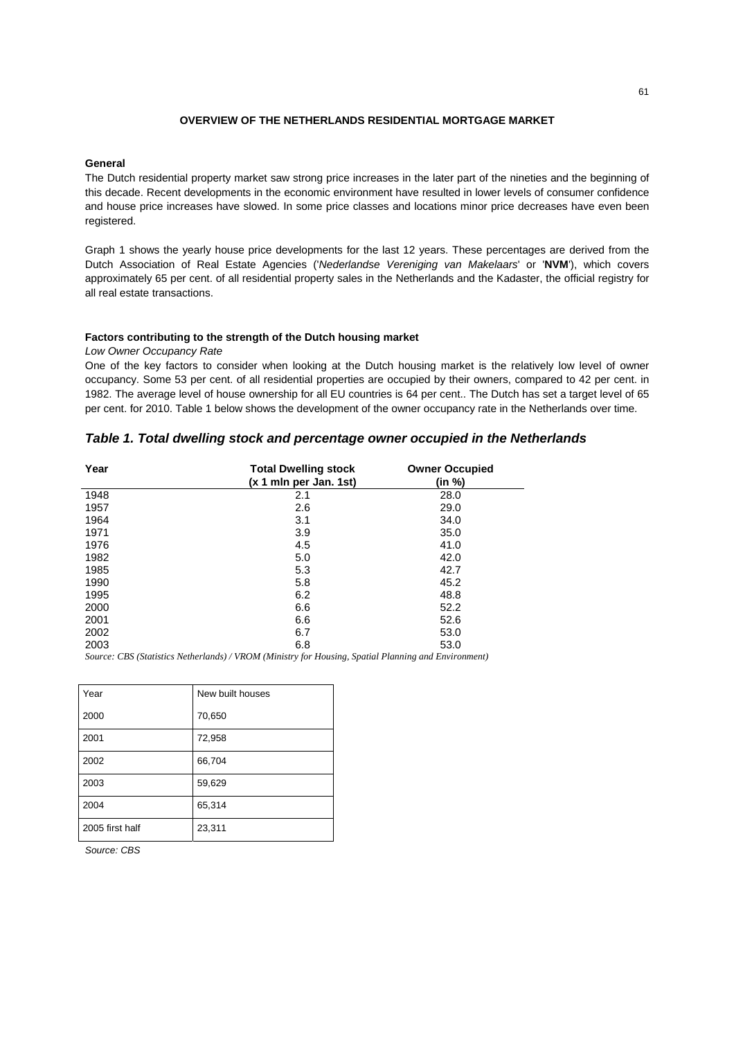# **OVERVIEW OF THE NETHERLANDS RESIDENTIAL MORTGAGE MARKET**

#### **General**

The Dutch residential property market saw strong price increases in the later part of the nineties and the beginning of this decade. Recent developments in the economic environment have resulted in lower levels of consumer confidence and house price increases have slowed. In some price classes and locations minor price decreases have even been registered.

Graph 1 shows the yearly house price developments for the last 12 years. These percentages are derived from the Dutch Association of Real Estate Agencies ('*Nederlandse Vereniging van Makelaars*' or '**NVM**'), which covers approximately 65 per cent. of all residential property sales in the Netherlands and the Kadaster, the official registry for all real estate transactions.

## **Factors contributing to the strength of the Dutch housing market**

*Low Owner Occupancy Rate* 

One of the key factors to consider when looking at the Dutch housing market is the relatively low level of owner occupancy. Some 53 per cent. of all residential properties are occupied by their owners, compared to 42 per cent. in 1982. The average level of house ownership for all EU countries is 64 per cent.. The Dutch has set a target level of 65 per cent. for 2010. Table 1 below shows the development of the owner occupancy rate in the Netherlands over time.

# *Table 1. Total dwelling stock and percentage owner occupied in the Netherlands*

| Year<br><b>Total Dwelling stock</b><br>(x 1 mln per Jan. 1st) |     | <b>Owner Occupied</b><br>(in %) |  |
|---------------------------------------------------------------|-----|---------------------------------|--|
| 1948                                                          | 2.1 | 28.0                            |  |
| 1957                                                          | 2.6 | 29.0                            |  |
| 1964                                                          | 3.1 | 34.0                            |  |
| 1971                                                          | 3.9 | 35.0                            |  |
| 1976                                                          | 4.5 | 41.0                            |  |
| 1982                                                          | 5.0 | 42.0                            |  |
| 1985                                                          | 5.3 | 42.7                            |  |
| 1990                                                          | 5.8 | 45.2                            |  |
| 1995                                                          | 6.2 | 48.8                            |  |
| 2000                                                          | 6.6 | 52.2                            |  |
| 2001                                                          | 6.6 | 52.6                            |  |
| 2002                                                          | 6.7 | 53.0                            |  |
| 2003                                                          | 6.8 | 53.0                            |  |

*Source: CBS (Statistics Netherlands) / VROM (Ministry for Housing, Spatial Planning and Environment)* 

| Year            | New built houses |
|-----------------|------------------|
| 2000            | 70,650           |
| 2001            | 72,958           |
| 2002            | 66,704           |
| 2003            | 59,629           |
| 2004            | 65,314           |
| 2005 first half | 23,311           |

*Source: CBS*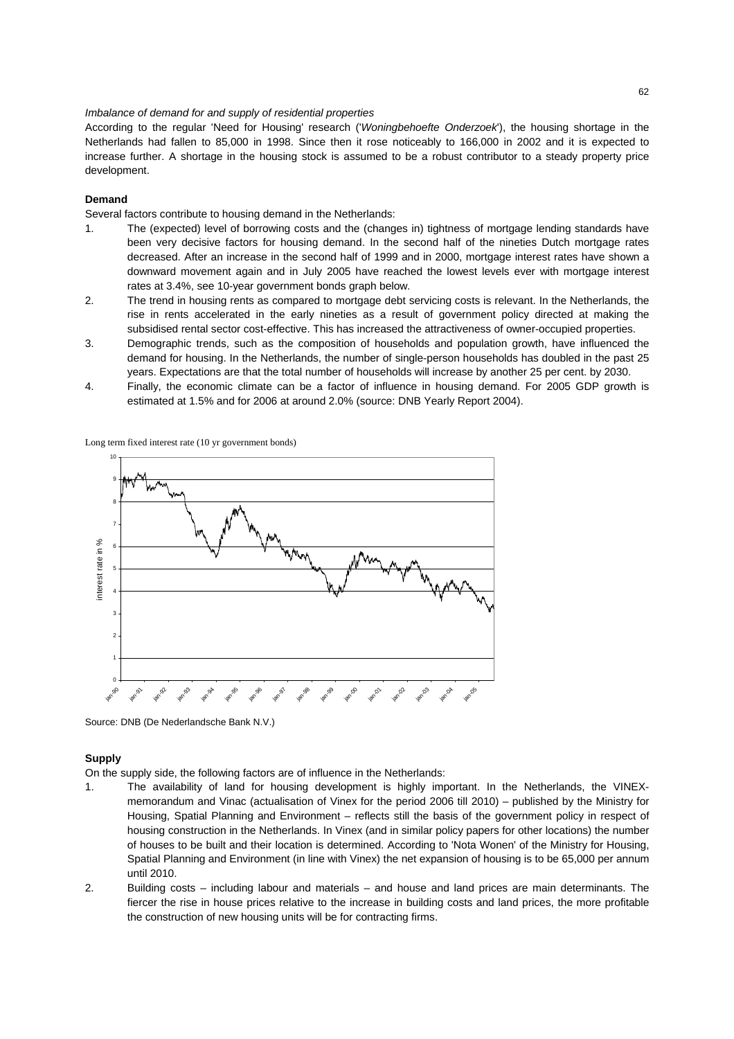## *Imbalance of demand for and supply of residential properties*

According to the regular 'Need for Housing' research ('*Woningbehoefte Onderzoek*'), the housing shortage in the Netherlands had fallen to 85,000 in 1998. Since then it rose noticeably to 166,000 in 2002 and it is expected to increase further. A shortage in the housing stock is assumed to be a robust contributor to a steady property price development.

## **Demand**

Several factors contribute to housing demand in the Netherlands:

- 1. The (expected) level of borrowing costs and the (changes in) tightness of mortgage lending standards have been very decisive factors for housing demand. In the second half of the nineties Dutch mortgage rates decreased. After an increase in the second half of 1999 and in 2000, mortgage interest rates have shown a downward movement again and in July 2005 have reached the lowest levels ever with mortgage interest rates at 3.4%, see 10-year government bonds graph below.
- 2. The trend in housing rents as compared to mortgage debt servicing costs is relevant. In the Netherlands, the rise in rents accelerated in the early nineties as a result of government policy directed at making the subsidised rental sector cost-effective. This has increased the attractiveness of owner-occupied properties.
- 3. Demographic trends, such as the composition of households and population growth, have influenced the demand for housing. In the Netherlands, the number of single-person households has doubled in the past 25 years. Expectations are that the total number of households will increase by another 25 per cent. by 2030.
- 4. Finally, the economic climate can be a factor of influence in housing demand. For 2005 GDP growth is estimated at 1.5% and for 2006 at around 2.0% (source: DNB Yearly Report 2004).



Long term fixed interest rate (10 yr government bonds)

Source: DNB (De Nederlandsche Bank N.V.)

## **Supply**

On the supply side, the following factors are of influence in the Netherlands:

- 1. The availability of land for housing development is highly important. In the Netherlands, the VINEXmemorandum and Vinac (actualisation of Vinex for the period 2006 till 2010) – published by the Ministry for Housing, Spatial Planning and Environment – reflects still the basis of the government policy in respect of housing construction in the Netherlands. In Vinex (and in similar policy papers for other locations) the number of houses to be built and their location is determined. According to 'Nota Wonen' of the Ministry for Housing, Spatial Planning and Environment (in line with Vinex) the net expansion of housing is to be 65,000 per annum until 2010.
- 2. Building costs including labour and materials and house and land prices are main determinants. The fiercer the rise in house prices relative to the increase in building costs and land prices, the more profitable the construction of new housing units will be for contracting firms.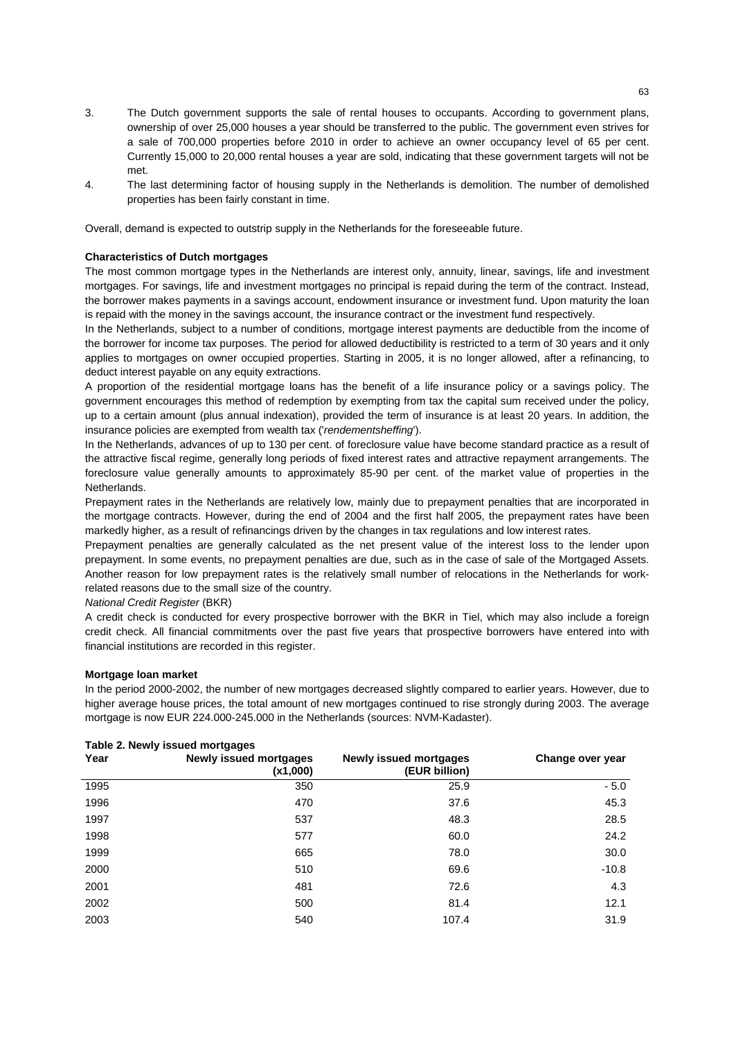- 3. The Dutch government supports the sale of rental houses to occupants. According to government plans, ownership of over 25,000 houses a year should be transferred to the public. The government even strives for a sale of 700,000 properties before 2010 in order to achieve an owner occupancy level of 65 per cent. Currently 15,000 to 20,000 rental houses a year are sold, indicating that these government targets will not be met.
- 4. The last determining factor of housing supply in the Netherlands is demolition. The number of demolished properties has been fairly constant in time.

Overall, demand is expected to outstrip supply in the Netherlands for the foreseeable future.

## **Characteristics of Dutch mortgages**

The most common mortgage types in the Netherlands are interest only, annuity, linear, savings, life and investment mortgages. For savings, life and investment mortgages no principal is repaid during the term of the contract. Instead, the borrower makes payments in a savings account, endowment insurance or investment fund. Upon maturity the loan is repaid with the money in the savings account, the insurance contract or the investment fund respectively.

In the Netherlands, subject to a number of conditions, mortgage interest payments are deductible from the income of the borrower for income tax purposes. The period for allowed deductibility is restricted to a term of 30 years and it only applies to mortgages on owner occupied properties. Starting in 2005, it is no longer allowed, after a refinancing, to deduct interest payable on any equity extractions.

A proportion of the residential mortgage loans has the benefit of a life insurance policy or a savings policy. The government encourages this method of redemption by exempting from tax the capital sum received under the policy, up to a certain amount (plus annual indexation), provided the term of insurance is at least 20 years. In addition, the insurance policies are exempted from wealth tax ('*rendementsheffing*').

In the Netherlands, advances of up to 130 per cent. of foreclosure value have become standard practice as a result of the attractive fiscal regime, generally long periods of fixed interest rates and attractive repayment arrangements. The foreclosure value generally amounts to approximately 85-90 per cent. of the market value of properties in the Netherlands.

Prepayment rates in the Netherlands are relatively low, mainly due to prepayment penalties that are incorporated in the mortgage contracts. However, during the end of 2004 and the first half 2005, the prepayment rates have been markedly higher, as a result of refinancings driven by the changes in tax regulations and low interest rates.

Prepayment penalties are generally calculated as the net present value of the interest loss to the lender upon prepayment. In some events, no prepayment penalties are due, such as in the case of sale of the Mortgaged Assets. Another reason for low prepayment rates is the relatively small number of relocations in the Netherlands for workrelated reasons due to the small size of the country.

*National Credit Register* (BKR)

A credit check is conducted for every prospective borrower with the BKR in Tiel, which may also include a foreign credit check. All financial commitments over the past five years that prospective borrowers have entered into with financial institutions are recorded in this register.

## **Mortgage loan market**

In the period 2000-2002, the number of new mortgages decreased slightly compared to earlier years. However, due to higher average house prices, the total amount of new mortgages continued to rise strongly during 2003. The average mortgage is now EUR 224.000-245.000 in the Netherlands (sources: NVM-Kadaster).

| $1.4010$ = $1.10111$ $1.00000$ $1.10119$ |                                           |                                         |                  |  |
|------------------------------------------|-------------------------------------------|-----------------------------------------|------------------|--|
| Year                                     | <b>Newly issued mortgages</b><br>(x1,000) | Newly issued mortgages<br>(EUR billion) | Change over year |  |
| 1995                                     | 350                                       | 25.9                                    | $-5.0$           |  |
| 1996                                     | 470                                       | 37.6                                    | 45.3             |  |
| 1997                                     | 537                                       | 48.3                                    | 28.5             |  |
| 1998                                     | 577                                       | 60.0                                    | 24.2             |  |
| 1999                                     | 665                                       | 78.0                                    | 30.0             |  |
| 2000                                     | 510                                       | 69.6                                    | $-10.8$          |  |
| 2001                                     | 481                                       | 72.6                                    | 4.3              |  |
| 2002                                     | 500                                       | 81.4                                    | 12.1             |  |
| 2003                                     | 540                                       | 107.4                                   | 31.9             |  |

#### **Table 2. Newly issued mortgages**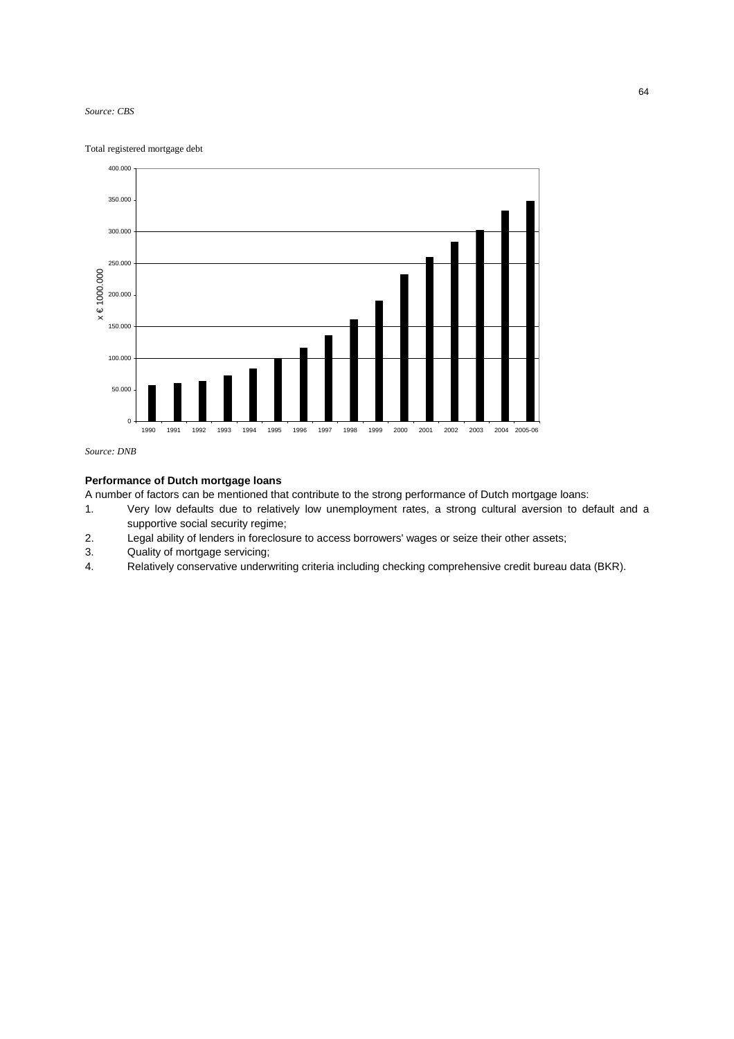#### *Source: CBS*

Total registered mortgage debt



*Source: DNB* 

# **Performance of Dutch mortgage loans**

A number of factors can be mentioned that contribute to the strong performance of Dutch mortgage loans:

- 1. Very low defaults due to relatively low unemployment rates, a strong cultural aversion to default and a supportive social security regime;
- 2. Legal ability of lenders in foreclosure to access borrowers' wages or seize their other assets;
- 3. Quality of mortgage servicing;
- 4. Relatively conservative underwriting criteria including checking comprehensive credit bureau data (BKR).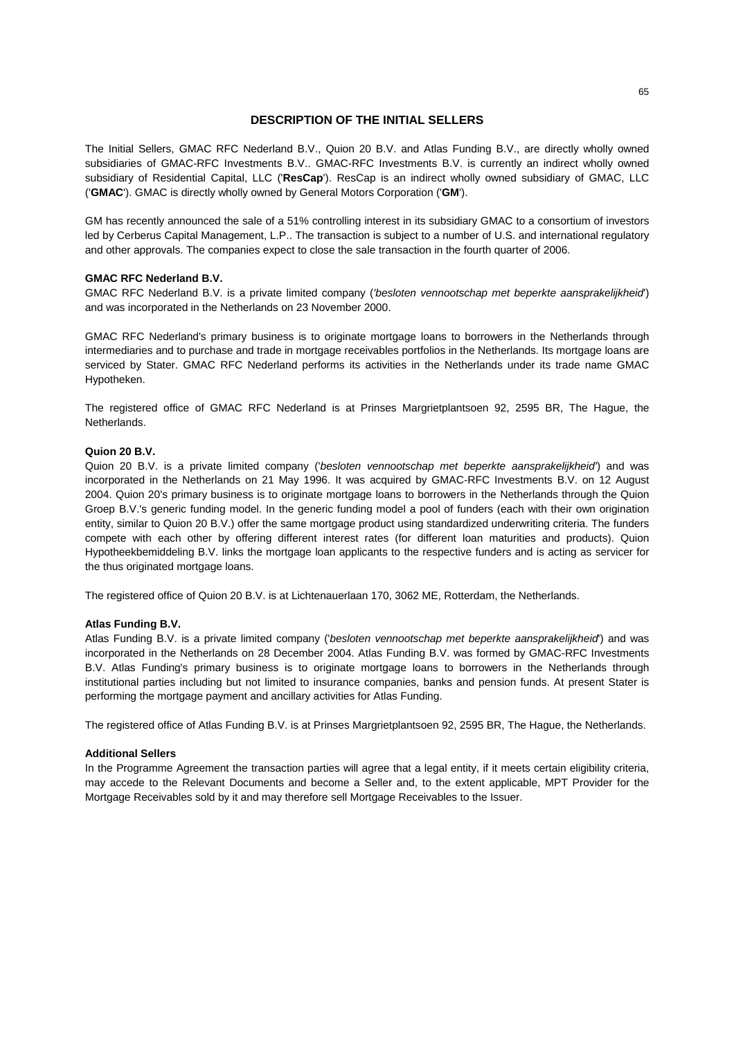# **DESCRIPTION OF THE INITIAL SELLERS**

The Initial Sellers, GMAC RFC Nederland B.V., Quion 20 B.V. and Atlas Funding B.V., are directly wholly owned subsidiaries of GMAC-RFC Investments B.V.. GMAC-RFC Investments B.V. is currently an indirect wholly owned subsidiary of Residential Capital, LLC ('**ResCap**'). ResCap is an indirect wholly owned subsidiary of GMAC, LLC ('**GMAC**'). GMAC is directly wholly owned by General Motors Corporation ('**GM**').

GM has recently announced the sale of a 51% controlling interest in its subsidiary GMAC to a consortium of investors led by Cerberus Capital Management, L.P.. The transaction is subject to a number of U.S. and international regulatory and other approvals. The companies expect to close the sale transaction in the fourth quarter of 2006.

## **GMAC RFC Nederland B.V.**

GMAC RFC Nederland B.V. is a private limited company (*'besloten vennootschap met beperkte aansprakelijkheid*') and was incorporated in the Netherlands on 23 November 2000.

GMAC RFC Nederland's primary business is to originate mortgage loans to borrowers in the Netherlands through intermediaries and to purchase and trade in mortgage receivables portfolios in the Netherlands. Its mortgage loans are serviced by Stater. GMAC RFC Nederland performs its activities in the Netherlands under its trade name GMAC Hypotheken.

The registered office of GMAC RFC Nederland is at Prinses Margrietplantsoen 92, 2595 BR, The Hague, the Netherlands.

# **Quion 20 B.V.**

Quion 20 B.V. is a private limited company ('*besloten vennootschap met beperkte aansprakelijkheid'*) and was incorporated in the Netherlands on 21 May 1996. It was acquired by GMAC-RFC Investments B.V. on 12 August 2004. Quion 20's primary business is to originate mortgage loans to borrowers in the Netherlands through the Quion Groep B.V.'s generic funding model. In the generic funding model a pool of funders (each with their own origination entity, similar to Quion 20 B.V.) offer the same mortgage product using standardized underwriting criteria. The funders compete with each other by offering different interest rates (for different loan maturities and products). Quion Hypotheekbemiddeling B.V. links the mortgage loan applicants to the respective funders and is acting as servicer for the thus originated mortgage loans.

The registered office of Quion 20 B.V. is at Lichtenauerlaan 170, 3062 ME, Rotterdam, the Netherlands.

#### **Atlas Funding B.V.**

Atlas Funding B.V. is a private limited company ('*besloten vennootschap met beperkte aansprakelijkheid*') and was incorporated in the Netherlands on 28 December 2004. Atlas Funding B.V. was formed by GMAC-RFC Investments B.V. Atlas Funding's primary business is to originate mortgage loans to borrowers in the Netherlands through institutional parties including but not limited to insurance companies, banks and pension funds. At present Stater is performing the mortgage payment and ancillary activities for Atlas Funding.

The registered office of Atlas Funding B.V. is at Prinses Margrietplantsoen 92, 2595 BR, The Hague, the Netherlands.

## **Additional Sellers**

In the Programme Agreement the transaction parties will agree that a legal entity, if it meets certain eligibility criteria, may accede to the Relevant Documents and become a Seller and, to the extent applicable, MPT Provider for the Mortgage Receivables sold by it and may therefore sell Mortgage Receivables to the Issuer.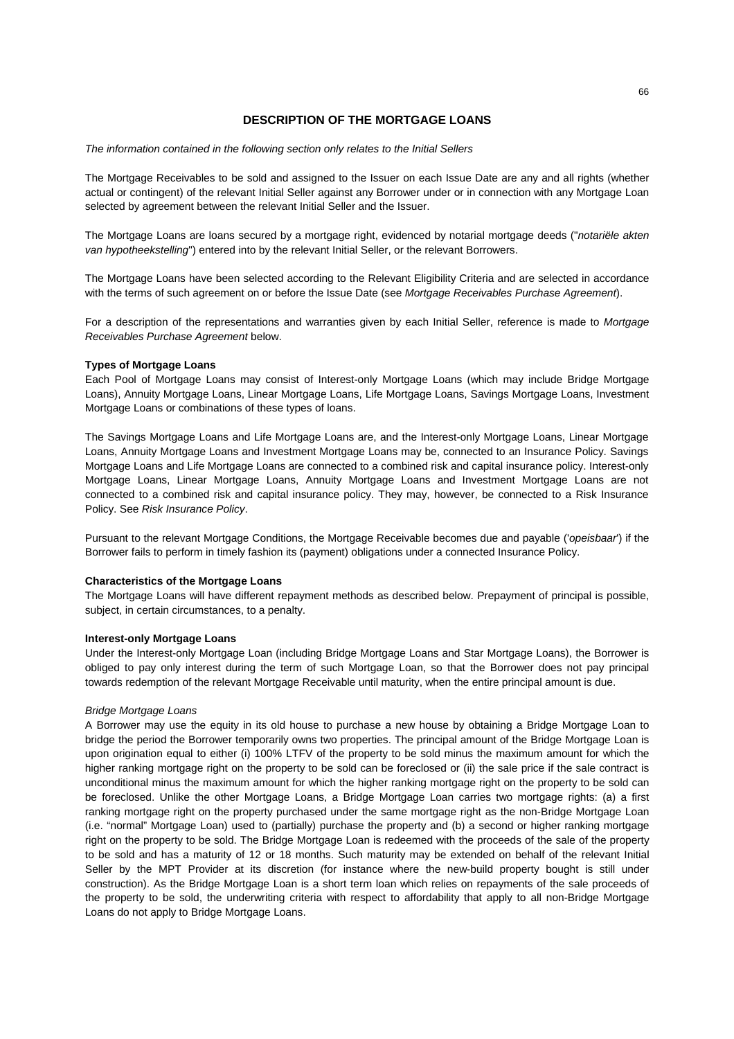# **DESCRIPTION OF THE MORTGAGE LOANS**

*The information contained in the following section only relates to the Initial Sellers*

The Mortgage Receivables to be sold and assigned to the Issuer on each Issue Date are any and all rights (whether actual or contingent) of the relevant Initial Seller against any Borrower under or in connection with any Mortgage Loan selected by agreement between the relevant Initial Seller and the Issuer.

The Mortgage Loans are loans secured by a mortgage right, evidenced by notarial mortgage deeds ("*notariële akten van hypotheekstelling*") entered into by the relevant Initial Seller, or the relevant Borrowers.

The Mortgage Loans have been selected according to the Relevant Eligibility Criteria and are selected in accordance with the terms of such agreement on or before the Issue Date (see *Mortgage Receivables Purchase Agreement*).

For a description of the representations and warranties given by each Initial Seller, reference is made to *Mortgage Receivables Purchase Agreement* below.

## **Types of Mortgage Loans**

Each Pool of Mortgage Loans may consist of Interest-only Mortgage Loans (which may include Bridge Mortgage Loans), Annuity Mortgage Loans, Linear Mortgage Loans, Life Mortgage Loans, Savings Mortgage Loans, Investment Mortgage Loans or combinations of these types of loans.

The Savings Mortgage Loans and Life Mortgage Loans are, and the Interest-only Mortgage Loans, Linear Mortgage Loans, Annuity Mortgage Loans and Investment Mortgage Loans may be, connected to an Insurance Policy. Savings Mortgage Loans and Life Mortgage Loans are connected to a combined risk and capital insurance policy. Interest-only Mortgage Loans, Linear Mortgage Loans, Annuity Mortgage Loans and Investment Mortgage Loans are not connected to a combined risk and capital insurance policy. They may, however, be connected to a Risk Insurance Policy. See *Risk Insurance Policy*.

Pursuant to the relevant Mortgage Conditions, the Mortgage Receivable becomes due and payable ('*opeisbaar*') if the Borrower fails to perform in timely fashion its (payment) obligations under a connected Insurance Policy.

## **Characteristics of the Mortgage Loans**

The Mortgage Loans will have different repayment methods as described below. Prepayment of principal is possible, subject, in certain circumstances, to a penalty.

## **Interest-only Mortgage Loans**

Under the Interest-only Mortgage Loan (including Bridge Mortgage Loans and Star Mortgage Loans), the Borrower is obliged to pay only interest during the term of such Mortgage Loan, so that the Borrower does not pay principal towards redemption of the relevant Mortgage Receivable until maturity, when the entire principal amount is due.

## *Bridge Mortgage Loans*

A Borrower may use the equity in its old house to purchase a new house by obtaining a Bridge Mortgage Loan to bridge the period the Borrower temporarily owns two properties. The principal amount of the Bridge Mortgage Loan is upon origination equal to either (i) 100% LTFV of the property to be sold minus the maximum amount for which the higher ranking mortgage right on the property to be sold can be foreclosed or (ii) the sale price if the sale contract is unconditional minus the maximum amount for which the higher ranking mortgage right on the property to be sold can be foreclosed. Unlike the other Mortgage Loans, a Bridge Mortgage Loan carries two mortgage rights: (a) a first ranking mortgage right on the property purchased under the same mortgage right as the non-Bridge Mortgage Loan (i.e. "normal" Mortgage Loan) used to (partially) purchase the property and (b) a second or higher ranking mortgage right on the property to be sold. The Bridge Mortgage Loan is redeemed with the proceeds of the sale of the property to be sold and has a maturity of 12 or 18 months. Such maturity may be extended on behalf of the relevant Initial Seller by the MPT Provider at its discretion (for instance where the new-build property bought is still under construction). As the Bridge Mortgage Loan is a short term loan which relies on repayments of the sale proceeds of the property to be sold, the underwriting criteria with respect to affordability that apply to all non-Bridge Mortgage Loans do not apply to Bridge Mortgage Loans.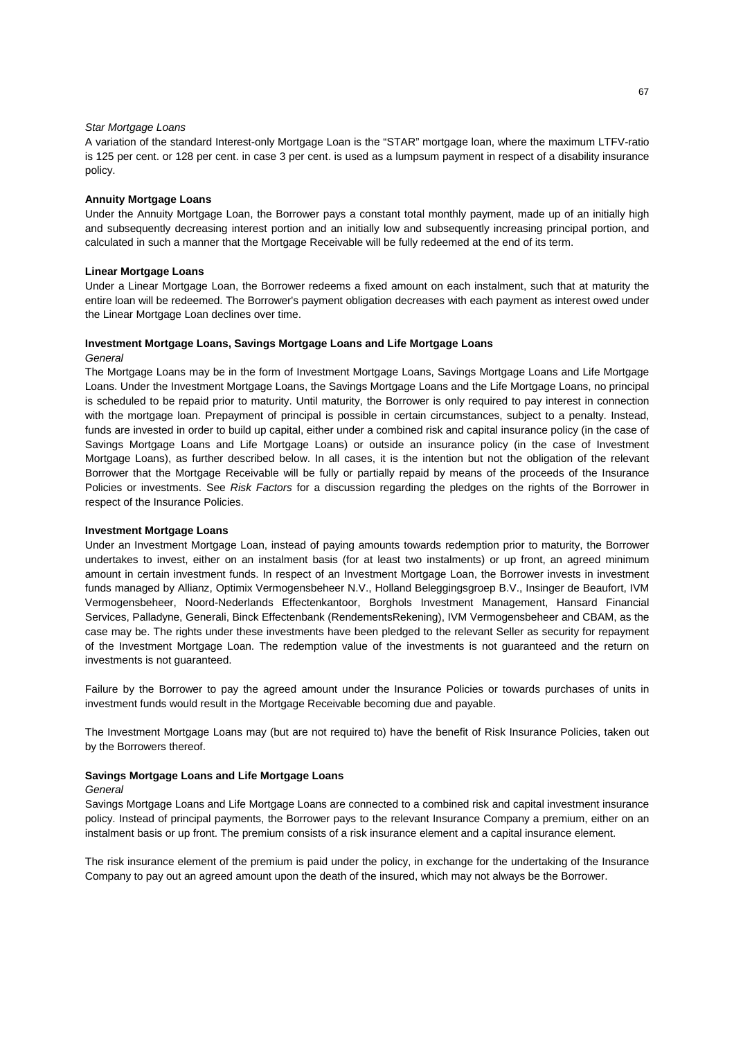## *Star Mortgage Loans*

A variation of the standard Interest-only Mortgage Loan is the "STAR" mortgage loan, where the maximum LTFV-ratio is 125 per cent. or 128 per cent. in case 3 per cent. is used as a lumpsum payment in respect of a disability insurance policy.

#### **Annuity Mortgage Loans**

Under the Annuity Mortgage Loan, the Borrower pays a constant total monthly payment, made up of an initially high and subsequently decreasing interest portion and an initially low and subsequently increasing principal portion, and calculated in such a manner that the Mortgage Receivable will be fully redeemed at the end of its term.

#### **Linear Mortgage Loans**

Under a Linear Mortgage Loan, the Borrower redeems a fixed amount on each instalment, such that at maturity the entire loan will be redeemed. The Borrower's payment obligation decreases with each payment as interest owed under the Linear Mortgage Loan declines over time.

## **Investment Mortgage Loans, Savings Mortgage Loans and Life Mortgage Loans**

*General* 

The Mortgage Loans may be in the form of Investment Mortgage Loans, Savings Mortgage Loans and Life Mortgage Loans. Under the Investment Mortgage Loans, the Savings Mortgage Loans and the Life Mortgage Loans, no principal is scheduled to be repaid prior to maturity. Until maturity, the Borrower is only required to pay interest in connection with the mortgage loan. Prepayment of principal is possible in certain circumstances, subject to a penalty, Instead, funds are invested in order to build up capital, either under a combined risk and capital insurance policy (in the case of Savings Mortgage Loans and Life Mortgage Loans) or outside an insurance policy (in the case of Investment Mortgage Loans), as further described below. In all cases, it is the intention but not the obligation of the relevant Borrower that the Mortgage Receivable will be fully or partially repaid by means of the proceeds of the Insurance Policies or investments. See *Risk Factors* for a discussion regarding the pledges on the rights of the Borrower in respect of the Insurance Policies.

#### **Investment Mortgage Loans**

Under an Investment Mortgage Loan, instead of paying amounts towards redemption prior to maturity, the Borrower undertakes to invest, either on an instalment basis (for at least two instalments) or up front, an agreed minimum amount in certain investment funds. In respect of an Investment Mortgage Loan, the Borrower invests in investment funds managed by Allianz, Optimix Vermogensbeheer N.V., Holland Beleggingsgroep B.V., Insinger de Beaufort, IVM Vermogensbeheer, Noord-Nederlands Effectenkantoor, Borghols Investment Management, Hansard Financial Services, Palladyne, Generali, Binck Effectenbank (RendementsRekening), IVM Vermogensbeheer and CBAM, as the case may be. The rights under these investments have been pledged to the relevant Seller as security for repayment of the Investment Mortgage Loan. The redemption value of the investments is not guaranteed and the return on investments is not guaranteed.

Failure by the Borrower to pay the agreed amount under the Insurance Policies or towards purchases of units in investment funds would result in the Mortgage Receivable becoming due and payable.

The Investment Mortgage Loans may (but are not required to) have the benefit of Risk Insurance Policies, taken out by the Borrowers thereof.

## **Savings Mortgage Loans and Life Mortgage Loans**

#### *General*

Savings Mortgage Loans and Life Mortgage Loans are connected to a combined risk and capital investment insurance policy. Instead of principal payments, the Borrower pays to the relevant Insurance Company a premium, either on an instalment basis or up front. The premium consists of a risk insurance element and a capital insurance element.

The risk insurance element of the premium is paid under the policy, in exchange for the undertaking of the Insurance Company to pay out an agreed amount upon the death of the insured, which may not always be the Borrower.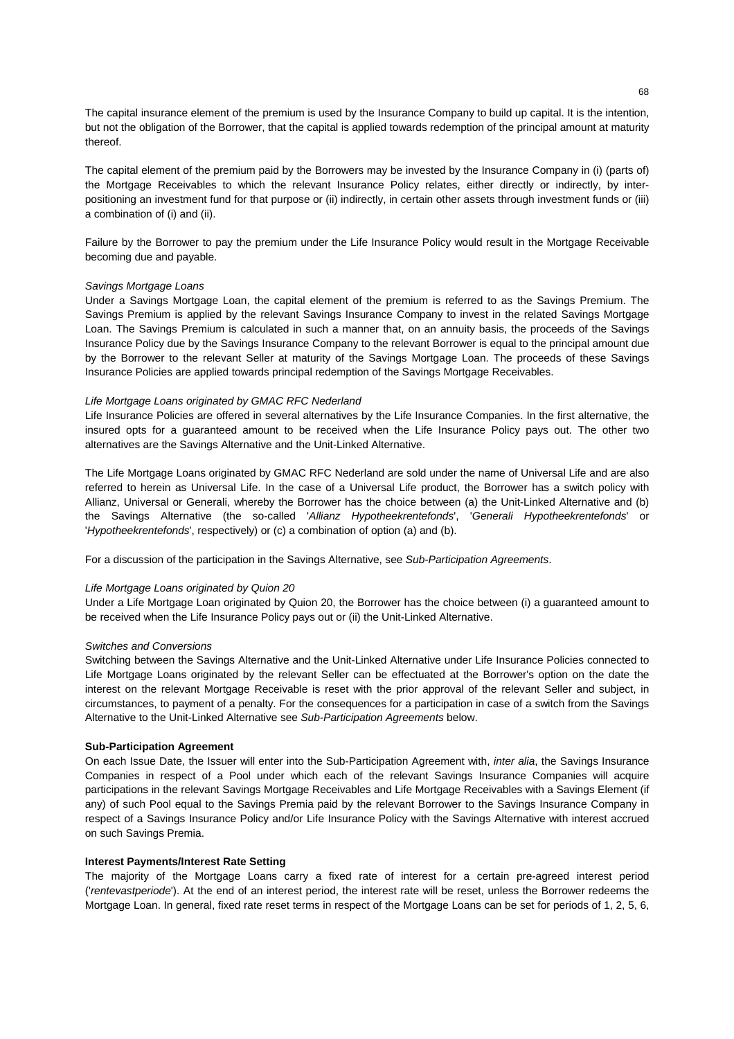The capital insurance element of the premium is used by the Insurance Company to build up capital. It is the intention, but not the obligation of the Borrower, that the capital is applied towards redemption of the principal amount at maturity thereof.

The capital element of the premium paid by the Borrowers may be invested by the Insurance Company in (i) (parts of) the Mortgage Receivables to which the relevant Insurance Policy relates, either directly or indirectly, by interpositioning an investment fund for that purpose or (ii) indirectly, in certain other assets through investment funds or (iii) a combination of (i) and (ii).

Failure by the Borrower to pay the premium under the Life Insurance Policy would result in the Mortgage Receivable becoming due and payable.

## *Savings Mortgage Loans*

Under a Savings Mortgage Loan, the capital element of the premium is referred to as the Savings Premium. The Savings Premium is applied by the relevant Savings Insurance Company to invest in the related Savings Mortgage Loan. The Savings Premium is calculated in such a manner that, on an annuity basis, the proceeds of the Savings Insurance Policy due by the Savings Insurance Company to the relevant Borrower is equal to the principal amount due by the Borrower to the relevant Seller at maturity of the Savings Mortgage Loan. The proceeds of these Savings Insurance Policies are applied towards principal redemption of the Savings Mortgage Receivables.

## *Life Mortgage Loans originated by GMAC RFC Nederland*

Life Insurance Policies are offered in several alternatives by the Life Insurance Companies. In the first alternative, the insured opts for a guaranteed amount to be received when the Life Insurance Policy pays out. The other two alternatives are the Savings Alternative and the Unit-Linked Alternative.

The Life Mortgage Loans originated by GMAC RFC Nederland are sold under the name of Universal Life and are also referred to herein as Universal Life. In the case of a Universal Life product, the Borrower has a switch policy with Allianz, Universal or Generali, whereby the Borrower has the choice between (a) the Unit-Linked Alternative and (b) the Savings Alternative (the so-called '*Allianz Hypotheekrentefonds*', '*Generali Hypotheekrentefonds*' or '*Hypotheekrentefonds*', respectively) or (c) a combination of option (a) and (b).

For a discussion of the participation in the Savings Alternative, see *Sub-Participation Agreements*.

## *Life Mortgage Loans originated by Quion 20*

Under a Life Mortgage Loan originated by Quion 20, the Borrower has the choice between (i) a guaranteed amount to be received when the Life Insurance Policy pays out or (ii) the Unit-Linked Alternative.

## *Switches and Conversions*

Switching between the Savings Alternative and the Unit-Linked Alternative under Life Insurance Policies connected to Life Mortgage Loans originated by the relevant Seller can be effectuated at the Borrower's option on the date the interest on the relevant Mortgage Receivable is reset with the prior approval of the relevant Seller and subject, in circumstances, to payment of a penalty. For the consequences for a participation in case of a switch from the Savings Alternative to the Unit-Linked Alternative see *Sub-Participation Agreements* below.

#### **Sub-Participation Agreement**

On each Issue Date, the Issuer will enter into the Sub-Participation Agreement with, *inter alia*, the Savings Insurance Companies in respect of a Pool under which each of the relevant Savings Insurance Companies will acquire participations in the relevant Savings Mortgage Receivables and Life Mortgage Receivables with a Savings Element (if any) of such Pool equal to the Savings Premia paid by the relevant Borrower to the Savings Insurance Company in respect of a Savings Insurance Policy and/or Life Insurance Policy with the Savings Alternative with interest accrued on such Savings Premia.

## **Interest Payments/Interest Rate Setting**

The majority of the Mortgage Loans carry a fixed rate of interest for a certain pre-agreed interest period ('*rentevastperiode*'). At the end of an interest period, the interest rate will be reset, unless the Borrower redeems the Mortgage Loan. In general, fixed rate reset terms in respect of the Mortgage Loans can be set for periods of 1, 2, 5, 6,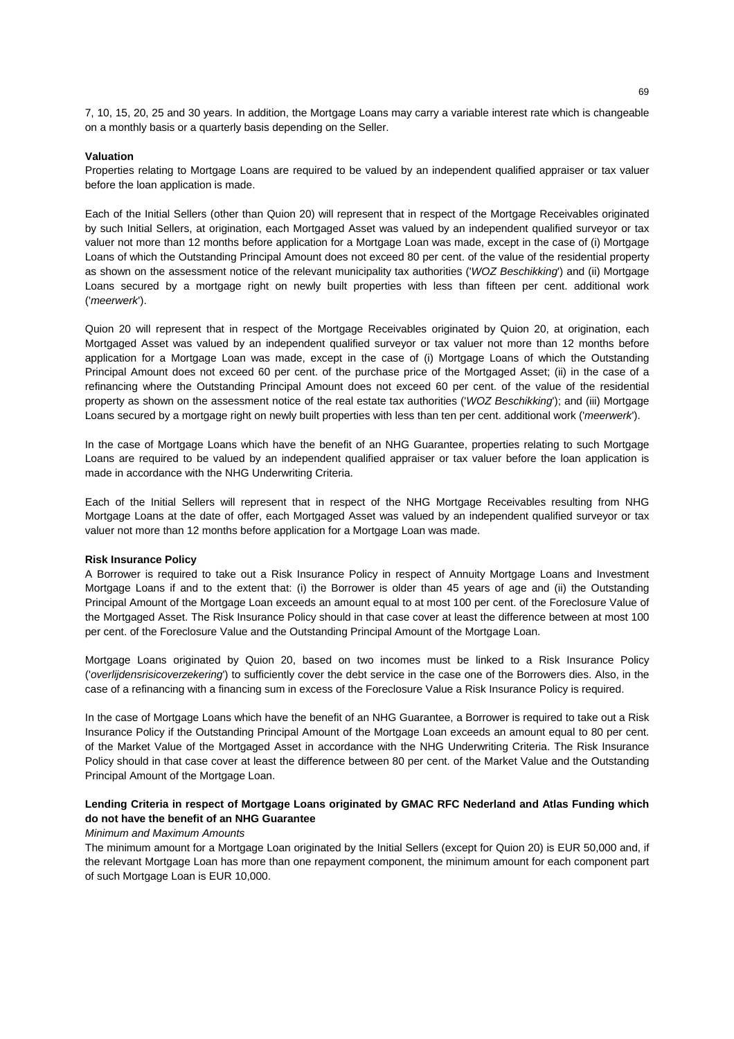7, 10, 15, 20, 25 and 30 years. In addition, the Mortgage Loans may carry a variable interest rate which is changeable on a monthly basis or a quarterly basis depending on the Seller.

#### **Valuation**

Properties relating to Mortgage Loans are required to be valued by an independent qualified appraiser or tax valuer before the loan application is made.

Each of the Initial Sellers (other than Quion 20) will represent that in respect of the Mortgage Receivables originated by such Initial Sellers, at origination, each Mortgaged Asset was valued by an independent qualified surveyor or tax valuer not more than 12 months before application for a Mortgage Loan was made, except in the case of (i) Mortgage Loans of which the Outstanding Principal Amount does not exceed 80 per cent. of the value of the residential property as shown on the assessment notice of the relevant municipality tax authorities ('*WOZ Beschikking*') and (ii) Mortgage Loans secured by a mortgage right on newly built properties with less than fifteen per cent. additional work ('*meerwerk*').

Quion 20 will represent that in respect of the Mortgage Receivables originated by Quion 20, at origination, each Mortgaged Asset was valued by an independent qualified surveyor or tax valuer not more than 12 months before application for a Mortgage Loan was made, except in the case of (i) Mortgage Loans of which the Outstanding Principal Amount does not exceed 60 per cent. of the purchase price of the Mortgaged Asset; (ii) in the case of a refinancing where the Outstanding Principal Amount does not exceed 60 per cent. of the value of the residential property as shown on the assessment notice of the real estate tax authorities ('*WOZ Beschikking*'); and (iii) Mortgage Loans secured by a mortgage right on newly built properties with less than ten per cent. additional work ('*meerwerk*').

In the case of Mortgage Loans which have the benefit of an NHG Guarantee, properties relating to such Mortgage Loans are required to be valued by an independent qualified appraiser or tax valuer before the loan application is made in accordance with the NHG Underwriting Criteria.

Each of the Initial Sellers will represent that in respect of the NHG Mortgage Receivables resulting from NHG Mortgage Loans at the date of offer, each Mortgaged Asset was valued by an independent qualified surveyor or tax valuer not more than 12 months before application for a Mortgage Loan was made.

#### **Risk Insurance Policy**

A Borrower is required to take out a Risk Insurance Policy in respect of Annuity Mortgage Loans and Investment Mortgage Loans if and to the extent that: (i) the Borrower is older than 45 years of age and (ii) the Outstanding Principal Amount of the Mortgage Loan exceeds an amount equal to at most 100 per cent. of the Foreclosure Value of the Mortgaged Asset. The Risk Insurance Policy should in that case cover at least the difference between at most 100 per cent. of the Foreclosure Value and the Outstanding Principal Amount of the Mortgage Loan.

Mortgage Loans originated by Quion 20, based on two incomes must be linked to a Risk Insurance Policy ('*overlijdensrisicoverzekering*') to sufficiently cover the debt service in the case one of the Borrowers dies. Also, in the case of a refinancing with a financing sum in excess of the Foreclosure Value a Risk Insurance Policy is required.

In the case of Mortgage Loans which have the benefit of an NHG Guarantee, a Borrower is required to take out a Risk Insurance Policy if the Outstanding Principal Amount of the Mortgage Loan exceeds an amount equal to 80 per cent. of the Market Value of the Mortgaged Asset in accordance with the NHG Underwriting Criteria. The Risk Insurance Policy should in that case cover at least the difference between 80 per cent. of the Market Value and the Outstanding Principal Amount of the Mortgage Loan.

# **Lending Criteria in respect of Mortgage Loans originated by GMAC RFC Nederland and Atlas Funding which do not have the benefit of an NHG Guarantee**

#### *Minimum and Maximum Amounts*

The minimum amount for a Mortgage Loan originated by the Initial Sellers (except for Quion 20) is EUR 50,000 and, if the relevant Mortgage Loan has more than one repayment component, the minimum amount for each component part of such Mortgage Loan is EUR 10,000.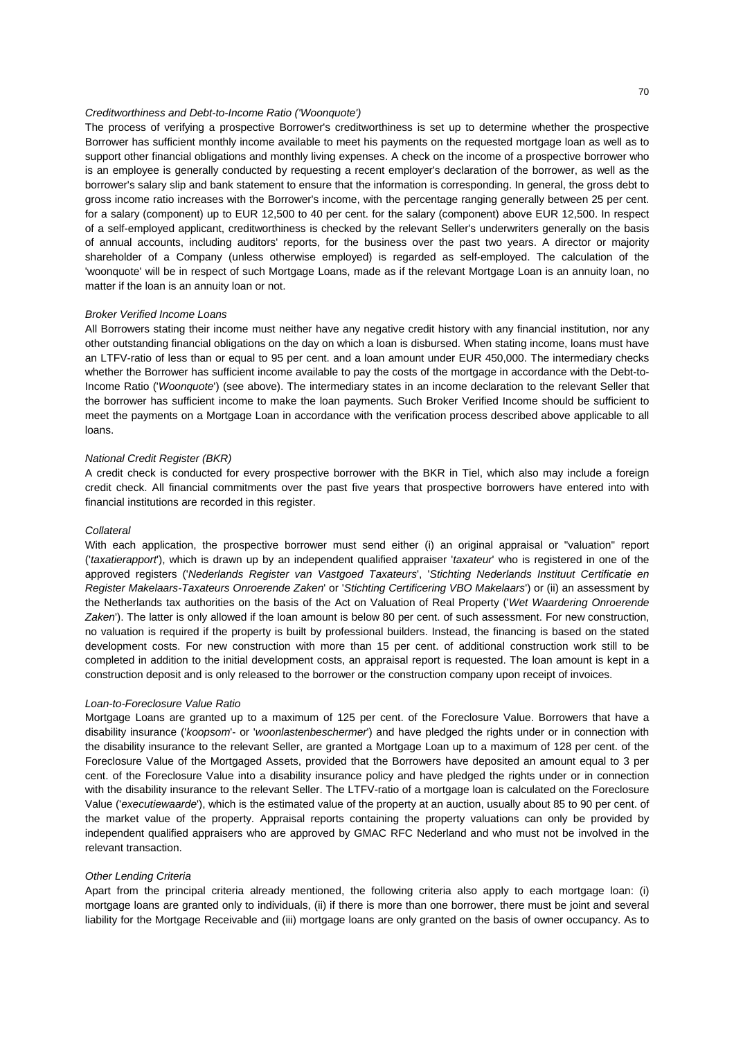## *Creditworthiness and Debt-to-Income Ratio ('Woonquote')*

The process of verifying a prospective Borrower's creditworthiness is set up to determine whether the prospective Borrower has sufficient monthly income available to meet his payments on the requested mortgage loan as well as to support other financial obligations and monthly living expenses. A check on the income of a prospective borrower who is an employee is generally conducted by requesting a recent employer's declaration of the borrower, as well as the borrower's salary slip and bank statement to ensure that the information is corresponding. In general, the gross debt to gross income ratio increases with the Borrower's income, with the percentage ranging generally between 25 per cent. for a salary (component) up to EUR 12,500 to 40 per cent. for the salary (component) above EUR 12,500. In respect of a self-employed applicant, creditworthiness is checked by the relevant Seller's underwriters generally on the basis of annual accounts, including auditors' reports, for the business over the past two years. A director or majority shareholder of a Company (unless otherwise employed) is regarded as self-employed. The calculation of the 'woonquote' will be in respect of such Mortgage Loans, made as if the relevant Mortgage Loan is an annuity loan, no matter if the loan is an annuity loan or not.

#### *Broker Verified Income Loans*

All Borrowers stating their income must neither have any negative credit history with any financial institution, nor any other outstanding financial obligations on the day on which a loan is disbursed. When stating income, loans must have an LTFV-ratio of less than or equal to 95 per cent. and a loan amount under EUR 450,000. The intermediary checks whether the Borrower has sufficient income available to pay the costs of the mortgage in accordance with the Debt-to-Income Ratio ('*Woonquote*') (see above). The intermediary states in an income declaration to the relevant Seller that the borrower has sufficient income to make the loan payments. Such Broker Verified Income should be sufficient to meet the payments on a Mortgage Loan in accordance with the verification process described above applicable to all loans.

#### *National Credit Register (BKR)*

A credit check is conducted for every prospective borrower with the BKR in Tiel, which also may include a foreign credit check. All financial commitments over the past five years that prospective borrowers have entered into with financial institutions are recorded in this register.

#### *Collateral*

With each application, the prospective borrower must send either (i) an original appraisal or "valuation" report ('*taxatierapport*'), which is drawn up by an independent qualified appraiser '*taxateur*' who is registered in one of the approved registers ('*Nederlands Register van Vastgoed Taxateurs*', '*Stichting Nederlands Instituut Certificatie en Register Makelaars-Taxateurs Onroerende Zaken*' or '*Stichting Certificering VBO Makelaars*') or (ii) an assessment by the Netherlands tax authorities on the basis of the Act on Valuation of Real Property ('*Wet Waardering Onroerende Zaken*'). The latter is only allowed if the loan amount is below 80 per cent. of such assessment. For new construction, no valuation is required if the property is built by professional builders. Instead, the financing is based on the stated development costs. For new construction with more than 15 per cent. of additional construction work still to be completed in addition to the initial development costs, an appraisal report is requested. The loan amount is kept in a construction deposit and is only released to the borrower or the construction company upon receipt of invoices.

#### *Loan-to-Foreclosure Value Ratio*

Mortgage Loans are granted up to a maximum of 125 per cent. of the Foreclosure Value. Borrowers that have a disability insurance ('*koopsom*'- or '*woonlastenbeschermer*') and have pledged the rights under or in connection with the disability insurance to the relevant Seller, are granted a Mortgage Loan up to a maximum of 128 per cent. of the Foreclosure Value of the Mortgaged Assets, provided that the Borrowers have deposited an amount equal to 3 per cent. of the Foreclosure Value into a disability insurance policy and have pledged the rights under or in connection with the disability insurance to the relevant Seller. The LTFV-ratio of a mortgage loan is calculated on the Foreclosure Value ('*executiewaarde*'), which is the estimated value of the property at an auction, usually about 85 to 90 per cent. of the market value of the property. Appraisal reports containing the property valuations can only be provided by independent qualified appraisers who are approved by GMAC RFC Nederland and who must not be involved in the relevant transaction.

## *Other Lending Criteria*

Apart from the principal criteria already mentioned, the following criteria also apply to each mortgage loan: (i) mortgage loans are granted only to individuals, (ii) if there is more than one borrower, there must be joint and several liability for the Mortgage Receivable and (iii) mortgage loans are only granted on the basis of owner occupancy. As to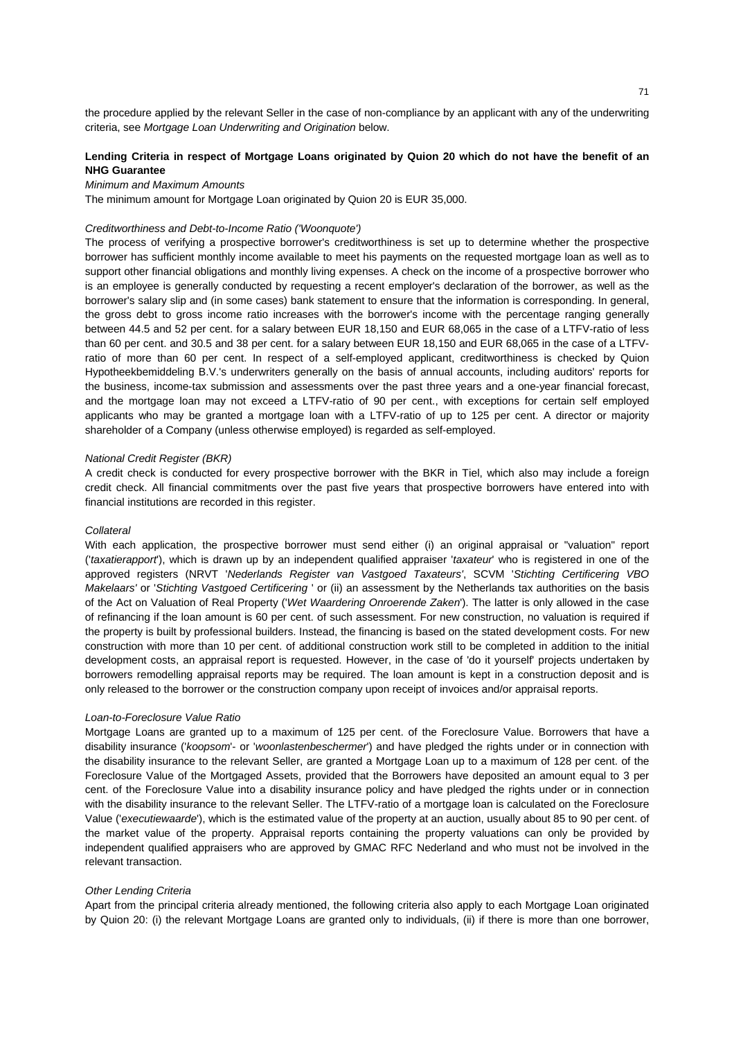the procedure applied by the relevant Seller in the case of non-compliance by an applicant with any of the underwriting criteria, see *Mortgage Loan Underwriting and Origination* below.

# **Lending Criteria in respect of Mortgage Loans originated by Quion 20 which do not have the benefit of an NHG Guarantee**

## *Minimum and Maximum Amounts*

The minimum amount for Mortgage Loan originated by Quion 20 is EUR 35,000.

## *Creditworthiness and Debt-to-Income Ratio ('Woonquote')*

The process of verifying a prospective borrower's creditworthiness is set up to determine whether the prospective borrower has sufficient monthly income available to meet his payments on the requested mortgage loan as well as to support other financial obligations and monthly living expenses. A check on the income of a prospective borrower who is an employee is generally conducted by requesting a recent employer's declaration of the borrower, as well as the borrower's salary slip and (in some cases) bank statement to ensure that the information is corresponding. In general, the gross debt to gross income ratio increases with the borrower's income with the percentage ranging generally between 44.5 and 52 per cent. for a salary between EUR 18,150 and EUR 68,065 in the case of a LTFV-ratio of less than 60 per cent. and 30.5 and 38 per cent. for a salary between EUR 18,150 and EUR 68,065 in the case of a LTFVratio of more than 60 per cent. In respect of a self-employed applicant, creditworthiness is checked by Quion Hypotheekbemiddeling B.V.'s underwriters generally on the basis of annual accounts, including auditors' reports for the business, income-tax submission and assessments over the past three years and a one-year financial forecast, and the mortgage loan may not exceed a LTFV-ratio of 90 per cent., with exceptions for certain self employed applicants who may be granted a mortgage loan with a LTFV-ratio of up to 125 per cent. A director or majority shareholder of a Company (unless otherwise employed) is regarded as self-employed.

#### *National Credit Register (BKR)*

A credit check is conducted for every prospective borrower with the BKR in Tiel, which also may include a foreign credit check. All financial commitments over the past five years that prospective borrowers have entered into with financial institutions are recorded in this register.

#### *Collateral*

With each application, the prospective borrower must send either (i) an original appraisal or "valuation" report ('*taxatierapport*'), which is drawn up by an independent qualified appraiser '*taxateur*' who is registered in one of the approved registers (NRVT '*Nederlands Register van Vastgoed Taxateurs'*, SCVM '*Stichting Certificering VBO Makelaars'* or '*Stichting Vastgoed Certificering* ' or (ii) an assessment by the Netherlands tax authorities on the basis of the Act on Valuation of Real Property ('*Wet Waardering Onroerende Zaken*'). The latter is only allowed in the case of refinancing if the loan amount is 60 per cent. of such assessment. For new construction, no valuation is required if the property is built by professional builders. Instead, the financing is based on the stated development costs. For new construction with more than 10 per cent. of additional construction work still to be completed in addition to the initial development costs, an appraisal report is requested. However, in the case of 'do it yourself' projects undertaken by borrowers remodelling appraisal reports may be required. The loan amount is kept in a construction deposit and is only released to the borrower or the construction company upon receipt of invoices and/or appraisal reports.

#### *Loan-to-Foreclosure Value Ratio*

Mortgage Loans are granted up to a maximum of 125 per cent. of the Foreclosure Value. Borrowers that have a disability insurance ('*koopsom*'- or '*woonlastenbeschermer*') and have pledged the rights under or in connection with the disability insurance to the relevant Seller, are granted a Mortgage Loan up to a maximum of 128 per cent. of the Foreclosure Value of the Mortgaged Assets, provided that the Borrowers have deposited an amount equal to 3 per cent. of the Foreclosure Value into a disability insurance policy and have pledged the rights under or in connection with the disability insurance to the relevant Seller. The LTFV-ratio of a mortgage loan is calculated on the Foreclosure Value ('*executiewaarde*'), which is the estimated value of the property at an auction, usually about 85 to 90 per cent. of the market value of the property. Appraisal reports containing the property valuations can only be provided by independent qualified appraisers who are approved by GMAC RFC Nederland and who must not be involved in the relevant transaction.

## *Other Lending Criteria*

Apart from the principal criteria already mentioned, the following criteria also apply to each Mortgage Loan originated by Quion 20: (i) the relevant Mortgage Loans are granted only to individuals, (ii) if there is more than one borrower,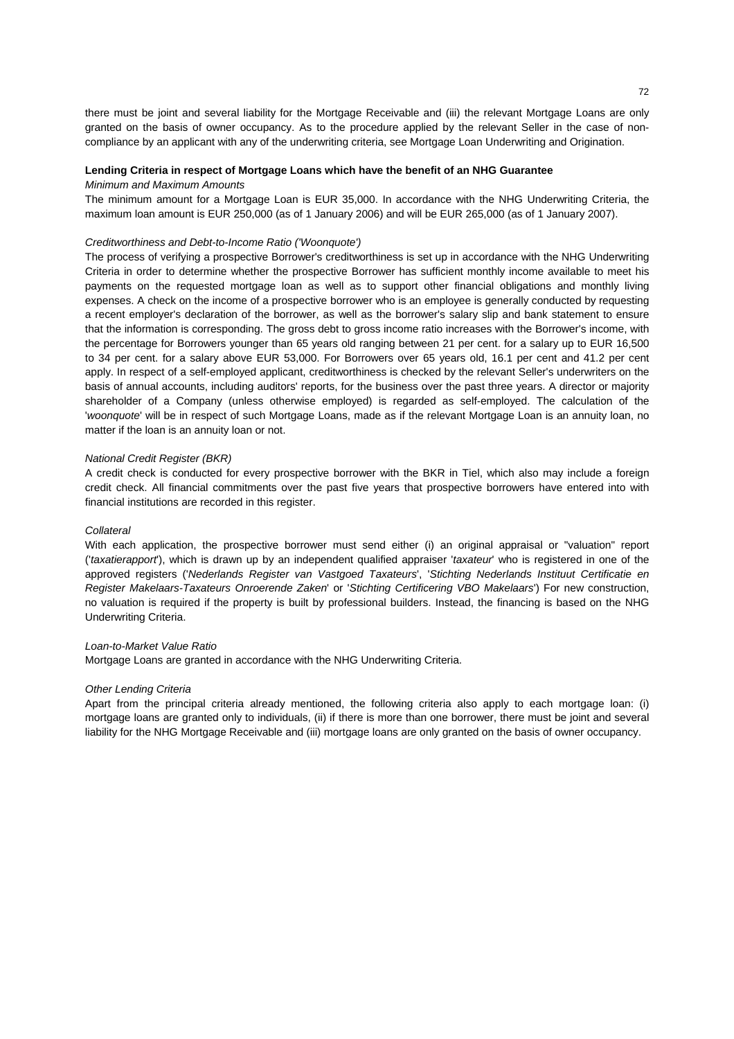there must be joint and several liability for the Mortgage Receivable and (iii) the relevant Mortgage Loans are only granted on the basis of owner occupancy. As to the procedure applied by the relevant Seller in the case of noncompliance by an applicant with any of the underwriting criteria, see Mortgage Loan Underwriting and Origination.

#### **Lending Criteria in respect of Mortgage Loans which have the benefit of an NHG Guarantee**  *Minimum and Maximum Amounts*

The minimum amount for a Mortgage Loan is EUR 35,000. In accordance with the NHG Underwriting Criteria, the maximum loan amount is EUR 250,000 (as of 1 January 2006) and will be EUR 265,000 (as of 1 January 2007).

## *Creditworthiness and Debt-to-Income Ratio ('Woonquote')*

The process of verifying a prospective Borrower's creditworthiness is set up in accordance with the NHG Underwriting Criteria in order to determine whether the prospective Borrower has sufficient monthly income available to meet his payments on the requested mortgage loan as well as to support other financial obligations and monthly living expenses. A check on the income of a prospective borrower who is an employee is generally conducted by requesting a recent employer's declaration of the borrower, as well as the borrower's salary slip and bank statement to ensure that the information is corresponding. The gross debt to gross income ratio increases with the Borrower's income, with the percentage for Borrowers younger than 65 years old ranging between 21 per cent. for a salary up to EUR 16,500 to 34 per cent. for a salary above EUR 53,000. For Borrowers over 65 years old, 16.1 per cent and 41.2 per cent apply. In respect of a self-employed applicant, creditworthiness is checked by the relevant Seller's underwriters on the basis of annual accounts, including auditors' reports, for the business over the past three years. A director or majority shareholder of a Company (unless otherwise employed) is regarded as self-employed. The calculation of the '*woonquote*' will be in respect of such Mortgage Loans, made as if the relevant Mortgage Loan is an annuity loan, no matter if the loan is an annuity loan or not.

# *National Credit Register (BKR)*

A credit check is conducted for every prospective borrower with the BKR in Tiel, which also may include a foreign credit check. All financial commitments over the past five years that prospective borrowers have entered into with financial institutions are recorded in this register.

#### *Collateral*

With each application, the prospective borrower must send either (i) an original appraisal or "valuation" report ('*taxatierapport*'), which is drawn up by an independent qualified appraiser '*taxateur*' who is registered in one of the approved registers ('*Nederlands Register van Vastgoed Taxateurs*', '*Stichting Nederlands Instituut Certificatie en Register Makelaars-Taxateurs Onroerende Zaken*' or '*Stichting Certificering VBO Makelaars*') For new construction, no valuation is required if the property is built by professional builders. Instead, the financing is based on the NHG Underwriting Criteria.

## *Loan-to-Market Value Ratio*

Mortgage Loans are granted in accordance with the NHG Underwriting Criteria.

#### *Other Lending Criteria*

Apart from the principal criteria already mentioned, the following criteria also apply to each mortgage loan: (i) mortgage loans are granted only to individuals, (ii) if there is more than one borrower, there must be joint and several liability for the NHG Mortgage Receivable and (iii) mortgage loans are only granted on the basis of owner occupancy.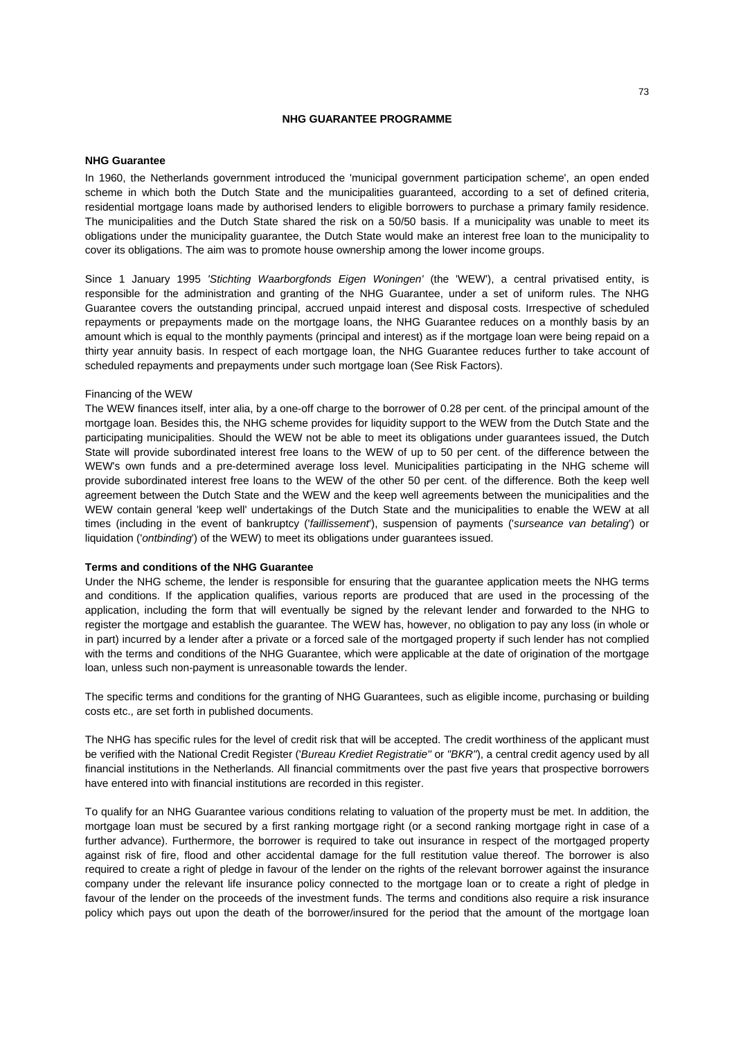# **NHG GUARANTEE PROGRAMME**

# **NHG Guarantee**

In 1960, the Netherlands government introduced the 'municipal government participation scheme', an open ended scheme in which both the Dutch State and the municipalities guaranteed, according to a set of defined criteria, residential mortgage loans made by authorised lenders to eligible borrowers to purchase a primary family residence. The municipalities and the Dutch State shared the risk on a 50/50 basis. If a municipality was unable to meet its obligations under the municipality guarantee, the Dutch State would make an interest free loan to the municipality to cover its obligations. The aim was to promote house ownership among the lower income groups.

Since 1 January 1995 *'Stichting Waarborgfonds Eigen Woningen'* (the 'WEW'), a central privatised entity, is responsible for the administration and granting of the NHG Guarantee, under a set of uniform rules. The NHG Guarantee covers the outstanding principal, accrued unpaid interest and disposal costs. Irrespective of scheduled repayments or prepayments made on the mortgage loans, the NHG Guarantee reduces on a monthly basis by an amount which is equal to the monthly payments (principal and interest) as if the mortgage loan were being repaid on a thirty year annuity basis. In respect of each mortgage loan, the NHG Guarantee reduces further to take account of scheduled repayments and prepayments under such mortgage loan (See Risk Factors).

#### Financing of the WEW

The WEW finances itself, inter alia, by a one-off charge to the borrower of 0.28 per cent. of the principal amount of the mortgage loan. Besides this, the NHG scheme provides for liquidity support to the WEW from the Dutch State and the participating municipalities. Should the WEW not be able to meet its obligations under guarantees issued, the Dutch State will provide subordinated interest free loans to the WEW of up to 50 per cent. of the difference between the WEW's own funds and a pre-determined average loss level. Municipalities participating in the NHG scheme will provide subordinated interest free loans to the WEW of the other 50 per cent. of the difference. Both the keep well agreement between the Dutch State and the WEW and the keep well agreements between the municipalities and the WEW contain general 'keep well' undertakings of the Dutch State and the municipalities to enable the WEW at all times (including in the event of bankruptcy ('*faillissement*'), suspension of payments ('*surseance van betaling*') or liquidation ('*ontbinding*') of the WEW) to meet its obligations under guarantees issued.

# **Terms and conditions of the NHG Guarantee**

Under the NHG scheme, the lender is responsible for ensuring that the guarantee application meets the NHG terms and conditions. If the application qualifies, various reports are produced that are used in the processing of the application, including the form that will eventually be signed by the relevant lender and forwarded to the NHG to register the mortgage and establish the guarantee. The WEW has, however, no obligation to pay any loss (in whole or in part) incurred by a lender after a private or a forced sale of the mortgaged property if such lender has not complied with the terms and conditions of the NHG Guarantee, which were applicable at the date of origination of the mortgage loan, unless such non-payment is unreasonable towards the lender.

The specific terms and conditions for the granting of NHG Guarantees, such as eligible income, purchasing or building costs etc., are set forth in published documents.

The NHG has specific rules for the level of credit risk that will be accepted. The credit worthiness of the applicant must be verified with the National Credit Register ('*Bureau Krediet Registratie''* or *"BKR"*), a central credit agency used by all financial institutions in the Netherlands. All financial commitments over the past five years that prospective borrowers have entered into with financial institutions are recorded in this register.

To qualify for an NHG Guarantee various conditions relating to valuation of the property must be met. In addition, the mortgage loan must be secured by a first ranking mortgage right (or a second ranking mortgage right in case of a further advance). Furthermore, the borrower is required to take out insurance in respect of the mortgaged property against risk of fire, flood and other accidental damage for the full restitution value thereof. The borrower is also required to create a right of pledge in favour of the lender on the rights of the relevant borrower against the insurance company under the relevant life insurance policy connected to the mortgage loan or to create a right of pledge in favour of the lender on the proceeds of the investment funds. The terms and conditions also require a risk insurance policy which pays out upon the death of the borrower/insured for the period that the amount of the mortgage loan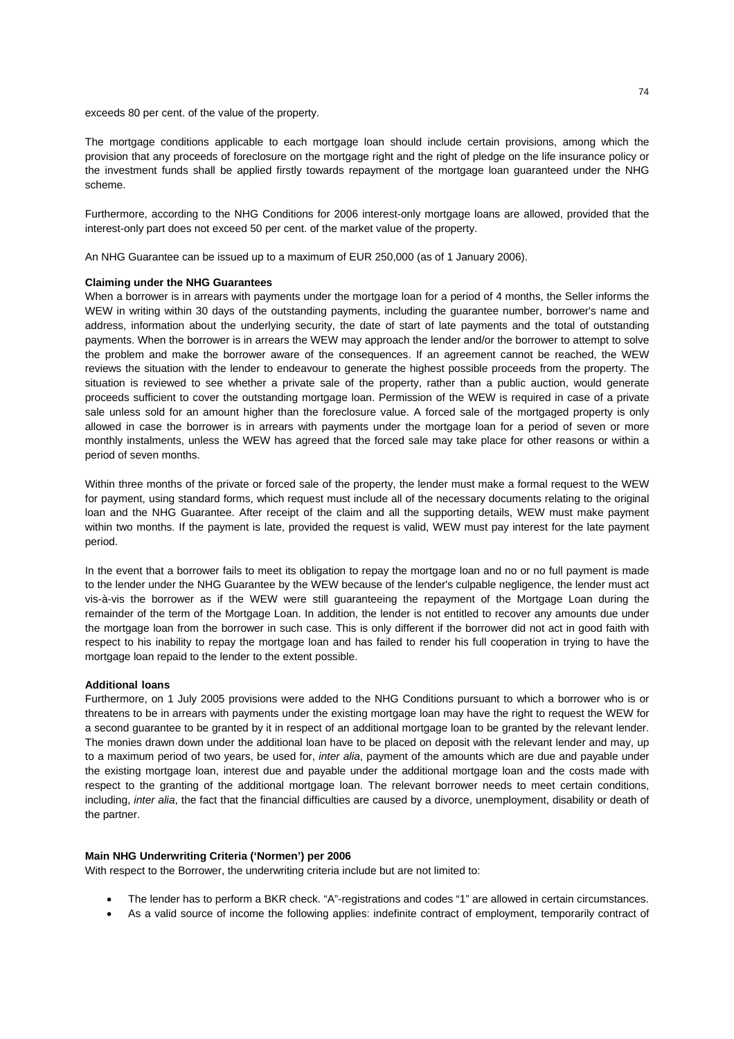exceeds 80 per cent. of the value of the property.

The mortgage conditions applicable to each mortgage loan should include certain provisions, among which the provision that any proceeds of foreclosure on the mortgage right and the right of pledge on the life insurance policy or the investment funds shall be applied firstly towards repayment of the mortgage loan guaranteed under the NHG scheme.

Furthermore, according to the NHG Conditions for 2006 interest-only mortgage loans are allowed, provided that the interest-only part does not exceed 50 per cent. of the market value of the property.

An NHG Guarantee can be issued up to a maximum of EUR 250,000 (as of 1 January 2006).

#### **Claiming under the NHG Guarantees**

When a borrower is in arrears with payments under the mortgage loan for a period of 4 months, the Seller informs the WEW in writing within 30 days of the outstanding payments, including the guarantee number, borrower's name and address, information about the underlying security, the date of start of late payments and the total of outstanding payments. When the borrower is in arrears the WEW may approach the lender and/or the borrower to attempt to solve the problem and make the borrower aware of the consequences. If an agreement cannot be reached, the WEW reviews the situation with the lender to endeavour to generate the highest possible proceeds from the property. The situation is reviewed to see whether a private sale of the property, rather than a public auction, would generate proceeds sufficient to cover the outstanding mortgage loan. Permission of the WEW is required in case of a private sale unless sold for an amount higher than the foreclosure value. A forced sale of the mortgaged property is only allowed in case the borrower is in arrears with payments under the mortgage loan for a period of seven or more monthly instalments, unless the WEW has agreed that the forced sale may take place for other reasons or within a period of seven months.

Within three months of the private or forced sale of the property, the lender must make a formal request to the WEW for payment, using standard forms, which request must include all of the necessary documents relating to the original loan and the NHG Guarantee. After receipt of the claim and all the supporting details, WEW must make payment within two months. If the payment is late, provided the request is valid, WEW must pay interest for the late payment period.

In the event that a borrower fails to meet its obligation to repay the mortgage loan and no or no full payment is made to the lender under the NHG Guarantee by the WEW because of the lender's culpable negligence, the lender must act vis-à-vis the borrower as if the WEW were still guaranteeing the repayment of the Mortgage Loan during the remainder of the term of the Mortgage Loan. In addition, the lender is not entitled to recover any amounts due under the mortgage loan from the borrower in such case. This is only different if the borrower did not act in good faith with respect to his inability to repay the mortgage loan and has failed to render his full cooperation in trying to have the mortgage loan repaid to the lender to the extent possible.

#### **Additional loans**

Furthermore, on 1 July 2005 provisions were added to the NHG Conditions pursuant to which a borrower who is or threatens to be in arrears with payments under the existing mortgage loan may have the right to request the WEW for a second guarantee to be granted by it in respect of an additional mortgage loan to be granted by the relevant lender. The monies drawn down under the additional loan have to be placed on deposit with the relevant lender and may, up to a maximum period of two years, be used for, *inter alia*, payment of the amounts which are due and payable under the existing mortgage loan, interest due and payable under the additional mortgage loan and the costs made with respect to the granting of the additional mortgage loan. The relevant borrower needs to meet certain conditions, including, *inter alia*, the fact that the financial difficulties are caused by a divorce, unemployment, disability or death of the partner.

# **Main NHG Underwriting Criteria ('Normen') per 2006**

With respect to the Borrower, the underwriting criteria include but are not limited to:

- The lender has to perform a BKR check. "A"-registrations and codes "1" are allowed in certain circumstances.
- As a valid source of income the following applies: indefinite contract of employment, temporarily contract of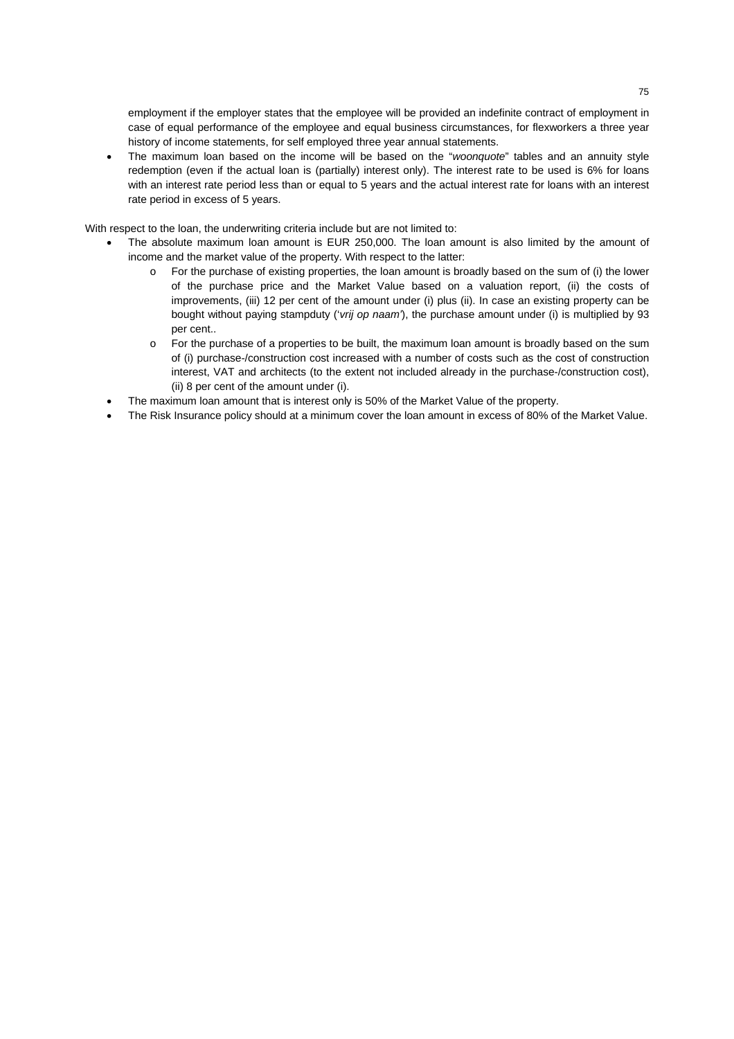employment if the employer states that the employee will be provided an indefinite contract of employment in case of equal performance of the employee and equal business circumstances, for flexworkers a three year history of income statements, for self employed three year annual statements.

• The maximum loan based on the income will be based on the "*woonquote*" tables and an annuity style redemption (even if the actual loan is (partially) interest only). The interest rate to be used is 6% for loans with an interest rate period less than or equal to 5 years and the actual interest rate for loans with an interest rate period in excess of 5 years.

With respect to the loan, the underwriting criteria include but are not limited to:

- The absolute maximum loan amount is EUR 250,000. The loan amount is also limited by the amount of income and the market value of the property. With respect to the latter:
	- o For the purchase of existing properties, the loan amount is broadly based on the sum of (i) the lower of the purchase price and the Market Value based on a valuation report, (ii) the costs of improvements, (iii) 12 per cent of the amount under (i) plus (ii). In case an existing property can be bought without paying stampduty ('*vrij op naam'*), the purchase amount under (i) is multiplied by 93 per cent..
	- o For the purchase of a properties to be built, the maximum loan amount is broadly based on the sum of (i) purchase-/construction cost increased with a number of costs such as the cost of construction interest, VAT and architects (to the extent not included already in the purchase-/construction cost), (ii) 8 per cent of the amount under (i).
- The maximum loan amount that is interest only is 50% of the Market Value of the property.
- The Risk Insurance policy should at a minimum cover the loan amount in excess of 80% of the Market Value.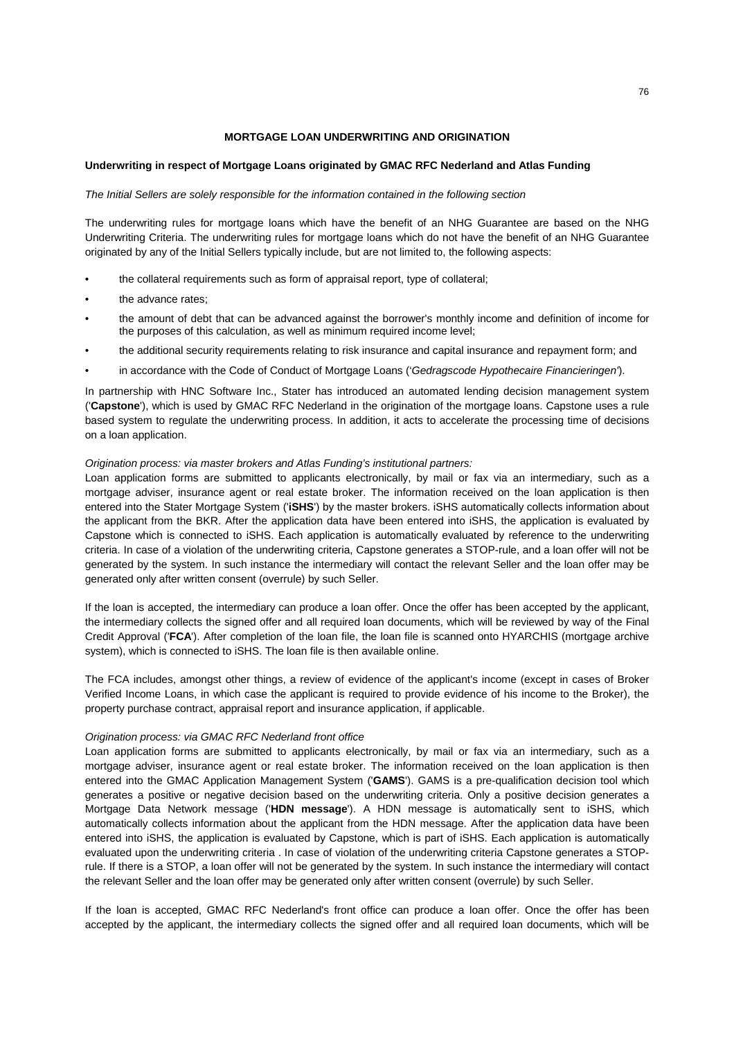# **MORTGAGE LOAN UNDERWRITING AND ORIGINATION**

# **Underwriting in respect of Mortgage Loans originated by GMAC RFC Nederland and Atlas Funding**

#### *The Initial Sellers are solely responsible for the information contained in the following section*

The underwriting rules for mortgage loans which have the benefit of an NHG Guarantee are based on the NHG Underwriting Criteria. The underwriting rules for mortgage loans which do not have the benefit of an NHG Guarantee originated by any of the Initial Sellers typically include, but are not limited to, the following aspects:

- the collateral requirements such as form of appraisal report, type of collateral;
- the advance rates;
- the amount of debt that can be advanced against the borrower's monthly income and definition of income for the purposes of this calculation, as well as minimum required income level;
- the additional security requirements relating to risk insurance and capital insurance and repayment form; and
- in accordance with the Code of Conduct of Mortgage Loans ('*Gedragscode Hypothecaire Financieringen'*).

In partnership with HNC Software Inc., Stater has introduced an automated lending decision management system ('**Capstone**'), which is used by GMAC RFC Nederland in the origination of the mortgage loans. Capstone uses a rule based system to regulate the underwriting process. In addition, it acts to accelerate the processing time of decisions on a loan application.

# *Origination process: via master brokers and Atlas Funding's institutional partners:*

Loan application forms are submitted to applicants electronically, by mail or fax via an intermediary, such as a mortgage adviser, insurance agent or real estate broker. The information received on the loan application is then entered into the Stater Mortgage System ('**iSHS**') by the master brokers. iSHS automatically collects information about the applicant from the BKR. After the application data have been entered into iSHS, the application is evaluated by Capstone which is connected to iSHS. Each application is automatically evaluated by reference to the underwriting criteria. In case of a violation of the underwriting criteria, Capstone generates a STOP-rule, and a loan offer will not be generated by the system. In such instance the intermediary will contact the relevant Seller and the loan offer may be generated only after written consent (overrule) by such Seller.

If the loan is accepted, the intermediary can produce a loan offer. Once the offer has been accepted by the applicant, the intermediary collects the signed offer and all required loan documents, which will be reviewed by way of the Final Credit Approval ('**FCA**'). After completion of the loan file, the loan file is scanned onto HYARCHIS (mortgage archive system), which is connected to iSHS. The loan file is then available online.

The FCA includes, amongst other things, a review of evidence of the applicant's income (except in cases of Broker Verified Income Loans, in which case the applicant is required to provide evidence of his income to the Broker), the property purchase contract, appraisal report and insurance application, if applicable.

#### *Origination process: via GMAC RFC Nederland front office*

Loan application forms are submitted to applicants electronically, by mail or fax via an intermediary, such as a mortgage adviser, insurance agent or real estate broker. The information received on the loan application is then entered into the GMAC Application Management System ('**GAMS**'). GAMS is a pre-qualification decision tool which generates a positive or negative decision based on the underwriting criteria. Only a positive decision generates a Mortgage Data Network message ('**HDN message**'). A HDN message is automatically sent to iSHS, which automatically collects information about the applicant from the HDN message. After the application data have been entered into iSHS, the application is evaluated by Capstone, which is part of iSHS. Each application is automatically evaluated upon the underwriting criteria . In case of violation of the underwriting criteria Capstone generates a STOPrule. If there is a STOP, a loan offer will not be generated by the system. In such instance the intermediary will contact the relevant Seller and the loan offer may be generated only after written consent (overrule) by such Seller.

If the loan is accepted, GMAC RFC Nederland's front office can produce a loan offer. Once the offer has been accepted by the applicant, the intermediary collects the signed offer and all required loan documents, which will be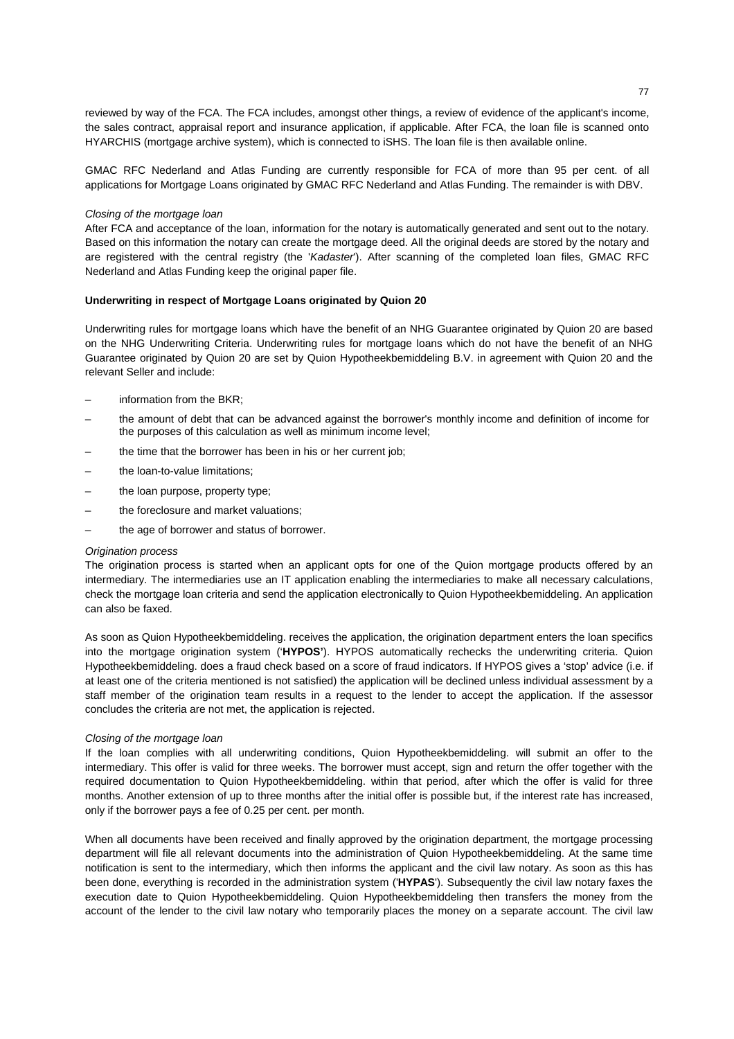reviewed by way of the FCA. The FCA includes, amongst other things, a review of evidence of the applicant's income, the sales contract, appraisal report and insurance application, if applicable. After FCA, the loan file is scanned onto HYARCHIS (mortgage archive system), which is connected to iSHS. The loan file is then available online.

GMAC RFC Nederland and Atlas Funding are currently responsible for FCA of more than 95 per cent. of all applications for Mortgage Loans originated by GMAC RFC Nederland and Atlas Funding. The remainder is with DBV.

# *Closing of the mortgage loan*

After FCA and acceptance of the loan, information for the notary is automatically generated and sent out to the notary. Based on this information the notary can create the mortgage deed. All the original deeds are stored by the notary and are registered with the central registry (the '*Kadaster*'). After scanning of the completed loan files, GMAC RFC Nederland and Atlas Funding keep the original paper file.

# **Underwriting in respect of Mortgage Loans originated by Quion 20**

Underwriting rules for mortgage loans which have the benefit of an NHG Guarantee originated by Quion 20 are based on the NHG Underwriting Criteria. Underwriting rules for mortgage loans which do not have the benefit of an NHG Guarantee originated by Quion 20 are set by Quion Hypotheekbemiddeling B.V. in agreement with Quion 20 and the relevant Seller and include:

- information from the BKR:
- the amount of debt that can be advanced against the borrower's monthly income and definition of income for the purposes of this calculation as well as minimum income level;
- the time that the borrower has been in his or her current job;
- the loan-to-value limitations:
- the loan purpose, property type;
- the foreclosure and market valuations;
- the age of borrower and status of borrower.

#### *Origination process*

The origination process is started when an applicant opts for one of the Quion mortgage products offered by an intermediary. The intermediaries use an IT application enabling the intermediaries to make all necessary calculations, check the mortgage loan criteria and send the application electronically to Quion Hypotheekbemiddeling. An application can also be faxed.

As soon as Quion Hypotheekbemiddeling. receives the application, the origination department enters the loan specifics into the mortgage origination system ('**HYPOS'**). HYPOS automatically rechecks the underwriting criteria. Quion Hypotheekbemiddeling. does a fraud check based on a score of fraud indicators. If HYPOS gives a 'stop' advice (i.e. if at least one of the criteria mentioned is not satisfied) the application will be declined unless individual assessment by a staff member of the origination team results in a request to the lender to accept the application. If the assessor concludes the criteria are not met, the application is rejected.

#### *Closing of the mortgage loan*

If the loan complies with all underwriting conditions, Quion Hypotheekbemiddeling. will submit an offer to the intermediary. This offer is valid for three weeks. The borrower must accept, sign and return the offer together with the required documentation to Quion Hypotheekbemiddeling. within that period, after which the offer is valid for three months. Another extension of up to three months after the initial offer is possible but, if the interest rate has increased, only if the borrower pays a fee of 0.25 per cent. per month.

When all documents have been received and finally approved by the origination department, the mortgage processing department will file all relevant documents into the administration of Quion Hypotheekbemiddeling. At the same time notification is sent to the intermediary, which then informs the applicant and the civil law notary. As soon as this has been done, everything is recorded in the administration system ('**HYPAS**'). Subsequently the civil law notary faxes the execution date to Quion Hypotheekbemiddeling. Quion Hypotheekbemiddeling then transfers the money from the account of the lender to the civil law notary who temporarily places the money on a separate account. The civil law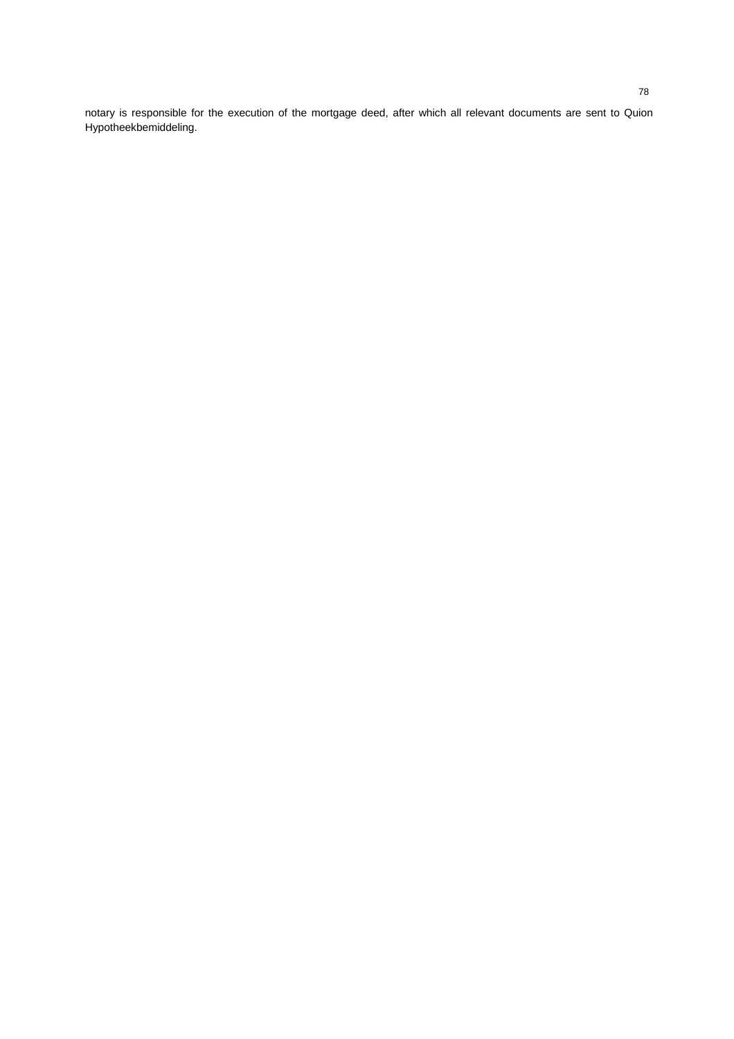notary is responsible for the execution of the mortgage deed, after which all relevant documents are sent to Quion Hypotheekbemiddeling.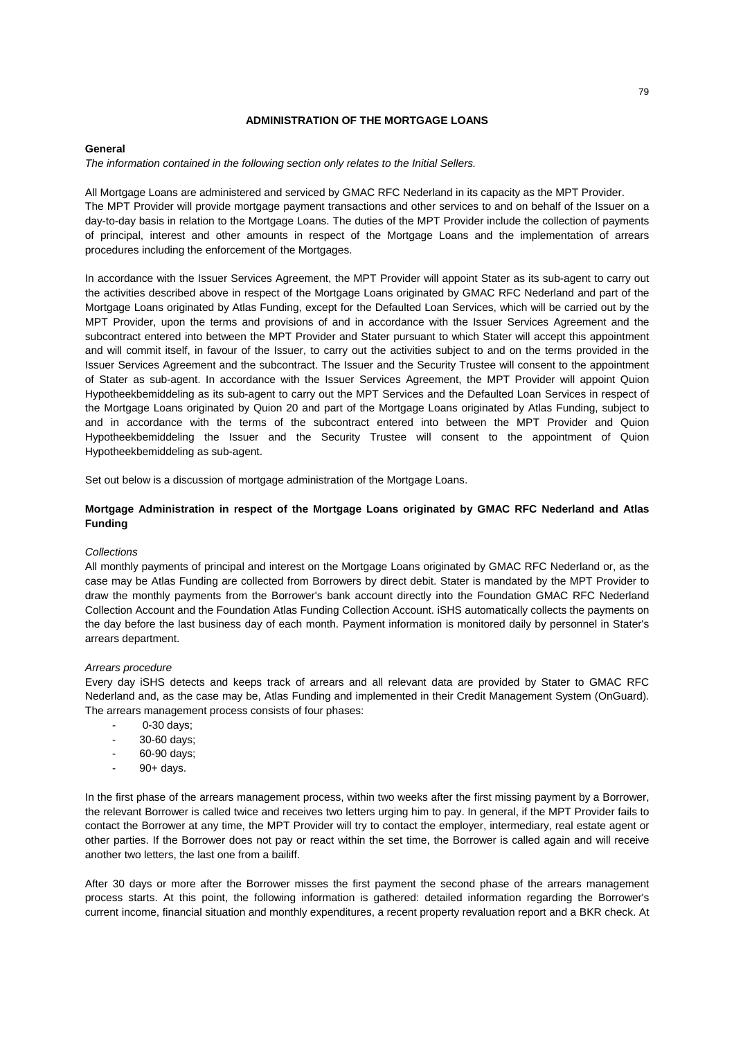# **ADMINISTRATION OF THE MORTGAGE LOANS**

#### **General**

*The information contained in the following section only relates to the Initial Sellers.*

All Mortgage Loans are administered and serviced by GMAC RFC Nederland in its capacity as the MPT Provider. The MPT Provider will provide mortgage payment transactions and other services to and on behalf of the Issuer on a day-to-day basis in relation to the Mortgage Loans. The duties of the MPT Provider include the collection of payments of principal, interest and other amounts in respect of the Mortgage Loans and the implementation of arrears procedures including the enforcement of the Mortgages.

In accordance with the Issuer Services Agreement, the MPT Provider will appoint Stater as its sub-agent to carry out the activities described above in respect of the Mortgage Loans originated by GMAC RFC Nederland and part of the Mortgage Loans originated by Atlas Funding, except for the Defaulted Loan Services, which will be carried out by the MPT Provider, upon the terms and provisions of and in accordance with the Issuer Services Agreement and the subcontract entered into between the MPT Provider and Stater pursuant to which Stater will accept this appointment and will commit itself, in favour of the Issuer, to carry out the activities subject to and on the terms provided in the Issuer Services Agreement and the subcontract. The Issuer and the Security Trustee will consent to the appointment of Stater as sub-agent. In accordance with the Issuer Services Agreement, the MPT Provider will appoint Quion Hypotheekbemiddeling as its sub-agent to carry out the MPT Services and the Defaulted Loan Services in respect of the Mortgage Loans originated by Quion 20 and part of the Mortgage Loans originated by Atlas Funding, subject to and in accordance with the terms of the subcontract entered into between the MPT Provider and Quion Hypotheekbemiddeling the Issuer and the Security Trustee will consent to the appointment of Quion Hypotheekbemiddeling as sub-agent.

Set out below is a discussion of mortgage administration of the Mortgage Loans.

# **Mortgage Administration in respect of the Mortgage Loans originated by GMAC RFC Nederland and Atlas Funding**

# *Collections*

All monthly payments of principal and interest on the Mortgage Loans originated by GMAC RFC Nederland or, as the case may be Atlas Funding are collected from Borrowers by direct debit. Stater is mandated by the MPT Provider to draw the monthly payments from the Borrower's bank account directly into the Foundation GMAC RFC Nederland Collection Account and the Foundation Atlas Funding Collection Account. iSHS automatically collects the payments on the day before the last business day of each month. Payment information is monitored daily by personnel in Stater's arrears department.

# *Arrears procedure*

Every day iSHS detects and keeps track of arrears and all relevant data are provided by Stater to GMAC RFC Nederland and, as the case may be, Atlas Funding and implemented in their Credit Management System (OnGuard). The arrears management process consists of four phases:

- 0-30 days;
- 30-60 days:
- 60-90 days;
- 90+ days.

In the first phase of the arrears management process, within two weeks after the first missing payment by a Borrower, the relevant Borrower is called twice and receives two letters urging him to pay. In general, if the MPT Provider fails to contact the Borrower at any time, the MPT Provider will try to contact the employer, intermediary, real estate agent or other parties. If the Borrower does not pay or react within the set time, the Borrower is called again and will receive another two letters, the last one from a bailiff.

After 30 days or more after the Borrower misses the first payment the second phase of the arrears management process starts. At this point, the following information is gathered: detailed information regarding the Borrower's current income, financial situation and monthly expenditures, a recent property revaluation report and a BKR check. At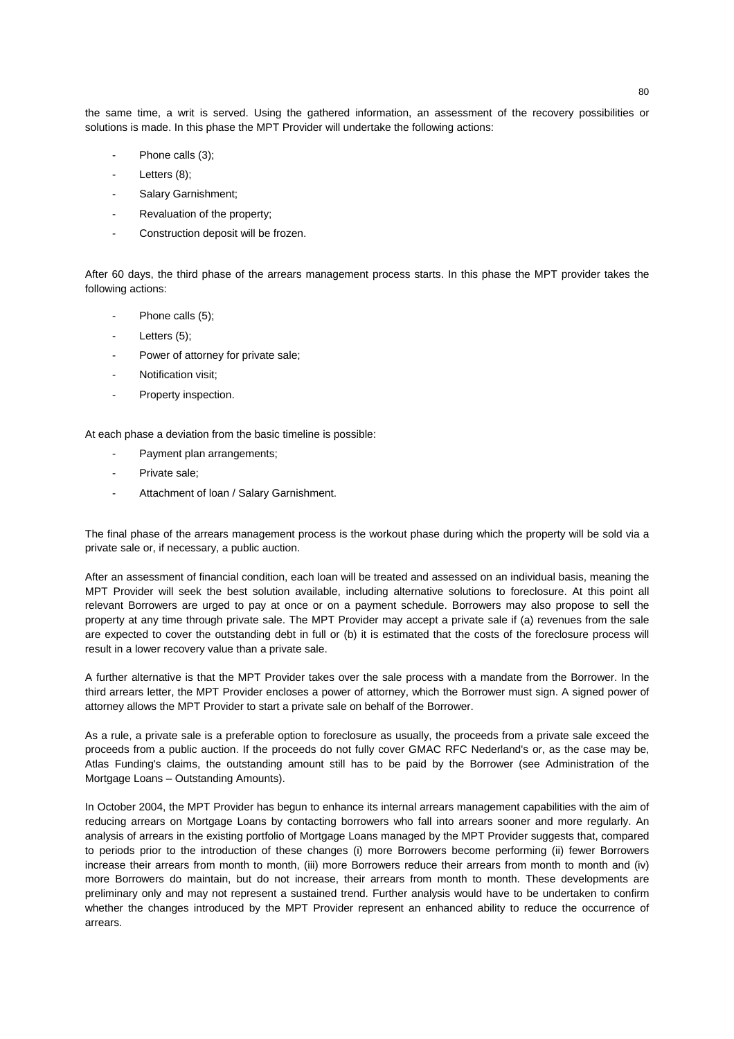the same time, a writ is served. Using the gathered information, an assessment of the recovery possibilities or solutions is made. In this phase the MPT Provider will undertake the following actions:

- Phone calls (3);
- Letters  $(8)$ ;
- Salary Garnishment;
- Revaluation of the property:
- Construction deposit will be frozen.

After 60 days, the third phase of the arrears management process starts. In this phase the MPT provider takes the following actions:

- Phone calls (5);
- Letters  $(5)$ ;
- Power of attorney for private sale;
- Notification visit:
- Property inspection.

At each phase a deviation from the basic timeline is possible:

- Payment plan arrangements;
- Private sale;
- Attachment of loan / Salary Garnishment.

The final phase of the arrears management process is the workout phase during which the property will be sold via a private sale or, if necessary, a public auction.

After an assessment of financial condition, each loan will be treated and assessed on an individual basis, meaning the MPT Provider will seek the best solution available, including alternative solutions to foreclosure. At this point all relevant Borrowers are urged to pay at once or on a payment schedule. Borrowers may also propose to sell the property at any time through private sale. The MPT Provider may accept a private sale if (a) revenues from the sale are expected to cover the outstanding debt in full or (b) it is estimated that the costs of the foreclosure process will result in a lower recovery value than a private sale.

A further alternative is that the MPT Provider takes over the sale process with a mandate from the Borrower. In the third arrears letter, the MPT Provider encloses a power of attorney, which the Borrower must sign. A signed power of attorney allows the MPT Provider to start a private sale on behalf of the Borrower.

As a rule, a private sale is a preferable option to foreclosure as usually, the proceeds from a private sale exceed the proceeds from a public auction. If the proceeds do not fully cover GMAC RFC Nederland's or, as the case may be, Atlas Funding's claims, the outstanding amount still has to be paid by the Borrower (see Administration of the Mortgage Loans – Outstanding Amounts).

In October 2004, the MPT Provider has begun to enhance its internal arrears management capabilities with the aim of reducing arrears on Mortgage Loans by contacting borrowers who fall into arrears sooner and more regularly. An analysis of arrears in the existing portfolio of Mortgage Loans managed by the MPT Provider suggests that, compared to periods prior to the introduction of these changes (i) more Borrowers become performing (ii) fewer Borrowers increase their arrears from month to month, (iii) more Borrowers reduce their arrears from month to month and (iv) more Borrowers do maintain, but do not increase, their arrears from month to month. These developments are preliminary only and may not represent a sustained trend. Further analysis would have to be undertaken to confirm whether the changes introduced by the MPT Provider represent an enhanced ability to reduce the occurrence of arrears.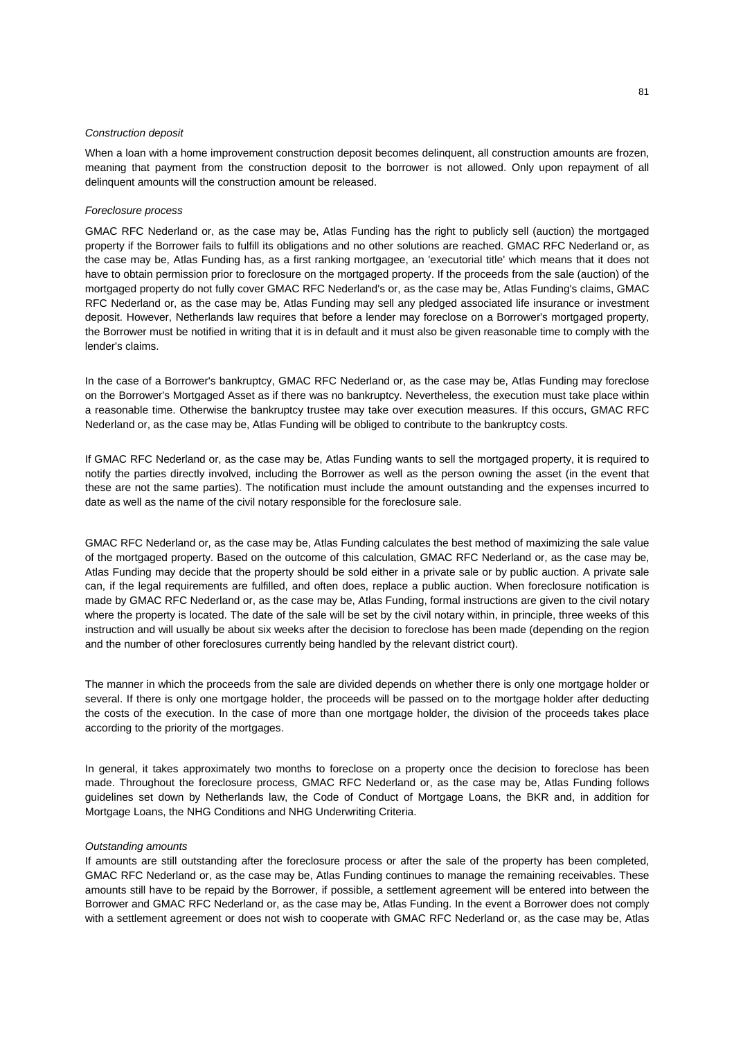#### *Construction deposit*

When a loan with a home improvement construction deposit becomes delinquent, all construction amounts are frozen, meaning that payment from the construction deposit to the borrower is not allowed. Only upon repayment of all delinquent amounts will the construction amount be released.

# *Foreclosure process*

GMAC RFC Nederland or, as the case may be, Atlas Funding has the right to publicly sell (auction) the mortgaged property if the Borrower fails to fulfill its obligations and no other solutions are reached. GMAC RFC Nederland or, as the case may be, Atlas Funding has, as a first ranking mortgagee, an 'executorial title' which means that it does not have to obtain permission prior to foreclosure on the mortgaged property. If the proceeds from the sale (auction) of the mortgaged property do not fully cover GMAC RFC Nederland's or, as the case may be, Atlas Funding's claims, GMAC RFC Nederland or, as the case may be, Atlas Funding may sell any pledged associated life insurance or investment deposit. However, Netherlands law requires that before a lender may foreclose on a Borrower's mortgaged property, the Borrower must be notified in writing that it is in default and it must also be given reasonable time to comply with the lender's claims.

In the case of a Borrower's bankruptcy, GMAC RFC Nederland or, as the case may be, Atlas Funding may foreclose on the Borrower's Mortgaged Asset as if there was no bankruptcy. Nevertheless, the execution must take place within a reasonable time. Otherwise the bankruptcy trustee may take over execution measures. If this occurs, GMAC RFC Nederland or, as the case may be, Atlas Funding will be obliged to contribute to the bankruptcy costs.

If GMAC RFC Nederland or, as the case may be, Atlas Funding wants to sell the mortgaged property, it is required to notify the parties directly involved, including the Borrower as well as the person owning the asset (in the event that these are not the same parties). The notification must include the amount outstanding and the expenses incurred to date as well as the name of the civil notary responsible for the foreclosure sale.

GMAC RFC Nederland or, as the case may be, Atlas Funding calculates the best method of maximizing the sale value of the mortgaged property. Based on the outcome of this calculation, GMAC RFC Nederland or, as the case may be, Atlas Funding may decide that the property should be sold either in a private sale or by public auction. A private sale can, if the legal requirements are fulfilled, and often does, replace a public auction. When foreclosure notification is made by GMAC RFC Nederland or, as the case may be, Atlas Funding, formal instructions are given to the civil notary where the property is located. The date of the sale will be set by the civil notary within, in principle, three weeks of this instruction and will usually be about six weeks after the decision to foreclose has been made (depending on the region and the number of other foreclosures currently being handled by the relevant district court).

The manner in which the proceeds from the sale are divided depends on whether there is only one mortgage holder or several. If there is only one mortgage holder, the proceeds will be passed on to the mortgage holder after deducting the costs of the execution. In the case of more than one mortgage holder, the division of the proceeds takes place according to the priority of the mortgages.

In general, it takes approximately two months to foreclose on a property once the decision to foreclose has been made. Throughout the foreclosure process, GMAC RFC Nederland or, as the case may be, Atlas Funding follows guidelines set down by Netherlands law, the Code of Conduct of Mortgage Loans, the BKR and, in addition for Mortgage Loans, the NHG Conditions and NHG Underwriting Criteria.

#### *Outstanding amounts*

If amounts are still outstanding after the foreclosure process or after the sale of the property has been completed, GMAC RFC Nederland or, as the case may be, Atlas Funding continues to manage the remaining receivables. These amounts still have to be repaid by the Borrower, if possible, a settlement agreement will be entered into between the Borrower and GMAC RFC Nederland or, as the case may be, Atlas Funding. In the event a Borrower does not comply with a settlement agreement or does not wish to cooperate with GMAC RFC Nederland or, as the case may be, Atlas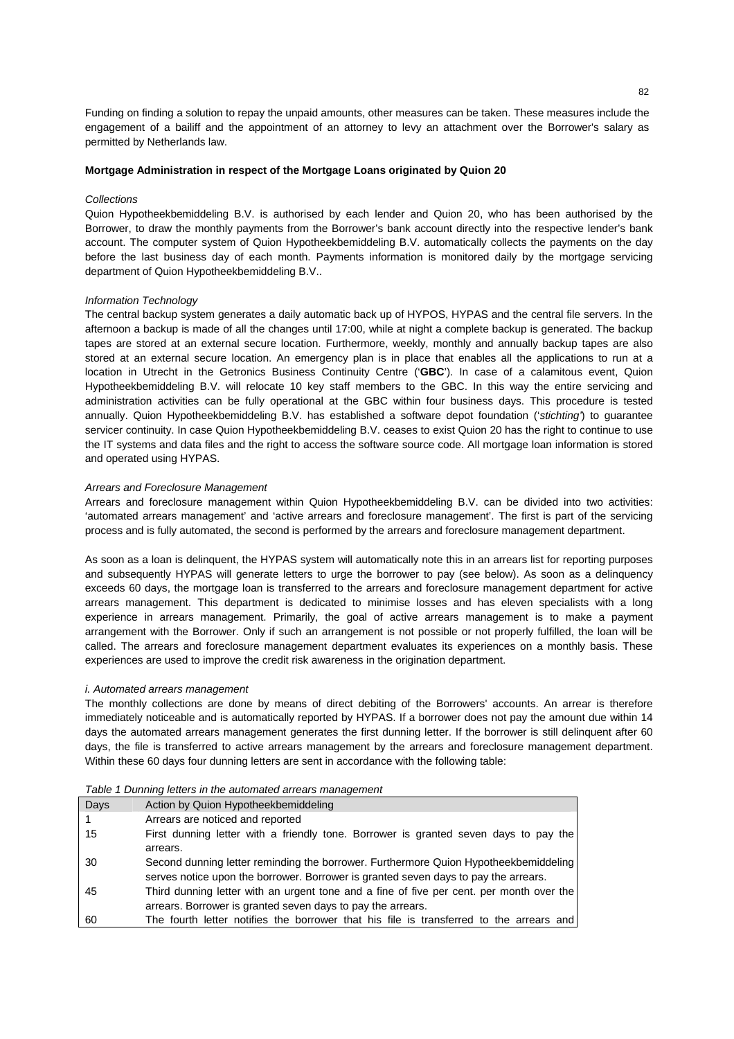Funding on finding a solution to repay the unpaid amounts, other measures can be taken. These measures include the engagement of a bailiff and the appointment of an attorney to levy an attachment over the Borrower's salary as permitted by Netherlands law.

# **Mortgage Administration in respect of the Mortgage Loans originated by Quion 20**

#### *Collections*

Quion Hypotheekbemiddeling B.V. is authorised by each lender and Quion 20, who has been authorised by the Borrower, to draw the monthly payments from the Borrower's bank account directly into the respective lender's bank account. The computer system of Quion Hypotheekbemiddeling B.V. automatically collects the payments on the day before the last business day of each month. Payments information is monitored daily by the mortgage servicing department of Quion Hypotheekbemiddeling B.V..

#### *Information Technology*

The central backup system generates a daily automatic back up of HYPOS, HYPAS and the central file servers. In the afternoon a backup is made of all the changes until 17:00, while at night a complete backup is generated. The backup tapes are stored at an external secure location. Furthermore, weekly, monthly and annually backup tapes are also stored at an external secure location. An emergency plan is in place that enables all the applications to run at a location in Utrecht in the Getronics Business Continuity Centre ('**GBC**'). In case of a calamitous event, Quion Hypotheekbemiddeling B.V. will relocate 10 key staff members to the GBC. In this way the entire servicing and administration activities can be fully operational at the GBC within four business days. This procedure is tested annually. Quion Hypotheekbemiddeling B.V. has established a software depot foundation ('*stichting'*) to guarantee servicer continuity. In case Quion Hypotheekbemiddeling B.V. ceases to exist Quion 20 has the right to continue to use the IT systems and data files and the right to access the software source code. All mortgage loan information is stored and operated using HYPAS.

#### *Arrears and Foreclosure Management*

Arrears and foreclosure management within Quion Hypotheekbemiddeling B.V. can be divided into two activities: 'automated arrears management' and 'active arrears and foreclosure management'. The first is part of the servicing process and is fully automated, the second is performed by the arrears and foreclosure management department.

As soon as a loan is delinquent, the HYPAS system will automatically note this in an arrears list for reporting purposes and subsequently HYPAS will generate letters to urge the borrower to pay (see below). As soon as a delinquency exceeds 60 days, the mortgage loan is transferred to the arrears and foreclosure management department for active arrears management. This department is dedicated to minimise losses and has eleven specialists with a long experience in arrears management. Primarily, the goal of active arrears management is to make a payment arrangement with the Borrower. Only if such an arrangement is not possible or not properly fulfilled, the loan will be called. The arrears and foreclosure management department evaluates its experiences on a monthly basis. These experiences are used to improve the credit risk awareness in the origination department.

#### *i. Automated arrears management*

The monthly collections are done by means of direct debiting of the Borrowers' accounts. An arrear is therefore immediately noticeable and is automatically reported by HYPAS. If a borrower does not pay the amount due within 14 days the automated arrears management generates the first dunning letter. If the borrower is still delinquent after 60 days, the file is transferred to active arrears management by the arrears and foreclosure management department. Within these 60 days four dunning letters are sent in accordance with the following table:

| Days | Action by Quion Hypotheekbemiddeling                                                     |
|------|------------------------------------------------------------------------------------------|
|      | Arrears are noticed and reported                                                         |
| 15   | First dunning letter with a friendly tone. Borrower is granted seven days to pay the     |
|      | arrears.                                                                                 |
| 30   | Second dunning letter reminding the borrower. Furthermore Quion Hypotheekbemiddeling     |
|      | serves notice upon the borrower. Borrower is granted seven days to pay the arrears.      |
| 45   | Third dunning letter with an urgent tone and a fine of five per cent. per month over the |
|      | arrears. Borrower is granted seven days to pay the arrears.                              |
| 60   | The fourth letter notifies the borrower that his file is transferred to the arrears and  |

# *Table 1 Dunning letters in the automated arrears management*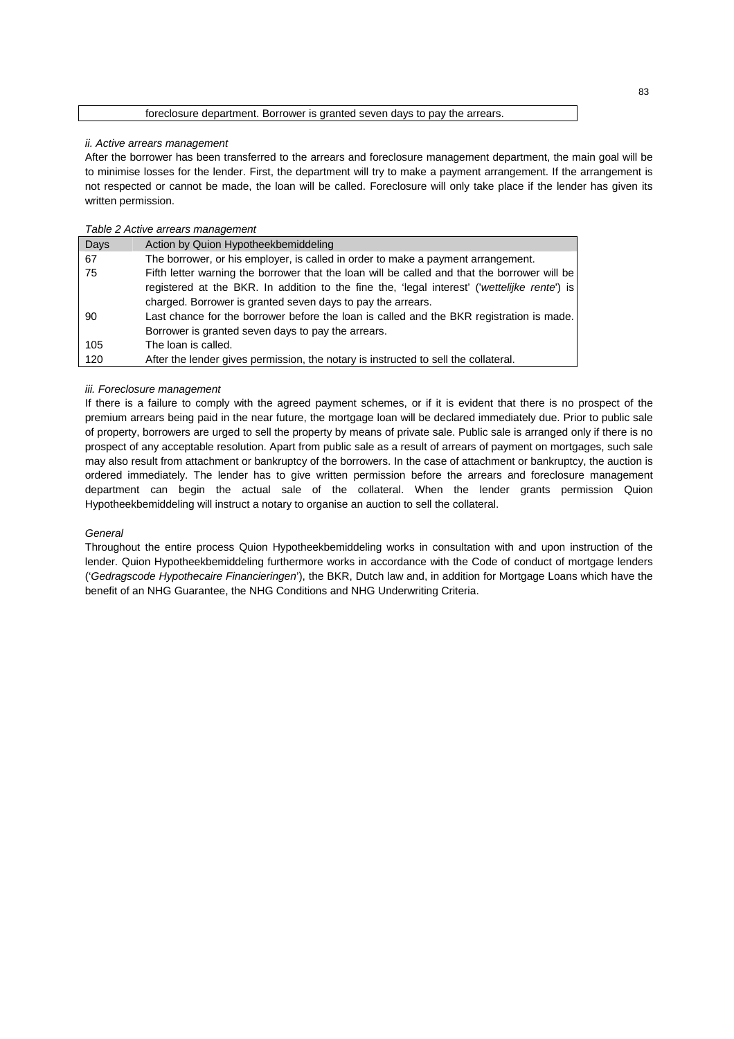#### foreclosure department. Borrower is granted seven days to pay the arrears.

#### *ii. Active arrears management*

After the borrower has been transferred to the arrears and foreclosure management department, the main goal will be to minimise losses for the lender. First, the department will try to make a payment arrangement. If the arrangement is not respected or cannot be made, the loan will be called. Foreclosure will only take place if the lender has given its written permission.

# *Table 2 Active arrears management*

| Days | Action by Quion Hypotheekbemiddeling                                                         |  |
|------|----------------------------------------------------------------------------------------------|--|
| 67   | The borrower, or his employer, is called in order to make a payment arrangement.             |  |
| 75   | Fifth letter warning the borrower that the loan will be called and that the borrower will be |  |
|      | registered at the BKR. In addition to the fine the, 'legal interest' ('wettelijke rente') is |  |
|      | charged. Borrower is granted seven days to pay the arrears.                                  |  |
| 90   | Last chance for the borrower before the loan is called and the BKR registration is made.     |  |
|      | Borrower is granted seven days to pay the arrears.                                           |  |
| 105  | The loan is called.                                                                          |  |
| 120  | After the lender gives permission, the notary is instructed to sell the collateral.          |  |

# *iii. Foreclosure management*

If there is a failure to comply with the agreed payment schemes, or if it is evident that there is no prospect of the premium arrears being paid in the near future, the mortgage loan will be declared immediately due. Prior to public sale of property, borrowers are urged to sell the property by means of private sale. Public sale is arranged only if there is no prospect of any acceptable resolution. Apart from public sale as a result of arrears of payment on mortgages, such sale may also result from attachment or bankruptcy of the borrowers. In the case of attachment or bankruptcy, the auction is ordered immediately. The lender has to give written permission before the arrears and foreclosure management department can begin the actual sale of the collateral. When the lender grants permission Quion Hypotheekbemiddeling will instruct a notary to organise an auction to sell the collateral.

# *General*

Throughout the entire process Quion Hypotheekbemiddeling works in consultation with and upon instruction of the lender. Quion Hypotheekbemiddeling furthermore works in accordance with the Code of conduct of mortgage lenders ('*Gedragscode Hypothecaire Financieringen*'), the BKR, Dutch law and, in addition for Mortgage Loans which have the benefit of an NHG Guarantee, the NHG Conditions and NHG Underwriting Criteria.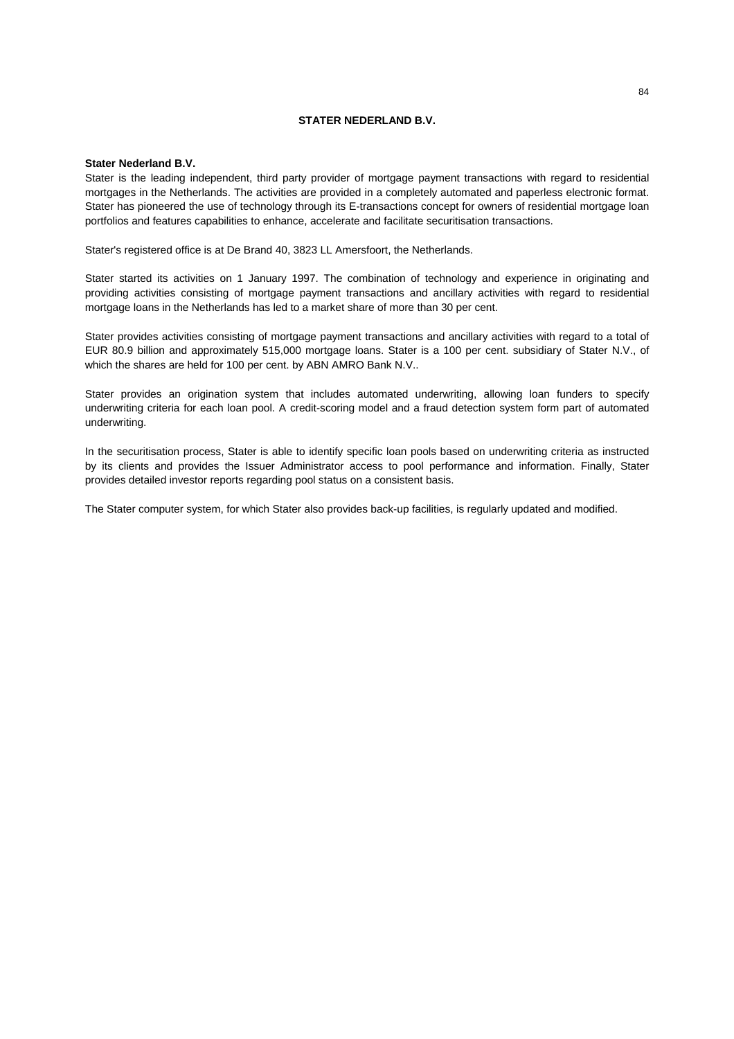# **STATER NEDERLAND B.V.**

#### **Stater Nederland B.V.**

Stater is the leading independent, third party provider of mortgage payment transactions with regard to residential mortgages in the Netherlands. The activities are provided in a completely automated and paperless electronic format. Stater has pioneered the use of technology through its E-transactions concept for owners of residential mortgage loan portfolios and features capabilities to enhance, accelerate and facilitate securitisation transactions.

Stater's registered office is at De Brand 40, 3823 LL Amersfoort, the Netherlands.

Stater started its activities on 1 January 1997. The combination of technology and experience in originating and providing activities consisting of mortgage payment transactions and ancillary activities with regard to residential mortgage loans in the Netherlands has led to a market share of more than 30 per cent.

Stater provides activities consisting of mortgage payment transactions and ancillary activities with regard to a total of EUR 80.9 billion and approximately 515,000 mortgage loans. Stater is a 100 per cent. subsidiary of Stater N.V., of which the shares are held for 100 per cent. by ABN AMRO Bank N.V..

Stater provides an origination system that includes automated underwriting, allowing loan funders to specify underwriting criteria for each loan pool. A credit-scoring model and a fraud detection system form part of automated underwriting.

In the securitisation process, Stater is able to identify specific loan pools based on underwriting criteria as instructed by its clients and provides the Issuer Administrator access to pool performance and information. Finally, Stater provides detailed investor reports regarding pool status on a consistent basis.

The Stater computer system, for which Stater also provides back-up facilities, is regularly updated and modified.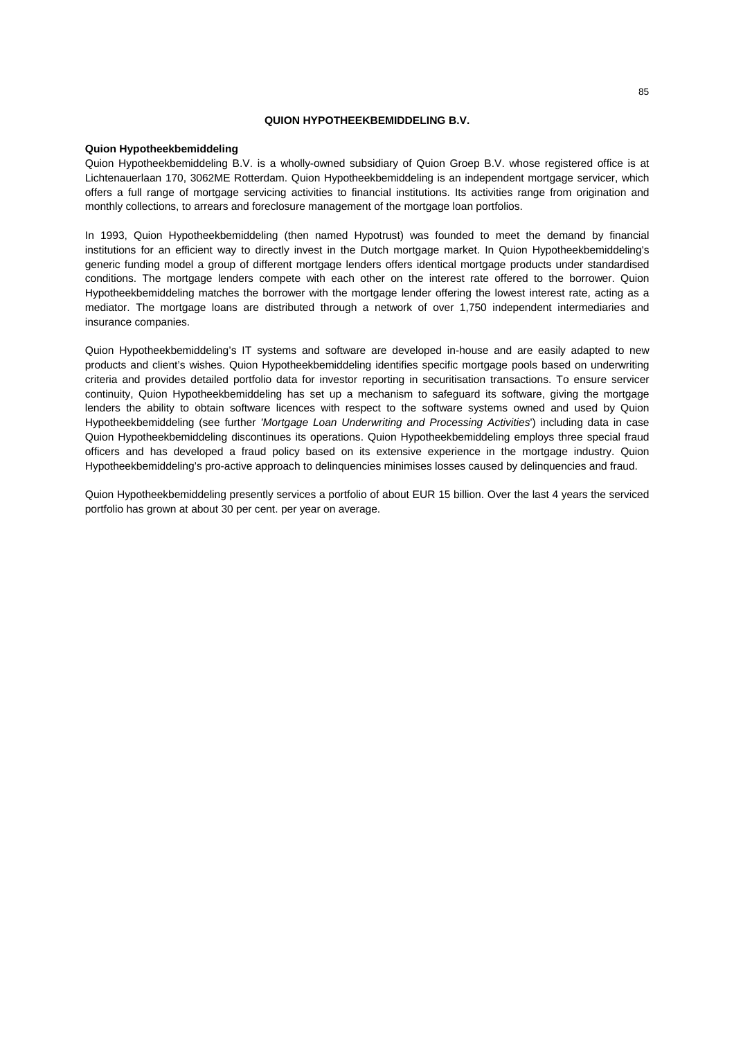# **QUION HYPOTHEEKBEMIDDELING B.V.**

### **Quion Hypotheekbemiddeling**

Quion Hypotheekbemiddeling B.V. is a wholly-owned subsidiary of Quion Groep B.V. whose registered office is at Lichtenauerlaan 170, 3062ME Rotterdam. Quion Hypotheekbemiddeling is an independent mortgage servicer, which offers a full range of mortgage servicing activities to financial institutions. Its activities range from origination and monthly collections, to arrears and foreclosure management of the mortgage loan portfolios.

In 1993, Quion Hypotheekbemiddeling (then named Hypotrust) was founded to meet the demand by financial institutions for an efficient way to directly invest in the Dutch mortgage market. In Quion Hypotheekbemiddeling's generic funding model a group of different mortgage lenders offers identical mortgage products under standardised conditions. The mortgage lenders compete with each other on the interest rate offered to the borrower. Quion Hypotheekbemiddeling matches the borrower with the mortgage lender offering the lowest interest rate, acting as a mediator. The mortgage loans are distributed through a network of over 1,750 independent intermediaries and insurance companies.

Quion Hypotheekbemiddeling's IT systems and software are developed in-house and are easily adapted to new products and client's wishes. Quion Hypotheekbemiddeling identifies specific mortgage pools based on underwriting criteria and provides detailed portfolio data for investor reporting in securitisation transactions. To ensure servicer continuity, Quion Hypotheekbemiddeling has set up a mechanism to safeguard its software, giving the mortgage lenders the ability to obtain software licences with respect to the software systems owned and used by Quion Hypotheekbemiddeling (see further *'Mortgage Loan Underwriting and Processing Activities*') including data in case Quion Hypotheekbemiddeling discontinues its operations. Quion Hypotheekbemiddeling employs three special fraud officers and has developed a fraud policy based on its extensive experience in the mortgage industry. Quion Hypotheekbemiddeling's pro-active approach to delinquencies minimises losses caused by delinquencies and fraud.

Quion Hypotheekbemiddeling presently services a portfolio of about EUR 15 billion. Over the last 4 years the serviced portfolio has grown at about 30 per cent. per year on average.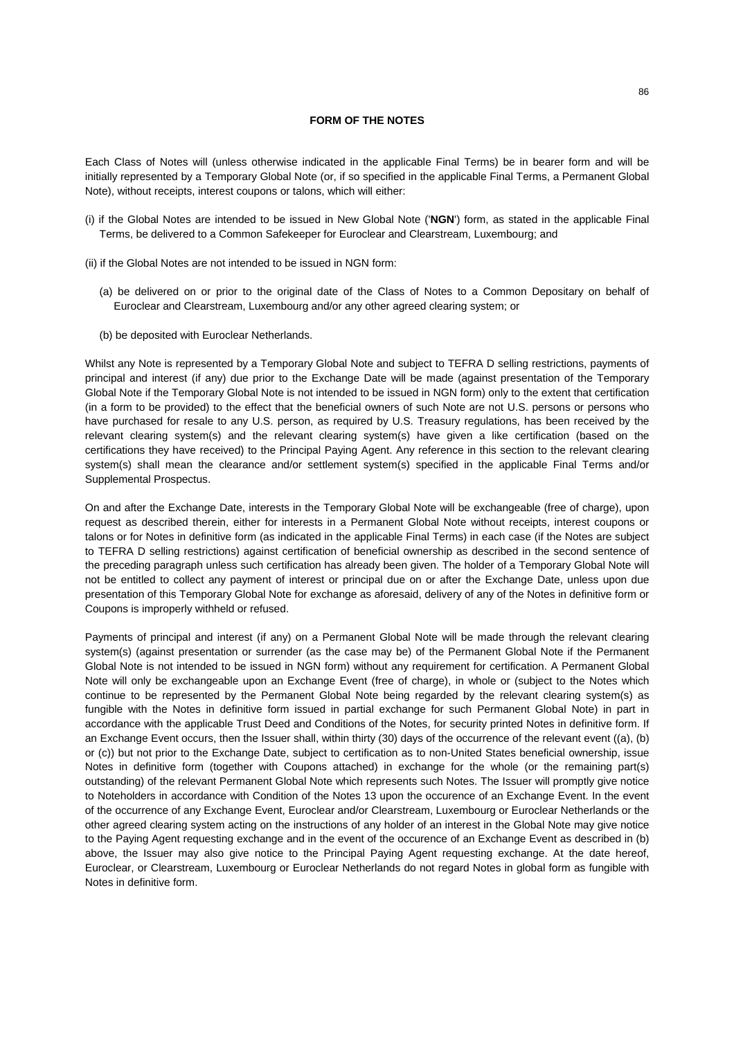#### **FORM OF THE NOTES**

Each Class of Notes will (unless otherwise indicated in the applicable Final Terms) be in bearer form and will be initially represented by a Temporary Global Note (or, if so specified in the applicable Final Terms, a Permanent Global Note), without receipts, interest coupons or talons, which will either:

- (i) if the Global Notes are intended to be issued in New Global Note ('**NGN**') form, as stated in the applicable Final Terms, be delivered to a Common Safekeeper for Euroclear and Clearstream, Luxembourg; and
- (ii) if the Global Notes are not intended to be issued in NGN form:
	- (a) be delivered on or prior to the original date of the Class of Notes to a Common Depositary on behalf of Euroclear and Clearstream, Luxembourg and/or any other agreed clearing system; or
	- (b) be deposited with Euroclear Netherlands.

Whilst any Note is represented by a Temporary Global Note and subject to TEFRA D selling restrictions, payments of principal and interest (if any) due prior to the Exchange Date will be made (against presentation of the Temporary Global Note if the Temporary Global Note is not intended to be issued in NGN form) only to the extent that certification (in a form to be provided) to the effect that the beneficial owners of such Note are not U.S. persons or persons who have purchased for resale to any U.S. person, as required by U.S. Treasury regulations, has been received by the relevant clearing system(s) and the relevant clearing system(s) have given a like certification (based on the certifications they have received) to the Principal Paying Agent. Any reference in this section to the relevant clearing system(s) shall mean the clearance and/or settlement system(s) specified in the applicable Final Terms and/or Supplemental Prospectus.

On and after the Exchange Date, interests in the Temporary Global Note will be exchangeable (free of charge), upon request as described therein, either for interests in a Permanent Global Note without receipts, interest coupons or talons or for Notes in definitive form (as indicated in the applicable Final Terms) in each case (if the Notes are subject to TEFRA D selling restrictions) against certification of beneficial ownership as described in the second sentence of the preceding paragraph unless such certification has already been given. The holder of a Temporary Global Note will not be entitled to collect any payment of interest or principal due on or after the Exchange Date, unless upon due presentation of this Temporary Global Note for exchange as aforesaid, delivery of any of the Notes in definitive form or Coupons is improperly withheld or refused.

Payments of principal and interest (if any) on a Permanent Global Note will be made through the relevant clearing system(s) (against presentation or surrender (as the case may be) of the Permanent Global Note if the Permanent Global Note is not intended to be issued in NGN form) without any requirement for certification. A Permanent Global Note will only be exchangeable upon an Exchange Event (free of charge), in whole or (subject to the Notes which continue to be represented by the Permanent Global Note being regarded by the relevant clearing system(s) as fungible with the Notes in definitive form issued in partial exchange for such Permanent Global Note) in part in accordance with the applicable Trust Deed and Conditions of the Notes, for security printed Notes in definitive form. If an Exchange Event occurs, then the Issuer shall, within thirty (30) days of the occurrence of the relevant event ((a), (b) or (c)) but not prior to the Exchange Date, subject to certification as to non-United States beneficial ownership, issue Notes in definitive form (together with Coupons attached) in exchange for the whole (or the remaining part(s) outstanding) of the relevant Permanent Global Note which represents such Notes. The Issuer will promptly give notice to Noteholders in accordance with Condition of the Notes 13 upon the occurence of an Exchange Event. In the event of the occurrence of any Exchange Event, Euroclear and/or Clearstream, Luxembourg or Euroclear Netherlands or the other agreed clearing system acting on the instructions of any holder of an interest in the Global Note may give notice to the Paying Agent requesting exchange and in the event of the occurence of an Exchange Event as described in (b) above, the Issuer may also give notice to the Principal Paying Agent requesting exchange. At the date hereof, Euroclear, or Clearstream, Luxembourg or Euroclear Netherlands do not regard Notes in global form as fungible with Notes in definitive form.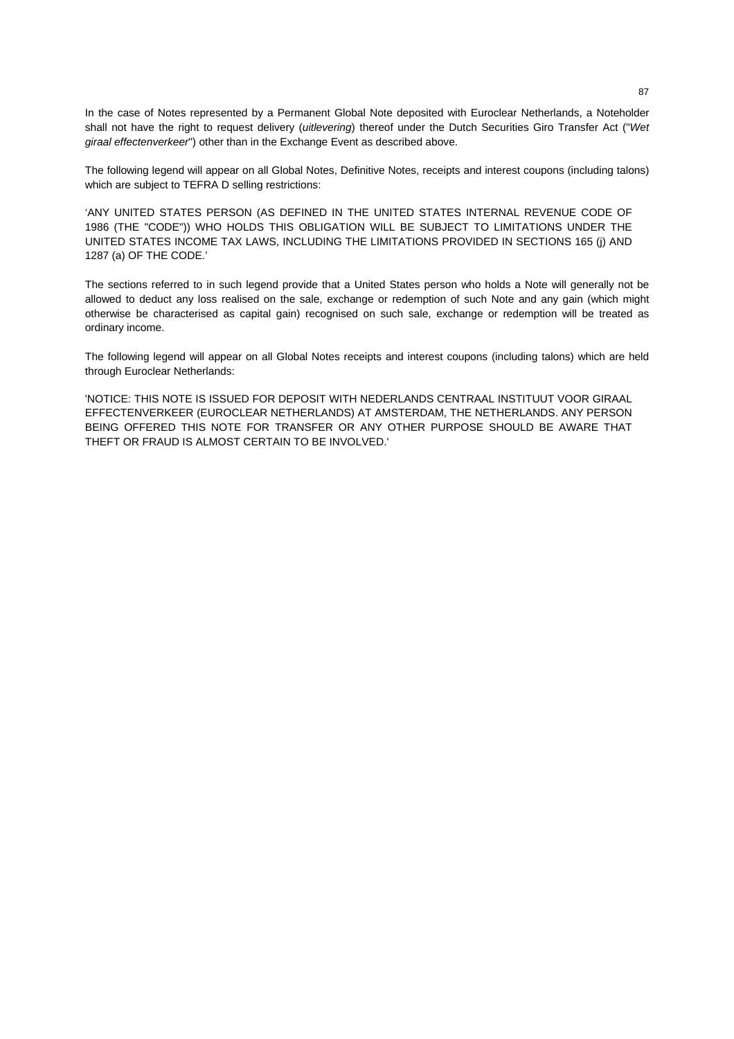In the case of Notes represented by a Permanent Global Note deposited with Euroclear Netherlands, a Noteholder shall not have the right to request delivery (*uitlevering*) thereof under the Dutch Securities Giro Transfer Act ("*Wet giraal effectenverkeer*") other than in the Exchange Event as described above.

The following legend will appear on all Global Notes, Definitive Notes, receipts and interest coupons (including talons) which are subject to TEFRA D selling restrictions:

'ANY UNITED STATES PERSON (AS DEFINED IN THE UNITED STATES INTERNAL REVENUE CODE OF 1986 (THE "CODE")) WHO HOLDS THIS OBLIGATION WILL BE SUBJECT TO LIMITATIONS UNDER THE UNITED STATES INCOME TAX LAWS, INCLUDING THE LIMITATIONS PROVIDED IN SECTIONS 165 (j) AND 1287 (a) OF THE CODE.'

The sections referred to in such legend provide that a United States person who holds a Note will generally not be allowed to deduct any loss realised on the sale, exchange or redemption of such Note and any gain (which might otherwise be characterised as capital gain) recognised on such sale, exchange or redemption will be treated as ordinary income.

The following legend will appear on all Global Notes receipts and interest coupons (including talons) which are held through Euroclear Netherlands:

'NOTICE: THIS NOTE IS ISSUED FOR DEPOSIT WITH NEDERLANDS CENTRAAL INSTITUUT VOOR GIRAAL EFFECTENVERKEER (EUROCLEAR NETHERLANDS) AT AMSTERDAM, THE NETHERLANDS. ANY PERSON BEING OFFERED THIS NOTE FOR TRANSFER OR ANY OTHER PURPOSE SHOULD BE AWARE THAT THEFT OR FRAUD IS ALMOST CERTAIN TO BE INVOLVED.'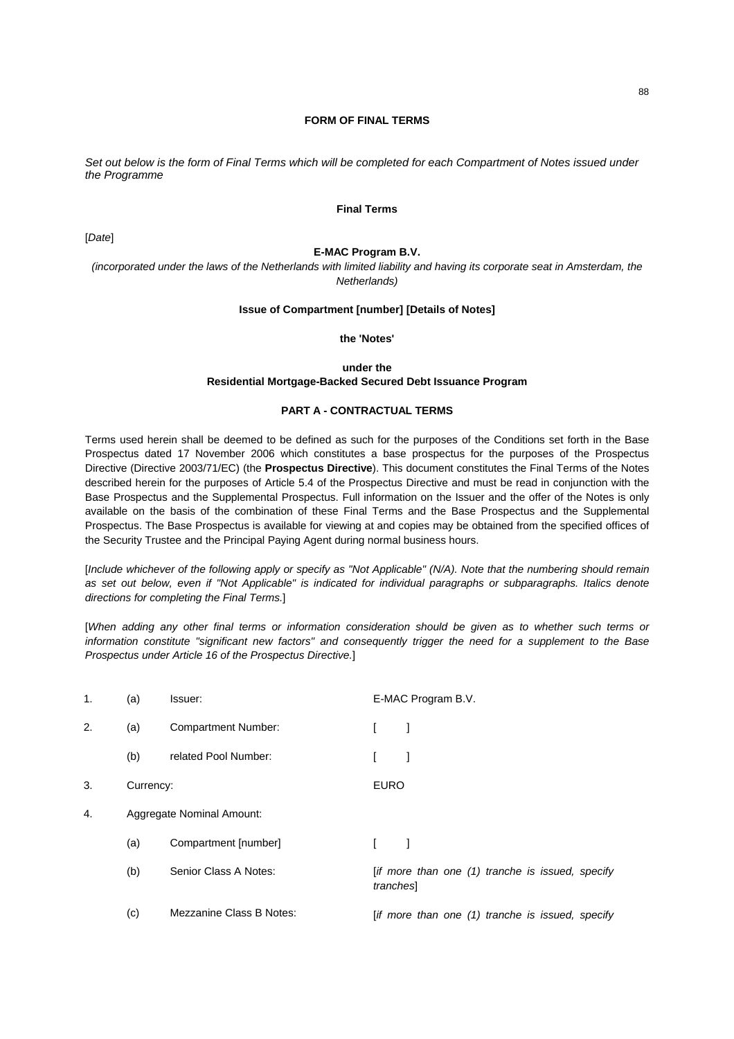# **FORM OF FINAL TERMS**

*Set out below is the form of Final Terms which will be completed for each Compartment of Notes issued under the Programme* 

# **Final Terms**

[*Date*]

#### **E-MAC Program B.V.**

*(incorporated under the laws of the Netherlands with limited liability and having its corporate seat in Amsterdam, the Netherlands)* 

# **Issue of Compartment [number] [Details of Notes]**

# **the 'Notes'**

# **under the Residential Mortgage-Backed Secured Debt Issuance Program**

# **PART A - CONTRACTUAL TERMS**

Terms used herein shall be deemed to be defined as such for the purposes of the Conditions set forth in the Base Prospectus dated 17 November 2006 which constitutes a base prospectus for the purposes of the Prospectus Directive (Directive 2003/71/EC) (the **Prospectus Directive**). This document constitutes the Final Terms of the Notes described herein for the purposes of Article 5.4 of the Prospectus Directive and must be read in conjunction with the Base Prospectus and the Supplemental Prospectus. Full information on the Issuer and the offer of the Notes is only available on the basis of the combination of these Final Terms and the Base Prospectus and the Supplemental Prospectus. The Base Prospectus is available for viewing at and copies may be obtained from the specified offices of the Security Trustee and the Principal Paying Agent during normal business hours.

[*Include whichever of the following apply or specify as "Not Applicable" (N/A). Note that the numbering should remain*  as set out below, even if "Not Applicable" is indicated for individual paragraphs or subparagraphs. Italics denote *directions for completing the Final Terms.*]

[*When adding any other final terms or information consideration should be given as to whether such terms or information constitute "significant new factors" and consequently trigger the need for a supplement to the Base Prospectus under Article 16 of the Prospectus Directive.*]

| 1. | (a)       | Issuer:                    |             | E-MAC Program B.V.                               |
|----|-----------|----------------------------|-------------|--------------------------------------------------|
| 2. | (a)       | <b>Compartment Number:</b> |             |                                                  |
|    | (b)       | related Pool Number:       |             |                                                  |
| 3. | Currency: |                            | <b>EURO</b> |                                                  |
| 4. |           | Aggregate Nominal Amount:  |             |                                                  |
|    | (a)       | Compartment [number]       |             |                                                  |
|    | (b)       | Senior Class A Notes:      | tranches    | [if more than one (1) tranche is issued, specify |
|    | (c)       | Mezzanine Class B Notes:   |             | [if more than one (1) tranche is issued, specify |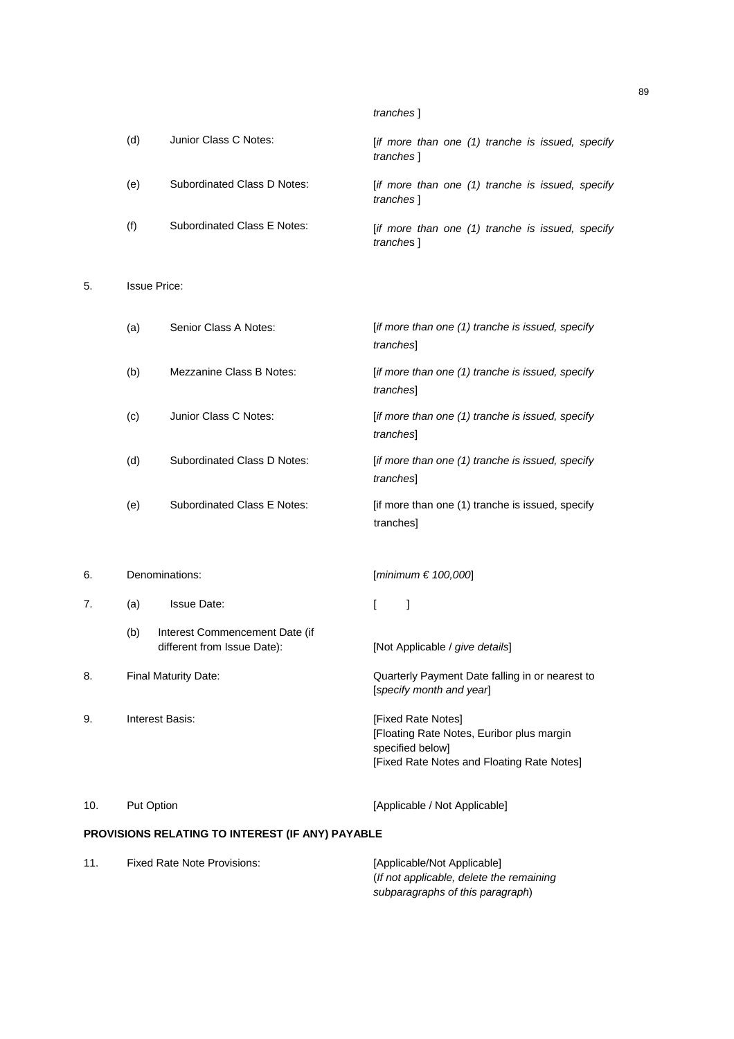|     |                             | tranches 1                                                     |
|-----|-----------------------------|----------------------------------------------------------------|
| (d) | Junior Class C Notes:       | [if more than one (1) tranche is issued, specify<br>tranches 1 |
| (e) | Subordinated Class D Notes: | [if more than one (1) tranche is issued, specify<br>tranches 1 |
| (f) | Subordinated Class E Notes: | [if more than one (1) tranche is issued, specify<br>tranches 1 |

5. Issue Price:

|    | (a)            | Senior Class A Notes:                                         | [if more than one (1) tranche is issued, specify<br>tranches]               |
|----|----------------|---------------------------------------------------------------|-----------------------------------------------------------------------------|
|    | (b)            | Mezzanine Class B Notes:                                      | [if more than one (1) tranche is issued, specify<br>tranches                |
|    | (c)            | Junior Class C Notes:                                         | [if more than one (1) tranche is issued, specify<br>tranches                |
|    | (d)            | Subordinated Class D Notes:                                   | [if more than one (1) tranche is issued, specify<br>tranches                |
|    | (e)            | <b>Subordinated Class E Notes:</b>                            | [if more than one (1) tranche is issued, specify<br>tranches]               |
|    |                |                                                               |                                                                             |
| 6. | Denominations: |                                                               | [minimum $\in$ 100,000]                                                     |
| 7. | (a)            | <b>Issue Date:</b>                                            | ſ<br>1                                                                      |
|    | (b)            | Interest Commencement Date (if<br>different from Issue Date): | [Not Applicable / give details]                                             |
| 8. |                | Final Maturity Date:                                          | Quarterly Payment Date falling in or nearest to<br>[specify month and year] |

10. Put Option **Put Option Put Option Example 20** 10. Put Option **Put Option Example 20** 10.

# **PROVISIONS RELATING TO INTEREST (IF ANY) PAYABLE**

| <b>Fixed Rate Note Provisions:</b> | [Applicable/Not Applicable]               |
|------------------------------------|-------------------------------------------|
|                                    | (If not applicable, delete the remaining) |
|                                    | subparagraphs of this paragraph)          |
|                                    |                                           |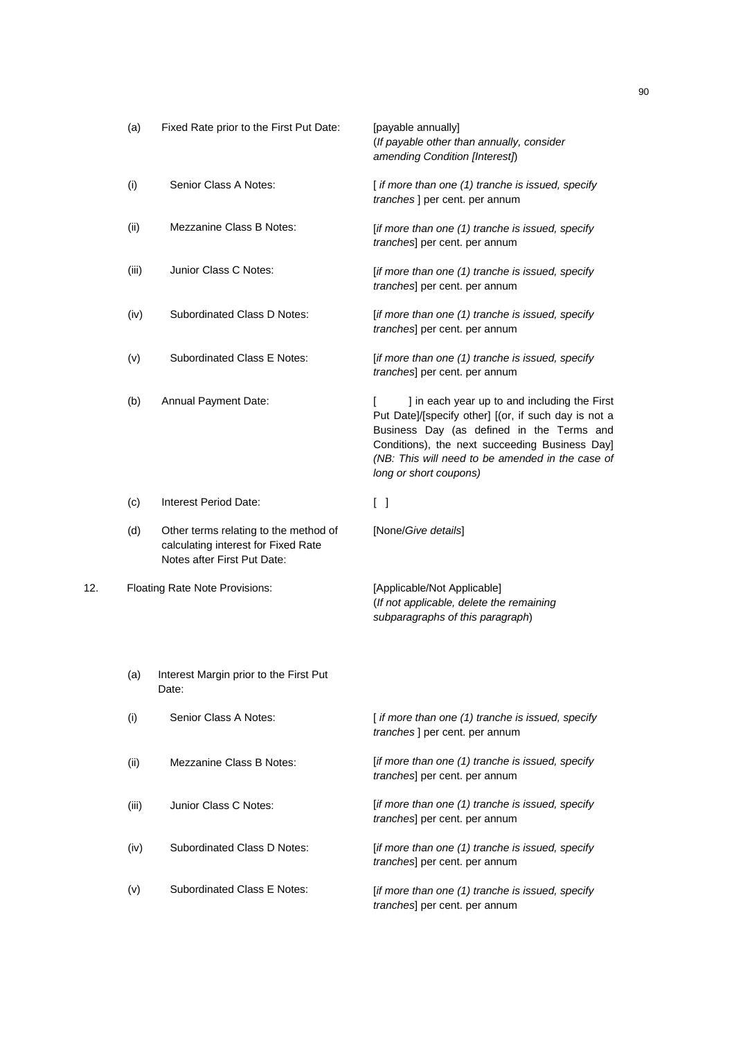|     | (a)   | Fixed Rate prior to the First Put Date:                                                                     | [payable annually]<br>(If payable other than annually, consider<br>amending Condition [Interest])                                                                                                                                                                                 |
|-----|-------|-------------------------------------------------------------------------------------------------------------|-----------------------------------------------------------------------------------------------------------------------------------------------------------------------------------------------------------------------------------------------------------------------------------|
|     | (i)   | Senior Class A Notes:                                                                                       | [ if more than one (1) tranche is issued, specify<br>tranches ] per cent. per annum                                                                                                                                                                                               |
|     | (ii)  | Mezzanine Class B Notes:                                                                                    | [if more than one (1) tranche is issued, specify<br>tranches] per cent. per annum                                                                                                                                                                                                 |
|     | (iii) | Junior Class C Notes:                                                                                       | [if more than one (1) tranche is issued, specify<br>tranches] per cent. per annum                                                                                                                                                                                                 |
|     | (iv)  | Subordinated Class D Notes:                                                                                 | [if more than one (1) tranche is issued, specify<br>tranches] per cent. per annum                                                                                                                                                                                                 |
|     | (v)   | Subordinated Class E Notes:                                                                                 | [if more than one (1) tranche is issued, specify<br>tranches] per cent. per annum                                                                                                                                                                                                 |
|     | (b)   | Annual Payment Date:                                                                                        | ] in each year up to and including the First<br>Put Date]/[specify other] [(or, if such day is not a<br>Business Day (as defined in the Terms and<br>Conditions), the next succeeding Business Day]<br>(NB: This will need to be amended in the case of<br>long or short coupons) |
|     | (c)   | Interest Period Date:                                                                                       | $\begin{bmatrix} \end{bmatrix}$                                                                                                                                                                                                                                                   |
|     | (d)   | Other terms relating to the method of<br>calculating interest for Fixed Rate<br>Notes after First Put Date: | [None/Give details]                                                                                                                                                                                                                                                               |
| 12. |       | Floating Rate Note Provisions:                                                                              | [Applicable/Not Applicable]<br>(If not applicable, delete the remaining<br>subparagraphs of this paragraph)                                                                                                                                                                       |
|     | (a)   | Interest Margin prior to the First Put<br>Date:                                                             |                                                                                                                                                                                                                                                                                   |
|     | (i)   | Senior Class A Notes:                                                                                       | [if more than one (1) tranche is issued, specify<br>tranches ] per cent. per annum                                                                                                                                                                                                |
|     | (ii)  | <b>Mezzanine Class B Notes:</b>                                                                             | [if more than one (1) tranche is issued, specify<br>tranches] per cent. per annum                                                                                                                                                                                                 |
|     | (iii) | Junior Class C Notes:                                                                                       | [if more than one (1) tranche is issued, specify<br>tranches] per cent. per annum                                                                                                                                                                                                 |
|     | (iv)  | Subordinated Class D Notes:                                                                                 | [if more than one (1) tranche is issued, specify<br>tranches] per cent. per annum                                                                                                                                                                                                 |
|     | (v)   | Subordinated Class E Notes:                                                                                 | [if more than one (1) tranche is issued, specify<br>tranches] per cent. per annum                                                                                                                                                                                                 |
|     |       |                                                                                                             |                                                                                                                                                                                                                                                                                   |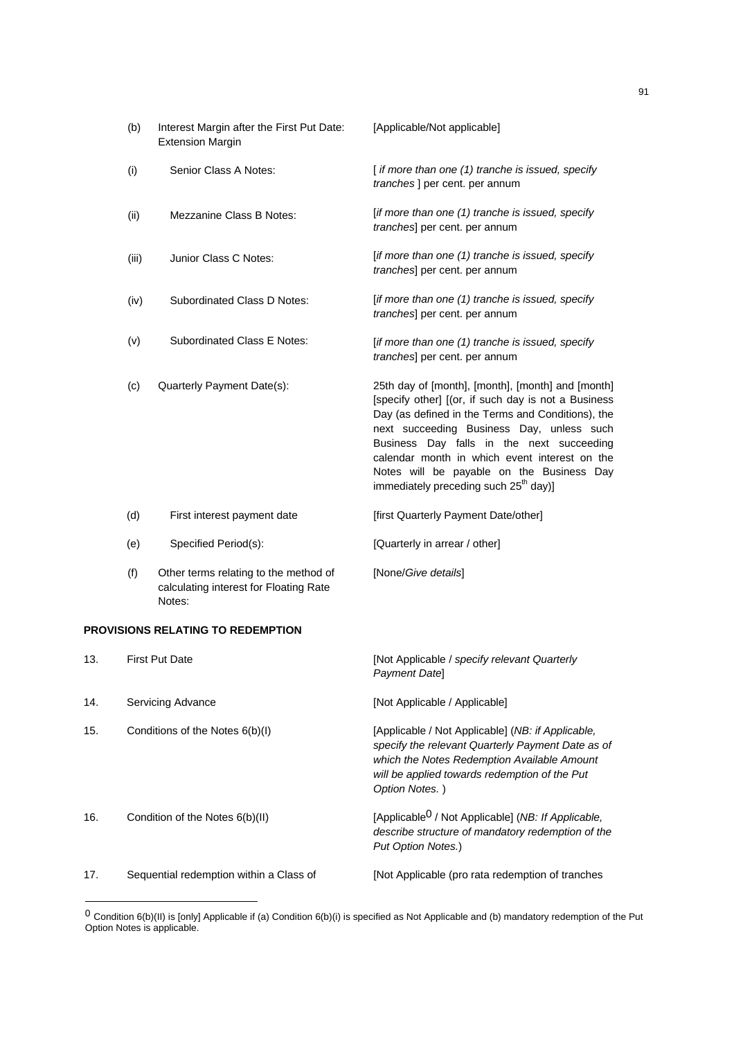| (b)   | Interest Margin after the First Put Date:<br><b>Extension Margin</b> | [Applicable/Not applicable]                                                                                                                                                                                                                                                                                                                                                                                |
|-------|----------------------------------------------------------------------|------------------------------------------------------------------------------------------------------------------------------------------------------------------------------------------------------------------------------------------------------------------------------------------------------------------------------------------------------------------------------------------------------------|
| (i)   | Senior Class A Notes:                                                | [if more than one (1) tranche is issued, specify<br><i>tranches</i> ] per cent. per annum                                                                                                                                                                                                                                                                                                                  |
| (ii)  | <b>Mezzanine Class B Notes:</b>                                      | [if more than one (1) tranche is issued, specify<br>tranches] per cent. per annum                                                                                                                                                                                                                                                                                                                          |
| (iii) | Junior Class C Notes:                                                | [if more than one (1) tranche is issued, specify<br>tranches] per cent. per annum                                                                                                                                                                                                                                                                                                                          |
| (iv)  | Subordinated Class D Notes:                                          | [if more than one (1) tranche is issued, specify<br>tranches] per cent. per annum                                                                                                                                                                                                                                                                                                                          |
| (v)   | <b>Subordinated Class E Notes:</b>                                   | [if more than one (1) tranche is issued, specify<br>tranches] per cent. per annum                                                                                                                                                                                                                                                                                                                          |
| (c)   | Quarterly Payment Date(s):                                           | 25th day of [month], [month], [month] and [month]<br>[specify other] [(or, if such day is not a Business<br>Day (as defined in the Terms and Conditions), the<br>next succeeding Business Day, unless such<br>Business Day falls in the next succeeding<br>calendar month in which event interest on the<br>Notes will be payable on the Business Day<br>immediately preceding such 25 <sup>th</sup> day)] |
| (d)   | First interest payment date                                          | [first Quarterly Payment Date/other]                                                                                                                                                                                                                                                                                                                                                                       |

- (e) Specified Period(s): [Quarterly in arrear / other]
- (f) Other terms relating to the method of calculating interest for Floating Rate Notes: [None/*Give details*]

# **PROVISIONS RELATING TO REDEMPTION**

| 13. | <b>First Put Date</b>                   | [Not Applicable / specify relevant Quarterly<br><b>Payment Datel</b>                                                                                                                                                     |
|-----|-----------------------------------------|--------------------------------------------------------------------------------------------------------------------------------------------------------------------------------------------------------------------------|
| 14. | Servicing Advance                       | [Not Applicable / Applicable]                                                                                                                                                                                            |
| 15. | Conditions of the Notes 6(b)(l)         | [Applicable / Not Applicable] (NB: if Applicable,<br>specify the relevant Quarterly Payment Date as of<br>which the Notes Redemption Available Amount<br>will be applied towards redemption of the Put<br>Option Notes.) |
| 16. | Condition of the Notes 6(b)(II)         | [Applicable <sup>0</sup> / Not Applicable] (NB: If Applicable,<br>describe structure of mandatory redemption of the<br>Put Option Notes.)                                                                                |
| 17. | Sequential redemption within a Class of | [Not Applicable (pro rata redemption of tranches                                                                                                                                                                         |

<sup>&</sup>lt;sup>0</sup> Condition 6(b)(II) is [only] Applicable if (a) Condition 6(b)(i) is specified as Not Applicable and (b) mandatory redemption of the Put Option Notes is applicable.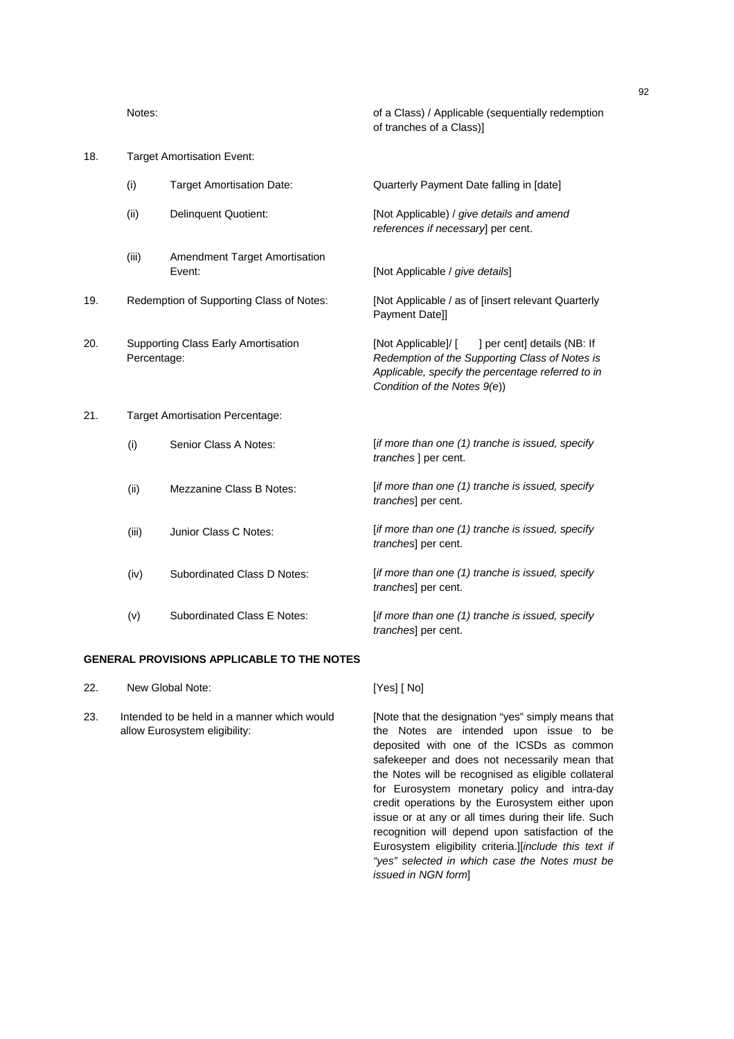| 18.<br><b>Target Amortisation Event:</b> |             |                                                |                                                                                                                                                                                           |
|------------------------------------------|-------------|------------------------------------------------|-------------------------------------------------------------------------------------------------------------------------------------------------------------------------------------------|
|                                          | (i)         | <b>Target Amortisation Date:</b>               | Quarterly Payment Date falling in [date]                                                                                                                                                  |
|                                          | (ii)        | <b>Delinquent Quotient:</b>                    | [Not Applicable) / give details and amend<br>references if necessary] per cent.                                                                                                           |
|                                          | (iii)       | <b>Amendment Target Amortisation</b><br>Event: | [Not Applicable / give details]                                                                                                                                                           |
| 19.                                      |             | Redemption of Supporting Class of Notes:       | [Not Applicable / as of [insert relevant Quarterly<br>Payment Date]]                                                                                                                      |
| 20.                                      | Percentage: | Supporting Class Early Amortisation            | ] per cent] details (NB: If<br>[Not Applicable]/ [<br>Redemption of the Supporting Class of Notes is<br>Applicable, specify the percentage referred to in<br>Condition of the Notes 9(e)) |
| 21.                                      |             | <b>Target Amortisation Percentage:</b>         |                                                                                                                                                                                           |
|                                          | (i)         | Senior Class A Notes:                          | [if more than one (1) tranche is issued, specify<br>tranches ] per cent.                                                                                                                  |
|                                          | (ii)        | Mezzanine Class B Notes:                       | [if more than one (1) tranche is issued, specify<br>tranches] per cent.                                                                                                                   |
|                                          | (iii)       | Junior Class C Notes:                          | [if more than one (1) tranche is issued, specify<br>tranches] per cent.                                                                                                                   |
|                                          | (iv)        | Subordinated Class D Notes:                    | [if more than one (1) tranche is issued, specify<br>tranches] per cent.                                                                                                                   |
|                                          | (v)         | <b>Subordinated Class E Notes:</b>             | [if more than one (1) tranche is issued, specify<br>tranches] per cent.                                                                                                                   |

# **GENERAL PROVISIONS APPLICABLE TO THE NOTES**

| 22.           | New Global Note: |  |  | [Yes] [ No] |
|---------------|------------------|--|--|-------------|
| $\sim$ $\sim$ | .                |  |  |             |

23. Intended to be held in a manner which would allow Eurosystem eligibility:

[Note that the designation "yes" simply means that the Notes are intended upon issue to be deposited with one of the ICSDs as common safekeeper and does not necessarily mean that the Notes will be recognised as eligible collateral for Eurosystem monetary policy and intra-day credit operations by the Eurosystem either upon issue or at any or all times during their life. Such recognition will depend upon satisfaction of the Eurosystem eligibility criteria.][*include this text if "yes" selected in which case the Notes must be issued in NGN form*]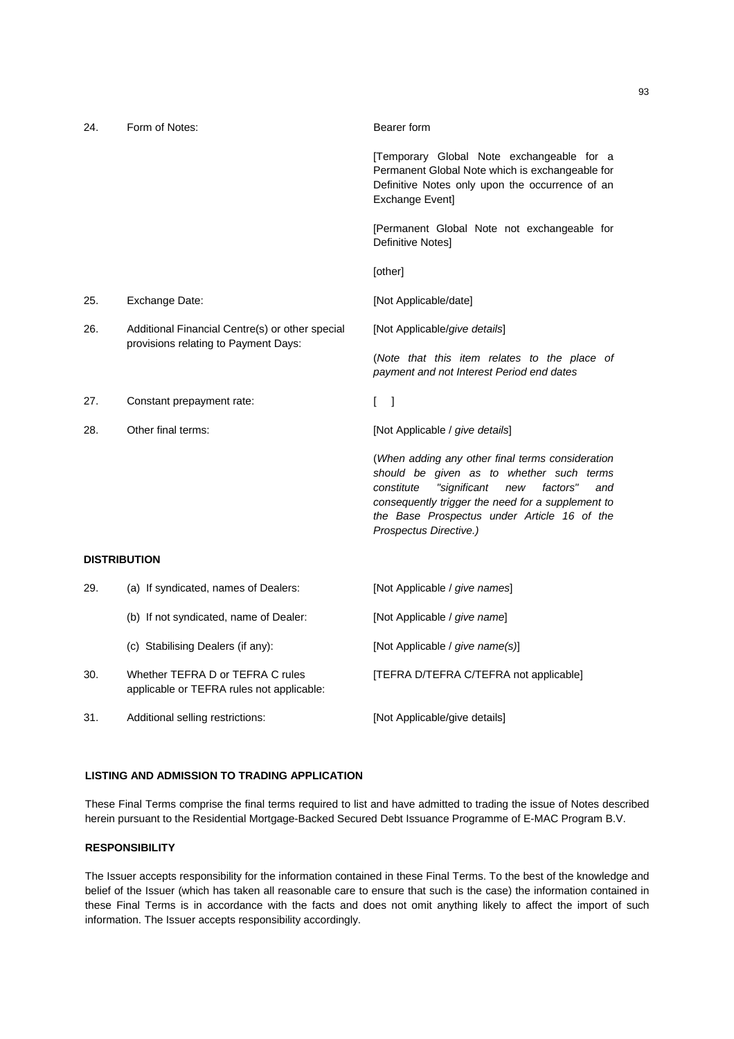| 24.                 | Form of Notes:                                                                          | Bearer form                                                                                                                                                                                                                                                                        |
|---------------------|-----------------------------------------------------------------------------------------|------------------------------------------------------------------------------------------------------------------------------------------------------------------------------------------------------------------------------------------------------------------------------------|
|                     |                                                                                         | [Temporary Global Note exchangeable for a<br>Permanent Global Note which is exchangeable for<br>Definitive Notes only upon the occurrence of an<br><b>Exchange Event]</b>                                                                                                          |
|                     |                                                                                         | [Permanent Global Note not exchangeable for<br>Definitive Notes]                                                                                                                                                                                                                   |
|                     |                                                                                         | [other]                                                                                                                                                                                                                                                                            |
| 25.                 | Exchange Date:                                                                          | [Not Applicable/date]                                                                                                                                                                                                                                                              |
| 26.                 | Additional Financial Centre(s) or other special<br>provisions relating to Payment Days: | [Not Applicable/give details]                                                                                                                                                                                                                                                      |
|                     |                                                                                         | (Note that this item relates to the place of<br>payment and not Interest Period end dates                                                                                                                                                                                          |
| 27.                 | Constant prepayment rate:                                                               | $\mathbf{I}$<br>- 1                                                                                                                                                                                                                                                                |
| 28.                 | Other final terms:                                                                      | [Not Applicable / give details]                                                                                                                                                                                                                                                    |
|                     |                                                                                         | (When adding any other final terms consideration<br>should be given as to whether such terms<br>constitute<br>"significant<br>factors"<br>new<br>and<br>consequently trigger the need for a supplement to<br>the Base Prospectus under Article 16 of the<br>Prospectus Directive.) |
| <b>DISTRIBUTION</b> |                                                                                         |                                                                                                                                                                                                                                                                                    |
| 29.                 | (a) If syndicated, names of Dealers:                                                    | [Not Applicable / give names]                                                                                                                                                                                                                                                      |
|                     | (b) If not syndicated, name of Dealer:                                                  | [Not Applicable / give name]                                                                                                                                                                                                                                                       |
|                     | (c) Stabilising Dealers (if any):                                                       | [Not Applicable / give name(s)]                                                                                                                                                                                                                                                    |
| 30.                 | Whether TEFRA D or TEFRA C rules<br>applicable or TEFRA rules not applicable:           | [TEFRA D/TEFRA C/TEFRA not applicable]                                                                                                                                                                                                                                             |

31. Additional selling restrictions: [Not Applicable/give details]

# **LISTING AND ADMISSION TO TRADING APPLICATION**

These Final Terms comprise the final terms required to list and have admitted to trading the issue of Notes described herein pursuant to the Residential Mortgage-Backed Secured Debt Issuance Programme of E-MAC Program B.V.

# **RESPONSIBILITY**

The Issuer accepts responsibility for the information contained in these Final Terms. To the best of the knowledge and belief of the Issuer (which has taken all reasonable care to ensure that such is the case) the information contained in these Final Terms is in accordance with the facts and does not omit anything likely to affect the import of such information. The Issuer accepts responsibility accordingly.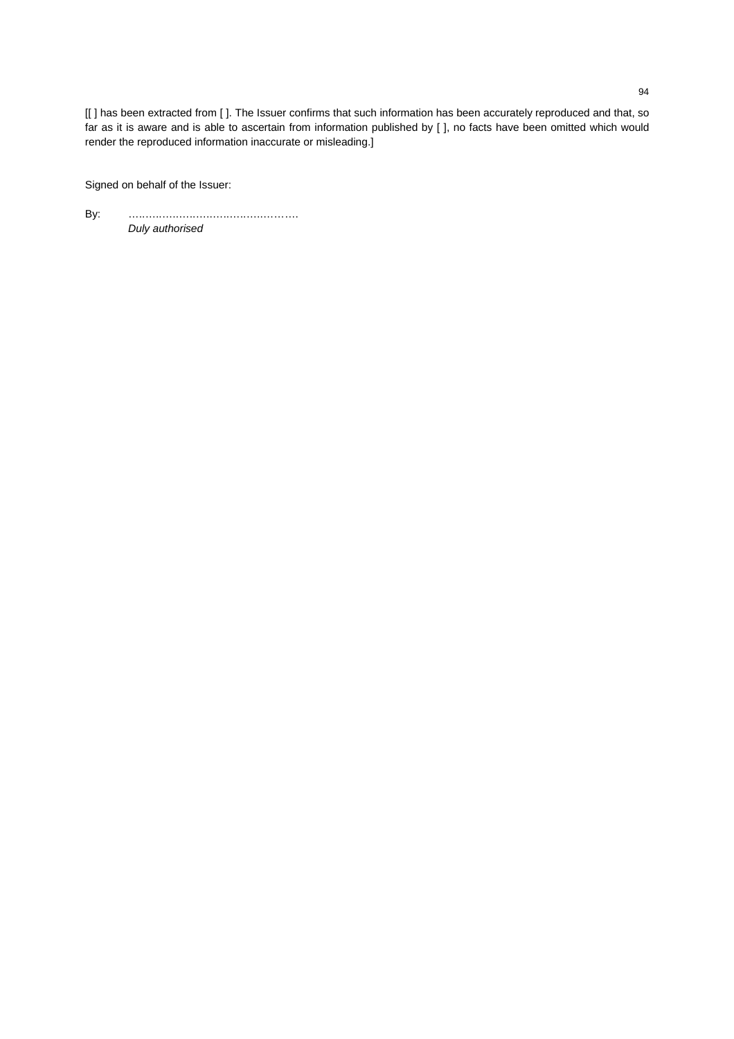[[] has been extracted from []. The Issuer confirms that such information has been accurately reproduced and that, so far as it is aware and is able to ascertain from information published by [ ], no facts have been omitted which would render the reproduced information inaccurate or misleading.]

Signed on behalf of the Issuer:

By: …..…..…..…..…..…..…..…..………. *Duly authorised*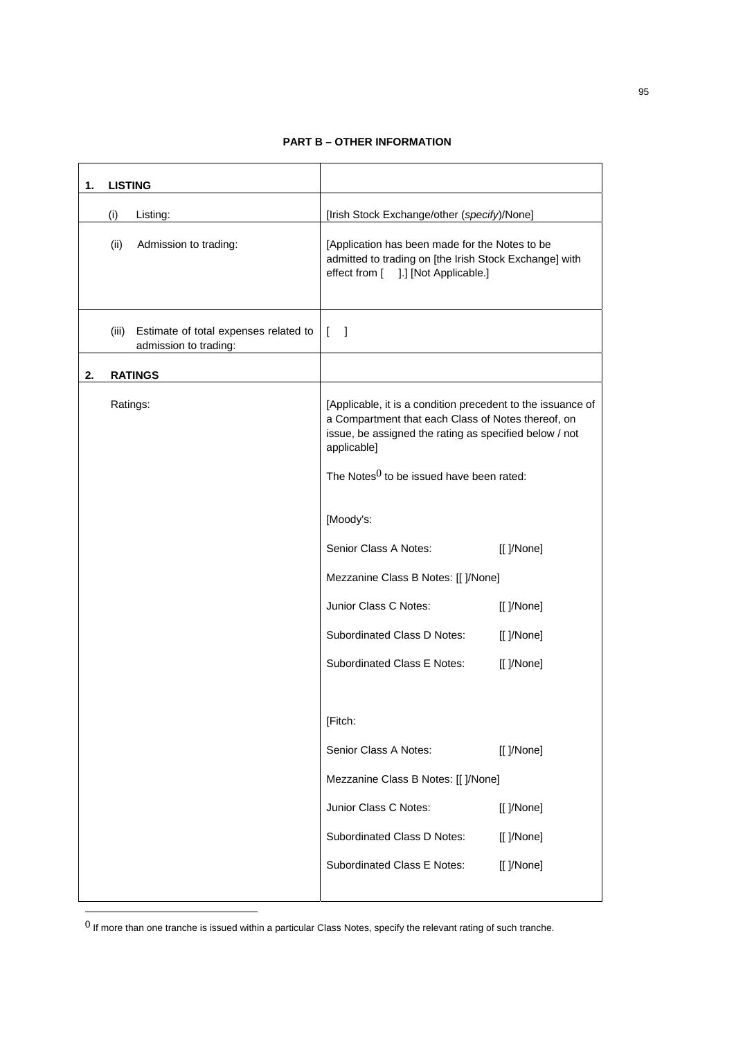# **PART B – OTHER INFORMATION**

| 1. | <b>LISTING</b> |                                                                |                                                                                                                                                                                                                                           |            |
|----|----------------|----------------------------------------------------------------|-------------------------------------------------------------------------------------------------------------------------------------------------------------------------------------------------------------------------------------------|------------|
|    | (i)            | Listing:                                                       | [Irish Stock Exchange/other (specify)/None]                                                                                                                                                                                               |            |
|    | (ii)           | Admission to trading:                                          | [Application has been made for the Notes to be<br>admitted to trading on [the Irish Stock Exchange] with<br>effect from [ ].] [Not Applicable.]                                                                                           |            |
|    | (iii)          | Estimate of total expenses related to<br>admission to trading: | $\begin{bmatrix} 1 \end{bmatrix}$                                                                                                                                                                                                         |            |
| 2. |                | <b>RATINGS</b>                                                 |                                                                                                                                                                                                                                           |            |
|    | Ratings:       |                                                                | [Applicable, it is a condition precedent to the issuance of<br>a Compartment that each Class of Notes thereof, on<br>issue, be assigned the rating as specified below / not<br>applicable]<br>The Notes $0$ to be issued have been rated: |            |
|    |                |                                                                | [Moody's:                                                                                                                                                                                                                                 |            |
|    |                |                                                                | Senior Class A Notes:                                                                                                                                                                                                                     | [[ ]/None] |
|    |                |                                                                | Mezzanine Class B Notes: [[ ]/None]                                                                                                                                                                                                       |            |
|    |                |                                                                | Junior Class C Notes:                                                                                                                                                                                                                     | [[ ]/None] |
|    |                |                                                                | Subordinated Class D Notes:                                                                                                                                                                                                               | [[ ]/None] |
|    |                |                                                                | Subordinated Class E Notes:                                                                                                                                                                                                               | [[ ]/None] |
|    |                |                                                                |                                                                                                                                                                                                                                           |            |
|    |                |                                                                | [Fitch:                                                                                                                                                                                                                                   |            |
|    |                |                                                                | Senior Class A Notes:                                                                                                                                                                                                                     | [[ ]/None] |
|    |                |                                                                | Mezzanine Class B Notes: [[ ]/None]                                                                                                                                                                                                       |            |
|    |                |                                                                | Junior Class C Notes:                                                                                                                                                                                                                     | [[ ]/None] |
|    |                |                                                                | Subordinated Class D Notes:                                                                                                                                                                                                               | [[ ]/None] |
|    |                |                                                                | Subordinated Class E Notes:                                                                                                                                                                                                               | [[ ]/None] |
|    |                |                                                                |                                                                                                                                                                                                                                           |            |

 $0$  If more than one tranche is issued within a particular Class Notes, specify the relevant rating of such tranche.

 $\overline{a}$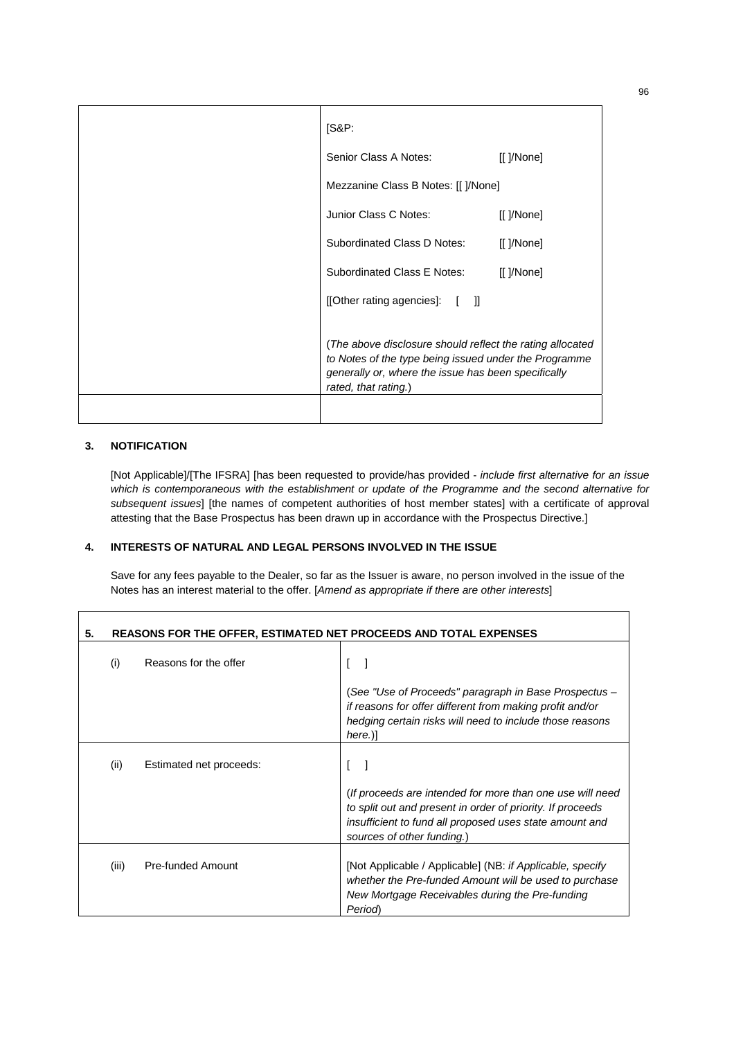| [SAP:                                                                                                                                                                                             |            |
|---------------------------------------------------------------------------------------------------------------------------------------------------------------------------------------------------|------------|
| Senior Class A Notes:                                                                                                                                                                             | [[ ]/None] |
| Mezzanine Class B Notes: [[ ]/None]                                                                                                                                                               |            |
| Junior Class C Notes:                                                                                                                                                                             | [[ ]/None] |
| Subordinated Class D Notes:                                                                                                                                                                       | [[ ]/None] |
| Subordinated Class E Notes:                                                                                                                                                                       | [[ ]/None] |
| [[Other rating agencies]: [ ]]                                                                                                                                                                    |            |
| (The above disclosure should reflect the rating allocated<br>to Notes of the type being issued under the Programme<br>generally or, where the issue has been specifically<br>rated, that rating.) |            |

# **3. NOTIFICATION**

[Not Applicable]/[The IFSRA] [has been requested to provide/has provided - *include first alternative for an issue which is contemporaneous with the establishment or update of the Programme and the second alternative for subsequent issues*] [the names of competent authorities of host member states] with a certificate of approval attesting that the Base Prospectus has been drawn up in accordance with the Prospectus Directive.]

# **4. INTERESTS OF NATURAL AND LEGAL PERSONS INVOLVED IN THE ISSUE**

Save for any fees payable to the Dealer, so far as the Issuer is aware, no person involved in the issue of the Notes has an interest material to the offer. [*Amend as appropriate if there are other interests*]

| 5. | REASONS FOR THE OFFER, ESTIMATED NET PROCEEDS AND TOTAL EXPENSES |                         |                                                                                                                                                                                                                  |
|----|------------------------------------------------------------------|-------------------------|------------------------------------------------------------------------------------------------------------------------------------------------------------------------------------------------------------------|
|    | (i)                                                              | Reasons for the offer   |                                                                                                                                                                                                                  |
|    |                                                                  |                         | (See "Use of Proceeds" paragraph in Base Prospectus –<br>if reasons for offer different from making profit and/or<br>hedging certain risks will need to include those reasons<br>here.)]                         |
|    | (ii)                                                             | Estimated net proceeds: | (If proceeds are intended for more than one use will need<br>to split out and present in order of priority. If proceeds<br>insufficient to fund all proposed uses state amount and<br>sources of other funding.) |
|    | (iii)                                                            | Pre-funded Amount       | [Not Applicable / Applicable] (NB: if Applicable, specify<br>whether the Pre-funded Amount will be used to purchase<br>New Mortgage Receivables during the Pre-funding<br><b>Period</b>                          |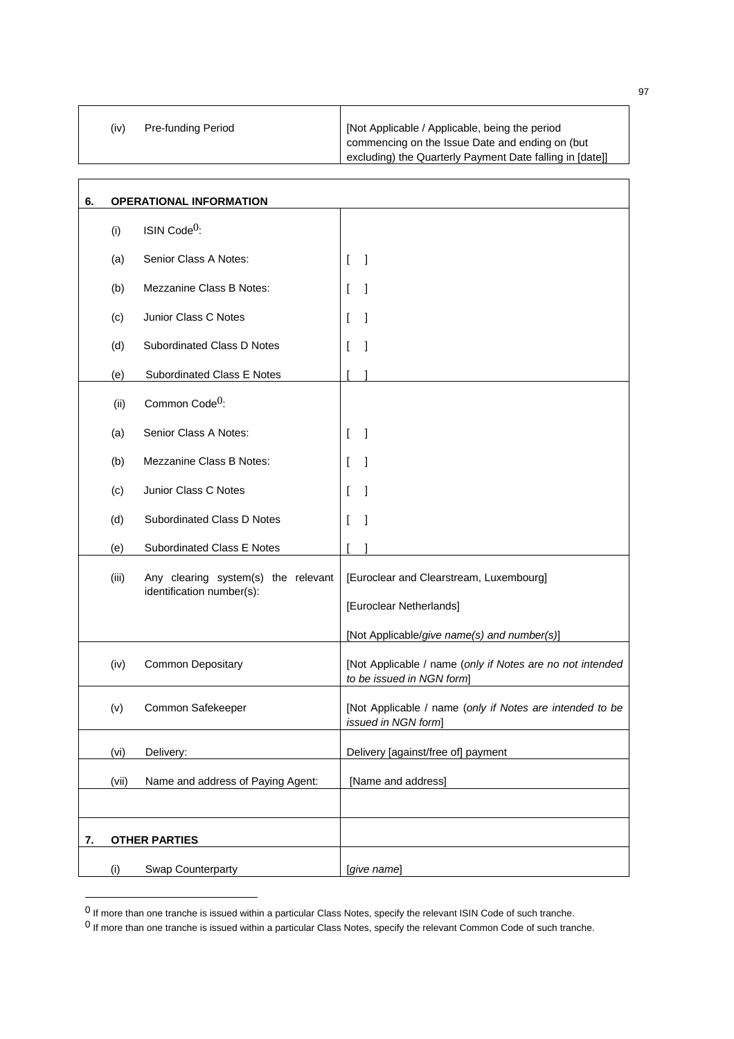| Not Applicable / Applicable, being the period<br><b>Pre-funding Period</b><br>(iv) | I commencing on the Issue Date and ending on (but<br>excluding) the Quarterly Payment Date falling in [date]] |
|------------------------------------------------------------------------------------|---------------------------------------------------------------------------------------------------------------|
|------------------------------------------------------------------------------------|---------------------------------------------------------------------------------------------------------------|

┓

| 6. | <b>OPERATIONAL INFORMATION</b> |                                                                  |                                                                                        |
|----|--------------------------------|------------------------------------------------------------------|----------------------------------------------------------------------------------------|
|    | (i)                            | ISIN Code <sup>0</sup> :                                         |                                                                                        |
|    | (a)                            | Senior Class A Notes:                                            | - 1<br>$\mathbf{I}$                                                                    |
|    | (b)                            | Mezzanine Class B Notes:                                         | 1<br>$\mathbf{I}$                                                                      |
|    | (c)                            | Junior Class C Notes                                             | 1<br>$\mathbf{I}$                                                                      |
|    | (d)                            | Subordinated Class D Notes                                       | $\overline{\phantom{a}}$                                                               |
|    | (e)                            | Subordinated Class E Notes                                       |                                                                                        |
|    | (ii)                           | Common Code <sup>0</sup> :                                       |                                                                                        |
|    | (a)                            | Senior Class A Notes:                                            | 1<br>$\mathsf{L}$                                                                      |
|    | (b)                            | Mezzanine Class B Notes:                                         | 1                                                                                      |
|    | (c)                            | Junior Class C Notes                                             | 1                                                                                      |
|    | (d)                            | Subordinated Class D Notes                                       | I                                                                                      |
|    | (e)                            | Subordinated Class E Notes                                       |                                                                                        |
|    | (iii)                          | Any clearing system(s) the relevant<br>identification number(s): | [Euroclear and Clearstream, Luxembourg]<br>[Euroclear Netherlands]                     |
|    |                                |                                                                  | [Not Applicable/give name(s) and number(s)]                                            |
|    | (iv)                           | <b>Common Depositary</b>                                         | [Not Applicable / name (only if Notes are no not intended<br>to be issued in NGN form] |
|    | (v)                            | Common Safekeeper                                                | [Not Applicable / name (only if Notes are intended to be<br>issued in NGN form]        |
|    | (vi)                           | Delivery:                                                        | Delivery [against/free of] payment                                                     |
|    | (vii)                          | Name and address of Paying Agent:                                | [Name and address]                                                                     |
|    |                                |                                                                  |                                                                                        |
| 7. |                                | <b>OTHER PARTIES</b>                                             |                                                                                        |
|    | (i)                            | Swap Counterparty                                                | [give name]                                                                            |

 $<sup>0</sup>$  If more than one tranche is issued within a particular Class Notes, specify the relevant ISIN Code of such tranche.</sup>

97

┑

 $^0$  If more than one tranche is issued within a particular Class Notes, specify the relevant Common Code of such tranche.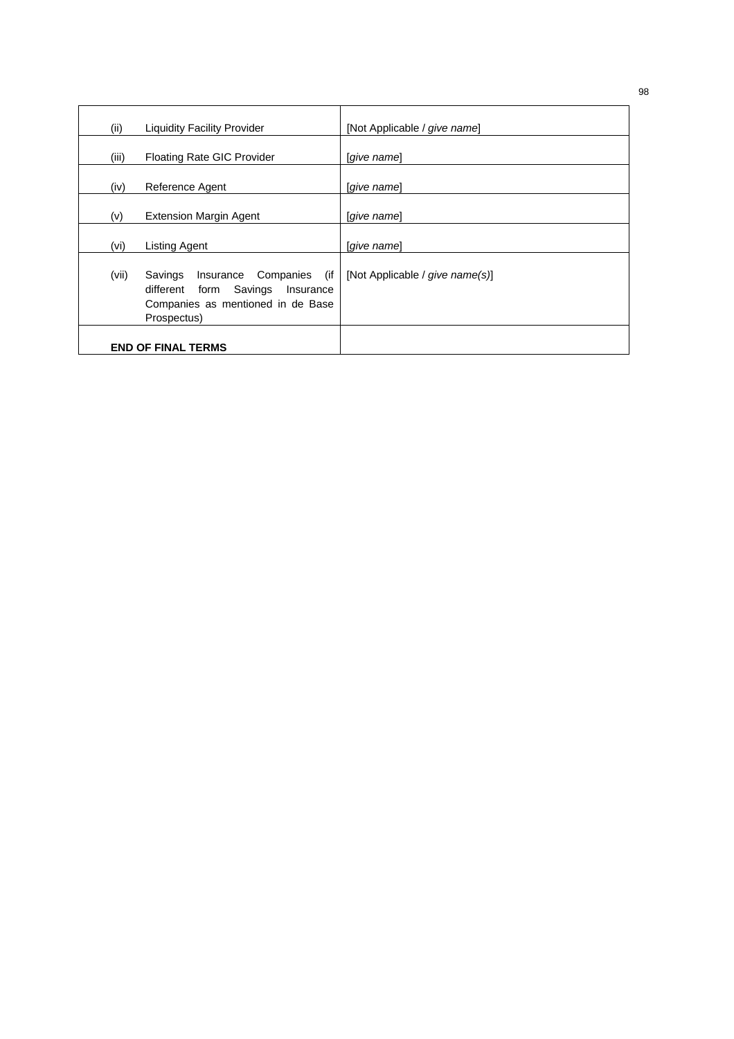| (ii)  | <b>Liquidity Facility Provider</b>                                                                                            | [Not Applicable / give name]    |
|-------|-------------------------------------------------------------------------------------------------------------------------------|---------------------------------|
| (iii) | <b>Floating Rate GIC Provider</b>                                                                                             | [give name]                     |
| (iv)  | Reference Agent                                                                                                               | [give name]                     |
| (v)   | <b>Extension Margin Agent</b>                                                                                                 | [give name]                     |
| (vi)  | <b>Listing Agent</b>                                                                                                          | [give name]                     |
| (vii) | Insurance Companies (if<br>Savings<br>Savings Insurance<br>different form<br>Companies as mentioned in de Base<br>Prospectus) | [Not Applicable / give name(s)] |
|       | <b>END OF FINAL TERMS</b>                                                                                                     |                                 |

98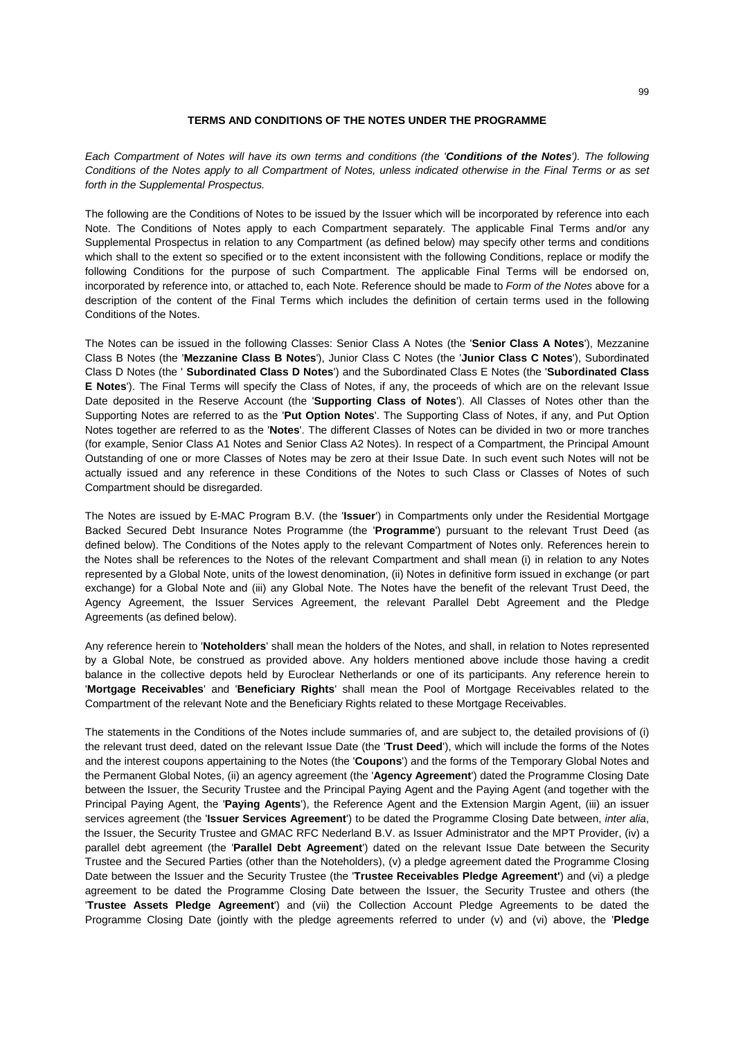# **TERMS AND CONDITIONS OF THE NOTES UNDER THE PROGRAMME**

*Each Compartment of Notes will have its own terms and conditions (the 'Conditions of the Notes'). The following Conditions of the Notes apply to all Compartment of Notes, unless indicated otherwise in the Final Terms or as set forth in the Supplemental Prospectus.* 

The following are the Conditions of Notes to be issued by the Issuer which will be incorporated by reference into each Note. The Conditions of Notes apply to each Compartment separately. The applicable Final Terms and/or any Supplemental Prospectus in relation to any Compartment (as defined below) may specify other terms and conditions which shall to the extent so specified or to the extent inconsistent with the following Conditions, replace or modify the following Conditions for the purpose of such Compartment. The applicable Final Terms will be endorsed on, incorporated by reference into, or attached to, each Note. Reference should be made to *Form of the Notes* above for a description of the content of the Final Terms which includes the definition of certain terms used in the following Conditions of the Notes.

The Notes can be issued in the following Classes: Senior Class A Notes (the '**Senior Class A Notes**'), Mezzanine Class B Notes (the '**Mezzanine Class B Notes**'), Junior Class C Notes (the '**Junior Class C Notes**'), Subordinated Class D Notes (the ' **Subordinated Class D Notes**') and the Subordinated Class E Notes (the '**Subordinated Class E Notes**'). The Final Terms will specify the Class of Notes, if any, the proceeds of which are on the relevant Issue Date deposited in the Reserve Account (the '**Supporting Class of Notes**'). All Classes of Notes other than the Supporting Notes are referred to as the '**Put Option Notes**'. The Supporting Class of Notes, if any, and Put Option Notes together are referred to as the '**Notes**'. The different Classes of Notes can be divided in two or more tranches (for example, Senior Class A1 Notes and Senior Class A2 Notes). In respect of a Compartment, the Principal Amount Outstanding of one or more Classes of Notes may be zero at their Issue Date. In such event such Notes will not be actually issued and any reference in these Conditions of the Notes to such Class or Classes of Notes of such Compartment should be disregarded.

The Notes are issued by E-MAC Program B.V. (the '**Issuer**') in Compartments only under the Residential Mortgage Backed Secured Debt Insurance Notes Programme (the '**Programme**') pursuant to the relevant Trust Deed (as defined below). The Conditions of the Notes apply to the relevant Compartment of Notes only. References herein to the Notes shall be references to the Notes of the relevant Compartment and shall mean (i) in relation to any Notes represented by a Global Note, units of the lowest denomination, (ii) Notes in definitive form issued in exchange (or part exchange) for a Global Note and (iii) any Global Note. The Notes have the benefit of the relevant Trust Deed, the Agency Agreement, the Issuer Services Agreement, the relevant Parallel Debt Agreement and the Pledge Agreements (as defined below).

Any reference herein to '**Noteholders**' shall mean the holders of the Notes, and shall, in relation to Notes represented by a Global Note, be construed as provided above. Any holders mentioned above include those having a credit balance in the collective depots held by Euroclear Netherlands or one of its participants. Any reference herein to '**Mortgage Receivables**' and '**Beneficiary Rights**' shall mean the Pool of Mortgage Receivables related to the Compartment of the relevant Note and the Beneficiary Rights related to these Mortgage Receivables.

The statements in the Conditions of the Notes include summaries of, and are subject to, the detailed provisions of (i) the relevant trust deed, dated on the relevant Issue Date (the '**Trust Deed**'), which will include the forms of the Notes and the interest coupons appertaining to the Notes (the '**Coupons**') and the forms of the Temporary Global Notes and the Permanent Global Notes, (ii) an agency agreement (the '**Agency Agreement**') dated the Programme Closing Date between the Issuer, the Security Trustee and the Principal Paying Agent and the Paying Agent (and together with the Principal Paying Agent, the '**Paying Agents**'), the Reference Agent and the Extension Margin Agent, (iii) an issuer services agreement (the '**Issuer Services Agreement**') to be dated the Programme Closing Date between, *inter alia*, the Issuer, the Security Trustee and GMAC RFC Nederland B.V. as Issuer Administrator and the MPT Provider, (iv) a parallel debt agreement (the '**Parallel Debt Agreement**') dated on the relevant Issue Date between the Security Trustee and the Secured Parties (other than the Noteholders), (v) a pledge agreement dated the Programme Closing Date between the Issuer and the Security Trustee (the '**Trustee Receivables Pledge Agreement'**) and (vi) a pledge agreement to be dated the Programme Closing Date between the Issuer, the Security Trustee and others (the '**Trustee Assets Pledge Agreement**') and (vii) the Collection Account Pledge Agreements to be dated the Programme Closing Date (jointly with the pledge agreements referred to under (v) and (vi) above, the '**Pledge**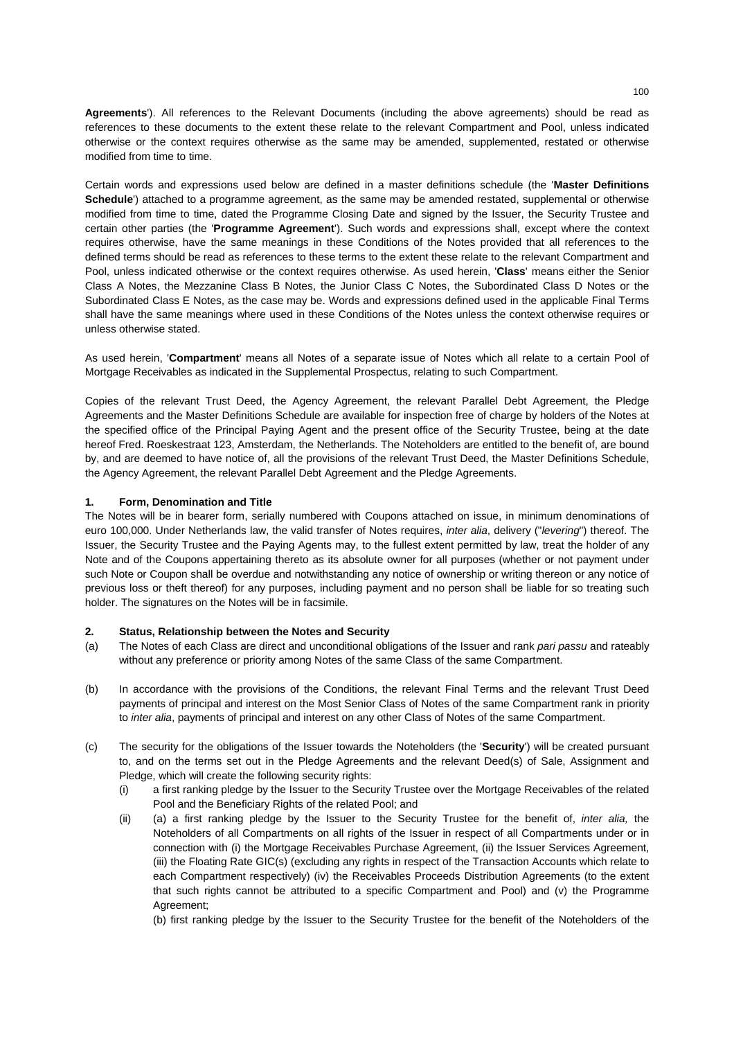**Agreements**'). All references to the Relevant Documents (including the above agreements) should be read as references to these documents to the extent these relate to the relevant Compartment and Pool, unless indicated otherwise or the context requires otherwise as the same may be amended, supplemented, restated or otherwise modified from time to time.

Certain words and expressions used below are defined in a master definitions schedule (the '**Master Definitions Schedule**') attached to a programme agreement, as the same may be amended restated, supplemental or otherwise modified from time to time, dated the Programme Closing Date and signed by the Issuer, the Security Trustee and certain other parties (the '**Programme Agreement**'). Such words and expressions shall, except where the context requires otherwise, have the same meanings in these Conditions of the Notes provided that all references to the defined terms should be read as references to these terms to the extent these relate to the relevant Compartment and Pool, unless indicated otherwise or the context requires otherwise. As used herein, '**Class**' means either the Senior Class A Notes, the Mezzanine Class B Notes, the Junior Class C Notes, the Subordinated Class D Notes or the Subordinated Class E Notes, as the case may be. Words and expressions defined used in the applicable Final Terms shall have the same meanings where used in these Conditions of the Notes unless the context otherwise requires or unless otherwise stated.

As used herein, '**Compartment**' means all Notes of a separate issue of Notes which all relate to a certain Pool of Mortgage Receivables as indicated in the Supplemental Prospectus, relating to such Compartment.

Copies of the relevant Trust Deed, the Agency Agreement, the relevant Parallel Debt Agreement, the Pledge Agreements and the Master Definitions Schedule are available for inspection free of charge by holders of the Notes at the specified office of the Principal Paying Agent and the present office of the Security Trustee, being at the date hereof Fred. Roeskestraat 123, Amsterdam, the Netherlands. The Noteholders are entitled to the benefit of, are bound by, and are deemed to have notice of, all the provisions of the relevant Trust Deed, the Master Definitions Schedule, the Agency Agreement, the relevant Parallel Debt Agreement and the Pledge Agreements.

# **1. Form, Denomination and Title**

The Notes will be in bearer form, serially numbered with Coupons attached on issue, in minimum denominations of euro 100,000. Under Netherlands law, the valid transfer of Notes requires, *inter alia*, delivery ("*levering*") thereof. The Issuer, the Security Trustee and the Paying Agents may, to the fullest extent permitted by law, treat the holder of any Note and of the Coupons appertaining thereto as its absolute owner for all purposes (whether or not payment under such Note or Coupon shall be overdue and notwithstanding any notice of ownership or writing thereon or any notice of previous loss or theft thereof) for any purposes, including payment and no person shall be liable for so treating such holder. The signatures on the Notes will be in facsimile.

# **2. Status, Relationship between the Notes and Security**

- (a) The Notes of each Class are direct and unconditional obligations of the Issuer and rank *pari passu* and rateably without any preference or priority among Notes of the same Class of the same Compartment.
- (b) In accordance with the provisions of the Conditions, the relevant Final Terms and the relevant Trust Deed payments of principal and interest on the Most Senior Class of Notes of the same Compartment rank in priority to *inter alia*, payments of principal and interest on any other Class of Notes of the same Compartment.
- (c) The security for the obligations of the Issuer towards the Noteholders (the '**Security**') will be created pursuant to, and on the terms set out in the Pledge Agreements and the relevant Deed(s) of Sale, Assignment and Pledge, which will create the following security rights:
	- (i) a first ranking pledge by the Issuer to the Security Trustee over the Mortgage Receivables of the related Pool and the Beneficiary Rights of the related Pool; and
	- (ii) (a) a first ranking pledge by the Issuer to the Security Trustee for the benefit of, *inter alia,* the Noteholders of all Compartments on all rights of the Issuer in respect of all Compartments under or in connection with (i) the Mortgage Receivables Purchase Agreement, (ii) the Issuer Services Agreement, (iii) the Floating Rate GIC(s) (excluding any rights in respect of the Transaction Accounts which relate to each Compartment respectively) (iv) the Receivables Proceeds Distribution Agreements (to the extent that such rights cannot be attributed to a specific Compartment and Pool) and (v) the Programme Agreement;

(b) first ranking pledge by the Issuer to the Security Trustee for the benefit of the Noteholders of the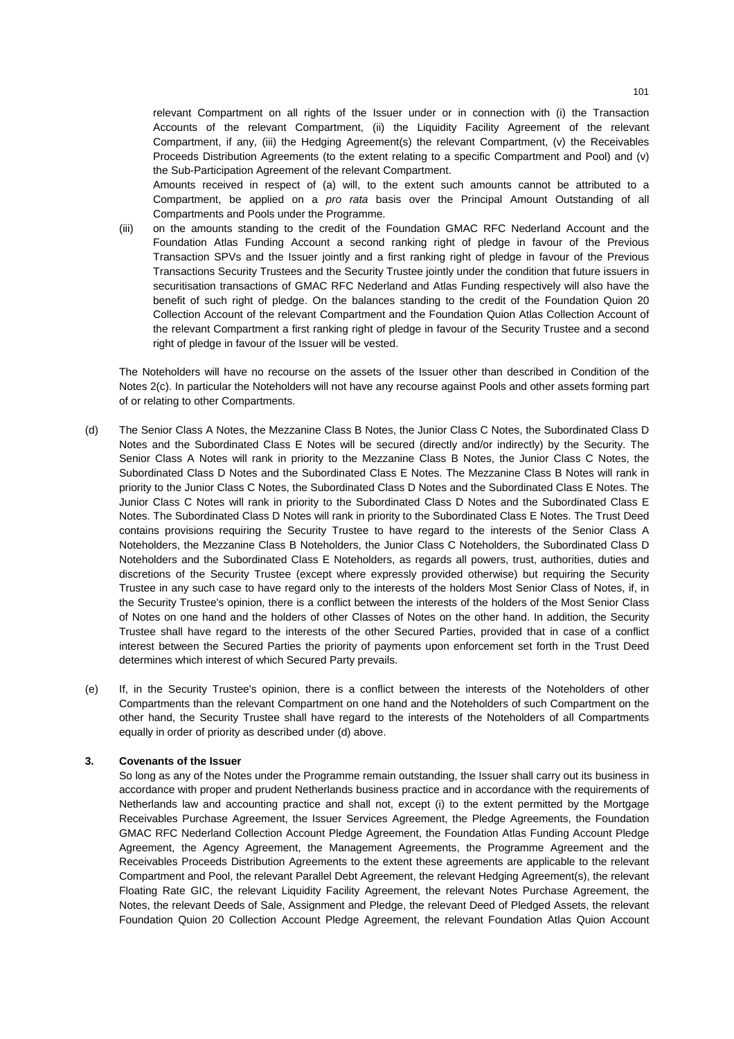relevant Compartment on all rights of the Issuer under or in connection with (i) the Transaction Accounts of the relevant Compartment, (ii) the Liquidity Facility Agreement of the relevant Compartment, if any, (iii) the Hedging Agreement(s) the relevant Compartment, (v) the Receivables Proceeds Distribution Agreements (to the extent relating to a specific Compartment and Pool) and (v) the Sub-Participation Agreement of the relevant Compartment.

Amounts received in respect of (a) will, to the extent such amounts cannot be attributed to a Compartment, be applied on a *pro rata* basis over the Principal Amount Outstanding of all Compartments and Pools under the Programme.

(iii) on the amounts standing to the credit of the Foundation GMAC RFC Nederland Account and the Foundation Atlas Funding Account a second ranking right of pledge in favour of the Previous Transaction SPVs and the Issuer jointly and a first ranking right of pledge in favour of the Previous Transactions Security Trustees and the Security Trustee jointly under the condition that future issuers in securitisation transactions of GMAC RFC Nederland and Atlas Funding respectively will also have the benefit of such right of pledge. On the balances standing to the credit of the Foundation Quion 20 Collection Account of the relevant Compartment and the Foundation Quion Atlas Collection Account of the relevant Compartment a first ranking right of pledge in favour of the Security Trustee and a second right of pledge in favour of the Issuer will be vested.

The Noteholders will have no recourse on the assets of the Issuer other than described in Condition of the Notes 2(c). In particular the Noteholders will not have any recourse against Pools and other assets forming part of or relating to other Compartments.

- (d) The Senior Class A Notes, the Mezzanine Class B Notes, the Junior Class C Notes, the Subordinated Class D Notes and the Subordinated Class E Notes will be secured (directly and/or indirectly) by the Security. The Senior Class A Notes will rank in priority to the Mezzanine Class B Notes, the Junior Class C Notes, the Subordinated Class D Notes and the Subordinated Class E Notes. The Mezzanine Class B Notes will rank in priority to the Junior Class C Notes, the Subordinated Class D Notes and the Subordinated Class E Notes. The Junior Class C Notes will rank in priority to the Subordinated Class D Notes and the Subordinated Class E Notes. The Subordinated Class D Notes will rank in priority to the Subordinated Class E Notes. The Trust Deed contains provisions requiring the Security Trustee to have regard to the interests of the Senior Class A Noteholders, the Mezzanine Class B Noteholders, the Junior Class C Noteholders, the Subordinated Class D Noteholders and the Subordinated Class E Noteholders, as regards all powers, trust, authorities, duties and discretions of the Security Trustee (except where expressly provided otherwise) but requiring the Security Trustee in any such case to have regard only to the interests of the holders Most Senior Class of Notes, if, in the Security Trustee's opinion, there is a conflict between the interests of the holders of the Most Senior Class of Notes on one hand and the holders of other Classes of Notes on the other hand. In addition, the Security Trustee shall have regard to the interests of the other Secured Parties, provided that in case of a conflict interest between the Secured Parties the priority of payments upon enforcement set forth in the Trust Deed determines which interest of which Secured Party prevails.
- (e) If, in the Security Trustee's opinion, there is a conflict between the interests of the Noteholders of other Compartments than the relevant Compartment on one hand and the Noteholders of such Compartment on the other hand, the Security Trustee shall have regard to the interests of the Noteholders of all Compartments equally in order of priority as described under (d) above.

# **3. Covenants of the Issuer**

So long as any of the Notes under the Programme remain outstanding, the Issuer shall carry out its business in accordance with proper and prudent Netherlands business practice and in accordance with the requirements of Netherlands law and accounting practice and shall not, except (i) to the extent permitted by the Mortgage Receivables Purchase Agreement, the Issuer Services Agreement, the Pledge Agreements, the Foundation GMAC RFC Nederland Collection Account Pledge Agreement, the Foundation Atlas Funding Account Pledge Agreement, the Agency Agreement, the Management Agreements, the Programme Agreement and the Receivables Proceeds Distribution Agreements to the extent these agreements are applicable to the relevant Compartment and Pool, the relevant Parallel Debt Agreement, the relevant Hedging Agreement(s), the relevant Floating Rate GIC, the relevant Liquidity Facility Agreement, the relevant Notes Purchase Agreement, the Notes, the relevant Deeds of Sale, Assignment and Pledge, the relevant Deed of Pledged Assets, the relevant Foundation Quion 20 Collection Account Pledge Agreement, the relevant Foundation Atlas Quion Account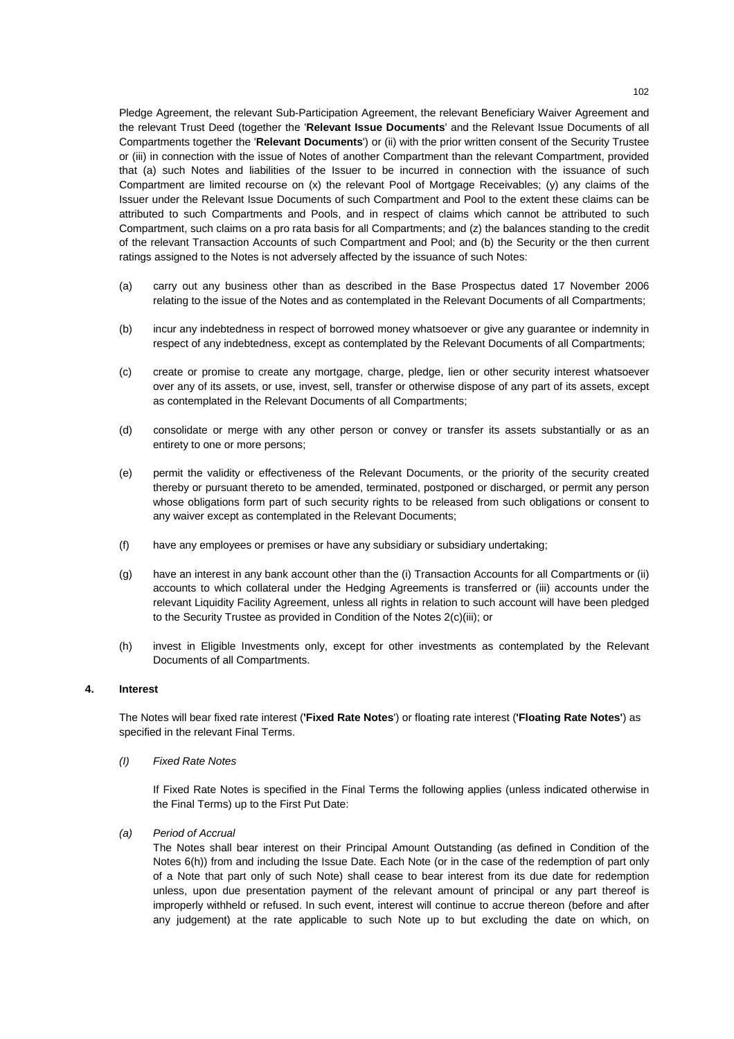Pledge Agreement, the relevant Sub-Participation Agreement, the relevant Beneficiary Waiver Agreement and the relevant Trust Deed (together the '**Relevant Issue Documents**' and the Relevant Issue Documents of all Compartments together the '**Relevant Documents**') or (ii) with the prior written consent of the Security Trustee or (iii) in connection with the issue of Notes of another Compartment than the relevant Compartment, provided that (a) such Notes and liabilities of the Issuer to be incurred in connection with the issuance of such Compartment are limited recourse on (x) the relevant Pool of Mortgage Receivables; (y) any claims of the Issuer under the Relevant Issue Documents of such Compartment and Pool to the extent these claims can be attributed to such Compartments and Pools, and in respect of claims which cannot be attributed to such Compartment, such claims on a pro rata basis for all Compartments; and (z) the balances standing to the credit of the relevant Transaction Accounts of such Compartment and Pool; and (b) the Security or the then current ratings assigned to the Notes is not adversely affected by the issuance of such Notes:

- (a) carry out any business other than as described in the Base Prospectus dated 17 November 2006 relating to the issue of the Notes and as contemplated in the Relevant Documents of all Compartments;
- (b) incur any indebtedness in respect of borrowed money whatsoever or give any guarantee or indemnity in respect of any indebtedness, except as contemplated by the Relevant Documents of all Compartments;
- (c) create or promise to create any mortgage, charge, pledge, lien or other security interest whatsoever over any of its assets, or use, invest, sell, transfer or otherwise dispose of any part of its assets, except as contemplated in the Relevant Documents of all Compartments;
- (d) consolidate or merge with any other person or convey or transfer its assets substantially or as an entirety to one or more persons;
- (e) permit the validity or effectiveness of the Relevant Documents, or the priority of the security created thereby or pursuant thereto to be amended, terminated, postponed or discharged, or permit any person whose obligations form part of such security rights to be released from such obligations or consent to any waiver except as contemplated in the Relevant Documents;
- (f) have any employees or premises or have any subsidiary or subsidiary undertaking;
- (g) have an interest in any bank account other than the (i) Transaction Accounts for all Compartments or (ii) accounts to which collateral under the Hedging Agreements is transferred or (iii) accounts under the relevant Liquidity Facility Agreement, unless all rights in relation to such account will have been pledged to the Security Trustee as provided in Condition of the Notes 2(c)(iii); or
- (h) invest in Eligible Investments only, except for other investments as contemplated by the Relevant Documents of all Compartments.

#### **4. Interest**

The Notes will bear fixed rate interest (**'Fixed Rate Notes**') or floating rate interest (**'Floating Rate Notes'**) as specified in the relevant Final Terms.

*(I) Fixed Rate Notes* 

If Fixed Rate Notes is specified in the Final Terms the following applies (unless indicated otherwise in the Final Terms) up to the First Put Date:

*(a) Period of Accrual* 

 The Notes shall bear interest on their Principal Amount Outstanding (as defined in Condition of the Notes 6(h)) from and including the Issue Date. Each Note (or in the case of the redemption of part only of a Note that part only of such Note) shall cease to bear interest from its due date for redemption unless, upon due presentation payment of the relevant amount of principal or any part thereof is improperly withheld or refused. In such event, interest will continue to accrue thereon (before and after any judgement) at the rate applicable to such Note up to but excluding the date on which, on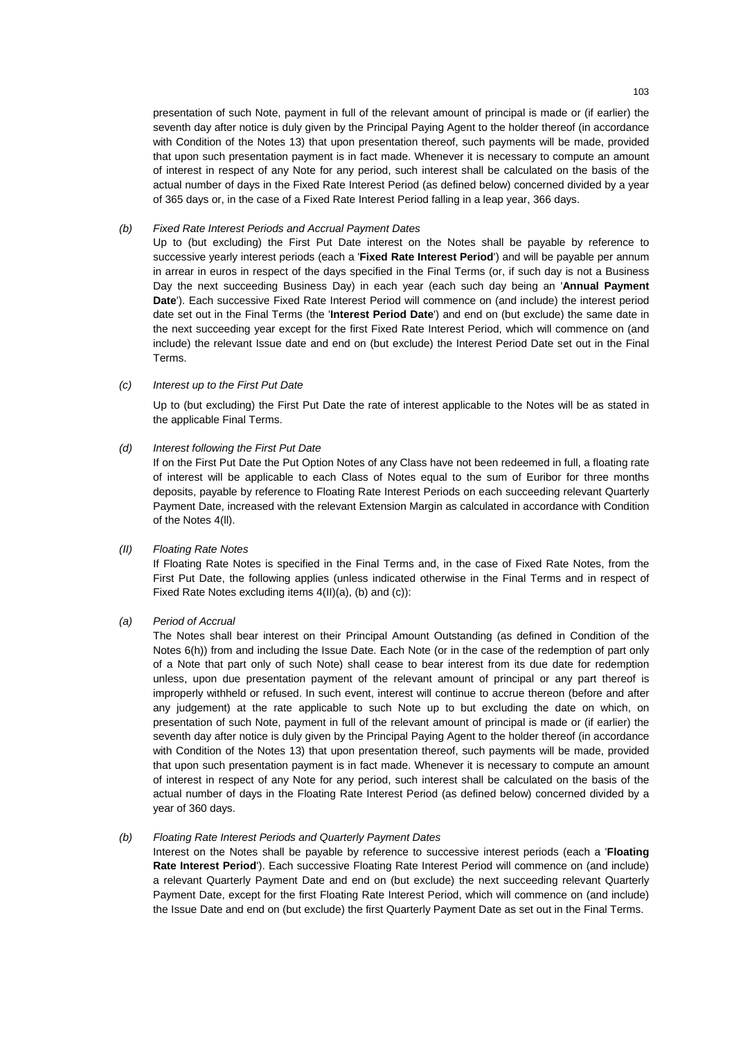presentation of such Note, payment in full of the relevant amount of principal is made or (if earlier) the seventh day after notice is duly given by the Principal Paying Agent to the holder thereof (in accordance with Condition of the Notes 13) that upon presentation thereof, such payments will be made, provided that upon such presentation payment is in fact made. Whenever it is necessary to compute an amount of interest in respect of any Note for any period, such interest shall be calculated on the basis of the actual number of days in the Fixed Rate Interest Period (as defined below) concerned divided by a year of 365 days or, in the case of a Fixed Rate Interest Period falling in a leap year, 366 days.

# *(b) Fixed Rate Interest Periods and Accrual Payment Dates*

Up to (but excluding) the First Put Date interest on the Notes shall be payable by reference to successive yearly interest periods (each a '**Fixed Rate Interest Period**') and will be payable per annum in arrear in euros in respect of the days specified in the Final Terms (or, if such day is not a Business Day the next succeeding Business Day) in each year (each such day being an '**Annual Payment Date**'). Each successive Fixed Rate Interest Period will commence on (and include) the interest period date set out in the Final Terms (the '**Interest Period Date**') and end on (but exclude) the same date in the next succeeding year except for the first Fixed Rate Interest Period, which will commence on (and include) the relevant Issue date and end on (but exclude) the Interest Period Date set out in the Final Terms.

# *(c) Interest up to the First Put Date*

Up to (but excluding) the First Put Date the rate of interest applicable to the Notes will be as stated in the applicable Final Terms.

# *(d) Interest following the First Put Date*

If on the First Put Date the Put Option Notes of any Class have not been redeemed in full, a floating rate of interest will be applicable to each Class of Notes equal to the sum of Euribor for three months deposits, payable by reference to Floating Rate Interest Periods on each succeeding relevant Quarterly Payment Date, increased with the relevant Extension Margin as calculated in accordance with Condition of the Notes 4(ll).

# *(II) Floating Rate Notes*

If Floating Rate Notes is specified in the Final Terms and, in the case of Fixed Rate Notes, from the First Put Date, the following applies (unless indicated otherwise in the Final Terms and in respect of Fixed Rate Notes excluding items 4(II)(a), (b) and (c)):

# *(a) Period of Accrual*

 The Notes shall bear interest on their Principal Amount Outstanding (as defined in Condition of the Notes 6(h)) from and including the Issue Date. Each Note (or in the case of the redemption of part only of a Note that part only of such Note) shall cease to bear interest from its due date for redemption unless, upon due presentation payment of the relevant amount of principal or any part thereof is improperly withheld or refused. In such event, interest will continue to accrue thereon (before and after any judgement) at the rate applicable to such Note up to but excluding the date on which, on presentation of such Note, payment in full of the relevant amount of principal is made or (if earlier) the seventh day after notice is duly given by the Principal Paying Agent to the holder thereof (in accordance with Condition of the Notes 13) that upon presentation thereof, such payments will be made, provided that upon such presentation payment is in fact made. Whenever it is necessary to compute an amount of interest in respect of any Note for any period, such interest shall be calculated on the basis of the actual number of days in the Floating Rate Interest Period (as defined below) concerned divided by a year of 360 days.

#### *(b) Floating Rate Interest Periods and Quarterly Payment Dates*

 Interest on the Notes shall be payable by reference to successive interest periods (each a '**Floating Rate Interest Period**'). Each successive Floating Rate Interest Period will commence on (and include) a relevant Quarterly Payment Date and end on (but exclude) the next succeeding relevant Quarterly Payment Date, except for the first Floating Rate Interest Period, which will commence on (and include) the Issue Date and end on (but exclude) the first Quarterly Payment Date as set out in the Final Terms.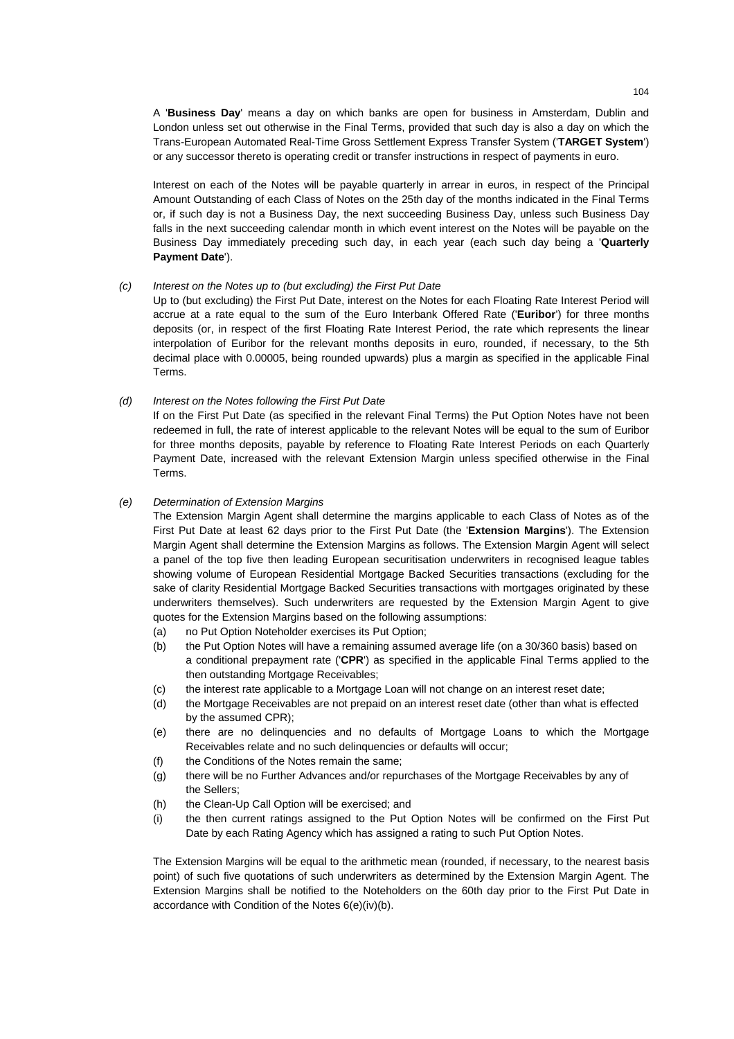A '**Business Day**' means a day on which banks are open for business in Amsterdam, Dublin and London unless set out otherwise in the Final Terms, provided that such day is also a day on which the Trans-European Automated Real-Time Gross Settlement Express Transfer System ('**TARGET System**') or any successor thereto is operating credit or transfer instructions in respect of payments in euro.

 Interest on each of the Notes will be payable quarterly in arrear in euros, in respect of the Principal Amount Outstanding of each Class of Notes on the 25th day of the months indicated in the Final Terms or, if such day is not a Business Day, the next succeeding Business Day, unless such Business Day falls in the next succeeding calendar month in which event interest on the Notes will be payable on the Business Day immediately preceding such day, in each year (each such day being a '**Quarterly Payment Date**').

# *(c) Interest on the Notes up to (but excluding) the First Put Date*

 Up to (but excluding) the First Put Date, interest on the Notes for each Floating Rate Interest Period will accrue at a rate equal to the sum of the Euro Interbank Offered Rate ('**Euribor**') for three months deposits (or, in respect of the first Floating Rate Interest Period, the rate which represents the linear interpolation of Euribor for the relevant months deposits in euro, rounded, if necessary, to the 5th decimal place with 0.00005, being rounded upwards) plus a margin as specified in the applicable Final Terms.

# *(d) Interest on the Notes following the First Put Date*

If on the First Put Date (as specified in the relevant Final Terms) the Put Option Notes have not been redeemed in full, the rate of interest applicable to the relevant Notes will be equal to the sum of Euribor for three months deposits, payable by reference to Floating Rate Interest Periods on each Quarterly Payment Date, increased with the relevant Extension Margin unless specified otherwise in the Final Terms.

# *(e) Determination of Extension Margins*

The Extension Margin Agent shall determine the margins applicable to each Class of Notes as of the First Put Date at least 62 days prior to the First Put Date (the '**Extension Margins**'). The Extension Margin Agent shall determine the Extension Margins as follows. The Extension Margin Agent will select a panel of the top five then leading European securitisation underwriters in recognised league tables showing volume of European Residential Mortgage Backed Securities transactions (excluding for the sake of clarity Residential Mortgage Backed Securities transactions with mortgages originated by these underwriters themselves). Such underwriters are requested by the Extension Margin Agent to give quotes for the Extension Margins based on the following assumptions:

- (a) no Put Option Noteholder exercises its Put Option;
- (b) the Put Option Notes will have a remaining assumed average life (on a 30/360 basis) based on a conditional prepayment rate ('**CPR**') as specified in the applicable Final Terms applied to the then outstanding Mortgage Receivables;
- (c) the interest rate applicable to a Mortgage Loan will not change on an interest reset date;
- (d) the Mortgage Receivables are not prepaid on an interest reset date (other than what is effected by the assumed CPR);
- (e) there are no delinquencies and no defaults of Mortgage Loans to which the Mortgage Receivables relate and no such delinquencies or defaults will occur;
- (f) the Conditions of the Notes remain the same;
- (g) there will be no Further Advances and/or repurchases of the Mortgage Receivables by any of the Sellers;
- (h) the Clean-Up Call Option will be exercised; and
- (i) the then current ratings assigned to the Put Option Notes will be confirmed on the First Put Date by each Rating Agency which has assigned a rating to such Put Option Notes.

The Extension Margins will be equal to the arithmetic mean (rounded, if necessary, to the nearest basis point) of such five quotations of such underwriters as determined by the Extension Margin Agent. The Extension Margins shall be notified to the Noteholders on the 60th day prior to the First Put Date in accordance with Condition of the Notes 6(e)(iv)(b).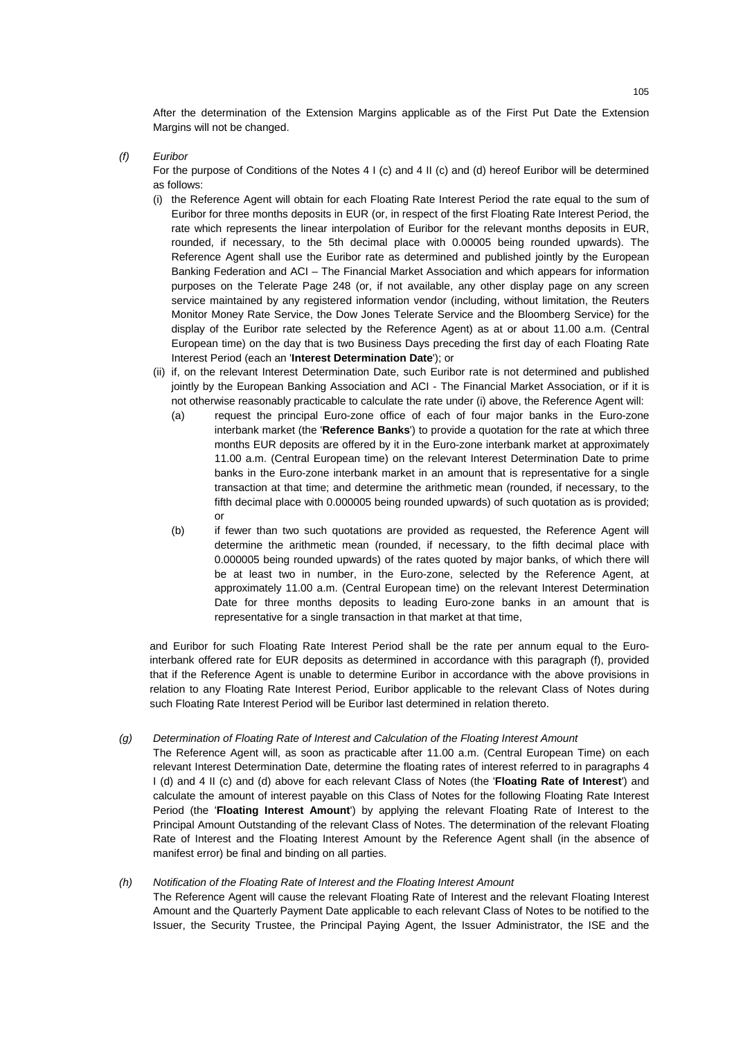After the determination of the Extension Margins applicable as of the First Put Date the Extension Margins will not be changed.

# *(f) Euribor*

For the purpose of Conditions of the Notes 4 I (c) and 4 II (c) and (d) hereof Euribor will be determined as follows:

- (i) the Reference Agent will obtain for each Floating Rate Interest Period the rate equal to the sum of Euribor for three months deposits in EUR (or, in respect of the first Floating Rate Interest Period, the rate which represents the linear interpolation of Euribor for the relevant months deposits in EUR, rounded, if necessary, to the 5th decimal place with 0.00005 being rounded upwards). The Reference Agent shall use the Euribor rate as determined and published jointly by the European Banking Federation and ACI – The Financial Market Association and which appears for information purposes on the Telerate Page 248 (or, if not available, any other display page on any screen service maintained by any registered information vendor (including, without limitation, the Reuters Monitor Money Rate Service, the Dow Jones Telerate Service and the Bloomberg Service) for the display of the Euribor rate selected by the Reference Agent) as at or about 11.00 a.m. (Central European time) on the day that is two Business Days preceding the first day of each Floating Rate Interest Period (each an '**Interest Determination Date**'); or
- (ii) if, on the relevant Interest Determination Date, such Euribor rate is not determined and published jointly by the European Banking Association and ACI - The Financial Market Association, or if it is not otherwise reasonably practicable to calculate the rate under (i) above, the Reference Agent will:
	- (a) request the principal Euro-zone office of each of four major banks in the Euro-zone interbank market (the '**Reference Banks**') to provide a quotation for the rate at which three months EUR deposits are offered by it in the Euro-zone interbank market at approximately 11.00 a.m. (Central European time) on the relevant Interest Determination Date to prime banks in the Euro-zone interbank market in an amount that is representative for a single transaction at that time; and determine the arithmetic mean (rounded, if necessary, to the fifth decimal place with 0.000005 being rounded upwards) of such quotation as is provided; or
	- (b) if fewer than two such quotations are provided as requested, the Reference Agent will determine the arithmetic mean (rounded, if necessary, to the fifth decimal place with 0.000005 being rounded upwards) of the rates quoted by major banks, of which there will be at least two in number, in the Euro-zone, selected by the Reference Agent, at approximately 11.00 a.m. (Central European time) on the relevant Interest Determination Date for three months deposits to leading Euro-zone banks in an amount that is representative for a single transaction in that market at that time,

and Euribor for such Floating Rate Interest Period shall be the rate per annum equal to the Eurointerbank offered rate for EUR deposits as determined in accordance with this paragraph (f), provided that if the Reference Agent is unable to determine Euribor in accordance with the above provisions in relation to any Floating Rate Interest Period, Euribor applicable to the relevant Class of Notes during such Floating Rate Interest Period will be Euribor last determined in relation thereto.

# *(g) Determination of Floating Rate of Interest and Calculation of the Floating Interest Amount*

The Reference Agent will, as soon as practicable after 11.00 a.m. (Central European Time) on each relevant Interest Determination Date, determine the floating rates of interest referred to in paragraphs 4 I (d) and 4 II (c) and (d) above for each relevant Class of Notes (the '**Floating Rate of Interest**') and calculate the amount of interest payable on this Class of Notes for the following Floating Rate Interest Period (the '**Floating Interest Amount**') by applying the relevant Floating Rate of Interest to the Principal Amount Outstanding of the relevant Class of Notes. The determination of the relevant Floating Rate of Interest and the Floating Interest Amount by the Reference Agent shall (in the absence of manifest error) be final and binding on all parties.

# *(h) Notification of the Floating Rate of Interest and the Floating Interest Amount*

The Reference Agent will cause the relevant Floating Rate of Interest and the relevant Floating Interest Amount and the Quarterly Payment Date applicable to each relevant Class of Notes to be notified to the Issuer, the Security Trustee, the Principal Paying Agent, the Issuer Administrator, the ISE and the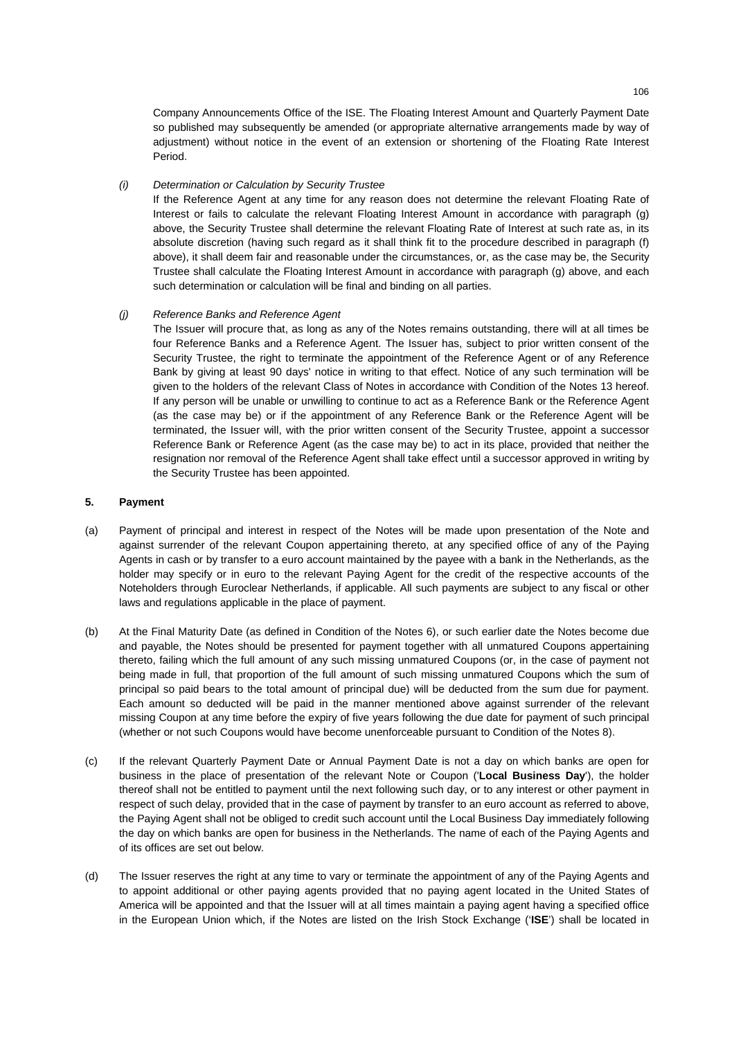Company Announcements Office of the ISE. The Floating Interest Amount and Quarterly Payment Date so published may subsequently be amended (or appropriate alternative arrangements made by way of adjustment) without notice in the event of an extension or shortening of the Floating Rate Interest Period.

# *(i) Determination or Calculation by Security Trustee*

If the Reference Agent at any time for any reason does not determine the relevant Floating Rate of Interest or fails to calculate the relevant Floating Interest Amount in accordance with paragraph (g) above, the Security Trustee shall determine the relevant Floating Rate of Interest at such rate as, in its absolute discretion (having such regard as it shall think fit to the procedure described in paragraph (f) above), it shall deem fair and reasonable under the circumstances, or, as the case may be, the Security Trustee shall calculate the Floating Interest Amount in accordance with paragraph (g) above, and each such determination or calculation will be final and binding on all parties.

# *(j) Reference Banks and Reference Agent*

The Issuer will procure that, as long as any of the Notes remains outstanding, there will at all times be four Reference Banks and a Reference Agent. The Issuer has, subject to prior written consent of the Security Trustee, the right to terminate the appointment of the Reference Agent or of any Reference Bank by giving at least 90 days' notice in writing to that effect. Notice of any such termination will be given to the holders of the relevant Class of Notes in accordance with Condition of the Notes 13 hereof. If any person will be unable or unwilling to continue to act as a Reference Bank or the Reference Agent (as the case may be) or if the appointment of any Reference Bank or the Reference Agent will be terminated, the Issuer will, with the prior written consent of the Security Trustee, appoint a successor Reference Bank or Reference Agent (as the case may be) to act in its place, provided that neither the resignation nor removal of the Reference Agent shall take effect until a successor approved in writing by the Security Trustee has been appointed.

# **5. Payment**

- (a) Payment of principal and interest in respect of the Notes will be made upon presentation of the Note and against surrender of the relevant Coupon appertaining thereto, at any specified office of any of the Paying Agents in cash or by transfer to a euro account maintained by the payee with a bank in the Netherlands, as the holder may specify or in euro to the relevant Paying Agent for the credit of the respective accounts of the Noteholders through Euroclear Netherlands, if applicable. All such payments are subject to any fiscal or other laws and regulations applicable in the place of payment.
- (b) At the Final Maturity Date (as defined in Condition of the Notes 6), or such earlier date the Notes become due and payable, the Notes should be presented for payment together with all unmatured Coupons appertaining thereto, failing which the full amount of any such missing unmatured Coupons (or, in the case of payment not being made in full, that proportion of the full amount of such missing unmatured Coupons which the sum of principal so paid bears to the total amount of principal due) will be deducted from the sum due for payment. Each amount so deducted will be paid in the manner mentioned above against surrender of the relevant missing Coupon at any time before the expiry of five years following the due date for payment of such principal (whether or not such Coupons would have become unenforceable pursuant to Condition of the Notes 8).
- (c) If the relevant Quarterly Payment Date or Annual Payment Date is not a day on which banks are open for business in the place of presentation of the relevant Note or Coupon ('**Local Business Day**'), the holder thereof shall not be entitled to payment until the next following such day, or to any interest or other payment in respect of such delay, provided that in the case of payment by transfer to an euro account as referred to above, the Paying Agent shall not be obliged to credit such account until the Local Business Day immediately following the day on which banks are open for business in the Netherlands. The name of each of the Paying Agents and of its offices are set out below.
- (d) The Issuer reserves the right at any time to vary or terminate the appointment of any of the Paying Agents and to appoint additional or other paying agents provided that no paying agent located in the United States of America will be appointed and that the Issuer will at all times maintain a paying agent having a specified office in the European Union which, if the Notes are listed on the Irish Stock Exchange ('**ISE**') shall be located in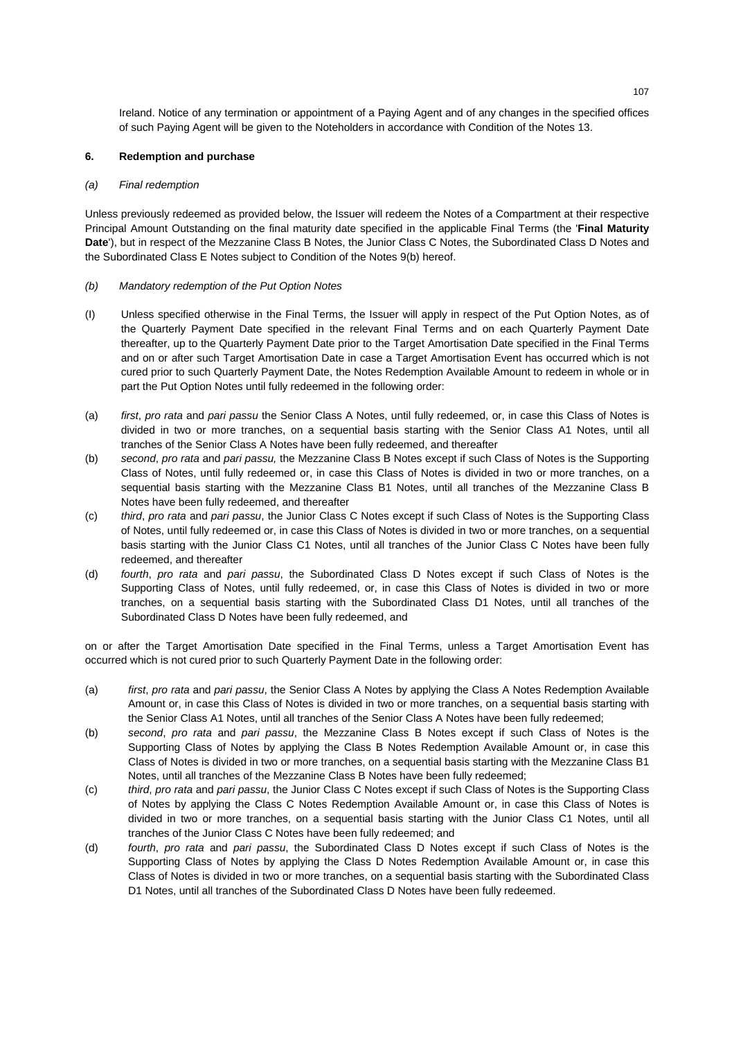Ireland. Notice of any termination or appointment of a Paying Agent and of any changes in the specified offices of such Paying Agent will be given to the Noteholders in accordance with Condition of the Notes 13.

# **6. Redemption and purchase**

# *(a) Final redemption*

Unless previously redeemed as provided below, the Issuer will redeem the Notes of a Compartment at their respective Principal Amount Outstanding on the final maturity date specified in the applicable Final Terms (the '**Final Maturity Date**'), but in respect of the Mezzanine Class B Notes, the Junior Class C Notes, the Subordinated Class D Notes and the Subordinated Class E Notes subject to Condition of the Notes 9(b) hereof.

# *(b) Mandatory redemption of the Put Option Notes*

- (I) Unless specified otherwise in the Final Terms, the Issuer will apply in respect of the Put Option Notes, as of the Quarterly Payment Date specified in the relevant Final Terms and on each Quarterly Payment Date thereafter, up to the Quarterly Payment Date prior to the Target Amortisation Date specified in the Final Terms and on or after such Target Amortisation Date in case a Target Amortisation Event has occurred which is not cured prior to such Quarterly Payment Date, the Notes Redemption Available Amount to redeem in whole or in part the Put Option Notes until fully redeemed in the following order:
- (a) *first*, *pro rata* and *pari passu* the Senior Class A Notes, until fully redeemed, or, in case this Class of Notes is divided in two or more tranches, on a sequential basis starting with the Senior Class A1 Notes, until all tranches of the Senior Class A Notes have been fully redeemed, and thereafter
- (b) *second*, *pro rata* and *pari passu,* the Mezzanine Class B Notes except if such Class of Notes is the Supporting Class of Notes, until fully redeemed or, in case this Class of Notes is divided in two or more tranches, on a sequential basis starting with the Mezzanine Class B1 Notes, until all tranches of the Mezzanine Class B Notes have been fully redeemed, and thereafter
- (c) *third*, *pro rata* and *pari passu*, the Junior Class C Notes except if such Class of Notes is the Supporting Class of Notes, until fully redeemed or, in case this Class of Notes is divided in two or more tranches, on a sequential basis starting with the Junior Class C1 Notes, until all tranches of the Junior Class C Notes have been fully redeemed, and thereafter
- (d) *fourth*, *pro rata* and *pari passu*, the Subordinated Class D Notes except if such Class of Notes is the Supporting Class of Notes, until fully redeemed, or, in case this Class of Notes is divided in two or more tranches, on a sequential basis starting with the Subordinated Class D1 Notes, until all tranches of the Subordinated Class D Notes have been fully redeemed, and

on or after the Target Amortisation Date specified in the Final Terms, unless a Target Amortisation Event has occurred which is not cured prior to such Quarterly Payment Date in the following order:

- (a) *first*, *pro rata* and *pari passu*, the Senior Class A Notes by applying the Class A Notes Redemption Available Amount or, in case this Class of Notes is divided in two or more tranches, on a sequential basis starting with the Senior Class A1 Notes, until all tranches of the Senior Class A Notes have been fully redeemed;
- (b) *second*, *pro rata* and *pari passu*, the Mezzanine Class B Notes except if such Class of Notes is the Supporting Class of Notes by applying the Class B Notes Redemption Available Amount or, in case this Class of Notes is divided in two or more tranches, on a sequential basis starting with the Mezzanine Class B1 Notes, until all tranches of the Mezzanine Class B Notes have been fully redeemed;
- (c) *third*, *pro rata* and *pari passu*, the Junior Class C Notes except if such Class of Notes is the Supporting Class of Notes by applying the Class C Notes Redemption Available Amount or, in case this Class of Notes is divided in two or more tranches, on a sequential basis starting with the Junior Class C1 Notes, until all tranches of the Junior Class C Notes have been fully redeemed; and
- (d) *fourth*, *pro rata* and *pari passu*, the Subordinated Class D Notes except if such Class of Notes is the Supporting Class of Notes by applying the Class D Notes Redemption Available Amount or, in case this Class of Notes is divided in two or more tranches, on a sequential basis starting with the Subordinated Class D1 Notes, until all tranches of the Subordinated Class D Notes have been fully redeemed.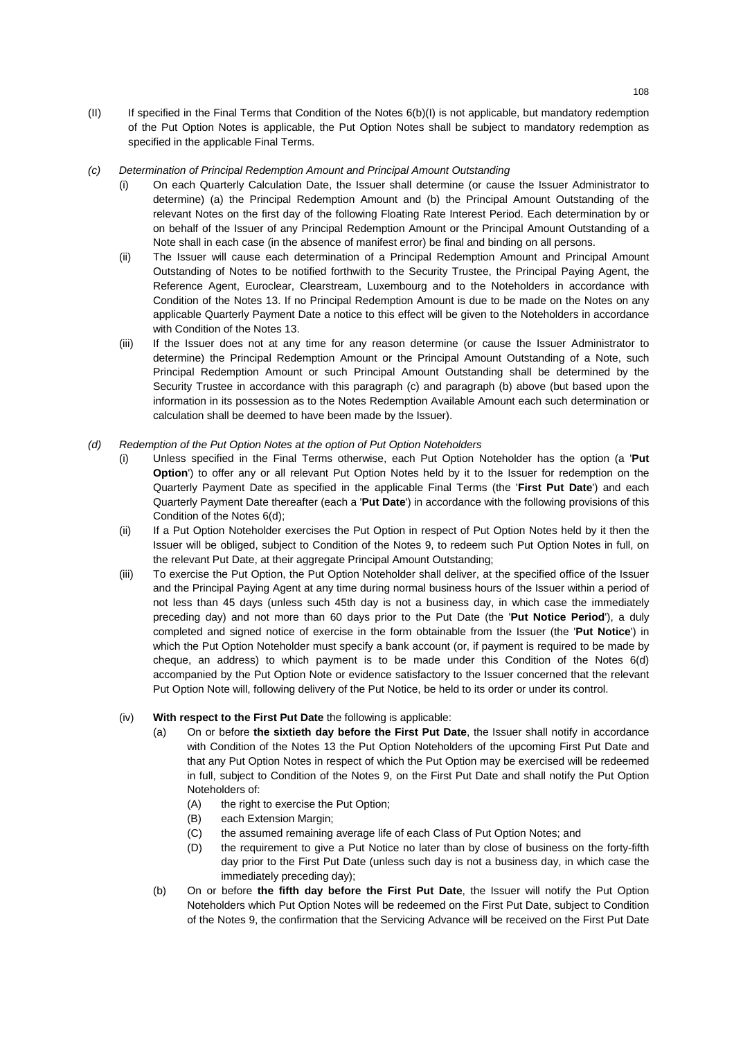- (II) If specified in the Final Terms that Condition of the Notes 6(b)(I) is not applicable, but mandatory redemption of the Put Option Notes is applicable, the Put Option Notes shall be subject to mandatory redemption as specified in the applicable Final Terms.
- *(c) Determination of Principal Redemption Amount and Principal Amount Outstanding* 
	- (i) On each Quarterly Calculation Date, the Issuer shall determine (or cause the Issuer Administrator to determine) (a) the Principal Redemption Amount and (b) the Principal Amount Outstanding of the relevant Notes on the first day of the following Floating Rate Interest Period. Each determination by or on behalf of the Issuer of any Principal Redemption Amount or the Principal Amount Outstanding of a Note shall in each case (in the absence of manifest error) be final and binding on all persons.
	- (ii) The Issuer will cause each determination of a Principal Redemption Amount and Principal Amount Outstanding of Notes to be notified forthwith to the Security Trustee, the Principal Paying Agent, the Reference Agent, Euroclear, Clearstream, Luxembourg and to the Noteholders in accordance with Condition of the Notes 13. If no Principal Redemption Amount is due to be made on the Notes on any applicable Quarterly Payment Date a notice to this effect will be given to the Noteholders in accordance with Condition of the Notes 13.
	- (iii) If the Issuer does not at any time for any reason determine (or cause the Issuer Administrator to determine) the Principal Redemption Amount or the Principal Amount Outstanding of a Note, such Principal Redemption Amount or such Principal Amount Outstanding shall be determined by the Security Trustee in accordance with this paragraph (c) and paragraph (b) above (but based upon the information in its possession as to the Notes Redemption Available Amount each such determination or calculation shall be deemed to have been made by the Issuer).
- *(d) Redemption of the Put Option Notes at the option of Put Option Noteholders* 
	- (i) Unless specified in the Final Terms otherwise, each Put Option Noteholder has the option (a '**Put Option**') to offer any or all relevant Put Option Notes held by it to the Issuer for redemption on the Quarterly Payment Date as specified in the applicable Final Terms (the '**First Put Date**') and each Quarterly Payment Date thereafter (each a '**Put Date**') in accordance with the following provisions of this Condition of the Notes 6(d);
	- (ii) If a Put Option Noteholder exercises the Put Option in respect of Put Option Notes held by it then the Issuer will be obliged, subject to Condition of the Notes 9, to redeem such Put Option Notes in full, on the relevant Put Date, at their aggregate Principal Amount Outstanding;
	- (iii) To exercise the Put Option, the Put Option Noteholder shall deliver, at the specified office of the Issuer and the Principal Paying Agent at any time during normal business hours of the Issuer within a period of not less than 45 days (unless such 45th day is not a business day, in which case the immediately preceding day) and not more than 60 days prior to the Put Date (the '**Put Notice Period**'), a duly completed and signed notice of exercise in the form obtainable from the Issuer (the '**Put Notice**') in which the Put Option Noteholder must specify a bank account (or, if payment is required to be made by cheque, an address) to which payment is to be made under this Condition of the Notes 6(d) accompanied by the Put Option Note or evidence satisfactory to the Issuer concerned that the relevant Put Option Note will, following delivery of the Put Notice, be held to its order or under its control.
	- (iv) **With respect to the First Put Date** the following is applicable:
		- (a) On or before **the sixtieth day before the First Put Date**, the Issuer shall notify in accordance with Condition of the Notes 13 the Put Option Noteholders of the upcoming First Put Date and that any Put Option Notes in respect of which the Put Option may be exercised will be redeemed in full, subject to Condition of the Notes 9, on the First Put Date and shall notify the Put Option Noteholders of:
			- (A) the right to exercise the Put Option;
			- (B) each Extension Margin;
			- (C) the assumed remaining average life of each Class of Put Option Notes; and
			- (D) the requirement to give a Put Notice no later than by close of business on the forty-fifth day prior to the First Put Date (unless such day is not a business day, in which case the immediately preceding day);
		- (b) On or before **the fifth day before the First Put Date**, the Issuer will notify the Put Option Noteholders which Put Option Notes will be redeemed on the First Put Date, subject to Condition of the Notes 9, the confirmation that the Servicing Advance will be received on the First Put Date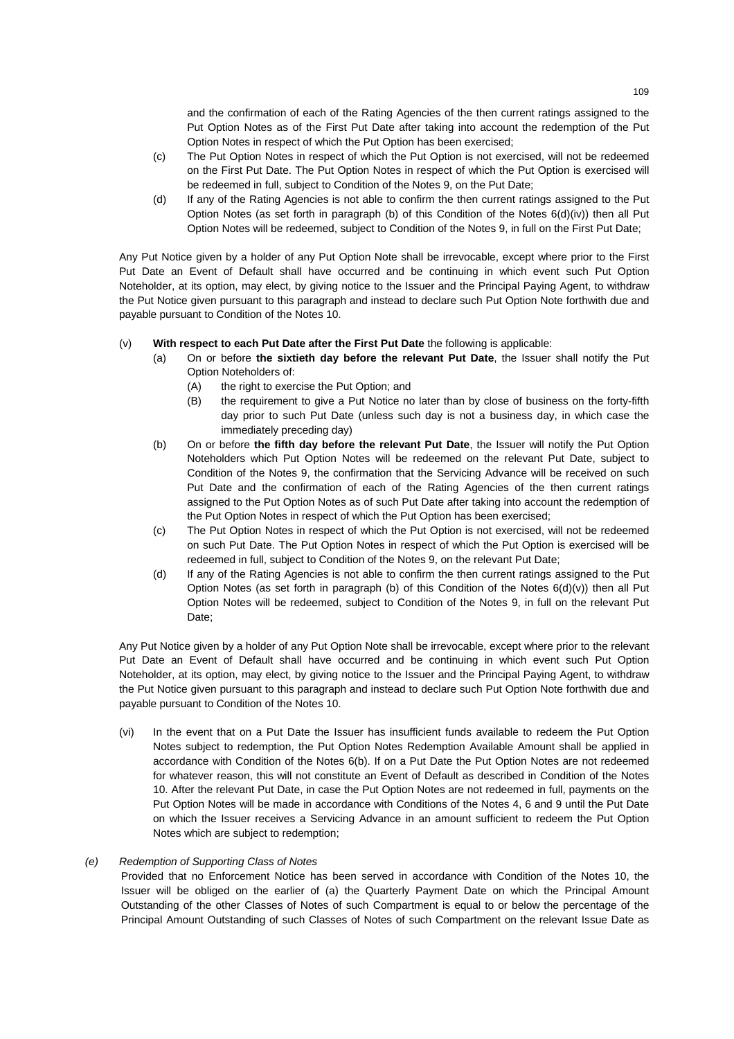and the confirmation of each of the Rating Agencies of the then current ratings assigned to the Put Option Notes as of the First Put Date after taking into account the redemption of the Put Option Notes in respect of which the Put Option has been exercised;

- (c) The Put Option Notes in respect of which the Put Option is not exercised, will not be redeemed on the First Put Date. The Put Option Notes in respect of which the Put Option is exercised will be redeemed in full, subject to Condition of the Notes 9, on the Put Date;
- (d) If any of the Rating Agencies is not able to confirm the then current ratings assigned to the Put Option Notes (as set forth in paragraph (b) of this Condition of the Notes 6(d)(iv)) then all Put Option Notes will be redeemed, subject to Condition of the Notes 9, in full on the First Put Date;

Any Put Notice given by a holder of any Put Option Note shall be irrevocable, except where prior to the First Put Date an Event of Default shall have occurred and be continuing in which event such Put Option Noteholder, at its option, may elect, by giving notice to the Issuer and the Principal Paying Agent, to withdraw the Put Notice given pursuant to this paragraph and instead to declare such Put Option Note forthwith due and payable pursuant to Condition of the Notes 10.

## (v) **With respect to each Put Date after the First Put Date** the following is applicable:

- (a) On or before **the sixtieth day before the relevant Put Date**, the Issuer shall notify the Put Option Noteholders of:
	- (A) the right to exercise the Put Option; and
	- (B) the requirement to give a Put Notice no later than by close of business on the forty-fifth day prior to such Put Date (unless such day is not a business day, in which case the immediately preceding day)
- (b) On or before **the fifth day before the relevant Put Date**, the Issuer will notify the Put Option Noteholders which Put Option Notes will be redeemed on the relevant Put Date, subject to Condition of the Notes 9, the confirmation that the Servicing Advance will be received on such Put Date and the confirmation of each of the Rating Agencies of the then current ratings assigned to the Put Option Notes as of such Put Date after taking into account the redemption of the Put Option Notes in respect of which the Put Option has been exercised;
- (c) The Put Option Notes in respect of which the Put Option is not exercised, will not be redeemed on such Put Date. The Put Option Notes in respect of which the Put Option is exercised will be redeemed in full, subject to Condition of the Notes 9, on the relevant Put Date;
- (d) If any of the Rating Agencies is not able to confirm the then current ratings assigned to the Put Option Notes (as set forth in paragraph (b) of this Condition of the Notes  $6(d)(v)$ ) then all Put Option Notes will be redeemed, subject to Condition of the Notes 9, in full on the relevant Put Date;

Any Put Notice given by a holder of any Put Option Note shall be irrevocable, except where prior to the relevant Put Date an Event of Default shall have occurred and be continuing in which event such Put Option Noteholder, at its option, may elect, by giving notice to the Issuer and the Principal Paying Agent, to withdraw the Put Notice given pursuant to this paragraph and instead to declare such Put Option Note forthwith due and payable pursuant to Condition of the Notes 10.

(vi) In the event that on a Put Date the Issuer has insufficient funds available to redeem the Put Option Notes subject to redemption, the Put Option Notes Redemption Available Amount shall be applied in accordance with Condition of the Notes 6(b). If on a Put Date the Put Option Notes are not redeemed for whatever reason, this will not constitute an Event of Default as described in Condition of the Notes 10. After the relevant Put Date, in case the Put Option Notes are not redeemed in full, payments on the Put Option Notes will be made in accordance with Conditions of the Notes 4, 6 and 9 until the Put Date on which the Issuer receives a Servicing Advance in an amount sufficient to redeem the Put Option Notes which are subject to redemption;

## *(e) Redemption of Supporting Class of Notes*

Provided that no Enforcement Notice has been served in accordance with Condition of the Notes 10, the Issuer will be obliged on the earlier of (a) the Quarterly Payment Date on which the Principal Amount Outstanding of the other Classes of Notes of such Compartment is equal to or below the percentage of the Principal Amount Outstanding of such Classes of Notes of such Compartment on the relevant Issue Date as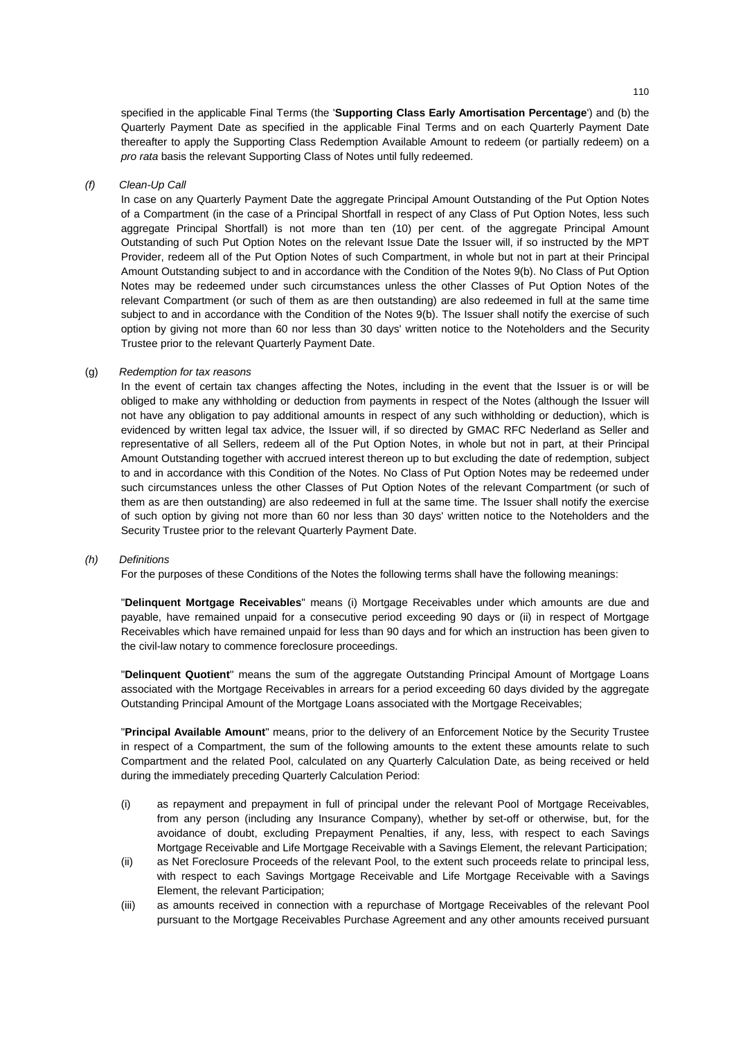specified in the applicable Final Terms (the '**Supporting Class Early Amortisation Percentage**') and (b) the Quarterly Payment Date as specified in the applicable Final Terms and on each Quarterly Payment Date thereafter to apply the Supporting Class Redemption Available Amount to redeem (or partially redeem) on a *pro rata* basis the relevant Supporting Class of Notes until fully redeemed.

## *(f) Clean-Up Call*

In case on any Quarterly Payment Date the aggregate Principal Amount Outstanding of the Put Option Notes of a Compartment (in the case of a Principal Shortfall in respect of any Class of Put Option Notes, less such aggregate Principal Shortfall) is not more than ten (10) per cent. of the aggregate Principal Amount Outstanding of such Put Option Notes on the relevant Issue Date the Issuer will, if so instructed by the MPT Provider, redeem all of the Put Option Notes of such Compartment, in whole but not in part at their Principal Amount Outstanding subject to and in accordance with the Condition of the Notes 9(b). No Class of Put Option Notes may be redeemed under such circumstances unless the other Classes of Put Option Notes of the relevant Compartment (or such of them as are then outstanding) are also redeemed in full at the same time subject to and in accordance with the Condition of the Notes 9(b). The Issuer shall notify the exercise of such option by giving not more than 60 nor less than 30 days' written notice to the Noteholders and the Security Trustee prior to the relevant Quarterly Payment Date.

### (g) *Redemption for tax reasons*

In the event of certain tax changes affecting the Notes, including in the event that the Issuer is or will be obliged to make any withholding or deduction from payments in respect of the Notes (although the Issuer will not have any obligation to pay additional amounts in respect of any such withholding or deduction), which is evidenced by written legal tax advice, the Issuer will, if so directed by GMAC RFC Nederland as Seller and representative of all Sellers, redeem all of the Put Option Notes, in whole but not in part, at their Principal Amount Outstanding together with accrued interest thereon up to but excluding the date of redemption, subject to and in accordance with this Condition of the Notes. No Class of Put Option Notes may be redeemed under such circumstances unless the other Classes of Put Option Notes of the relevant Compartment (or such of them as are then outstanding) are also redeemed in full at the same time. The Issuer shall notify the exercise of such option by giving not more than 60 nor less than 30 days' written notice to the Noteholders and the Security Trustee prior to the relevant Quarterly Payment Date.

### *(h) Definitions*

For the purposes of these Conditions of the Notes the following terms shall have the following meanings:

"**Delinquent Mortgage Receivables**" means (i) Mortgage Receivables under which amounts are due and payable, have remained unpaid for a consecutive period exceeding 90 days or (ii) in respect of Mortgage Receivables which have remained unpaid for less than 90 days and for which an instruction has been given to the civil-law notary to commence foreclosure proceedings.

"**Delinquent Quotient**'' means the sum of the aggregate Outstanding Principal Amount of Mortgage Loans associated with the Mortgage Receivables in arrears for a period exceeding 60 days divided by the aggregate Outstanding Principal Amount of the Mortgage Loans associated with the Mortgage Receivables;

"**Principal Available Amount**" means, prior to the delivery of an Enforcement Notice by the Security Trustee in respect of a Compartment, the sum of the following amounts to the extent these amounts relate to such Compartment and the related Pool, calculated on any Quarterly Calculation Date, as being received or held during the immediately preceding Quarterly Calculation Period:

- (i) as repayment and prepayment in full of principal under the relevant Pool of Mortgage Receivables, from any person (including any Insurance Company), whether by set-off or otherwise, but, for the avoidance of doubt, excluding Prepayment Penalties, if any, less, with respect to each Savings Mortgage Receivable and Life Mortgage Receivable with a Savings Element, the relevant Participation;
- (ii) as Net Foreclosure Proceeds of the relevant Pool, to the extent such proceeds relate to principal less, with respect to each Savings Mortgage Receivable and Life Mortgage Receivable with a Savings Element, the relevant Participation;
- (iii) as amounts received in connection with a repurchase of Mortgage Receivables of the relevant Pool pursuant to the Mortgage Receivables Purchase Agreement and any other amounts received pursuant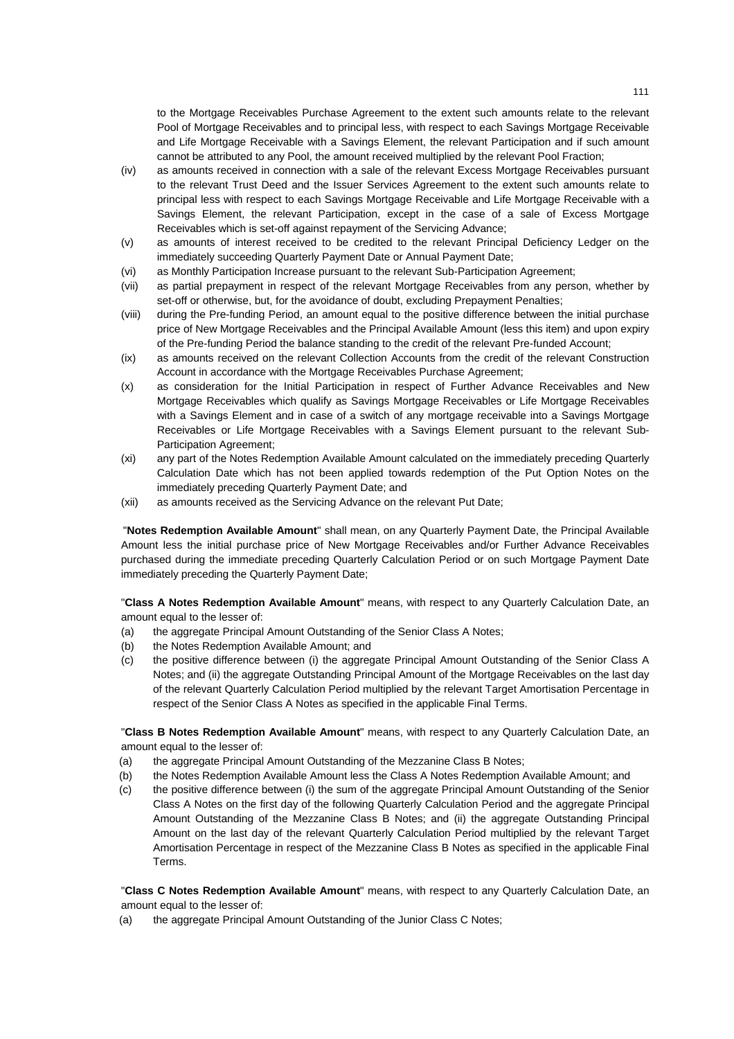to the Mortgage Receivables Purchase Agreement to the extent such amounts relate to the relevant Pool of Mortgage Receivables and to principal less, with respect to each Savings Mortgage Receivable and Life Mortgage Receivable with a Savings Element, the relevant Participation and if such amount cannot be attributed to any Pool, the amount received multiplied by the relevant Pool Fraction;

- (iv) as amounts received in connection with a sale of the relevant Excess Mortgage Receivables pursuant to the relevant Trust Deed and the Issuer Services Agreement to the extent such amounts relate to principal less with respect to each Savings Mortgage Receivable and Life Mortgage Receivable with a Savings Element, the relevant Participation, except in the case of a sale of Excess Mortgage Receivables which is set-off against repayment of the Servicing Advance;
- (v) as amounts of interest received to be credited to the relevant Principal Deficiency Ledger on the immediately succeeding Quarterly Payment Date or Annual Payment Date;
- (vi) as Monthly Participation Increase pursuant to the relevant Sub-Participation Agreement;
- (vii) as partial prepayment in respect of the relevant Mortgage Receivables from any person, whether by set-off or otherwise, but, for the avoidance of doubt, excluding Prepayment Penalties;
- (viii) during the Pre-funding Period, an amount equal to the positive difference between the initial purchase price of New Mortgage Receivables and the Principal Available Amount (less this item) and upon expiry of the Pre-funding Period the balance standing to the credit of the relevant Pre-funded Account;
- (ix) as amounts received on the relevant Collection Accounts from the credit of the relevant Construction Account in accordance with the Mortgage Receivables Purchase Agreement;
- (x) as consideration for the Initial Participation in respect of Further Advance Receivables and New Mortgage Receivables which qualify as Savings Mortgage Receivables or Life Mortgage Receivables with a Savings Element and in case of a switch of any mortgage receivable into a Savings Mortgage Receivables or Life Mortgage Receivables with a Savings Element pursuant to the relevant Sub-Participation Agreement;
- (xi) any part of the Notes Redemption Available Amount calculated on the immediately preceding Quarterly Calculation Date which has not been applied towards redemption of the Put Option Notes on the immediately preceding Quarterly Payment Date; and
- (xii) as amounts received as the Servicing Advance on the relevant Put Date;

"**Notes Redemption Available Amount**" shall mean, on any Quarterly Payment Date, the Principal Available Amount less the initial purchase price of New Mortgage Receivables and/or Further Advance Receivables purchased during the immediate preceding Quarterly Calculation Period or on such Mortgage Payment Date immediately preceding the Quarterly Payment Date;

"**Class A Notes Redemption Available Amount**" means, with respect to any Quarterly Calculation Date, an amount equal to the lesser of:

- (a) the aggregate Principal Amount Outstanding of the Senior Class A Notes;
- (b) the Notes Redemption Available Amount; and
- (c) the positive difference between (i) the aggregate Principal Amount Outstanding of the Senior Class A Notes; and (ii) the aggregate Outstanding Principal Amount of the Mortgage Receivables on the last day of the relevant Quarterly Calculation Period multiplied by the relevant Target Amortisation Percentage in respect of the Senior Class A Notes as specified in the applicable Final Terms.

"**Class B Notes Redemption Available Amount**" means, with respect to any Quarterly Calculation Date, an amount equal to the lesser of:

- (a) the aggregate Principal Amount Outstanding of the Mezzanine Class B Notes;
- (b) the Notes Redemption Available Amount less the Class A Notes Redemption Available Amount; and
- (c) the positive difference between (i) the sum of the aggregate Principal Amount Outstanding of the Senior Class A Notes on the first day of the following Quarterly Calculation Period and the aggregate Principal Amount Outstanding of the Mezzanine Class B Notes; and (ii) the aggregate Outstanding Principal Amount on the last day of the relevant Quarterly Calculation Period multiplied by the relevant Target Amortisation Percentage in respect of the Mezzanine Class B Notes as specified in the applicable Final Terms.

"**Class C Notes Redemption Available Amount**" means, with respect to any Quarterly Calculation Date, an amount equal to the lesser of:

(a) the aggregate Principal Amount Outstanding of the Junior Class C Notes;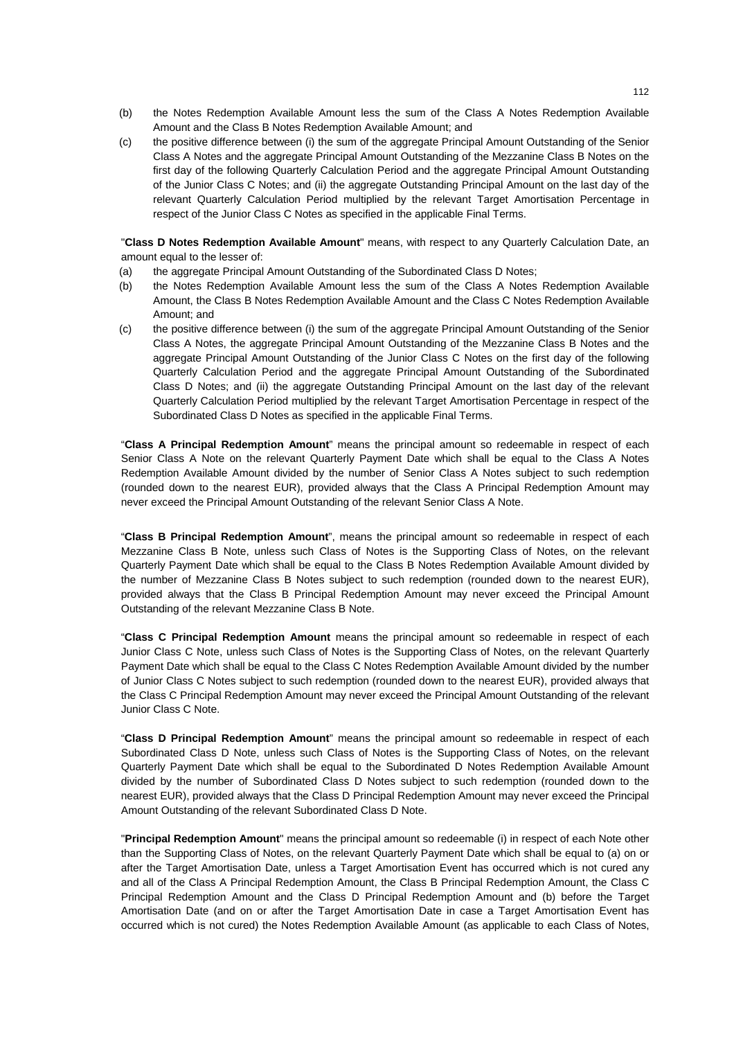- (b) the Notes Redemption Available Amount less the sum of the Class A Notes Redemption Available Amount and the Class B Notes Redemption Available Amount; and
- (c) the positive difference between (i) the sum of the aggregate Principal Amount Outstanding of the Senior Class A Notes and the aggregate Principal Amount Outstanding of the Mezzanine Class B Notes on the first day of the following Quarterly Calculation Period and the aggregate Principal Amount Outstanding of the Junior Class C Notes; and (ii) the aggregate Outstanding Principal Amount on the last day of the relevant Quarterly Calculation Period multiplied by the relevant Target Amortisation Percentage in respect of the Junior Class C Notes as specified in the applicable Final Terms.

"**Class D Notes Redemption Available Amount**" means, with respect to any Quarterly Calculation Date, an amount equal to the lesser of:

- (a) the aggregate Principal Amount Outstanding of the Subordinated Class D Notes;
- (b) the Notes Redemption Available Amount less the sum of the Class A Notes Redemption Available Amount, the Class B Notes Redemption Available Amount and the Class C Notes Redemption Available Amount; and
- (c) the positive difference between (i) the sum of the aggregate Principal Amount Outstanding of the Senior Class A Notes, the aggregate Principal Amount Outstanding of the Mezzanine Class B Notes and the aggregate Principal Amount Outstanding of the Junior Class C Notes on the first day of the following Quarterly Calculation Period and the aggregate Principal Amount Outstanding of the Subordinated Class D Notes; and (ii) the aggregate Outstanding Principal Amount on the last day of the relevant Quarterly Calculation Period multiplied by the relevant Target Amortisation Percentage in respect of the Subordinated Class D Notes as specified in the applicable Final Terms.

"**Class A Principal Redemption Amount**" means the principal amount so redeemable in respect of each Senior Class A Note on the relevant Quarterly Payment Date which shall be equal to the Class A Notes Redemption Available Amount divided by the number of Senior Class A Notes subject to such redemption (rounded down to the nearest EUR), provided always that the Class A Principal Redemption Amount may never exceed the Principal Amount Outstanding of the relevant Senior Class A Note.

"**Class B Principal Redemption Amount**", means the principal amount so redeemable in respect of each Mezzanine Class B Note, unless such Class of Notes is the Supporting Class of Notes, on the relevant Quarterly Payment Date which shall be equal to the Class B Notes Redemption Available Amount divided by the number of Mezzanine Class B Notes subject to such redemption (rounded down to the nearest EUR), provided always that the Class B Principal Redemption Amount may never exceed the Principal Amount Outstanding of the relevant Mezzanine Class B Note.

"**Class C Principal Redemption Amount** means the principal amount so redeemable in respect of each Junior Class C Note, unless such Class of Notes is the Supporting Class of Notes, on the relevant Quarterly Payment Date which shall be equal to the Class C Notes Redemption Available Amount divided by the number of Junior Class C Notes subject to such redemption (rounded down to the nearest EUR), provided always that the Class C Principal Redemption Amount may never exceed the Principal Amount Outstanding of the relevant Junior Class C Note.

"**Class D Principal Redemption Amount**" means the principal amount so redeemable in respect of each Subordinated Class D Note, unless such Class of Notes is the Supporting Class of Notes, on the relevant Quarterly Payment Date which shall be equal to the Subordinated D Notes Redemption Available Amount divided by the number of Subordinated Class D Notes subject to such redemption (rounded down to the nearest EUR), provided always that the Class D Principal Redemption Amount may never exceed the Principal Amount Outstanding of the relevant Subordinated Class D Note.

"**Principal Redemption Amount**" means the principal amount so redeemable (i) in respect of each Note other than the Supporting Class of Notes, on the relevant Quarterly Payment Date which shall be equal to (a) on or after the Target Amortisation Date, unless a Target Amortisation Event has occurred which is not cured any and all of the Class A Principal Redemption Amount, the Class B Principal Redemption Amount, the Class C Principal Redemption Amount and the Class D Principal Redemption Amount and (b) before the Target Amortisation Date (and on or after the Target Amortisation Date in case a Target Amortisation Event has occurred which is not cured) the Notes Redemption Available Amount (as applicable to each Class of Notes,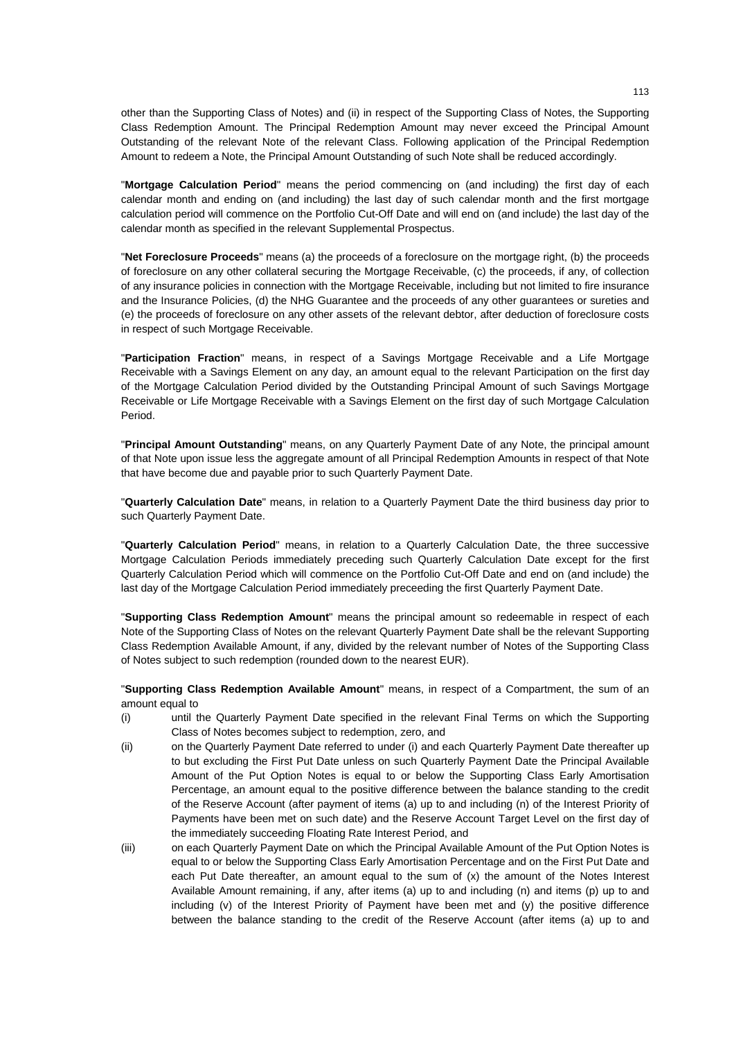other than the Supporting Class of Notes) and (ii) in respect of the Supporting Class of Notes, the Supporting Class Redemption Amount. The Principal Redemption Amount may never exceed the Principal Amount Outstanding of the relevant Note of the relevant Class. Following application of the Principal Redemption Amount to redeem a Note, the Principal Amount Outstanding of such Note shall be reduced accordingly.

"**Mortgage Calculation Period**" means the period commencing on (and including) the first day of each calendar month and ending on (and including) the last day of such calendar month and the first mortgage calculation period will commence on the Portfolio Cut-Off Date and will end on (and include) the last day of the calendar month as specified in the relevant Supplemental Prospectus.

"**Net Foreclosure Proceeds**" means (a) the proceeds of a foreclosure on the mortgage right, (b) the proceeds of foreclosure on any other collateral securing the Mortgage Receivable, (c) the proceeds, if any, of collection of any insurance policies in connection with the Mortgage Receivable, including but not limited to fire insurance and the Insurance Policies, (d) the NHG Guarantee and the proceeds of any other guarantees or sureties and (e) the proceeds of foreclosure on any other assets of the relevant debtor, after deduction of foreclosure costs in respect of such Mortgage Receivable.

"**Participation Fraction**" means, in respect of a Savings Mortgage Receivable and a Life Mortgage Receivable with a Savings Element on any day, an amount equal to the relevant Participation on the first day of the Mortgage Calculation Period divided by the Outstanding Principal Amount of such Savings Mortgage Receivable or Life Mortgage Receivable with a Savings Element on the first day of such Mortgage Calculation Period.

"**Principal Amount Outstanding**" means, on any Quarterly Payment Date of any Note, the principal amount of that Note upon issue less the aggregate amount of all Principal Redemption Amounts in respect of that Note that have become due and payable prior to such Quarterly Payment Date.

"**Quarterly Calculation Date**" means, in relation to a Quarterly Payment Date the third business day prior to such Quarterly Payment Date.

"**Quarterly Calculation Period**" means, in relation to a Quarterly Calculation Date, the three successive Mortgage Calculation Periods immediately preceding such Quarterly Calculation Date except for the first Quarterly Calculation Period which will commence on the Portfolio Cut-Off Date and end on (and include) the last day of the Mortgage Calculation Period immediately preceeding the first Quarterly Payment Date.

"**Supporting Class Redemption Amount**" means the principal amount so redeemable in respect of each Note of the Supporting Class of Notes on the relevant Quarterly Payment Date shall be the relevant Supporting Class Redemption Available Amount, if any, divided by the relevant number of Notes of the Supporting Class of Notes subject to such redemption (rounded down to the nearest EUR).

"**Supporting Class Redemption Available Amount**" means, in respect of a Compartment, the sum of an amount equal to

- (i) until the Quarterly Payment Date specified in the relevant Final Terms on which the Supporting Class of Notes becomes subject to redemption, zero, and
- (ii) on the Quarterly Payment Date referred to under (i) and each Quarterly Payment Date thereafter up to but excluding the First Put Date unless on such Quarterly Payment Date the Principal Available Amount of the Put Option Notes is equal to or below the Supporting Class Early Amortisation Percentage, an amount equal to the positive difference between the balance standing to the credit of the Reserve Account (after payment of items (a) up to and including (n) of the Interest Priority of Payments have been met on such date) and the Reserve Account Target Level on the first day of the immediately succeeding Floating Rate Interest Period, and
- (iii) on each Quarterly Payment Date on which the Principal Available Amount of the Put Option Notes is equal to or below the Supporting Class Early Amortisation Percentage and on the First Put Date and each Put Date thereafter, an amount equal to the sum of (x) the amount of the Notes Interest Available Amount remaining, if any, after items (a) up to and including (n) and items (p) up to and including (v) of the Interest Priority of Payment have been met and (y) the positive difference between the balance standing to the credit of the Reserve Account (after items (a) up to and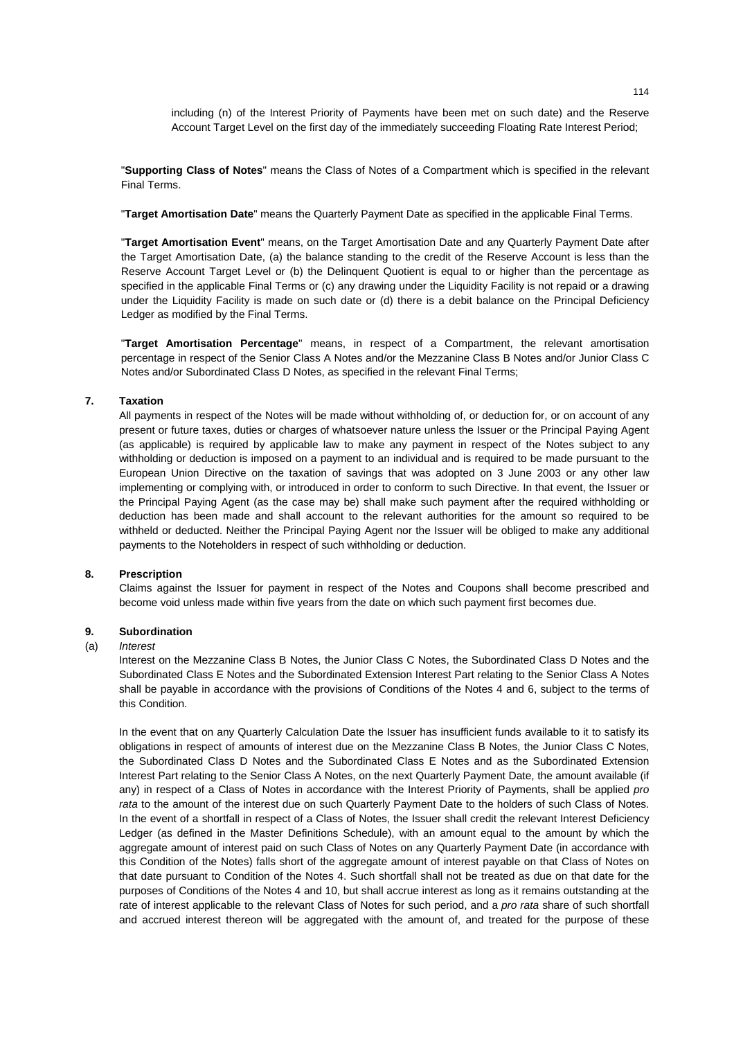including (n) of the Interest Priority of Payments have been met on such date) and the Reserve Account Target Level on the first day of the immediately succeeding Floating Rate Interest Period;

"**Supporting Class of Notes**" means the Class of Notes of a Compartment which is specified in the relevant Final Terms.

"**Target Amortisation Date**" means the Quarterly Payment Date as specified in the applicable Final Terms.

"**Target Amortisation Event**" means, on the Target Amortisation Date and any Quarterly Payment Date after the Target Amortisation Date, (a) the balance standing to the credit of the Reserve Account is less than the Reserve Account Target Level or (b) the Delinquent Quotient is equal to or higher than the percentage as specified in the applicable Final Terms or (c) any drawing under the Liquidity Facility is not repaid or a drawing under the Liquidity Facility is made on such date or (d) there is a debit balance on the Principal Deficiency Ledger as modified by the Final Terms.

"**Target Amortisation Percentage**" means, in respect of a Compartment, the relevant amortisation percentage in respect of the Senior Class A Notes and/or the Mezzanine Class B Notes and/or Junior Class C Notes and/or Subordinated Class D Notes, as specified in the relevant Final Terms;

## **7. Taxation**

All payments in respect of the Notes will be made without withholding of, or deduction for, or on account of any present or future taxes, duties or charges of whatsoever nature unless the Issuer or the Principal Paying Agent (as applicable) is required by applicable law to make any payment in respect of the Notes subject to any withholding or deduction is imposed on a payment to an individual and is required to be made pursuant to the European Union Directive on the taxation of savings that was adopted on 3 June 2003 or any other law implementing or complying with, or introduced in order to conform to such Directive. In that event, the Issuer or the Principal Paying Agent (as the case may be) shall make such payment after the required withholding or deduction has been made and shall account to the relevant authorities for the amount so required to be withheld or deducted. Neither the Principal Paying Agent nor the Issuer will be obliged to make any additional payments to the Noteholders in respect of such withholding or deduction.

## **8. Prescription**

Claims against the Issuer for payment in respect of the Notes and Coupons shall become prescribed and become void unless made within five years from the date on which such payment first becomes due.

## **9. Subordination**

### (a) *Interest*

Interest on the Mezzanine Class B Notes, the Junior Class C Notes, the Subordinated Class D Notes and the Subordinated Class E Notes and the Subordinated Extension Interest Part relating to the Senior Class A Notes shall be payable in accordance with the provisions of Conditions of the Notes 4 and 6, subject to the terms of this Condition.

In the event that on any Quarterly Calculation Date the Issuer has insufficient funds available to it to satisfy its obligations in respect of amounts of interest due on the Mezzanine Class B Notes, the Junior Class C Notes, the Subordinated Class D Notes and the Subordinated Class E Notes and as the Subordinated Extension Interest Part relating to the Senior Class A Notes, on the next Quarterly Payment Date, the amount available (if any) in respect of a Class of Notes in accordance with the Interest Priority of Payments, shall be applied *pro rata* to the amount of the interest due on such Quarterly Payment Date to the holders of such Class of Notes. In the event of a shortfall in respect of a Class of Notes, the Issuer shall credit the relevant Interest Deficiency Ledger (as defined in the Master Definitions Schedule), with an amount equal to the amount by which the aggregate amount of interest paid on such Class of Notes on any Quarterly Payment Date (in accordance with this Condition of the Notes) falls short of the aggregate amount of interest payable on that Class of Notes on that date pursuant to Condition of the Notes 4. Such shortfall shall not be treated as due on that date for the purposes of Conditions of the Notes 4 and 10, but shall accrue interest as long as it remains outstanding at the rate of interest applicable to the relevant Class of Notes for such period, and a *pro rata* share of such shortfall and accrued interest thereon will be aggregated with the amount of, and treated for the purpose of these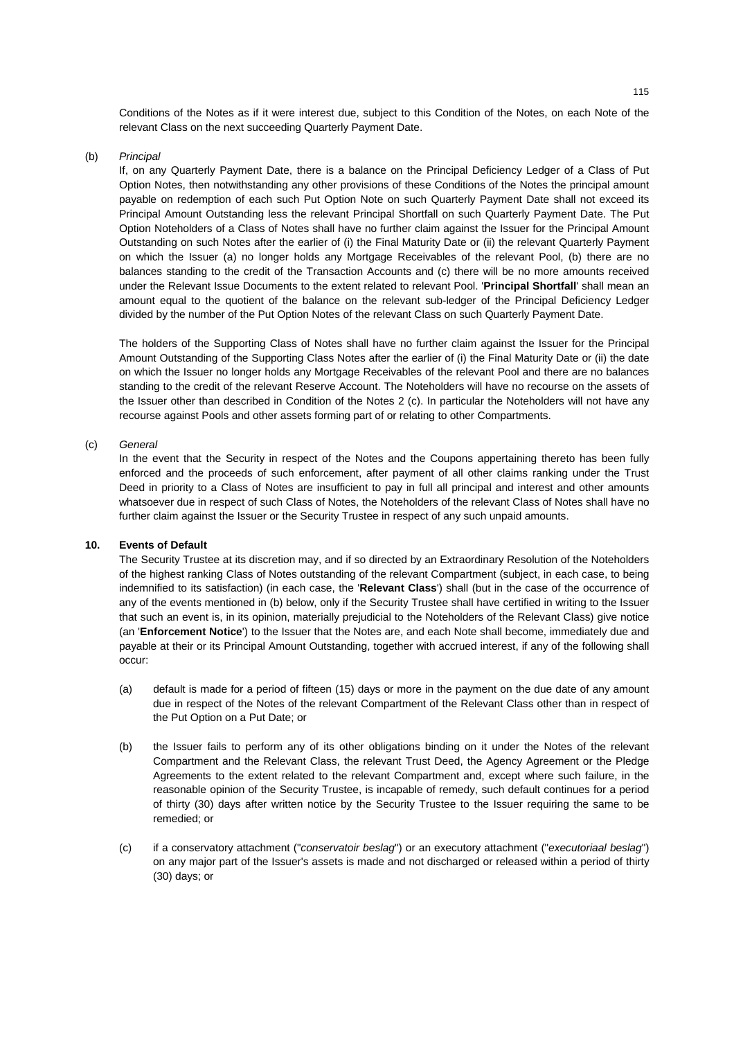Conditions of the Notes as if it were interest due, subject to this Condition of the Notes, on each Note of the relevant Class on the next succeeding Quarterly Payment Date.

### (b) *Principal*

If, on any Quarterly Payment Date, there is a balance on the Principal Deficiency Ledger of a Class of Put Option Notes, then notwithstanding any other provisions of these Conditions of the Notes the principal amount payable on redemption of each such Put Option Note on such Quarterly Payment Date shall not exceed its Principal Amount Outstanding less the relevant Principal Shortfall on such Quarterly Payment Date. The Put Option Noteholders of a Class of Notes shall have no further claim against the Issuer for the Principal Amount Outstanding on such Notes after the earlier of (i) the Final Maturity Date or (ii) the relevant Quarterly Payment on which the Issuer (a) no longer holds any Mortgage Receivables of the relevant Pool, (b) there are no balances standing to the credit of the Transaction Accounts and (c) there will be no more amounts received under the Relevant Issue Documents to the extent related to relevant Pool. '**Principal Shortfall**' shall mean an amount equal to the quotient of the balance on the relevant sub-ledger of the Principal Deficiency Ledger divided by the number of the Put Option Notes of the relevant Class on such Quarterly Payment Date.

The holders of the Supporting Class of Notes shall have no further claim against the Issuer for the Principal Amount Outstanding of the Supporting Class Notes after the earlier of (i) the Final Maturity Date or (ii) the date on which the Issuer no longer holds any Mortgage Receivables of the relevant Pool and there are no balances standing to the credit of the relevant Reserve Account. The Noteholders will have no recourse on the assets of the Issuer other than described in Condition of the Notes 2 (c). In particular the Noteholders will not have any recourse against Pools and other assets forming part of or relating to other Compartments.

## (c) *General*

In the event that the Security in respect of the Notes and the Coupons appertaining thereto has been fully enforced and the proceeds of such enforcement, after payment of all other claims ranking under the Trust Deed in priority to a Class of Notes are insufficient to pay in full all principal and interest and other amounts whatsoever due in respect of such Class of Notes, the Noteholders of the relevant Class of Notes shall have no further claim against the Issuer or the Security Trustee in respect of any such unpaid amounts.

## **10. Events of Default**

The Security Trustee at its discretion may, and if so directed by an Extraordinary Resolution of the Noteholders of the highest ranking Class of Notes outstanding of the relevant Compartment (subject, in each case, to being indemnified to its satisfaction) (in each case, the '**Relevant Class**') shall (but in the case of the occurrence of any of the events mentioned in (b) below, only if the Security Trustee shall have certified in writing to the Issuer that such an event is, in its opinion, materially prejudicial to the Noteholders of the Relevant Class) give notice (an '**Enforcement Notice**') to the Issuer that the Notes are, and each Note shall become, immediately due and payable at their or its Principal Amount Outstanding, together with accrued interest, if any of the following shall occur:

- (a) default is made for a period of fifteen (15) days or more in the payment on the due date of any amount due in respect of the Notes of the relevant Compartment of the Relevant Class other than in respect of the Put Option on a Put Date; or
- (b) the Issuer fails to perform any of its other obligations binding on it under the Notes of the relevant Compartment and the Relevant Class, the relevant Trust Deed, the Agency Agreement or the Pledge Agreements to the extent related to the relevant Compartment and, except where such failure, in the reasonable opinion of the Security Trustee, is incapable of remedy, such default continues for a period of thirty (30) days after written notice by the Security Trustee to the Issuer requiring the same to be remedied; or
- (c) if a conservatory attachment ("*conservatoir beslag*") or an executory attachment ("*executoriaal beslag*") on any major part of the Issuer's assets is made and not discharged or released within a period of thirty (30) days; or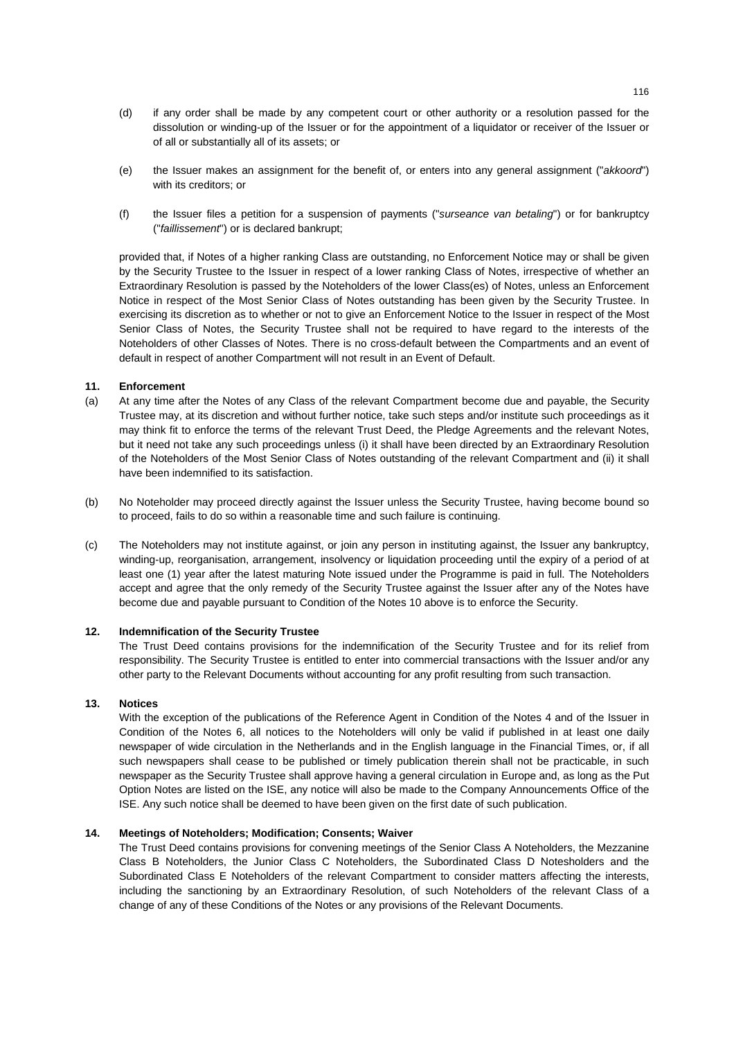- (d) if any order shall be made by any competent court or other authority or a resolution passed for the dissolution or winding-up of the Issuer or for the appointment of a liquidator or receiver of the Issuer or of all or substantially all of its assets; or
- (e) the Issuer makes an assignment for the benefit of, or enters into any general assignment ("*akkoord*") with its creditors; or
- (f) the Issuer files a petition for a suspension of payments ("*surseance van betaling*") or for bankruptcy ("*faillissement*") or is declared bankrupt;

provided that, if Notes of a higher ranking Class are outstanding, no Enforcement Notice may or shall be given by the Security Trustee to the Issuer in respect of a lower ranking Class of Notes, irrespective of whether an Extraordinary Resolution is passed by the Noteholders of the lower Class(es) of Notes, unless an Enforcement Notice in respect of the Most Senior Class of Notes outstanding has been given by the Security Trustee. In exercising its discretion as to whether or not to give an Enforcement Notice to the Issuer in respect of the Most Senior Class of Notes, the Security Trustee shall not be required to have regard to the interests of the Noteholders of other Classes of Notes. There is no cross-default between the Compartments and an event of default in respect of another Compartment will not result in an Event of Default.

### **11. Enforcement**

- (a) At any time after the Notes of any Class of the relevant Compartment become due and payable, the Security Trustee may, at its discretion and without further notice, take such steps and/or institute such proceedings as it may think fit to enforce the terms of the relevant Trust Deed, the Pledge Agreements and the relevant Notes, but it need not take any such proceedings unless (i) it shall have been directed by an Extraordinary Resolution of the Noteholders of the Most Senior Class of Notes outstanding of the relevant Compartment and (ii) it shall have been indemnified to its satisfaction.
- (b) No Noteholder may proceed directly against the Issuer unless the Security Trustee, having become bound so to proceed, fails to do so within a reasonable time and such failure is continuing.
- (c) The Noteholders may not institute against, or join any person in instituting against, the Issuer any bankruptcy, winding-up, reorganisation, arrangement, insolvency or liquidation proceeding until the expiry of a period of at least one (1) year after the latest maturing Note issued under the Programme is paid in full. The Noteholders accept and agree that the only remedy of the Security Trustee against the Issuer after any of the Notes have become due and payable pursuant to Condition of the Notes 10 above is to enforce the Security.

## **12. Indemnification of the Security Trustee**

The Trust Deed contains provisions for the indemnification of the Security Trustee and for its relief from responsibility. The Security Trustee is entitled to enter into commercial transactions with the Issuer and/or any other party to the Relevant Documents without accounting for any profit resulting from such transaction.

## **13. Notices**

With the exception of the publications of the Reference Agent in Condition of the Notes 4 and of the Issuer in Condition of the Notes 6, all notices to the Noteholders will only be valid if published in at least one daily newspaper of wide circulation in the Netherlands and in the English language in the Financial Times, or, if all such newspapers shall cease to be published or timely publication therein shall not be practicable, in such newspaper as the Security Trustee shall approve having a general circulation in Europe and, as long as the Put Option Notes are listed on the ISE, any notice will also be made to the Company Announcements Office of the ISE. Any such notice shall be deemed to have been given on the first date of such publication.

## **14. Meetings of Noteholders; Modification; Consents; Waiver**

The Trust Deed contains provisions for convening meetings of the Senior Class A Noteholders, the Mezzanine Class B Noteholders, the Junior Class C Noteholders, the Subordinated Class D Notesholders and the Subordinated Class E Noteholders of the relevant Compartment to consider matters affecting the interests, including the sanctioning by an Extraordinary Resolution, of such Noteholders of the relevant Class of a change of any of these Conditions of the Notes or any provisions of the Relevant Documents.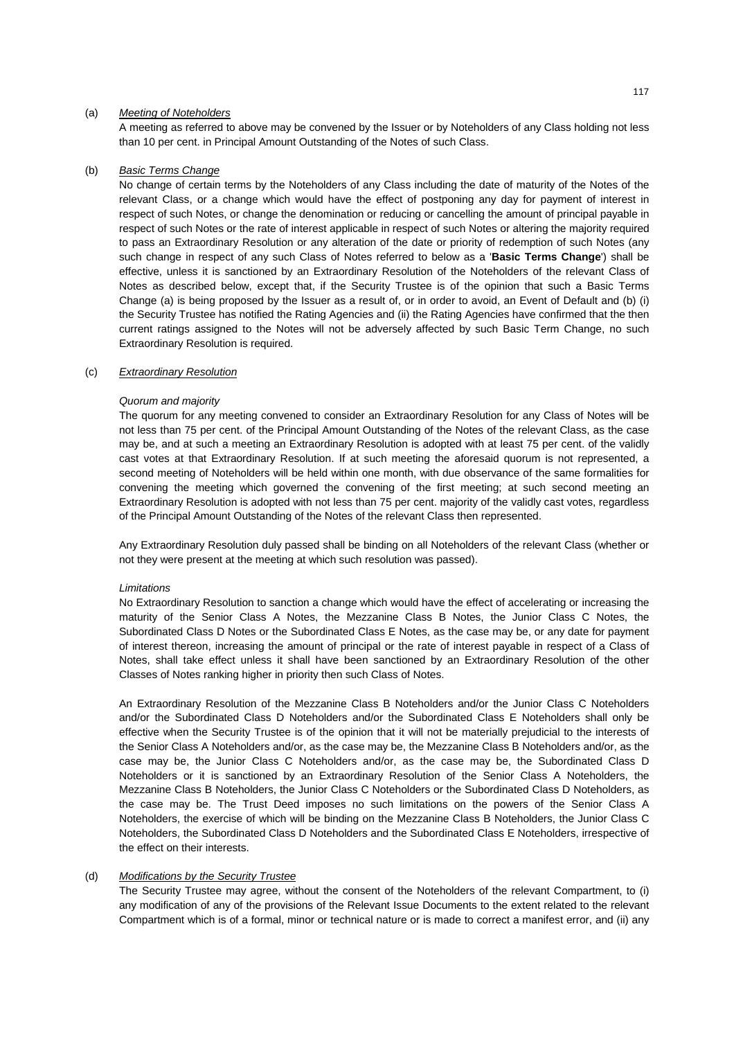## (a) *Meeting of Noteholders*

A meeting as referred to above may be convened by the Issuer or by Noteholders of any Class holding not less than 10 per cent. in Principal Amount Outstanding of the Notes of such Class.

## (b) *Basic Terms Change*

No change of certain terms by the Noteholders of any Class including the date of maturity of the Notes of the relevant Class, or a change which would have the effect of postponing any day for payment of interest in respect of such Notes, or change the denomination or reducing or cancelling the amount of principal payable in respect of such Notes or the rate of interest applicable in respect of such Notes or altering the majority required to pass an Extraordinary Resolution or any alteration of the date or priority of redemption of such Notes (any such change in respect of any such Class of Notes referred to below as a '**Basic Terms Change**') shall be effective, unless it is sanctioned by an Extraordinary Resolution of the Noteholders of the relevant Class of Notes as described below, except that, if the Security Trustee is of the opinion that such a Basic Terms Change (a) is being proposed by the Issuer as a result of, or in order to avoid, an Event of Default and (b) (i) the Security Trustee has notified the Rating Agencies and (ii) the Rating Agencies have confirmed that the then current ratings assigned to the Notes will not be adversely affected by such Basic Term Change, no such Extraordinary Resolution is required.

### (c) *Extraordinary Resolution*

### *Quorum and majority*

 The quorum for any meeting convened to consider an Extraordinary Resolution for any Class of Notes will be not less than 75 per cent. of the Principal Amount Outstanding of the Notes of the relevant Class, as the case may be, and at such a meeting an Extraordinary Resolution is adopted with at least 75 per cent. of the validly cast votes at that Extraordinary Resolution. If at such meeting the aforesaid quorum is not represented, a second meeting of Noteholders will be held within one month, with due observance of the same formalities for convening the meeting which governed the convening of the first meeting; at such second meeting an Extraordinary Resolution is adopted with not less than 75 per cent. majority of the validly cast votes, regardless of the Principal Amount Outstanding of the Notes of the relevant Class then represented.

Any Extraordinary Resolution duly passed shall be binding on all Noteholders of the relevant Class (whether or not they were present at the meeting at which such resolution was passed).

### *Limitations*

 No Extraordinary Resolution to sanction a change which would have the effect of accelerating or increasing the maturity of the Senior Class A Notes, the Mezzanine Class B Notes, the Junior Class C Notes, the Subordinated Class D Notes or the Subordinated Class E Notes, as the case may be, or any date for payment of interest thereon, increasing the amount of principal or the rate of interest payable in respect of a Class of Notes, shall take effect unless it shall have been sanctioned by an Extraordinary Resolution of the other Classes of Notes ranking higher in priority then such Class of Notes.

 An Extraordinary Resolution of the Mezzanine Class B Noteholders and/or the Junior Class C Noteholders and/or the Subordinated Class D Noteholders and/or the Subordinated Class E Noteholders shall only be effective when the Security Trustee is of the opinion that it will not be materially prejudicial to the interests of the Senior Class A Noteholders and/or, as the case may be, the Mezzanine Class B Noteholders and/or, as the case may be, the Junior Class C Noteholders and/or, as the case may be, the Subordinated Class D Noteholders or it is sanctioned by an Extraordinary Resolution of the Senior Class A Noteholders, the Mezzanine Class B Noteholders, the Junior Class C Noteholders or the Subordinated Class D Noteholders, as the case may be. The Trust Deed imposes no such limitations on the powers of the Senior Class A Noteholders, the exercise of which will be binding on the Mezzanine Class B Noteholders, the Junior Class C Noteholders, the Subordinated Class D Noteholders and the Subordinated Class E Noteholders, irrespective of the effect on their interests.

### (d) *Modifications by the Security Trustee*

The Security Trustee may agree, without the consent of the Noteholders of the relevant Compartment, to (i) any modification of any of the provisions of the Relevant Issue Documents to the extent related to the relevant Compartment which is of a formal, minor or technical nature or is made to correct a manifest error, and (ii) any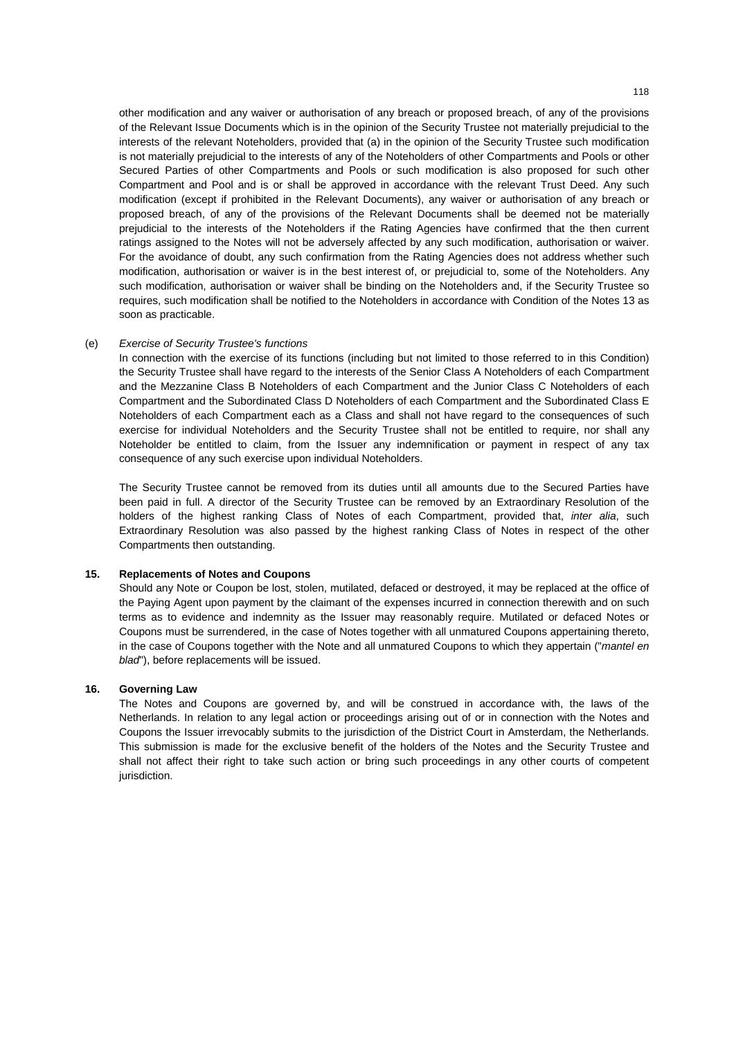other modification and any waiver or authorisation of any breach or proposed breach, of any of the provisions of the Relevant Issue Documents which is in the opinion of the Security Trustee not materially prejudicial to the interests of the relevant Noteholders, provided that (a) in the opinion of the Security Trustee such modification is not materially prejudicial to the interests of any of the Noteholders of other Compartments and Pools or other Secured Parties of other Compartments and Pools or such modification is also proposed for such other Compartment and Pool and is or shall be approved in accordance with the relevant Trust Deed. Any such modification (except if prohibited in the Relevant Documents), any waiver or authorisation of any breach or proposed breach, of any of the provisions of the Relevant Documents shall be deemed not be materially prejudicial to the interests of the Noteholders if the Rating Agencies have confirmed that the then current ratings assigned to the Notes will not be adversely affected by any such modification, authorisation or waiver. For the avoidance of doubt, any such confirmation from the Rating Agencies does not address whether such modification, authorisation or waiver is in the best interest of, or prejudicial to, some of the Noteholders. Any such modification, authorisation or waiver shall be binding on the Noteholders and, if the Security Trustee so requires, such modification shall be notified to the Noteholders in accordance with Condition of the Notes 13 as soon as practicable.

### (e) *Exercise of Security Trustee's functions*

In connection with the exercise of its functions (including but not limited to those referred to in this Condition) the Security Trustee shall have regard to the interests of the Senior Class A Noteholders of each Compartment and the Mezzanine Class B Noteholders of each Compartment and the Junior Class C Noteholders of each Compartment and the Subordinated Class D Noteholders of each Compartment and the Subordinated Class E Noteholders of each Compartment each as a Class and shall not have regard to the consequences of such exercise for individual Noteholders and the Security Trustee shall not be entitled to require, nor shall any Noteholder be entitled to claim, from the Issuer any indemnification or payment in respect of any tax consequence of any such exercise upon individual Noteholders.

The Security Trustee cannot be removed from its duties until all amounts due to the Secured Parties have been paid in full. A director of the Security Trustee can be removed by an Extraordinary Resolution of the holders of the highest ranking Class of Notes of each Compartment, provided that, *inter alia*, such Extraordinary Resolution was also passed by the highest ranking Class of Notes in respect of the other Compartments then outstanding.

## **15. Replacements of Notes and Coupons**

Should any Note or Coupon be lost, stolen, mutilated, defaced or destroyed, it may be replaced at the office of the Paying Agent upon payment by the claimant of the expenses incurred in connection therewith and on such terms as to evidence and indemnity as the Issuer may reasonably require. Mutilated or defaced Notes or Coupons must be surrendered, in the case of Notes together with all unmatured Coupons appertaining thereto, in the case of Coupons together with the Note and all unmatured Coupons to which they appertain ("*mantel en blad*"), before replacements will be issued.

## **16. Governing Law**

The Notes and Coupons are governed by, and will be construed in accordance with, the laws of the Netherlands. In relation to any legal action or proceedings arising out of or in connection with the Notes and Coupons the Issuer irrevocably submits to the jurisdiction of the District Court in Amsterdam, the Netherlands. This submission is made for the exclusive benefit of the holders of the Notes and the Security Trustee and shall not affect their right to take such action or bring such proceedings in any other courts of competent jurisdiction.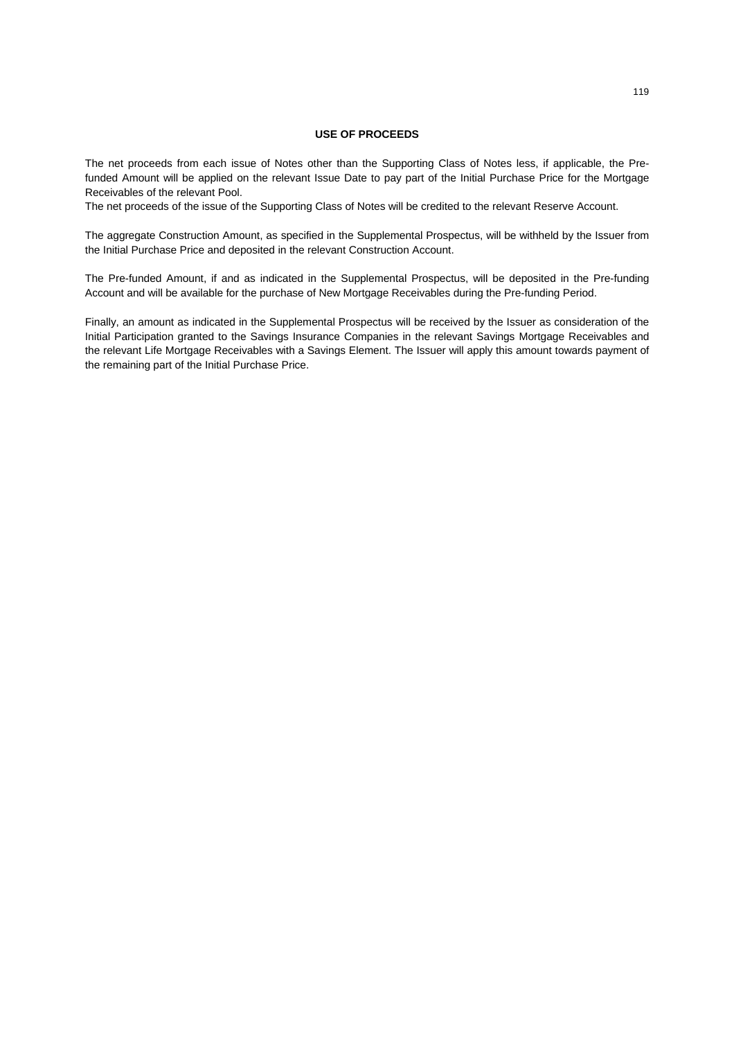# **USE OF PROCEEDS**

The net proceeds from each issue of Notes other than the Supporting Class of Notes less, if applicable, the Prefunded Amount will be applied on the relevant Issue Date to pay part of the Initial Purchase Price for the Mortgage Receivables of the relevant Pool.

The net proceeds of the issue of the Supporting Class of Notes will be credited to the relevant Reserve Account.

The aggregate Construction Amount, as specified in the Supplemental Prospectus, will be withheld by the Issuer from the Initial Purchase Price and deposited in the relevant Construction Account.

The Pre-funded Amount, if and as indicated in the Supplemental Prospectus, will be deposited in the Pre-funding Account and will be available for the purchase of New Mortgage Receivables during the Pre-funding Period.

Finally, an amount as indicated in the Supplemental Prospectus will be received by the Issuer as consideration of the Initial Participation granted to the Savings Insurance Companies in the relevant Savings Mortgage Receivables and the relevant Life Mortgage Receivables with a Savings Element. The Issuer will apply this amount towards payment of the remaining part of the Initial Purchase Price.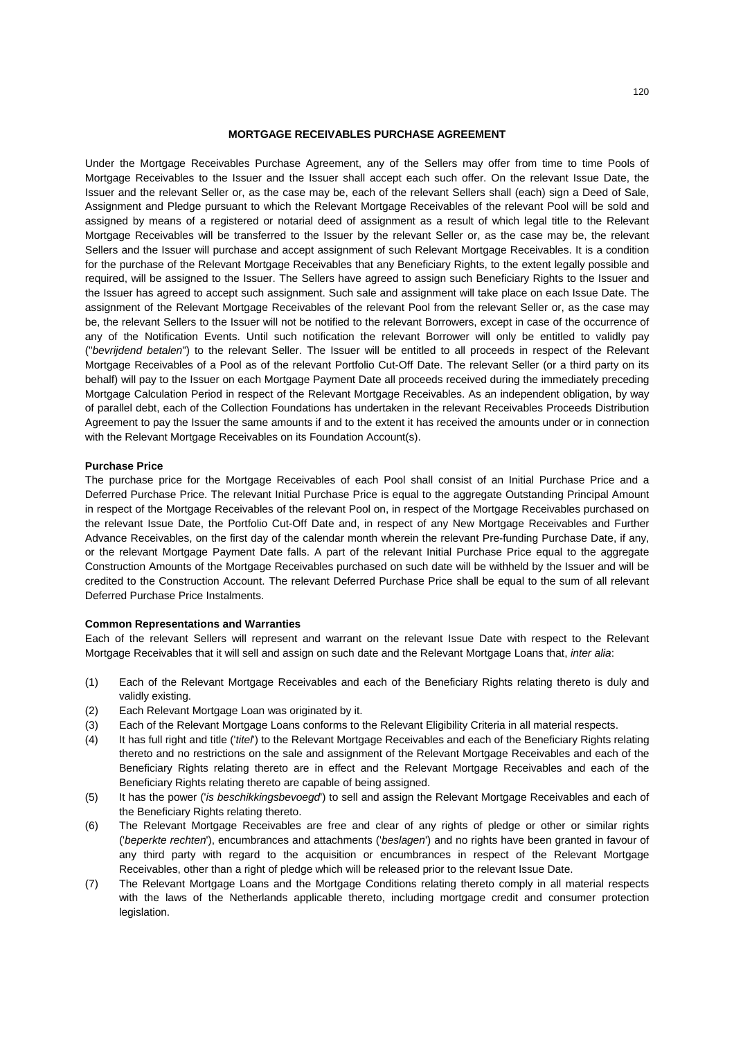### **MORTGAGE RECEIVABLES PURCHASE AGREEMENT**

Under the Mortgage Receivables Purchase Agreement, any of the Sellers may offer from time to time Pools of Mortgage Receivables to the Issuer and the Issuer shall accept each such offer. On the relevant Issue Date, the Issuer and the relevant Seller or, as the case may be, each of the relevant Sellers shall (each) sign a Deed of Sale, Assignment and Pledge pursuant to which the Relevant Mortgage Receivables of the relevant Pool will be sold and assigned by means of a registered or notarial deed of assignment as a result of which legal title to the Relevant Mortgage Receivables will be transferred to the Issuer by the relevant Seller or, as the case may be, the relevant Sellers and the Issuer will purchase and accept assignment of such Relevant Mortgage Receivables. It is a condition for the purchase of the Relevant Mortgage Receivables that any Beneficiary Rights, to the extent legally possible and required, will be assigned to the Issuer. The Sellers have agreed to assign such Beneficiary Rights to the Issuer and the Issuer has agreed to accept such assignment. Such sale and assignment will take place on each Issue Date. The assignment of the Relevant Mortgage Receivables of the relevant Pool from the relevant Seller or, as the case may be, the relevant Sellers to the Issuer will not be notified to the relevant Borrowers, except in case of the occurrence of any of the Notification Events. Until such notification the relevant Borrower will only be entitled to validly pay ("*bevrijdend betalen*") to the relevant Seller. The Issuer will be entitled to all proceeds in respect of the Relevant Mortgage Receivables of a Pool as of the relevant Portfolio Cut-Off Date. The relevant Seller (or a third party on its behalf) will pay to the Issuer on each Mortgage Payment Date all proceeds received during the immediately preceding Mortgage Calculation Period in respect of the Relevant Mortgage Receivables. As an independent obligation, by way of parallel debt, each of the Collection Foundations has undertaken in the relevant Receivables Proceeds Distribution Agreement to pay the Issuer the same amounts if and to the extent it has received the amounts under or in connection with the Relevant Mortgage Receivables on its Foundation Account(s).

### **Purchase Price**

The purchase price for the Mortgage Receivables of each Pool shall consist of an Initial Purchase Price and a Deferred Purchase Price. The relevant Initial Purchase Price is equal to the aggregate Outstanding Principal Amount in respect of the Mortgage Receivables of the relevant Pool on, in respect of the Mortgage Receivables purchased on the relevant Issue Date, the Portfolio Cut-Off Date and, in respect of any New Mortgage Receivables and Further Advance Receivables, on the first day of the calendar month wherein the relevant Pre-funding Purchase Date, if any, or the relevant Mortgage Payment Date falls. A part of the relevant Initial Purchase Price equal to the aggregate Construction Amounts of the Mortgage Receivables purchased on such date will be withheld by the Issuer and will be credited to the Construction Account. The relevant Deferred Purchase Price shall be equal to the sum of all relevant Deferred Purchase Price Instalments.

### **Common Representations and Warranties**

Each of the relevant Sellers will represent and warrant on the relevant Issue Date with respect to the Relevant Mortgage Receivables that it will sell and assign on such date and the Relevant Mortgage Loans that, *inter alia*:

- (1) Each of the Relevant Mortgage Receivables and each of the Beneficiary Rights relating thereto is duly and validly existing.
- (2) Each Relevant Mortgage Loan was originated by it.
- (3) Each of the Relevant Mortgage Loans conforms to the Relevant Eligibility Criteria in all material respects.
- (4) It has full right and title ('*titel*') to the Relevant Mortgage Receivables and each of the Beneficiary Rights relating thereto and no restrictions on the sale and assignment of the Relevant Mortgage Receivables and each of the Beneficiary Rights relating thereto are in effect and the Relevant Mortgage Receivables and each of the Beneficiary Rights relating thereto are capable of being assigned.
- (5) It has the power ('*is beschikkingsbevoegd*') to sell and assign the Relevant Mortgage Receivables and each of the Beneficiary Rights relating thereto.
- (6) The Relevant Mortgage Receivables are free and clear of any rights of pledge or other or similar rights ('*beperkte rechten*'), encumbrances and attachments ('*beslagen*') and no rights have been granted in favour of any third party with regard to the acquisition or encumbrances in respect of the Relevant Mortgage Receivables, other than a right of pledge which will be released prior to the relevant Issue Date.
- (7) The Relevant Mortgage Loans and the Mortgage Conditions relating thereto comply in all material respects with the laws of the Netherlands applicable thereto, including mortgage credit and consumer protection legislation.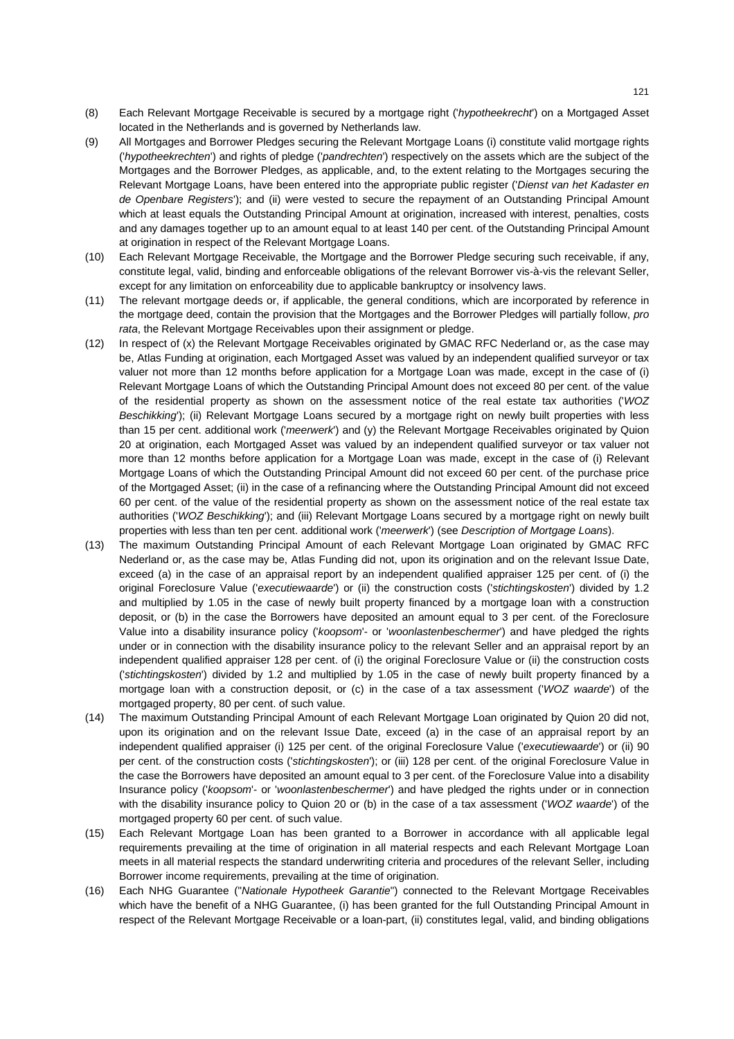- (8) Each Relevant Mortgage Receivable is secured by a mortgage right ('*hypotheekrecht*') on a Mortgaged Asset located in the Netherlands and is governed by Netherlands law.
- (9) All Mortgages and Borrower Pledges securing the Relevant Mortgage Loans (i) constitute valid mortgage rights ('*hypotheekrechten*') and rights of pledge ('*pandrechten*') respectively on the assets which are the subject of the Mortgages and the Borrower Pledges, as applicable, and, to the extent relating to the Mortgages securing the Relevant Mortgage Loans, have been entered into the appropriate public register ('*Dienst van het Kadaster en de Openbare Registers*'); and (ii) were vested to secure the repayment of an Outstanding Principal Amount which at least equals the Outstanding Principal Amount at origination, increased with interest, penalties, costs and any damages together up to an amount equal to at least 140 per cent. of the Outstanding Principal Amount at origination in respect of the Relevant Mortgage Loans.
- (10) Each Relevant Mortgage Receivable, the Mortgage and the Borrower Pledge securing such receivable, if any, constitute legal, valid, binding and enforceable obligations of the relevant Borrower vis-à-vis the relevant Seller, except for any limitation on enforceability due to applicable bankruptcy or insolvency laws.
- (11) The relevant mortgage deeds or, if applicable, the general conditions, which are incorporated by reference in the mortgage deed, contain the provision that the Mortgages and the Borrower Pledges will partially follow, *pro rata*, the Relevant Mortgage Receivables upon their assignment or pledge.
- (12) In respect of (x) the Relevant Mortgage Receivables originated by GMAC RFC Nederland or, as the case may be, Atlas Funding at origination, each Mortgaged Asset was valued by an independent qualified surveyor or tax valuer not more than 12 months before application for a Mortgage Loan was made, except in the case of (i) Relevant Mortgage Loans of which the Outstanding Principal Amount does not exceed 80 per cent. of the value of the residential property as shown on the assessment notice of the real estate tax authorities ('*WOZ Beschikking*'); (ii) Relevant Mortgage Loans secured by a mortgage right on newly built properties with less than 15 per cent. additional work ('*meerwerk*') and (y) the Relevant Mortgage Receivables originated by Quion 20 at origination, each Mortgaged Asset was valued by an independent qualified surveyor or tax valuer not more than 12 months before application for a Mortgage Loan was made, except in the case of (i) Relevant Mortgage Loans of which the Outstanding Principal Amount did not exceed 60 per cent. of the purchase price of the Mortgaged Asset; (ii) in the case of a refinancing where the Outstanding Principal Amount did not exceed 60 per cent. of the value of the residential property as shown on the assessment notice of the real estate tax authorities ('*WOZ Beschikking*'); and (iii) Relevant Mortgage Loans secured by a mortgage right on newly built properties with less than ten per cent. additional work ('*meerwerk*') (see *Description of Mortgage Loans*).
- (13) The maximum Outstanding Principal Amount of each Relevant Mortgage Loan originated by GMAC RFC Nederland or, as the case may be, Atlas Funding did not, upon its origination and on the relevant Issue Date, exceed (a) in the case of an appraisal report by an independent qualified appraiser 125 per cent. of (i) the original Foreclosure Value ('*executiewaarde*') or (ii) the construction costs ('*stichtingskosten*') divided by 1.2 and multiplied by 1.05 in the case of newly built property financed by a mortgage loan with a construction deposit, or (b) in the case the Borrowers have deposited an amount equal to 3 per cent. of the Foreclosure Value into a disability insurance policy ('*koopsom*'- or '*woonlastenbeschermer*') and have pledged the rights under or in connection with the disability insurance policy to the relevant Seller and an appraisal report by an independent qualified appraiser 128 per cent. of (i) the original Foreclosure Value or (ii) the construction costs ('*stichtingskosten*') divided by 1.2 and multiplied by 1.05 in the case of newly built property financed by a mortgage loan with a construction deposit, or (c) in the case of a tax assessment ('*WOZ waarde*') of the mortgaged property, 80 per cent. of such value.
- (14) The maximum Outstanding Principal Amount of each Relevant Mortgage Loan originated by Quion 20 did not, upon its origination and on the relevant Issue Date, exceed (a) in the case of an appraisal report by an independent qualified appraiser (i) 125 per cent. of the original Foreclosure Value ('*executiewaarde*') or (ii) 90 per cent. of the construction costs ('*stichtingskosten*'); or (iii) 128 per cent. of the original Foreclosure Value in the case the Borrowers have deposited an amount equal to 3 per cent. of the Foreclosure Value into a disability Insurance policy ('*koopsom*'- or '*woonlastenbeschermer*') and have pledged the rights under or in connection with the disability insurance policy to Quion 20 or (b) in the case of a tax assessment ('*WOZ waarde*') of the mortgaged property 60 per cent. of such value.
- (15) Each Relevant Mortgage Loan has been granted to a Borrower in accordance with all applicable legal requirements prevailing at the time of origination in all material respects and each Relevant Mortgage Loan meets in all material respects the standard underwriting criteria and procedures of the relevant Seller, including Borrower income requirements, prevailing at the time of origination.
- (16) Each NHG Guarantee ("*Nationale Hypotheek Garantie*") connected to the Relevant Mortgage Receivables which have the benefit of a NHG Guarantee, (i) has been granted for the full Outstanding Principal Amount in respect of the Relevant Mortgage Receivable or a loan-part, (ii) constitutes legal, valid, and binding obligations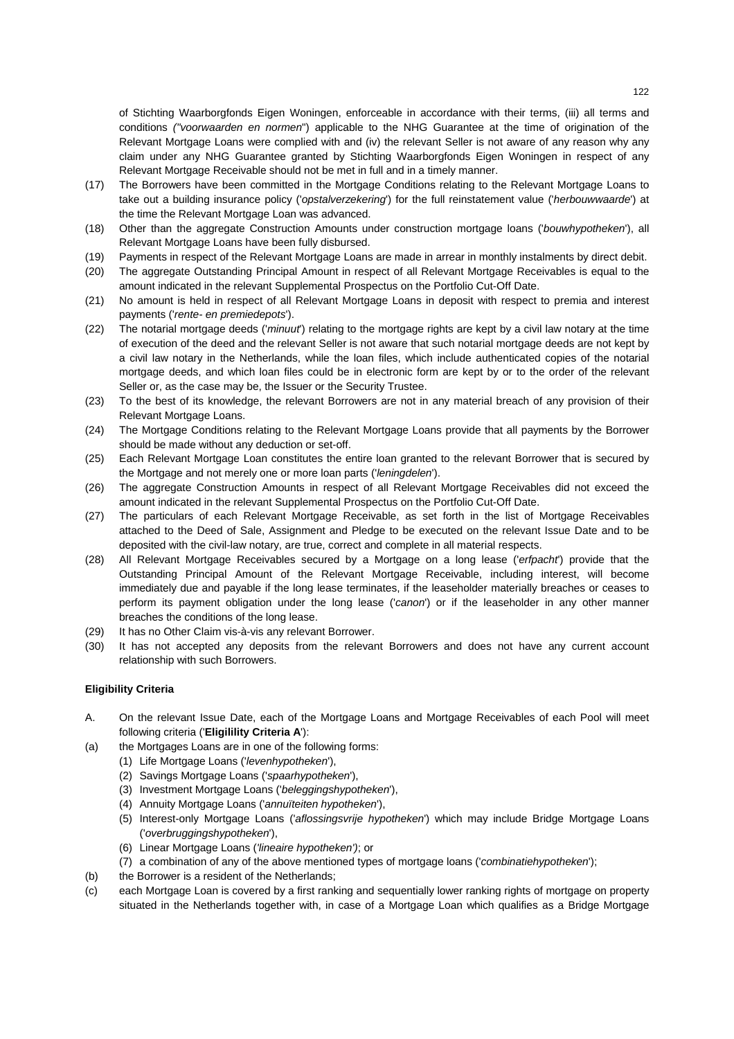of Stichting Waarborgfonds Eigen Woningen, enforceable in accordance with their terms, (iii) all terms and conditions *("voorwaarden en normen*") applicable to the NHG Guarantee at the time of origination of the Relevant Mortgage Loans were complied with and (iv) the relevant Seller is not aware of any reason why any claim under any NHG Guarantee granted by Stichting Waarborgfonds Eigen Woningen in respect of any Relevant Mortgage Receivable should not be met in full and in a timely manner.

- (17) The Borrowers have been committed in the Mortgage Conditions relating to the Relevant Mortgage Loans to take out a building insurance policy ('*opstalverzekering*') for the full reinstatement value ('*herbouwwaarde*') at the time the Relevant Mortgage Loan was advanced.
- (18) Other than the aggregate Construction Amounts under construction mortgage loans ('*bouwhypotheken*'), all Relevant Mortgage Loans have been fully disbursed.
- (19) Payments in respect of the Relevant Mortgage Loans are made in arrear in monthly instalments by direct debit.
- (20) The aggregate Outstanding Principal Amount in respect of all Relevant Mortgage Receivables is equal to the amount indicated in the relevant Supplemental Prospectus on the Portfolio Cut-Off Date.
- (21) No amount is held in respect of all Relevant Mortgage Loans in deposit with respect to premia and interest payments ('*rente- en premiedepots*').
- (22) The notarial mortgage deeds ('*minuut*') relating to the mortgage rights are kept by a civil law notary at the time of execution of the deed and the relevant Seller is not aware that such notarial mortgage deeds are not kept by a civil law notary in the Netherlands, while the loan files, which include authenticated copies of the notarial mortgage deeds, and which loan files could be in electronic form are kept by or to the order of the relevant Seller or, as the case may be, the Issuer or the Security Trustee.
- (23) To the best of its knowledge, the relevant Borrowers are not in any material breach of any provision of their Relevant Mortgage Loans.
- (24) The Mortgage Conditions relating to the Relevant Mortgage Loans provide that all payments by the Borrower should be made without any deduction or set-off.
- (25) Each Relevant Mortgage Loan constitutes the entire loan granted to the relevant Borrower that is secured by the Mortgage and not merely one or more loan parts ('*leningdelen*').
- (26) The aggregate Construction Amounts in respect of all Relevant Mortgage Receivables did not exceed the amount indicated in the relevant Supplemental Prospectus on the Portfolio Cut-Off Date.
- (27) The particulars of each Relevant Mortgage Receivable, as set forth in the list of Mortgage Receivables attached to the Deed of Sale, Assignment and Pledge to be executed on the relevant Issue Date and to be deposited with the civil-law notary, are true, correct and complete in all material respects.
- (28) All Relevant Mortgage Receivables secured by a Mortgage on a long lease ('*erfpacht*') provide that the Outstanding Principal Amount of the Relevant Mortgage Receivable, including interest, will become immediately due and payable if the long lease terminates, if the leaseholder materially breaches or ceases to perform its payment obligation under the long lease ('*canon*') or if the leaseholder in any other manner breaches the conditions of the long lease.
- (29) It has no Other Claim vis-à-vis any relevant Borrower.
- (30) It has not accepted any deposits from the relevant Borrowers and does not have any current account relationship with such Borrowers.

## **Eligibility Criteria**

- A. On the relevant Issue Date, each of the Mortgage Loans and Mortgage Receivables of each Pool will meet following criteria ('**Eligilility Criteria A**'):
- (a) the Mortgages Loans are in one of the following forms:
	- (1) Life Mortgage Loans ('*levenhypotheken*'),
	- (2) Savings Mortgage Loans ('*spaarhypotheken*'),
	- (3) Investment Mortgage Loans ('*beleggingshypotheken*'),
	- (4) Annuity Mortgage Loans ('*annuïteiten hypotheken*'),
	- (5) Interest-only Mortgage Loans ('*aflossingsvrije hypotheken*') which may include Bridge Mortgage Loans ('*overbruggingshypotheken*'),
	- (6) Linear Mortgage Loans (*'lineaire hypotheken')*; or
	- (7) a combination of any of the above mentioned types of mortgage loans ('*combinatiehypotheken*');
- (b) the Borrower is a resident of the Netherlands:
- (c) each Mortgage Loan is covered by a first ranking and sequentially lower ranking rights of mortgage on property situated in the Netherlands together with, in case of a Mortgage Loan which qualifies as a Bridge Mortgage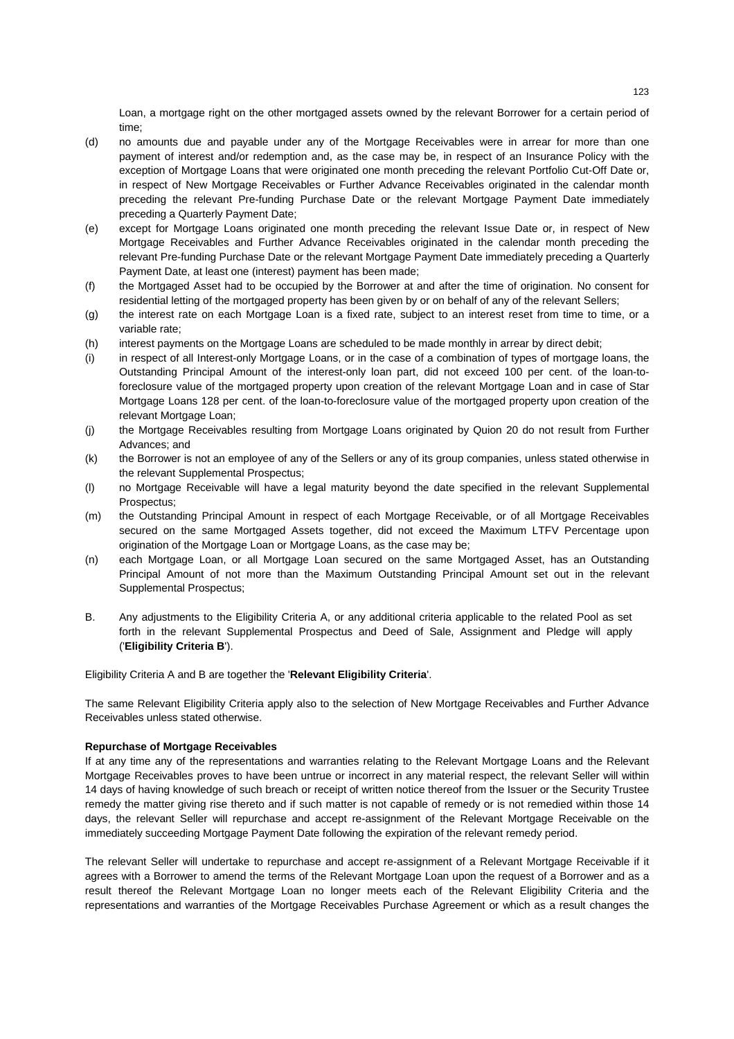Loan, a mortgage right on the other mortgaged assets owned by the relevant Borrower for a certain period of time;

- (d) no amounts due and payable under any of the Mortgage Receivables were in arrear for more than one payment of interest and/or redemption and, as the case may be, in respect of an Insurance Policy with the exception of Mortgage Loans that were originated one month preceding the relevant Portfolio Cut-Off Date or, in respect of New Mortgage Receivables or Further Advance Receivables originated in the calendar month preceding the relevant Pre-funding Purchase Date or the relevant Mortgage Payment Date immediately preceding a Quarterly Payment Date;
- (e) except for Mortgage Loans originated one month preceding the relevant Issue Date or, in respect of New Mortgage Receivables and Further Advance Receivables originated in the calendar month preceding the relevant Pre-funding Purchase Date or the relevant Mortgage Payment Date immediately preceding a Quarterly Payment Date, at least one (interest) payment has been made;
- (f) the Mortgaged Asset had to be occupied by the Borrower at and after the time of origination. No consent for residential letting of the mortgaged property has been given by or on behalf of any of the relevant Sellers;
- (g) the interest rate on each Mortgage Loan is a fixed rate, subject to an interest reset from time to time, or a variable rate;
- (h) interest payments on the Mortgage Loans are scheduled to be made monthly in arrear by direct debit;
- (i) in respect of all Interest-only Mortgage Loans, or in the case of a combination of types of mortgage loans, the Outstanding Principal Amount of the interest-only loan part, did not exceed 100 per cent. of the loan-toforeclosure value of the mortgaged property upon creation of the relevant Mortgage Loan and in case of Star Mortgage Loans 128 per cent. of the loan-to-foreclosure value of the mortgaged property upon creation of the relevant Mortgage Loan;
- (j) the Mortgage Receivables resulting from Mortgage Loans originated by Quion 20 do not result from Further Advances; and
- (k) the Borrower is not an employee of any of the Sellers or any of its group companies, unless stated otherwise in the relevant Supplemental Prospectus;
- (l) no Mortgage Receivable will have a legal maturity beyond the date specified in the relevant Supplemental Prospectus;
- (m) the Outstanding Principal Amount in respect of each Mortgage Receivable, or of all Mortgage Receivables secured on the same Mortgaged Assets together, did not exceed the Maximum LTFV Percentage upon origination of the Mortgage Loan or Mortgage Loans, as the case may be;
- (n) each Mortgage Loan, or all Mortgage Loan secured on the same Mortgaged Asset, has an Outstanding Principal Amount of not more than the Maximum Outstanding Principal Amount set out in the relevant Supplemental Prospectus;
- B. Any adjustments to the Eligibility Criteria A, or any additional criteria applicable to the related Pool as set forth in the relevant Supplemental Prospectus and Deed of Sale, Assignment and Pledge will apply ('**Eligibility Criteria B**').

Eligibility Criteria A and B are together the '**Relevant Eligibility Criteria**'.

The same Relevant Eligibility Criteria apply also to the selection of New Mortgage Receivables and Further Advance Receivables unless stated otherwise.

## **Repurchase of Mortgage Receivables**

If at any time any of the representations and warranties relating to the Relevant Mortgage Loans and the Relevant Mortgage Receivables proves to have been untrue or incorrect in any material respect, the relevant Seller will within 14 days of having knowledge of such breach or receipt of written notice thereof from the Issuer or the Security Trustee remedy the matter giving rise thereto and if such matter is not capable of remedy or is not remedied within those 14 days, the relevant Seller will repurchase and accept re-assignment of the Relevant Mortgage Receivable on the immediately succeeding Mortgage Payment Date following the expiration of the relevant remedy period.

The relevant Seller will undertake to repurchase and accept re-assignment of a Relevant Mortgage Receivable if it agrees with a Borrower to amend the terms of the Relevant Mortgage Loan upon the request of a Borrower and as a result thereof the Relevant Mortgage Loan no longer meets each of the Relevant Eligibility Criteria and the representations and warranties of the Mortgage Receivables Purchase Agreement or which as a result changes the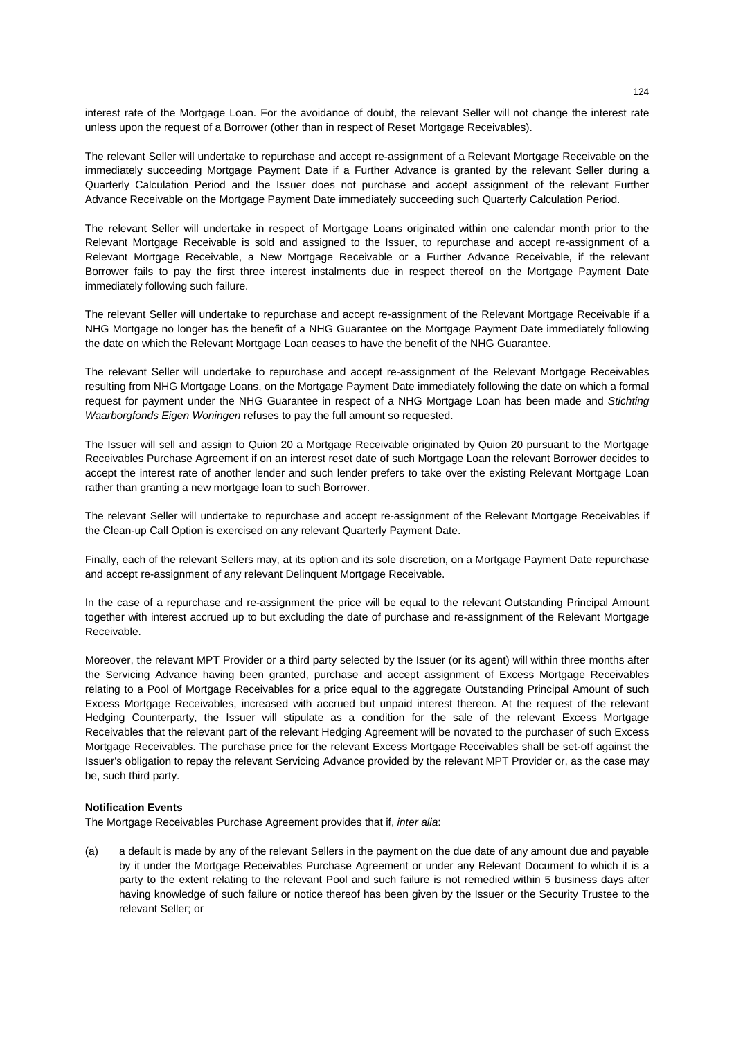interest rate of the Mortgage Loan. For the avoidance of doubt, the relevant Seller will not change the interest rate unless upon the request of a Borrower (other than in respect of Reset Mortgage Receivables).

The relevant Seller will undertake to repurchase and accept re-assignment of a Relevant Mortgage Receivable on the immediately succeeding Mortgage Payment Date if a Further Advance is granted by the relevant Seller during a Quarterly Calculation Period and the Issuer does not purchase and accept assignment of the relevant Further Advance Receivable on the Mortgage Payment Date immediately succeeding such Quarterly Calculation Period.

The relevant Seller will undertake in respect of Mortgage Loans originated within one calendar month prior to the Relevant Mortgage Receivable is sold and assigned to the Issuer, to repurchase and accept re-assignment of a Relevant Mortgage Receivable, a New Mortgage Receivable or a Further Advance Receivable, if the relevant Borrower fails to pay the first three interest instalments due in respect thereof on the Mortgage Payment Date immediately following such failure.

The relevant Seller will undertake to repurchase and accept re-assignment of the Relevant Mortgage Receivable if a NHG Mortgage no longer has the benefit of a NHG Guarantee on the Mortgage Payment Date immediately following the date on which the Relevant Mortgage Loan ceases to have the benefit of the NHG Guarantee.

The relevant Seller will undertake to repurchase and accept re-assignment of the Relevant Mortgage Receivables resulting from NHG Mortgage Loans, on the Mortgage Payment Date immediately following the date on which a formal request for payment under the NHG Guarantee in respect of a NHG Mortgage Loan has been made and *Stichting Waarborgfonds Eigen Woningen* refuses to pay the full amount so requested.

The Issuer will sell and assign to Quion 20 a Mortgage Receivable originated by Quion 20 pursuant to the Mortgage Receivables Purchase Agreement if on an interest reset date of such Mortgage Loan the relevant Borrower decides to accept the interest rate of another lender and such lender prefers to take over the existing Relevant Mortgage Loan rather than granting a new mortgage loan to such Borrower.

The relevant Seller will undertake to repurchase and accept re-assignment of the Relevant Mortgage Receivables if the Clean-up Call Option is exercised on any relevant Quarterly Payment Date.

Finally, each of the relevant Sellers may, at its option and its sole discretion, on a Mortgage Payment Date repurchase and accept re-assignment of any relevant Delinquent Mortgage Receivable.

In the case of a repurchase and re-assignment the price will be equal to the relevant Outstanding Principal Amount together with interest accrued up to but excluding the date of purchase and re-assignment of the Relevant Mortgage Receivable.

Moreover, the relevant MPT Provider or a third party selected by the Issuer (or its agent) will within three months after the Servicing Advance having been granted, purchase and accept assignment of Excess Mortgage Receivables relating to a Pool of Mortgage Receivables for a price equal to the aggregate Outstanding Principal Amount of such Excess Mortgage Receivables, increased with accrued but unpaid interest thereon. At the request of the relevant Hedging Counterparty, the Issuer will stipulate as a condition for the sale of the relevant Excess Mortgage Receivables that the relevant part of the relevant Hedging Agreement will be novated to the purchaser of such Excess Mortgage Receivables. The purchase price for the relevant Excess Mortgage Receivables shall be set-off against the Issuer's obligation to repay the relevant Servicing Advance provided by the relevant MPT Provider or, as the case may be, such third party.

## **Notification Events**

The Mortgage Receivables Purchase Agreement provides that if, *inter alia*:

(a) a default is made by any of the relevant Sellers in the payment on the due date of any amount due and payable by it under the Mortgage Receivables Purchase Agreement or under any Relevant Document to which it is a party to the extent relating to the relevant Pool and such failure is not remedied within 5 business days after having knowledge of such failure or notice thereof has been given by the Issuer or the Security Trustee to the relevant Seller; or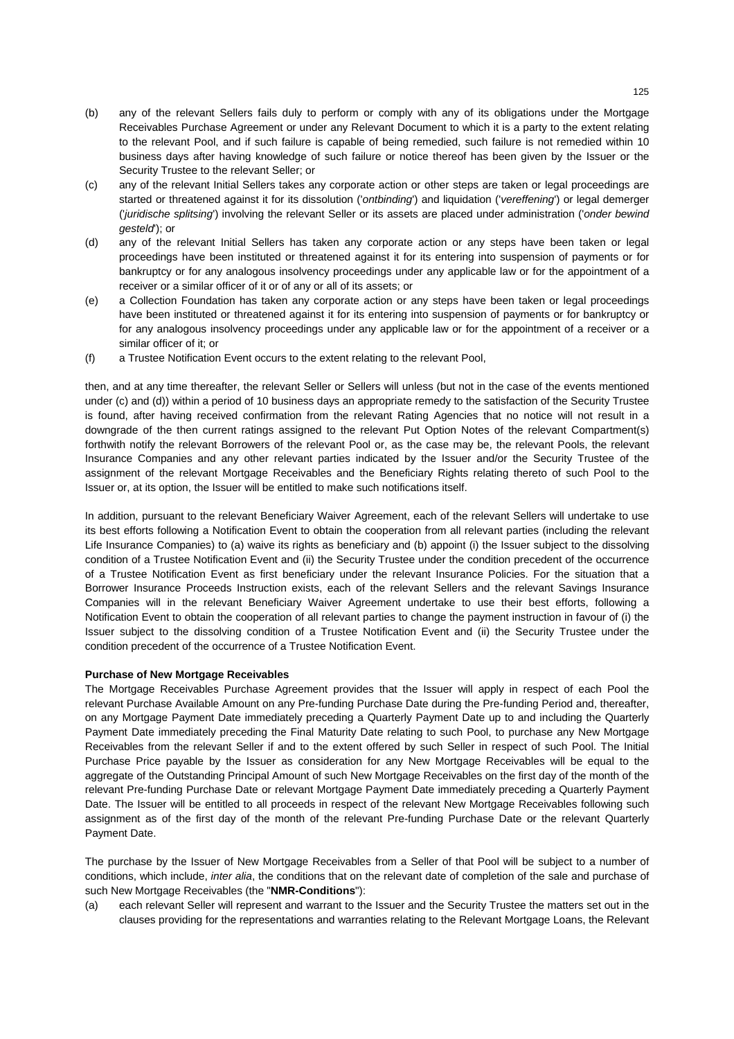- (b) any of the relevant Sellers fails duly to perform or comply with any of its obligations under the Mortgage Receivables Purchase Agreement or under any Relevant Document to which it is a party to the extent relating to the relevant Pool, and if such failure is capable of being remedied, such failure is not remedied within 10 business days after having knowledge of such failure or notice thereof has been given by the Issuer or the Security Trustee to the relevant Seller; or
- (c) any of the relevant Initial Sellers takes any corporate action or other steps are taken or legal proceedings are started or threatened against it for its dissolution ('*ontbinding*') and liquidation ('*vereffening*') or legal demerger ('*juridische splitsing*') involving the relevant Seller or its assets are placed under administration ('*onder bewind gesteld*'); or
- (d) any of the relevant Initial Sellers has taken any corporate action or any steps have been taken or legal proceedings have been instituted or threatened against it for its entering into suspension of payments or for bankruptcy or for any analogous insolvency proceedings under any applicable law or for the appointment of a receiver or a similar officer of it or of any or all of its assets; or
- (e) a Collection Foundation has taken any corporate action or any steps have been taken or legal proceedings have been instituted or threatened against it for its entering into suspension of payments or for bankruptcy or for any analogous insolvency proceedings under any applicable law or for the appointment of a receiver or a similar officer of it; or
- (f) a Trustee Notification Event occurs to the extent relating to the relevant Pool,

then, and at any time thereafter, the relevant Seller or Sellers will unless (but not in the case of the events mentioned under (c) and (d)) within a period of 10 business days an appropriate remedy to the satisfaction of the Security Trustee is found, after having received confirmation from the relevant Rating Agencies that no notice will not result in a downgrade of the then current ratings assigned to the relevant Put Option Notes of the relevant Compartment(s) forthwith notify the relevant Borrowers of the relevant Pool or, as the case may be, the relevant Pools, the relevant Insurance Companies and any other relevant parties indicated by the Issuer and/or the Security Trustee of the assignment of the relevant Mortgage Receivables and the Beneficiary Rights relating thereto of such Pool to the Issuer or, at its option, the Issuer will be entitled to make such notifications itself.

In addition, pursuant to the relevant Beneficiary Waiver Agreement, each of the relevant Sellers will undertake to use its best efforts following a Notification Event to obtain the cooperation from all relevant parties (including the relevant Life Insurance Companies) to (a) waive its rights as beneficiary and (b) appoint (i) the Issuer subject to the dissolving condition of a Trustee Notification Event and (ii) the Security Trustee under the condition precedent of the occurrence of a Trustee Notification Event as first beneficiary under the relevant Insurance Policies. For the situation that a Borrower Insurance Proceeds Instruction exists, each of the relevant Sellers and the relevant Savings Insurance Companies will in the relevant Beneficiary Waiver Agreement undertake to use their best efforts, following a Notification Event to obtain the cooperation of all relevant parties to change the payment instruction in favour of (i) the Issuer subject to the dissolving condition of a Trustee Notification Event and (ii) the Security Trustee under the condition precedent of the occurrence of a Trustee Notification Event.

### **Purchase of New Mortgage Receivables**

The Mortgage Receivables Purchase Agreement provides that the Issuer will apply in respect of each Pool the relevant Purchase Available Amount on any Pre-funding Purchase Date during the Pre-funding Period and, thereafter, on any Mortgage Payment Date immediately preceding a Quarterly Payment Date up to and including the Quarterly Payment Date immediately preceding the Final Maturity Date relating to such Pool, to purchase any New Mortgage Receivables from the relevant Seller if and to the extent offered by such Seller in respect of such Pool. The Initial Purchase Price payable by the Issuer as consideration for any New Mortgage Receivables will be equal to the aggregate of the Outstanding Principal Amount of such New Mortgage Receivables on the first day of the month of the relevant Pre-funding Purchase Date or relevant Mortgage Payment Date immediately preceding a Quarterly Payment Date. The Issuer will be entitled to all proceeds in respect of the relevant New Mortgage Receivables following such assignment as of the first day of the month of the relevant Pre-funding Purchase Date or the relevant Quarterly Payment Date.

The purchase by the Issuer of New Mortgage Receivables from a Seller of that Pool will be subject to a number of conditions, which include, *inter alia*, the conditions that on the relevant date of completion of the sale and purchase of such New Mortgage Receivables (the "**NMR-Conditions**"):

(a) each relevant Seller will represent and warrant to the Issuer and the Security Trustee the matters set out in the clauses providing for the representations and warranties relating to the Relevant Mortgage Loans, the Relevant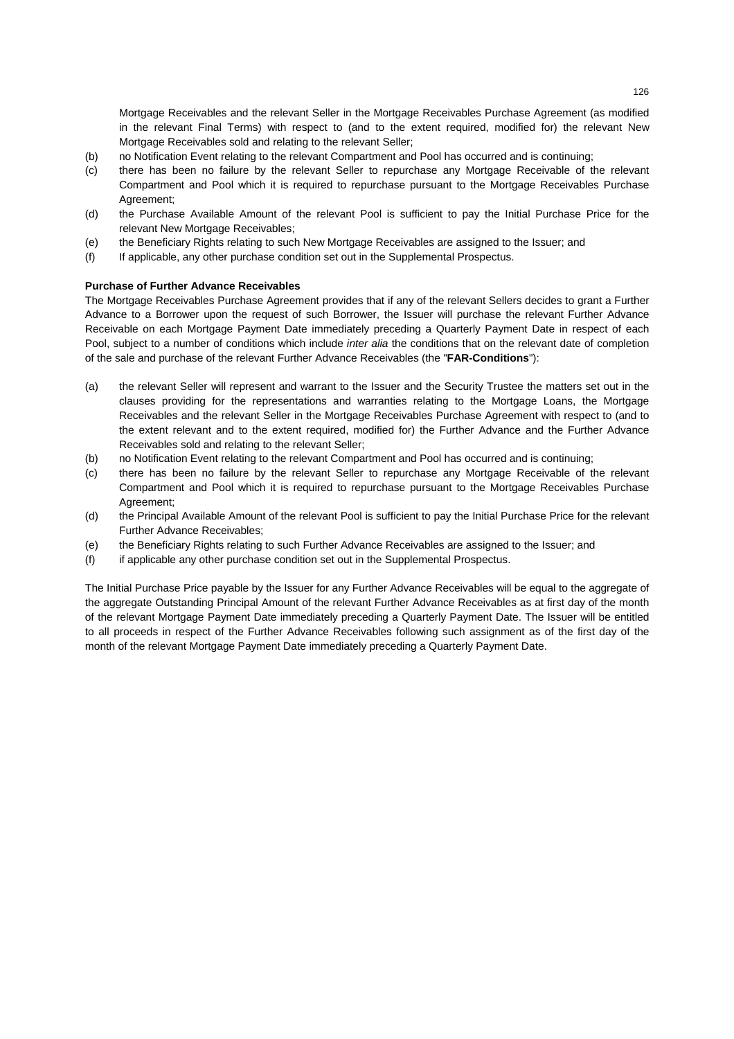Mortgage Receivables and the relevant Seller in the Mortgage Receivables Purchase Agreement (as modified in the relevant Final Terms) with respect to (and to the extent required, modified for) the relevant New Mortgage Receivables sold and relating to the relevant Seller;

- (b) no Notification Event relating to the relevant Compartment and Pool has occurred and is continuing;
- (c) there has been no failure by the relevant Seller to repurchase any Mortgage Receivable of the relevant Compartment and Pool which it is required to repurchase pursuant to the Mortgage Receivables Purchase Agreement;
- (d) the Purchase Available Amount of the relevant Pool is sufficient to pay the Initial Purchase Price for the relevant New Mortgage Receivables;
- (e) the Beneficiary Rights relating to such New Mortgage Receivables are assigned to the Issuer; and
- (f) If applicable, any other purchase condition set out in the Supplemental Prospectus.

## **Purchase of Further Advance Receivables**

The Mortgage Receivables Purchase Agreement provides that if any of the relevant Sellers decides to grant a Further Advance to a Borrower upon the request of such Borrower, the Issuer will purchase the relevant Further Advance Receivable on each Mortgage Payment Date immediately preceding a Quarterly Payment Date in respect of each Pool, subject to a number of conditions which include *inter alia* the conditions that on the relevant date of completion of the sale and purchase of the relevant Further Advance Receivables (the "**FAR-Conditions**"):

- (a) the relevant Seller will represent and warrant to the Issuer and the Security Trustee the matters set out in the clauses providing for the representations and warranties relating to the Mortgage Loans, the Mortgage Receivables and the relevant Seller in the Mortgage Receivables Purchase Agreement with respect to (and to the extent relevant and to the extent required, modified for) the Further Advance and the Further Advance Receivables sold and relating to the relevant Seller;
- (b) no Notification Event relating to the relevant Compartment and Pool has occurred and is continuing;
- (c) there has been no failure by the relevant Seller to repurchase any Mortgage Receivable of the relevant Compartment and Pool which it is required to repurchase pursuant to the Mortgage Receivables Purchase Agreement;
- (d) the Principal Available Amount of the relevant Pool is sufficient to pay the Initial Purchase Price for the relevant Further Advance Receivables;
- (e) the Beneficiary Rights relating to such Further Advance Receivables are assigned to the Issuer; and
- (f) if applicable any other purchase condition set out in the Supplemental Prospectus.

The Initial Purchase Price payable by the Issuer for any Further Advance Receivables will be equal to the aggregate of the aggregate Outstanding Principal Amount of the relevant Further Advance Receivables as at first day of the month of the relevant Mortgage Payment Date immediately preceding a Quarterly Payment Date. The Issuer will be entitled to all proceeds in respect of the Further Advance Receivables following such assignment as of the first day of the month of the relevant Mortgage Payment Date immediately preceding a Quarterly Payment Date.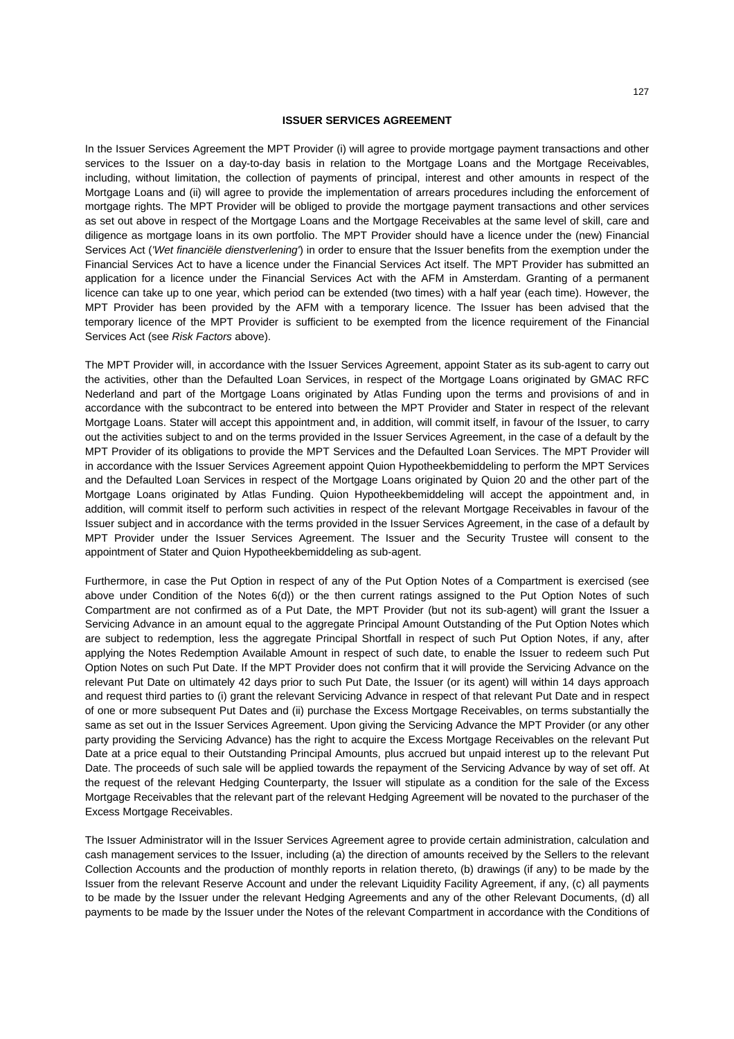## **ISSUER SERVICES AGREEMENT**

In the Issuer Services Agreement the MPT Provider (i) will agree to provide mortgage payment transactions and other services to the Issuer on a day-to-day basis in relation to the Mortgage Loans and the Mortgage Receivables, including, without limitation, the collection of payments of principal, interest and other amounts in respect of the Mortgage Loans and (ii) will agree to provide the implementation of arrears procedures including the enforcement of mortgage rights. The MPT Provider will be obliged to provide the mortgage payment transactions and other services as set out above in respect of the Mortgage Loans and the Mortgage Receivables at the same level of skill, care and diligence as mortgage loans in its own portfolio. The MPT Provider should have a licence under the (new) Financial Services Act (*'Wet financiële dienstverlening'*) in order to ensure that the Issuer benefits from the exemption under the Financial Services Act to have a licence under the Financial Services Act itself. The MPT Provider has submitted an application for a licence under the Financial Services Act with the AFM in Amsterdam. Granting of a permanent licence can take up to one year, which period can be extended (two times) with a half year (each time). However, the MPT Provider has been provided by the AFM with a temporary licence. The Issuer has been advised that the temporary licence of the MPT Provider is sufficient to be exempted from the licence requirement of the Financial Services Act (see *Risk Factors* above).

The MPT Provider will, in accordance with the Issuer Services Agreement, appoint Stater as its sub-agent to carry out the activities, other than the Defaulted Loan Services, in respect of the Mortgage Loans originated by GMAC RFC Nederland and part of the Mortgage Loans originated by Atlas Funding upon the terms and provisions of and in accordance with the subcontract to be entered into between the MPT Provider and Stater in respect of the relevant Mortgage Loans. Stater will accept this appointment and, in addition, will commit itself, in favour of the Issuer, to carry out the activities subject to and on the terms provided in the Issuer Services Agreement, in the case of a default by the MPT Provider of its obligations to provide the MPT Services and the Defaulted Loan Services. The MPT Provider will in accordance with the Issuer Services Agreement appoint Quion Hypotheekbemiddeling to perform the MPT Services and the Defaulted Loan Services in respect of the Mortgage Loans originated by Quion 20 and the other part of the Mortgage Loans originated by Atlas Funding. Quion Hypotheekbemiddeling will accept the appointment and, in addition, will commit itself to perform such activities in respect of the relevant Mortgage Receivables in favour of the Issuer subject and in accordance with the terms provided in the Issuer Services Agreement, in the case of a default by MPT Provider under the Issuer Services Agreement. The Issuer and the Security Trustee will consent to the appointment of Stater and Quion Hypotheekbemiddeling as sub-agent.

Furthermore, in case the Put Option in respect of any of the Put Option Notes of a Compartment is exercised (see above under Condition of the Notes 6(d)) or the then current ratings assigned to the Put Option Notes of such Compartment are not confirmed as of a Put Date, the MPT Provider (but not its sub-agent) will grant the Issuer a Servicing Advance in an amount equal to the aggregate Principal Amount Outstanding of the Put Option Notes which are subject to redemption, less the aggregate Principal Shortfall in respect of such Put Option Notes, if any, after applying the Notes Redemption Available Amount in respect of such date, to enable the Issuer to redeem such Put Option Notes on such Put Date. If the MPT Provider does not confirm that it will provide the Servicing Advance on the relevant Put Date on ultimately 42 days prior to such Put Date, the Issuer (or its agent) will within 14 days approach and request third parties to (i) grant the relevant Servicing Advance in respect of that relevant Put Date and in respect of one or more subsequent Put Dates and (ii) purchase the Excess Mortgage Receivables, on terms substantially the same as set out in the Issuer Services Agreement. Upon giving the Servicing Advance the MPT Provider (or any other party providing the Servicing Advance) has the right to acquire the Excess Mortgage Receivables on the relevant Put Date at a price equal to their Outstanding Principal Amounts, plus accrued but unpaid interest up to the relevant Put Date. The proceeds of such sale will be applied towards the repayment of the Servicing Advance by way of set off. At the request of the relevant Hedging Counterparty, the Issuer will stipulate as a condition for the sale of the Excess Mortgage Receivables that the relevant part of the relevant Hedging Agreement will be novated to the purchaser of the Excess Mortgage Receivables.

The Issuer Administrator will in the Issuer Services Agreement agree to provide certain administration, calculation and cash management services to the Issuer, including (a) the direction of amounts received by the Sellers to the relevant Collection Accounts and the production of monthly reports in relation thereto, (b) drawings (if any) to be made by the Issuer from the relevant Reserve Account and under the relevant Liquidity Facility Agreement, if any, (c) all payments to be made by the Issuer under the relevant Hedging Agreements and any of the other Relevant Documents, (d) all payments to be made by the Issuer under the Notes of the relevant Compartment in accordance with the Conditions of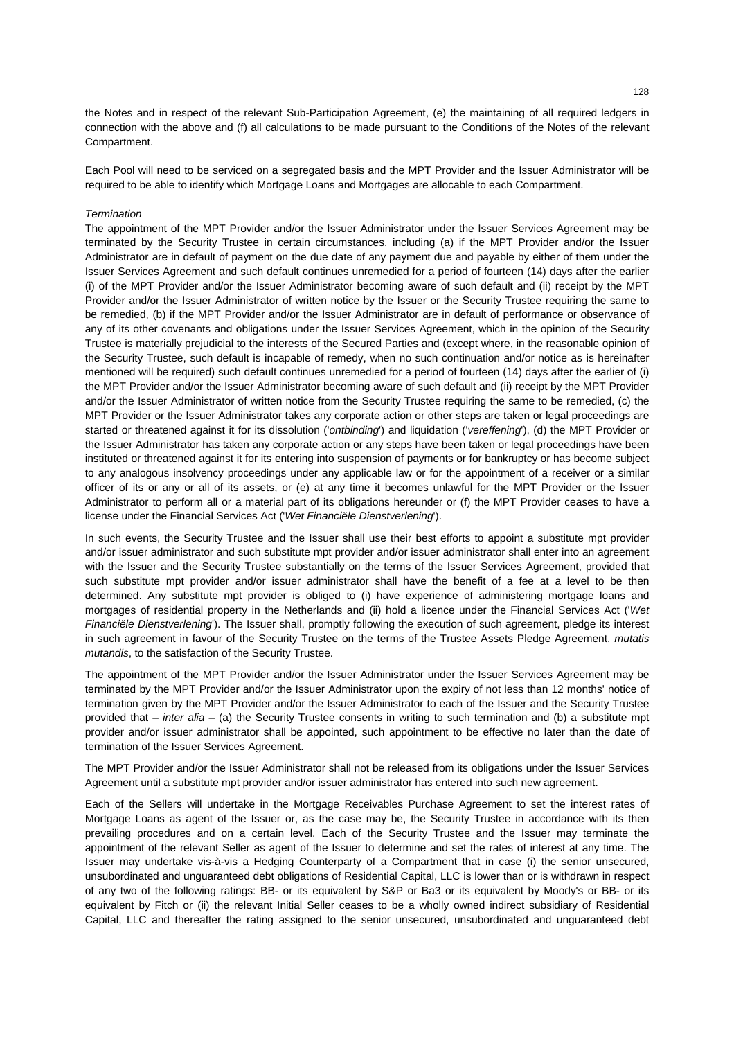the Notes and in respect of the relevant Sub-Participation Agreement, (e) the maintaining of all required ledgers in connection with the above and (f) all calculations to be made pursuant to the Conditions of the Notes of the relevant Compartment.

Each Pool will need to be serviced on a segregated basis and the MPT Provider and the Issuer Administrator will be required to be able to identify which Mortgage Loans and Mortgages are allocable to each Compartment.

#### *Termination*

The appointment of the MPT Provider and/or the Issuer Administrator under the Issuer Services Agreement may be terminated by the Security Trustee in certain circumstances, including (a) if the MPT Provider and/or the Issuer Administrator are in default of payment on the due date of any payment due and payable by either of them under the Issuer Services Agreement and such default continues unremedied for a period of fourteen (14) days after the earlier (i) of the MPT Provider and/or the Issuer Administrator becoming aware of such default and (ii) receipt by the MPT Provider and/or the Issuer Administrator of written notice by the Issuer or the Security Trustee requiring the same to be remedied, (b) if the MPT Provider and/or the Issuer Administrator are in default of performance or observance of any of its other covenants and obligations under the Issuer Services Agreement, which in the opinion of the Security Trustee is materially prejudicial to the interests of the Secured Parties and (except where, in the reasonable opinion of the Security Trustee, such default is incapable of remedy, when no such continuation and/or notice as is hereinafter mentioned will be required) such default continues unremedied for a period of fourteen (14) days after the earlier of (i) the MPT Provider and/or the Issuer Administrator becoming aware of such default and (ii) receipt by the MPT Provider and/or the Issuer Administrator of written notice from the Security Trustee requiring the same to be remedied, (c) the MPT Provider or the Issuer Administrator takes any corporate action or other steps are taken or legal proceedings are started or threatened against it for its dissolution ('*ontbinding*') and liquidation ('*vereffening*'), (d) the MPT Provider or the Issuer Administrator has taken any corporate action or any steps have been taken or legal proceedings have been instituted or threatened against it for its entering into suspension of payments or for bankruptcy or has become subject to any analogous insolvency proceedings under any applicable law or for the appointment of a receiver or a similar officer of its or any or all of its assets, or (e) at any time it becomes unlawful for the MPT Provider or the Issuer Administrator to perform all or a material part of its obligations hereunder or (f) the MPT Provider ceases to have a license under the Financial Services Act ('*Wet Financiële Dienstverlening*').

In such events, the Security Trustee and the Issuer shall use their best efforts to appoint a substitute mpt provider and/or issuer administrator and such substitute mpt provider and/or issuer administrator shall enter into an agreement with the Issuer and the Security Trustee substantially on the terms of the Issuer Services Agreement, provided that such substitute mpt provider and/or issuer administrator shall have the benefit of a fee at a level to be then determined. Any substitute mpt provider is obliged to (i) have experience of administering mortgage loans and mortgages of residential property in the Netherlands and (ii) hold a licence under the Financial Services Act ('*Wet Financiële Dienstverlening*'). The Issuer shall, promptly following the execution of such agreement, pledge its interest in such agreement in favour of the Security Trustee on the terms of the Trustee Assets Pledge Agreement, *mutatis mutandis*, to the satisfaction of the Security Trustee.

The appointment of the MPT Provider and/or the Issuer Administrator under the Issuer Services Agreement may be terminated by the MPT Provider and/or the Issuer Administrator upon the expiry of not less than 12 months' notice of termination given by the MPT Provider and/or the Issuer Administrator to each of the Issuer and the Security Trustee provided that – *inter alia* – (a) the Security Trustee consents in writing to such termination and (b) a substitute mpt provider and/or issuer administrator shall be appointed, such appointment to be effective no later than the date of termination of the Issuer Services Agreement.

The MPT Provider and/or the Issuer Administrator shall not be released from its obligations under the Issuer Services Agreement until a substitute mpt provider and/or issuer administrator has entered into such new agreement.

Each of the Sellers will undertake in the Mortgage Receivables Purchase Agreement to set the interest rates of Mortgage Loans as agent of the Issuer or, as the case may be, the Security Trustee in accordance with its then prevailing procedures and on a certain level. Each of the Security Trustee and the Issuer may terminate the appointment of the relevant Seller as agent of the Issuer to determine and set the rates of interest at any time. The Issuer may undertake vis-à-vis a Hedging Counterparty of a Compartment that in case (i) the senior unsecured, unsubordinated and unguaranteed debt obligations of Residential Capital, LLC is lower than or is withdrawn in respect of any two of the following ratings: BB- or its equivalent by S&P or Ba3 or its equivalent by Moody's or BB- or its equivalent by Fitch or (ii) the relevant Initial Seller ceases to be a wholly owned indirect subsidiary of Residential Capital, LLC and thereafter the rating assigned to the senior unsecured, unsubordinated and unguaranteed debt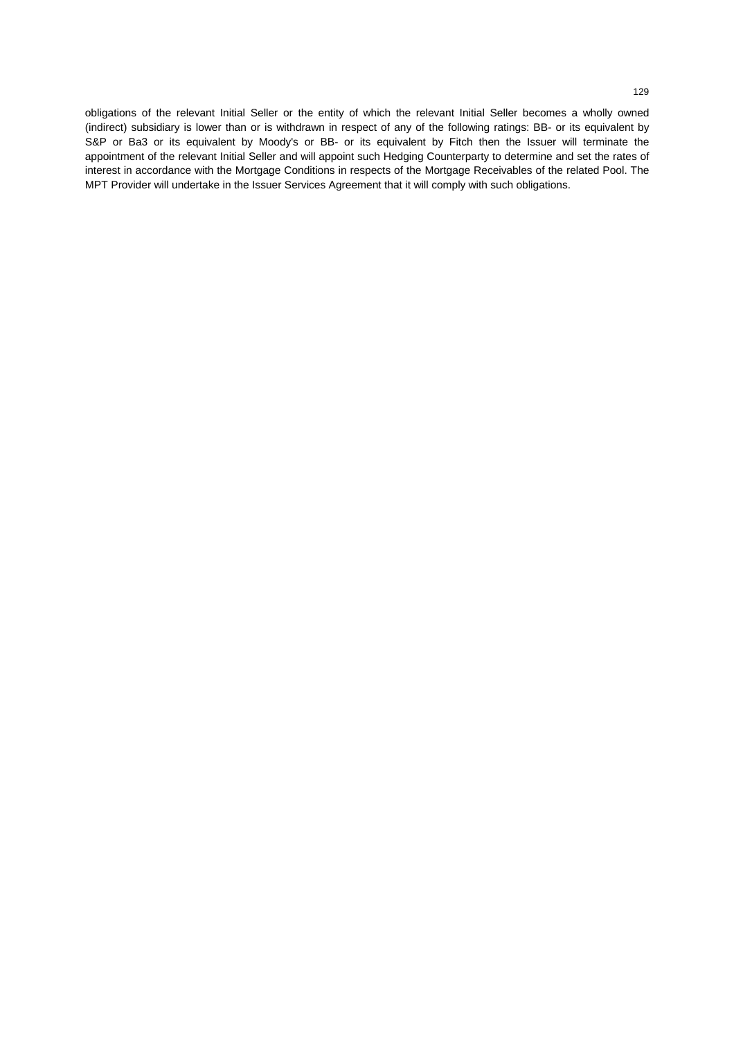obligations of the relevant Initial Seller or the entity of which the relevant Initial Seller becomes a wholly owned (indirect) subsidiary is lower than or is withdrawn in respect of any of the following ratings: BB- or its equivalent by S&P or Ba3 or its equivalent by Moody's or BB- or its equivalent by Fitch then the Issuer will terminate the appointment of the relevant Initial Seller and will appoint such Hedging Counterparty to determine and set the rates of interest in accordance with the Mortgage Conditions in respects of the Mortgage Receivables of the related Pool. The MPT Provider will undertake in the Issuer Services Agreement that it will comply with such obligations.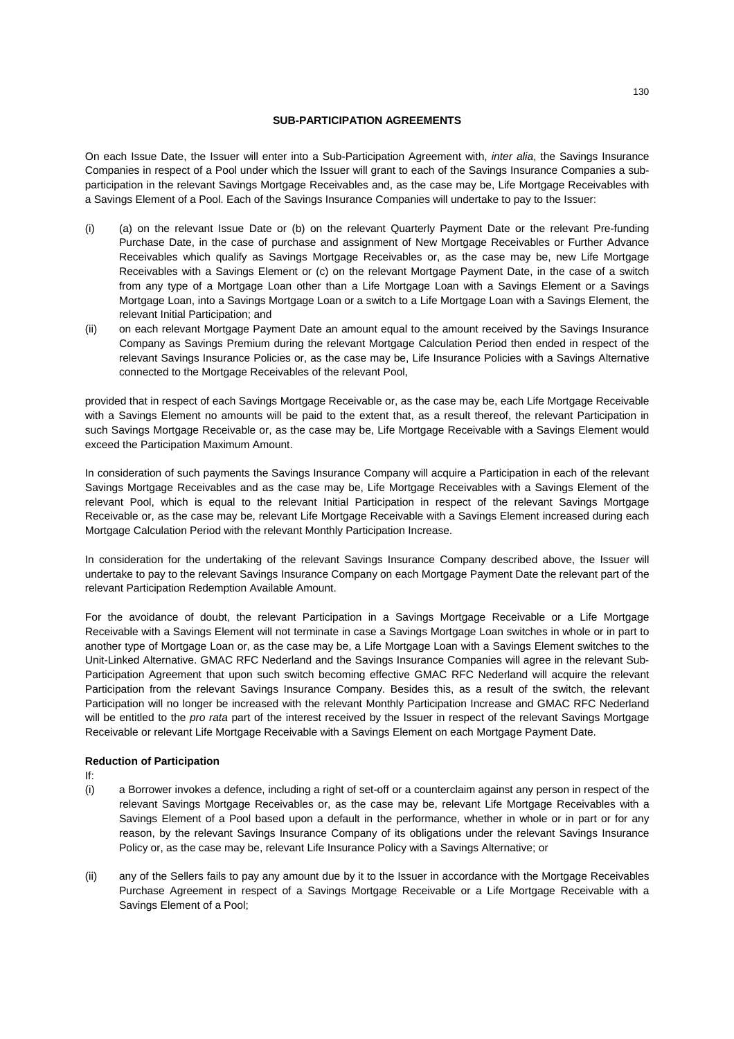# **SUB-PARTICIPATION AGREEMENTS**

On each Issue Date, the Issuer will enter into a Sub-Participation Agreement with, *inter alia*, the Savings Insurance Companies in respect of a Pool under which the Issuer will grant to each of the Savings Insurance Companies a subparticipation in the relevant Savings Mortgage Receivables and, as the case may be, Life Mortgage Receivables with a Savings Element of a Pool. Each of the Savings Insurance Companies will undertake to pay to the Issuer:

- (i) (a) on the relevant Issue Date or (b) on the relevant Quarterly Payment Date or the relevant Pre-funding Purchase Date, in the case of purchase and assignment of New Mortgage Receivables or Further Advance Receivables which qualify as Savings Mortgage Receivables or, as the case may be, new Life Mortgage Receivables with a Savings Element or (c) on the relevant Mortgage Payment Date, in the case of a switch from any type of a Mortgage Loan other than a Life Mortgage Loan with a Savings Element or a Savings Mortgage Loan, into a Savings Mortgage Loan or a switch to a Life Mortgage Loan with a Savings Element, the relevant Initial Participation; and
- (ii) on each relevant Mortgage Payment Date an amount equal to the amount received by the Savings Insurance Company as Savings Premium during the relevant Mortgage Calculation Period then ended in respect of the relevant Savings Insurance Policies or, as the case may be, Life Insurance Policies with a Savings Alternative connected to the Mortgage Receivables of the relevant Pool,

provided that in respect of each Savings Mortgage Receivable or, as the case may be, each Life Mortgage Receivable with a Savings Element no amounts will be paid to the extent that, as a result thereof, the relevant Participation in such Savings Mortgage Receivable or, as the case may be, Life Mortgage Receivable with a Savings Element would exceed the Participation Maximum Amount.

In consideration of such payments the Savings Insurance Company will acquire a Participation in each of the relevant Savings Mortgage Receivables and as the case may be, Life Mortgage Receivables with a Savings Element of the relevant Pool, which is equal to the relevant Initial Participation in respect of the relevant Savings Mortgage Receivable or, as the case may be, relevant Life Mortgage Receivable with a Savings Element increased during each Mortgage Calculation Period with the relevant Monthly Participation Increase.

In consideration for the undertaking of the relevant Savings Insurance Company described above, the Issuer will undertake to pay to the relevant Savings Insurance Company on each Mortgage Payment Date the relevant part of the relevant Participation Redemption Available Amount.

For the avoidance of doubt, the relevant Participation in a Savings Mortgage Receivable or a Life Mortgage Receivable with a Savings Element will not terminate in case a Savings Mortgage Loan switches in whole or in part to another type of Mortgage Loan or, as the case may be, a Life Mortgage Loan with a Savings Element switches to the Unit-Linked Alternative. GMAC RFC Nederland and the Savings Insurance Companies will agree in the relevant Sub-Participation Agreement that upon such switch becoming effective GMAC RFC Nederland will acquire the relevant Participation from the relevant Savings Insurance Company. Besides this, as a result of the switch, the relevant Participation will no longer be increased with the relevant Monthly Participation Increase and GMAC RFC Nederland will be entitled to the *pro rata* part of the interest received by the Issuer in respect of the relevant Savings Mortgage Receivable or relevant Life Mortgage Receivable with a Savings Element on each Mortgage Payment Date.

# **Reduction of Participation**

If:

- (i) a Borrower invokes a defence, including a right of set-off or a counterclaim against any person in respect of the relevant Savings Mortgage Receivables or, as the case may be, relevant Life Mortgage Receivables with a Savings Element of a Pool based upon a default in the performance, whether in whole or in part or for any reason, by the relevant Savings Insurance Company of its obligations under the relevant Savings Insurance Policy or, as the case may be, relevant Life Insurance Policy with a Savings Alternative; or
- (ii) any of the Sellers fails to pay any amount due by it to the Issuer in accordance with the Mortgage Receivables Purchase Agreement in respect of a Savings Mortgage Receivable or a Life Mortgage Receivable with a Savings Element of a Pool;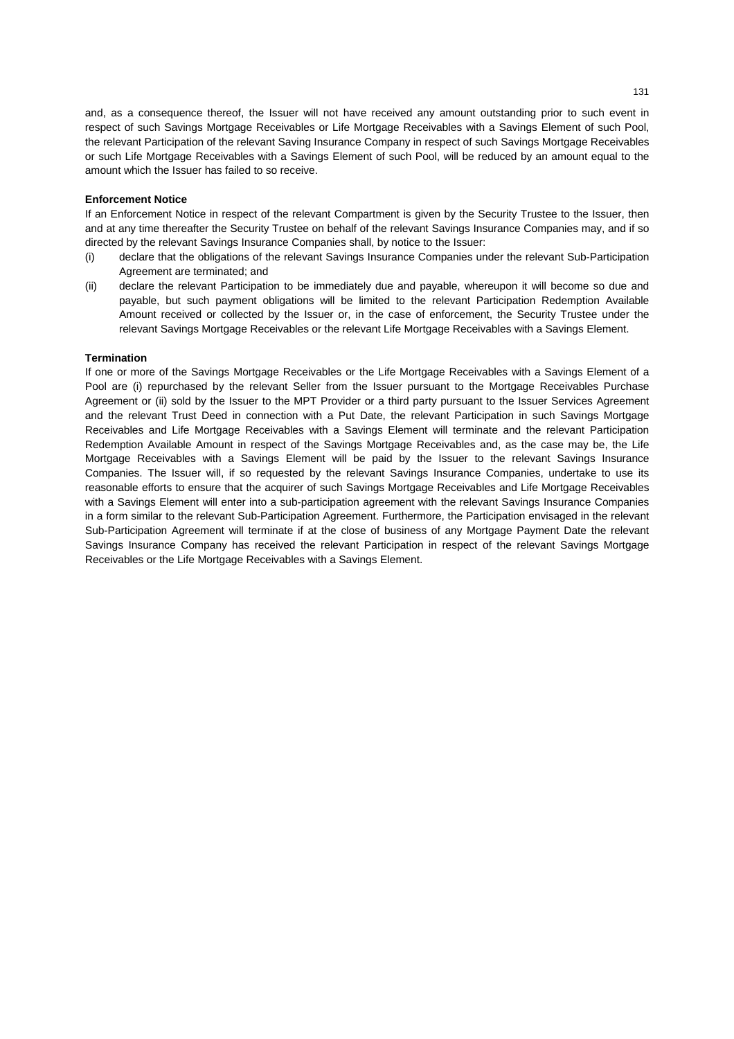and, as a consequence thereof, the Issuer will not have received any amount outstanding prior to such event in respect of such Savings Mortgage Receivables or Life Mortgage Receivables with a Savings Element of such Pool, the relevant Participation of the relevant Saving Insurance Company in respect of such Savings Mortgage Receivables or such Life Mortgage Receivables with a Savings Element of such Pool, will be reduced by an amount equal to the amount which the Issuer has failed to so receive.

## **Enforcement Notice**

If an Enforcement Notice in respect of the relevant Compartment is given by the Security Trustee to the Issuer, then and at any time thereafter the Security Trustee on behalf of the relevant Savings Insurance Companies may, and if so directed by the relevant Savings Insurance Companies shall, by notice to the Issuer:

- (i) declare that the obligations of the relevant Savings Insurance Companies under the relevant Sub-Participation Agreement are terminated; and
- (ii) declare the relevant Participation to be immediately due and payable, whereupon it will become so due and payable, but such payment obligations will be limited to the relevant Participation Redemption Available Amount received or collected by the Issuer or, in the case of enforcement, the Security Trustee under the relevant Savings Mortgage Receivables or the relevant Life Mortgage Receivables with a Savings Element.

### **Termination**

If one or more of the Savings Mortgage Receivables or the Life Mortgage Receivables with a Savings Element of a Pool are (i) repurchased by the relevant Seller from the Issuer pursuant to the Mortgage Receivables Purchase Agreement or (ii) sold by the Issuer to the MPT Provider or a third party pursuant to the Issuer Services Agreement and the relevant Trust Deed in connection with a Put Date, the relevant Participation in such Savings Mortgage Receivables and Life Mortgage Receivables with a Savings Element will terminate and the relevant Participation Redemption Available Amount in respect of the Savings Mortgage Receivables and, as the case may be, the Life Mortgage Receivables with a Savings Element will be paid by the Issuer to the relevant Savings Insurance Companies. The Issuer will, if so requested by the relevant Savings Insurance Companies, undertake to use its reasonable efforts to ensure that the acquirer of such Savings Mortgage Receivables and Life Mortgage Receivables with a Savings Element will enter into a sub-participation agreement with the relevant Savings Insurance Companies in a form similar to the relevant Sub-Participation Agreement. Furthermore, the Participation envisaged in the relevant Sub-Participation Agreement will terminate if at the close of business of any Mortgage Payment Date the relevant Savings Insurance Company has received the relevant Participation in respect of the relevant Savings Mortgage Receivables or the Life Mortgage Receivables with a Savings Element.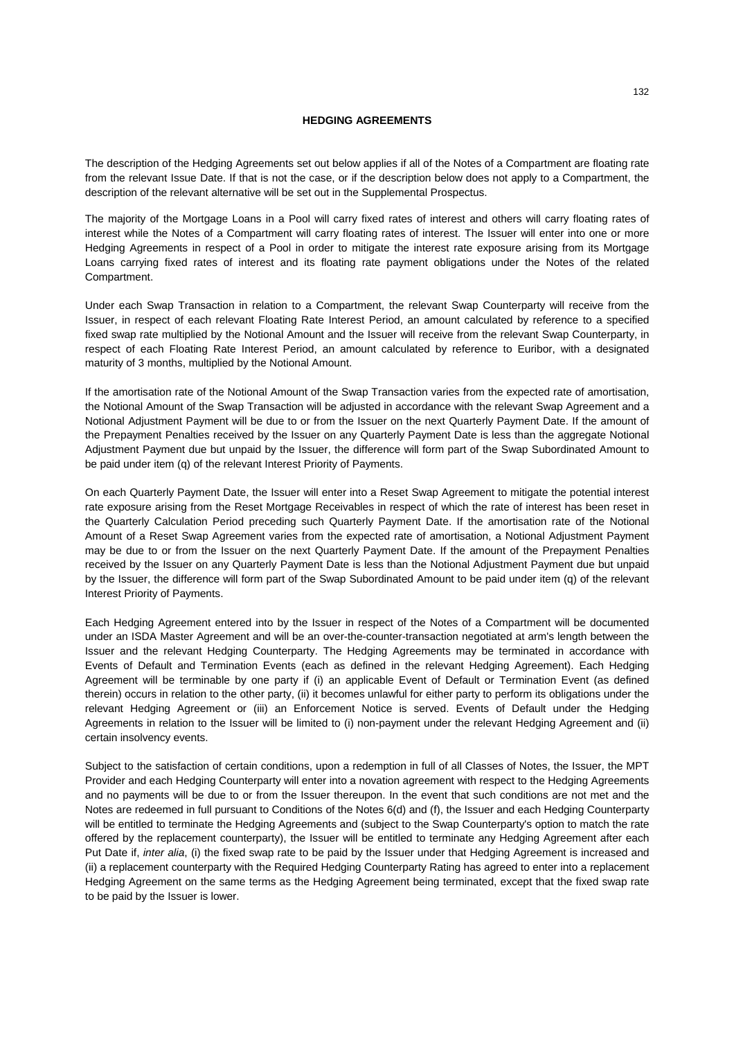### **HEDGING AGREEMENTS**

The description of the Hedging Agreements set out below applies if all of the Notes of a Compartment are floating rate from the relevant Issue Date. If that is not the case, or if the description below does not apply to a Compartment, the description of the relevant alternative will be set out in the Supplemental Prospectus.

The majority of the Mortgage Loans in a Pool will carry fixed rates of interest and others will carry floating rates of interest while the Notes of a Compartment will carry floating rates of interest. The Issuer will enter into one or more Hedging Agreements in respect of a Pool in order to mitigate the interest rate exposure arising from its Mortgage Loans carrying fixed rates of interest and its floating rate payment obligations under the Notes of the related Compartment.

Under each Swap Transaction in relation to a Compartment, the relevant Swap Counterparty will receive from the Issuer, in respect of each relevant Floating Rate Interest Period, an amount calculated by reference to a specified fixed swap rate multiplied by the Notional Amount and the Issuer will receive from the relevant Swap Counterparty, in respect of each Floating Rate Interest Period, an amount calculated by reference to Euribor, with a designated maturity of 3 months, multiplied by the Notional Amount.

If the amortisation rate of the Notional Amount of the Swap Transaction varies from the expected rate of amortisation, the Notional Amount of the Swap Transaction will be adjusted in accordance with the relevant Swap Agreement and a Notional Adjustment Payment will be due to or from the Issuer on the next Quarterly Payment Date. If the amount of the Prepayment Penalties received by the Issuer on any Quarterly Payment Date is less than the aggregate Notional Adjustment Payment due but unpaid by the Issuer, the difference will form part of the Swap Subordinated Amount to be paid under item (q) of the relevant Interest Priority of Payments.

On each Quarterly Payment Date, the Issuer will enter into a Reset Swap Agreement to mitigate the potential interest rate exposure arising from the Reset Mortgage Receivables in respect of which the rate of interest has been reset in the Quarterly Calculation Period preceding such Quarterly Payment Date. If the amortisation rate of the Notional Amount of a Reset Swap Agreement varies from the expected rate of amortisation, a Notional Adjustment Payment may be due to or from the Issuer on the next Quarterly Payment Date. If the amount of the Prepayment Penalties received by the Issuer on any Quarterly Payment Date is less than the Notional Adjustment Payment due but unpaid by the Issuer, the difference will form part of the Swap Subordinated Amount to be paid under item (q) of the relevant Interest Priority of Payments.

Each Hedging Agreement entered into by the Issuer in respect of the Notes of a Compartment will be documented under an ISDA Master Agreement and will be an over-the-counter-transaction negotiated at arm's length between the Issuer and the relevant Hedging Counterparty. The Hedging Agreements may be terminated in accordance with Events of Default and Termination Events (each as defined in the relevant Hedging Agreement). Each Hedging Agreement will be terminable by one party if (i) an applicable Event of Default or Termination Event (as defined therein) occurs in relation to the other party, (ii) it becomes unlawful for either party to perform its obligations under the relevant Hedging Agreement or (iii) an Enforcement Notice is served. Events of Default under the Hedging Agreements in relation to the Issuer will be limited to (i) non-payment under the relevant Hedging Agreement and (ii) certain insolvency events.

Subject to the satisfaction of certain conditions, upon a redemption in full of all Classes of Notes, the Issuer, the MPT Provider and each Hedging Counterparty will enter into a novation agreement with respect to the Hedging Agreements and no payments will be due to or from the Issuer thereupon. In the event that such conditions are not met and the Notes are redeemed in full pursuant to Conditions of the Notes 6(d) and (f), the Issuer and each Hedging Counterparty will be entitled to terminate the Hedging Agreements and (subject to the Swap Counterparty's option to match the rate offered by the replacement counterparty), the Issuer will be entitled to terminate any Hedging Agreement after each Put Date if, *inter alia*, (i) the fixed swap rate to be paid by the Issuer under that Hedging Agreement is increased and (ii) a replacement counterparty with the Required Hedging Counterparty Rating has agreed to enter into a replacement Hedging Agreement on the same terms as the Hedging Agreement being terminated, except that the fixed swap rate to be paid by the Issuer is lower.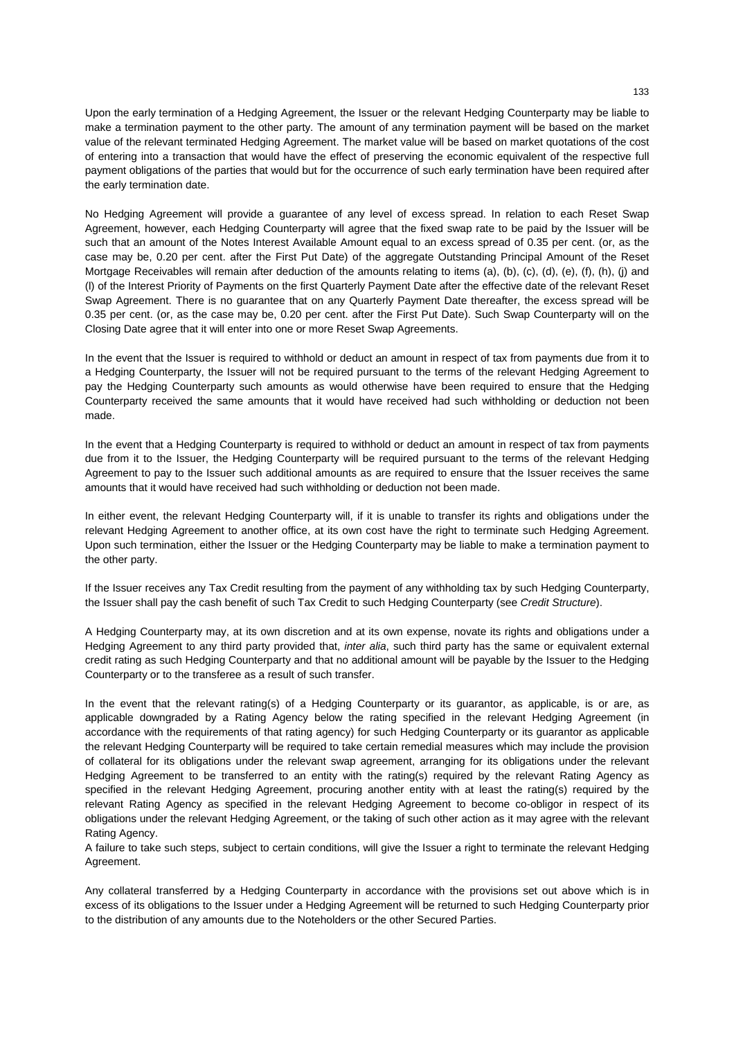Upon the early termination of a Hedging Agreement, the Issuer or the relevant Hedging Counterparty may be liable to make a termination payment to the other party. The amount of any termination payment will be based on the market value of the relevant terminated Hedging Agreement. The market value will be based on market quotations of the cost of entering into a transaction that would have the effect of preserving the economic equivalent of the respective full payment obligations of the parties that would but for the occurrence of such early termination have been required after the early termination date.

No Hedging Agreement will provide a guarantee of any level of excess spread. In relation to each Reset Swap Agreement, however, each Hedging Counterparty will agree that the fixed swap rate to be paid by the Issuer will be such that an amount of the Notes Interest Available Amount equal to an excess spread of 0.35 per cent. (or, as the case may be, 0.20 per cent. after the First Put Date) of the aggregate Outstanding Principal Amount of the Reset Mortgage Receivables will remain after deduction of the amounts relating to items (a), (b), (c), (d), (e), (f), (h), (j) and (l) of the Interest Priority of Payments on the first Quarterly Payment Date after the effective date of the relevant Reset Swap Agreement. There is no guarantee that on any Quarterly Payment Date thereafter, the excess spread will be 0.35 per cent. (or, as the case may be, 0.20 per cent. after the First Put Date). Such Swap Counterparty will on the Closing Date agree that it will enter into one or more Reset Swap Agreements.

In the event that the Issuer is required to withhold or deduct an amount in respect of tax from payments due from it to a Hedging Counterparty, the Issuer will not be required pursuant to the terms of the relevant Hedging Agreement to pay the Hedging Counterparty such amounts as would otherwise have been required to ensure that the Hedging Counterparty received the same amounts that it would have received had such withholding or deduction not been made.

In the event that a Hedging Counterparty is required to withhold or deduct an amount in respect of tax from payments due from it to the Issuer, the Hedging Counterparty will be required pursuant to the terms of the relevant Hedging Agreement to pay to the Issuer such additional amounts as are required to ensure that the Issuer receives the same amounts that it would have received had such withholding or deduction not been made.

In either event, the relevant Hedging Counterparty will, if it is unable to transfer its rights and obligations under the relevant Hedging Agreement to another office, at its own cost have the right to terminate such Hedging Agreement. Upon such termination, either the Issuer or the Hedging Counterparty may be liable to make a termination payment to the other party.

If the Issuer receives any Tax Credit resulting from the payment of any withholding tax by such Hedging Counterparty, the Issuer shall pay the cash benefit of such Tax Credit to such Hedging Counterparty (see *Credit Structure*).

A Hedging Counterparty may, at its own discretion and at its own expense, novate its rights and obligations under a Hedging Agreement to any third party provided that, *inter alia*, such third party has the same or equivalent external credit rating as such Hedging Counterparty and that no additional amount will be payable by the Issuer to the Hedging Counterparty or to the transferee as a result of such transfer.

In the event that the relevant rating(s) of a Hedging Counterparty or its guarantor, as applicable, is or are, as applicable downgraded by a Rating Agency below the rating specified in the relevant Hedging Agreement (in accordance with the requirements of that rating agency) for such Hedging Counterparty or its guarantor as applicable the relevant Hedging Counterparty will be required to take certain remedial measures which may include the provision of collateral for its obligations under the relevant swap agreement, arranging for its obligations under the relevant Hedging Agreement to be transferred to an entity with the rating(s) required by the relevant Rating Agency as specified in the relevant Hedging Agreement, procuring another entity with at least the rating(s) required by the relevant Rating Agency as specified in the relevant Hedging Agreement to become co-obligor in respect of its obligations under the relevant Hedging Agreement, or the taking of such other action as it may agree with the relevant Rating Agency.

A failure to take such steps, subject to certain conditions, will give the Issuer a right to terminate the relevant Hedging Agreement.

Any collateral transferred by a Hedging Counterparty in accordance with the provisions set out above which is in excess of its obligations to the Issuer under a Hedging Agreement will be returned to such Hedging Counterparty prior to the distribution of any amounts due to the Noteholders or the other Secured Parties.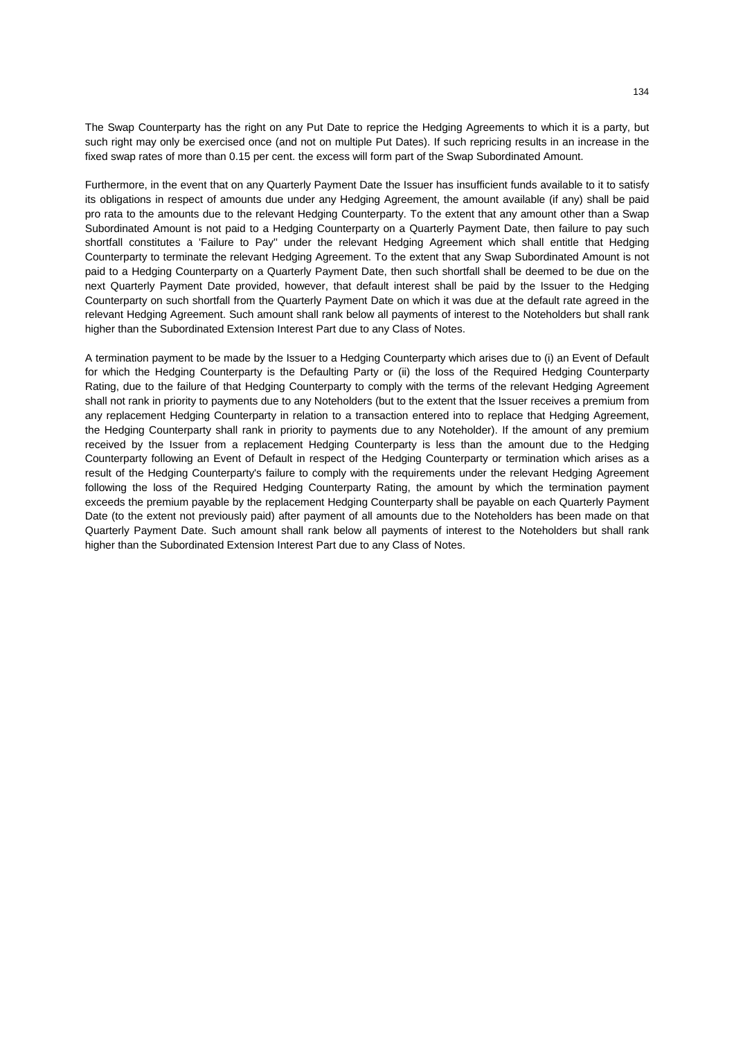The Swap Counterparty has the right on any Put Date to reprice the Hedging Agreements to which it is a party, but such right may only be exercised once (and not on multiple Put Dates). If such repricing results in an increase in the fixed swap rates of more than 0.15 per cent. the excess will form part of the Swap Subordinated Amount.

Furthermore, in the event that on any Quarterly Payment Date the Issuer has insufficient funds available to it to satisfy its obligations in respect of amounts due under any Hedging Agreement, the amount available (if any) shall be paid pro rata to the amounts due to the relevant Hedging Counterparty. To the extent that any amount other than a Swap Subordinated Amount is not paid to a Hedging Counterparty on a Quarterly Payment Date, then failure to pay such shortfall constitutes a 'Failure to Pay'' under the relevant Hedging Agreement which shall entitle that Hedging Counterparty to terminate the relevant Hedging Agreement. To the extent that any Swap Subordinated Amount is not paid to a Hedging Counterparty on a Quarterly Payment Date, then such shortfall shall be deemed to be due on the next Quarterly Payment Date provided, however, that default interest shall be paid by the Issuer to the Hedging Counterparty on such shortfall from the Quarterly Payment Date on which it was due at the default rate agreed in the relevant Hedging Agreement. Such amount shall rank below all payments of interest to the Noteholders but shall rank higher than the Subordinated Extension Interest Part due to any Class of Notes.

A termination payment to be made by the Issuer to a Hedging Counterparty which arises due to (i) an Event of Default for which the Hedging Counterparty is the Defaulting Party or (ii) the loss of the Required Hedging Counterparty Rating, due to the failure of that Hedging Counterparty to comply with the terms of the relevant Hedging Agreement shall not rank in priority to payments due to any Noteholders (but to the extent that the Issuer receives a premium from any replacement Hedging Counterparty in relation to a transaction entered into to replace that Hedging Agreement, the Hedging Counterparty shall rank in priority to payments due to any Noteholder). If the amount of any premium received by the Issuer from a replacement Hedging Counterparty is less than the amount due to the Hedging Counterparty following an Event of Default in respect of the Hedging Counterparty or termination which arises as a result of the Hedging Counterparty's failure to comply with the requirements under the relevant Hedging Agreement following the loss of the Required Hedging Counterparty Rating, the amount by which the termination payment exceeds the premium payable by the replacement Hedging Counterparty shall be payable on each Quarterly Payment Date (to the extent not previously paid) after payment of all amounts due to the Noteholders has been made on that Quarterly Payment Date. Such amount shall rank below all payments of interest to the Noteholders but shall rank higher than the Subordinated Extension Interest Part due to any Class of Notes.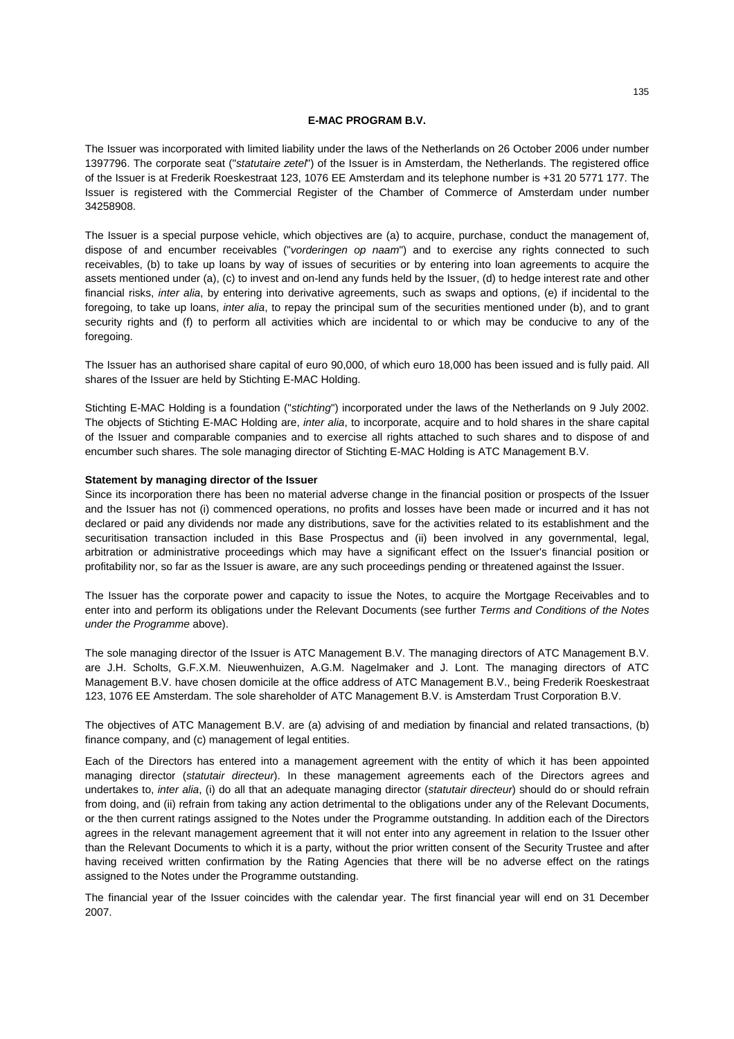## **E-MAC PROGRAM B.V.**

The Issuer was incorporated with limited liability under the laws of the Netherlands on 26 October 2006 under number 1397796. The corporate seat ("*statutaire zetel*") of the Issuer is in Amsterdam, the Netherlands. The registered office of the Issuer is at Frederik Roeskestraat 123, 1076 EE Amsterdam and its telephone number is +31 20 5771 177. The Issuer is registered with the Commercial Register of the Chamber of Commerce of Amsterdam under number 34258908.

The Issuer is a special purpose vehicle, which objectives are (a) to acquire, purchase, conduct the management of, dispose of and encumber receivables ("*vorderingen op naam*") and to exercise any rights connected to such receivables, (b) to take up loans by way of issues of securities or by entering into loan agreements to acquire the assets mentioned under (a), (c) to invest and on-lend any funds held by the Issuer, (d) to hedge interest rate and other financial risks, *inter alia*, by entering into derivative agreements, such as swaps and options, (e) if incidental to the foregoing, to take up loans, *inter alia*, to repay the principal sum of the securities mentioned under (b), and to grant security rights and (f) to perform all activities which are incidental to or which may be conducive to any of the foregoing.

The Issuer has an authorised share capital of euro 90,000, of which euro 18,000 has been issued and is fully paid. All shares of the Issuer are held by Stichting E-MAC Holding.

Stichting E-MAC Holding is a foundation ("*stichting*") incorporated under the laws of the Netherlands on 9 July 2002. The objects of Stichting E-MAC Holding are, *inter alia*, to incorporate, acquire and to hold shares in the share capital of the Issuer and comparable companies and to exercise all rights attached to such shares and to dispose of and encumber such shares. The sole managing director of Stichting E-MAC Holding is ATC Management B.V.

### **Statement by managing director of the Issuer**

Since its incorporation there has been no material adverse change in the financial position or prospects of the Issuer and the Issuer has not (i) commenced operations, no profits and losses have been made or incurred and it has not declared or paid any dividends nor made any distributions, save for the activities related to its establishment and the securitisation transaction included in this Base Prospectus and (ii) been involved in any governmental, legal, arbitration or administrative proceedings which may have a significant effect on the Issuer's financial position or profitability nor, so far as the Issuer is aware, are any such proceedings pending or threatened against the Issuer.

The Issuer has the corporate power and capacity to issue the Notes, to acquire the Mortgage Receivables and to enter into and perform its obligations under the Relevant Documents (see further *Terms and Conditions of the Notes under the Programme* above).

The sole managing director of the Issuer is ATC Management B.V. The managing directors of ATC Management B.V. are J.H. Scholts, G.F.X.M. Nieuwenhuizen, A.G.M. Nagelmaker and J. Lont. The managing directors of ATC Management B.V. have chosen domicile at the office address of ATC Management B.V., being Frederik Roeskestraat 123, 1076 EE Amsterdam. The sole shareholder of ATC Management B.V. is Amsterdam Trust Corporation B.V.

The objectives of ATC Management B.V. are (a) advising of and mediation by financial and related transactions, (b) finance company, and (c) management of legal entities.

Each of the Directors has entered into a management agreement with the entity of which it has been appointed managing director (*statutair directeur*). In these management agreements each of the Directors agrees and undertakes to, *inter alia*, (i) do all that an adequate managing director (*statutair directeur*) should do or should refrain from doing, and (ii) refrain from taking any action detrimental to the obligations under any of the Relevant Documents, or the then current ratings assigned to the Notes under the Programme outstanding. In addition each of the Directors agrees in the relevant management agreement that it will not enter into any agreement in relation to the Issuer other than the Relevant Documents to which it is a party, without the prior written consent of the Security Trustee and after having received written confirmation by the Rating Agencies that there will be no adverse effect on the ratings assigned to the Notes under the Programme outstanding.

The financial year of the Issuer coincides with the calendar year. The first financial year will end on 31 December 2007.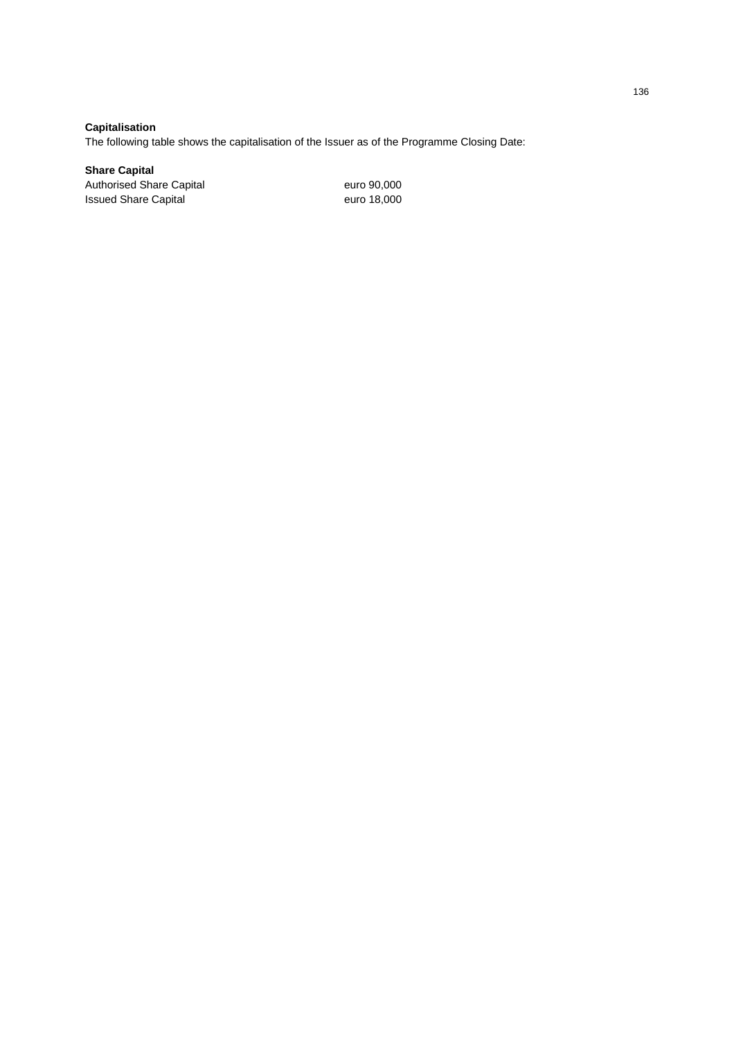**Capitalisation** 

The following table shows the capitalisation of the Issuer as of the Programme Closing Date:

**Share Capital** 

Authorised Share Capital euro 90,000<br>
Issued Share Capital euro 18,000 Issued Share Capital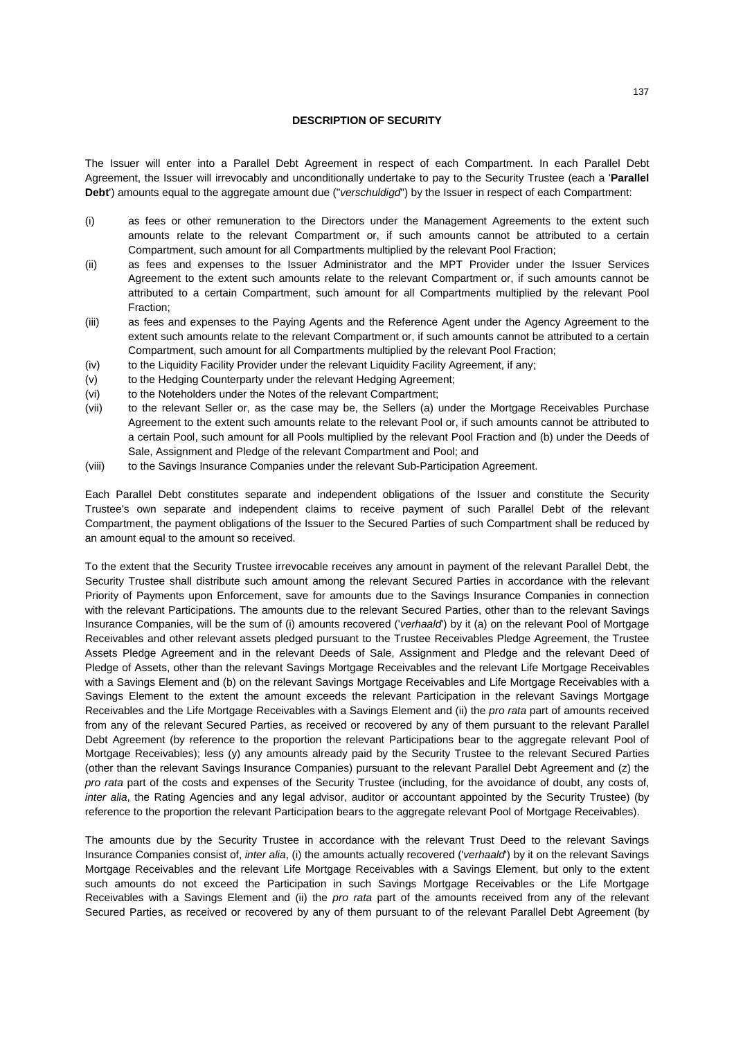## **DESCRIPTION OF SECURITY**

The Issuer will enter into a Parallel Debt Agreement in respect of each Compartment. In each Parallel Debt Agreement, the Issuer will irrevocably and unconditionally undertake to pay to the Security Trustee (each a '**Parallel Debt**') amounts equal to the aggregate amount due ("*verschuldigd*") by the Issuer in respect of each Compartment:

- (i) as fees or other remuneration to the Directors under the Management Agreements to the extent such amounts relate to the relevant Compartment or, if such amounts cannot be attributed to a certain Compartment, such amount for all Compartments multiplied by the relevant Pool Fraction;
- (ii) as fees and expenses to the Issuer Administrator and the MPT Provider under the Issuer Services Agreement to the extent such amounts relate to the relevant Compartment or, if such amounts cannot be attributed to a certain Compartment, such amount for all Compartments multiplied by the relevant Pool Fraction;
- (iii) as fees and expenses to the Paying Agents and the Reference Agent under the Agency Agreement to the extent such amounts relate to the relevant Compartment or, if such amounts cannot be attributed to a certain Compartment, such amount for all Compartments multiplied by the relevant Pool Fraction;
- (iv) to the Liquidity Facility Provider under the relevant Liquidity Facility Agreement, if any;
- (v) to the Hedging Counterparty under the relevant Hedging Agreement;
- (vi) to the Noteholders under the Notes of the relevant Compartment;
- (vii) to the relevant Seller or, as the case may be, the Sellers (a) under the Mortgage Receivables Purchase Agreement to the extent such amounts relate to the relevant Pool or, if such amounts cannot be attributed to a certain Pool, such amount for all Pools multiplied by the relevant Pool Fraction and (b) under the Deeds of Sale, Assignment and Pledge of the relevant Compartment and Pool; and
- (viii) to the Savings Insurance Companies under the relevant Sub-Participation Agreement.

Each Parallel Debt constitutes separate and independent obligations of the Issuer and constitute the Security Trustee's own separate and independent claims to receive payment of such Parallel Debt of the relevant Compartment, the payment obligations of the Issuer to the Secured Parties of such Compartment shall be reduced by an amount equal to the amount so received.

To the extent that the Security Trustee irrevocable receives any amount in payment of the relevant Parallel Debt, the Security Trustee shall distribute such amount among the relevant Secured Parties in accordance with the relevant Priority of Payments upon Enforcement, save for amounts due to the Savings Insurance Companies in connection with the relevant Participations. The amounts due to the relevant Secured Parties, other than to the relevant Savings Insurance Companies, will be the sum of (i) amounts recovered ('*verhaald*') by it (a) on the relevant Pool of Mortgage Receivables and other relevant assets pledged pursuant to the Trustee Receivables Pledge Agreement, the Trustee Assets Pledge Agreement and in the relevant Deeds of Sale, Assignment and Pledge and the relevant Deed of Pledge of Assets, other than the relevant Savings Mortgage Receivables and the relevant Life Mortgage Receivables with a Savings Element and (b) on the relevant Savings Mortgage Receivables and Life Mortgage Receivables with a Savings Element to the extent the amount exceeds the relevant Participation in the relevant Savings Mortgage Receivables and the Life Mortgage Receivables with a Savings Element and (ii) the *pro rata* part of amounts received from any of the relevant Secured Parties, as received or recovered by any of them pursuant to the relevant Parallel Debt Agreement (by reference to the proportion the relevant Participations bear to the aggregate relevant Pool of Mortgage Receivables); less (y) any amounts already paid by the Security Trustee to the relevant Secured Parties (other than the relevant Savings Insurance Companies) pursuant to the relevant Parallel Debt Agreement and (z) the *pro rata* part of the costs and expenses of the Security Trustee (including, for the avoidance of doubt, any costs of, *inter alia*, the Rating Agencies and any legal advisor, auditor or accountant appointed by the Security Trustee) (by reference to the proportion the relevant Participation bears to the aggregate relevant Pool of Mortgage Receivables).

The amounts due by the Security Trustee in accordance with the relevant Trust Deed to the relevant Savings Insurance Companies consist of, *inter alia*, (i) the amounts actually recovered ('*verhaald*') by it on the relevant Savings Mortgage Receivables and the relevant Life Mortgage Receivables with a Savings Element, but only to the extent such amounts do not exceed the Participation in such Savings Mortgage Receivables or the Life Mortgage Receivables with a Savings Element and (ii) the *pro rata* part of the amounts received from any of the relevant Secured Parties, as received or recovered by any of them pursuant to of the relevant Parallel Debt Agreement (by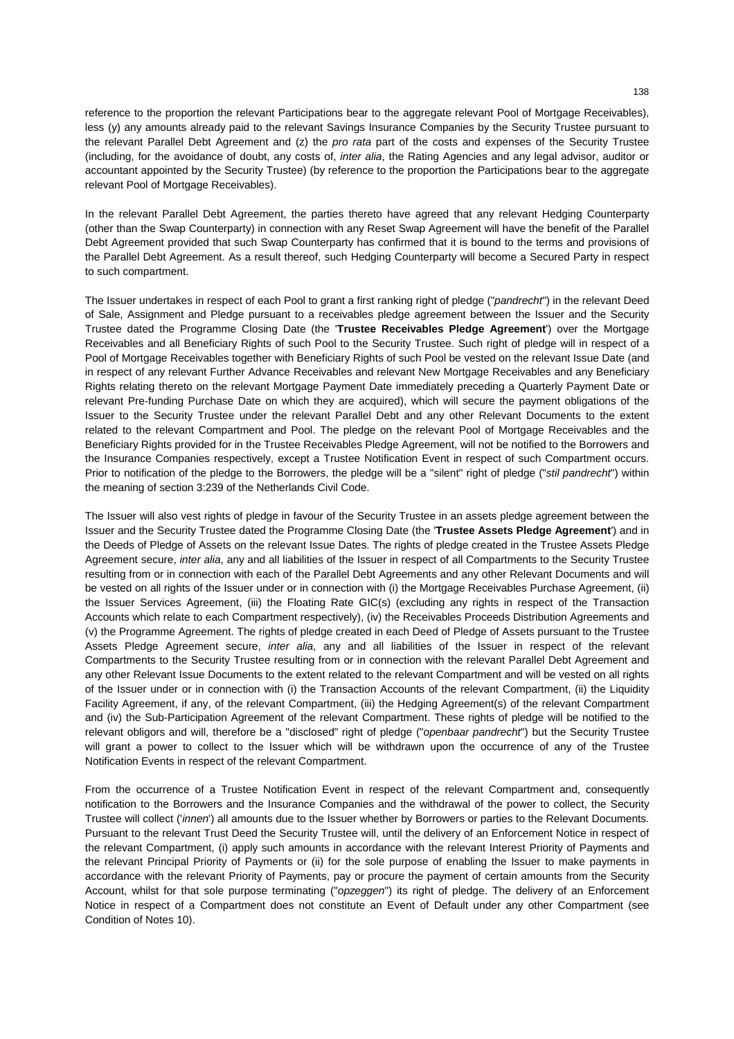reference to the proportion the relevant Participations bear to the aggregate relevant Pool of Mortgage Receivables), less (y) any amounts already paid to the relevant Savings Insurance Companies by the Security Trustee pursuant to the relevant Parallel Debt Agreement and (z) the *pro rata* part of the costs and expenses of the Security Trustee (including, for the avoidance of doubt, any costs of, *inter alia*, the Rating Agencies and any legal advisor, auditor or accountant appointed by the Security Trustee) (by reference to the proportion the Participations bear to the aggregate relevant Pool of Mortgage Receivables).

In the relevant Parallel Debt Agreement, the parties thereto have agreed that any relevant Hedging Counterparty (other than the Swap Counterparty) in connection with any Reset Swap Agreement will have the benefit of the Parallel Debt Agreement provided that such Swap Counterparty has confirmed that it is bound to the terms and provisions of the Parallel Debt Agreement. As a result thereof, such Hedging Counterparty will become a Secured Party in respect to such compartment.

The Issuer undertakes in respect of each Pool to grant a first ranking right of pledge ("*pandrecht*") in the relevant Deed of Sale, Assignment and Pledge pursuant to a receivables pledge agreement between the Issuer and the Security Trustee dated the Programme Closing Date (the '**Trustee Receivables Pledge Agreement**') over the Mortgage Receivables and all Beneficiary Rights of such Pool to the Security Trustee. Such right of pledge will in respect of a Pool of Mortgage Receivables together with Beneficiary Rights of such Pool be vested on the relevant Issue Date (and in respect of any relevant Further Advance Receivables and relevant New Mortgage Receivables and any Beneficiary Rights relating thereto on the relevant Mortgage Payment Date immediately preceding a Quarterly Payment Date or relevant Pre-funding Purchase Date on which they are acquired), which will secure the payment obligations of the Issuer to the Security Trustee under the relevant Parallel Debt and any other Relevant Documents to the extent related to the relevant Compartment and Pool. The pledge on the relevant Pool of Mortgage Receivables and the Beneficiary Rights provided for in the Trustee Receivables Pledge Agreement, will not be notified to the Borrowers and the Insurance Companies respectively, except a Trustee Notification Event in respect of such Compartment occurs. Prior to notification of the pledge to the Borrowers, the pledge will be a "silent" right of pledge ("*stil pandrecht*") within the meaning of section 3:239 of the Netherlands Civil Code.

The Issuer will also vest rights of pledge in favour of the Security Trustee in an assets pledge agreement between the Issuer and the Security Trustee dated the Programme Closing Date (the '**Trustee Assets Pledge Agreement**') and in the Deeds of Pledge of Assets on the relevant Issue Dates. The rights of pledge created in the Trustee Assets Pledge Agreement secure, *inter alia*, any and all liabilities of the Issuer in respect of all Compartments to the Security Trustee resulting from or in connection with each of the Parallel Debt Agreements and any other Relevant Documents and will be vested on all rights of the Issuer under or in connection with (i) the Mortgage Receivables Purchase Agreement, (ii) the Issuer Services Agreement, (iii) the Floating Rate GIC(s) (excluding any rights in respect of the Transaction Accounts which relate to each Compartment respectively), (iv) the Receivables Proceeds Distribution Agreements and (v) the Programme Agreement. The rights of pledge created in each Deed of Pledge of Assets pursuant to the Trustee Assets Pledge Agreement secure, *inter alia*, any and all liabilities of the Issuer in respect of the relevant Compartments to the Security Trustee resulting from or in connection with the relevant Parallel Debt Agreement and any other Relevant Issue Documents to the extent related to the relevant Compartment and will be vested on all rights of the Issuer under or in connection with (i) the Transaction Accounts of the relevant Compartment, (ii) the Liquidity Facility Agreement, if any, of the relevant Compartment, (iii) the Hedging Agreement(s) of the relevant Compartment and (iv) the Sub-Participation Agreement of the relevant Compartment. These rights of pledge will be notified to the relevant obligors and will, therefore be a "disclosed" right of pledge ("*openbaar pandrecht*") but the Security Trustee will grant a power to collect to the Issuer which will be withdrawn upon the occurrence of any of the Trustee Notification Events in respect of the relevant Compartment.

From the occurrence of a Trustee Notification Event in respect of the relevant Compartment and, consequently notification to the Borrowers and the Insurance Companies and the withdrawal of the power to collect, the Security Trustee will collect ('*innen*') all amounts due to the Issuer whether by Borrowers or parties to the Relevant Documents. Pursuant to the relevant Trust Deed the Security Trustee will, until the delivery of an Enforcement Notice in respect of the relevant Compartment, (i) apply such amounts in accordance with the relevant Interest Priority of Payments and the relevant Principal Priority of Payments or (ii) for the sole purpose of enabling the Issuer to make payments in accordance with the relevant Priority of Payments, pay or procure the payment of certain amounts from the Security Account, whilst for that sole purpose terminating ("*opzeggen*") its right of pledge. The delivery of an Enforcement Notice in respect of a Compartment does not constitute an Event of Default under any other Compartment (see Condition of Notes 10).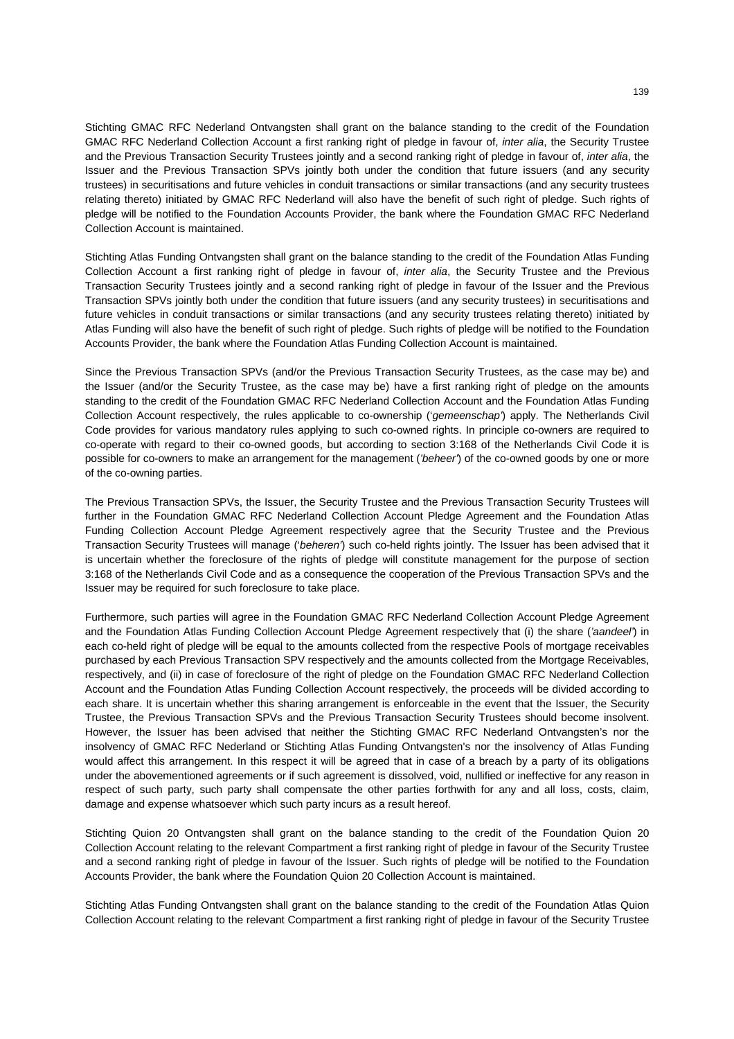Stichting GMAC RFC Nederland Ontvangsten shall grant on the balance standing to the credit of the Foundation GMAC RFC Nederland Collection Account a first ranking right of pledge in favour of, *inter alia*, the Security Trustee and the Previous Transaction Security Trustees jointly and a second ranking right of pledge in favour of, *inter alia*, the Issuer and the Previous Transaction SPVs jointly both under the condition that future issuers (and any security trustees) in securitisations and future vehicles in conduit transactions or similar transactions (and any security trustees relating thereto) initiated by GMAC RFC Nederland will also have the benefit of such right of pledge. Such rights of pledge will be notified to the Foundation Accounts Provider, the bank where the Foundation GMAC RFC Nederland Collection Account is maintained.

Stichting Atlas Funding Ontvangsten shall grant on the balance standing to the credit of the Foundation Atlas Funding Collection Account a first ranking right of pledge in favour of, *inter alia*, the Security Trustee and the Previous Transaction Security Trustees jointly and a second ranking right of pledge in favour of the Issuer and the Previous Transaction SPVs jointly both under the condition that future issuers (and any security trustees) in securitisations and future vehicles in conduit transactions or similar transactions (and any security trustees relating thereto) initiated by Atlas Funding will also have the benefit of such right of pledge. Such rights of pledge will be notified to the Foundation Accounts Provider, the bank where the Foundation Atlas Funding Collection Account is maintained.

Since the Previous Transaction SPVs (and/or the Previous Transaction Security Trustees, as the case may be) and the Issuer (and/or the Security Trustee, as the case may be) have a first ranking right of pledge on the amounts standing to the credit of the Foundation GMAC RFC Nederland Collection Account and the Foundation Atlas Funding Collection Account respectively, the rules applicable to co-ownership ('*gemeenschap'*) apply. The Netherlands Civil Code provides for various mandatory rules applying to such co-owned rights. In principle co-owners are required to co-operate with regard to their co-owned goods, but according to section 3:168 of the Netherlands Civil Code it is possible for co-owners to make an arrangement for the management (*'beheer'*) of the co-owned goods by one or more of the co-owning parties.

The Previous Transaction SPVs, the Issuer, the Security Trustee and the Previous Transaction Security Trustees will further in the Foundation GMAC RFC Nederland Collection Account Pledge Agreement and the Foundation Atlas Funding Collection Account Pledge Agreement respectively agree that the Security Trustee and the Previous Transaction Security Trustees will manage ('*beheren'*) such co-held rights jointly. The Issuer has been advised that it is uncertain whether the foreclosure of the rights of pledge will constitute management for the purpose of section 3:168 of the Netherlands Civil Code and as a consequence the cooperation of the Previous Transaction SPVs and the Issuer may be required for such foreclosure to take place.

Furthermore, such parties will agree in the Foundation GMAC RFC Nederland Collection Account Pledge Agreement and the Foundation Atlas Funding Collection Account Pledge Agreement respectively that (i) the share (*'aandeel'*) in each co-held right of pledge will be equal to the amounts collected from the respective Pools of mortgage receivables purchased by each Previous Transaction SPV respectively and the amounts collected from the Mortgage Receivables, respectively, and (ii) in case of foreclosure of the right of pledge on the Foundation GMAC RFC Nederland Collection Account and the Foundation Atlas Funding Collection Account respectively, the proceeds will be divided according to each share. It is uncertain whether this sharing arrangement is enforceable in the event that the Issuer, the Security Trustee, the Previous Transaction SPVs and the Previous Transaction Security Trustees should become insolvent. However, the Issuer has been advised that neither the Stichting GMAC RFC Nederland Ontvangsten's nor the insolvency of GMAC RFC Nederland or Stichting Atlas Funding Ontvangsten's nor the insolvency of Atlas Funding would affect this arrangement. In this respect it will be agreed that in case of a breach by a party of its obligations under the abovementioned agreements or if such agreement is dissolved, void, nullified or ineffective for any reason in respect of such party, such party shall compensate the other parties forthwith for any and all loss, costs, claim, damage and expense whatsoever which such party incurs as a result hereof.

Stichting Quion 20 Ontvangsten shall grant on the balance standing to the credit of the Foundation Quion 20 Collection Account relating to the relevant Compartment a first ranking right of pledge in favour of the Security Trustee and a second ranking right of pledge in favour of the Issuer. Such rights of pledge will be notified to the Foundation Accounts Provider, the bank where the Foundation Quion 20 Collection Account is maintained.

Stichting Atlas Funding Ontvangsten shall grant on the balance standing to the credit of the Foundation Atlas Quion Collection Account relating to the relevant Compartment a first ranking right of pledge in favour of the Security Trustee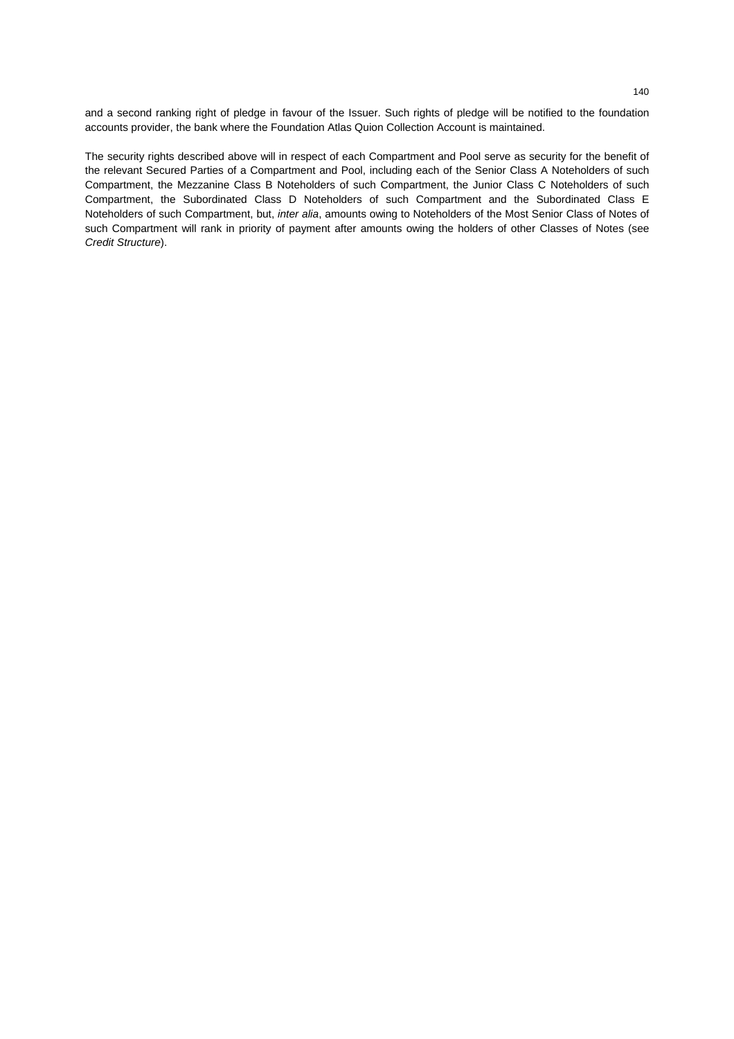and a second ranking right of pledge in favour of the Issuer. Such rights of pledge will be notified to the foundation accounts provider, the bank where the Foundation Atlas Quion Collection Account is maintained.

The security rights described above will in respect of each Compartment and Pool serve as security for the benefit of the relevant Secured Parties of a Compartment and Pool, including each of the Senior Class A Noteholders of such Compartment, the Mezzanine Class B Noteholders of such Compartment, the Junior Class C Noteholders of such Compartment, the Subordinated Class D Noteholders of such Compartment and the Subordinated Class E Noteholders of such Compartment, but, *inter alia*, amounts owing to Noteholders of the Most Senior Class of Notes of such Compartment will rank in priority of payment after amounts owing the holders of other Classes of Notes (see *Credit Structure*).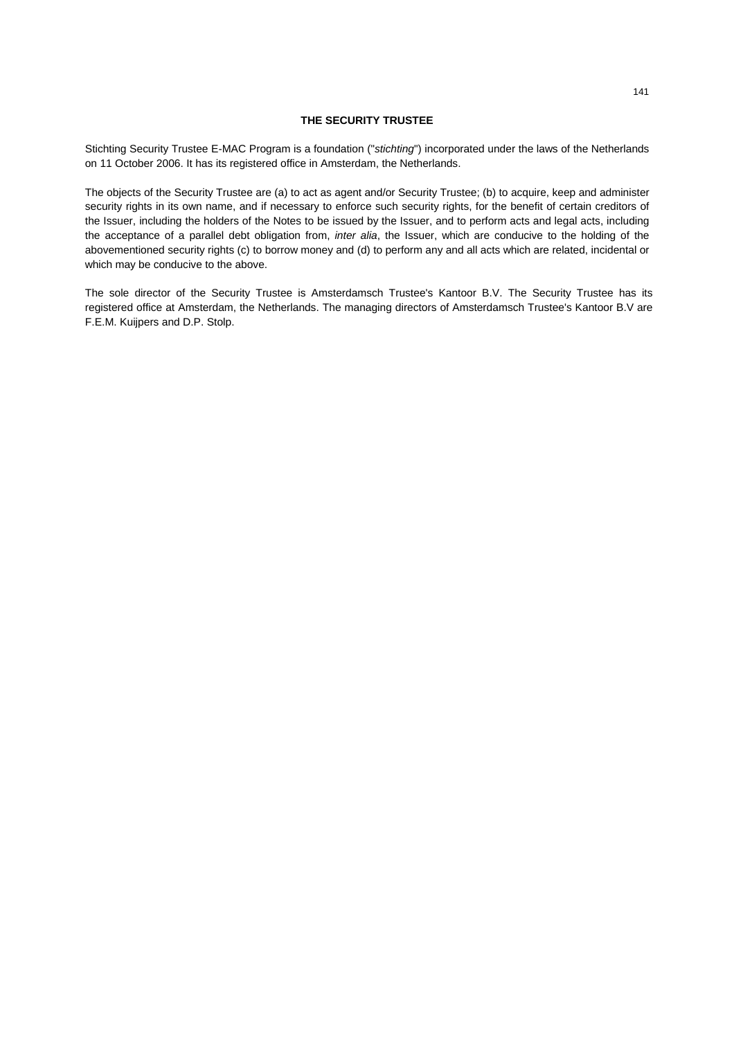## **THE SECURITY TRUSTEE**

Stichting Security Trustee E-MAC Program is a foundation ("*stichting*") incorporated under the laws of the Netherlands on 11 October 2006. It has its registered office in Amsterdam, the Netherlands.

The objects of the Security Trustee are (a) to act as agent and/or Security Trustee; (b) to acquire, keep and administer security rights in its own name, and if necessary to enforce such security rights, for the benefit of certain creditors of the Issuer, including the holders of the Notes to be issued by the Issuer, and to perform acts and legal acts, including the acceptance of a parallel debt obligation from, *inter alia*, the Issuer, which are conducive to the holding of the abovementioned security rights (c) to borrow money and (d) to perform any and all acts which are related, incidental or which may be conducive to the above.

The sole director of the Security Trustee is Amsterdamsch Trustee's Kantoor B.V. The Security Trustee has its registered office at Amsterdam, the Netherlands. The managing directors of Amsterdamsch Trustee's Kantoor B.V are F.E.M. Kuijpers and D.P. Stolp.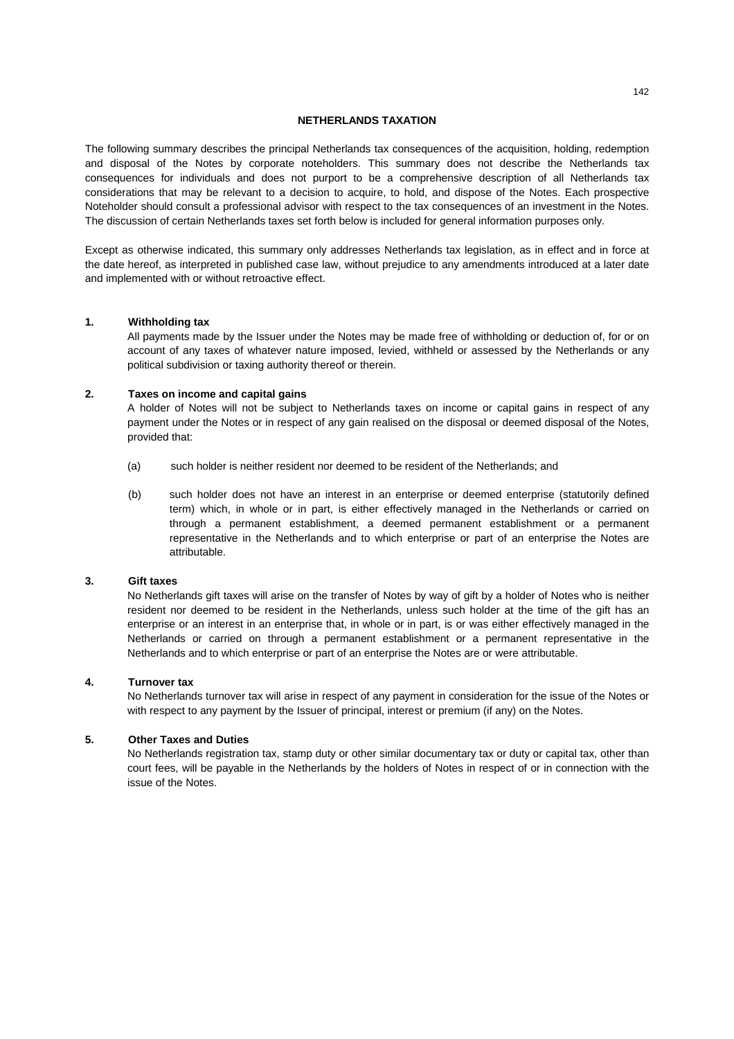## **NETHERLANDS TAXATION**

The following summary describes the principal Netherlands tax consequences of the acquisition, holding, redemption and disposal of the Notes by corporate noteholders. This summary does not describe the Netherlands tax consequences for individuals and does not purport to be a comprehensive description of all Netherlands tax considerations that may be relevant to a decision to acquire, to hold, and dispose of the Notes. Each prospective Noteholder should consult a professional advisor with respect to the tax consequences of an investment in the Notes. The discussion of certain Netherlands taxes set forth below is included for general information purposes only.

Except as otherwise indicated, this summary only addresses Netherlands tax legislation, as in effect and in force at the date hereof, as interpreted in published case law, without prejudice to any amendments introduced at a later date and implemented with or without retroactive effect.

## **1. Withholding tax**

All payments made by the Issuer under the Notes may be made free of withholding or deduction of, for or on account of any taxes of whatever nature imposed, levied, withheld or assessed by the Netherlands or any political subdivision or taxing authority thereof or therein.

### **2. Taxes on income and capital gains**

A holder of Notes will not be subject to Netherlands taxes on income or capital gains in respect of any payment under the Notes or in respect of any gain realised on the disposal or deemed disposal of the Notes, provided that:

- (a) such holder is neither resident nor deemed to be resident of the Netherlands; and
- (b) such holder does not have an interest in an enterprise or deemed enterprise (statutorily defined term) which, in whole or in part, is either effectively managed in the Netherlands or carried on through a permanent establishment, a deemed permanent establishment or a permanent representative in the Netherlands and to which enterprise or part of an enterprise the Notes are attributable.

### **3. Gift taxes**

No Netherlands gift taxes will arise on the transfer of Notes by way of gift by a holder of Notes who is neither resident nor deemed to be resident in the Netherlands, unless such holder at the time of the gift has an enterprise or an interest in an enterprise that, in whole or in part, is or was either effectively managed in the Netherlands or carried on through a permanent establishment or a permanent representative in the Netherlands and to which enterprise or part of an enterprise the Notes are or were attributable.

## **4. Turnover tax**

No Netherlands turnover tax will arise in respect of any payment in consideration for the issue of the Notes or with respect to any payment by the Issuer of principal, interest or premium (if any) on the Notes.

# **5. Other Taxes and Duties**

No Netherlands registration tax, stamp duty or other similar documentary tax or duty or capital tax, other than court fees, will be payable in the Netherlands by the holders of Notes in respect of or in connection with the issue of the Notes.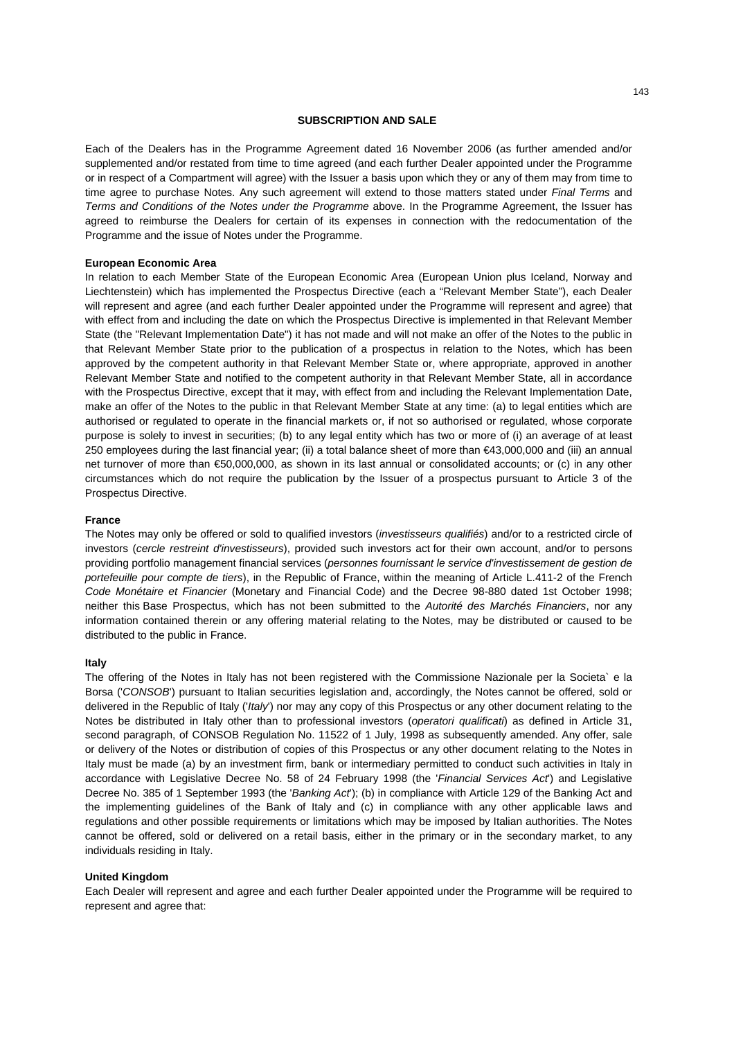### **SUBSCRIPTION AND SALE**

Each of the Dealers has in the Programme Agreement dated 16 November 2006 (as further amended and/or supplemented and/or restated from time to time agreed (and each further Dealer appointed under the Programme or in respect of a Compartment will agree) with the Issuer a basis upon which they or any of them may from time to time agree to purchase Notes. Any such agreement will extend to those matters stated under *Final Terms* and *Terms and Conditions of the Notes under the Programme* above. In the Programme Agreement, the Issuer has agreed to reimburse the Dealers for certain of its expenses in connection with the redocumentation of the Programme and the issue of Notes under the Programme.

## **European Economic Area**

In relation to each Member State of the European Economic Area (European Union plus Iceland, Norway and Liechtenstein) which has implemented the Prospectus Directive (each a "Relevant Member State"), each Dealer will represent and agree (and each further Dealer appointed under the Programme will represent and agree) that with effect from and including the date on which the Prospectus Directive is implemented in that Relevant Member State (the "Relevant Implementation Date") it has not made and will not make an offer of the Notes to the public in that Relevant Member State prior to the publication of a prospectus in relation to the Notes, which has been approved by the competent authority in that Relevant Member State or, where appropriate, approved in another Relevant Member State and notified to the competent authority in that Relevant Member State, all in accordance with the Prospectus Directive, except that it may, with effect from and including the Relevant Implementation Date, make an offer of the Notes to the public in that Relevant Member State at any time: (a) to legal entities which are authorised or regulated to operate in the financial markets or, if not so authorised or regulated, whose corporate purpose is solely to invest in securities; (b) to any legal entity which has two or more of (i) an average of at least 250 employees during the last financial year; (ii) a total balance sheet of more than €43,000,000 and (iii) an annual net turnover of more than €50,000,000, as shown in its last annual or consolidated accounts; or (c) in any other circumstances which do not require the publication by the Issuer of a prospectus pursuant to Article 3 of the Prospectus Directive.

## **France**

The Notes may only be offered or sold to qualified investors (*investisseurs qualifiés*) and/or to a restricted circle of investors (*cercle restreint d'investisseurs*), provided such investors act for their own account, and/or to persons providing portfolio management financial services (*personnes fournissant le service d'investissement de gestion de portefeuille pour compte de tiers*), in the Republic of France, within the meaning of Article L.411-2 of the French *Code Monétaire et Financier* (Monetary and Financial Code) and the Decree 98-880 dated 1st October 1998; neither this Base Prospectus, which has not been submitted to the *Autorité des Marchés Financiers*, nor any information contained therein or any offering material relating to the Notes, may be distributed or caused to be distributed to the public in France.

#### **Italy**

The offering of the Notes in Italy has not been registered with the Commissione Nazionale per la Societa` e la Borsa ('*CONSOB*') pursuant to Italian securities legislation and, accordingly, the Notes cannot be offered, sold or delivered in the Republic of Italy ('*Italy*') nor may any copy of this Prospectus or any other document relating to the Notes be distributed in Italy other than to professional investors (*operatori qualificati*) as defined in Article 31, second paragraph, of CONSOB Regulation No. 11522 of 1 July, 1998 as subsequently amended. Any offer, sale or delivery of the Notes or distribution of copies of this Prospectus or any other document relating to the Notes in Italy must be made (a) by an investment firm, bank or intermediary permitted to conduct such activities in Italy in accordance with Legislative Decree No. 58 of 24 February 1998 (the '*Financial Services Act*') and Legislative Decree No. 385 of 1 September 1993 (the '*Banking Act*'); (b) in compliance with Article 129 of the Banking Act and the implementing guidelines of the Bank of Italy and (c) in compliance with any other applicable laws and regulations and other possible requirements or limitations which may be imposed by Italian authorities. The Notes cannot be offered, sold or delivered on a retail basis, either in the primary or in the secondary market, to any individuals residing in Italy.

### **United Kingdom**

Each Dealer will represent and agree and each further Dealer appointed under the Programme will be required to represent and agree that: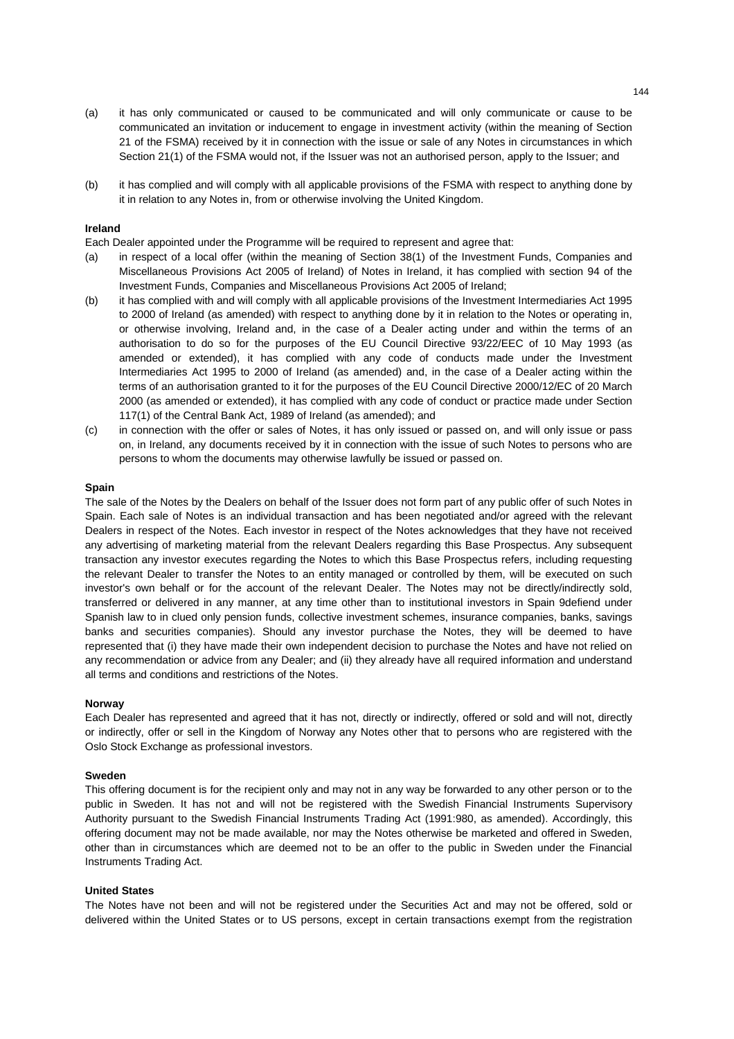- (a) it has only communicated or caused to be communicated and will only communicate or cause to be communicated an invitation or inducement to engage in investment activity (within the meaning of Section 21 of the FSMA) received by it in connection with the issue or sale of any Notes in circumstances in which Section 21(1) of the FSMA would not, if the Issuer was not an authorised person, apply to the Issuer; and
- (b) it has complied and will comply with all applicable provisions of the FSMA with respect to anything done by it in relation to any Notes in, from or otherwise involving the United Kingdom.

### **Ireland**

Each Dealer appointed under the Programme will be required to represent and agree that:

- (a) in respect of a local offer (within the meaning of Section 38(1) of the Investment Funds, Companies and Miscellaneous Provisions Act 2005 of Ireland) of Notes in Ireland, it has complied with section 94 of the Investment Funds, Companies and Miscellaneous Provisions Act 2005 of Ireland;
- (b) it has complied with and will comply with all applicable provisions of the Investment Intermediaries Act 1995 to 2000 of Ireland (as amended) with respect to anything done by it in relation to the Notes or operating in, or otherwise involving, Ireland and, in the case of a Dealer acting under and within the terms of an authorisation to do so for the purposes of the EU Council Directive 93/22/EEC of 10 May 1993 (as amended or extended), it has complied with any code of conducts made under the Investment Intermediaries Act 1995 to 2000 of Ireland (as amended) and, in the case of a Dealer acting within the terms of an authorisation granted to it for the purposes of the EU Council Directive 2000/12/EC of 20 March 2000 (as amended or extended), it has complied with any code of conduct or practice made under Section 117(1) of the Central Bank Act, 1989 of Ireland (as amended); and
- (c) in connection with the offer or sales of Notes, it has only issued or passed on, and will only issue or pass on, in Ireland, any documents received by it in connection with the issue of such Notes to persons who are persons to whom the documents may otherwise lawfully be issued or passed on.

### **Spain**

The sale of the Notes by the Dealers on behalf of the Issuer does not form part of any public offer of such Notes in Spain. Each sale of Notes is an individual transaction and has been negotiated and/or agreed with the relevant Dealers in respect of the Notes. Each investor in respect of the Notes acknowledges that they have not received any advertising of marketing material from the relevant Dealers regarding this Base Prospectus. Any subsequent transaction any investor executes regarding the Notes to which this Base Prospectus refers, including requesting the relevant Dealer to transfer the Notes to an entity managed or controlled by them, will be executed on such investor's own behalf or for the account of the relevant Dealer. The Notes may not be directly/indirectly sold, transferred or delivered in any manner, at any time other than to institutional investors in Spain 9defiend under Spanish law to in clued only pension funds, collective investment schemes, insurance companies, banks, savings banks and securities companies). Should any investor purchase the Notes, they will be deemed to have represented that (i) they have made their own independent decision to purchase the Notes and have not relied on any recommendation or advice from any Dealer; and (ii) they already have all required information and understand all terms and conditions and restrictions of the Notes.

#### **Norway**

Each Dealer has represented and agreed that it has not, directly or indirectly, offered or sold and will not, directly or indirectly, offer or sell in the Kingdom of Norway any Notes other that to persons who are registered with the Oslo Stock Exchange as professional investors.

## **Sweden**

This offering document is for the recipient only and may not in any way be forwarded to any other person or to the public in Sweden. It has not and will not be registered with the Swedish Financial Instruments Supervisory Authority pursuant to the Swedish Financial Instruments Trading Act (1991:980, as amended). Accordingly, this offering document may not be made available, nor may the Notes otherwise be marketed and offered in Sweden, other than in circumstances which are deemed not to be an offer to the public in Sweden under the Financial Instruments Trading Act.

#### **United States**

The Notes have not been and will not be registered under the Securities Act and may not be offered, sold or delivered within the United States or to US persons, except in certain transactions exempt from the registration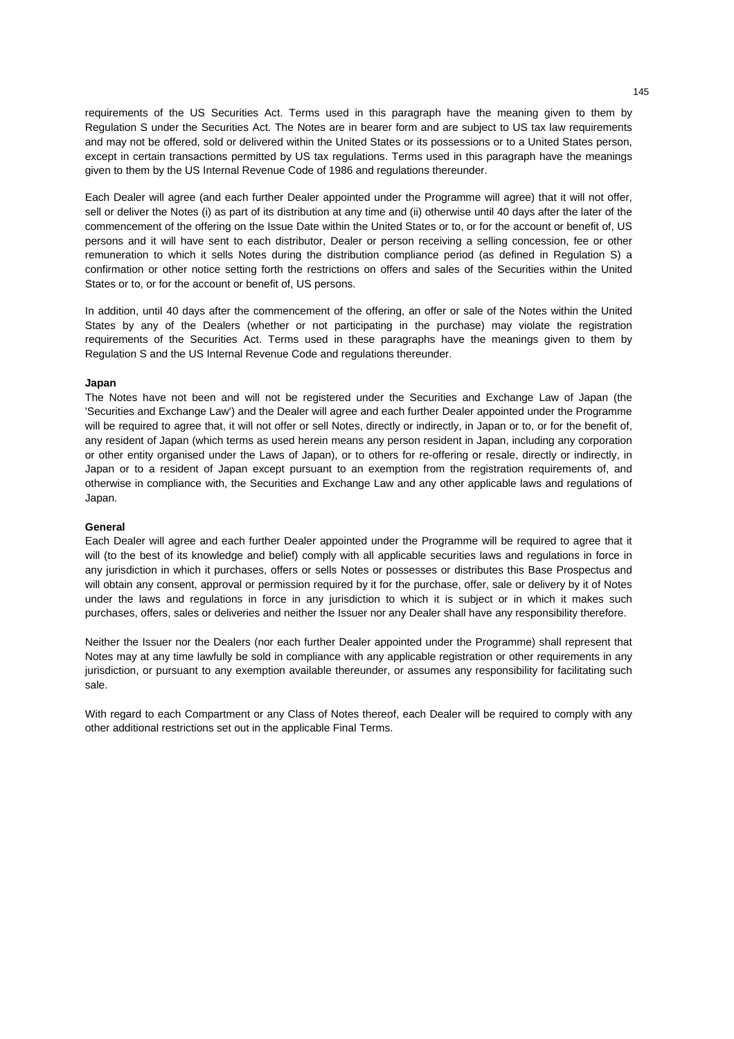requirements of the US Securities Act. Terms used in this paragraph have the meaning given to them by Regulation S under the Securities Act. The Notes are in bearer form and are subject to US tax law requirements and may not be offered, sold or delivered within the United States or its possessions or to a United States person, except in certain transactions permitted by US tax regulations. Terms used in this paragraph have the meanings given to them by the US Internal Revenue Code of 1986 and regulations thereunder.

Each Dealer will agree (and each further Dealer appointed under the Programme will agree) that it will not offer, sell or deliver the Notes (i) as part of its distribution at any time and (ii) otherwise until 40 days after the later of the commencement of the offering on the Issue Date within the United States or to, or for the account or benefit of, US persons and it will have sent to each distributor, Dealer or person receiving a selling concession, fee or other remuneration to which it sells Notes during the distribution compliance period (as defined in Regulation S) a confirmation or other notice setting forth the restrictions on offers and sales of the Securities within the United States or to, or for the account or benefit of, US persons.

In addition, until 40 days after the commencement of the offering, an offer or sale of the Notes within the United States by any of the Dealers (whether or not participating in the purchase) may violate the registration requirements of the Securities Act. Terms used in these paragraphs have the meanings given to them by Regulation S and the US Internal Revenue Code and regulations thereunder.

#### **Japan**

The Notes have not been and will not be registered under the Securities and Exchange Law of Japan (the 'Securities and Exchange Law') and the Dealer will agree and each further Dealer appointed under the Programme will be required to agree that, it will not offer or sell Notes, directly or indirectly, in Japan or to, or for the benefit of, any resident of Japan (which terms as used herein means any person resident in Japan, including any corporation or other entity organised under the Laws of Japan), or to others for re-offering or resale, directly or indirectly, in Japan or to a resident of Japan except pursuant to an exemption from the registration requirements of, and otherwise in compliance with, the Securities and Exchange Law and any other applicable laws and regulations of Japan.

#### **General**

Each Dealer will agree and each further Dealer appointed under the Programme will be required to agree that it will (to the best of its knowledge and belief) comply with all applicable securities laws and regulations in force in any jurisdiction in which it purchases, offers or sells Notes or possesses or distributes this Base Prospectus and will obtain any consent, approval or permission required by it for the purchase, offer, sale or delivery by it of Notes under the laws and regulations in force in any jurisdiction to which it is subject or in which it makes such purchases, offers, sales or deliveries and neither the Issuer nor any Dealer shall have any responsibility therefore.

Neither the Issuer nor the Dealers (nor each further Dealer appointed under the Programme) shall represent that Notes may at any time lawfully be sold in compliance with any applicable registration or other requirements in any jurisdiction, or pursuant to any exemption available thereunder, or assumes any responsibility for facilitating such sale.

With regard to each Compartment or any Class of Notes thereof, each Dealer will be required to comply with any other additional restrictions set out in the applicable Final Terms.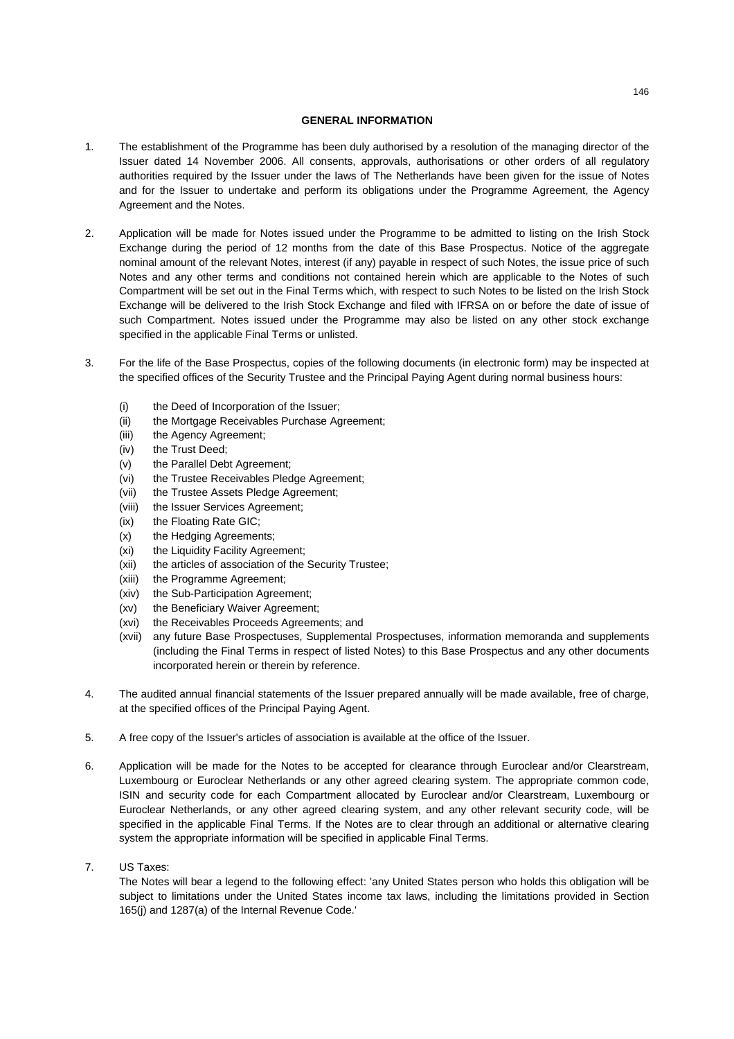## **GENERAL INFORMATION**

- 1. The establishment of the Programme has been duly authorised by a resolution of the managing director of the Issuer dated 14 November 2006. All consents, approvals, authorisations or other orders of all regulatory authorities required by the Issuer under the laws of The Netherlands have been given for the issue of Notes and for the Issuer to undertake and perform its obligations under the Programme Agreement, the Agency Agreement and the Notes.
- 2. Application will be made for Notes issued under the Programme to be admitted to listing on the Irish Stock Exchange during the period of 12 months from the date of this Base Prospectus. Notice of the aggregate nominal amount of the relevant Notes, interest (if any) payable in respect of such Notes, the issue price of such Notes and any other terms and conditions not contained herein which are applicable to the Notes of such Compartment will be set out in the Final Terms which, with respect to such Notes to be listed on the Irish Stock Exchange will be delivered to the Irish Stock Exchange and filed with IFRSA on or before the date of issue of such Compartment. Notes issued under the Programme may also be listed on any other stock exchange specified in the applicable Final Terms or unlisted.
- 3. For the life of the Base Prospectus, copies of the following documents (in electronic form) may be inspected at the specified offices of the Security Trustee and the Principal Paying Agent during normal business hours:
	- (i) the Deed of Incorporation of the Issuer;
	- (ii) the Mortgage Receivables Purchase Agreement;
	- (iii) the Agency Agreement;
	- (iv) the Trust Deed;
	- (v) the Parallel Debt Agreement;
	- (vi) the Trustee Receivables Pledge Agreement;
	- (vii) the Trustee Assets Pledge Agreement;
	- (viii) the Issuer Services Agreement;
	- (ix) the Floating Rate GIC;
	- (x) the Hedging Agreements;
	- (xi) the Liquidity Facility Agreement;
	- (xii) the articles of association of the Security Trustee;
	- (xiii) the Programme Agreement;
	- (xiv) the Sub-Participation Agreement;
	- (xv) the Beneficiary Waiver Agreement;
	- (xvi) the Receivables Proceeds Agreements; and
	- (xvii) any future Base Prospectuses, Supplemental Prospectuses, information memoranda and supplements (including the Final Terms in respect of listed Notes) to this Base Prospectus and any other documents incorporated herein or therein by reference.
- 4. The audited annual financial statements of the Issuer prepared annually will be made available, free of charge, at the specified offices of the Principal Paying Agent.
- 5. A free copy of the Issuer's articles of association is available at the office of the Issuer.
- 6. Application will be made for the Notes to be accepted for clearance through Euroclear and/or Clearstream, Luxembourg or Euroclear Netherlands or any other agreed clearing system. The appropriate common code, ISIN and security code for each Compartment allocated by Euroclear and/or Clearstream, Luxembourg or Euroclear Netherlands, or any other agreed clearing system, and any other relevant security code, will be specified in the applicable Final Terms. If the Notes are to clear through an additional or alternative clearing system the appropriate information will be specified in applicable Final Terms.
- 7. US Taxes:

The Notes will bear a legend to the following effect: 'any United States person who holds this obligation will be subject to limitations under the United States income tax laws, including the limitations provided in Section 165(j) and 1287(a) of the Internal Revenue Code.'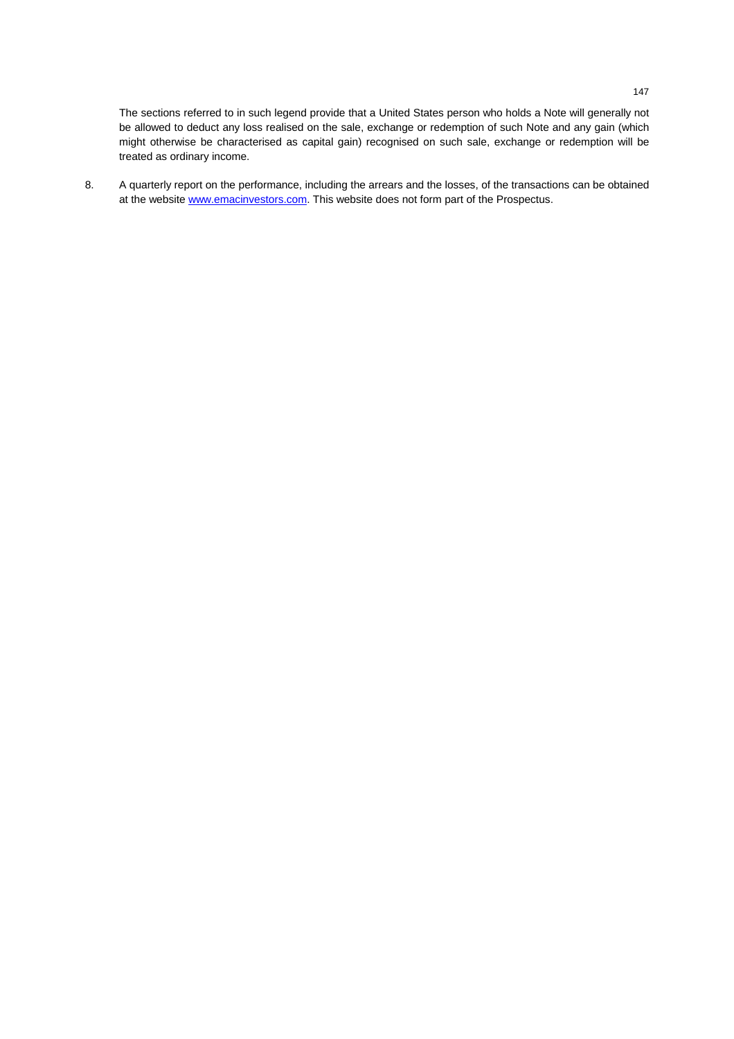The sections referred to in such legend provide that a United States person who holds a Note will generally not be allowed to deduct any loss realised on the sale, exchange or redemption of such Note and any gain (which might otherwise be characterised as capital gain) recognised on such sale, exchange or redemption will be treated as ordinary income.

8. A quarterly report on the performance, including the arrears and the losses, of the transactions can be obtained at the website www.emacinvestors.com. This website does not form part of the Prospectus.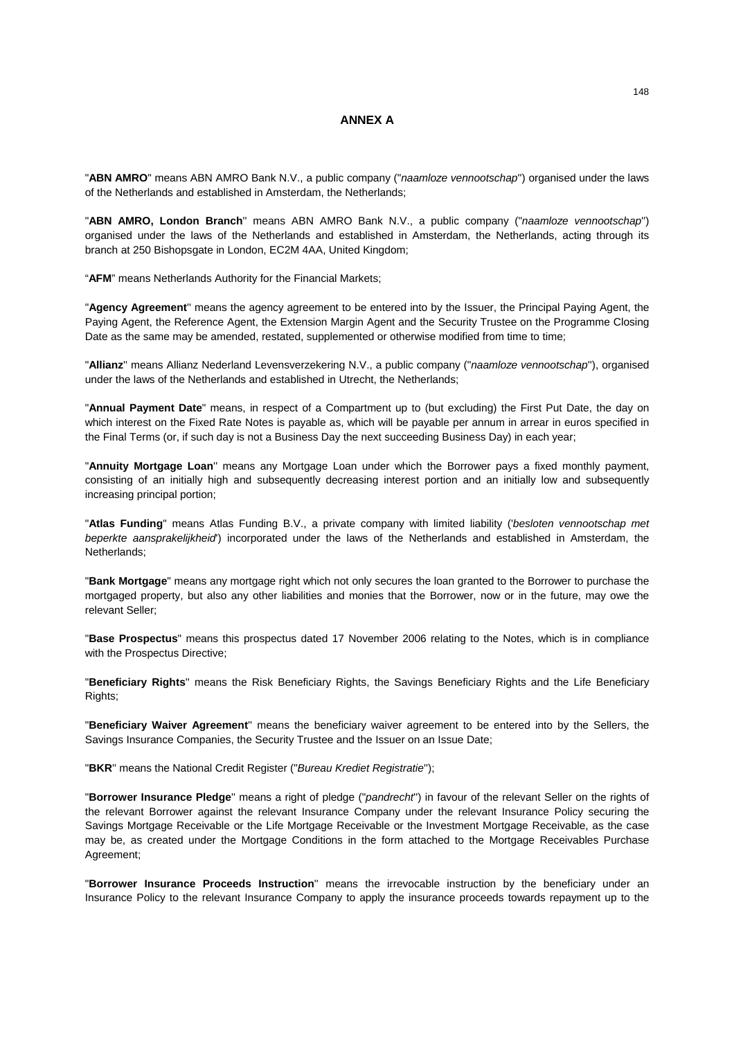# **ANNEX A**

"**ABN AMRO**" means ABN AMRO Bank N.V., a public company ("*naamloze vennootschap*'') organised under the laws of the Netherlands and established in Amsterdam, the Netherlands;

"**ABN AMRO, London Branch**'' means ABN AMRO Bank N.V., a public company ("*naamloze vennootschap*'') organised under the laws of the Netherlands and established in Amsterdam, the Netherlands, acting through its branch at 250 Bishopsgate in London, EC2M 4AA, United Kingdom;

"**AFM**" means Netherlands Authority for the Financial Markets;

"**Agency Agreement**'' means the agency agreement to be entered into by the Issuer, the Principal Paying Agent, the Paying Agent, the Reference Agent, the Extension Margin Agent and the Security Trustee on the Programme Closing Date as the same may be amended, restated, supplemented or otherwise modified from time to time;

"**Allianz**'' means Allianz Nederland Levensverzekering N.V., a public company ("*naamloze vennootschap*''), organised under the laws of the Netherlands and established in Utrecht, the Netherlands;

"**Annual Payment Date**" means, in respect of a Compartment up to (but excluding) the First Put Date, the day on which interest on the Fixed Rate Notes is payable as, which will be payable per annum in arrear in euros specified in the Final Terms (or, if such day is not a Business Day the next succeeding Business Day) in each year;

"**Annuity Mortgage Loan**'' means any Mortgage Loan under which the Borrower pays a fixed monthly payment, consisting of an initially high and subsequently decreasing interest portion and an initially low and subsequently increasing principal portion;

"**Atlas Funding**" means Atlas Funding B.V., a private company with limited liability ('*besloten vennootschap met beperkte aansprakelijkheid*') incorporated under the laws of the Netherlands and established in Amsterdam, the Netherlands;

"**Bank Mortgage**" means any mortgage right which not only secures the loan granted to the Borrower to purchase the mortgaged property, but also any other liabilities and monies that the Borrower, now or in the future, may owe the relevant Seller;

"**Base Prospectus**" means this prospectus dated 17 November 2006 relating to the Notes, which is in compliance with the Prospectus Directive;

"**Beneficiary Rights**'' means the Risk Beneficiary Rights, the Savings Beneficiary Rights and the Life Beneficiary Rights;

"**Beneficiary Waiver Agreement**'' means the beneficiary waiver agreement to be entered into by the Sellers, the Savings Insurance Companies, the Security Trustee and the Issuer on an Issue Date;

"**BKR**'' means the National Credit Register ("*Bureau Krediet Registratie*'');

"**Borrower Insurance Pledge**'' means a right of pledge ("*pandrecht*'') in favour of the relevant Seller on the rights of the relevant Borrower against the relevant Insurance Company under the relevant Insurance Policy securing the Savings Mortgage Receivable or the Life Mortgage Receivable or the Investment Mortgage Receivable, as the case may be, as created under the Mortgage Conditions in the form attached to the Mortgage Receivables Purchase Agreement;

"**Borrower Insurance Proceeds Instruction**'' means the irrevocable instruction by the beneficiary under an Insurance Policy to the relevant Insurance Company to apply the insurance proceeds towards repayment up to the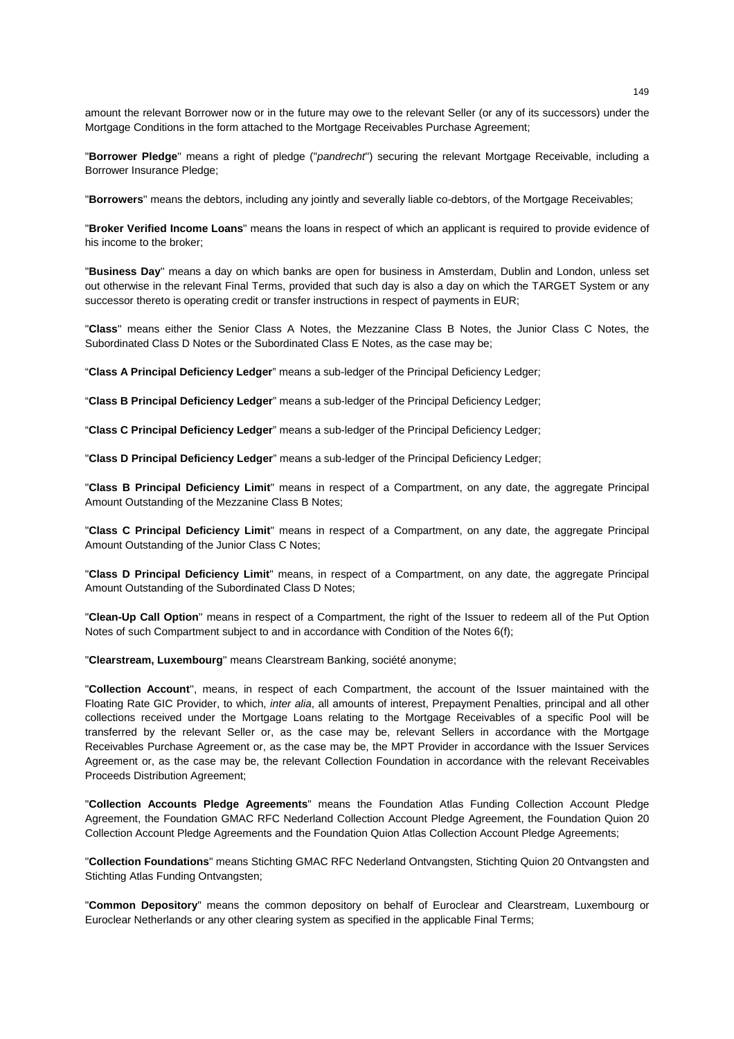amount the relevant Borrower now or in the future may owe to the relevant Seller (or any of its successors) under the Mortgage Conditions in the form attached to the Mortgage Receivables Purchase Agreement;

"**Borrower Pledge**'' means a right of pledge ("*pandrecht*'') securing the relevant Mortgage Receivable, including a Borrower Insurance Pledge;

"**Borrowers**'' means the debtors, including any jointly and severally liable co-debtors, of the Mortgage Receivables;

"**Broker Verified Income Loans**" means the loans in respect of which an applicant is required to provide evidence of his income to the broker;

"**Business Day**'' means a day on which banks are open for business in Amsterdam, Dublin and London, unless set out otherwise in the relevant Final Terms, provided that such day is also a day on which the TARGET System or any successor thereto is operating credit or transfer instructions in respect of payments in EUR;

"**Class**'' means either the Senior Class A Notes, the Mezzanine Class B Notes, the Junior Class C Notes, the Subordinated Class D Notes or the Subordinated Class E Notes, as the case may be;

"**Class A Principal Deficiency Ledger**" means a sub-ledger of the Principal Deficiency Ledger;

"**Class B Principal Deficiency Ledger**" means a sub-ledger of the Principal Deficiency Ledger;

"**Class C Principal Deficiency Ledger**" means a sub-ledger of the Principal Deficiency Ledger;

"**Class D Principal Deficiency Ledger**" means a sub-ledger of the Principal Deficiency Ledger;

"**Class B Principal Deficiency Limit**" means in respect of a Compartment, on any date, the aggregate Principal Amount Outstanding of the Mezzanine Class B Notes;

"**Class C Principal Deficiency Limit**" means in respect of a Compartment, on any date, the aggregate Principal Amount Outstanding of the Junior Class C Notes;

"**Class D Principal Deficiency Limit**" means, in respect of a Compartment, on any date, the aggregate Principal Amount Outstanding of the Subordinated Class D Notes;

"**Clean-Up Call Option**'' means in respect of a Compartment, the right of the Issuer to redeem all of the Put Option Notes of such Compartment subject to and in accordance with Condition of the Notes 6(f);

"**Clearstream, Luxembourg**'' means Clearstream Banking, société anonyme;

"**Collection Account**'', means, in respect of each Compartment, the account of the Issuer maintained with the Floating Rate GIC Provider, to which, *inter alia*, all amounts of interest, Prepayment Penalties, principal and all other collections received under the Mortgage Loans relating to the Mortgage Receivables of a specific Pool will be transferred by the relevant Seller or, as the case may be, relevant Sellers in accordance with the Mortgage Receivables Purchase Agreement or, as the case may be, the MPT Provider in accordance with the Issuer Services Agreement or, as the case may be, the relevant Collection Foundation in accordance with the relevant Receivables Proceeds Distribution Agreement;

"**Collection Accounts Pledge Agreements**" means the Foundation Atlas Funding Collection Account Pledge Agreement, the Foundation GMAC RFC Nederland Collection Account Pledge Agreement, the Foundation Quion 20 Collection Account Pledge Agreements and the Foundation Quion Atlas Collection Account Pledge Agreements;

"**Collection Foundations**" means Stichting GMAC RFC Nederland Ontvangsten, Stichting Quion 20 Ontvangsten and Stichting Atlas Funding Ontvangsten:

"**Common Depository**" means the common depository on behalf of Euroclear and Clearstream, Luxembourg or Euroclear Netherlands or any other clearing system as specified in the applicable Final Terms;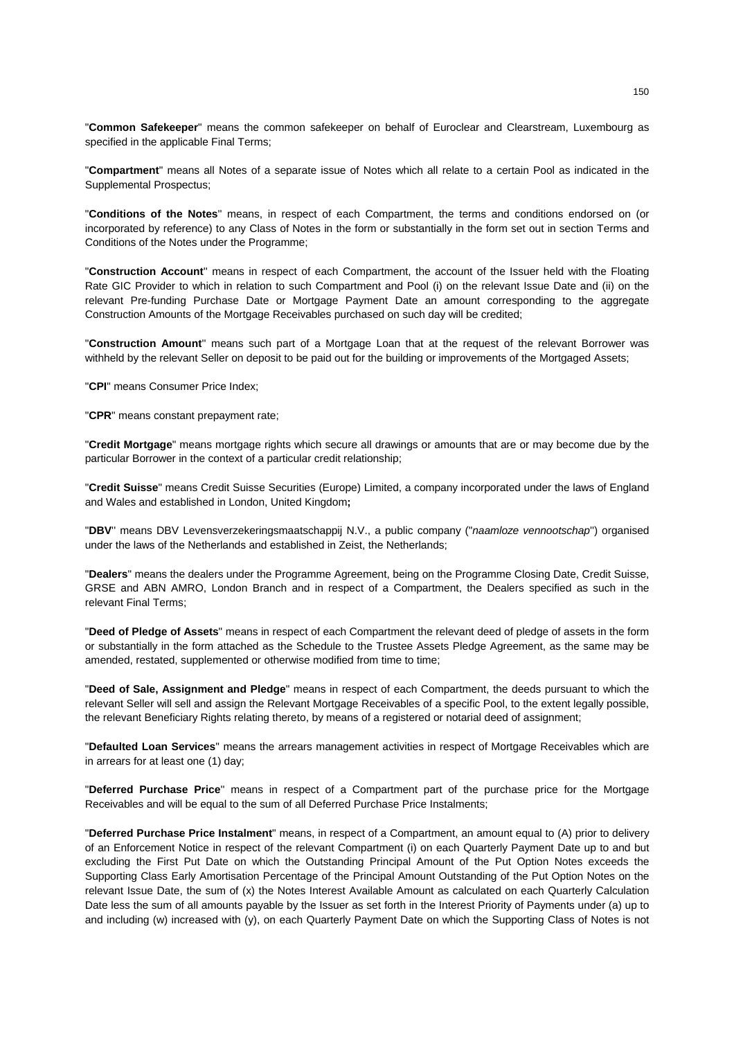"**Common Safekeeper**" means the common safekeeper on behalf of Euroclear and Clearstream, Luxembourg as specified in the applicable Final Terms;

"**Compartment**" means all Notes of a separate issue of Notes which all relate to a certain Pool as indicated in the Supplemental Prospectus;

"**Conditions of the Notes**'' means, in respect of each Compartment, the terms and conditions endorsed on (or incorporated by reference) to any Class of Notes in the form or substantially in the form set out in section Terms and Conditions of the Notes under the Programme;

"**Construction Account**'' means in respect of each Compartment, the account of the Issuer held with the Floating Rate GIC Provider to which in relation to such Compartment and Pool (i) on the relevant Issue Date and (ii) on the relevant Pre-funding Purchase Date or Mortgage Payment Date an amount corresponding to the aggregate Construction Amounts of the Mortgage Receivables purchased on such day will be credited;

"**Construction Amount**'' means such part of a Mortgage Loan that at the request of the relevant Borrower was withheld by the relevant Seller on deposit to be paid out for the building or improvements of the Mortgaged Assets;

"**CPI**" means Consumer Price Index;

"**CPR**" means constant prepayment rate;

"**Credit Mortgage**" means mortgage rights which secure all drawings or amounts that are or may become due by the particular Borrower in the context of a particular credit relationship;

"**Credit Suisse**" means Credit Suisse Securities (Europe) Limited, a company incorporated under the laws of England and Wales and established in London, United Kingdom**;** 

"**DBV**'' means DBV Levensverzekeringsmaatschappij N.V., a public company ("*naamloze vennootschap*'') organised under the laws of the Netherlands and established in Zeist, the Netherlands;

"**Dealers**" means the dealers under the Programme Agreement, being on the Programme Closing Date, Credit Suisse, GRSE and ABN AMRO, London Branch and in respect of a Compartment, the Dealers specified as such in the relevant Final Terms;

"**Deed of Pledge of Assets**" means in respect of each Compartment the relevant deed of pledge of assets in the form or substantially in the form attached as the Schedule to the Trustee Assets Pledge Agreement, as the same may be amended, restated, supplemented or otherwise modified from time to time;

"**Deed of Sale, Assignment and Pledge**" means in respect of each Compartment, the deeds pursuant to which the relevant Seller will sell and assign the Relevant Mortgage Receivables of a specific Pool, to the extent legally possible, the relevant Beneficiary Rights relating thereto, by means of a registered or notarial deed of assignment;

"**Defaulted Loan Services**'' means the arrears management activities in respect of Mortgage Receivables which are in arrears for at least one (1) day;

"**Deferred Purchase Price**'' means in respect of a Compartment part of the purchase price for the Mortgage Receivables and will be equal to the sum of all Deferred Purchase Price Instalments;

"**Deferred Purchase Price Instalment**" means, in respect of a Compartment, an amount equal to (A) prior to delivery of an Enforcement Notice in respect of the relevant Compartment (i) on each Quarterly Payment Date up to and but excluding the First Put Date on which the Outstanding Principal Amount of the Put Option Notes exceeds the Supporting Class Early Amortisation Percentage of the Principal Amount Outstanding of the Put Option Notes on the relevant Issue Date, the sum of (x) the Notes Interest Available Amount as calculated on each Quarterly Calculation Date less the sum of all amounts payable by the Issuer as set forth in the Interest Priority of Payments under (a) up to and including (w) increased with (y), on each Quarterly Payment Date on which the Supporting Class of Notes is not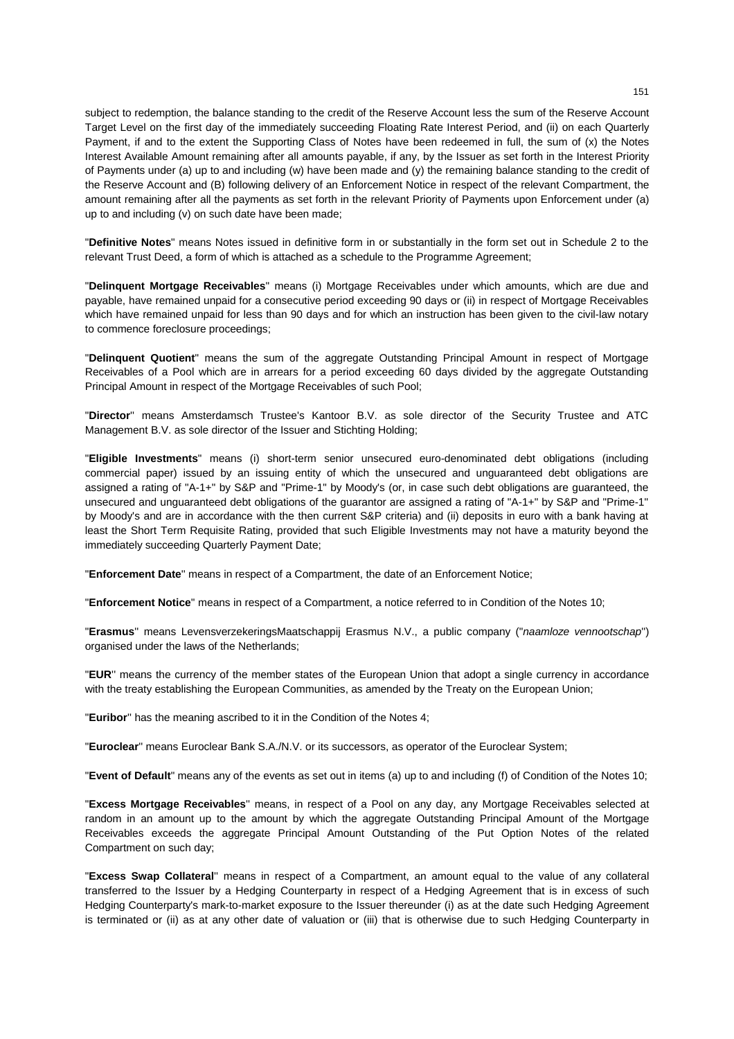subject to redemption, the balance standing to the credit of the Reserve Account less the sum of the Reserve Account Target Level on the first day of the immediately succeeding Floating Rate Interest Period, and (ii) on each Quarterly Payment, if and to the extent the Supporting Class of Notes have been redeemed in full, the sum of (x) the Notes Interest Available Amount remaining after all amounts payable, if any, by the Issuer as set forth in the Interest Priority of Payments under (a) up to and including (w) have been made and (y) the remaining balance standing to the credit of the Reserve Account and (B) following delivery of an Enforcement Notice in respect of the relevant Compartment, the amount remaining after all the payments as set forth in the relevant Priority of Payments upon Enforcement under (a) up to and including (v) on such date have been made;

"**Definitive Notes**" means Notes issued in definitive form in or substantially in the form set out in Schedule 2 to the relevant Trust Deed, a form of which is attached as a schedule to the Programme Agreement;

"**Delinquent Mortgage Receivables**'' means (i) Mortgage Receivables under which amounts, which are due and payable, have remained unpaid for a consecutive period exceeding 90 days or (ii) in respect of Mortgage Receivables which have remained unpaid for less than 90 days and for which an instruction has been given to the civil-law notary to commence foreclosure proceedings;

"**Delinquent Quotient**" means the sum of the aggregate Outstanding Principal Amount in respect of Mortgage Receivables of a Pool which are in arrears for a period exceeding 60 days divided by the aggregate Outstanding Principal Amount in respect of the Mortgage Receivables of such Pool;

"**Director**'' means Amsterdamsch Trustee's Kantoor B.V. as sole director of the Security Trustee and ATC Management B.V. as sole director of the Issuer and Stichting Holding;

"**Eligible Investments**" means (i) short-term senior unsecured euro-denominated debt obligations (including commercial paper) issued by an issuing entity of which the unsecured and unguaranteed debt obligations are assigned a rating of "A-1+" by S&P and "Prime-1" by Moody's (or, in case such debt obligations are guaranteed, the unsecured and unguaranteed debt obligations of the guarantor are assigned a rating of "A-1+" by S&P and "Prime-1" by Moody's and are in accordance with the then current S&P criteria) and (ii) deposits in euro with a bank having at least the Short Term Requisite Rating, provided that such Eligible Investments may not have a maturity beyond the immediately succeeding Quarterly Payment Date;

"**Enforcement Date**'' means in respect of a Compartment, the date of an Enforcement Notice;

"**Enforcement Notice**'' means in respect of a Compartment, a notice referred to in Condition of the Notes 10;

"**Erasmus**'' means LevensverzekeringsMaatschappij Erasmus N.V., a public company ("*naamloze vennootschap*'') organised under the laws of the Netherlands;

"**EUR**'' means the currency of the member states of the European Union that adopt a single currency in accordance with the treaty establishing the European Communities, as amended by the Treaty on the European Union;

"**Euribor**'' has the meaning ascribed to it in the Condition of the Notes 4;

"**Euroclear**'' means Euroclear Bank S.A./N.V. or its successors, as operator of the Euroclear System;

"**Event of Default**" means any of the events as set out in items (a) up to and including (f) of Condition of the Notes 10;

"**Excess Mortgage Receivables**'' means, in respect of a Pool on any day, any Mortgage Receivables selected at random in an amount up to the amount by which the aggregate Outstanding Principal Amount of the Mortgage Receivables exceeds the aggregate Principal Amount Outstanding of the Put Option Notes of the related Compartment on such day;

"**Excess Swap Collateral**'' means in respect of a Compartment, an amount equal to the value of any collateral transferred to the Issuer by a Hedging Counterparty in respect of a Hedging Agreement that is in excess of such Hedging Counterparty's mark-to-market exposure to the Issuer thereunder (i) as at the date such Hedging Agreement is terminated or (ii) as at any other date of valuation or (iii) that is otherwise due to such Hedging Counterparty in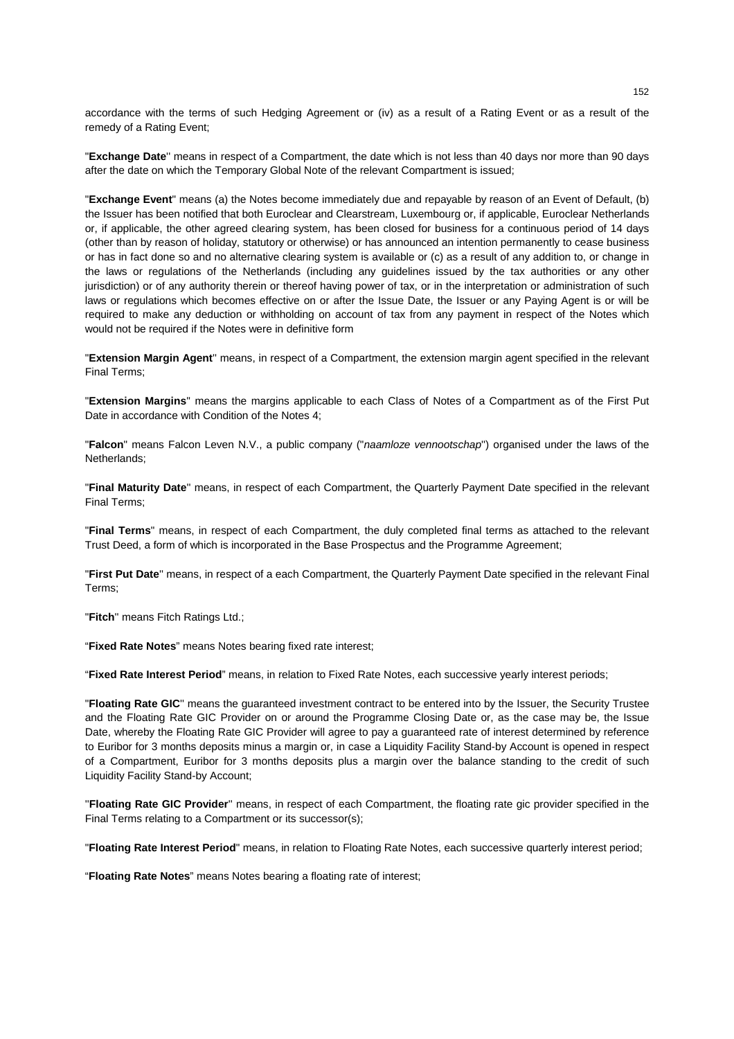accordance with the terms of such Hedging Agreement or (iv) as a result of a Rating Event or as a result of the remedy of a Rating Event;

"**Exchange Date**'' means in respect of a Compartment, the date which is not less than 40 days nor more than 90 days after the date on which the Temporary Global Note of the relevant Compartment is issued;

"**Exchange Event**" means (a) the Notes become immediately due and repayable by reason of an Event of Default, (b) the Issuer has been notified that both Euroclear and Clearstream, Luxembourg or, if applicable, Euroclear Netherlands or, if applicable, the other agreed clearing system, has been closed for business for a continuous period of 14 days (other than by reason of holiday, statutory or otherwise) or has announced an intention permanently to cease business or has in fact done so and no alternative clearing system is available or (c) as a result of any addition to, or change in the laws or regulations of the Netherlands (including any guidelines issued by the tax authorities or any other jurisdiction) or of any authority therein or thereof having power of tax, or in the interpretation or administration of such laws or regulations which becomes effective on or after the Issue Date, the Issuer or any Paying Agent is or will be required to make any deduction or withholding on account of tax from any payment in respect of the Notes which would not be required if the Notes were in definitive form

"**Extension Margin Agent**'' means, in respect of a Compartment, the extension margin agent specified in the relevant Final Terms;

"**Extension Margins**'' means the margins applicable to each Class of Notes of a Compartment as of the First Put Date in accordance with Condition of the Notes 4;

"**Falcon**" means Falcon Leven N.V., a public company ("*naamloze vennootschap*'') organised under the laws of the Netherlands;

"**Final Maturity Date**'' means, in respect of each Compartment, the Quarterly Payment Date specified in the relevant Final Terms;

"**Final Terms**" means, in respect of each Compartment, the duly completed final terms as attached to the relevant Trust Deed, a form of which is incorporated in the Base Prospectus and the Programme Agreement;

"**First Put Date**'' means, in respect of a each Compartment, the Quarterly Payment Date specified in the relevant Final Terms;

"**Fitch**'' means Fitch Ratings Ltd.;

"**Fixed Rate Notes**" means Notes bearing fixed rate interest;

"**Fixed Rate Interest Period**" means, in relation to Fixed Rate Notes, each successive yearly interest periods;

"**Floating Rate GIC**'' means the guaranteed investment contract to be entered into by the Issuer, the Security Trustee and the Floating Rate GIC Provider on or around the Programme Closing Date or, as the case may be, the Issue Date, whereby the Floating Rate GIC Provider will agree to pay a guaranteed rate of interest determined by reference to Euribor for 3 months deposits minus a margin or, in case a Liquidity Facility Stand-by Account is opened in respect of a Compartment, Euribor for 3 months deposits plus a margin over the balance standing to the credit of such Liquidity Facility Stand-by Account;

''**Floating Rate GIC Provider**'' means, in respect of each Compartment, the floating rate gic provider specified in the Final Terms relating to a Compartment or its successor(s);

"**Floating Rate Interest Period**" means, in relation to Floating Rate Notes, each successive quarterly interest period;

"**Floating Rate Notes**" means Notes bearing a floating rate of interest;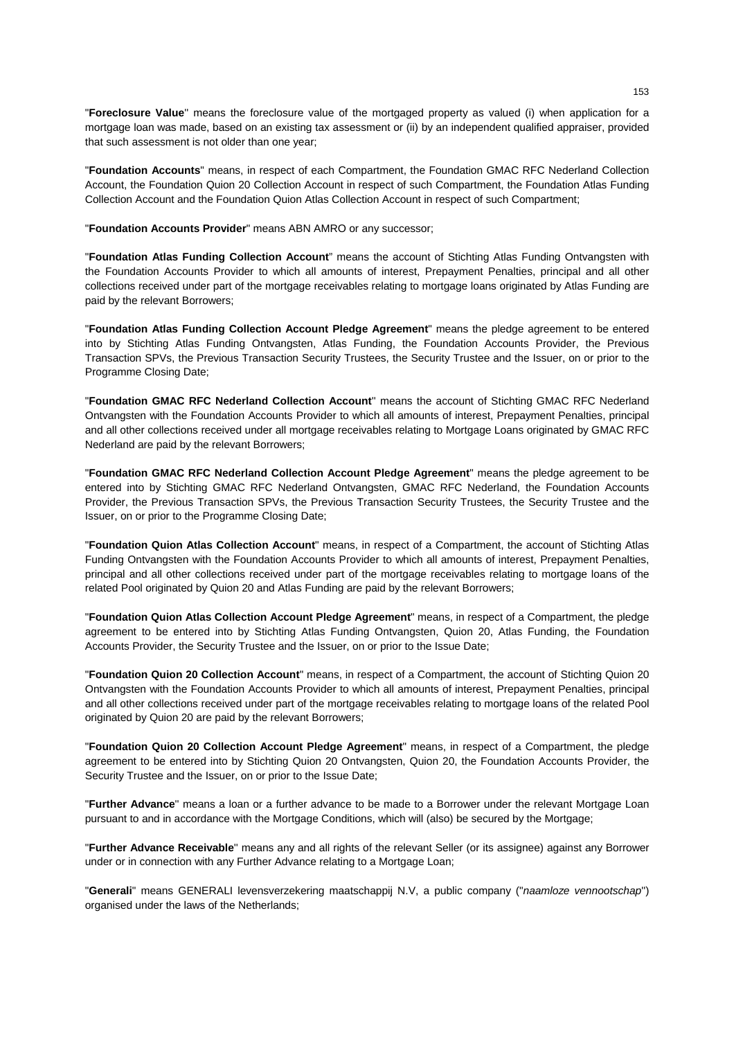"**Foreclosure Value**'' means the foreclosure value of the mortgaged property as valued (i) when application for a mortgage loan was made, based on an existing tax assessment or (ii) by an independent qualified appraiser, provided that such assessment is not older than one year;

"**Foundation Accounts**" means, in respect of each Compartment, the Foundation GMAC RFC Nederland Collection Account, the Foundation Quion 20 Collection Account in respect of such Compartment, the Foundation Atlas Funding Collection Account and the Foundation Quion Atlas Collection Account in respect of such Compartment;

"**Foundation Accounts Provider**" means ABN AMRO or any successor;

"**Foundation Atlas Funding Collection Account**" means the account of Stichting Atlas Funding Ontvangsten with the Foundation Accounts Provider to which all amounts of interest, Prepayment Penalties, principal and all other collections received under part of the mortgage receivables relating to mortgage loans originated by Atlas Funding are paid by the relevant Borrowers;

"**Foundation Atlas Funding Collection Account Pledge Agreement**" means the pledge agreement to be entered into by Stichting Atlas Funding Ontvangsten, Atlas Funding, the Foundation Accounts Provider, the Previous Transaction SPVs, the Previous Transaction Security Trustees, the Security Trustee and the Issuer, on or prior to the Programme Closing Date;

"**Foundation GMAC RFC Nederland Collection Account**'' means the account of Stichting GMAC RFC Nederland Ontvangsten with the Foundation Accounts Provider to which all amounts of interest, Prepayment Penalties, principal and all other collections received under all mortgage receivables relating to Mortgage Loans originated by GMAC RFC Nederland are paid by the relevant Borrowers;

"**Foundation GMAC RFC Nederland Collection Account Pledge Agreement**" means the pledge agreement to be entered into by Stichting GMAC RFC Nederland Ontvangsten, GMAC RFC Nederland, the Foundation Accounts Provider, the Previous Transaction SPVs, the Previous Transaction Security Trustees, the Security Trustee and the Issuer, on or prior to the Programme Closing Date;

"**Foundation Quion Atlas Collection Account**" means, in respect of a Compartment, the account of Stichting Atlas Funding Ontvangsten with the Foundation Accounts Provider to which all amounts of interest, Prepayment Penalties, principal and all other collections received under part of the mortgage receivables relating to mortgage loans of the related Pool originated by Quion 20 and Atlas Funding are paid by the relevant Borrowers;

"**Foundation Quion Atlas Collection Account Pledge Agreement**" means, in respect of a Compartment, the pledge agreement to be entered into by Stichting Atlas Funding Ontvangsten, Quion 20, Atlas Funding, the Foundation Accounts Provider, the Security Trustee and the Issuer, on or prior to the Issue Date;

"**Foundation Quion 20 Collection Account**" means, in respect of a Compartment, the account of Stichting Quion 20 Ontvangsten with the Foundation Accounts Provider to which all amounts of interest, Prepayment Penalties, principal and all other collections received under part of the mortgage receivables relating to mortgage loans of the related Pool originated by Quion 20 are paid by the relevant Borrowers;

"**Foundation Quion 20 Collection Account Pledge Agreement**" means, in respect of a Compartment, the pledge agreement to be entered into by Stichting Quion 20 Ontvangsten, Quion 20, the Foundation Accounts Provider, the Security Trustee and the Issuer, on or prior to the Issue Date;

"**Further Advance**'' means a loan or a further advance to be made to a Borrower under the relevant Mortgage Loan pursuant to and in accordance with the Mortgage Conditions, which will (also) be secured by the Mortgage;

"**Further Advance Receivable**'' means any and all rights of the relevant Seller (or its assignee) against any Borrower under or in connection with any Further Advance relating to a Mortgage Loan;

"**Generali**" means GENERALI levensverzekering maatschappij N.V, a public company ("*naamloze vennootschap*'') organised under the laws of the Netherlands;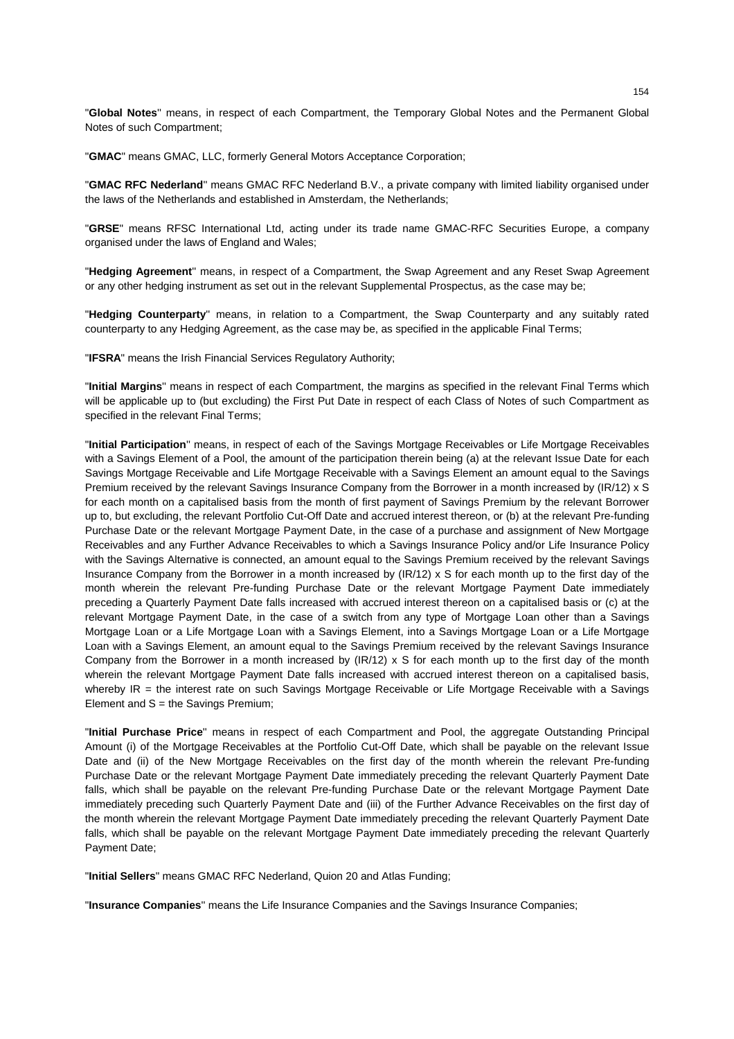"**Global Notes**'' means, in respect of each Compartment, the Temporary Global Notes and the Permanent Global Notes of such Compartment;

"**GMAC**" means GMAC, LLC, formerly General Motors Acceptance Corporation;

"**GMAC RFC Nederland**'' means GMAC RFC Nederland B.V., a private company with limited liability organised under the laws of the Netherlands and established in Amsterdam, the Netherlands;

"**GRSE**" means RFSC International Ltd, acting under its trade name GMAC-RFC Securities Europe, a company organised under the laws of England and Wales;

"**Hedging Agreement**'' means, in respect of a Compartment, the Swap Agreement and any Reset Swap Agreement or any other hedging instrument as set out in the relevant Supplemental Prospectus, as the case may be;

"**Hedging Counterparty**'' means, in relation to a Compartment, the Swap Counterparty and any suitably rated counterparty to any Hedging Agreement, as the case may be, as specified in the applicable Final Terms;

"**IFSRA**" means the Irish Financial Services Regulatory Authority;

"**Initial Margins**'' means in respect of each Compartment, the margins as specified in the relevant Final Terms which will be applicable up to (but excluding) the First Put Date in respect of each Class of Notes of such Compartment as specified in the relevant Final Terms;

"**Initial Participation**'' means, in respect of each of the Savings Mortgage Receivables or Life Mortgage Receivables with a Savings Element of a Pool, the amount of the participation therein being (a) at the relevant Issue Date for each Savings Mortgage Receivable and Life Mortgage Receivable with a Savings Element an amount equal to the Savings Premium received by the relevant Savings Insurance Company from the Borrower in a month increased by (IR/12) x S for each month on a capitalised basis from the month of first payment of Savings Premium by the relevant Borrower up to, but excluding, the relevant Portfolio Cut-Off Date and accrued interest thereon, or (b) at the relevant Pre-funding Purchase Date or the relevant Mortgage Payment Date, in the case of a purchase and assignment of New Mortgage Receivables and any Further Advance Receivables to which a Savings Insurance Policy and/or Life Insurance Policy with the Savings Alternative is connected, an amount equal to the Savings Premium received by the relevant Savings Insurance Company from the Borrower in a month increased by (IR/12) x S for each month up to the first day of the month wherein the relevant Pre-funding Purchase Date or the relevant Mortgage Payment Date immediately preceding a Quarterly Payment Date falls increased with accrued interest thereon on a capitalised basis or (c) at the relevant Mortgage Payment Date, in the case of a switch from any type of Mortgage Loan other than a Savings Mortgage Loan or a Life Mortgage Loan with a Savings Element, into a Savings Mortgage Loan or a Life Mortgage Loan with a Savings Element, an amount equal to the Savings Premium received by the relevant Savings Insurance Company from the Borrower in a month increased by  $\left(\frac{IR}{12}\right) \times S$  for each month up to the first day of the month wherein the relevant Mortgage Payment Date falls increased with accrued interest thereon on a capitalised basis, whereby IR = the interest rate on such Savings Mortgage Receivable or Life Mortgage Receivable with a Savings Element and S = the Savings Premium;

"**Initial Purchase Price**'' means in respect of each Compartment and Pool, the aggregate Outstanding Principal Amount (i) of the Mortgage Receivables at the Portfolio Cut-Off Date, which shall be payable on the relevant Issue Date and (ii) of the New Mortgage Receivables on the first day of the month wherein the relevant Pre-funding Purchase Date or the relevant Mortgage Payment Date immediately preceding the relevant Quarterly Payment Date falls, which shall be payable on the relevant Pre-funding Purchase Date or the relevant Mortgage Payment Date immediately preceding such Quarterly Payment Date and (iii) of the Further Advance Receivables on the first day of the month wherein the relevant Mortgage Payment Date immediately preceding the relevant Quarterly Payment Date falls, which shall be payable on the relevant Mortgage Payment Date immediately preceding the relevant Quarterly Payment Date;

"**Initial Sellers**" means GMAC RFC Nederland, Quion 20 and Atlas Funding;

"**Insurance Companies**'' means the Life Insurance Companies and the Savings Insurance Companies;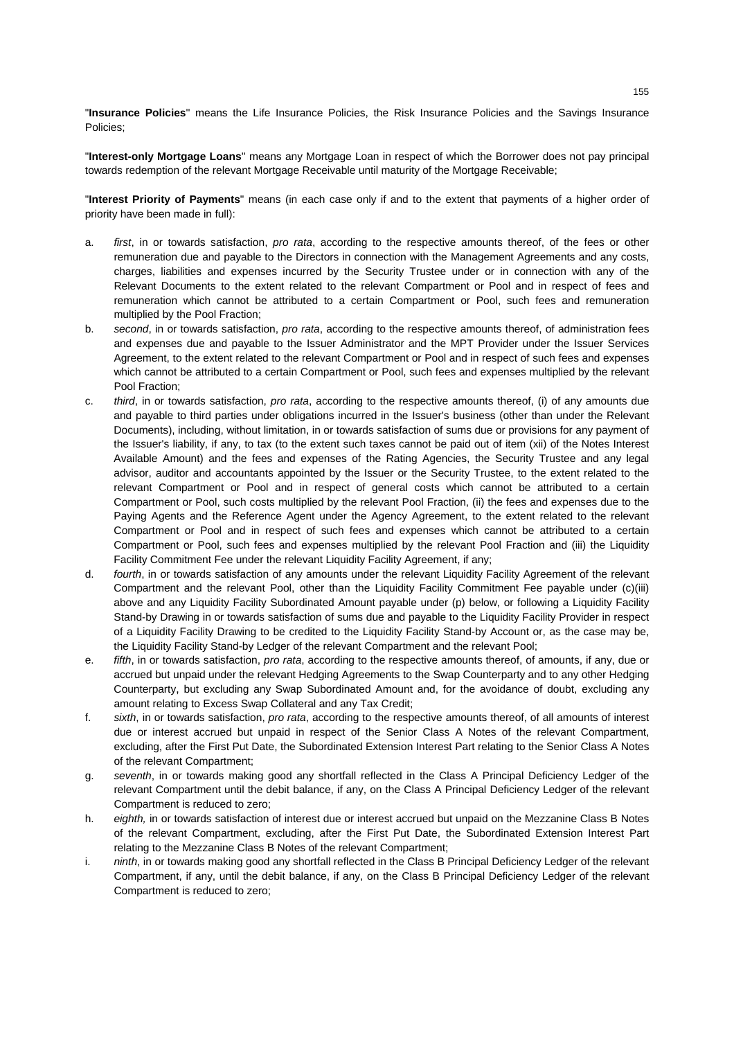"**Insurance Policies**'' means the Life Insurance Policies, the Risk Insurance Policies and the Savings Insurance Policies;

"**Interest-only Mortgage Loans**'' means any Mortgage Loan in respect of which the Borrower does not pay principal towards redemption of the relevant Mortgage Receivable until maturity of the Mortgage Receivable;

"**Interest Priority of Payments**" means (in each case only if and to the extent that payments of a higher order of priority have been made in full):

- a. *first*, in or towards satisfaction, *pro rata*, according to the respective amounts thereof, of the fees or other remuneration due and payable to the Directors in connection with the Management Agreements and any costs, charges, liabilities and expenses incurred by the Security Trustee under or in connection with any of the Relevant Documents to the extent related to the relevant Compartment or Pool and in respect of fees and remuneration which cannot be attributed to a certain Compartment or Pool, such fees and remuneration multiplied by the Pool Fraction;
- b. *second*, in or towards satisfaction, *pro rata*, according to the respective amounts thereof, of administration fees and expenses due and payable to the Issuer Administrator and the MPT Provider under the Issuer Services Agreement, to the extent related to the relevant Compartment or Pool and in respect of such fees and expenses which cannot be attributed to a certain Compartment or Pool, such fees and expenses multiplied by the relevant Pool Fraction;
- c. *third*, in or towards satisfaction, *pro rata*, according to the respective amounts thereof, (i) of any amounts due and payable to third parties under obligations incurred in the Issuer's business (other than under the Relevant Documents), including, without limitation, in or towards satisfaction of sums due or provisions for any payment of the Issuer's liability, if any, to tax (to the extent such taxes cannot be paid out of item (xii) of the Notes Interest Available Amount) and the fees and expenses of the Rating Agencies, the Security Trustee and any legal advisor, auditor and accountants appointed by the Issuer or the Security Trustee, to the extent related to the relevant Compartment or Pool and in respect of general costs which cannot be attributed to a certain Compartment or Pool, such costs multiplied by the relevant Pool Fraction, (ii) the fees and expenses due to the Paying Agents and the Reference Agent under the Agency Agreement, to the extent related to the relevant Compartment or Pool and in respect of such fees and expenses which cannot be attributed to a certain Compartment or Pool, such fees and expenses multiplied by the relevant Pool Fraction and (iii) the Liquidity Facility Commitment Fee under the relevant Liquidity Facility Agreement, if any;
- d. *fourth*, in or towards satisfaction of any amounts under the relevant Liquidity Facility Agreement of the relevant Compartment and the relevant Pool, other than the Liquidity Facility Commitment Fee payable under (c)(iii) above and any Liquidity Facility Subordinated Amount payable under (p) below, or following a Liquidity Facility Stand-by Drawing in or towards satisfaction of sums due and payable to the Liquidity Facility Provider in respect of a Liquidity Facility Drawing to be credited to the Liquidity Facility Stand-by Account or, as the case may be, the Liquidity Facility Stand-by Ledger of the relevant Compartment and the relevant Pool;
- e. *fifth*, in or towards satisfaction, *pro rata*, according to the respective amounts thereof, of amounts, if any, due or accrued but unpaid under the relevant Hedging Agreements to the Swap Counterparty and to any other Hedging Counterparty, but excluding any Swap Subordinated Amount and, for the avoidance of doubt, excluding any amount relating to Excess Swap Collateral and any Tax Credit;
- f. *sixth*, in or towards satisfaction, *pro rata*, according to the respective amounts thereof, of all amounts of interest due or interest accrued but unpaid in respect of the Senior Class A Notes of the relevant Compartment, excluding, after the First Put Date, the Subordinated Extension Interest Part relating to the Senior Class A Notes of the relevant Compartment;
- g. *seventh*, in or towards making good any shortfall reflected in the Class A Principal Deficiency Ledger of the relevant Compartment until the debit balance, if any, on the Class A Principal Deficiency Ledger of the relevant Compartment is reduced to zero;
- h. *eighth,* in or towards satisfaction of interest due or interest accrued but unpaid on the Mezzanine Class B Notes of the relevant Compartment, excluding, after the First Put Date, the Subordinated Extension Interest Part relating to the Mezzanine Class B Notes of the relevant Compartment;
- i. *ninth*, in or towards making good any shortfall reflected in the Class B Principal Deficiency Ledger of the relevant Compartment, if any, until the debit balance, if any, on the Class B Principal Deficiency Ledger of the relevant Compartment is reduced to zero;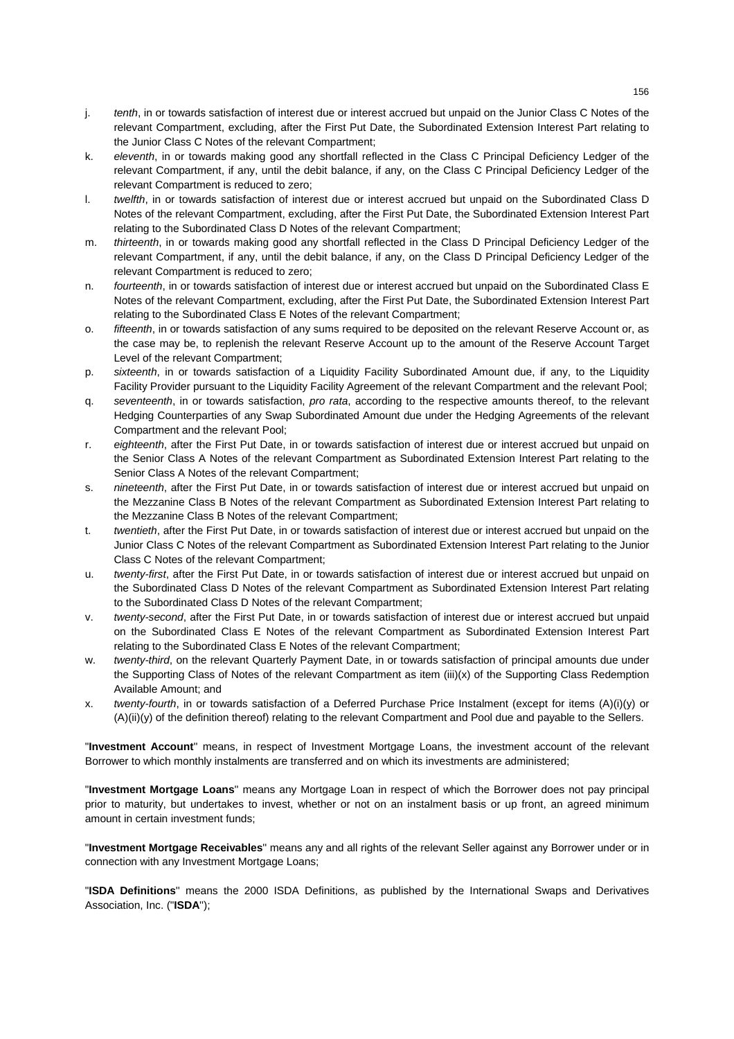- j. *tenth*, in or towards satisfaction of interest due or interest accrued but unpaid on the Junior Class C Notes of the relevant Compartment, excluding, after the First Put Date, the Subordinated Extension Interest Part relating to the Junior Class C Notes of the relevant Compartment;
- k. *eleventh*, in or towards making good any shortfall reflected in the Class C Principal Deficiency Ledger of the relevant Compartment, if any, until the debit balance, if any, on the Class C Principal Deficiency Ledger of the relevant Compartment is reduced to zero;
- l. *twelfth*, in or towards satisfaction of interest due or interest accrued but unpaid on the Subordinated Class D Notes of the relevant Compartment, excluding, after the First Put Date, the Subordinated Extension Interest Part relating to the Subordinated Class D Notes of the relevant Compartment;
- m. *thirteenth*, in or towards making good any shortfall reflected in the Class D Principal Deficiency Ledger of the relevant Compartment, if any, until the debit balance, if any, on the Class D Principal Deficiency Ledger of the relevant Compartment is reduced to zero;
- n. *fourteenth*, in or towards satisfaction of interest due or interest accrued but unpaid on the Subordinated Class E Notes of the relevant Compartment, excluding, after the First Put Date, the Subordinated Extension Interest Part relating to the Subordinated Class E Notes of the relevant Compartment;
- o. *fifteenth*, in or towards satisfaction of any sums required to be deposited on the relevant Reserve Account or, as the case may be, to replenish the relevant Reserve Account up to the amount of the Reserve Account Target Level of the relevant Compartment;
- p. *sixteenth*, in or towards satisfaction of a Liquidity Facility Subordinated Amount due, if any, to the Liquidity Facility Provider pursuant to the Liquidity Facility Agreement of the relevant Compartment and the relevant Pool;
- q. *seventeenth*, in or towards satisfaction, *pro rata*, according to the respective amounts thereof, to the relevant Hedging Counterparties of any Swap Subordinated Amount due under the Hedging Agreements of the relevant Compartment and the relevant Pool;
- r. *eighteenth*, after the First Put Date, in or towards satisfaction of interest due or interest accrued but unpaid on the Senior Class A Notes of the relevant Compartment as Subordinated Extension Interest Part relating to the Senior Class A Notes of the relevant Compartment;
- s. *nineteenth*, after the First Put Date, in or towards satisfaction of interest due or interest accrued but unpaid on the Mezzanine Class B Notes of the relevant Compartment as Subordinated Extension Interest Part relating to the Mezzanine Class B Notes of the relevant Compartment;
- t. *twentieth*, after the First Put Date, in or towards satisfaction of interest due or interest accrued but unpaid on the Junior Class C Notes of the relevant Compartment as Subordinated Extension Interest Part relating to the Junior Class C Notes of the relevant Compartment;
- u. *twenty-first*, after the First Put Date, in or towards satisfaction of interest due or interest accrued but unpaid on the Subordinated Class D Notes of the relevant Compartment as Subordinated Extension Interest Part relating to the Subordinated Class D Notes of the relevant Compartment;
- v. *twenty-second*, after the First Put Date, in or towards satisfaction of interest due or interest accrued but unpaid on the Subordinated Class E Notes of the relevant Compartment as Subordinated Extension Interest Part relating to the Subordinated Class E Notes of the relevant Compartment;
- w. *twenty-third*, on the relevant Quarterly Payment Date, in or towards satisfaction of principal amounts due under the Supporting Class of Notes of the relevant Compartment as item (iii)(x) of the Supporting Class Redemption Available Amount; and
- x. *twenty-fourth*, in or towards satisfaction of a Deferred Purchase Price Instalment (except for items (A)(i)(y) or (A)(ii)(y) of the definition thereof) relating to the relevant Compartment and Pool due and payable to the Sellers.

"**Investment Account**'' means, in respect of Investment Mortgage Loans, the investment account of the relevant Borrower to which monthly instalments are transferred and on which its investments are administered;

"**Investment Mortgage Loans**'' means any Mortgage Loan in respect of which the Borrower does not pay principal prior to maturity, but undertakes to invest, whether or not on an instalment basis or up front, an agreed minimum amount in certain investment funds;

"**Investment Mortgage Receivables**'' means any and all rights of the relevant Seller against any Borrower under or in connection with any Investment Mortgage Loans;

"**ISDA Definitions**'' means the 2000 ISDA Definitions, as published by the International Swaps and Derivatives Association, Inc. ("**ISDA**'');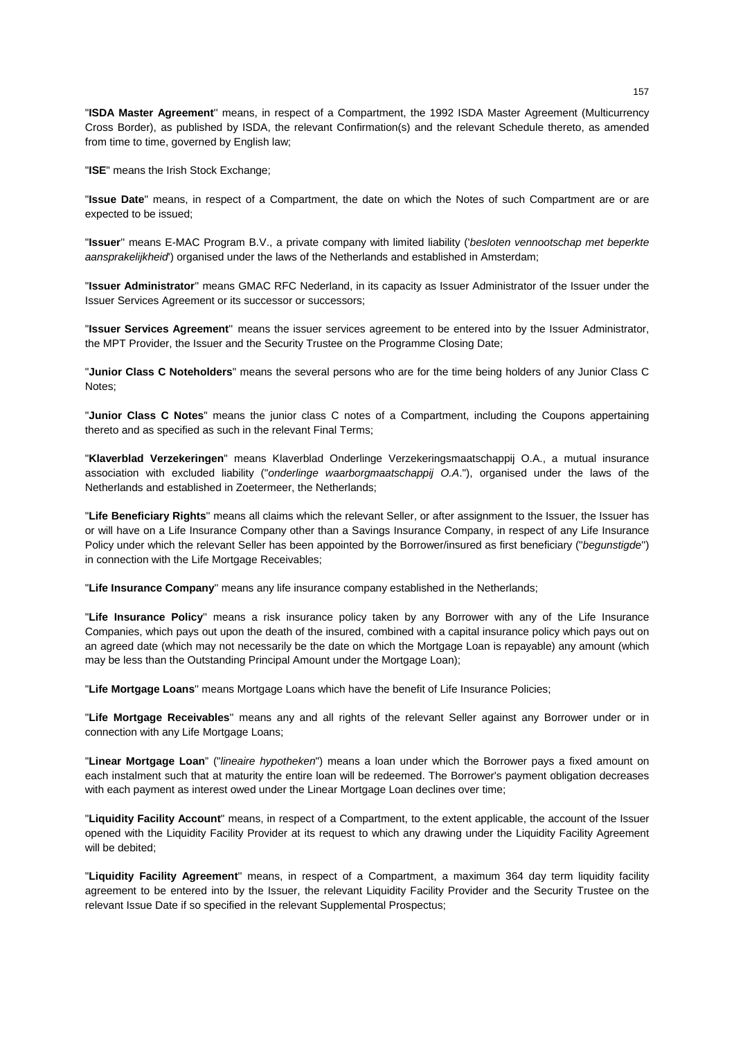"**ISDA Master Agreement**'' means, in respect of a Compartment, the 1992 ISDA Master Agreement (Multicurrency Cross Border), as published by ISDA, the relevant Confirmation(s) and the relevant Schedule thereto, as amended from time to time, governed by English law;

"**ISE**" means the Irish Stock Exchange;

"**Issue Date**" means, in respect of a Compartment, the date on which the Notes of such Compartment are or are expected to be issued;

"**Issuer**'' means E-MAC Program B.V., a private company with limited liability ('*besloten vennootschap met beperkte aansprakelijkheid*') organised under the laws of the Netherlands and established in Amsterdam;

"**Issuer Administrator**'' means GMAC RFC Nederland, in its capacity as Issuer Administrator of the Issuer under the Issuer Services Agreement or its successor or successors;

"**Issuer Services Agreement**'' means the issuer services agreement to be entered into by the Issuer Administrator, the MPT Provider, the Issuer and the Security Trustee on the Programme Closing Date;

"**Junior Class C Noteholders**" means the several persons who are for the time being holders of any Junior Class C Notes;

"**Junior Class C Notes**" means the junior class C notes of a Compartment, including the Coupons appertaining thereto and as specified as such in the relevant Final Terms;

"**Klaverblad Verzekeringen**" means Klaverblad Onderlinge Verzekeringsmaatschappij O.A., a mutual insurance association with excluded liability ("*onderlinge waarborgmaatschappij O.A*."), organised under the laws of the Netherlands and established in Zoetermeer, the Netherlands;

"**Life Beneficiary Rights**'' means all claims which the relevant Seller, or after assignment to the Issuer, the Issuer has or will have on a Life Insurance Company other than a Savings Insurance Company, in respect of any Life Insurance Policy under which the relevant Seller has been appointed by the Borrower/insured as first beneficiary ("*begunstigde*'') in connection with the Life Mortgage Receivables;

"**Life Insurance Company**'' means any life insurance company established in the Netherlands;

"**Life Insurance Policy**'' means a risk insurance policy taken by any Borrower with any of the Life Insurance Companies, which pays out upon the death of the insured, combined with a capital insurance policy which pays out on an agreed date (which may not necessarily be the date on which the Mortgage Loan is repayable) any amount (which may be less than the Outstanding Principal Amount under the Mortgage Loan);

"**Life Mortgage Loans**'' means Mortgage Loans which have the benefit of Life Insurance Policies;

"**Life Mortgage Receivables**'' means any and all rights of the relevant Seller against any Borrower under or in connection with any Life Mortgage Loans;

"**Linear Mortgage Loan**" ("*lineaire hypotheken*") means a loan under which the Borrower pays a fixed amount on each instalment such that at maturity the entire loan will be redeemed. The Borrower's payment obligation decreases with each payment as interest owed under the Linear Mortgage Loan declines over time;

"**Liquidity Facility Account**" means, in respect of a Compartment, to the extent applicable, the account of the Issuer opened with the Liquidity Facility Provider at its request to which any drawing under the Liquidity Facility Agreement will be debited;

"**Liquidity Facility Agreement**'' means, in respect of a Compartment, a maximum 364 day term liquidity facility agreement to be entered into by the Issuer, the relevant Liquidity Facility Provider and the Security Trustee on the relevant Issue Date if so specified in the relevant Supplemental Prospectus;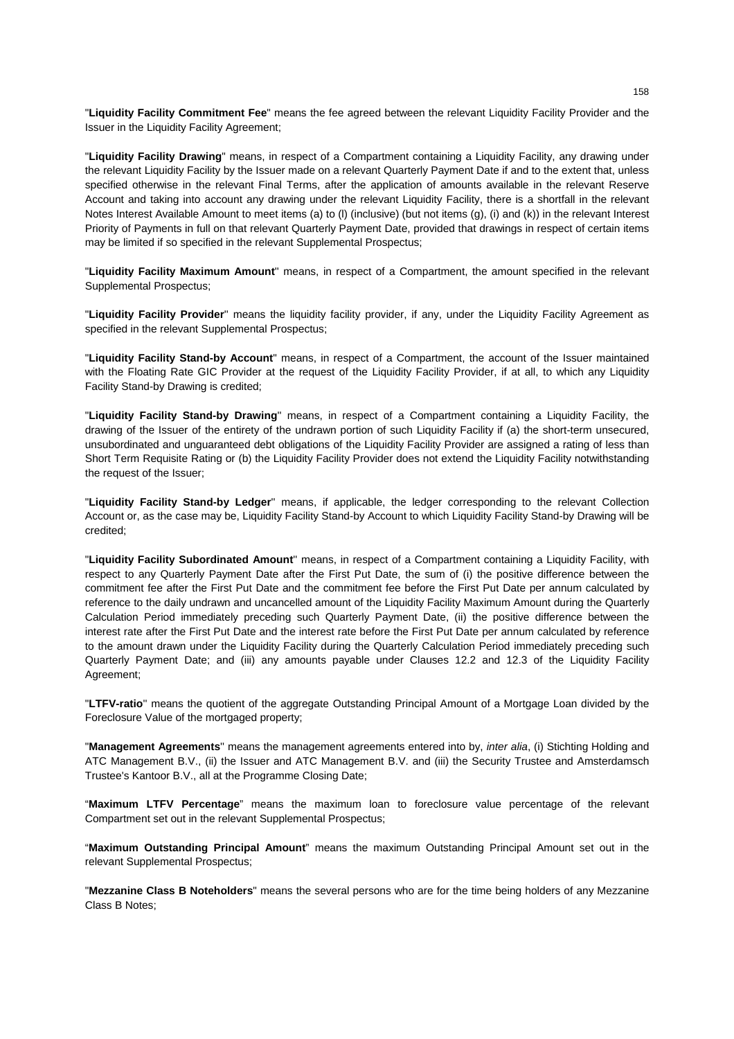"**Liquidity Facility Commitment Fee**" means the fee agreed between the relevant Liquidity Facility Provider and the Issuer in the Liquidity Facility Agreement;

"**Liquidity Facility Drawing**" means, in respect of a Compartment containing a Liquidity Facility, any drawing under the relevant Liquidity Facility by the Issuer made on a relevant Quarterly Payment Date if and to the extent that, unless specified otherwise in the relevant Final Terms, after the application of amounts available in the relevant Reserve Account and taking into account any drawing under the relevant Liquidity Facility, there is a shortfall in the relevant Notes Interest Available Amount to meet items (a) to (l) (inclusive) (but not items (g), (i) and (k)) in the relevant Interest Priority of Payments in full on that relevant Quarterly Payment Date, provided that drawings in respect of certain items may be limited if so specified in the relevant Supplemental Prospectus;

"**Liquidity Facility Maximum Amount**'' means, in respect of a Compartment, the amount specified in the relevant Supplemental Prospectus;

"**Liquidity Facility Provider**'' means the liquidity facility provider, if any, under the Liquidity Facility Agreement as specified in the relevant Supplemental Prospectus;

"**Liquidity Facility Stand-by Account**" means, in respect of a Compartment, the account of the Issuer maintained with the Floating Rate GIC Provider at the request of the Liquidity Facility Provider, if at all, to which any Liquidity Facility Stand-by Drawing is credited;

"**Liquidity Facility Stand-by Drawing**'' means, in respect of a Compartment containing a Liquidity Facility, the drawing of the Issuer of the entirety of the undrawn portion of such Liquidity Facility if (a) the short-term unsecured, unsubordinated and unguaranteed debt obligations of the Liquidity Facility Provider are assigned a rating of less than Short Term Requisite Rating or (b) the Liquidity Facility Provider does not extend the Liquidity Facility notwithstanding the request of the Issuer;

"**Liquidity Facility Stand-by Ledger**'' means, if applicable, the ledger corresponding to the relevant Collection Account or, as the case may be, Liquidity Facility Stand-by Account to which Liquidity Facility Stand-by Drawing will be credited;

"**Liquidity Facility Subordinated Amount**'' means, in respect of a Compartment containing a Liquidity Facility, with respect to any Quarterly Payment Date after the First Put Date, the sum of (i) the positive difference between the commitment fee after the First Put Date and the commitment fee before the First Put Date per annum calculated by reference to the daily undrawn and uncancelled amount of the Liquidity Facility Maximum Amount during the Quarterly Calculation Period immediately preceding such Quarterly Payment Date, (ii) the positive difference between the interest rate after the First Put Date and the interest rate before the First Put Date per annum calculated by reference to the amount drawn under the Liquidity Facility during the Quarterly Calculation Period immediately preceding such Quarterly Payment Date; and (iii) any amounts payable under Clauses 12.2 and 12.3 of the Liquidity Facility Agreement;

"**LTFV-ratio**'' means the quotient of the aggregate Outstanding Principal Amount of a Mortgage Loan divided by the Foreclosure Value of the mortgaged property;

"**Management Agreements**'' means the management agreements entered into by, *inter alia*, (i) Stichting Holding and ATC Management B.V., (ii) the Issuer and ATC Management B.V. and (iii) the Security Trustee and Amsterdamsch Trustee's Kantoor B.V., all at the Programme Closing Date;

"**Maximum LTFV Percentage**" means the maximum loan to foreclosure value percentage of the relevant Compartment set out in the relevant Supplemental Prospectus;

"**Maximum Outstanding Principal Amount**" means the maximum Outstanding Principal Amount set out in the relevant Supplemental Prospectus;

"**Mezzanine Class B Noteholders**" means the several persons who are for the time being holders of any Mezzanine Class B Notes;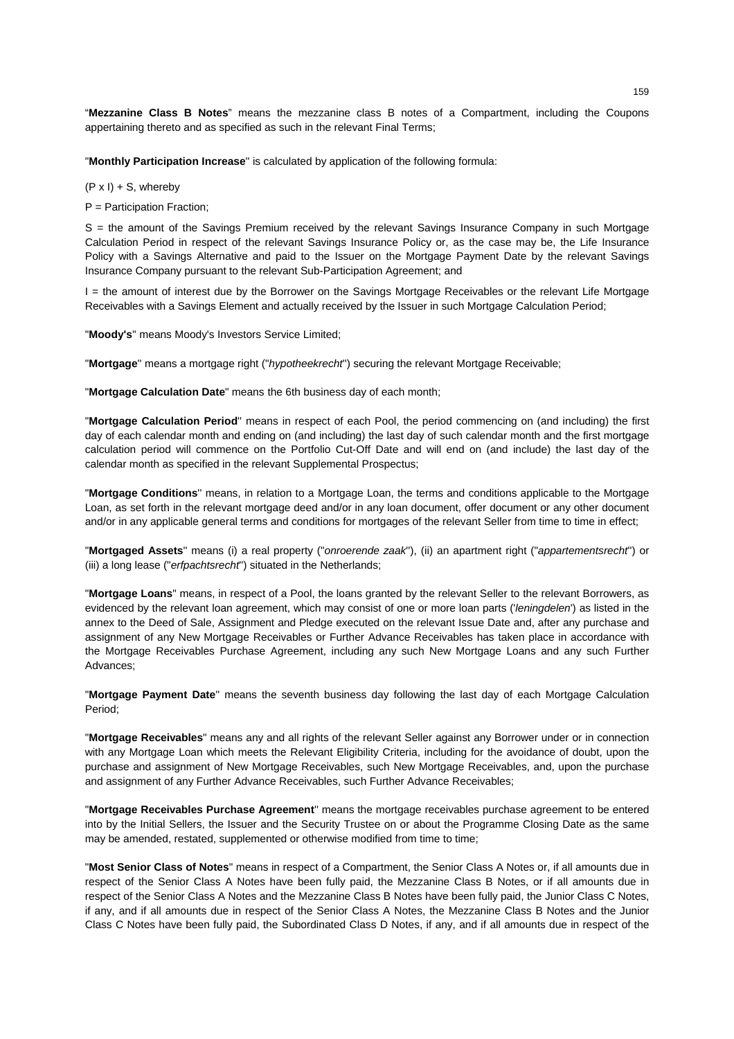"**Mezzanine Class B Notes**" means the mezzanine class B notes of a Compartment, including the Coupons appertaining thereto and as specified as such in the relevant Final Terms;

"**Monthly Participation Increase**'' is calculated by application of the following formula:

#### $(P \times I) + S$ , whereby

P = Participation Fraction;

S = the amount of the Savings Premium received by the relevant Savings Insurance Company in such Mortgage Calculation Period in respect of the relevant Savings Insurance Policy or, as the case may be, the Life Insurance Policy with a Savings Alternative and paid to the Issuer on the Mortgage Payment Date by the relevant Savings Insurance Company pursuant to the relevant Sub-Participation Agreement; and

I = the amount of interest due by the Borrower on the Savings Mortgage Receivables or the relevant Life Mortgage Receivables with a Savings Element and actually received by the Issuer in such Mortgage Calculation Period;

"**Moody's**'' means Moody's Investors Service Limited;

"**Mortgage**'' means a mortgage right ("*hypotheekrecht*'') securing the relevant Mortgage Receivable;

"**Mortgage Calculation Date**" means the 6th business day of each month;

"**Mortgage Calculation Period**'' means in respect of each Pool, the period commencing on (and including) the first day of each calendar month and ending on (and including) the last day of such calendar month and the first mortgage calculation period will commence on the Portfolio Cut-Off Date and will end on (and include) the last day of the calendar month as specified in the relevant Supplemental Prospectus;

"**Mortgage Conditions**'' means, in relation to a Mortgage Loan, the terms and conditions applicable to the Mortgage Loan, as set forth in the relevant mortgage deed and/or in any loan document, offer document or any other document and/or in any applicable general terms and conditions for mortgages of the relevant Seller from time to time in effect;

"**Mortgaged Assets**'' means (i) a real property ("*onroerende zaak*''), (ii) an apartment right ("*appartementsrecht*'') or (iii) a long lease ("*erfpachtsrecht*'') situated in the Netherlands;

"**Mortgage Loans**" means, in respect of a Pool, the loans granted by the relevant Seller to the relevant Borrowers, as evidenced by the relevant loan agreement, which may consist of one or more loan parts ('*leningdelen*') as listed in the annex to the Deed of Sale, Assignment and Pledge executed on the relevant Issue Date and, after any purchase and assignment of any New Mortgage Receivables or Further Advance Receivables has taken place in accordance with the Mortgage Receivables Purchase Agreement, including any such New Mortgage Loans and any such Further Advances;

"**Mortgage Payment Date**'' means the seventh business day following the last day of each Mortgage Calculation Period;

"**Mortgage Receivables**" means any and all rights of the relevant Seller against any Borrower under or in connection with any Mortgage Loan which meets the Relevant Eligibility Criteria, including for the avoidance of doubt, upon the purchase and assignment of New Mortgage Receivables, such New Mortgage Receivables, and, upon the purchase and assignment of any Further Advance Receivables, such Further Advance Receivables;

"**Mortgage Receivables Purchase Agreement**'' means the mortgage receivables purchase agreement to be entered into by the Initial Sellers, the Issuer and the Security Trustee on or about the Programme Closing Date as the same may be amended, restated, supplemented or otherwise modified from time to time;

"**Most Senior Class of Notes**" means in respect of a Compartment, the Senior Class A Notes or, if all amounts due in respect of the Senior Class A Notes have been fully paid, the Mezzanine Class B Notes, or if all amounts due in respect of the Senior Class A Notes and the Mezzanine Class B Notes have been fully paid, the Junior Class C Notes, if any, and if all amounts due in respect of the Senior Class A Notes, the Mezzanine Class B Notes and the Junior Class C Notes have been fully paid, the Subordinated Class D Notes, if any, and if all amounts due in respect of the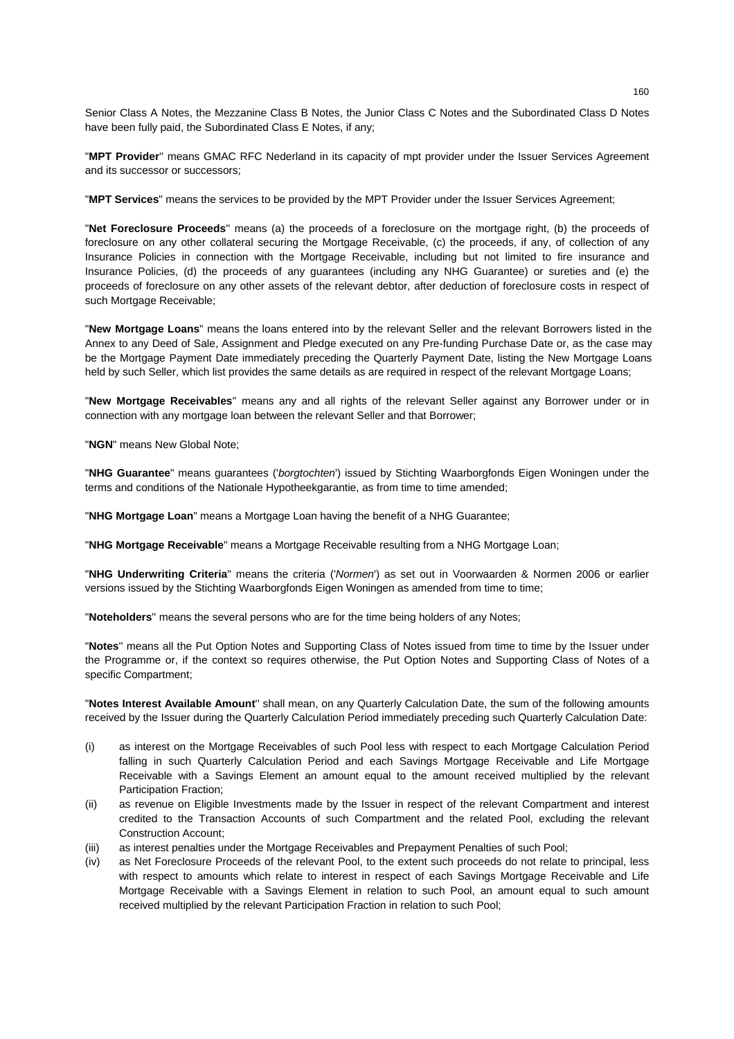Senior Class A Notes, the Mezzanine Class B Notes, the Junior Class C Notes and the Subordinated Class D Notes have been fully paid, the Subordinated Class E Notes, if any;

"**MPT Provider**'' means GMAC RFC Nederland in its capacity of mpt provider under the Issuer Services Agreement and its successor or successors;

"**MPT Services**" means the services to be provided by the MPT Provider under the Issuer Services Agreement;

"**Net Foreclosure Proceeds**'' means (a) the proceeds of a foreclosure on the mortgage right, (b) the proceeds of foreclosure on any other collateral securing the Mortgage Receivable, (c) the proceeds, if any, of collection of any Insurance Policies in connection with the Mortgage Receivable, including but not limited to fire insurance and Insurance Policies, (d) the proceeds of any guarantees (including any NHG Guarantee) or sureties and (e) the proceeds of foreclosure on any other assets of the relevant debtor, after deduction of foreclosure costs in respect of such Mortgage Receivable;

"**New Mortgage Loans**" means the loans entered into by the relevant Seller and the relevant Borrowers listed in the Annex to any Deed of Sale, Assignment and Pledge executed on any Pre-funding Purchase Date or, as the case may be the Mortgage Payment Date immediately preceding the Quarterly Payment Date, listing the New Mortgage Loans held by such Seller, which list provides the same details as are required in respect of the relevant Mortgage Loans;

"**New Mortgage Receivables**'' means any and all rights of the relevant Seller against any Borrower under or in connection with any mortgage loan between the relevant Seller and that Borrower;

"**NGN**" means New Global Note;

"**NHG Guarantee**" means guarantees ('*borgtochten*') issued by Stichting Waarborgfonds Eigen Woningen under the terms and conditions of the Nationale Hypotheekgarantie, as from time to time amended;

"**NHG Mortgage Loan**" means a Mortgage Loan having the benefit of a NHG Guarantee;

"**NHG Mortgage Receivable**" means a Mortgage Receivable resulting from a NHG Mortgage Loan;

"**NHG Underwriting Criteria**" means the criteria ('*Normen*') as set out in Voorwaarden & Normen 2006 or earlier versions issued by the Stichting Waarborgfonds Eigen Woningen as amended from time to time;

"**Noteholders**'' means the several persons who are for the time being holders of any Notes;

"**Notes**'' means all the Put Option Notes and Supporting Class of Notes issued from time to time by the Issuer under the Programme or, if the context so requires otherwise, the Put Option Notes and Supporting Class of Notes of a specific Compartment;

"**Notes Interest Available Amount**'' shall mean, on any Quarterly Calculation Date, the sum of the following amounts received by the Issuer during the Quarterly Calculation Period immediately preceding such Quarterly Calculation Date:

- (i) as interest on the Mortgage Receivables of such Pool less with respect to each Mortgage Calculation Period falling in such Quarterly Calculation Period and each Savings Mortgage Receivable and Life Mortgage Receivable with a Savings Element an amount equal to the amount received multiplied by the relevant Participation Fraction;
- (ii) as revenue on Eligible Investments made by the Issuer in respect of the relevant Compartment and interest credited to the Transaction Accounts of such Compartment and the related Pool, excluding the relevant Construction Account;
- (iii) as interest penalties under the Mortgage Receivables and Prepayment Penalties of such Pool;
- (iv) as Net Foreclosure Proceeds of the relevant Pool, to the extent such proceeds do not relate to principal, less with respect to amounts which relate to interest in respect of each Savings Mortgage Receivable and Life Mortgage Receivable with a Savings Element in relation to such Pool, an amount equal to such amount received multiplied by the relevant Participation Fraction in relation to such Pool;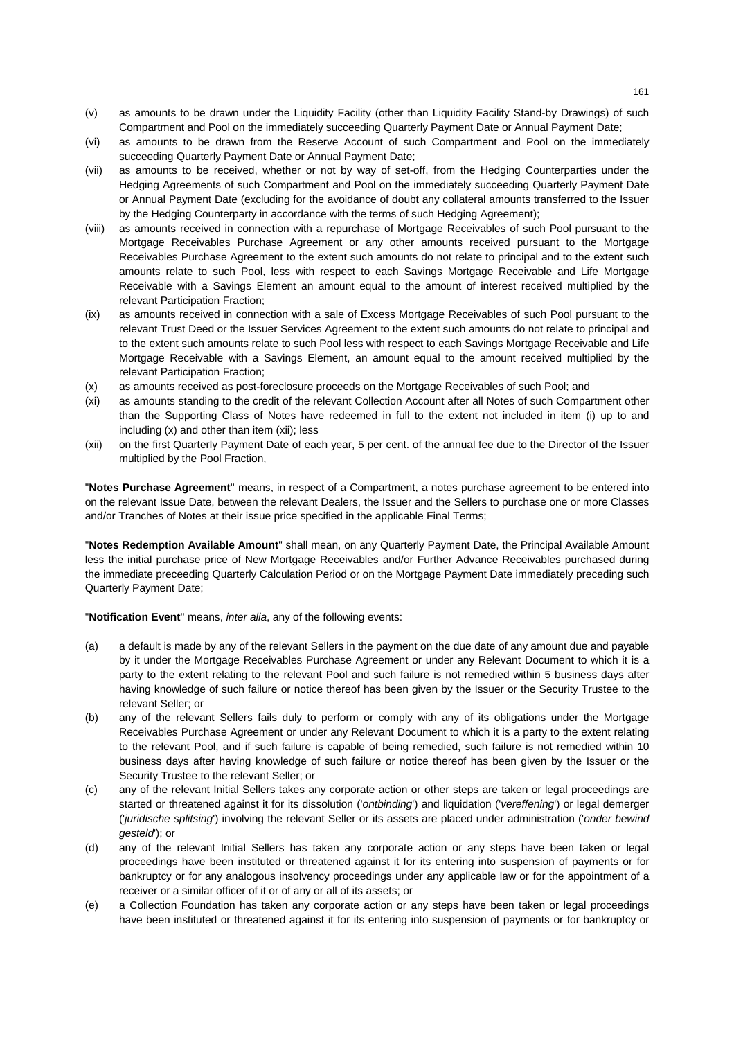- (v) as amounts to be drawn under the Liquidity Facility (other than Liquidity Facility Stand-by Drawings) of such Compartment and Pool on the immediately succeeding Quarterly Payment Date or Annual Payment Date;
- (vi) as amounts to be drawn from the Reserve Account of such Compartment and Pool on the immediately succeeding Quarterly Payment Date or Annual Payment Date;
- (vii) as amounts to be received, whether or not by way of set-off, from the Hedging Counterparties under the Hedging Agreements of such Compartment and Pool on the immediately succeeding Quarterly Payment Date or Annual Payment Date (excluding for the avoidance of doubt any collateral amounts transferred to the Issuer by the Hedging Counterparty in accordance with the terms of such Hedging Agreement);
- (viii) as amounts received in connection with a repurchase of Mortgage Receivables of such Pool pursuant to the Mortgage Receivables Purchase Agreement or any other amounts received pursuant to the Mortgage Receivables Purchase Agreement to the extent such amounts do not relate to principal and to the extent such amounts relate to such Pool, less with respect to each Savings Mortgage Receivable and Life Mortgage Receivable with a Savings Element an amount equal to the amount of interest received multiplied by the relevant Participation Fraction;
- (ix) as amounts received in connection with a sale of Excess Mortgage Receivables of such Pool pursuant to the relevant Trust Deed or the Issuer Services Agreement to the extent such amounts do not relate to principal and to the extent such amounts relate to such Pool less with respect to each Savings Mortgage Receivable and Life Mortgage Receivable with a Savings Element, an amount equal to the amount received multiplied by the relevant Participation Fraction;
- (x) as amounts received as post-foreclosure proceeds on the Mortgage Receivables of such Pool; and
- (xi) as amounts standing to the credit of the relevant Collection Account after all Notes of such Compartment other than the Supporting Class of Notes have redeemed in full to the extent not included in item (i) up to and including (x) and other than item (xii); less
- (xii) on the first Quarterly Payment Date of each year, 5 per cent. of the annual fee due to the Director of the Issuer multiplied by the Pool Fraction,

"**Notes Purchase Agreement**'' means, in respect of a Compartment, a notes purchase agreement to be entered into on the relevant Issue Date, between the relevant Dealers, the Issuer and the Sellers to purchase one or more Classes and/or Tranches of Notes at their issue price specified in the applicable Final Terms;

"**Notes Redemption Available Amount**" shall mean, on any Quarterly Payment Date, the Principal Available Amount less the initial purchase price of New Mortgage Receivables and/or Further Advance Receivables purchased during the immediate preceeding Quarterly Calculation Period or on the Mortgage Payment Date immediately preceding such Quarterly Payment Date;

"**Notification Event**'' means, *inter alia*, any of the following events:

- (a) a default is made by any of the relevant Sellers in the payment on the due date of any amount due and payable by it under the Mortgage Receivables Purchase Agreement or under any Relevant Document to which it is a party to the extent relating to the relevant Pool and such failure is not remedied within 5 business days after having knowledge of such failure or notice thereof has been given by the Issuer or the Security Trustee to the relevant Seller; or
- (b) any of the relevant Sellers fails duly to perform or comply with any of its obligations under the Mortgage Receivables Purchase Agreement or under any Relevant Document to which it is a party to the extent relating to the relevant Pool, and if such failure is capable of being remedied, such failure is not remedied within 10 business days after having knowledge of such failure or notice thereof has been given by the Issuer or the Security Trustee to the relevant Seller; or
- (c) any of the relevant Initial Sellers takes any corporate action or other steps are taken or legal proceedings are started or threatened against it for its dissolution ('*ontbinding*') and liquidation ('*vereffening*') or legal demerger ('*juridische splitsing*') involving the relevant Seller or its assets are placed under administration ('*onder bewind gesteld*'); or
- (d) any of the relevant Initial Sellers has taken any corporate action or any steps have been taken or legal proceedings have been instituted or threatened against it for its entering into suspension of payments or for bankruptcy or for any analogous insolvency proceedings under any applicable law or for the appointment of a receiver or a similar officer of it or of any or all of its assets; or
- (e) a Collection Foundation has taken any corporate action or any steps have been taken or legal proceedings have been instituted or threatened against it for its entering into suspension of payments or for bankruptcy or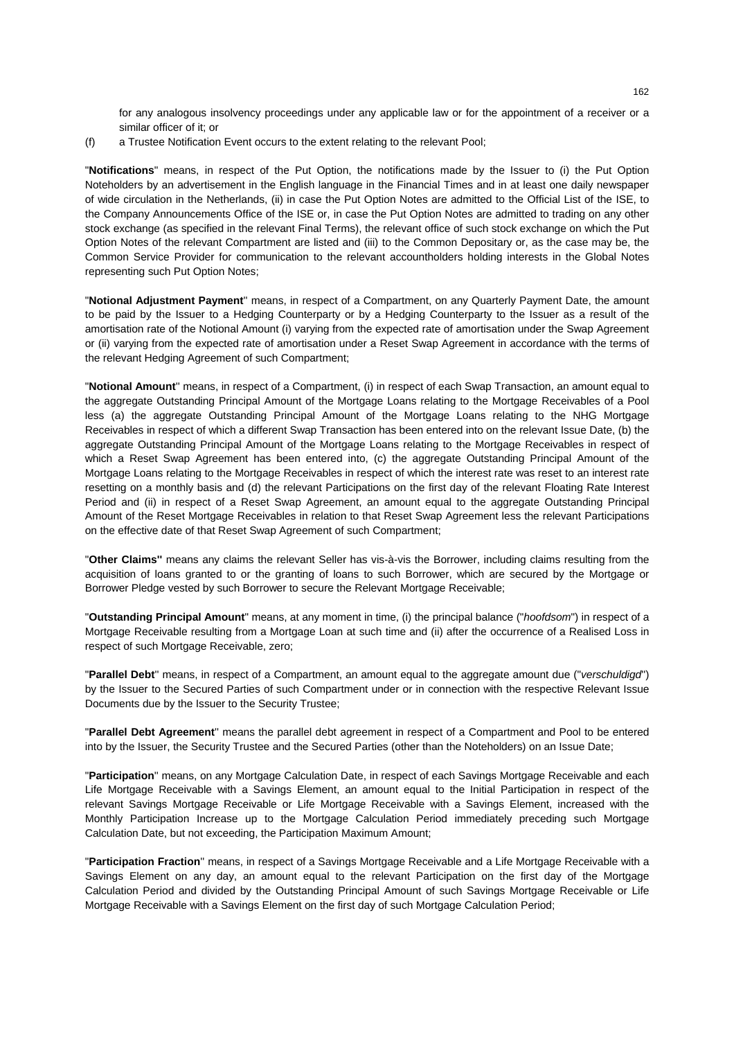for any analogous insolvency proceedings under any applicable law or for the appointment of a receiver or a similar officer of it; or

(f) a Trustee Notification Event occurs to the extent relating to the relevant Pool;

"**Notifications**" means, in respect of the Put Option, the notifications made by the Issuer to (i) the Put Option Noteholders by an advertisement in the English language in the Financial Times and in at least one daily newspaper of wide circulation in the Netherlands, (ii) in case the Put Option Notes are admitted to the Official List of the ISE, to the Company Announcements Office of the ISE or, in case the Put Option Notes are admitted to trading on any other stock exchange (as specified in the relevant Final Terms), the relevant office of such stock exchange on which the Put Option Notes of the relevant Compartment are listed and (iii) to the Common Depositary or, as the case may be, the Common Service Provider for communication to the relevant accountholders holding interests in the Global Notes representing such Put Option Notes;

"**Notional Adjustment Payment**'' means, in respect of a Compartment, on any Quarterly Payment Date, the amount to be paid by the Issuer to a Hedging Counterparty or by a Hedging Counterparty to the Issuer as a result of the amortisation rate of the Notional Amount (i) varying from the expected rate of amortisation under the Swap Agreement or (ii) varying from the expected rate of amortisation under a Reset Swap Agreement in accordance with the terms of the relevant Hedging Agreement of such Compartment;

"**Notional Amount**'' means, in respect of a Compartment, (i) in respect of each Swap Transaction, an amount equal to the aggregate Outstanding Principal Amount of the Mortgage Loans relating to the Mortgage Receivables of a Pool less (a) the aggregate Outstanding Principal Amount of the Mortgage Loans relating to the NHG Mortgage Receivables in respect of which a different Swap Transaction has been entered into on the relevant Issue Date, (b) the aggregate Outstanding Principal Amount of the Mortgage Loans relating to the Mortgage Receivables in respect of which a Reset Swap Agreement has been entered into, (c) the aggregate Outstanding Principal Amount of the Mortgage Loans relating to the Mortgage Receivables in respect of which the interest rate was reset to an interest rate resetting on a monthly basis and (d) the relevant Participations on the first day of the relevant Floating Rate Interest Period and (ii) in respect of a Reset Swap Agreement, an amount equal to the aggregate Outstanding Principal Amount of the Reset Mortgage Receivables in relation to that Reset Swap Agreement less the relevant Participations on the effective date of that Reset Swap Agreement of such Compartment;

"**Other Claims''** means any claims the relevant Seller has vis-à-vis the Borrower, including claims resulting from the acquisition of loans granted to or the granting of loans to such Borrower, which are secured by the Mortgage or Borrower Pledge vested by such Borrower to secure the Relevant Mortgage Receivable;

"**Outstanding Principal Amount**" means, at any moment in time, (i) the principal balance ("*hoofdsom*") in respect of a Mortgage Receivable resulting from a Mortgage Loan at such time and (ii) after the occurrence of a Realised Loss in respect of such Mortgage Receivable, zero;

"**Parallel Debt**'' means, in respect of a Compartment, an amount equal to the aggregate amount due ("*verschuldigd*'') by the Issuer to the Secured Parties of such Compartment under or in connection with the respective Relevant Issue Documents due by the Issuer to the Security Trustee;

"**Parallel Debt Agreement**'' means the parallel debt agreement in respect of a Compartment and Pool to be entered into by the Issuer, the Security Trustee and the Secured Parties (other than the Noteholders) on an Issue Date;

"**Participation**'' means, on any Mortgage Calculation Date, in respect of each Savings Mortgage Receivable and each Life Mortgage Receivable with a Savings Element, an amount equal to the Initial Participation in respect of the relevant Savings Mortgage Receivable or Life Mortgage Receivable with a Savings Element, increased with the Monthly Participation Increase up to the Mortgage Calculation Period immediately preceding such Mortgage Calculation Date, but not exceeding, the Participation Maximum Amount;

"**Participation Fraction**'' means, in respect of a Savings Mortgage Receivable and a Life Mortgage Receivable with a Savings Element on any day, an amount equal to the relevant Participation on the first day of the Mortgage Calculation Period and divided by the Outstanding Principal Amount of such Savings Mortgage Receivable or Life Mortgage Receivable with a Savings Element on the first day of such Mortgage Calculation Period;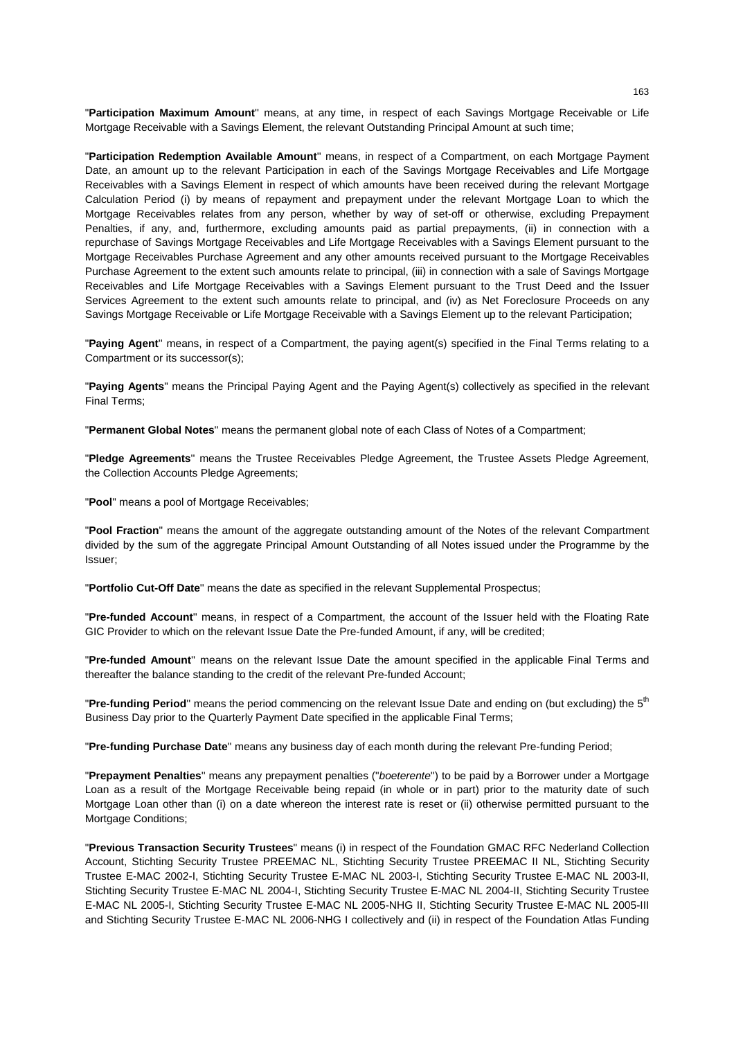"**Participation Maximum Amount**'' means, at any time, in respect of each Savings Mortgage Receivable or Life Mortgage Receivable with a Savings Element, the relevant Outstanding Principal Amount at such time;

"**Participation Redemption Available Amount**'' means, in respect of a Compartment, on each Mortgage Payment Date, an amount up to the relevant Participation in each of the Savings Mortgage Receivables and Life Mortgage Receivables with a Savings Element in respect of which amounts have been received during the relevant Mortgage Calculation Period (i) by means of repayment and prepayment under the relevant Mortgage Loan to which the Mortgage Receivables relates from any person, whether by way of set-off or otherwise, excluding Prepayment Penalties, if any, and, furthermore, excluding amounts paid as partial prepayments, (ii) in connection with a repurchase of Savings Mortgage Receivables and Life Mortgage Receivables with a Savings Element pursuant to the Mortgage Receivables Purchase Agreement and any other amounts received pursuant to the Mortgage Receivables Purchase Agreement to the extent such amounts relate to principal, (iii) in connection with a sale of Savings Mortgage Receivables and Life Mortgage Receivables with a Savings Element pursuant to the Trust Deed and the Issuer Services Agreement to the extent such amounts relate to principal, and (iv) as Net Foreclosure Proceeds on any Savings Mortgage Receivable or Life Mortgage Receivable with a Savings Element up to the relevant Participation;

"**Paying Agent**'' means, in respect of a Compartment, the paying agent(s) specified in the Final Terms relating to a Compartment or its successor(s);

"**Paying Agents**" means the Principal Paying Agent and the Paying Agent(s) collectively as specified in the relevant Final Terms;

"**Permanent Global Notes**'' means the permanent global note of each Class of Notes of a Compartment;

"**Pledge Agreements**'' means the Trustee Receivables Pledge Agreement, the Trustee Assets Pledge Agreement, the Collection Accounts Pledge Agreements;

"**Pool**" means a pool of Mortgage Receivables;

"**Pool Fraction**" means the amount of the aggregate outstanding amount of the Notes of the relevant Compartment divided by the sum of the aggregate Principal Amount Outstanding of all Notes issued under the Programme by the Issuer;

"**Portfolio Cut-Off Date**'' means the date as specified in the relevant Supplemental Prospectus;

"**Pre-funded Account**'' means, in respect of a Compartment, the account of the Issuer held with the Floating Rate GIC Provider to which on the relevant Issue Date the Pre-funded Amount, if any, will be credited;

"**Pre-funded Amount**'' means on the relevant Issue Date the amount specified in the applicable Final Terms and thereafter the balance standing to the credit of the relevant Pre-funded Account;

"**Pre-funding Period**'' means the period commencing on the relevant Issue Date and ending on (but excluding) the 5th Business Day prior to the Quarterly Payment Date specified in the applicable Final Terms;

"**Pre-funding Purchase Date**'' means any business day of each month during the relevant Pre-funding Period;

"**Prepayment Penalties**'' means any prepayment penalties ("*boeterente*'') to be paid by a Borrower under a Mortgage Loan as a result of the Mortgage Receivable being repaid (in whole or in part) prior to the maturity date of such Mortgage Loan other than (i) on a date whereon the interest rate is reset or (ii) otherwise permitted pursuant to the Mortgage Conditions;

"**Previous Transaction Security Trustees**" means (i) in respect of the Foundation GMAC RFC Nederland Collection Account, Stichting Security Trustee PREEMAC NL, Stichting Security Trustee PREEMAC II NL, Stichting Security Trustee E-MAC 2002-I, Stichting Security Trustee E-MAC NL 2003-I, Stichting Security Trustee E-MAC NL 2003-II, Stichting Security Trustee E-MAC NL 2004-I, Stichting Security Trustee E-MAC NL 2004-II, Stichting Security Trustee E-MAC NL 2005-I, Stichting Security Trustee E-MAC NL 2005-NHG II, Stichting Security Trustee E-MAC NL 2005-III and Stichting Security Trustee E-MAC NL 2006-NHG I collectively and (ii) in respect of the Foundation Atlas Funding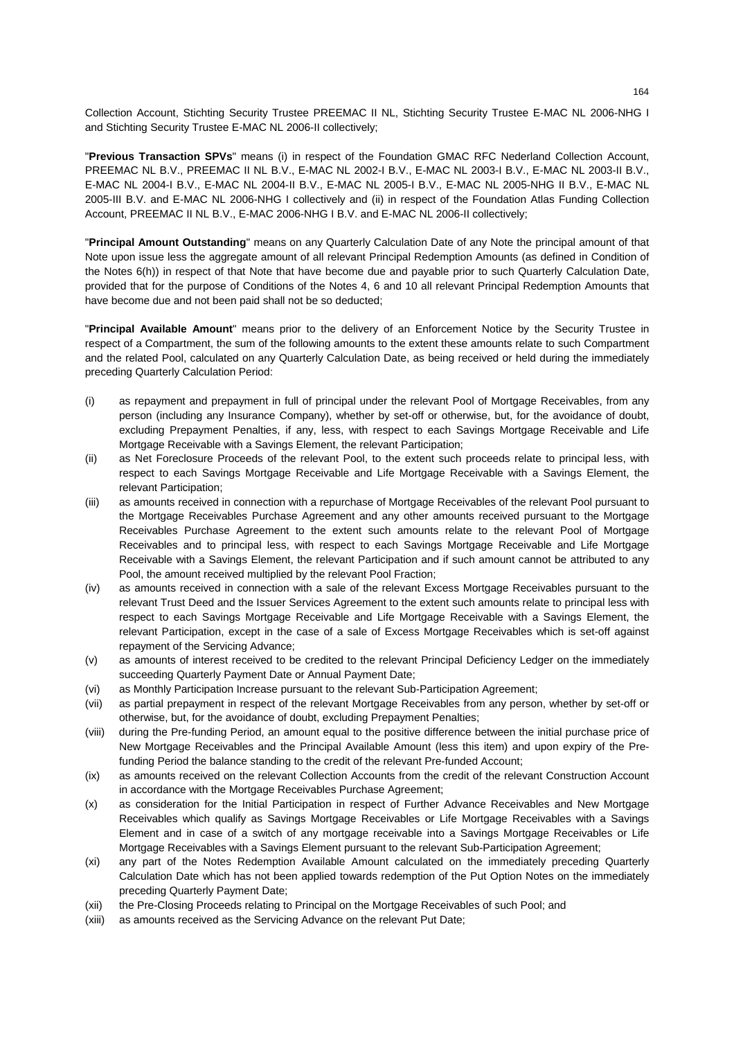Collection Account, Stichting Security Trustee PREEMAC II NL, Stichting Security Trustee E-MAC NL 2006-NHG I and Stichting Security Trustee E-MAC NL 2006-II collectively;

"**Previous Transaction SPVs**" means (i) in respect of the Foundation GMAC RFC Nederland Collection Account, PREEMAC NL B.V., PREEMAC II NL B.V., E-MAC NL 2002-I B.V., E-MAC NL 2003-I B.V., E-MAC NL 2003-II B.V., E-MAC NL 2004-I B.V., E-MAC NL 2004-II B.V., E-MAC NL 2005-I B.V., E-MAC NL 2005-NHG II B.V., E-MAC NL 2005-III B.V. and E-MAC NL 2006-NHG I collectively and (ii) in respect of the Foundation Atlas Funding Collection Account, PREEMAC II NL B.V., E-MAC 2006-NHG I B.V. and E-MAC NL 2006-II collectively;

"**Principal Amount Outstanding**'' means on any Quarterly Calculation Date of any Note the principal amount of that Note upon issue less the aggregate amount of all relevant Principal Redemption Amounts (as defined in Condition of the Notes 6(h)) in respect of that Note that have become due and payable prior to such Quarterly Calculation Date, provided that for the purpose of Conditions of the Notes 4, 6 and 10 all relevant Principal Redemption Amounts that have become due and not been paid shall not be so deducted;

"**Principal Available Amount**" means prior to the delivery of an Enforcement Notice by the Security Trustee in respect of a Compartment, the sum of the following amounts to the extent these amounts relate to such Compartment and the related Pool, calculated on any Quarterly Calculation Date, as being received or held during the immediately preceding Quarterly Calculation Period:

- (i) as repayment and prepayment in full of principal under the relevant Pool of Mortgage Receivables, from any person (including any Insurance Company), whether by set-off or otherwise, but, for the avoidance of doubt, excluding Prepayment Penalties, if any, less, with respect to each Savings Mortgage Receivable and Life Mortgage Receivable with a Savings Element, the relevant Participation;
- (ii) as Net Foreclosure Proceeds of the relevant Pool, to the extent such proceeds relate to principal less, with respect to each Savings Mortgage Receivable and Life Mortgage Receivable with a Savings Element, the relevant Participation;
- (iii) as amounts received in connection with a repurchase of Mortgage Receivables of the relevant Pool pursuant to the Mortgage Receivables Purchase Agreement and any other amounts received pursuant to the Mortgage Receivables Purchase Agreement to the extent such amounts relate to the relevant Pool of Mortgage Receivables and to principal less, with respect to each Savings Mortgage Receivable and Life Mortgage Receivable with a Savings Element, the relevant Participation and if such amount cannot be attributed to any Pool, the amount received multiplied by the relevant Pool Fraction;
- (iv) as amounts received in connection with a sale of the relevant Excess Mortgage Receivables pursuant to the relevant Trust Deed and the Issuer Services Agreement to the extent such amounts relate to principal less with respect to each Savings Mortgage Receivable and Life Mortgage Receivable with a Savings Element, the relevant Participation, except in the case of a sale of Excess Mortgage Receivables which is set-off against repayment of the Servicing Advance;
- (v) as amounts of interest received to be credited to the relevant Principal Deficiency Ledger on the immediately succeeding Quarterly Payment Date or Annual Payment Date;
- (vi) as Monthly Participation Increase pursuant to the relevant Sub-Participation Agreement;
- (vii) as partial prepayment in respect of the relevant Mortgage Receivables from any person, whether by set-off or otherwise, but, for the avoidance of doubt, excluding Prepayment Penalties;
- (viii) during the Pre-funding Period, an amount equal to the positive difference between the initial purchase price of New Mortgage Receivables and the Principal Available Amount (less this item) and upon expiry of the Prefunding Period the balance standing to the credit of the relevant Pre-funded Account;
- (ix) as amounts received on the relevant Collection Accounts from the credit of the relevant Construction Account in accordance with the Mortgage Receivables Purchase Agreement;
- (x) as consideration for the Initial Participation in respect of Further Advance Receivables and New Mortgage Receivables which qualify as Savings Mortgage Receivables or Life Mortgage Receivables with a Savings Element and in case of a switch of any mortgage receivable into a Savings Mortgage Receivables or Life Mortgage Receivables with a Savings Element pursuant to the relevant Sub-Participation Agreement;
- (xi) any part of the Notes Redemption Available Amount calculated on the immediately preceding Quarterly Calculation Date which has not been applied towards redemption of the Put Option Notes on the immediately preceding Quarterly Payment Date;
- (xii) the Pre-Closing Proceeds relating to Principal on the Mortgage Receivables of such Pool; and
- (xiii) as amounts received as the Servicing Advance on the relevant Put Date;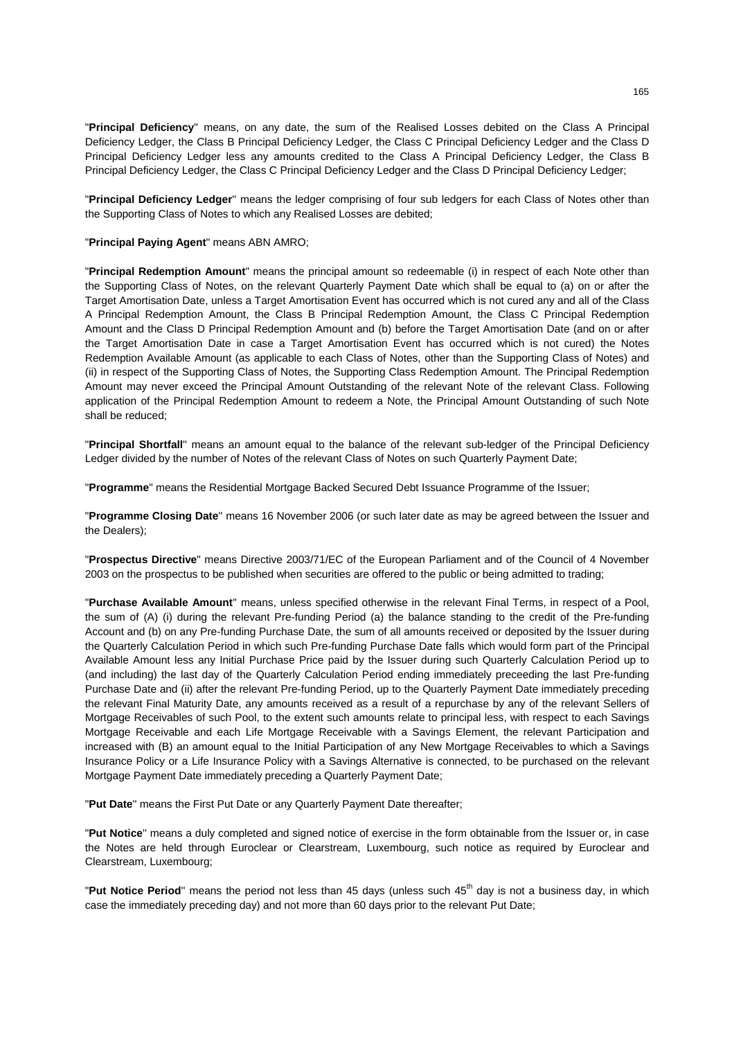"**Principal Deficiency**'' means, on any date, the sum of the Realised Losses debited on the Class A Principal Deficiency Ledger, the Class B Principal Deficiency Ledger, the Class C Principal Deficiency Ledger and the Class D Principal Deficiency Ledger less any amounts credited to the Class A Principal Deficiency Ledger, the Class B Principal Deficiency Ledger, the Class C Principal Deficiency Ledger and the Class D Principal Deficiency Ledger;

"**Principal Deficiency Ledger**'' means the ledger comprising of four sub ledgers for each Class of Notes other than the Supporting Class of Notes to which any Realised Losses are debited;

### "**Principal Paying Agent**" means ABN AMRO;

"**Principal Redemption Amount**" means the principal amount so redeemable (i) in respect of each Note other than the Supporting Class of Notes, on the relevant Quarterly Payment Date which shall be equal to (a) on or after the Target Amortisation Date, unless a Target Amortisation Event has occurred which is not cured any and all of the Class A Principal Redemption Amount, the Class B Principal Redemption Amount, the Class C Principal Redemption Amount and the Class D Principal Redemption Amount and (b) before the Target Amortisation Date (and on or after the Target Amortisation Date in case a Target Amortisation Event has occurred which is not cured) the Notes Redemption Available Amount (as applicable to each Class of Notes, other than the Supporting Class of Notes) and (ii) in respect of the Supporting Class of Notes, the Supporting Class Redemption Amount. The Principal Redemption Amount may never exceed the Principal Amount Outstanding of the relevant Note of the relevant Class. Following application of the Principal Redemption Amount to redeem a Note, the Principal Amount Outstanding of such Note shall be reduced;

"**Principal Shortfall**'' means an amount equal to the balance of the relevant sub-ledger of the Principal Deficiency Ledger divided by the number of Notes of the relevant Class of Notes on such Quarterly Payment Date;

"**Programme**" means the Residential Mortgage Backed Secured Debt Issuance Programme of the Issuer;

"**Programme Closing Date**'' means 16 November 2006 (or such later date as may be agreed between the Issuer and the Dealers);

"**Prospectus Directive**" means Directive 2003/71/EC of the European Parliament and of the Council of 4 November 2003 on the prospectus to be published when securities are offered to the public or being admitted to trading;

"**Purchase Available Amount**'' means, unless specified otherwise in the relevant Final Terms, in respect of a Pool, the sum of (A) (i) during the relevant Pre-funding Period (a) the balance standing to the credit of the Pre-funding Account and (b) on any Pre-funding Purchase Date, the sum of all amounts received or deposited by the Issuer during the Quarterly Calculation Period in which such Pre-funding Purchase Date falls which would form part of the Principal Available Amount less any Initial Purchase Price paid by the Issuer during such Quarterly Calculation Period up to (and including) the last day of the Quarterly Calculation Period ending immediately preceeding the last Pre-funding Purchase Date and (ii) after the relevant Pre-funding Period, up to the Quarterly Payment Date immediately preceding the relevant Final Maturity Date, any amounts received as a result of a repurchase by any of the relevant Sellers of Mortgage Receivables of such Pool, to the extent such amounts relate to principal less, with respect to each Savings Mortgage Receivable and each Life Mortgage Receivable with a Savings Element, the relevant Participation and increased with (B) an amount equal to the Initial Participation of any New Mortgage Receivables to which a Savings Insurance Policy or a Life Insurance Policy with a Savings Alternative is connected, to be purchased on the relevant Mortgage Payment Date immediately preceding a Quarterly Payment Date;

"**Put Date**'' means the First Put Date or any Quarterly Payment Date thereafter;

"**Put Notice**'' means a duly completed and signed notice of exercise in the form obtainable from the Issuer or, in case the Notes are held through Euroclear or Clearstream, Luxembourg, such notice as required by Euroclear and Clearstream, Luxembourg;

"Put Notice Period" means the period not less than 45 days (unless such 45<sup>th</sup> day is not a business day, in which case the immediately preceding day) and not more than 60 days prior to the relevant Put Date;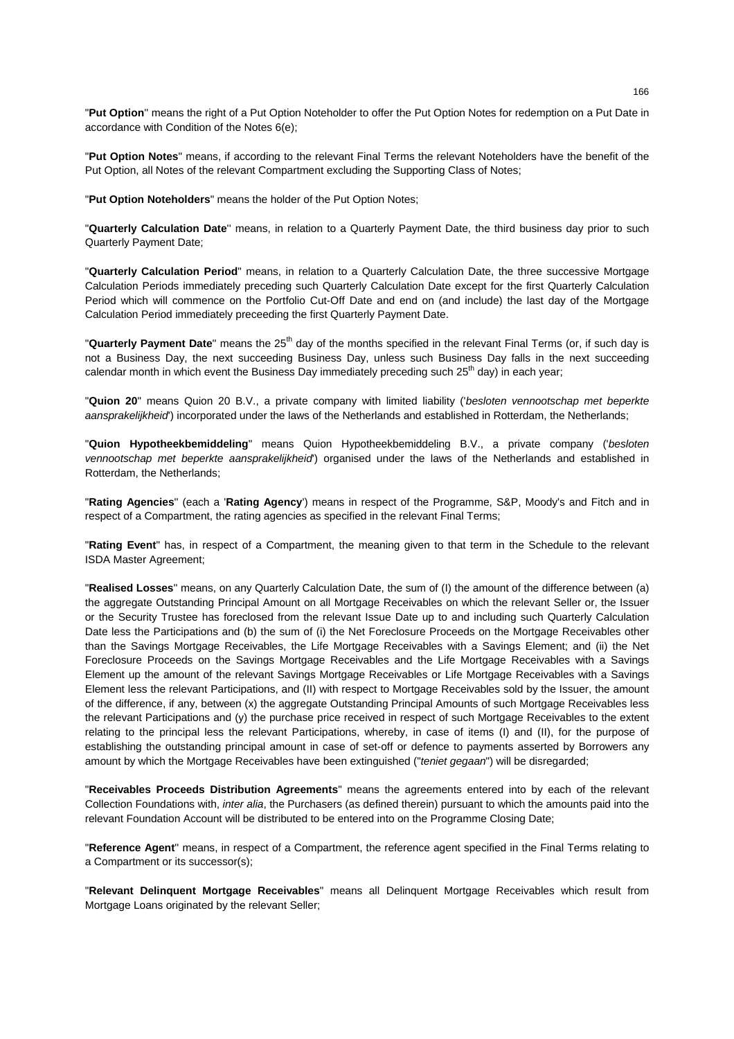"**Put Option**'' means the right of a Put Option Noteholder to offer the Put Option Notes for redemption on a Put Date in accordance with Condition of the Notes 6(e);

"**Put Option Notes**" means, if according to the relevant Final Terms the relevant Noteholders have the benefit of the Put Option, all Notes of the relevant Compartment excluding the Supporting Class of Notes;

"**Put Option Noteholders**" means the holder of the Put Option Notes;

"**Quarterly Calculation Date**'' means, in relation to a Quarterly Payment Date, the third business day prior to such Quarterly Payment Date;

"**Quarterly Calculation Period**" means, in relation to a Quarterly Calculation Date, the three successive Mortgage Calculation Periods immediately preceding such Quarterly Calculation Date except for the first Quarterly Calculation Period which will commence on the Portfolio Cut-Off Date and end on (and include) the last day of the Mortgage Calculation Period immediately preceeding the first Quarterly Payment Date.

"**Quarterly Payment Date**" means the 25<sup>th</sup> day of the months specified in the relevant Final Terms (or, if such day is not a Business Day, the next succeeding Business Day, unless such Business Day falls in the next succeeding calendar month in which event the Business Day immediately preceding such  $25<sup>th</sup>$  day) in each year;

"**Quion 20**" means Quion 20 B.V., a private company with limited liability ('*besloten vennootschap met beperkte aansprakelijkheid*') incorporated under the laws of the Netherlands and established in Rotterdam, the Netherlands;

"**Quion Hypotheekbemiddeling**" means Quion Hypotheekbemiddeling B.V., a private company ('*besloten vennootschap met beperkte aansprakelijkheid*') organised under the laws of the Netherlands and established in Rotterdam, the Netherlands;

"**Rating Agencies**'' (each a '**Rating Agency**') means in respect of the Programme, S&P, Moody's and Fitch and in respect of a Compartment, the rating agencies as specified in the relevant Final Terms;

"**Rating Event**" has, in respect of a Compartment, the meaning given to that term in the Schedule to the relevant ISDA Master Agreement;

"**Realised Losses**'' means, on any Quarterly Calculation Date, the sum of (I) the amount of the difference between (a) the aggregate Outstanding Principal Amount on all Mortgage Receivables on which the relevant Seller or, the Issuer or the Security Trustee has foreclosed from the relevant Issue Date up to and including such Quarterly Calculation Date less the Participations and (b) the sum of (i) the Net Foreclosure Proceeds on the Mortgage Receivables other than the Savings Mortgage Receivables, the Life Mortgage Receivables with a Savings Element; and (ii) the Net Foreclosure Proceeds on the Savings Mortgage Receivables and the Life Mortgage Receivables with a Savings Element up the amount of the relevant Savings Mortgage Receivables or Life Mortgage Receivables with a Savings Element less the relevant Participations, and (II) with respect to Mortgage Receivables sold by the Issuer, the amount of the difference, if any, between (x) the aggregate Outstanding Principal Amounts of such Mortgage Receivables less the relevant Participations and (y) the purchase price received in respect of such Mortgage Receivables to the extent relating to the principal less the relevant Participations, whereby, in case of items (I) and (II), for the purpose of establishing the outstanding principal amount in case of set-off or defence to payments asserted by Borrowers any amount by which the Mortgage Receivables have been extinguished ("*teniet gegaan*") will be disregarded;

"**Receivables Proceeds Distribution Agreements**" means the agreements entered into by each of the relevant Collection Foundations with, *inter alia*, the Purchasers (as defined therein) pursuant to which the amounts paid into the relevant Foundation Account will be distributed to be entered into on the Programme Closing Date;

"**Reference Agent**'' means, in respect of a Compartment, the reference agent specified in the Final Terms relating to a Compartment or its successor(s);

"**Relevant Delinquent Mortgage Receivables**" means all Delinquent Mortgage Receivables which result from Mortgage Loans originated by the relevant Seller: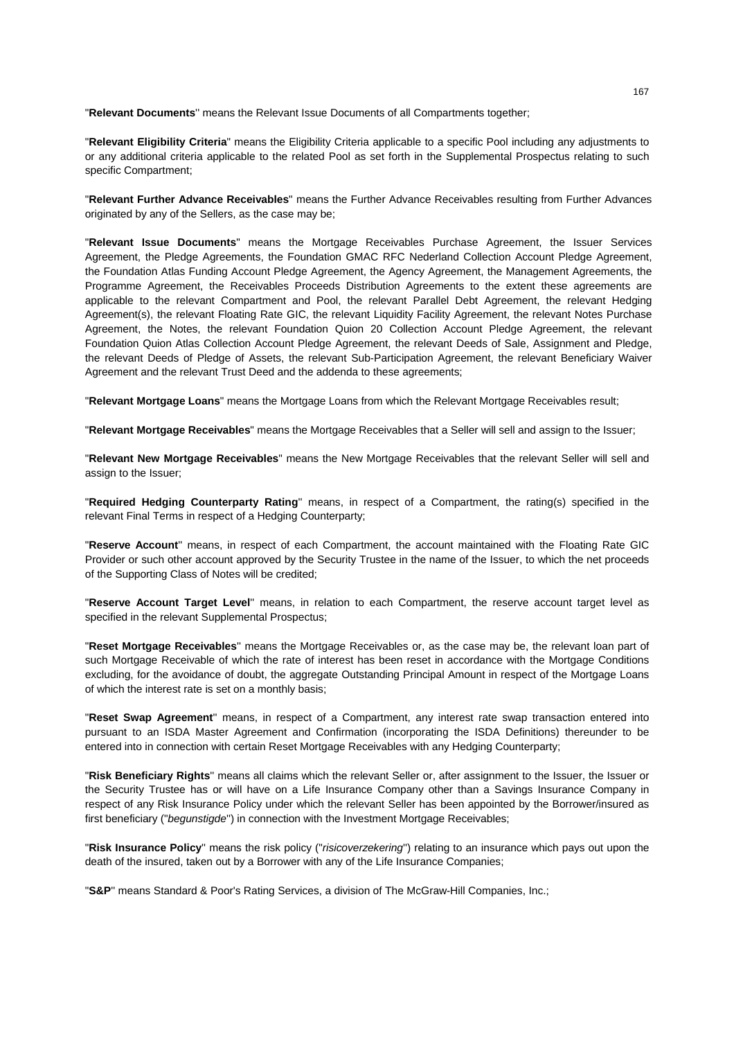"**Relevant Documents**'' means the Relevant Issue Documents of all Compartments together;

"**Relevant Eligibility Criteria**" means the Eligibility Criteria applicable to a specific Pool including any adjustments to or any additional criteria applicable to the related Pool as set forth in the Supplemental Prospectus relating to such specific Compartment;

"**Relevant Further Advance Receivables**" means the Further Advance Receivables resulting from Further Advances originated by any of the Sellers, as the case may be:

"**Relevant Issue Documents**" means the Mortgage Receivables Purchase Agreement, the Issuer Services Agreement, the Pledge Agreements, the Foundation GMAC RFC Nederland Collection Account Pledge Agreement, the Foundation Atlas Funding Account Pledge Agreement, the Agency Agreement, the Management Agreements, the Programme Agreement, the Receivables Proceeds Distribution Agreements to the extent these agreements are applicable to the relevant Compartment and Pool, the relevant Parallel Debt Agreement, the relevant Hedging Agreement(s), the relevant Floating Rate GIC, the relevant Liquidity Facility Agreement, the relevant Notes Purchase Agreement, the Notes, the relevant Foundation Quion 20 Collection Account Pledge Agreement, the relevant Foundation Quion Atlas Collection Account Pledge Agreement, the relevant Deeds of Sale, Assignment and Pledge, the relevant Deeds of Pledge of Assets, the relevant Sub-Participation Agreement, the relevant Beneficiary Waiver Agreement and the relevant Trust Deed and the addenda to these agreements;

"**Relevant Mortgage Loans**" means the Mortgage Loans from which the Relevant Mortgage Receivables result;

"**Relevant Mortgage Receivables**" means the Mortgage Receivables that a Seller will sell and assign to the Issuer;

"**Relevant New Mortgage Receivables**" means the New Mortgage Receivables that the relevant Seller will sell and assign to the Issuer;

"**Required Hedging Counterparty Rating**'' means, in respect of a Compartment, the rating(s) specified in the relevant Final Terms in respect of a Hedging Counterparty;

"**Reserve Account**'' means, in respect of each Compartment, the account maintained with the Floating Rate GIC Provider or such other account approved by the Security Trustee in the name of the Issuer, to which the net proceeds of the Supporting Class of Notes will be credited;

"**Reserve Account Target Level**'' means, in relation to each Compartment, the reserve account target level as specified in the relevant Supplemental Prospectus;

"**Reset Mortgage Receivables**'' means the Mortgage Receivables or, as the case may be, the relevant loan part of such Mortgage Receivable of which the rate of interest has been reset in accordance with the Mortgage Conditions excluding, for the avoidance of doubt, the aggregate Outstanding Principal Amount in respect of the Mortgage Loans of which the interest rate is set on a monthly basis;

"**Reset Swap Agreement**'' means, in respect of a Compartment, any interest rate swap transaction entered into pursuant to an ISDA Master Agreement and Confirmation (incorporating the ISDA Definitions) thereunder to be entered into in connection with certain Reset Mortgage Receivables with any Hedging Counterparty;

"**Risk Beneficiary Rights**'' means all claims which the relevant Seller or, after assignment to the Issuer, the Issuer or the Security Trustee has or will have on a Life Insurance Company other than a Savings Insurance Company in respect of any Risk Insurance Policy under which the relevant Seller has been appointed by the Borrower/insured as first beneficiary ("*begunstigde*'') in connection with the Investment Mortgage Receivables;

"**Risk Insurance Policy**'' means the risk policy ("*risicoverzekering*'') relating to an insurance which pays out upon the death of the insured, taken out by a Borrower with any of the Life Insurance Companies;

"**S&P**'' means Standard & Poor's Rating Services, a division of The McGraw-Hill Companies, Inc.;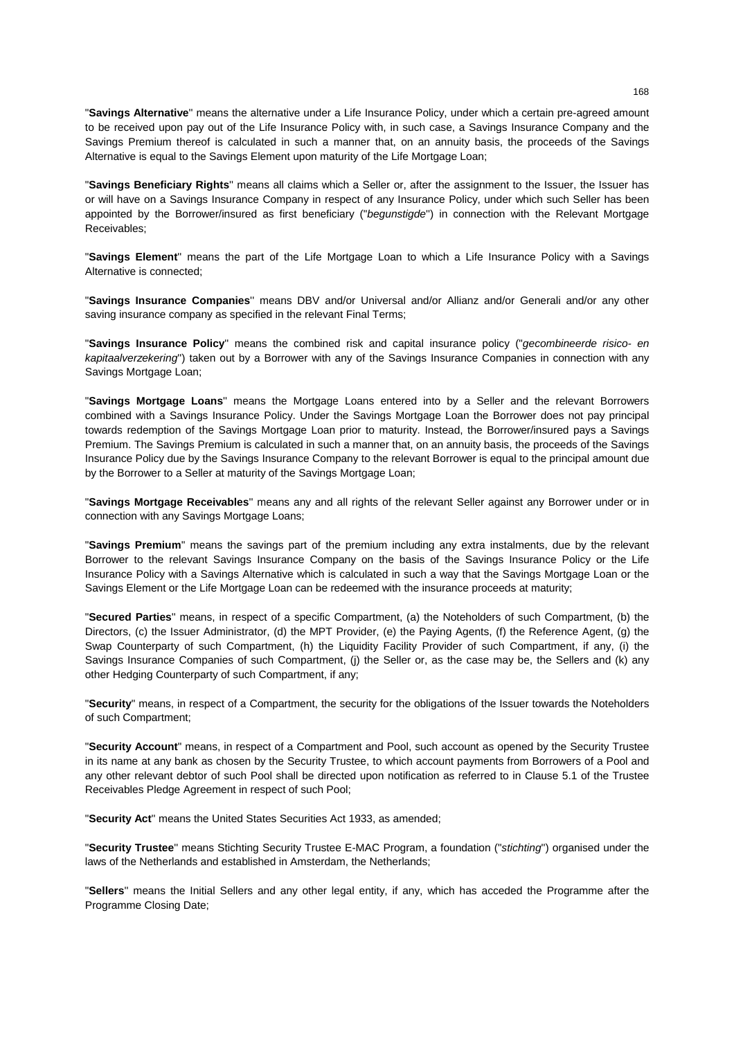"**Savings Alternative**'' means the alternative under a Life Insurance Policy, under which a certain pre-agreed amount to be received upon pay out of the Life Insurance Policy with, in such case, a Savings Insurance Company and the Savings Premium thereof is calculated in such a manner that, on an annuity basis, the proceeds of the Savings Alternative is equal to the Savings Element upon maturity of the Life Mortgage Loan;

"**Savings Beneficiary Rights**'' means all claims which a Seller or, after the assignment to the Issuer, the Issuer has or will have on a Savings Insurance Company in respect of any Insurance Policy, under which such Seller has been appointed by the Borrower/insured as first beneficiary ("*begunstigde*'') in connection with the Relevant Mortgage Receivables;

"**Savings Element**'' means the part of the Life Mortgage Loan to which a Life Insurance Policy with a Savings Alternative is connected;

"**Savings Insurance Companies**'' means DBV and/or Universal and/or Allianz and/or Generali and/or any other saving insurance company as specified in the relevant Final Terms;

"**Savings Insurance Policy**'' means the combined risk and capital insurance policy ("*gecombineerde risico- en kapitaalverzekering*'') taken out by a Borrower with any of the Savings Insurance Companies in connection with any Savings Mortgage Loan;

"**Savings Mortgage Loans**'' means the Mortgage Loans entered into by a Seller and the relevant Borrowers combined with a Savings Insurance Policy. Under the Savings Mortgage Loan the Borrower does not pay principal towards redemption of the Savings Mortgage Loan prior to maturity. Instead, the Borrower/insured pays a Savings Premium. The Savings Premium is calculated in such a manner that, on an annuity basis, the proceeds of the Savings Insurance Policy due by the Savings Insurance Company to the relevant Borrower is equal to the principal amount due by the Borrower to a Seller at maturity of the Savings Mortgage Loan;

"**Savings Mortgage Receivables**'' means any and all rights of the relevant Seller against any Borrower under or in connection with any Savings Mortgage Loans;

"**Savings Premium**'' means the savings part of the premium including any extra instalments, due by the relevant Borrower to the relevant Savings Insurance Company on the basis of the Savings Insurance Policy or the Life Insurance Policy with a Savings Alternative which is calculated in such a way that the Savings Mortgage Loan or the Savings Element or the Life Mortgage Loan can be redeemed with the insurance proceeds at maturity;

"**Secured Parties**'' means, in respect of a specific Compartment, (a) the Noteholders of such Compartment, (b) the Directors, (c) the Issuer Administrator, (d) the MPT Provider, (e) the Paying Agents, (f) the Reference Agent, (g) the Swap Counterparty of such Compartment, (h) the Liquidity Facility Provider of such Compartment, if any, (i) the Savings Insurance Companies of such Compartment, (j) the Seller or, as the case may be, the Sellers and (k) any other Hedging Counterparty of such Compartment, if any;

"**Security**" means, in respect of a Compartment, the security for the obligations of the Issuer towards the Noteholders of such Compartment;

"**Security Account**" means, in respect of a Compartment and Pool, such account as opened by the Security Trustee in its name at any bank as chosen by the Security Trustee, to which account payments from Borrowers of a Pool and any other relevant debtor of such Pool shall be directed upon notification as referred to in Clause 5.1 of the Trustee Receivables Pledge Agreement in respect of such Pool;

"**Security Act**'' means the United States Securities Act 1933, as amended;

"**Security Trustee**'' means Stichting Security Trustee E-MAC Program, a foundation ("*stichting*'') organised under the laws of the Netherlands and established in Amsterdam, the Netherlands;

"**Sellers**'' means the Initial Sellers and any other legal entity, if any, which has acceded the Programme after the Programme Closing Date;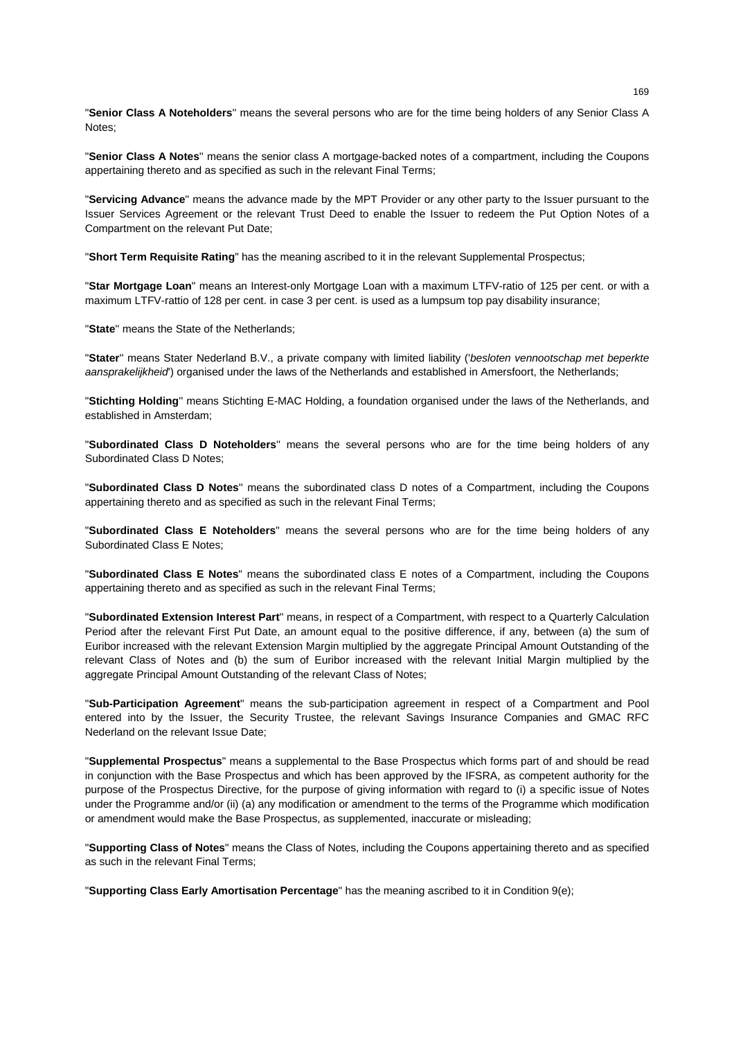"**Senior Class A Noteholders**'' means the several persons who are for the time being holders of any Senior Class A Notes;

"**Senior Class A Notes**'' means the senior class A mortgage-backed notes of a compartment, including the Coupons appertaining thereto and as specified as such in the relevant Final Terms;

"**Servicing Advance**'' means the advance made by the MPT Provider or any other party to the Issuer pursuant to the Issuer Services Agreement or the relevant Trust Deed to enable the Issuer to redeem the Put Option Notes of a Compartment on the relevant Put Date;

"**Short Term Requisite Rating**" has the meaning ascribed to it in the relevant Supplemental Prospectus;

"**Star Mortgage Loan**" means an Interest-only Mortgage Loan with a maximum LTFV-ratio of 125 per cent. or with a maximum LTFV-rattio of 128 per cent. in case 3 per cent. is used as a lumpsum top pay disability insurance;

"**State**'' means the State of the Netherlands;

"**Stater**'' means Stater Nederland B.V., a private company with limited liability ('*besloten vennootschap met beperkte aansprakelijkheid*') organised under the laws of the Netherlands and established in Amersfoort, the Netherlands;

"**Stichting Holding**'' means Stichting E-MAC Holding, a foundation organised under the laws of the Netherlands, and established in Amsterdam;

"**Subordinated Class D Noteholders**'' means the several persons who are for the time being holders of any Subordinated Class D Notes;

"**Subordinated Class D Notes**'' means the subordinated class D notes of a Compartment, including the Coupons appertaining thereto and as specified as such in the relevant Final Terms;

"**Subordinated Class E Noteholders**" means the several persons who are for the time being holders of any Subordinated Class E Notes;

"**Subordinated Class E Notes**" means the subordinated class E notes of a Compartment, including the Coupons appertaining thereto and as specified as such in the relevant Final Terms;

"**Subordinated Extension Interest Part**'' means, in respect of a Compartment, with respect to a Quarterly Calculation Period after the relevant First Put Date, an amount equal to the positive difference, if any, between (a) the sum of Euribor increased with the relevant Extension Margin multiplied by the aggregate Principal Amount Outstanding of the relevant Class of Notes and (b) the sum of Euribor increased with the relevant Initial Margin multiplied by the aggregate Principal Amount Outstanding of the relevant Class of Notes;

"**Sub-Participation Agreement**" means the sub-participation agreement in respect of a Compartment and Pool entered into by the Issuer, the Security Trustee, the relevant Savings Insurance Companies and GMAC RFC Nederland on the relevant Issue Date;

"**Supplemental Prospectus**" means a supplemental to the Base Prospectus which forms part of and should be read in conjunction with the Base Prospectus and which has been approved by the IFSRA, as competent authority for the purpose of the Prospectus Directive, for the purpose of giving information with regard to (i) a specific issue of Notes under the Programme and/or (ii) (a) any modification or amendment to the terms of the Programme which modification or amendment would make the Base Prospectus, as supplemented, inaccurate or misleading;

"**Supporting Class of Notes**" means the Class of Notes, including the Coupons appertaining thereto and as specified as such in the relevant Final Terms;

"**Supporting Class Early Amortisation Percentage**" has the meaning ascribed to it in Condition 9(e);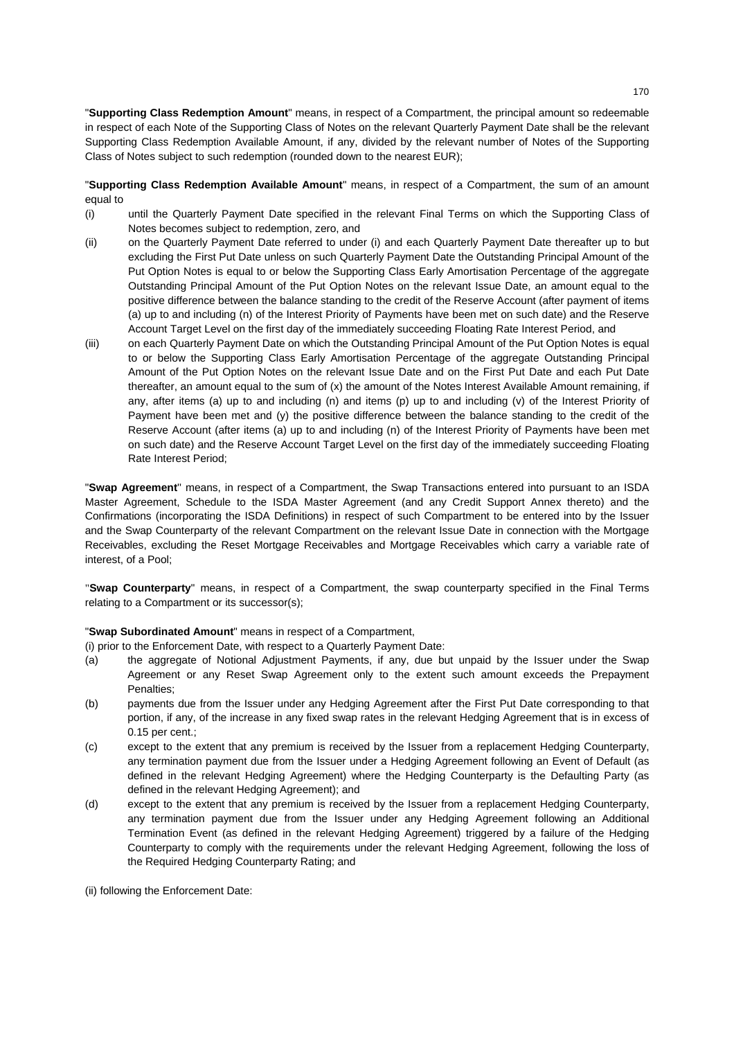"**Supporting Class Redemption Amount**" means, in respect of a Compartment, the principal amount so redeemable in respect of each Note of the Supporting Class of Notes on the relevant Quarterly Payment Date shall be the relevant Supporting Class Redemption Available Amount, if any, divided by the relevant number of Notes of the Supporting Class of Notes subject to such redemption (rounded down to the nearest EUR);

"**Supporting Class Redemption Available Amount**" means, in respect of a Compartment, the sum of an amount equal to

- (i) until the Quarterly Payment Date specified in the relevant Final Terms on which the Supporting Class of Notes becomes subject to redemption, zero, and
- (ii) on the Quarterly Payment Date referred to under (i) and each Quarterly Payment Date thereafter up to but excluding the First Put Date unless on such Quarterly Payment Date the Outstanding Principal Amount of the Put Option Notes is equal to or below the Supporting Class Early Amortisation Percentage of the aggregate Outstanding Principal Amount of the Put Option Notes on the relevant Issue Date, an amount equal to the positive difference between the balance standing to the credit of the Reserve Account (after payment of items (a) up to and including (n) of the Interest Priority of Payments have been met on such date) and the Reserve Account Target Level on the first day of the immediately succeeding Floating Rate Interest Period, and
- (iii) on each Quarterly Payment Date on which the Outstanding Principal Amount of the Put Option Notes is equal to or below the Supporting Class Early Amortisation Percentage of the aggregate Outstanding Principal Amount of the Put Option Notes on the relevant Issue Date and on the First Put Date and each Put Date thereafter, an amount equal to the sum of (x) the amount of the Notes Interest Available Amount remaining, if any, after items (a) up to and including (n) and items (p) up to and including (v) of the Interest Priority of Payment have been met and (y) the positive difference between the balance standing to the credit of the Reserve Account (after items (a) up to and including (n) of the Interest Priority of Payments have been met on such date) and the Reserve Account Target Level on the first day of the immediately succeeding Floating Rate Interest Period;

"**Swap Agreement**'' means, in respect of a Compartment, the Swap Transactions entered into pursuant to an ISDA Master Agreement, Schedule to the ISDA Master Agreement (and any Credit Support Annex thereto) and the Confirmations (incorporating the ISDA Definitions) in respect of such Compartment to be entered into by the Issuer and the Swap Counterparty of the relevant Compartment on the relevant Issue Date in connection with the Mortgage Receivables, excluding the Reset Mortgage Receivables and Mortgage Receivables which carry a variable rate of interest, of a Pool;

"**Swap Counterparty**" means, in respect of a Compartment, the swap counterparty specified in the Final Terms relating to a Compartment or its successor(s);

"**Swap Subordinated Amount**" means in respect of a Compartment,

(i) prior to the Enforcement Date, with respect to a Quarterly Payment Date:

- (a) the aggregate of Notional Adjustment Payments, if any, due but unpaid by the Issuer under the Swap Agreement or any Reset Swap Agreement only to the extent such amount exceeds the Prepayment Penalties;
- (b) payments due from the Issuer under any Hedging Agreement after the First Put Date corresponding to that portion, if any, of the increase in any fixed swap rates in the relevant Hedging Agreement that is in excess of 0.15 per cent.;
- (c) except to the extent that any premium is received by the Issuer from a replacement Hedging Counterparty, any termination payment due from the Issuer under a Hedging Agreement following an Event of Default (as defined in the relevant Hedging Agreement) where the Hedging Counterparty is the Defaulting Party (as defined in the relevant Hedging Agreement); and
- (d) except to the extent that any premium is received by the Issuer from a replacement Hedging Counterparty, any termination payment due from the Issuer under any Hedging Agreement following an Additional Termination Event (as defined in the relevant Hedging Agreement) triggered by a failure of the Hedging Counterparty to comply with the requirements under the relevant Hedging Agreement, following the loss of the Required Hedging Counterparty Rating; and

(ii) following the Enforcement Date: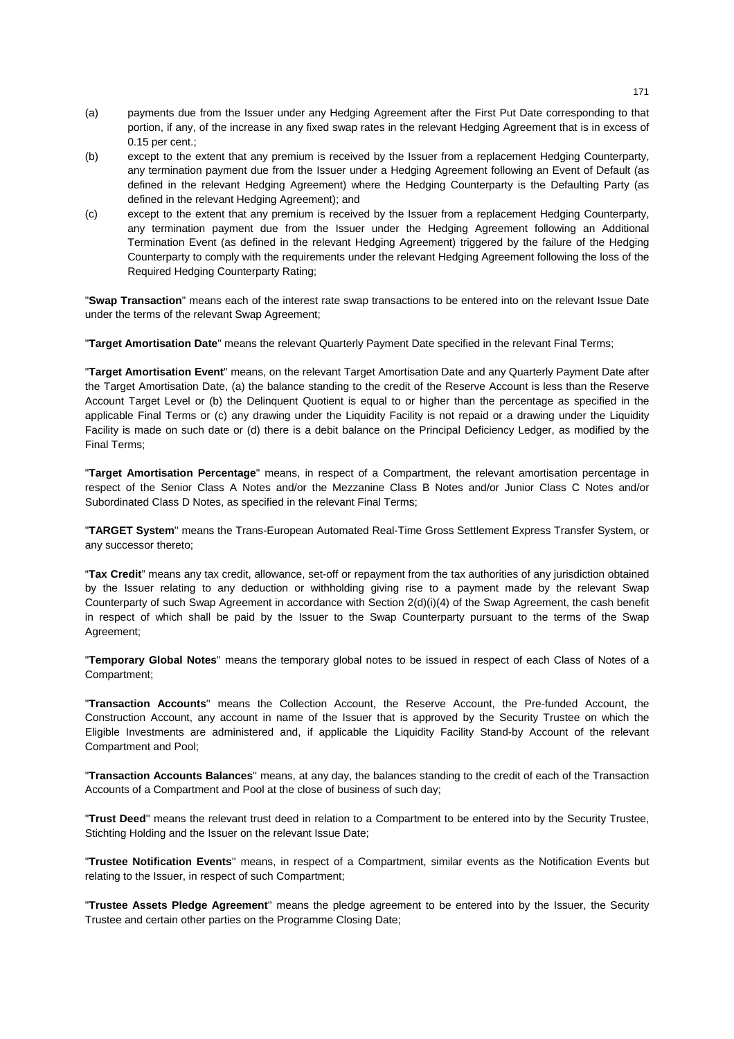- (a) payments due from the Issuer under any Hedging Agreement after the First Put Date corresponding to that portion, if any, of the increase in any fixed swap rates in the relevant Hedging Agreement that is in excess of 0.15 per cent.;
- (b) except to the extent that any premium is received by the Issuer from a replacement Hedging Counterparty, any termination payment due from the Issuer under a Hedging Agreement following an Event of Default (as defined in the relevant Hedging Agreement) where the Hedging Counterparty is the Defaulting Party (as defined in the relevant Hedging Agreement); and
- (c) except to the extent that any premium is received by the Issuer from a replacement Hedging Counterparty, any termination payment due from the Issuer under the Hedging Agreement following an Additional Termination Event (as defined in the relevant Hedging Agreement) triggered by the failure of the Hedging Counterparty to comply with the requirements under the relevant Hedging Agreement following the loss of the Required Hedging Counterparty Rating;

"**Swap Transaction**" means each of the interest rate swap transactions to be entered into on the relevant Issue Date under the terms of the relevant Swap Agreement;

"**Target Amortisation Date**" means the relevant Quarterly Payment Date specified in the relevant Final Terms;

"**Target Amortisation Event**" means, on the relevant Target Amortisation Date and any Quarterly Payment Date after the Target Amortisation Date, (a) the balance standing to the credit of the Reserve Account is less than the Reserve Account Target Level or (b) the Delinquent Quotient is equal to or higher than the percentage as specified in the applicable Final Terms or (c) any drawing under the Liquidity Facility is not repaid or a drawing under the Liquidity Facility is made on such date or (d) there is a debit balance on the Principal Deficiency Ledger, as modified by the Final Terms;

"**Target Amortisation Percentage**" means, in respect of a Compartment, the relevant amortisation percentage in respect of the Senior Class A Notes and/or the Mezzanine Class B Notes and/or Junior Class C Notes and/or Subordinated Class D Notes, as specified in the relevant Final Terms;

"**TARGET System**'' means the Trans-European Automated Real-Time Gross Settlement Express Transfer System, or any successor thereto;

"**Tax Credit**" means any tax credit, allowance, set-off or repayment from the tax authorities of any jurisdiction obtained by the Issuer relating to any deduction or withholding giving rise to a payment made by the relevant Swap Counterparty of such Swap Agreement in accordance with Section 2(d)(i)(4) of the Swap Agreement, the cash benefit in respect of which shall be paid by the Issuer to the Swap Counterparty pursuant to the terms of the Swap Agreement;

"**Temporary Global Notes**'' means the temporary global notes to be issued in respect of each Class of Notes of a Compartment;

"**Transaction Accounts**'' means the Collection Account, the Reserve Account, the Pre-funded Account, the Construction Account, any account in name of the Issuer that is approved by the Security Trustee on which the Eligible Investments are administered and, if applicable the Liquidity Facility Stand-by Account of the relevant Compartment and Pool;

"**Transaction Accounts Balances**'' means, at any day, the balances standing to the credit of each of the Transaction Accounts of a Compartment and Pool at the close of business of such day;

"**Trust Deed**'' means the relevant trust deed in relation to a Compartment to be entered into by the Security Trustee, Stichting Holding and the Issuer on the relevant Issue Date;

"**Trustee Notification Events**'' means, in respect of a Compartment, similar events as the Notification Events but relating to the Issuer, in respect of such Compartment;

"**Trustee Assets Pledge Agreement**'' means the pledge agreement to be entered into by the Issuer, the Security Trustee and certain other parties on the Programme Closing Date;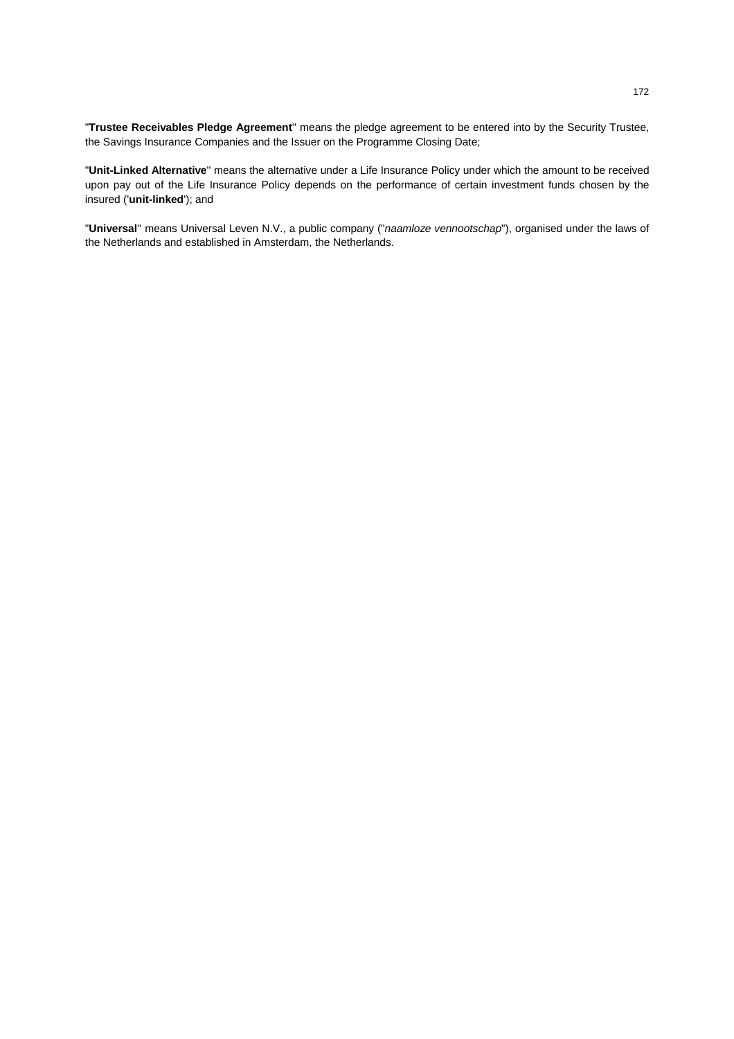"**Trustee Receivables Pledge Agreement**'' means the pledge agreement to be entered into by the Security Trustee, the Savings Insurance Companies and the Issuer on the Programme Closing Date;

"**Unit-Linked Alternative**'' means the alternative under a Life Insurance Policy under which the amount to be received upon pay out of the Life Insurance Policy depends on the performance of certain investment funds chosen by the insured ('**unit-linked**'); and

"**Universal**'' means Universal Leven N.V., a public company ("*naamloze vennootschap*"), organised under the laws of the Netherlands and established in Amsterdam, the Netherlands.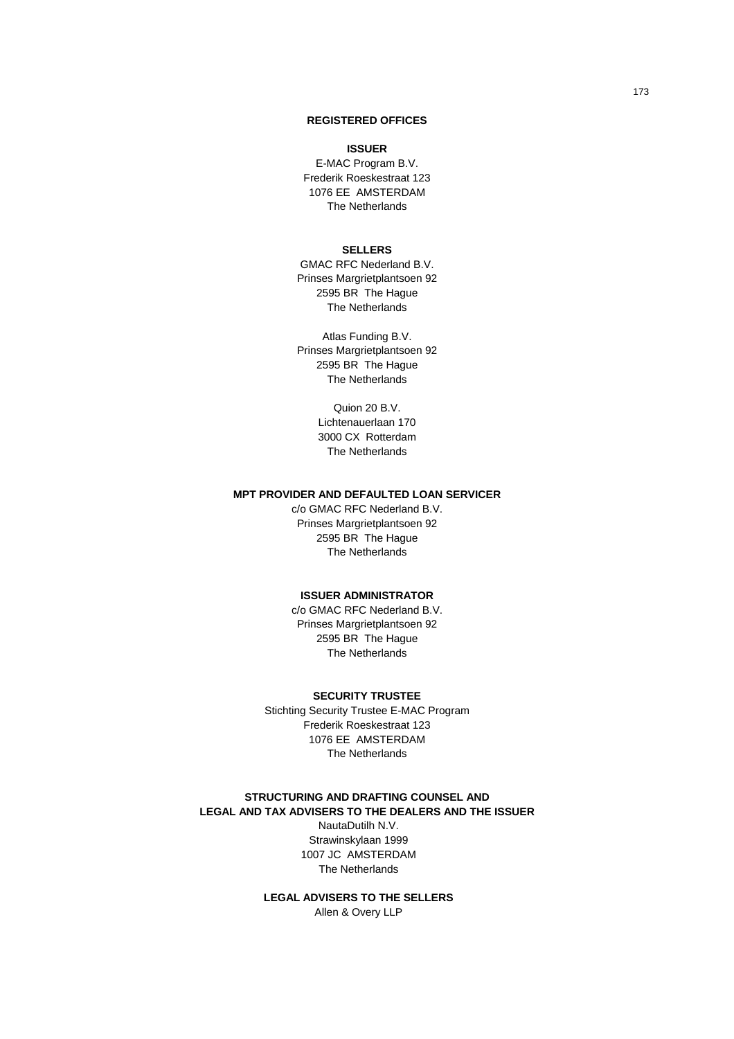## **REGISTERED OFFICES**

#### **ISSUER**

E-MAC Program B.V. Frederik Roeskestraat 123 1076 EE AMSTERDAM The Netherlands

## **SELLERS**

GMAC RFC Nederland B.V. Prinses Margrietplantsoen 92 2595 BR The Hague The Netherlands

Atlas Funding B.V. Prinses Margrietplantsoen 92 2595 BR The Hague The Netherlands

> Quion 20 B.V. Lichtenauerlaan 170 3000 CX Rotterdam The Netherlands

# **MPT PROVIDER AND DEFAULTED LOAN SERVICER**

c/o GMAC RFC Nederland B.V. Prinses Margrietplantsoen 92 2595 BR The Hague The Netherlands

### **ISSUER ADMINISTRATOR**

c/o GMAC RFC Nederland B.V. Prinses Margrietplantsoen 92 2595 BR The Hague The Netherlands

### **SECURITY TRUSTEE**

Stichting Security Trustee E-MAC Program Frederik Roeskestraat 123 1076 EE AMSTERDAM The Netherlands

### **STRUCTURING AND DRAFTING COUNSEL AND LEGAL AND TAX ADVISERS TO THE DEALERS AND THE ISSUER**

NautaDutilh N.V. Strawinskylaan 1999 1007 JC AMSTERDAM The Netherlands

**LEGAL ADVISERS TO THE SELLERS**  Allen & Overy LLP